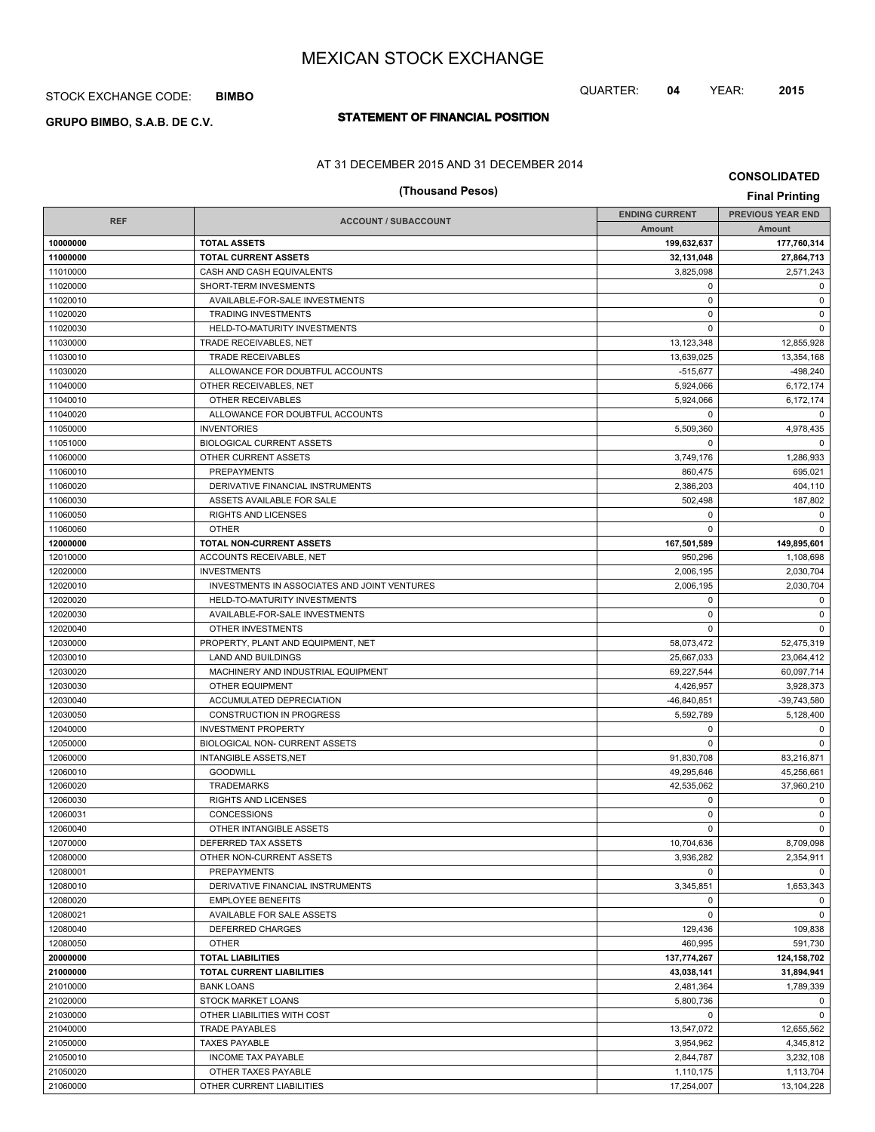## STOCK EXCHANGE CODE: **BIMBO**

# **STATEMENT OF FINANCIAL POSITION GRUPO BIMBO, S.A.B. DE C.V.**

### AT 31 DECEMBER 2015 AND 31 DECEMBER 2014

# **(Thousand Pesos) Final Printing**

**CONSOLIDATED**

| <b>REF</b><br><b>ACCOUNT / SUBACCOUNT</b><br>Amount<br><b>Amount</b><br>10000000<br><b>TOTAL ASSETS</b><br>199,632,637<br>177,760,314<br>11000000<br><b>TOTAL CURRENT ASSETS</b><br>32,131,048<br>11010000<br>3,825,098<br>CASH AND CASH EQUIVALENTS<br>2,571,243<br>11020000<br>SHORT-TERM INVESMENTS<br>$\mathbf 0$<br>0<br>$\mathbf 0$<br>11020010<br>AVAILABLE-FOR-SALE INVESTMENTS<br>$\mathbf 0$<br>11020020<br><b>TRADING INVESTMENTS</b><br>$\mathbf 0$<br>$\mathbf 0$<br>11020030<br>HELD-TO-MATURITY INVESTMENTS<br>$\Omega$<br>$\mathbf 0$<br>11030000<br>TRADE RECEIVABLES, NET<br>13,123,348<br>12,855,928<br>11030010<br><b>TRADE RECEIVABLES</b><br>13,639,025<br>13,354,168<br>11030020<br>ALLOWANCE FOR DOUBTFUL ACCOUNTS<br>$-515,677$<br>11040000<br>5,924,066<br>6,172,174<br>OTHER RECEIVABLES, NET<br>11040010<br>5,924,066<br>OTHER RECEIVABLES<br>6,172,174<br>11040020<br>ALLOWANCE FOR DOUBTFUL ACCOUNTS<br>0<br>0<br>11050000<br><b>INVENTORIES</b><br>5,509,360<br>4,978,435<br>11051000<br><b>BIOLOGICAL CURRENT ASSETS</b><br>$\mathbf 0$<br>$\mathbf 0$<br>11060000<br>OTHER CURRENT ASSETS<br>3,749,176<br>1,286,933<br>11060010<br><b>PREPAYMENTS</b><br>860,475<br>695,021<br>11060020<br>2,386,203<br>DERIVATIVE FINANCIAL INSTRUMENTS<br>404,110<br>11060030<br>ASSETS AVAILABLE FOR SALE<br>502,498<br>187,802<br>11060050<br><b>RIGHTS AND LICENSES</b><br>$\mathbf 0$<br>$\mathbf 0$<br>11060060<br><b>OTHER</b><br>$\mathbf 0$<br>$\mathbf 0$<br>12000000<br><b>TOTAL NON-CURRENT ASSETS</b><br>167,501,589<br>149,895,601<br>12010000<br>ACCOUNTS RECEIVABLE, NET<br>950,296<br>1,108,698<br>12020000<br>2,006,195<br><b>INVESTMENTS</b><br>2,030,704<br>12020010<br>INVESTMENTS IN ASSOCIATES AND JOINT VENTURES<br>2,006,195<br>2,030,704<br>12020020<br>HELD-TO-MATURITY INVESTMENTS<br>$\mathbf 0$<br>$\mathbf 0$<br>12020030<br>AVAILABLE-FOR-SALE INVESTMENTS<br>$\mathbf 0$<br>0<br>12020040<br>OTHER INVESTMENTS<br>$\Omega$<br>$\mathbf 0$<br>12030000<br>PROPERTY, PLANT AND EQUIPMENT, NET<br>58,073,472<br>52,475,319<br>12030010<br>LAND AND BUILDINGS<br>25,667,033<br>23,064,412<br>12030020<br>MACHINERY AND INDUSTRIAL EQUIPMENT<br>69,227,544<br>12030030<br><b>OTHER EQUIPMENT</b><br>4,426,957<br>3,928,373<br>12030040<br>ACCUMULATED DEPRECIATION<br>$-46,840,851$<br>-39,743,580<br>12030050<br><b>CONSTRUCTION IN PROGRESS</b><br>5,592,789<br>5,128,400<br>12040000<br><b>INVESTMENT PROPERTY</b><br>$\mathbf 0$<br>0<br>12050000<br>BIOLOGICAL NON- CURRENT ASSETS<br>$\mathbf 0$<br>$\mathbf 0$<br>12060000<br><b>INTANGIBLE ASSETS, NET</b><br>91,830,708<br>83,216,871<br>12060010<br><b>GOODWILL</b><br>49,295,646<br>45.256.661<br>12060020<br>42,535,062<br>37,960,210<br><b>TRADEMARKS</b><br>12060030<br><b>RIGHTS AND LICENSES</b><br>$\mathbf 0$<br>0<br>12060031<br><b>CONCESSIONS</b><br>$\mathbf 0$<br>0<br>12060040<br>$\mathbf 0$<br>OTHER INTANGIBLE ASSETS<br>$\mathbf 0$<br>12070000<br>10,704,636<br>DEFERRED TAX ASSETS<br>8,709,098<br>12080000<br>OTHER NON-CURRENT ASSETS<br>2,354,911<br>3,936,282<br>12080001<br>PREPAYMENTS<br>0<br>$\Omega$<br>12080010<br>DERIVATIVE FINANCIAL INSTRUMENTS<br>3,345,851<br>1,653,343<br>12080020<br><b>EMPLOYEE BENEFITS</b><br>$\mathbf 0$<br>$\mathbf 0$<br>12080021<br>$\mathbf{0}$<br>AVAILABLE FOR SALE ASSETS<br>$\mathbf 0$<br>12080040<br>DEFERRED CHARGES<br>129,436<br>109,838<br>12080050<br>460.995<br>591,730<br><b>OTHER</b><br>20000000<br>137,774,267<br>124,158,702<br><b>TOTAL LIABILITIES</b><br>21000000<br><b>TOTAL CURRENT LIABILITIES</b><br>43,038,141<br>31,894,941<br>21010000<br><b>BANK LOANS</b><br>1,789,339<br>2,481,364<br>21020000<br>5,800,736<br><b>STOCK MARKET LOANS</b><br>0<br>21030000<br>OTHER LIABILITIES WITH COST<br>$\mathbf{0}$<br>$\mathbf 0$<br>21040000<br>13,547,072<br>12,655,562<br>TRADE PAYABLES<br>21050000<br><b>TAXES PAYABLE</b><br>3,954,962<br>4,345,812<br>21050010<br>INCOME TAX PAYABLE<br>2,844,787<br>3,232,108<br>21050020<br>1,110,175<br>1,113,704<br>OTHER TAXES PAYABLE<br>21060000<br>17,254,007<br>13,104,228<br>OTHER CURRENT LIABILITIES |  | <b>ENDING CURRENT</b> | <b>PREVIOUS YEAR END</b> |
|---------------------------------------------------------------------------------------------------------------------------------------------------------------------------------------------------------------------------------------------------------------------------------------------------------------------------------------------------------------------------------------------------------------------------------------------------------------------------------------------------------------------------------------------------------------------------------------------------------------------------------------------------------------------------------------------------------------------------------------------------------------------------------------------------------------------------------------------------------------------------------------------------------------------------------------------------------------------------------------------------------------------------------------------------------------------------------------------------------------------------------------------------------------------------------------------------------------------------------------------------------------------------------------------------------------------------------------------------------------------------------------------------------------------------------------------------------------------------------------------------------------------------------------------------------------------------------------------------------------------------------------------------------------------------------------------------------------------------------------------------------------------------------------------------------------------------------------------------------------------------------------------------------------------------------------------------------------------------------------------------------------------------------------------------------------------------------------------------------------------------------------------------------------------------------------------------------------------------------------------------------------------------------------------------------------------------------------------------------------------------------------------------------------------------------------------------------------------------------------------------------------------------------------------------------------------------------------------------------------------------------------------------------------------------------------------------------------------------------------------------------------------------------------------------------------------------------------------------------------------------------------------------------------------------------------------------------------------------------------------------------------------------------------------------------------------------------------------------------------------------------------------------------------------------------------------------------------------------------------------------------------------------------------------------------------------------------------------------------------------------------------------------------------------------------------------------------------------------------------------------------------------------------------------------------------------------------------------------------------------------------------------------------------------------------------------------------------------------------------------------------------------------------------------------------------------------------------------------------------------------------------------------------------------------------------------------------------------------------------------------------------------------------------------------------------------------------------------------------------------------------------------------|--|-----------------------|--------------------------|
| 27,864,713<br>60,097,714                                                                                                                                                                                                                                                                                                                                                                                                                                                                                                                                                                                                                                                                                                                                                                                                                                                                                                                                                                                                                                                                                                                                                                                                                                                                                                                                                                                                                                                                                                                                                                                                                                                                                                                                                                                                                                                                                                                                                                                                                                                                                                                                                                                                                                                                                                                                                                                                                                                                                                                                                                                                                                                                                                                                                                                                                                                                                                                                                                                                                                                                                                                                                                                                                                                                                                                                                                                                                                                                                                                                                                                                                                                                                                                                                                                                                                                                                                                                                                                                                                                                                                                          |  |                       |                          |
|                                                                                                                                                                                                                                                                                                                                                                                                                                                                                                                                                                                                                                                                                                                                                                                                                                                                                                                                                                                                                                                                                                                                                                                                                                                                                                                                                                                                                                                                                                                                                                                                                                                                                                                                                                                                                                                                                                                                                                                                                                                                                                                                                                                                                                                                                                                                                                                                                                                                                                                                                                                                                                                                                                                                                                                                                                                                                                                                                                                                                                                                                                                                                                                                                                                                                                                                                                                                                                                                                                                                                                                                                                                                                                                                                                                                                                                                                                                                                                                                                                                                                                                                                   |  |                       |                          |
|                                                                                                                                                                                                                                                                                                                                                                                                                                                                                                                                                                                                                                                                                                                                                                                                                                                                                                                                                                                                                                                                                                                                                                                                                                                                                                                                                                                                                                                                                                                                                                                                                                                                                                                                                                                                                                                                                                                                                                                                                                                                                                                                                                                                                                                                                                                                                                                                                                                                                                                                                                                                                                                                                                                                                                                                                                                                                                                                                                                                                                                                                                                                                                                                                                                                                                                                                                                                                                                                                                                                                                                                                                                                                                                                                                                                                                                                                                                                                                                                                                                                                                                                                   |  |                       |                          |
|                                                                                                                                                                                                                                                                                                                                                                                                                                                                                                                                                                                                                                                                                                                                                                                                                                                                                                                                                                                                                                                                                                                                                                                                                                                                                                                                                                                                                                                                                                                                                                                                                                                                                                                                                                                                                                                                                                                                                                                                                                                                                                                                                                                                                                                                                                                                                                                                                                                                                                                                                                                                                                                                                                                                                                                                                                                                                                                                                                                                                                                                                                                                                                                                                                                                                                                                                                                                                                                                                                                                                                                                                                                                                                                                                                                                                                                                                                                                                                                                                                                                                                                                                   |  |                       |                          |
|                                                                                                                                                                                                                                                                                                                                                                                                                                                                                                                                                                                                                                                                                                                                                                                                                                                                                                                                                                                                                                                                                                                                                                                                                                                                                                                                                                                                                                                                                                                                                                                                                                                                                                                                                                                                                                                                                                                                                                                                                                                                                                                                                                                                                                                                                                                                                                                                                                                                                                                                                                                                                                                                                                                                                                                                                                                                                                                                                                                                                                                                                                                                                                                                                                                                                                                                                                                                                                                                                                                                                                                                                                                                                                                                                                                                                                                                                                                                                                                                                                                                                                                                                   |  |                       |                          |
|                                                                                                                                                                                                                                                                                                                                                                                                                                                                                                                                                                                                                                                                                                                                                                                                                                                                                                                                                                                                                                                                                                                                                                                                                                                                                                                                                                                                                                                                                                                                                                                                                                                                                                                                                                                                                                                                                                                                                                                                                                                                                                                                                                                                                                                                                                                                                                                                                                                                                                                                                                                                                                                                                                                                                                                                                                                                                                                                                                                                                                                                                                                                                                                                                                                                                                                                                                                                                                                                                                                                                                                                                                                                                                                                                                                                                                                                                                                                                                                                                                                                                                                                                   |  |                       |                          |
|                                                                                                                                                                                                                                                                                                                                                                                                                                                                                                                                                                                                                                                                                                                                                                                                                                                                                                                                                                                                                                                                                                                                                                                                                                                                                                                                                                                                                                                                                                                                                                                                                                                                                                                                                                                                                                                                                                                                                                                                                                                                                                                                                                                                                                                                                                                                                                                                                                                                                                                                                                                                                                                                                                                                                                                                                                                                                                                                                                                                                                                                                                                                                                                                                                                                                                                                                                                                                                                                                                                                                                                                                                                                                                                                                                                                                                                                                                                                                                                                                                                                                                                                                   |  |                       |                          |
|                                                                                                                                                                                                                                                                                                                                                                                                                                                                                                                                                                                                                                                                                                                                                                                                                                                                                                                                                                                                                                                                                                                                                                                                                                                                                                                                                                                                                                                                                                                                                                                                                                                                                                                                                                                                                                                                                                                                                                                                                                                                                                                                                                                                                                                                                                                                                                                                                                                                                                                                                                                                                                                                                                                                                                                                                                                                                                                                                                                                                                                                                                                                                                                                                                                                                                                                                                                                                                                                                                                                                                                                                                                                                                                                                                                                                                                                                                                                                                                                                                                                                                                                                   |  |                       |                          |
|                                                                                                                                                                                                                                                                                                                                                                                                                                                                                                                                                                                                                                                                                                                                                                                                                                                                                                                                                                                                                                                                                                                                                                                                                                                                                                                                                                                                                                                                                                                                                                                                                                                                                                                                                                                                                                                                                                                                                                                                                                                                                                                                                                                                                                                                                                                                                                                                                                                                                                                                                                                                                                                                                                                                                                                                                                                                                                                                                                                                                                                                                                                                                                                                                                                                                                                                                                                                                                                                                                                                                                                                                                                                                                                                                                                                                                                                                                                                                                                                                                                                                                                                                   |  |                       |                          |
|                                                                                                                                                                                                                                                                                                                                                                                                                                                                                                                                                                                                                                                                                                                                                                                                                                                                                                                                                                                                                                                                                                                                                                                                                                                                                                                                                                                                                                                                                                                                                                                                                                                                                                                                                                                                                                                                                                                                                                                                                                                                                                                                                                                                                                                                                                                                                                                                                                                                                                                                                                                                                                                                                                                                                                                                                                                                                                                                                                                                                                                                                                                                                                                                                                                                                                                                                                                                                                                                                                                                                                                                                                                                                                                                                                                                                                                                                                                                                                                                                                                                                                                                                   |  |                       |                          |
|                                                                                                                                                                                                                                                                                                                                                                                                                                                                                                                                                                                                                                                                                                                                                                                                                                                                                                                                                                                                                                                                                                                                                                                                                                                                                                                                                                                                                                                                                                                                                                                                                                                                                                                                                                                                                                                                                                                                                                                                                                                                                                                                                                                                                                                                                                                                                                                                                                                                                                                                                                                                                                                                                                                                                                                                                                                                                                                                                                                                                                                                                                                                                                                                                                                                                                                                                                                                                                                                                                                                                                                                                                                                                                                                                                                                                                                                                                                                                                                                                                                                                                                                                   |  |                       | $-498,240$               |
|                                                                                                                                                                                                                                                                                                                                                                                                                                                                                                                                                                                                                                                                                                                                                                                                                                                                                                                                                                                                                                                                                                                                                                                                                                                                                                                                                                                                                                                                                                                                                                                                                                                                                                                                                                                                                                                                                                                                                                                                                                                                                                                                                                                                                                                                                                                                                                                                                                                                                                                                                                                                                                                                                                                                                                                                                                                                                                                                                                                                                                                                                                                                                                                                                                                                                                                                                                                                                                                                                                                                                                                                                                                                                                                                                                                                                                                                                                                                                                                                                                                                                                                                                   |  |                       |                          |
|                                                                                                                                                                                                                                                                                                                                                                                                                                                                                                                                                                                                                                                                                                                                                                                                                                                                                                                                                                                                                                                                                                                                                                                                                                                                                                                                                                                                                                                                                                                                                                                                                                                                                                                                                                                                                                                                                                                                                                                                                                                                                                                                                                                                                                                                                                                                                                                                                                                                                                                                                                                                                                                                                                                                                                                                                                                                                                                                                                                                                                                                                                                                                                                                                                                                                                                                                                                                                                                                                                                                                                                                                                                                                                                                                                                                                                                                                                                                                                                                                                                                                                                                                   |  |                       |                          |
|                                                                                                                                                                                                                                                                                                                                                                                                                                                                                                                                                                                                                                                                                                                                                                                                                                                                                                                                                                                                                                                                                                                                                                                                                                                                                                                                                                                                                                                                                                                                                                                                                                                                                                                                                                                                                                                                                                                                                                                                                                                                                                                                                                                                                                                                                                                                                                                                                                                                                                                                                                                                                                                                                                                                                                                                                                                                                                                                                                                                                                                                                                                                                                                                                                                                                                                                                                                                                                                                                                                                                                                                                                                                                                                                                                                                                                                                                                                                                                                                                                                                                                                                                   |  |                       |                          |
|                                                                                                                                                                                                                                                                                                                                                                                                                                                                                                                                                                                                                                                                                                                                                                                                                                                                                                                                                                                                                                                                                                                                                                                                                                                                                                                                                                                                                                                                                                                                                                                                                                                                                                                                                                                                                                                                                                                                                                                                                                                                                                                                                                                                                                                                                                                                                                                                                                                                                                                                                                                                                                                                                                                                                                                                                                                                                                                                                                                                                                                                                                                                                                                                                                                                                                                                                                                                                                                                                                                                                                                                                                                                                                                                                                                                                                                                                                                                                                                                                                                                                                                                                   |  |                       |                          |
|                                                                                                                                                                                                                                                                                                                                                                                                                                                                                                                                                                                                                                                                                                                                                                                                                                                                                                                                                                                                                                                                                                                                                                                                                                                                                                                                                                                                                                                                                                                                                                                                                                                                                                                                                                                                                                                                                                                                                                                                                                                                                                                                                                                                                                                                                                                                                                                                                                                                                                                                                                                                                                                                                                                                                                                                                                                                                                                                                                                                                                                                                                                                                                                                                                                                                                                                                                                                                                                                                                                                                                                                                                                                                                                                                                                                                                                                                                                                                                                                                                                                                                                                                   |  |                       |                          |
|                                                                                                                                                                                                                                                                                                                                                                                                                                                                                                                                                                                                                                                                                                                                                                                                                                                                                                                                                                                                                                                                                                                                                                                                                                                                                                                                                                                                                                                                                                                                                                                                                                                                                                                                                                                                                                                                                                                                                                                                                                                                                                                                                                                                                                                                                                                                                                                                                                                                                                                                                                                                                                                                                                                                                                                                                                                                                                                                                                                                                                                                                                                                                                                                                                                                                                                                                                                                                                                                                                                                                                                                                                                                                                                                                                                                                                                                                                                                                                                                                                                                                                                                                   |  |                       |                          |
|                                                                                                                                                                                                                                                                                                                                                                                                                                                                                                                                                                                                                                                                                                                                                                                                                                                                                                                                                                                                                                                                                                                                                                                                                                                                                                                                                                                                                                                                                                                                                                                                                                                                                                                                                                                                                                                                                                                                                                                                                                                                                                                                                                                                                                                                                                                                                                                                                                                                                                                                                                                                                                                                                                                                                                                                                                                                                                                                                                                                                                                                                                                                                                                                                                                                                                                                                                                                                                                                                                                                                                                                                                                                                                                                                                                                                                                                                                                                                                                                                                                                                                                                                   |  |                       |                          |
|                                                                                                                                                                                                                                                                                                                                                                                                                                                                                                                                                                                                                                                                                                                                                                                                                                                                                                                                                                                                                                                                                                                                                                                                                                                                                                                                                                                                                                                                                                                                                                                                                                                                                                                                                                                                                                                                                                                                                                                                                                                                                                                                                                                                                                                                                                                                                                                                                                                                                                                                                                                                                                                                                                                                                                                                                                                                                                                                                                                                                                                                                                                                                                                                                                                                                                                                                                                                                                                                                                                                                                                                                                                                                                                                                                                                                                                                                                                                                                                                                                                                                                                                                   |  |                       |                          |
|                                                                                                                                                                                                                                                                                                                                                                                                                                                                                                                                                                                                                                                                                                                                                                                                                                                                                                                                                                                                                                                                                                                                                                                                                                                                                                                                                                                                                                                                                                                                                                                                                                                                                                                                                                                                                                                                                                                                                                                                                                                                                                                                                                                                                                                                                                                                                                                                                                                                                                                                                                                                                                                                                                                                                                                                                                                                                                                                                                                                                                                                                                                                                                                                                                                                                                                                                                                                                                                                                                                                                                                                                                                                                                                                                                                                                                                                                                                                                                                                                                                                                                                                                   |  |                       |                          |
|                                                                                                                                                                                                                                                                                                                                                                                                                                                                                                                                                                                                                                                                                                                                                                                                                                                                                                                                                                                                                                                                                                                                                                                                                                                                                                                                                                                                                                                                                                                                                                                                                                                                                                                                                                                                                                                                                                                                                                                                                                                                                                                                                                                                                                                                                                                                                                                                                                                                                                                                                                                                                                                                                                                                                                                                                                                                                                                                                                                                                                                                                                                                                                                                                                                                                                                                                                                                                                                                                                                                                                                                                                                                                                                                                                                                                                                                                                                                                                                                                                                                                                                                                   |  |                       |                          |
|                                                                                                                                                                                                                                                                                                                                                                                                                                                                                                                                                                                                                                                                                                                                                                                                                                                                                                                                                                                                                                                                                                                                                                                                                                                                                                                                                                                                                                                                                                                                                                                                                                                                                                                                                                                                                                                                                                                                                                                                                                                                                                                                                                                                                                                                                                                                                                                                                                                                                                                                                                                                                                                                                                                                                                                                                                                                                                                                                                                                                                                                                                                                                                                                                                                                                                                                                                                                                                                                                                                                                                                                                                                                                                                                                                                                                                                                                                                                                                                                                                                                                                                                                   |  |                       |                          |
|                                                                                                                                                                                                                                                                                                                                                                                                                                                                                                                                                                                                                                                                                                                                                                                                                                                                                                                                                                                                                                                                                                                                                                                                                                                                                                                                                                                                                                                                                                                                                                                                                                                                                                                                                                                                                                                                                                                                                                                                                                                                                                                                                                                                                                                                                                                                                                                                                                                                                                                                                                                                                                                                                                                                                                                                                                                                                                                                                                                                                                                                                                                                                                                                                                                                                                                                                                                                                                                                                                                                                                                                                                                                                                                                                                                                                                                                                                                                                                                                                                                                                                                                                   |  |                       |                          |
|                                                                                                                                                                                                                                                                                                                                                                                                                                                                                                                                                                                                                                                                                                                                                                                                                                                                                                                                                                                                                                                                                                                                                                                                                                                                                                                                                                                                                                                                                                                                                                                                                                                                                                                                                                                                                                                                                                                                                                                                                                                                                                                                                                                                                                                                                                                                                                                                                                                                                                                                                                                                                                                                                                                                                                                                                                                                                                                                                                                                                                                                                                                                                                                                                                                                                                                                                                                                                                                                                                                                                                                                                                                                                                                                                                                                                                                                                                                                                                                                                                                                                                                                                   |  |                       |                          |
|                                                                                                                                                                                                                                                                                                                                                                                                                                                                                                                                                                                                                                                                                                                                                                                                                                                                                                                                                                                                                                                                                                                                                                                                                                                                                                                                                                                                                                                                                                                                                                                                                                                                                                                                                                                                                                                                                                                                                                                                                                                                                                                                                                                                                                                                                                                                                                                                                                                                                                                                                                                                                                                                                                                                                                                                                                                                                                                                                                                                                                                                                                                                                                                                                                                                                                                                                                                                                                                                                                                                                                                                                                                                                                                                                                                                                                                                                                                                                                                                                                                                                                                                                   |  |                       |                          |
|                                                                                                                                                                                                                                                                                                                                                                                                                                                                                                                                                                                                                                                                                                                                                                                                                                                                                                                                                                                                                                                                                                                                                                                                                                                                                                                                                                                                                                                                                                                                                                                                                                                                                                                                                                                                                                                                                                                                                                                                                                                                                                                                                                                                                                                                                                                                                                                                                                                                                                                                                                                                                                                                                                                                                                                                                                                                                                                                                                                                                                                                                                                                                                                                                                                                                                                                                                                                                                                                                                                                                                                                                                                                                                                                                                                                                                                                                                                                                                                                                                                                                                                                                   |  |                       |                          |
|                                                                                                                                                                                                                                                                                                                                                                                                                                                                                                                                                                                                                                                                                                                                                                                                                                                                                                                                                                                                                                                                                                                                                                                                                                                                                                                                                                                                                                                                                                                                                                                                                                                                                                                                                                                                                                                                                                                                                                                                                                                                                                                                                                                                                                                                                                                                                                                                                                                                                                                                                                                                                                                                                                                                                                                                                                                                                                                                                                                                                                                                                                                                                                                                                                                                                                                                                                                                                                                                                                                                                                                                                                                                                                                                                                                                                                                                                                                                                                                                                                                                                                                                                   |  |                       |                          |
|                                                                                                                                                                                                                                                                                                                                                                                                                                                                                                                                                                                                                                                                                                                                                                                                                                                                                                                                                                                                                                                                                                                                                                                                                                                                                                                                                                                                                                                                                                                                                                                                                                                                                                                                                                                                                                                                                                                                                                                                                                                                                                                                                                                                                                                                                                                                                                                                                                                                                                                                                                                                                                                                                                                                                                                                                                                                                                                                                                                                                                                                                                                                                                                                                                                                                                                                                                                                                                                                                                                                                                                                                                                                                                                                                                                                                                                                                                                                                                                                                                                                                                                                                   |  |                       |                          |
|                                                                                                                                                                                                                                                                                                                                                                                                                                                                                                                                                                                                                                                                                                                                                                                                                                                                                                                                                                                                                                                                                                                                                                                                                                                                                                                                                                                                                                                                                                                                                                                                                                                                                                                                                                                                                                                                                                                                                                                                                                                                                                                                                                                                                                                                                                                                                                                                                                                                                                                                                                                                                                                                                                                                                                                                                                                                                                                                                                                                                                                                                                                                                                                                                                                                                                                                                                                                                                                                                                                                                                                                                                                                                                                                                                                                                                                                                                                                                                                                                                                                                                                                                   |  |                       |                          |
|                                                                                                                                                                                                                                                                                                                                                                                                                                                                                                                                                                                                                                                                                                                                                                                                                                                                                                                                                                                                                                                                                                                                                                                                                                                                                                                                                                                                                                                                                                                                                                                                                                                                                                                                                                                                                                                                                                                                                                                                                                                                                                                                                                                                                                                                                                                                                                                                                                                                                                                                                                                                                                                                                                                                                                                                                                                                                                                                                                                                                                                                                                                                                                                                                                                                                                                                                                                                                                                                                                                                                                                                                                                                                                                                                                                                                                                                                                                                                                                                                                                                                                                                                   |  |                       |                          |
|                                                                                                                                                                                                                                                                                                                                                                                                                                                                                                                                                                                                                                                                                                                                                                                                                                                                                                                                                                                                                                                                                                                                                                                                                                                                                                                                                                                                                                                                                                                                                                                                                                                                                                                                                                                                                                                                                                                                                                                                                                                                                                                                                                                                                                                                                                                                                                                                                                                                                                                                                                                                                                                                                                                                                                                                                                                                                                                                                                                                                                                                                                                                                                                                                                                                                                                                                                                                                                                                                                                                                                                                                                                                                                                                                                                                                                                                                                                                                                                                                                                                                                                                                   |  |                       |                          |
|                                                                                                                                                                                                                                                                                                                                                                                                                                                                                                                                                                                                                                                                                                                                                                                                                                                                                                                                                                                                                                                                                                                                                                                                                                                                                                                                                                                                                                                                                                                                                                                                                                                                                                                                                                                                                                                                                                                                                                                                                                                                                                                                                                                                                                                                                                                                                                                                                                                                                                                                                                                                                                                                                                                                                                                                                                                                                                                                                                                                                                                                                                                                                                                                                                                                                                                                                                                                                                                                                                                                                                                                                                                                                                                                                                                                                                                                                                                                                                                                                                                                                                                                                   |  |                       |                          |
|                                                                                                                                                                                                                                                                                                                                                                                                                                                                                                                                                                                                                                                                                                                                                                                                                                                                                                                                                                                                                                                                                                                                                                                                                                                                                                                                                                                                                                                                                                                                                                                                                                                                                                                                                                                                                                                                                                                                                                                                                                                                                                                                                                                                                                                                                                                                                                                                                                                                                                                                                                                                                                                                                                                                                                                                                                                                                                                                                                                                                                                                                                                                                                                                                                                                                                                                                                                                                                                                                                                                                                                                                                                                                                                                                                                                                                                                                                                                                                                                                                                                                                                                                   |  |                       |                          |
|                                                                                                                                                                                                                                                                                                                                                                                                                                                                                                                                                                                                                                                                                                                                                                                                                                                                                                                                                                                                                                                                                                                                                                                                                                                                                                                                                                                                                                                                                                                                                                                                                                                                                                                                                                                                                                                                                                                                                                                                                                                                                                                                                                                                                                                                                                                                                                                                                                                                                                                                                                                                                                                                                                                                                                                                                                                                                                                                                                                                                                                                                                                                                                                                                                                                                                                                                                                                                                                                                                                                                                                                                                                                                                                                                                                                                                                                                                                                                                                                                                                                                                                                                   |  |                       |                          |
|                                                                                                                                                                                                                                                                                                                                                                                                                                                                                                                                                                                                                                                                                                                                                                                                                                                                                                                                                                                                                                                                                                                                                                                                                                                                                                                                                                                                                                                                                                                                                                                                                                                                                                                                                                                                                                                                                                                                                                                                                                                                                                                                                                                                                                                                                                                                                                                                                                                                                                                                                                                                                                                                                                                                                                                                                                                                                                                                                                                                                                                                                                                                                                                                                                                                                                                                                                                                                                                                                                                                                                                                                                                                                                                                                                                                                                                                                                                                                                                                                                                                                                                                                   |  |                       |                          |
|                                                                                                                                                                                                                                                                                                                                                                                                                                                                                                                                                                                                                                                                                                                                                                                                                                                                                                                                                                                                                                                                                                                                                                                                                                                                                                                                                                                                                                                                                                                                                                                                                                                                                                                                                                                                                                                                                                                                                                                                                                                                                                                                                                                                                                                                                                                                                                                                                                                                                                                                                                                                                                                                                                                                                                                                                                                                                                                                                                                                                                                                                                                                                                                                                                                                                                                                                                                                                                                                                                                                                                                                                                                                                                                                                                                                                                                                                                                                                                                                                                                                                                                                                   |  |                       |                          |
|                                                                                                                                                                                                                                                                                                                                                                                                                                                                                                                                                                                                                                                                                                                                                                                                                                                                                                                                                                                                                                                                                                                                                                                                                                                                                                                                                                                                                                                                                                                                                                                                                                                                                                                                                                                                                                                                                                                                                                                                                                                                                                                                                                                                                                                                                                                                                                                                                                                                                                                                                                                                                                                                                                                                                                                                                                                                                                                                                                                                                                                                                                                                                                                                                                                                                                                                                                                                                                                                                                                                                                                                                                                                                                                                                                                                                                                                                                                                                                                                                                                                                                                                                   |  |                       |                          |
|                                                                                                                                                                                                                                                                                                                                                                                                                                                                                                                                                                                                                                                                                                                                                                                                                                                                                                                                                                                                                                                                                                                                                                                                                                                                                                                                                                                                                                                                                                                                                                                                                                                                                                                                                                                                                                                                                                                                                                                                                                                                                                                                                                                                                                                                                                                                                                                                                                                                                                                                                                                                                                                                                                                                                                                                                                                                                                                                                                                                                                                                                                                                                                                                                                                                                                                                                                                                                                                                                                                                                                                                                                                                                                                                                                                                                                                                                                                                                                                                                                                                                                                                                   |  |                       |                          |
|                                                                                                                                                                                                                                                                                                                                                                                                                                                                                                                                                                                                                                                                                                                                                                                                                                                                                                                                                                                                                                                                                                                                                                                                                                                                                                                                                                                                                                                                                                                                                                                                                                                                                                                                                                                                                                                                                                                                                                                                                                                                                                                                                                                                                                                                                                                                                                                                                                                                                                                                                                                                                                                                                                                                                                                                                                                                                                                                                                                                                                                                                                                                                                                                                                                                                                                                                                                                                                                                                                                                                                                                                                                                                                                                                                                                                                                                                                                                                                                                                                                                                                                                                   |  |                       |                          |
|                                                                                                                                                                                                                                                                                                                                                                                                                                                                                                                                                                                                                                                                                                                                                                                                                                                                                                                                                                                                                                                                                                                                                                                                                                                                                                                                                                                                                                                                                                                                                                                                                                                                                                                                                                                                                                                                                                                                                                                                                                                                                                                                                                                                                                                                                                                                                                                                                                                                                                                                                                                                                                                                                                                                                                                                                                                                                                                                                                                                                                                                                                                                                                                                                                                                                                                                                                                                                                                                                                                                                                                                                                                                                                                                                                                                                                                                                                                                                                                                                                                                                                                                                   |  |                       |                          |
|                                                                                                                                                                                                                                                                                                                                                                                                                                                                                                                                                                                                                                                                                                                                                                                                                                                                                                                                                                                                                                                                                                                                                                                                                                                                                                                                                                                                                                                                                                                                                                                                                                                                                                                                                                                                                                                                                                                                                                                                                                                                                                                                                                                                                                                                                                                                                                                                                                                                                                                                                                                                                                                                                                                                                                                                                                                                                                                                                                                                                                                                                                                                                                                                                                                                                                                                                                                                                                                                                                                                                                                                                                                                                                                                                                                                                                                                                                                                                                                                                                                                                                                                                   |  |                       |                          |
|                                                                                                                                                                                                                                                                                                                                                                                                                                                                                                                                                                                                                                                                                                                                                                                                                                                                                                                                                                                                                                                                                                                                                                                                                                                                                                                                                                                                                                                                                                                                                                                                                                                                                                                                                                                                                                                                                                                                                                                                                                                                                                                                                                                                                                                                                                                                                                                                                                                                                                                                                                                                                                                                                                                                                                                                                                                                                                                                                                                                                                                                                                                                                                                                                                                                                                                                                                                                                                                                                                                                                                                                                                                                                                                                                                                                                                                                                                                                                                                                                                                                                                                                                   |  |                       |                          |
|                                                                                                                                                                                                                                                                                                                                                                                                                                                                                                                                                                                                                                                                                                                                                                                                                                                                                                                                                                                                                                                                                                                                                                                                                                                                                                                                                                                                                                                                                                                                                                                                                                                                                                                                                                                                                                                                                                                                                                                                                                                                                                                                                                                                                                                                                                                                                                                                                                                                                                                                                                                                                                                                                                                                                                                                                                                                                                                                                                                                                                                                                                                                                                                                                                                                                                                                                                                                                                                                                                                                                                                                                                                                                                                                                                                                                                                                                                                                                                                                                                                                                                                                                   |  |                       |                          |
|                                                                                                                                                                                                                                                                                                                                                                                                                                                                                                                                                                                                                                                                                                                                                                                                                                                                                                                                                                                                                                                                                                                                                                                                                                                                                                                                                                                                                                                                                                                                                                                                                                                                                                                                                                                                                                                                                                                                                                                                                                                                                                                                                                                                                                                                                                                                                                                                                                                                                                                                                                                                                                                                                                                                                                                                                                                                                                                                                                                                                                                                                                                                                                                                                                                                                                                                                                                                                                                                                                                                                                                                                                                                                                                                                                                                                                                                                                                                                                                                                                                                                                                                                   |  |                       |                          |
|                                                                                                                                                                                                                                                                                                                                                                                                                                                                                                                                                                                                                                                                                                                                                                                                                                                                                                                                                                                                                                                                                                                                                                                                                                                                                                                                                                                                                                                                                                                                                                                                                                                                                                                                                                                                                                                                                                                                                                                                                                                                                                                                                                                                                                                                                                                                                                                                                                                                                                                                                                                                                                                                                                                                                                                                                                                                                                                                                                                                                                                                                                                                                                                                                                                                                                                                                                                                                                                                                                                                                                                                                                                                                                                                                                                                                                                                                                                                                                                                                                                                                                                                                   |  |                       |                          |
|                                                                                                                                                                                                                                                                                                                                                                                                                                                                                                                                                                                                                                                                                                                                                                                                                                                                                                                                                                                                                                                                                                                                                                                                                                                                                                                                                                                                                                                                                                                                                                                                                                                                                                                                                                                                                                                                                                                                                                                                                                                                                                                                                                                                                                                                                                                                                                                                                                                                                                                                                                                                                                                                                                                                                                                                                                                                                                                                                                                                                                                                                                                                                                                                                                                                                                                                                                                                                                                                                                                                                                                                                                                                                                                                                                                                                                                                                                                                                                                                                                                                                                                                                   |  |                       |                          |
|                                                                                                                                                                                                                                                                                                                                                                                                                                                                                                                                                                                                                                                                                                                                                                                                                                                                                                                                                                                                                                                                                                                                                                                                                                                                                                                                                                                                                                                                                                                                                                                                                                                                                                                                                                                                                                                                                                                                                                                                                                                                                                                                                                                                                                                                                                                                                                                                                                                                                                                                                                                                                                                                                                                                                                                                                                                                                                                                                                                                                                                                                                                                                                                                                                                                                                                                                                                                                                                                                                                                                                                                                                                                                                                                                                                                                                                                                                                                                                                                                                                                                                                                                   |  |                       |                          |
|                                                                                                                                                                                                                                                                                                                                                                                                                                                                                                                                                                                                                                                                                                                                                                                                                                                                                                                                                                                                                                                                                                                                                                                                                                                                                                                                                                                                                                                                                                                                                                                                                                                                                                                                                                                                                                                                                                                                                                                                                                                                                                                                                                                                                                                                                                                                                                                                                                                                                                                                                                                                                                                                                                                                                                                                                                                                                                                                                                                                                                                                                                                                                                                                                                                                                                                                                                                                                                                                                                                                                                                                                                                                                                                                                                                                                                                                                                                                                                                                                                                                                                                                                   |  |                       |                          |
|                                                                                                                                                                                                                                                                                                                                                                                                                                                                                                                                                                                                                                                                                                                                                                                                                                                                                                                                                                                                                                                                                                                                                                                                                                                                                                                                                                                                                                                                                                                                                                                                                                                                                                                                                                                                                                                                                                                                                                                                                                                                                                                                                                                                                                                                                                                                                                                                                                                                                                                                                                                                                                                                                                                                                                                                                                                                                                                                                                                                                                                                                                                                                                                                                                                                                                                                                                                                                                                                                                                                                                                                                                                                                                                                                                                                                                                                                                                                                                                                                                                                                                                                                   |  |                       |                          |
|                                                                                                                                                                                                                                                                                                                                                                                                                                                                                                                                                                                                                                                                                                                                                                                                                                                                                                                                                                                                                                                                                                                                                                                                                                                                                                                                                                                                                                                                                                                                                                                                                                                                                                                                                                                                                                                                                                                                                                                                                                                                                                                                                                                                                                                                                                                                                                                                                                                                                                                                                                                                                                                                                                                                                                                                                                                                                                                                                                                                                                                                                                                                                                                                                                                                                                                                                                                                                                                                                                                                                                                                                                                                                                                                                                                                                                                                                                                                                                                                                                                                                                                                                   |  |                       |                          |
|                                                                                                                                                                                                                                                                                                                                                                                                                                                                                                                                                                                                                                                                                                                                                                                                                                                                                                                                                                                                                                                                                                                                                                                                                                                                                                                                                                                                                                                                                                                                                                                                                                                                                                                                                                                                                                                                                                                                                                                                                                                                                                                                                                                                                                                                                                                                                                                                                                                                                                                                                                                                                                                                                                                                                                                                                                                                                                                                                                                                                                                                                                                                                                                                                                                                                                                                                                                                                                                                                                                                                                                                                                                                                                                                                                                                                                                                                                                                                                                                                                                                                                                                                   |  |                       |                          |
|                                                                                                                                                                                                                                                                                                                                                                                                                                                                                                                                                                                                                                                                                                                                                                                                                                                                                                                                                                                                                                                                                                                                                                                                                                                                                                                                                                                                                                                                                                                                                                                                                                                                                                                                                                                                                                                                                                                                                                                                                                                                                                                                                                                                                                                                                                                                                                                                                                                                                                                                                                                                                                                                                                                                                                                                                                                                                                                                                                                                                                                                                                                                                                                                                                                                                                                                                                                                                                                                                                                                                                                                                                                                                                                                                                                                                                                                                                                                                                                                                                                                                                                                                   |  |                       |                          |
|                                                                                                                                                                                                                                                                                                                                                                                                                                                                                                                                                                                                                                                                                                                                                                                                                                                                                                                                                                                                                                                                                                                                                                                                                                                                                                                                                                                                                                                                                                                                                                                                                                                                                                                                                                                                                                                                                                                                                                                                                                                                                                                                                                                                                                                                                                                                                                                                                                                                                                                                                                                                                                                                                                                                                                                                                                                                                                                                                                                                                                                                                                                                                                                                                                                                                                                                                                                                                                                                                                                                                                                                                                                                                                                                                                                                                                                                                                                                                                                                                                                                                                                                                   |  |                       |                          |
|                                                                                                                                                                                                                                                                                                                                                                                                                                                                                                                                                                                                                                                                                                                                                                                                                                                                                                                                                                                                                                                                                                                                                                                                                                                                                                                                                                                                                                                                                                                                                                                                                                                                                                                                                                                                                                                                                                                                                                                                                                                                                                                                                                                                                                                                                                                                                                                                                                                                                                                                                                                                                                                                                                                                                                                                                                                                                                                                                                                                                                                                                                                                                                                                                                                                                                                                                                                                                                                                                                                                                                                                                                                                                                                                                                                                                                                                                                                                                                                                                                                                                                                                                   |  |                       |                          |
|                                                                                                                                                                                                                                                                                                                                                                                                                                                                                                                                                                                                                                                                                                                                                                                                                                                                                                                                                                                                                                                                                                                                                                                                                                                                                                                                                                                                                                                                                                                                                                                                                                                                                                                                                                                                                                                                                                                                                                                                                                                                                                                                                                                                                                                                                                                                                                                                                                                                                                                                                                                                                                                                                                                                                                                                                                                                                                                                                                                                                                                                                                                                                                                                                                                                                                                                                                                                                                                                                                                                                                                                                                                                                                                                                                                                                                                                                                                                                                                                                                                                                                                                                   |  |                       |                          |
|                                                                                                                                                                                                                                                                                                                                                                                                                                                                                                                                                                                                                                                                                                                                                                                                                                                                                                                                                                                                                                                                                                                                                                                                                                                                                                                                                                                                                                                                                                                                                                                                                                                                                                                                                                                                                                                                                                                                                                                                                                                                                                                                                                                                                                                                                                                                                                                                                                                                                                                                                                                                                                                                                                                                                                                                                                                                                                                                                                                                                                                                                                                                                                                                                                                                                                                                                                                                                                                                                                                                                                                                                                                                                                                                                                                                                                                                                                                                                                                                                                                                                                                                                   |  |                       |                          |
|                                                                                                                                                                                                                                                                                                                                                                                                                                                                                                                                                                                                                                                                                                                                                                                                                                                                                                                                                                                                                                                                                                                                                                                                                                                                                                                                                                                                                                                                                                                                                                                                                                                                                                                                                                                                                                                                                                                                                                                                                                                                                                                                                                                                                                                                                                                                                                                                                                                                                                                                                                                                                                                                                                                                                                                                                                                                                                                                                                                                                                                                                                                                                                                                                                                                                                                                                                                                                                                                                                                                                                                                                                                                                                                                                                                                                                                                                                                                                                                                                                                                                                                                                   |  |                       |                          |
|                                                                                                                                                                                                                                                                                                                                                                                                                                                                                                                                                                                                                                                                                                                                                                                                                                                                                                                                                                                                                                                                                                                                                                                                                                                                                                                                                                                                                                                                                                                                                                                                                                                                                                                                                                                                                                                                                                                                                                                                                                                                                                                                                                                                                                                                                                                                                                                                                                                                                                                                                                                                                                                                                                                                                                                                                                                                                                                                                                                                                                                                                                                                                                                                                                                                                                                                                                                                                                                                                                                                                                                                                                                                                                                                                                                                                                                                                                                                                                                                                                                                                                                                                   |  |                       |                          |
|                                                                                                                                                                                                                                                                                                                                                                                                                                                                                                                                                                                                                                                                                                                                                                                                                                                                                                                                                                                                                                                                                                                                                                                                                                                                                                                                                                                                                                                                                                                                                                                                                                                                                                                                                                                                                                                                                                                                                                                                                                                                                                                                                                                                                                                                                                                                                                                                                                                                                                                                                                                                                                                                                                                                                                                                                                                                                                                                                                                                                                                                                                                                                                                                                                                                                                                                                                                                                                                                                                                                                                                                                                                                                                                                                                                                                                                                                                                                                                                                                                                                                                                                                   |  |                       |                          |
|                                                                                                                                                                                                                                                                                                                                                                                                                                                                                                                                                                                                                                                                                                                                                                                                                                                                                                                                                                                                                                                                                                                                                                                                                                                                                                                                                                                                                                                                                                                                                                                                                                                                                                                                                                                                                                                                                                                                                                                                                                                                                                                                                                                                                                                                                                                                                                                                                                                                                                                                                                                                                                                                                                                                                                                                                                                                                                                                                                                                                                                                                                                                                                                                                                                                                                                                                                                                                                                                                                                                                                                                                                                                                                                                                                                                                                                                                                                                                                                                                                                                                                                                                   |  |                       |                          |
|                                                                                                                                                                                                                                                                                                                                                                                                                                                                                                                                                                                                                                                                                                                                                                                                                                                                                                                                                                                                                                                                                                                                                                                                                                                                                                                                                                                                                                                                                                                                                                                                                                                                                                                                                                                                                                                                                                                                                                                                                                                                                                                                                                                                                                                                                                                                                                                                                                                                                                                                                                                                                                                                                                                                                                                                                                                                                                                                                                                                                                                                                                                                                                                                                                                                                                                                                                                                                                                                                                                                                                                                                                                                                                                                                                                                                                                                                                                                                                                                                                                                                                                                                   |  |                       |                          |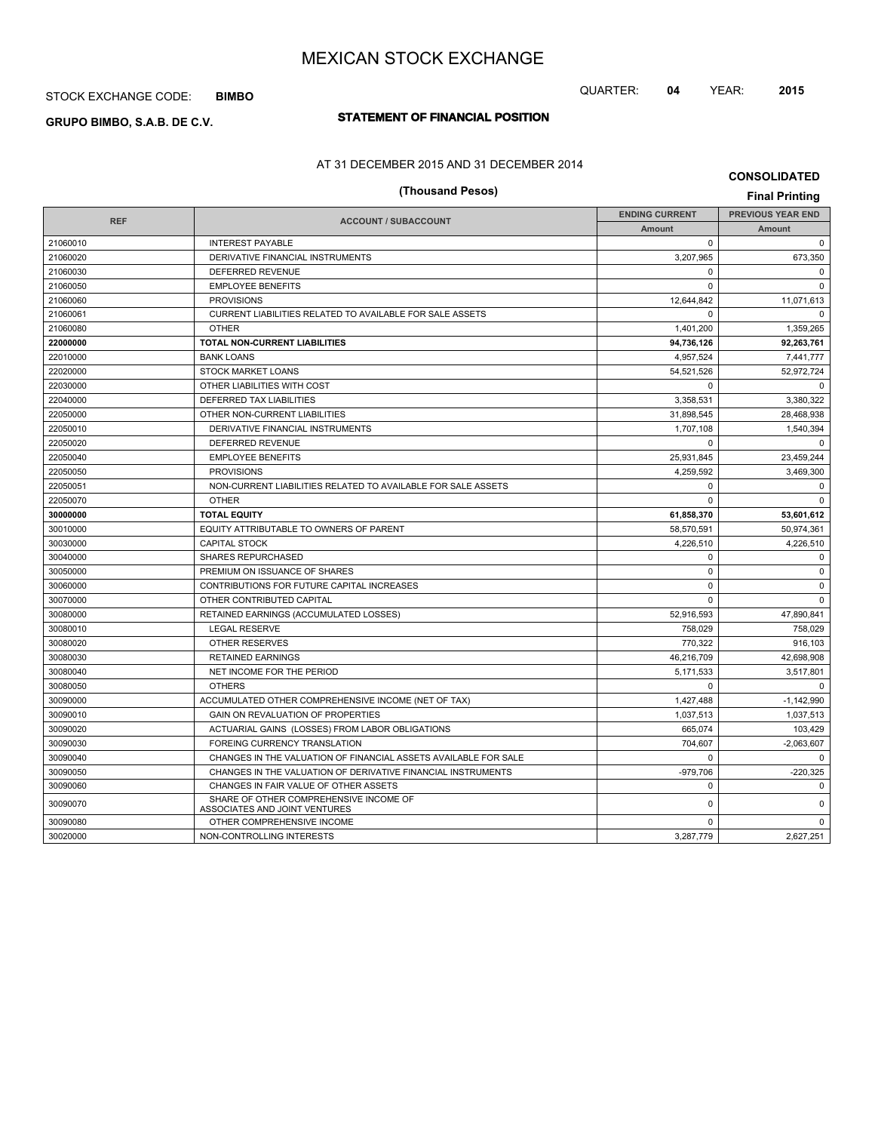## STOCK EXCHANGE CODE: **BIMBO**

# **STATEMENT OF FINANCIAL POSITION GRUPO BIMBO, S.A.B. DE C.V.**

## AT 31 DECEMBER 2015 AND 31 DECEMBER 2014

# **CONSOLIDATED**

QUARTER: **04** YEAR: **2015**

# **(Thousand Pesos) Final Printing**

| <b>REF</b><br><b>ACCOUNT / SUBACCOUNT</b> | <b>ENDING CURRENT</b>                                                   | <b>PREVIOUS YEAR END</b> |               |
|-------------------------------------------|-------------------------------------------------------------------------|--------------------------|---------------|
|                                           |                                                                         | <b>Amount</b>            | <b>Amount</b> |
| 21060010                                  | <b>INTEREST PAYABLE</b>                                                 | $\mathbf 0$              | $\mathbf 0$   |
| 21060020                                  | DERIVATIVE FINANCIAL INSTRUMENTS                                        | 3,207,965                | 673,350       |
| 21060030                                  | <b>DEFERRED REVENUE</b>                                                 | $\Omega$                 | $\Omega$      |
| 21060050                                  | <b>EMPLOYEE BENEFITS</b>                                                | $\mathbf 0$              | $\Omega$      |
| 21060060                                  | <b>PROVISIONS</b>                                                       | 12,644,842               | 11,071,613    |
| 21060061                                  | CURRENT LIABILITIES RELATED TO AVAILABLE FOR SALE ASSETS                | $\Omega$                 | $\Omega$      |
| 21060080                                  | <b>OTHER</b>                                                            | 1,401,200                | 1,359,265     |
| 22000000                                  | <b>TOTAL NON-CURRENT LIABILITIES</b>                                    | 94,736,126               | 92,263,761    |
| 22010000                                  | <b>BANK LOANS</b>                                                       | 4,957,524                | 7,441,777     |
| 22020000                                  | <b>STOCK MARKET LOANS</b>                                               | 54,521,526               | 52,972,724    |
| 22030000                                  | OTHER LIABILITIES WITH COST                                             | $\mathbf 0$              | $\mathbf 0$   |
| 22040000                                  | DEFERRED TAX LIABILITIES                                                | 3,358,531                | 3,380,322     |
| 22050000                                  | OTHER NON-CURRENT LIABILITIES                                           | 31.898.545               | 28.468.938    |
| 22050010                                  | DERIVATIVE FINANCIAL INSTRUMENTS                                        | 1,707,108                | 1,540,394     |
| 22050020                                  | DEFERRED REVENUE                                                        | $\Omega$                 | $\Omega$      |
| 22050040                                  | <b>EMPLOYEE BENEFITS</b>                                                | 25,931,845               | 23,459,244    |
| 22050050                                  | <b>PROVISIONS</b>                                                       | 4,259,592                | 3,469,300     |
| 22050051                                  | NON-CURRENT LIABILITIES RELATED TO AVAILABLE FOR SALE ASSETS            | $\mathbf 0$              | $\mathbf 0$   |
| 22050070                                  | <b>OTHER</b>                                                            | $\Omega$                 | $\mathbf 0$   |
| 30000000                                  | <b>TOTAL EQUITY</b>                                                     | 61,858,370               | 53,601,612    |
| 30010000                                  | EQUITY ATTRIBUTABLE TO OWNERS OF PARENT                                 | 58,570,591               | 50,974,361    |
| 30030000                                  | <b>CAPITAL STOCK</b>                                                    | 4.226.510                | 4,226,510     |
| 30040000                                  | <b>SHARES REPURCHASED</b>                                               | $\Omega$                 | $\mathbf 0$   |
| 30050000                                  | PREMIUM ON ISSUANCE OF SHARES                                           | $\mathbf 0$              | $\mathbf 0$   |
| 30060000                                  | CONTRIBUTIONS FOR FUTURE CAPITAL INCREASES                              | $\mathbf 0$              | $\mathbf 0$   |
| 30070000                                  | OTHER CONTRIBUTED CAPITAL                                               | $\mathbf 0$              | $\mathbf 0$   |
| 30080000                                  | RETAINED EARNINGS (ACCUMULATED LOSSES)                                  | 52,916,593               | 47,890,841    |
| 30080010                                  | <b>LEGAL RESERVE</b>                                                    | 758.029                  | 758,029       |
| 30080020                                  | <b>OTHER RESERVES</b>                                                   | 770.322                  | 916,103       |
| 30080030                                  | <b>RETAINED EARNINGS</b>                                                | 46,216,709               | 42.698.908    |
| 30080040                                  | NET INCOME FOR THE PERIOD                                               | 5,171,533                | 3,517,801     |
| 30080050                                  | <b>OTHERS</b>                                                           | $\Omega$                 | $\Omega$      |
| 30090000                                  | ACCUMULATED OTHER COMPREHENSIVE INCOME (NET OF TAX)                     | 1,427,488                | $-1,142,990$  |
| 30090010                                  | GAIN ON REVALUATION OF PROPERTIES                                       | 1,037,513                | 1,037,513     |
| 30090020                                  | ACTUARIAL GAINS (LOSSES) FROM LABOR OBLIGATIONS                         | 665,074                  | 103,429       |
| 30090030                                  | <b>FOREING CURRENCY TRANSLATION</b>                                     | 704.607                  | $-2,063,607$  |
| 30090040                                  | CHANGES IN THE VALUATION OF FINANCIAL ASSETS AVAILABLE FOR SALE         | $\Omega$                 | $\Omega$      |
| 30090050                                  | CHANGES IN THE VALUATION OF DERIVATIVE FINANCIAL INSTRUMENTS            | $-979,706$               | $-220,325$    |
| 30090060                                  | CHANGES IN FAIR VALUE OF OTHER ASSETS                                   | $\Omega$                 | $\Omega$      |
| 30090070                                  | SHARE OF OTHER COMPREHENSIVE INCOME OF<br>ASSOCIATES AND JOINT VENTURES | $\mathbf 0$              | $\mathbf 0$   |
| 30090080                                  | OTHER COMPREHENSIVE INCOME                                              | $\mathbf 0$              | 0             |
| 30020000                                  | NON-CONTROLLING INTERESTS                                               | 3,287,779                | 2,627,251     |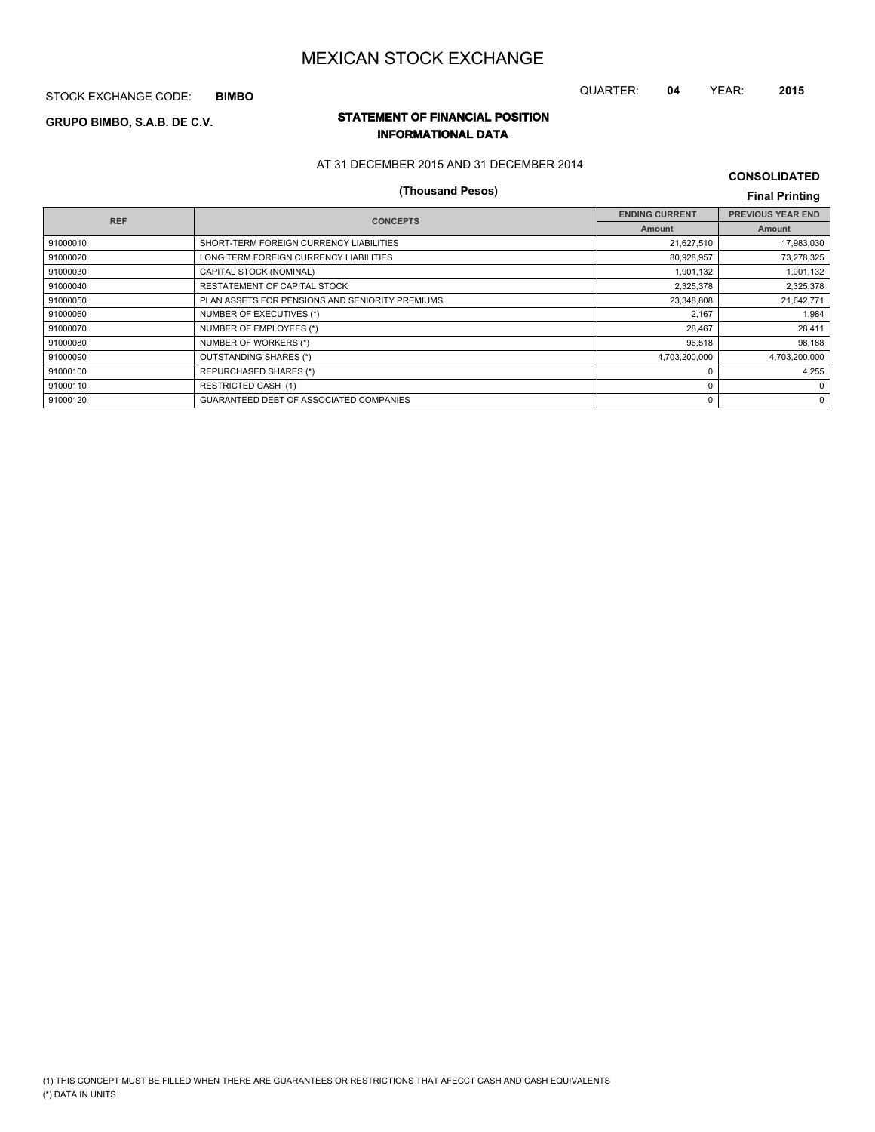STOCK EXCHANGE CODE: **BIMBO**

# **STATEMENT OF FINANCIAL POSITION GRUPO BIMBO, S.A.B. DE C.V.**

## **INFORMATIONAL DATA**

AT 31 DECEMBER 2015 AND 31 DECEMBER 2014

# **(Thousand Pesos) Final Printing**

**CONSOLIDATED**

QUARTER: **04** YEAR: **2015**

|                                                 | <b>ENDING CURRENT</b> | <b>PREVIOUS YEAR END</b> |
|-------------------------------------------------|-----------------------|--------------------------|
|                                                 | <b>Amount</b>         | Amount                   |
| SHORT-TERM FOREIGN CURRENCY LIABILITIES         | 21,627,510            | 17,983,030               |
| LONG TERM FOREIGN CURRENCY LIABILITIES          | 80,928,957            | 73,278,325               |
| CAPITAL STOCK (NOMINAL)                         | 1,901,132             | 1,901,132                |
| RESTATEMENT OF CAPITAL STOCK                    | 2,325,378             | 2,325,378                |
| PLAN ASSETS FOR PENSIONS AND SENIORITY PREMIUMS | 23,348,808            | 21,642,771               |
| NUMBER OF EXECUTIVES (*)                        | 2.167                 | 1,984                    |
| NUMBER OF EMPLOYEES (*)                         | 28,467                | 28,411                   |
| NUMBER OF WORKERS (*)                           | 96,518                | 98,188                   |
| OUTSTANDING SHARES (*)                          | 4,703,200,000         | 4,703,200,000            |
| <b>REPURCHASED SHARES (*)</b>                   | $\Omega$              | 4.255                    |
| RESTRICTED CASH (1)                             | $\Omega$              | $\Omega$                 |
| GUARANTEED DEBT OF ASSOCIATED COMPANIES         | 0                     | $\Omega$                 |
|                                                 | <b>CONCEPTS</b>       |                          |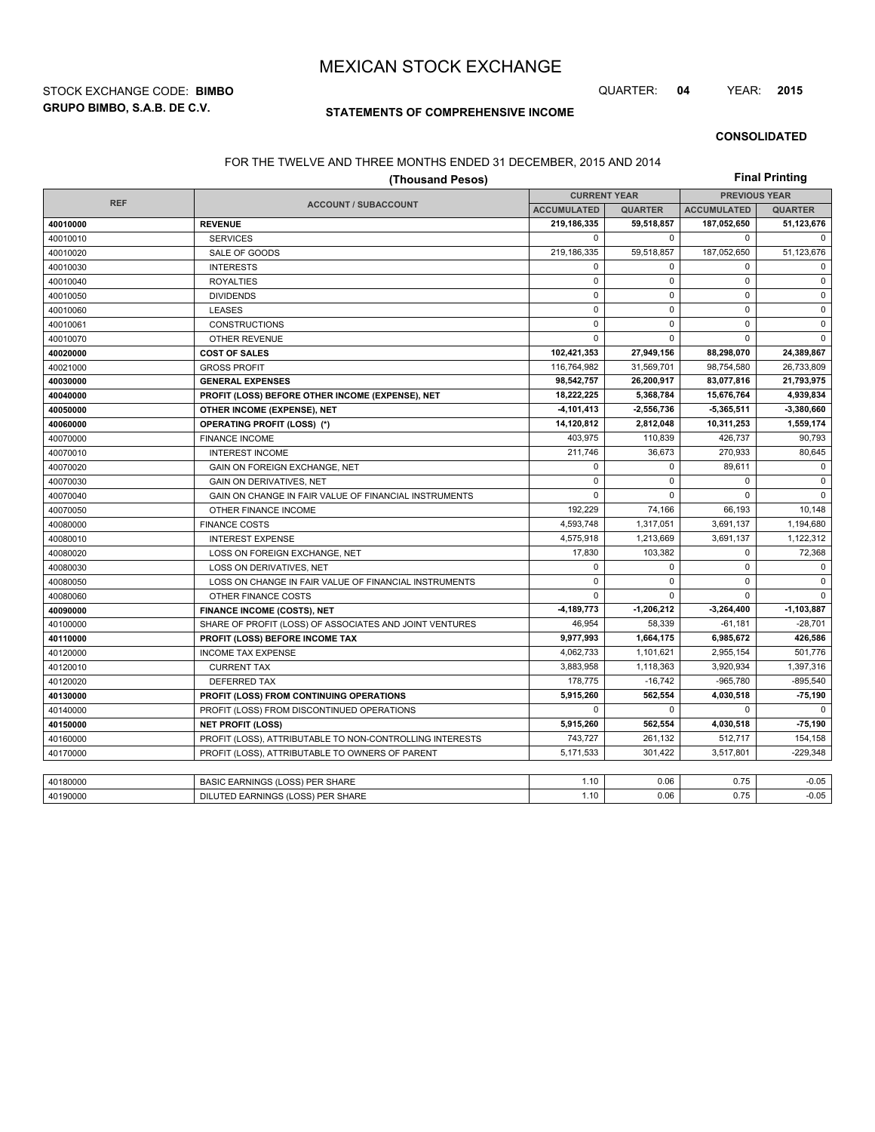**GRUPO BIMBO, S.A.B. DE C.V.** STOCK EXCHANGE CODE: **BIMBO** QUARTER: **04** YEAR: **2015**

## **STATEMENTS OF COMPREHENSIVE INCOME**

#### **CONSOLIDATED**

### FOR THE TWELVE AND THREE MONTHS ENDED 31 DECEMBER, 2015 AND 2014

| (Thousand Pesos) |                                                          |                     |                |                      | <b>Final Printing</b> |  |
|------------------|----------------------------------------------------------|---------------------|----------------|----------------------|-----------------------|--|
|                  |                                                          | <b>CURRENT YEAR</b> |                | <b>PREVIOUS YEAR</b> |                       |  |
| <b>REF</b>       | <b>ACCOUNT / SUBACCOUNT</b>                              | <b>ACCUMULATED</b>  | <b>QUARTER</b> | <b>ACCUMULATED</b>   | <b>QUARTER</b>        |  |
| 40010000         | <b>REVENUE</b>                                           | 219,186,335         | 59,518,857     | 187,052,650          | 51,123,676            |  |
| 40010010         | <b>SERVICES</b>                                          | $\mathbf 0$         | $\mathbf 0$    | $\mathbf 0$          | $\mathbf 0$           |  |
| 40010020         | SALE OF GOODS                                            | 219,186,335         | 59,518,857     | 187,052,650          | 51,123,676            |  |
| 40010030         | <b>INTERESTS</b>                                         | 0                   | $\Omega$       | $\mathbf 0$          | $\mathbf 0$           |  |
| 40010040         | <b>ROYALTIES</b>                                         | $\mathbf 0$         | $\mathbf 0$    | $\mathbf 0$          | $\mathsf 0$           |  |
| 40010050         | <b>DIVIDENDS</b>                                         | $\mathbf 0$         | $\Omega$       | $\mathbf 0$          | $\mathsf{O}$          |  |
| 40010060         | <b>LEASES</b>                                            | $\mathbf 0$         | $\mathbf 0$    | $\mathbf 0$          | $\mathsf 0$           |  |
| 40010061         | <b>CONSTRUCTIONS</b>                                     | $\mathbf 0$         | $\Omega$       | $\mathbf 0$          | $\mathbf 0$           |  |
| 40010070         | <b>OTHER REVENUE</b>                                     | 0                   | $\mathbf 0$    | $\mathbf 0$          | 0                     |  |
| 40020000         | <b>COST OF SALES</b>                                     | 102,421,353         | 27,949,156     | 88,298,070           | 24,389,867            |  |
| 40021000         | <b>GROSS PROFIT</b>                                      | 116,764,982         | 31,569,701     | 98,754,580           | 26,733,809            |  |
| 40030000         | <b>GENERAL EXPENSES</b>                                  | 98,542,757          | 26,200,917     | 83,077,816           | 21,793,975            |  |
| 40040000         | PROFIT (LOSS) BEFORE OTHER INCOME (EXPENSE), NET         | 18,222,225          | 5,368,784      | 15,676,764           | 4,939,834             |  |
| 40050000         | OTHER INCOME (EXPENSE), NET                              | -4,101,413          | $-2,556,736$   | $-5,365,511$         | $-3,380,660$          |  |
| 40060000         | <b>OPERATING PROFIT (LOSS) (*)</b>                       | 14,120,812          | 2,812,048      | 10,311,253           | 1,559,174             |  |
| 40070000         | <b>FINANCE INCOME</b>                                    | 403.975             | 110.839        | 426.737              | 90,793                |  |
| 40070010         | <b>INTEREST INCOME</b>                                   | 211,746             | 36,673         | 270,933              | 80,645                |  |
| 40070020         | GAIN ON FOREIGN EXCHANGE, NET                            | $\mathbf 0$         | $\mathbf 0$    | 89,611               | $\mathbf 0$           |  |
| 40070030         | <b>GAIN ON DERIVATIVES, NET</b>                          | 0                   | $\mathbf 0$    | $\mathbf 0$          | 0                     |  |
| 40070040         | GAIN ON CHANGE IN FAIR VALUE OF FINANCIAL INSTRUMENTS    | 0                   | $\Omega$       | $\Omega$             | $\mathbf 0$           |  |
| 40070050         | OTHER FINANCE INCOME                                     | 192.229             | 74,166         | 66.193               | 10.148                |  |
| 40080000         | <b>FINANCE COSTS</b>                                     | 4,593,748           | 1,317,051      | 3,691,137            | 1,194,680             |  |
| 40080010         | <b>INTEREST EXPENSE</b>                                  | 4,575,918           | 1,213,669      | 3,691,137            | 1,122,312             |  |
| 40080020         | LOSS ON FOREIGN EXCHANGE, NET                            | 17,830              | 103,382        | 0                    | 72,368                |  |
| 40080030         | LOSS ON DERIVATIVES, NET                                 | 0                   | $\mathbf 0$    | $\mathbf 0$          | $\mathbf 0$           |  |
| 40080050         | LOSS ON CHANGE IN FAIR VALUE OF FINANCIAL INSTRUMENTS    | $\Omega$            | $\Omega$       | $\Omega$             | $\mathbf 0$           |  |
| 40080060         | OTHER FINANCE COSTS                                      | 0                   | $\mathbf 0$    | $\mathbf 0$          | $\mathbf 0$           |  |
| 40090000         | <b>FINANCE INCOME (COSTS), NET</b>                       | -4,189,773          | $-1,206,212$   | $-3,264,400$         | $-1,103,887$          |  |
| 40100000         | SHARE OF PROFIT (LOSS) OF ASSOCIATES AND JOINT VENTURES  | 46,954              | 58,339         | $-61,181$            | $-28,701$             |  |
| 40110000         | PROFIT (LOSS) BEFORE INCOME TAX                          | 9,977,993           | 1,664,175      | 6,985,672            | 426,586               |  |
| 40120000         | <b>INCOME TAX EXPENSE</b>                                | 4,062,733           | 1,101,621      | 2,955,154            | 501,776               |  |
| 40120010         | <b>CURRENT TAX</b>                                       | 3,883,958           | 1,118,363      | 3,920,934            | 1,397,316             |  |
| 40120020         | <b>DEFERRED TAX</b>                                      | 178.775             | $-16.742$      | $-965.780$           | $-895.540$            |  |
| 40130000         | PROFIT (LOSS) FROM CONTINUING OPERATIONS                 | 5,915,260           | 562,554        | 4,030,518            | 75,190                |  |
| 40140000         | PROFIT (LOSS) FROM DISCONTINUED OPERATIONS               | $\Omega$            | $\Omega$       | $\Omega$             | $\mathbf 0$           |  |
| 40150000         | <b>NET PROFIT (LOSS)</b>                                 | 5,915,260           | 562,554        | 4,030,518            | $-75,190$             |  |
| 40160000         | PROFIT (LOSS), ATTRIBUTABLE TO NON-CONTROLLING INTERESTS | 743,727             | 261,132        | 512,717              | 154,158               |  |
| 40170000         | PROFIT (LOSS), ATTRIBUTABLE TO OWNERS OF PARENT          | 5.171.533           | 301,422        | 3,517,801            | $-229,348$            |  |
|                  |                                                          |                     |                |                      |                       |  |
| 40180000         | BASIC EARNINGS (LOSS) PER SHARE                          | 1.10                | 0.06           | 0.75                 | $-0.05$               |  |
| 40190000         | DILUTED EARNINGS (LOSS) PER SHARE                        | 1.10                | 0.06           | 0.75                 | $-0.05$               |  |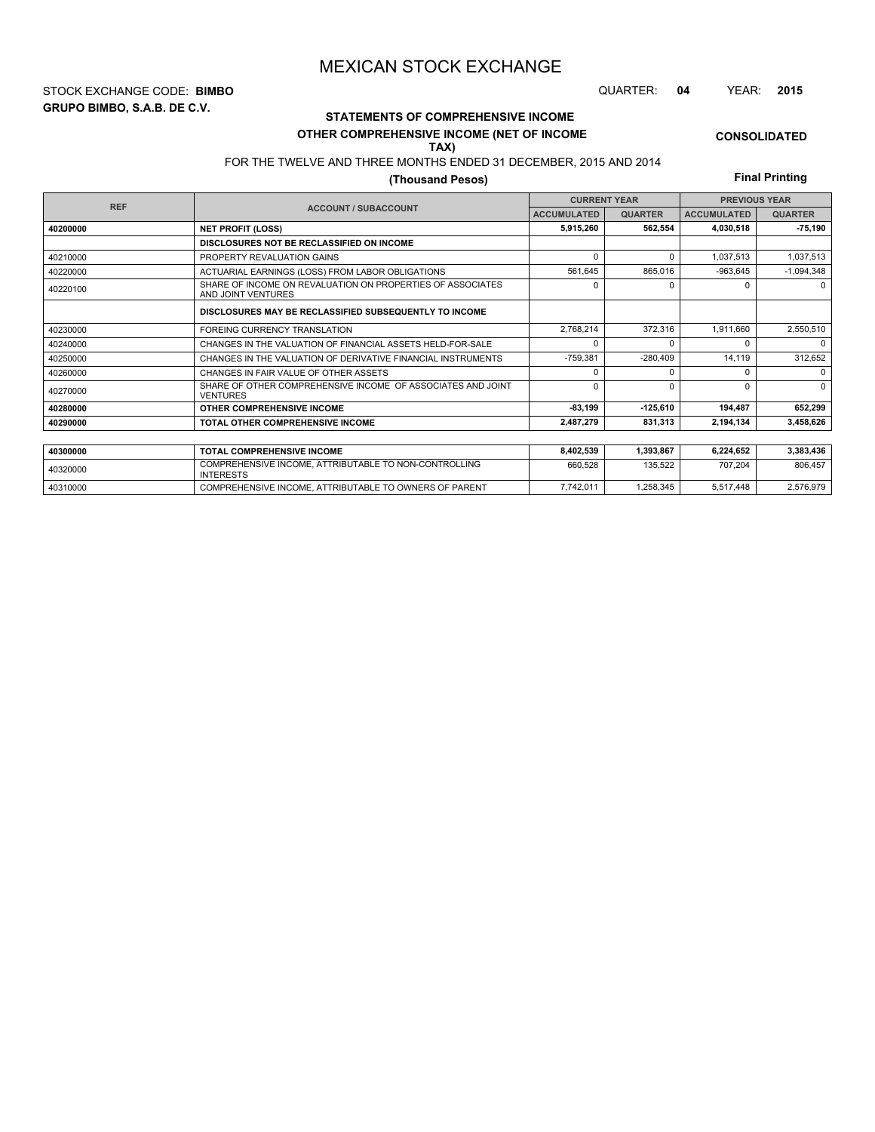**GRUPO BIMBO, S.A.B. DE C.V.** STOCK EXCHANGE CODE: **BIMBO** QUARTER: **04** YEAR: **2015**

# **STATEMENTS OF COMPREHENSIVE INCOME OTHER COMPREHENSIVE INCOME (NET OF INCOME**

**CONSOLIDATED**

#### FOR THE TWELVE AND THREE MONTHS ENDED 31 DECEMBER, 2015 AND 2014 **TAX)**

## **(Thousand Pesos)**

**Final Printing**

| <b>REF</b> |                                                                                  |                    | <b>CURRENT YEAR</b> | <b>PREVIOUS YEAR</b> |                |
|------------|----------------------------------------------------------------------------------|--------------------|---------------------|----------------------|----------------|
|            | <b>ACCOUNT / SUBACCOUNT</b>                                                      | <b>ACCUMULATED</b> | <b>QUARTER</b>      | <b>ACCUMULATED</b>   | <b>QUARTER</b> |
| 40200000   | <b>NET PROFIT (LOSS)</b>                                                         | 5,915,260          | 562,554             | 4,030,518            | $-75,190$      |
|            | DISCLOSURES NOT BE RECLASSIFIED ON INCOME                                        |                    |                     |                      |                |
| 40210000   | PROPERTY REVALUATION GAINS                                                       | $\Omega$           | $\Omega$            | 1,037,513            | 1,037,513      |
| 40220000   | ACTUARIAL EARNINGS (LOSS) FROM LABOR OBLIGATIONS                                 | 561,645            | 865,016             | $-963,645$           | $-1,094,348$   |
| 40220100   | SHARE OF INCOME ON REVALUATION ON PROPERTIES OF ASSOCIATES<br>AND JOINT VENTURES | $\Omega$           | n                   | n                    | $\Omega$       |
|            | DISCLOSURES MAY BE RECLASSIFIED SUBSEQUENTLY TO INCOME                           |                    |                     |                      |                |
| 40230000   | <b>FOREING CURRENCY TRANSLATION</b>                                              | 2,768,214          | 372,316             | 1,911,660            | 2,550,510      |
| 40240000   | CHANGES IN THE VALUATION OF FINANCIAL ASSETS HELD-FOR-SALE                       | $\Omega$           |                     |                      | $\Omega$       |
| 40250000   | CHANGES IN THE VALUATION OF DERIVATIVE FINANCIAL INSTRUMENTS                     | $-759,381$         | $-280,409$          | 14,119               | 312,652        |
| 40260000   | CHANGES IN FAIR VALUE OF OTHER ASSETS                                            | $\Omega$           | $\Omega$            | U                    | $\Omega$       |
| 40270000   | SHARE OF OTHER COMPREHENSIVE INCOME OF ASSOCIATES AND JOINT<br><b>VENTURES</b>   | $\Omega$           | $\Omega$            | U                    | $\Omega$       |
| 40280000   | OTHER COMPREHENSIVE INCOME                                                       | $-83.199$          | $-125.610$          | 194,487              | 652,299        |
| 40290000   | TOTAL OTHER COMPREHENSIVE INCOME                                                 | 2,487,279          | 831,313             | 2,194,134            | 3,458,626      |
|            |                                                                                  |                    |                     |                      |                |
| 40300000   | <b>TOTAL COMPREHENSIVE INCOME</b>                                                | 8,402,539          | 1,393,867           | 6,224,652            | 3,383,436      |
| 40320000   | COMPREHENSIVE INCOME, ATTRIBUTABLE TO NON-CONTROLLING<br><b>INTERESTS</b>        | 660,528            | 135,522             | 707,204              | 806,457        |

40310000 COMPREHENSIVE INCOME, ATTRIBUTABLE TO OWNERS OF PARENT 7,742,011 1,258,345 5,517,448 5,517,448 2,576,979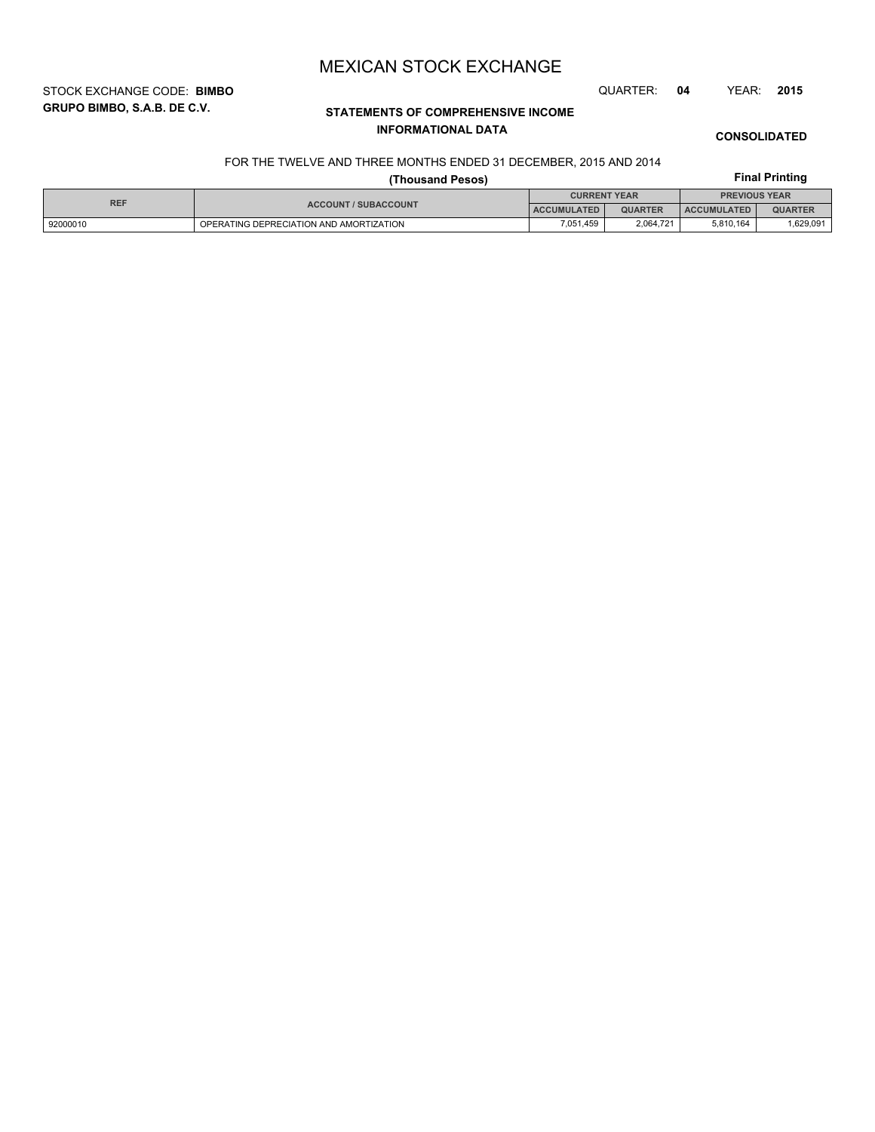STOCK EXCHANGE CODE: **BIMBO** QUARTER: **04** YEAR: **2015**

# **STATEMENTS OF COMPREHENSIVE INCOME INFORMATIONAL DATA**

**CONSOLIDATED**

**Final Printing**

# FOR THE TWELVE AND THREE MONTHS ENDED 31 DECEMBER, 2015 AND 2014

## **(Thousand Pesos)**

| <b>REF</b> | <b>ACCOUNT / SUBACCOUNT</b>             | <b>CURRENT YEAR</b> |                | <b>PREVIOUS YEAR</b> |                |
|------------|-----------------------------------------|---------------------|----------------|----------------------|----------------|
|            |                                         | <b>ACCUMULATED</b>  | <b>QUARTER</b> | <b>ACCUMULATED</b>   | <b>QUARTER</b> |
| 92000010   | OPERATING DEPRECIATION AND AMORTIZATION | 7.051.459           | 2.064.721      | 5.810.164            | .629,091,      |

# **GRUPO BIMBO, S.A.B. DE C.V.**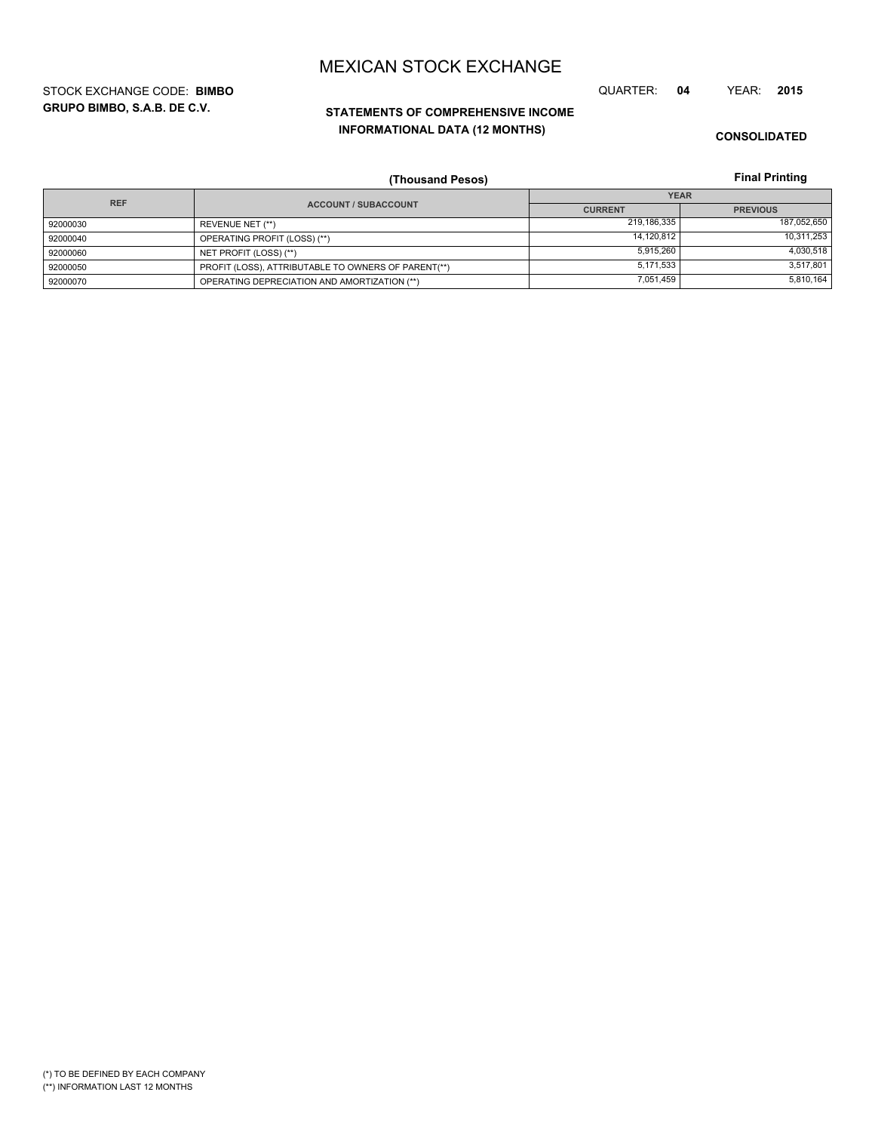**GRUPO BIMBO, S.A.B. DE C.V.** STOCK EXCHANGE CODE: **BIMBO** QUARTER: **04** YEAR: **2015**

# **STATEMENTS OF COMPREHENSIVE INCOME INFORMATIONAL DATA (12 MONTHS)**

**CONSOLIDATED**

**Final Printing**

|            | (Thousand Pesos)                                    |                | <b>Final Printing</b> |  |
|------------|-----------------------------------------------------|----------------|-----------------------|--|
| <b>REF</b> |                                                     | <b>YEAR</b>    |                       |  |
|            | <b>ACCOUNT / SUBACCOUNT</b>                         | <b>CURRENT</b> | <b>PREVIOUS</b>       |  |
| 92000030   | REVENUE NET (**)                                    | 219,186,335    | 187,052,650           |  |
| 92000040   | OPERATING PROFIT (LOSS) (**)                        | 14,120,812     | 10,311,253            |  |
| 92000060   | NET PROFIT (LOSS) (**)                              | 5,915,260      | 4,030,518             |  |
| 92000050   | PROFIT (LOSS), ATTRIBUTABLE TO OWNERS OF PARENT(**) | 5,171,533      | 3,517,801             |  |
| 92000070   | OPERATING DEPRECIATION AND AMORTIZATION (**)        | 7,051,459      | 5,810,164             |  |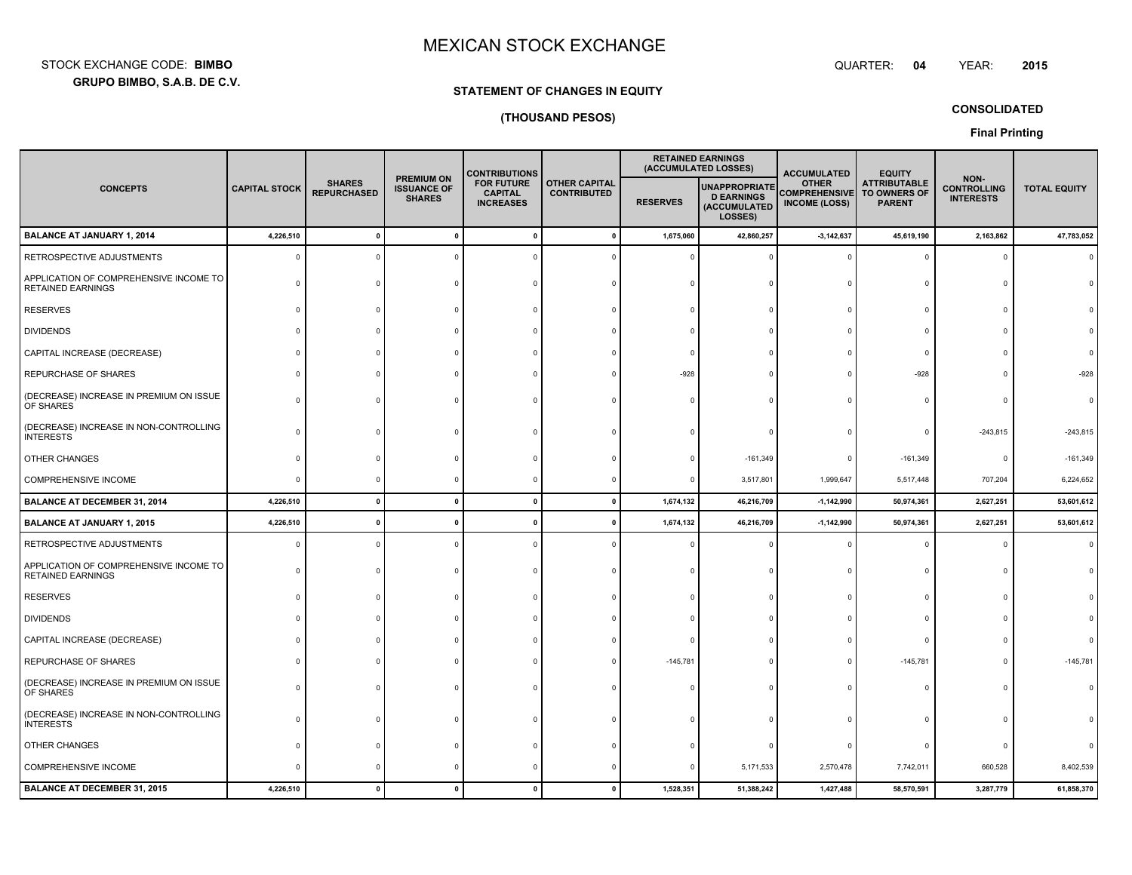**GRUPO BIMBO, S.A.B. DE C.V.** STOCK EXCHANGE CODE:**BIMBO**: BIMBO QUARTER:

# **STATEMENT OF CHANGES IN EQUITY**

## **(THOUSAND PESOS)**

**CONSOLIDATED**

**Final Printing**

|                                                                    |                      |                                     |                                                          | <b>CONTRIBUTIONS</b>                                    |                                            |                 | <b>RETAINED EARNINGS</b><br>(ACCUMULATED LOSSES)                     | <b>ACCUMULATED</b>                                           | <b>EQUITY</b>                                        |                                                |                     |
|--------------------------------------------------------------------|----------------------|-------------------------------------|----------------------------------------------------------|---------------------------------------------------------|--------------------------------------------|-----------------|----------------------------------------------------------------------|--------------------------------------------------------------|------------------------------------------------------|------------------------------------------------|---------------------|
| <b>CONCEPTS</b>                                                    | <b>CAPITAL STOCK</b> | <b>SHARES</b><br><b>REPURCHASED</b> | <b>PREMIUM ON</b><br><b>ISSUANCE OF</b><br><b>SHARES</b> | <b>FOR FUTURE</b><br><b>CAPITAL</b><br><b>INCREASES</b> | <b>OTHER CAPITAL</b><br><b>CONTRIBUTED</b> | <b>RESERVES</b> | <b>UNAPPROPRIATE</b><br><b>D EARNINGS</b><br>(ACCUMULATED<br>LOSSES) | <b>OTHER</b><br><b>COMPREHENSIVE</b><br><b>INCOME (LOSS)</b> | <b>ATTRIBUTABLE</b><br>TO OWNERS OF<br><b>PARENT</b> | NON-<br><b>CONTROLLING</b><br><b>INTERESTS</b> | <b>TOTAL EQUITY</b> |
| <b>BALANCE AT JANUARY 1, 2014</b>                                  | 4,226,510            | $\mathbf{0}$                        | $\mathbf 0$                                              |                                                         |                                            | 1,675,060       | 42,860,257                                                           | $-3,142,637$                                                 | 45,619,190                                           | 2,163,862                                      | 47,783,052          |
| RETROSPECTIVE ADJUSTMENTS                                          |                      |                                     |                                                          |                                                         |                                            |                 |                                                                      |                                                              | $\Omega$                                             | $\Omega$                                       |                     |
| APPLICATION OF COMPREHENSIVE INCOME TO<br><b>RETAINED EARNINGS</b> |                      |                                     |                                                          |                                                         |                                            |                 |                                                                      |                                                              |                                                      |                                                |                     |
| <b>RESERVES</b>                                                    |                      |                                     |                                                          |                                                         |                                            |                 |                                                                      |                                                              | $\Omega$                                             | $\Omega$                                       |                     |
| <b>DIVIDENDS</b>                                                   |                      |                                     |                                                          |                                                         |                                            |                 |                                                                      |                                                              | $\Omega$                                             | $\Omega$                                       |                     |
| CAPITAL INCREASE (DECREASE)                                        |                      |                                     |                                                          |                                                         |                                            |                 |                                                                      |                                                              | $\Omega$                                             |                                                |                     |
| REPURCHASE OF SHARES                                               |                      |                                     |                                                          |                                                         |                                            | $-928$          |                                                                      |                                                              | $-928$                                               | $\Omega$                                       | $-928$              |
| (DECREASE) INCREASE IN PREMIUM ON ISSUE<br>OF SHARES               |                      |                                     |                                                          |                                                         |                                            |                 |                                                                      |                                                              | $\Omega$                                             | $\Omega$                                       |                     |
| (DECREASE) INCREASE IN NON-CONTROLLING<br><b>INTERESTS</b>         |                      |                                     |                                                          |                                                         |                                            |                 |                                                                      |                                                              |                                                      | $-243,815$                                     | $-243,815$          |
| OTHER CHANGES                                                      |                      |                                     |                                                          |                                                         |                                            |                 | $-161,349$                                                           |                                                              | $-161,349$                                           | $\mathbf 0$                                    | $-161,349$          |
| <b>COMPREHENSIVE INCOME</b>                                        |                      |                                     |                                                          |                                                         |                                            |                 | 3,517,801                                                            | 1,999,647                                                    | 5,517,448                                            | 707,204                                        | 6,224,652           |
| <b>BALANCE AT DECEMBER 31, 2014</b>                                | 4,226,510            | $\mathbf{0}$                        | $\pmb{0}$                                                |                                                         |                                            | 1,674,132       | 46,216,709                                                           | $-1,142,990$                                                 | 50,974,361                                           | 2,627,251                                      | 53,601,612          |
| <b>BALANCE AT JANUARY 1, 2015</b>                                  | 4,226,510            | $\mathbf{0}$                        | $\mathbf{0}$                                             |                                                         |                                            | 1,674,132       | 46,216,709                                                           | $-1,142,990$                                                 | 50,974,361                                           | 2,627,251                                      | 53,601,612          |
| RETROSPECTIVE ADJUSTMENTS                                          |                      |                                     |                                                          |                                                         |                                            |                 |                                                                      |                                                              |                                                      | $\Omega$                                       |                     |
| APPLICATION OF COMPREHENSIVE INCOME TO<br><b>RETAINED EARNINGS</b> |                      |                                     |                                                          |                                                         |                                            |                 |                                                                      |                                                              |                                                      |                                                |                     |
| <b>RESERVES</b>                                                    |                      |                                     |                                                          |                                                         |                                            |                 |                                                                      |                                                              | $\Omega$                                             | $\Omega$                                       |                     |
| <b>DIVIDENDS</b>                                                   |                      |                                     |                                                          |                                                         |                                            |                 |                                                                      |                                                              | $\Omega$                                             |                                                |                     |
| CAPITAL INCREASE (DECREASE)                                        |                      |                                     |                                                          |                                                         |                                            |                 |                                                                      |                                                              | $\Omega$                                             |                                                |                     |
| REPURCHASE OF SHARES                                               |                      |                                     |                                                          |                                                         |                                            | $-145,781$      |                                                                      |                                                              | $-145,781$                                           | $\Omega$                                       | $-145,781$          |
| (DECREASE) INCREASE IN PREMIUM ON ISSUE<br>OF SHARES               |                      |                                     |                                                          |                                                         |                                            |                 |                                                                      |                                                              |                                                      | $\Omega$                                       |                     |
| (DECREASE) INCREASE IN NON-CONTROLLING<br><b>INTERESTS</b>         |                      |                                     |                                                          |                                                         |                                            |                 |                                                                      |                                                              |                                                      |                                                |                     |
| OTHER CHANGES                                                      |                      |                                     |                                                          |                                                         |                                            |                 |                                                                      |                                                              | $\Omega$                                             |                                                |                     |
| COMPREHENSIVE INCOME                                               |                      |                                     |                                                          |                                                         |                                            |                 | 5,171,533                                                            | 2,570,478                                                    | 7,742,011                                            | 660,528                                        | 8,402,539           |
| <b>BALANCE AT DECEMBER 31, 2015</b>                                | 4,226,510            | $\mathbf{0}$                        | $\mathbf{0}$                                             |                                                         |                                            | 1,528,351       | 51,388,242                                                           | 1,427,488                                                    | 58,570,591                                           | 3,287,779                                      | 61,858,370          |

QUARTER: 04 YEAR: **<sup>2015</sup>**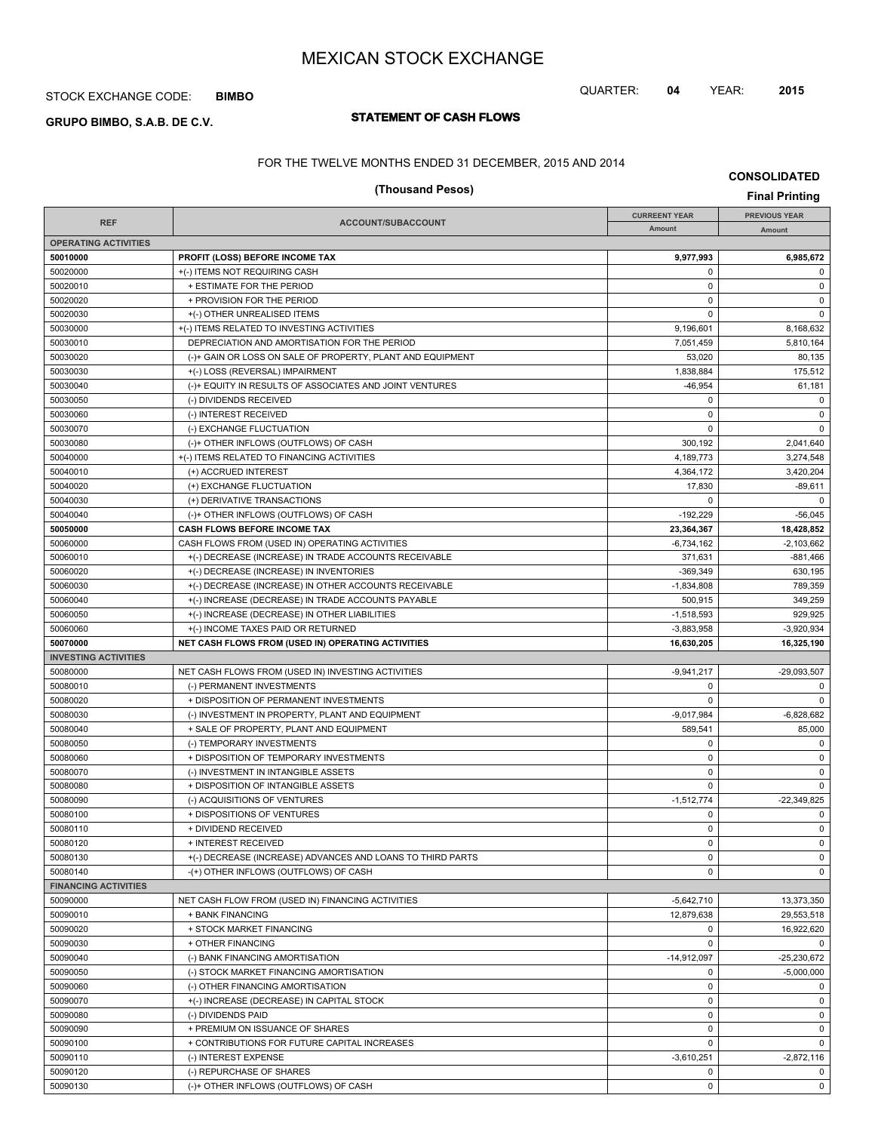## STOCK EXCHANGE CODE: **BIMBO**

# **STATEMENT OF CASH FLOWS GRUPO BIMBO, S.A.B. DE C.V.**

## QUARTER: **04** YEAR: **2015**

FOR THE TWELVE MONTHS ENDED 31 DECEMBER, 2015 AND 2014

|                             | (Thousand Pesos)                                                                           |                        | <b>Final Printing</b>  |
|-----------------------------|--------------------------------------------------------------------------------------------|------------------------|------------------------|
|                             |                                                                                            | <b>CURREENT YEAR</b>   | <b>PREVIOUS YEAR</b>   |
| <b>REF</b>                  | ACCOUNT/SUBACCOUNT                                                                         | Amount                 | Amount                 |
| <b>OPERATING ACTIVITIES</b> |                                                                                            |                        |                        |
| 50010000                    | PROFIT (LOSS) BEFORE INCOME TAX                                                            | 9,977,993              | 6,985,672              |
| 50020000                    | +(-) ITEMS NOT REQUIRING CASH                                                              | 0                      | 0                      |
| 50020010                    | + ESTIMATE FOR THE PERIOD                                                                  | 0                      | 0                      |
| 50020020                    | + PROVISION FOR THE PERIOD                                                                 | $\mathbf 0$            | 0                      |
| 50020030<br>50030000        | +(-) OTHER UNREALISED ITEMS                                                                | 0                      | $\mathbf 0$            |
| 50030010                    | +(-) ITEMS RELATED TO INVESTING ACTIVITIES<br>DEPRECIATION AND AMORTISATION FOR THE PERIOD | 9,196,601<br>7,051,459 | 8,168,632<br>5,810,164 |
| 50030020                    | (-)+ GAIN OR LOSS ON SALE OF PROPERTY, PLANT AND EQUIPMENT                                 | 53,020                 | 80,135                 |
| 50030030                    | +(-) LOSS (REVERSAL) IMPAIRMENT                                                            | 1,838,884              | 175,512                |
| 50030040                    | (-)+ EQUITY IN RESULTS OF ASSOCIATES AND JOINT VENTURES                                    | $-46,954$              | 61,181                 |
| 50030050                    | (-) DIVIDENDS RECEIVED                                                                     | 0                      | $\mathbf 0$            |
| 50030060                    | (-) INTEREST RECEIVED                                                                      | 0                      | 0                      |
| 50030070                    | (-) EXCHANGE FLUCTUATION                                                                   | $\mathbf 0$            | 0                      |
| 50030080                    | (-)+ OTHER INFLOWS (OUTFLOWS) OF CASH                                                      | 300,192                | 2,041,640              |
| 50040000                    | +(-) ITEMS RELATED TO FINANCING ACTIVITIES                                                 | 4,189,773              | 3,274,548              |
| 50040010                    | (+) ACCRUED INTEREST                                                                       | 4,364,172              | 3,420,204              |
| 50040020                    | (+) EXCHANGE FLUCTUATION                                                                   | 17,830                 | $-89,611$              |
| 50040030                    | (+) DERIVATIVE TRANSACTIONS                                                                | 0                      | $\mathbf 0$            |
| 50040040                    | (-)+ OTHER INFLOWS (OUTFLOWS) OF CASH                                                      | $-192,229$             | $-56,045$              |
| 50050000                    | <b>CASH FLOWS BEFORE INCOME TAX</b>                                                        | 23,364,367             | 18,428,852             |
| 50060000                    | CASH FLOWS FROM (USED IN) OPERATING ACTIVITIES                                             | $-6,734,162$           | $-2,103,662$           |
| 50060010                    | +(-) DECREASE (INCREASE) IN TRADE ACCOUNTS RECEIVABLE                                      | 371,631                | $-881,466$             |
| 50060020                    | +(-) DECREASE (INCREASE) IN INVENTORIES                                                    | $-369,349$             | 630,195                |
| 50060030                    | +(-) DECREASE (INCREASE) IN OTHER ACCOUNTS RECEIVABLE                                      | $-1,834,808$           | 789,359                |
| 50060040                    | +(-) INCREASE (DECREASE) IN TRADE ACCOUNTS PAYABLE                                         | 500,915                | 349,259                |
| 50060050                    | +(-) INCREASE (DECREASE) IN OTHER LIABILITIES                                              | $-1,518,593$           | 929,925                |
| 50060060                    | +(-) INCOME TAXES PAID OR RETURNED                                                         | $-3,883,958$           | $-3,920,934$           |
| 50070000                    | NET CASH FLOWS FROM (USED IN) OPERATING ACTIVITIES                                         | 16,630,205             | 16,325,190             |
| <b>INVESTING ACTIVITIES</b> |                                                                                            |                        |                        |
| 50080000                    | NET CASH FLOWS FROM (USED IN) INVESTING ACTIVITIES                                         | $-9,941,217$<br>0      | $-29,093,507$<br>0     |
| 50080010<br>50080020        | (-) PERMANENT INVESTMENTS<br>+ DISPOSITION OF PERMANENT INVESTMENTS                        | $\mathbf 0$            | $\mathbf 0$            |
| 50080030                    | (-) INVESTMENT IN PROPERTY, PLANT AND EQUIPMENT                                            | $-9,017,984$           | $-6,828,682$           |
| 50080040                    | + SALE OF PROPERTY, PLANT AND EQUIPMENT                                                    | 589,541                | 85,000                 |
| 50080050                    | (-) TEMPORARY INVESTMENTS                                                                  | 0                      | $\mathbf 0$            |
| 50080060                    | + DISPOSITION OF TEMPORARY INVESTMENTS                                                     | 0                      | 0                      |
| 50080070                    | (-) INVESTMENT IN INTANGIBLE ASSETS                                                        | $\mathbf 0$            | 0                      |
| 50080080                    | + DISPOSITION OF INTANGIBLE ASSETS                                                         | $\mathbf 0$            | $\mathbf 0$            |
| 50080090                    | (-) ACQUISITIONS OF VENTURES                                                               | $-1,512,774$           | $-22,349,825$          |
| 50080100                    | + DISPOSITIONS OF VENTURES                                                                 | 0                      | 0                      |
| 50080110                    | + DIVIDEND RECEIVED                                                                        | 0                      | 0                      |
| 50080120                    | + INTEREST RECEIVED                                                                        | $\mathbf 0$            | $\mathbf 0$            |
| 50080130                    | +(-) DECREASE (INCREASE) ADVANCES AND LOANS TO THIRD PARTS                                 | $\mathbf 0$            | 0                      |
| 50080140                    | -(+) OTHER INFLOWS (OUTFLOWS) OF CASH                                                      | $\mathbf 0$            | 0                      |
| <b>FINANCING ACTIVITIES</b> |                                                                                            |                        |                        |
| 50090000                    | NET CASH FLOW FROM (USED IN) FINANCING ACTIVITIES                                          | $-5,642,710$           | 13,373,350             |
| 50090010                    | + BANK FINANCING                                                                           | 12,879,638             | 29,553,518             |
| 50090020                    | + STOCK MARKET FINANCING                                                                   | 0                      | 16,922,620             |
| 50090030                    | + OTHER FINANCING                                                                          | $\mathbf 0$            | 0                      |
| 50090040                    | (-) BANK FINANCING AMORTISATION                                                            | $-14,912,097$          | $-25,230,672$          |
| 50090050                    | (-) STOCK MARKET FINANCING AMORTISATION                                                    | 0                      | $-5,000,000$           |
| 50090060                    | (-) OTHER FINANCING AMORTISATION                                                           | $\mathbf 0$            | 0                      |
| 50090070                    | +(-) INCREASE (DECREASE) IN CAPITAL STOCK                                                  | 0                      | 0                      |
| 50090080                    | (-) DIVIDENDS PAID                                                                         | $\mathbf 0$            | 0                      |
| 50090090<br>50090100        | + PREMIUM ON ISSUANCE OF SHARES<br>+ CONTRIBUTIONS FOR FUTURE CAPITAL INCREASES            | 0<br>0                 | 0<br>0                 |
| 50090110                    | (-) INTEREST EXPENSE                                                                       | $-3,610,251$           | $-2,872,116$           |
| 50090120                    | (-) REPURCHASE OF SHARES                                                                   | $\mathbf 0$            | 0                      |
|                             |                                                                                            |                        |                        |

50090130 (-)+ OTHER INFLOWS (OUTFLOWS) OF CASH 0 0

**CONSOLIDATED**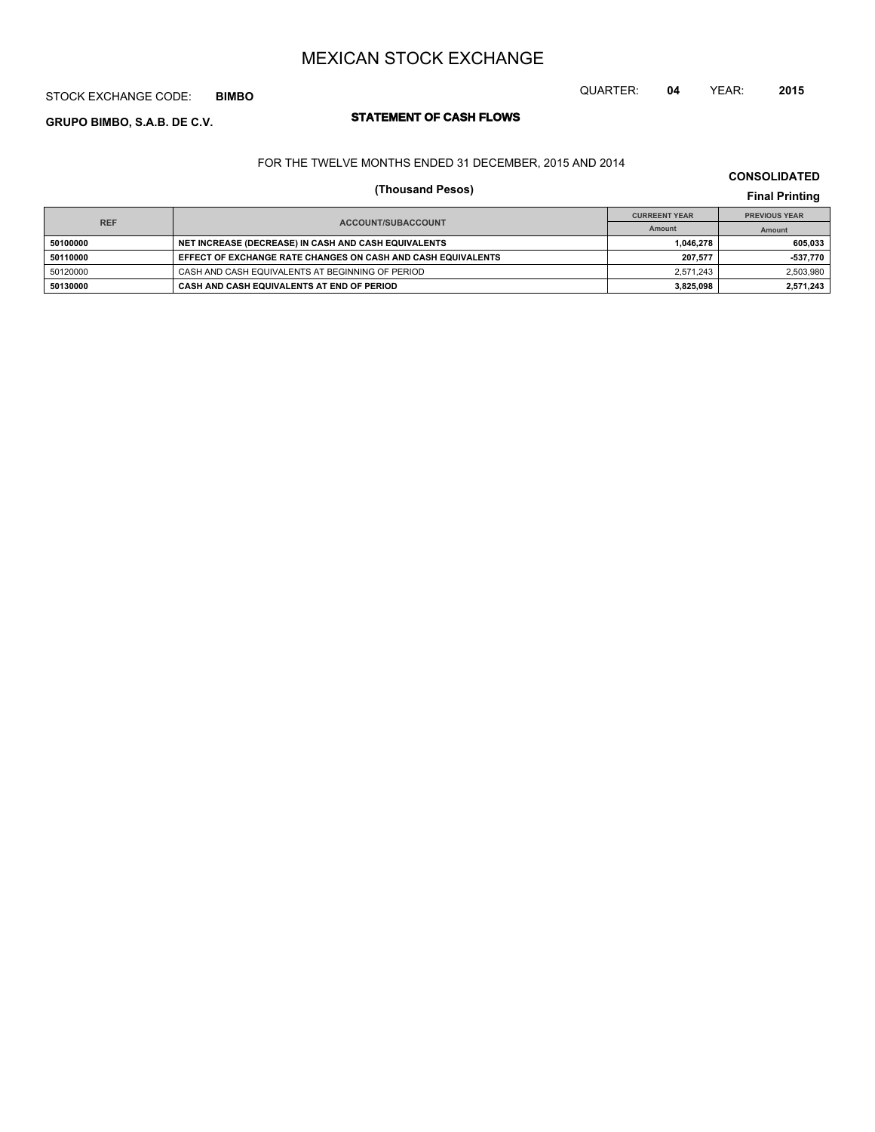## STOCK EXCHANGE CODE: **BIMBO**

# **STATEMENT OF CASH FLOWS GRUPO BIMBO, S.A.B. DE C.V.**

## QUARTER: **04** YEAR: **2015**

### FOR THE TWELVE MONTHS ENDED 31 DECEMBER, 2015 AND 2014

### **CONSOLIDATED**

# **(Thousand Pesos) Final Printing**

|            |                                                              | <b>CURREENT YEAR</b> | <b>PREVIOUS YEAR</b> |
|------------|--------------------------------------------------------------|----------------------|----------------------|
| <b>REF</b> | ACCOUNT/SUBACCOUNT                                           | Amount               | Amount               |
| 50100000   | NET INCREASE (DECREASE) IN CASH AND CASH EQUIVALENTS         | 1.046.278            | 605.033              |
| 50110000   | EFFECT OF EXCHANGE RATE CHANGES ON CASH AND CASH EQUIVALENTS | 207.577              | -537.770             |
| 50120000   | CASH AND CASH EQUIVALENTS AT BEGINNING OF PERIOD             | 2.571.243            | 2,503,980            |
| 50130000   | CASH AND CASH EQUIVALENTS AT END OF PERIOD                   | 3,825,098            | 2,571,243            |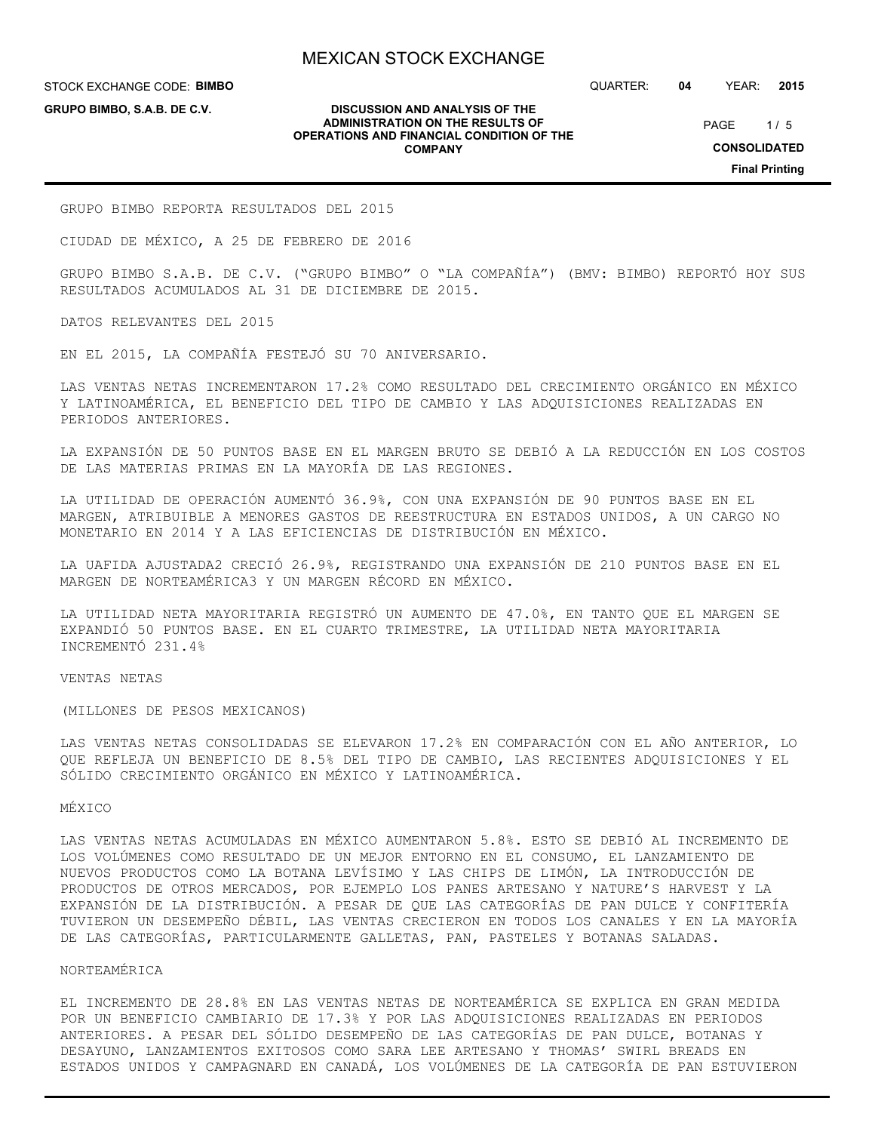STOCK EXCHANGE CODE: **BIMBO GRUPO BIMBO, S.A.B. DE C.V.**

QUARTER: **04** YEAR: **2015**

 $1/5$ PAGE

**CONSOLIDATED**

**Final Printing**

**DISCUSSION AND ANALYSIS OF THE ADMINISTRATION ON THE RESULTS OF OPERATIONS AND FINANCIAL CONDITION OF THE COMPANY**

GRUPO BIMBO REPORTA RESULTADOS DEL 2015

CIUDAD DE MÉXICO, A 25 DE FEBRERO DE 2016

GRUPO BIMBO S.A.B. DE C.V. ("GRUPO BIMBO" O "LA COMPAÑÍA") (BMV: BIMBO) REPORTÓ HOY SUS RESULTADOS ACUMULADOS AL 31 DE DICIEMBRE DE 2015.

DATOS RELEVANTES DEL 2015

EN EL 2015, LA COMPAÑÍA FESTEJÓ SU 70 ANIVERSARIO.

LAS VENTAS NETAS INCREMENTARON 17.2% COMO RESULTADO DEL CRECIMIENTO ORGÁNICO EN MÉXICO Y LATINOAMÉRICA, EL BENEFICIO DEL TIPO DE CAMBIO Y LAS ADQUISICIONES REALIZADAS EN PERIODOS ANTERIORES.

LA EXPANSIÓN DE 50 PUNTOS BASE EN EL MARGEN BRUTO SE DEBIÓ A LA REDUCCIÓN EN LOS COSTOS DE LAS MATERIAS PRIMAS EN LA MAYORÍA DE LAS REGIONES.

LA UTILIDAD DE OPERACIÓN AUMENTÓ 36.9%, CON UNA EXPANSIÓN DE 90 PUNTOS BASE EN EL MARGEN, ATRIBUIBLE A MENORES GASTOS DE REESTRUCTURA EN ESTADOS UNIDOS, A UN CARGO NO MONETARIO EN 2014 Y A LAS EFICIENCIAS DE DISTRIBUCIÓN EN MÉXICO.

LA UAFIDA AJUSTADA2 CRECIÓ 26.9%, REGISTRANDO UNA EXPANSIÓN DE 210 PUNTOS BASE EN EL MARGEN DE NORTEAMÉRICA3 Y UN MARGEN RÉCORD EN MÉXICO.

LA UTILIDAD NETA MAYORITARIA REGISTRÓ UN AUMENTO DE 47.0%, EN TANTO QUE EL MARGEN SE EXPANDIÓ 50 PUNTOS BASE. EN EL CUARTO TRIMESTRE, LA UTILIDAD NETA MAYORITARIA INCREMENTÓ 231.4%

VENTAS NETAS

(MILLONES DE PESOS MEXICANOS)

LAS VENTAS NETAS CONSOLIDADAS SE ELEVARON 17.2% EN COMPARACIÓN CON EL AÑO ANTERIOR, LO QUE REFLEJA UN BENEFICIO DE 8.5% DEL TIPO DE CAMBIO, LAS RECIENTES ADQUISICIONES Y EL SÓLIDO CRECIMIENTO ORGÁNICO EN MÉXICO Y LATINOAMÉRICA.

#### MÉXICO

LAS VENTAS NETAS ACUMULADAS EN MÉXICO AUMENTARON 5.8%. ESTO SE DEBIÓ AL INCREMENTO DE LOS VOLÚMENES COMO RESULTADO DE UN MEJOR ENTORNO EN EL CONSUMO, EL LANZAMIENTO DE NUEVOS PRODUCTOS COMO LA BOTANA LEVÍSIMO Y LAS CHIPS DE LIMÓN, LA INTRODUCCIÓN DE PRODUCTOS DE OTROS MERCADOS, POR EJEMPLO LOS PANES ARTESANO Y NATURE'S HARVEST Y LA EXPANSIÓN DE LA DISTRIBUCIÓN. A PESAR DE QUE LAS CATEGORÍAS DE PAN DULCE Y CONFITERÍA TUVIERON UN DESEMPEÑO DÉBIL, LAS VENTAS CRECIERON EN TODOS LOS CANALES Y EN LA MAYORÍA DE LAS CATEGORÍAS, PARTICULARMENTE GALLETAS, PAN, PASTELES Y BOTANAS SALADAS.

#### NORTEAMÉRICA

EL INCREMENTO DE 28.8% EN LAS VENTAS NETAS DE NORTEAMÉRICA SE EXPLICA EN GRAN MEDIDA POR UN BENEFICIO CAMBIARIO DE 17.3% Y POR LAS ADQUISICIONES REALIZADAS EN PERIODOS ANTERIORES. A PESAR DEL SÓLIDO DESEMPEÑO DE LAS CATEGORÍAS DE PAN DULCE, BOTANAS Y DESAYUNO, LANZAMIENTOS EXITOSOS COMO SARA LEE ARTESANO Y THOMAS' SWIRL BREADS EN ESTADOS UNIDOS Y CAMPAGNARD EN CANADÁ, LOS VOLÚMENES DE LA CATEGORÍA DE PAN ESTUVIERON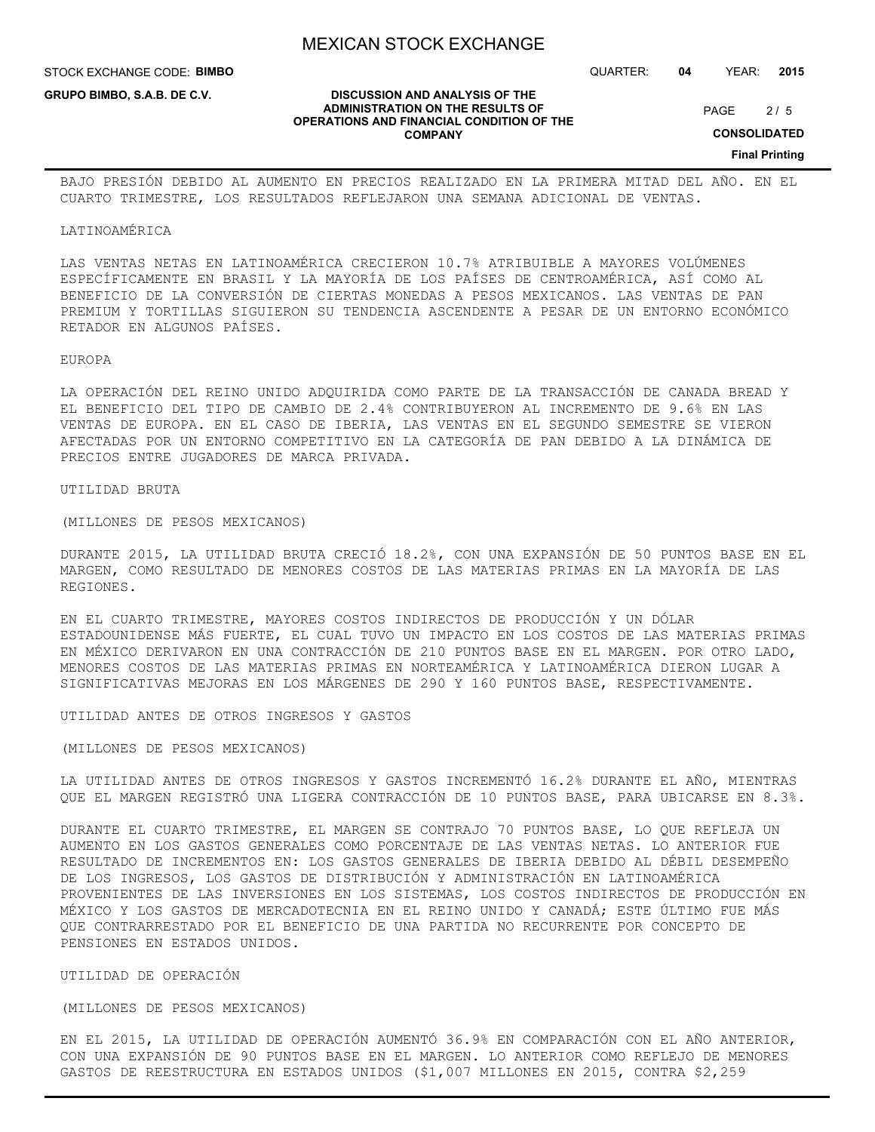**DISCUSSION AND ANALYSIS OF THE ADMINISTRATION ON THE RESULTS OF OPERATIONS AND FINANCIAL CONDITION OF THE COMPANY**

STOCK EXCHANGE CODE: **BIMBO**

**GRUPO BIMBO, S.A.B. DE C.V.**

QUARTER: **04** YEAR: **2015**

 $2/5$ PAGE

**CONSOLIDATED**

**Final Printing**

BAJO PRESIÓN DEBIDO AL AUMENTO EN PRECIOS REALIZADO EN LA PRIMERA MITAD DEL AÑO. EN EL CUARTO TRIMESTRE, LOS RESULTADOS REFLEJARON UNA SEMANA ADICIONAL DE VENTAS.

#### LATINOAMÉRICA

LAS VENTAS NETAS EN LATINOAMÉRICA CRECIERON 10.7% ATRIBUIBLE A MAYORES VOLÚMENES ESPECÍFICAMENTE EN BRASIL Y LA MAYORÍA DE LOS PAÍSES DE CENTROAMÉRICA, ASÍ COMO AL BENEFICIO DE LA CONVERSIÓN DE CIERTAS MONEDAS A PESOS MEXICANOS. LAS VENTAS DE PAN PREMIUM Y TORTILLAS SIGUIERON SU TENDENCIA ASCENDENTE A PESAR DE UN ENTORNO ECONÓMICO RETADOR EN ALGUNOS PAÍSES.

#### EUROPA

LA OPERACIÓN DEL REINO UNIDO ADQUIRIDA COMO PARTE DE LA TRANSACCIÓN DE CANADA BREAD Y EL BENEFICIO DEL TIPO DE CAMBIO DE 2.4% CONTRIBUYERON AL INCREMENTO DE 9.6% EN LAS VENTAS DE EUROPA. EN EL CASO DE IBERIA, LAS VENTAS EN EL SEGUNDO SEMESTRE SE VIERON AFECTADAS POR UN ENTORNO COMPETITIVO EN LA CATEGORÍA DE PAN DEBIDO A LA DINÁMICA DE PRECIOS ENTRE JUGADORES DE MARCA PRIVADA.

UTILIDAD BRUTA

(MILLONES DE PESOS MEXICANOS)

DURANTE 2015, LA UTILIDAD BRUTA CRECIÓ 18.2%, CON UNA EXPANSIÓN DE 50 PUNTOS BASE EN EL MARGEN, COMO RESULTADO DE MENORES COSTOS DE LAS MATERIAS PRIMAS EN LA MAYORÍA DE LAS REGIONES.

EN EL CUARTO TRIMESTRE, MAYORES COSTOS INDIRECTOS DE PRODUCCIÓN Y UN DÓLAR ESTADOUNIDENSE MÁS FUERTE, EL CUAL TUVO UN IMPACTO EN LOS COSTOS DE LAS MATERIAS PRIMAS EN MÉXICO DERIVARON EN UNA CONTRACCIÓN DE 210 PUNTOS BASE EN EL MARGEN. POR OTRO LADO, MENORES COSTOS DE LAS MATERIAS PRIMAS EN NORTEAMÉRICA Y LATINOAMÉRICA DIERON LUGAR A SIGNIFICATIVAS MEJORAS EN LOS MÁRGENES DE 290 Y 160 PUNTOS BASE, RESPECTIVAMENTE.

UTILIDAD ANTES DE OTROS INGRESOS Y GASTOS

(MILLONES DE PESOS MEXICANOS)

LA UTILIDAD ANTES DE OTROS INGRESOS Y GASTOS INCREMENTÓ 16.2% DURANTE EL AÑO, MIENTRAS QUE EL MARGEN REGISTRÓ UNA LIGERA CONTRACCIÓN DE 10 PUNTOS BASE, PARA UBICARSE EN 8.3%.

DURANTE EL CUARTO TRIMESTRE, EL MARGEN SE CONTRAJO 70 PUNTOS BASE, LO QUE REFLEJA UN AUMENTO EN LOS GASTOS GENERALES COMO PORCENTAJE DE LAS VENTAS NETAS. LO ANTERIOR FUE RESULTADO DE INCREMENTOS EN: LOS GASTOS GENERALES DE IBERIA DEBIDO AL DÉBIL DESEMPEÑO DE LOS INGRESOS, LOS GASTOS DE DISTRIBUCIÓN Y ADMINISTRACIÓN EN LATINOAMÉRICA PROVENIENTES DE LAS INVERSIONES EN LOS SISTEMAS, LOS COSTOS INDIRECTOS DE PRODUCCIÓN EN MÉXICO Y LOS GASTOS DE MERCADOTECNIA EN EL REINO UNIDO Y CANADÁ; ESTE ÚLTIMO FUE MÁS QUE CONTRARRESTADO POR EL BENEFICIO DE UNA PARTIDA NO RECURRENTE POR CONCEPTO DE PENSIONES EN ESTADOS UNIDOS.

### UTILIDAD DE OPERACIÓN

#### (MILLONES DE PESOS MEXICANOS)

EN EL 2015, LA UTILIDAD DE OPERACIÓN AUMENTÓ 36.9% EN COMPARACIÓN CON EL AÑO ANTERIOR, CON UNA EXPANSIÓN DE 90 PUNTOS BASE EN EL MARGEN. LO ANTERIOR COMO REFLEJO DE MENORES GASTOS DE REESTRUCTURA EN ESTADOS UNIDOS (\$1,007 MILLONES EN 2015, CONTRA \$2,259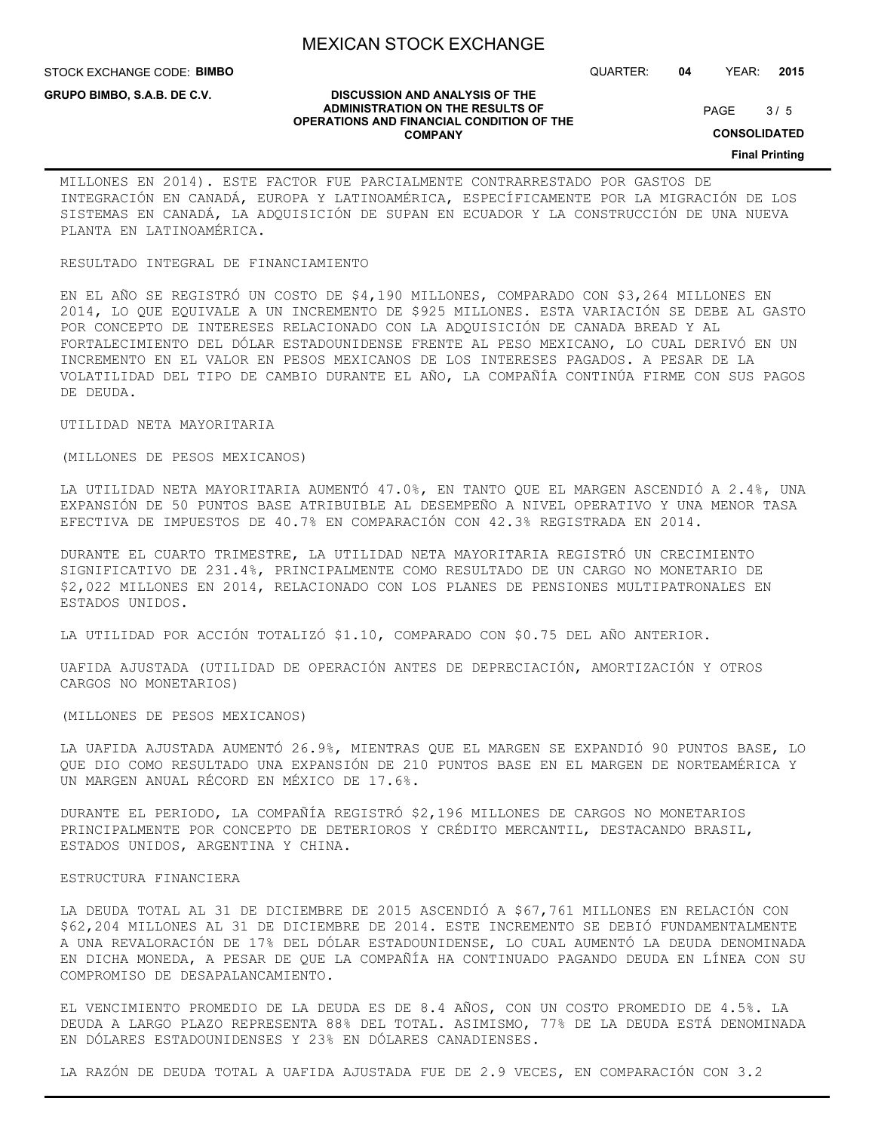STOCK EXCHANGE CODE: **BIMBO**

**GRUPO BIMBO, S.A.B. DE C.V.**

QUARTER: **04** YEAR: **2015**

 $3/5$ PAGE

**CONSOLIDATED**

**Final Printing**

#### **DISCUSSION AND ANALYSIS OF THE ADMINISTRATION ON THE RESULTS OF OPERATIONS AND FINANCIAL CONDITION OF THE COMPANY**

MILLONES EN 2014). ESTE FACTOR FUE PARCIALMENTE CONTRARRESTADO POR GASTOS DE INTEGRACIÓN EN CANADÁ, EUROPA Y LATINOAMÉRICA, ESPECÍFICAMENTE POR LA MIGRACIÓN DE LOS SISTEMAS EN CANADÁ, LA ADQUISICIÓN DE SUPAN EN ECUADOR Y LA CONSTRUCCIÓN DE UNA NUEVA PLANTA EN LATINOAMÉRICA.

#### RESULTADO INTEGRAL DE FINANCIAMIENTO

EN EL AÑO SE REGISTRÓ UN COSTO DE \$4,190 MILLONES, COMPARADO CON \$3,264 MILLONES EN 2014, LO QUE EQUIVALE A UN INCREMENTO DE \$925 MILLONES. ESTA VARIACIÓN SE DEBE AL GASTO POR CONCEPTO DE INTERESES RELACIONADO CON LA ADQUISICIÓN DE CANADA BREAD Y AL FORTALECIMIENTO DEL DÓLAR ESTADOUNIDENSE FRENTE AL PESO MEXICANO, LO CUAL DERIVÓ EN UN INCREMENTO EN EL VALOR EN PESOS MEXICANOS DE LOS INTERESES PAGADOS. A PESAR DE LA VOLATILIDAD DEL TIPO DE CAMBIO DURANTE EL AÑO, LA COMPAÑÍA CONTINÚA FIRME CON SUS PAGOS DE DEUDA.

## UTILIDAD NETA MAYORITARIA

## (MILLONES DE PESOS MEXICANOS)

LA UTILIDAD NETA MAYORITARIA AUMENTÓ 47.0%, EN TANTO QUE EL MARGEN ASCENDIÓ A 2.4%, UNA EXPANSIÓN DE 50 PUNTOS BASE ATRIBUIBLE AL DESEMPEÑO A NIVEL OPERATIVO Y UNA MENOR TASA EFECTIVA DE IMPUESTOS DE 40.7% EN COMPARACIÓN CON 42.3% REGISTRADA EN 2014.

DURANTE EL CUARTO TRIMESTRE, LA UTILIDAD NETA MAYORITARIA REGISTRÓ UN CRECIMIENTO SIGNIFICATIVO DE 231.4%, PRINCIPALMENTE COMO RESULTADO DE UN CARGO NO MONETARIO DE \$2,022 MILLONES EN 2014, RELACIONADO CON LOS PLANES DE PENSIONES MULTIPATRONALES EN ESTADOS UNIDOS.

LA UTILIDAD POR ACCIÓN TOTALIZÓ \$1.10, COMPARADO CON \$0.75 DEL AÑO ANTERIOR.

UAFIDA AJUSTADA (UTILIDAD DE OPERACIÓN ANTES DE DEPRECIACIÓN, AMORTIZACIÓN Y OTROS CARGOS NO MONETARIOS)

(MILLONES DE PESOS MEXICANOS)

LA UAFIDA AJUSTADA AUMENTÓ 26.9%, MIENTRAS QUE EL MARGEN SE EXPANDIÓ 90 PUNTOS BASE, LO QUE DIO COMO RESULTADO UNA EXPANSIÓN DE 210 PUNTOS BASE EN EL MARGEN DE NORTEAMÉRICA Y UN MARGEN ANUAL RÉCORD EN MÉXICO DE 17.6%.

DURANTE EL PERIODO, LA COMPAÑÍA REGISTRÓ \$2,196 MILLONES DE CARGOS NO MONETARIOS PRINCIPALMENTE POR CONCEPTO DE DETERIOROS Y CRÉDITO MERCANTIL, DESTACANDO BRASIL, ESTADOS UNIDOS, ARGENTINA Y CHINA.

#### ESTRUCTURA FINANCIERA

LA DEUDA TOTAL AL 31 DE DICIEMBRE DE 2015 ASCENDIÓ A \$67,761 MILLONES EN RELACIÓN CON \$62,204 MILLONES AL 31 DE DICIEMBRE DE 2014. ESTE INCREMENTO SE DEBIÓ FUNDAMENTALMENTE A UNA REVALORACIÓN DE 17% DEL DÓLAR ESTADOUNIDENSE, LO CUAL AUMENTÓ LA DEUDA DENOMINADA EN DICHA MONEDA, A PESAR DE QUE LA COMPAÑÍA HA CONTINUADO PAGANDO DEUDA EN LÍNEA CON SU COMPROMISO DE DESAPALANCAMIENTO.

EL VENCIMIENTO PROMEDIO DE LA DEUDA ES DE 8.4 AÑOS, CON UN COSTO PROMEDIO DE 4.5%. LA DEUDA A LARGO PLAZO REPRESENTA 88% DEL TOTAL. ASIMISMO, 77% DE LA DEUDA ESTÁ DENOMINADA EN DÓLARES ESTADOUNIDENSES Y 23% EN DÓLARES CANADIENSES.

LA RAZÓN DE DEUDA TOTAL A UAFIDA AJUSTADA FUE DE 2.9 VECES, EN COMPARACIÓN CON 3.2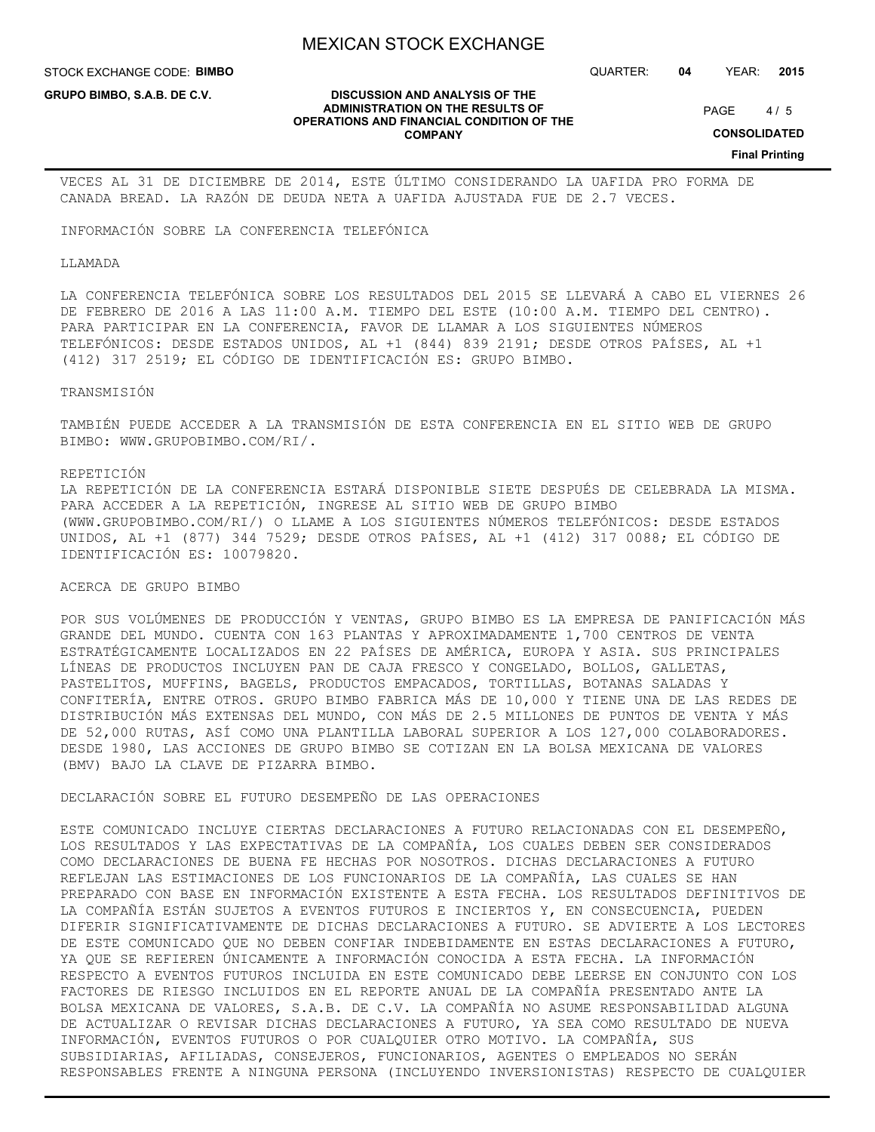**DISCUSSION AND ANALYSIS OF THE ADMINISTRATION ON THE RESULTS OF OPERATIONS AND FINANCIAL CONDITION OF THE COMPANY**

STOCK EXCHANGE CODE: **BIMBO**

**GRUPO BIMBO, S.A.B. DE C.V.**

QUARTER: **04** YEAR: **2015**

 $4/5$ PAGE

**CONSOLIDATED**

**Final Printing**

VECES AL 31 DE DICIEMBRE DE 2014, ESTE ÚLTIMO CONSIDERANDO LA UAFIDA PRO FORMA DE CANADA BREAD. LA RAZÓN DE DEUDA NETA A UAFIDA AJUSTADA FUE DE 2.7 VECES.

INFORMACIÓN SOBRE LA CONFERENCIA TELEFÓNICA

LLAMADA

LA CONFERENCIA TELEFÓNICA SOBRE LOS RESULTADOS DEL 2015 SE LLEVARÁ A CABO EL VIERNES 26 DE FEBRERO DE 2016 A LAS 11:00 A.M. TIEMPO DEL ESTE (10:00 A.M. TIEMPO DEL CENTRO). PARA PARTICIPAR EN LA CONFERENCIA, FAVOR DE LLAMAR A LOS SIGUIENTES NÚMEROS TELEFÓNICOS: DESDE ESTADOS UNIDOS, AL +1 (844) 839 2191; DESDE OTROS PAÍSES, AL +1 (412) 317 2519; EL CÓDIGO DE IDENTIFICACIÓN ES: GRUPO BIMBO.

TRANSMISIÓN

TAMBIÉN PUEDE ACCEDER A LA TRANSMISIÓN DE ESTA CONFERENCIA EN EL SITIO WEB DE GRUPO BIMBO: WWW.GRUPOBIMBO.COM/RI/.

#### REPETICIÓN

LA REPETICIÓN DE LA CONFERENCIA ESTARÁ DISPONIBLE SIETE DESPUÉS DE CELEBRADA LA MISMA. PARA ACCEDER A LA REPETICIÓN, INGRESE AL SITIO WEB DE GRUPO BIMBO (WWW.GRUPOBIMBO.COM/RI/) O LLAME A LOS SIGUIENTES NÚMEROS TELEFÓNICOS: DESDE ESTADOS UNIDOS, AL +1 (877) 344 7529; DESDE OTROS PAÍSES, AL +1 (412) 317 0088; EL CÓDIGO DE IDENTIFICACIÓN ES: 10079820.

ACERCA DE GRUPO BIMBO

POR SUS VOLÚMENES DE PRODUCCIÓN Y VENTAS, GRUPO BIMBO ES LA EMPRESA DE PANIFICACIÓN MÁS GRANDE DEL MUNDO. CUENTA CON 163 PLANTAS Y APROXIMADAMENTE 1,700 CENTROS DE VENTA ESTRATÉGICAMENTE LOCALIZADOS EN 22 PAÍSES DE AMÉRICA, EUROPA Y ASIA. SUS PRINCIPALES LÍNEAS DE PRODUCTOS INCLUYEN PAN DE CAJA FRESCO Y CONGELADO, BOLLOS, GALLETAS, PASTELITOS, MUFFINS, BAGELS, PRODUCTOS EMPACADOS, TORTILLAS, BOTANAS SALADAS Y CONFITERÍA, ENTRE OTROS. GRUPO BIMBO FABRICA MÁS DE 10,000 Y TIENE UNA DE LAS REDES DE DISTRIBUCIÓN MÁS EXTENSAS DEL MUNDO, CON MÁS DE 2.5 MILLONES DE PUNTOS DE VENTA Y MÁS DE 52,000 RUTAS, ASÍ COMO UNA PLANTILLA LABORAL SUPERIOR A LOS 127,000 COLABORADORES. DESDE 1980, LAS ACCIONES DE GRUPO BIMBO SE COTIZAN EN LA BOLSA MEXICANA DE VALORES (BMV) BAJO LA CLAVE DE PIZARRA BIMBO.

DECLARACIÓN SOBRE EL FUTURO DESEMPEÑO DE LAS OPERACIONES

ESTE COMUNICADO INCLUYE CIERTAS DECLARACIONES A FUTURO RELACIONADAS CON EL DESEMPEÑO, LOS RESULTADOS Y LAS EXPECTATIVAS DE LA COMPAÑÍA, LOS CUALES DEBEN SER CONSIDERADOS COMO DECLARACIONES DE BUENA FE HECHAS POR NOSOTROS. DICHAS DECLARACIONES A FUTURO REFLEJAN LAS ESTIMACIONES DE LOS FUNCIONARIOS DE LA COMPAÑÍA, LAS CUALES SE HAN PREPARADO CON BASE EN INFORMACIÓN EXISTENTE A ESTA FECHA. LOS RESULTADOS DEFINITIVOS DE LA COMPAÑÍA ESTÁN SUJETOS A EVENTOS FUTUROS E INCIERTOS Y, EN CONSECUENCIA, PUEDEN DIFERIR SIGNIFICATIVAMENTE DE DICHAS DECLARACIONES A FUTURO. SE ADVIERTE A LOS LECTORES DE ESTE COMUNICADO QUE NO DEBEN CONFIAR INDEBIDAMENTE EN ESTAS DECLARACIONES A FUTURO, YA QUE SE REFIEREN ÚNICAMENTE A INFORMACIÓN CONOCIDA A ESTA FECHA. LA INFORMACIÓN RESPECTO A EVENTOS FUTUROS INCLUIDA EN ESTE COMUNICADO DEBE LEERSE EN CONJUNTO CON LOS FACTORES DE RIESGO INCLUIDOS EN EL REPORTE ANUAL DE LA COMPAÑÍA PRESENTADO ANTE LA BOLSA MEXICANA DE VALORES, S.A.B. DE C.V. LA COMPAÑÍA NO ASUME RESPONSABILIDAD ALGUNA DE ACTUALIZAR O REVISAR DICHAS DECLARACIONES A FUTURO, YA SEA COMO RESULTADO DE NUEVA INFORMACIÓN, EVENTOS FUTUROS O POR CUALQUIER OTRO MOTIVO. LA COMPAÑÍA, SUS SUBSIDIARIAS, AFILIADAS, CONSEJEROS, FUNCIONARIOS, AGENTES O EMPLEADOS NO SERÁN RESPONSABLES FRENTE A NINGUNA PERSONA (INCLUYENDO INVERSIONISTAS) RESPECTO DE CUALQUIER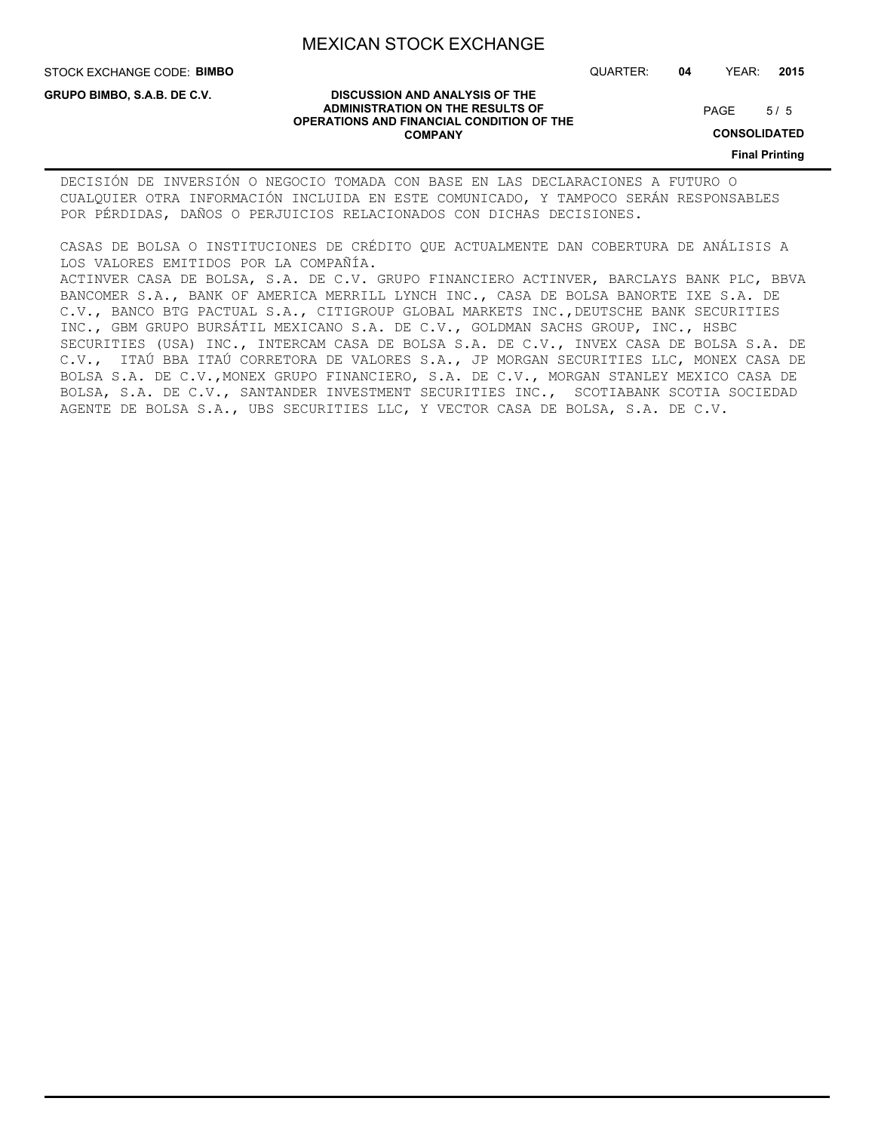**DISCUSSION AND ANALYSIS OF THE ADMINISTRATION ON THE RESULTS OF OPERATIONS AND FINANCIAL CONDITION OF THE COMPANY**

STOCK EXCHANGE CODE: **BIMBO**

**GRUPO BIMBO, S.A.B. DE C.V.**

QUARTER: **04** YEAR: **2015**

#### $5/5$ PAGE

**CONSOLIDATED**

**Final Printing**

DECISIÓN DE INVERSIÓN O NEGOCIO TOMADA CON BASE EN LAS DECLARACIONES A FUTURO O CUALQUIER OTRA INFORMACIÓN INCLUIDA EN ESTE COMUNICADO, Y TAMPOCO SERÁN RESPONSABLES POR PÉRDIDAS, DAÑOS O PERJUICIOS RELACIONADOS CON DICHAS DECISIONES.

CASAS DE BOLSA O INSTITUCIONES DE CRÉDITO QUE ACTUALMENTE DAN COBERTURA DE ANÁLISIS A LOS VALORES EMITIDOS POR LA COMPAÑÍA.

ACTINVER CASA DE BOLSA, S.A. DE C.V. GRUPO FINANCIERO ACTINVER, BARCLAYS BANK PLC, BBVA BANCOMER S.A., BANK OF AMERICA MERRILL LYNCH INC., CASA DE BOLSA BANORTE IXE S.A. DE C.V., BANCO BTG PACTUAL S.A., CITIGROUP GLOBAL MARKETS INC.,DEUTSCHE BANK SECURITIES INC., GBM GRUPO BURSÁTIL MEXICANO S.A. DE C.V., GOLDMAN SACHS GROUP, INC., HSBC SECURITIES (USA) INC., INTERCAM CASA DE BOLSA S.A. DE C.V., INVEX CASA DE BOLSA S.A. DE C.V., ITAÚ BBA ITAÚ CORRETORA DE VALORES S.A., JP MORGAN SECURITIES LLC, MONEX CASA DE BOLSA S.A. DE C.V.,MONEX GRUPO FINANCIERO, S.A. DE C.V., MORGAN STANLEY MEXICO CASA DE BOLSA, S.A. DE C.V., SANTANDER INVESTMENT SECURITIES INC., SCOTIABANK SCOTIA SOCIEDAD AGENTE DE BOLSA S.A., UBS SECURITIES LLC, Y VECTOR CASA DE BOLSA, S.A. DE C.V.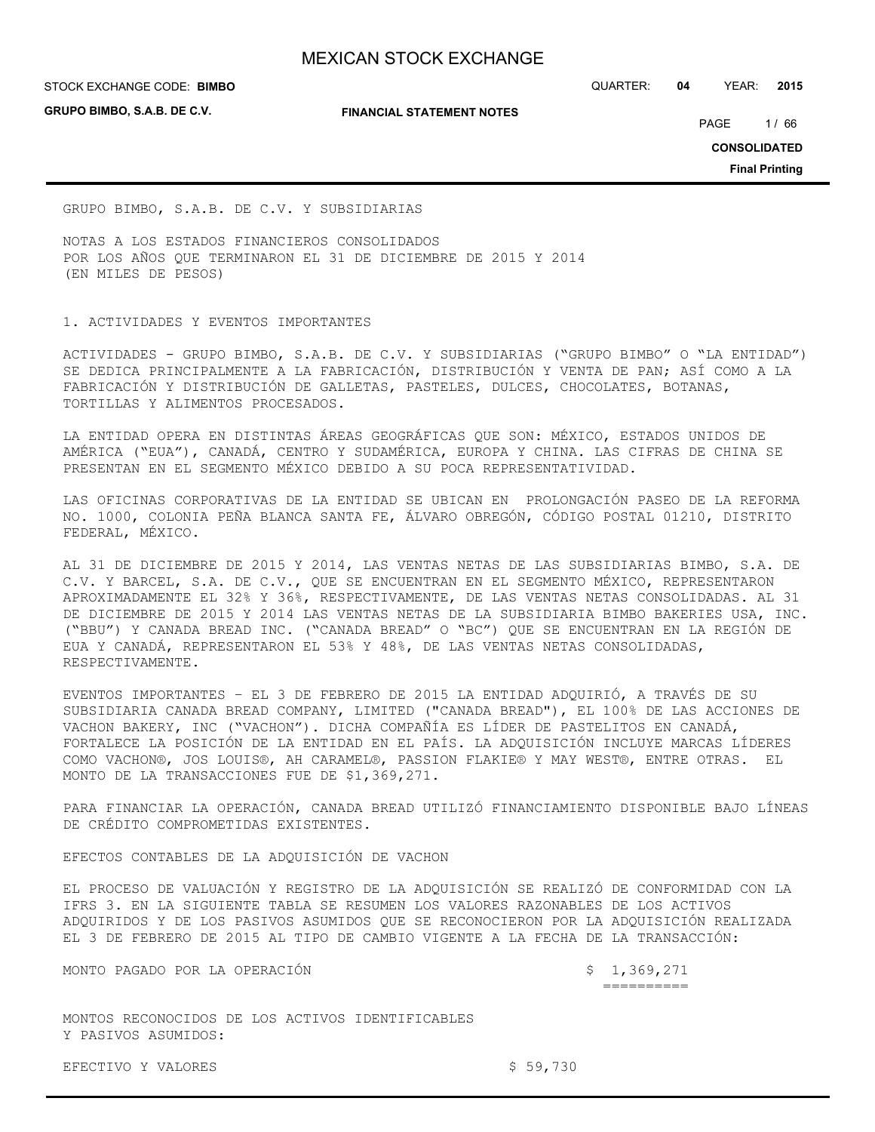**GRUPO BIMBO, S.A.B. DE C.V.**

#### **FINANCIAL STATEMENT NOTES**

STOCK EXCHANGE CODE: QUARTER: **04** YEAR: **2015 BIMBO**

PAGE 1/66

**CONSOLIDATED**

**Final Printing**

GRUPO BIMBO, S.A.B. DE C.V. Y SUBSIDIARIAS

NOTAS A LOS ESTADOS FINANCIEROS CONSOLIDADOS POR LOS AÑOS QUE TERMINARON EL 31 DE DICIEMBRE DE 2015 Y 2014 (EN MILES DE PESOS)

## 1. ACTIVIDADES Y EVENTOS IMPORTANTES

ACTIVIDADES - GRUPO BIMBO, S.A.B. DE C.V. Y SUBSIDIARIAS ("GRUPO BIMBO" O "LA ENTIDAD") SE DEDICA PRINCIPALMENTE A LA FABRICACIÓN, DISTRIBUCIÓN Y VENTA DE PAN; ASÍ COMO A LA FABRICACIÓN Y DISTRIBUCIÓN DE GALLETAS, PASTELES, DULCES, CHOCOLATES, BOTANAS, TORTILLAS Y ALIMENTOS PROCESADOS.

LA ENTIDAD OPERA EN DISTINTAS ÁREAS GEOGRÁFICAS QUE SON: MÉXICO, ESTADOS UNIDOS DE AMÉRICA ("EUA"), CANADÁ, CENTRO Y SUDAMÉRICA, EUROPA Y CHINA. LAS CIFRAS DE CHINA SE PRESENTAN EN EL SEGMENTO MÉXICO DEBIDO A SU POCA REPRESENTATIVIDAD.

LAS OFICINAS CORPORATIVAS DE LA ENTIDAD SE UBICAN EN PROLONGACIÓN PASEO DE LA REFORMA NO. 1000, COLONIA PEÑA BLANCA SANTA FE, ÁLVARO OBREGÓN, CÓDIGO POSTAL 01210, DISTRITO FEDERAL, MÉXICO.

AL 31 DE DICIEMBRE DE 2015 Y 2014, LAS VENTAS NETAS DE LAS SUBSIDIARIAS BIMBO, S.A. DE C.V. Y BARCEL, S.A. DE C.V., QUE SE ENCUENTRAN EN EL SEGMENTO MÉXICO, REPRESENTARON APROXIMADAMENTE EL 32% Y 36%, RESPECTIVAMENTE, DE LAS VENTAS NETAS CONSOLIDADAS. AL 31 DE DICIEMBRE DE 2015 Y 2014 LAS VENTAS NETAS DE LA SUBSIDIARIA BIMBO BAKERIES USA, INC. ("BBU") Y CANADA BREAD INC. ("CANADA BREAD" O "BC") QUE SE ENCUENTRAN EN LA REGIÓN DE EUA Y CANADÁ, REPRESENTARON EL 53% Y 48%, DE LAS VENTAS NETAS CONSOLIDADAS, RESPECTIVAMENTE.

EVENTOS IMPORTANTES – EL 3 DE FEBRERO DE 2015 LA ENTIDAD ADQUIRIÓ, A TRAVÉS DE SU SUBSIDIARIA CANADA BREAD COMPANY, LIMITED ("CANADA BREAD"), EL 100% DE LAS ACCIONES DE VACHON BAKERY, INC ("VACHON"). DICHA COMPAÑÍA ES LÍDER DE PASTELITOS EN CANADÁ, FORTALECE LA POSICIÓN DE LA ENTIDAD EN EL PAÍS. LA ADQUISICIÓN INCLUYE MARCAS LÍDERES COMO VACHON®, JOS LOUIS®, AH CARAMEL®, PASSION FLAKIE® Y MAY WEST®, ENTRE OTRAS. EL MONTO DE LA TRANSACCIONES FUE DE \$1,369,271.

PARA FINANCIAR LA OPERACIÓN, CANADA BREAD UTILIZÓ FINANCIAMIENTO DISPONIBLE BAJO LÍNEAS DE CRÉDITO COMPROMETIDAS EXISTENTES.

EFECTOS CONTABLES DE LA ADQUISICIÓN DE VACHON

EL PROCESO DE VALUACIÓN Y REGISTRO DE LA ADQUISICIÓN SE REALIZÓ DE CONFORMIDAD CON LA IFRS 3. EN LA SIGUIENTE TABLA SE RESUMEN LOS VALORES RAZONABLES DE LOS ACTIVOS ADQUIRIDOS Y DE LOS PASIVOS ASUMIDOS QUE SE RECONOCIERON POR LA ADQUISICIÓN REALIZADA EL 3 DE FEBRERO DE 2015 AL TIPO DE CAMBIO VIGENTE A LA FECHA DE LA TRANSACCIÓN:

MONTO PAGADO POR LA OPERACIÓN \$ 1,369,271

==========

MONTOS RECONOCIDOS DE LOS ACTIVOS IDENTIFICABLES Y PASIVOS ASUMIDOS:

 $EFECTIVO Y VALORES$   $$59,730$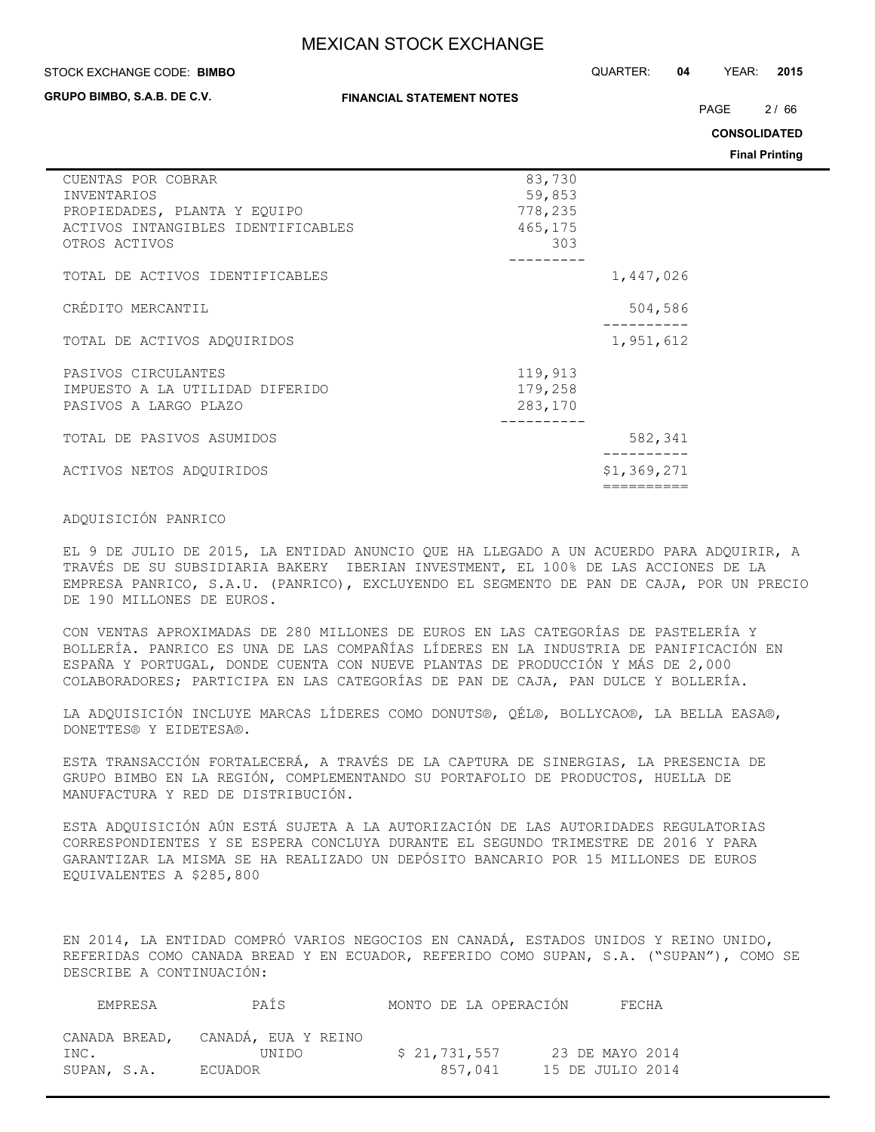#### STOCK EXCHANGE CODE: QUARTER: **04** YEAR: **2015 BIMBO**

**GRUPO BIMBO, S.A.B. DE C.V.**

#### **FINANCIAL STATEMENT NOTES**

PAGE 2/66

**CONSOLIDATED**

**Final Printing**

| CUENTAS POR COBRAR<br><b>INVENTARIOS</b> | 83,730<br>59,853 |  |
|------------------------------------------|------------------|--|
| PROPIEDADES, PLANTA Y EQUIPO             | 778,235          |  |
| ACTIVOS INTANGIBLES IDENTIFICABLES       | 465,175          |  |
| OTROS ACTIVOS                            | 303              |  |
| TOTAL DE ACTIVOS IDENTIFICABLES          | 1,447,026        |  |
| CRÉDITO MERCANTIL                        | 504,586          |  |
|                                          |                  |  |
| TOTAL DE ACTIVOS ADQUIRIDOS              | 1,951,612        |  |
| PASIVOS CIRCULANTES                      | 119,913          |  |
| IMPUESTO A LA UTILIDAD DIFERIDO          | 179,258          |  |
| PASIVOS A LARGO PLAZO                    | 283,170          |  |
| TOTAL DE PASIVOS ASUMIDOS                | 582,341          |  |
| ACTIVOS NETOS ADOUIRIDOS                 | \$1,369,271      |  |
|                                          |                  |  |

### ADQUISICIÓN PANRICO

EL 9 DE JULIO DE 2015, LA ENTIDAD ANUNCIO QUE HA LLEGADO A UN ACUERDO PARA ADQUIRIR, A TRAVÉS DE SU SUBSIDIARIA BAKERY IBERIAN INVESTMENT, EL 100% DE LAS ACCIONES DE LA EMPRESA PANRICO, S.A.U. (PANRICO), EXCLUYENDO EL SEGMENTO DE PAN DE CAJA, POR UN PRECIO DE 190 MILLONES DE EUROS.

CON VENTAS APROXIMADAS DE 280 MILLONES DE EUROS EN LAS CATEGORÍAS DE PASTELERÍA Y BOLLERÍA. PANRICO ES UNA DE LAS COMPAÑÍAS LÍDERES EN LA INDUSTRIA DE PANIFICACIÓN EN ESPAÑA Y PORTUGAL, DONDE CUENTA CON NUEVE PLANTAS DE PRODUCCIÓN Y MÁS DE 2,000 COLABORADORES; PARTICIPA EN LAS CATEGORÍAS DE PAN DE CAJA, PAN DULCE Y BOLLERÍA.

LA ADQUISICIÓN INCLUYE MARCAS LÍDERES COMO DONUTS®, QÉL®, BOLLYCAO®, LA BELLA EASA®, DONETTES® Y EIDETESA®.

ESTA TRANSACCIÓN FORTALECERÁ, A TRAVÉS DE LA CAPTURA DE SINERGIAS, LA PRESENCIA DE GRUPO BIMBO EN LA REGIÓN, COMPLEMENTANDO SU PORTAFOLIO DE PRODUCTOS, HUELLA DE MANUFACTURA Y RED DE DISTRIBUCIÓN.

ESTA ADQUISICIÓN AÚN ESTÁ SUJETA A LA AUTORIZACIÓN DE LAS AUTORIDADES REGULATORIAS CORRESPONDIENTES Y SE ESPERA CONCLUYA DURANTE EL SEGUNDO TRIMESTRE DE 2016 Y PARA GARANTIZAR LA MISMA SE HA REALIZADO UN DEPÓSITO BANCARIO POR 15 MILLONES DE EUROS EQUIVALENTES A \$285,800

EN 2014, LA ENTIDAD COMPRÓ VARIOS NEGOCIOS EN CANADÁ, ESTADOS UNIDOS Y REINO UNIDO, REFERIDAS COMO CANADA BREAD Y EN ECUADOR, REFERIDO COMO SUPAN, S.A. ("SUPAN"), COMO SE DESCRIBE A CONTINUACIÓN:

|             | EMPRESA | PAÍS                                       | MONTO DE LA OPERACIÓN | FECHA            |
|-------------|---------|--------------------------------------------|-----------------------|------------------|
| INC.        |         | CANADA BREAD, CANADÁ, EUA Y REINO<br>UNIDO | \$21,731,557          | 23 DE MAYO 2014  |
| SUPAN, S.A. |         | ECUADOR                                    | 857.041               | 15 DE JULIO 2014 |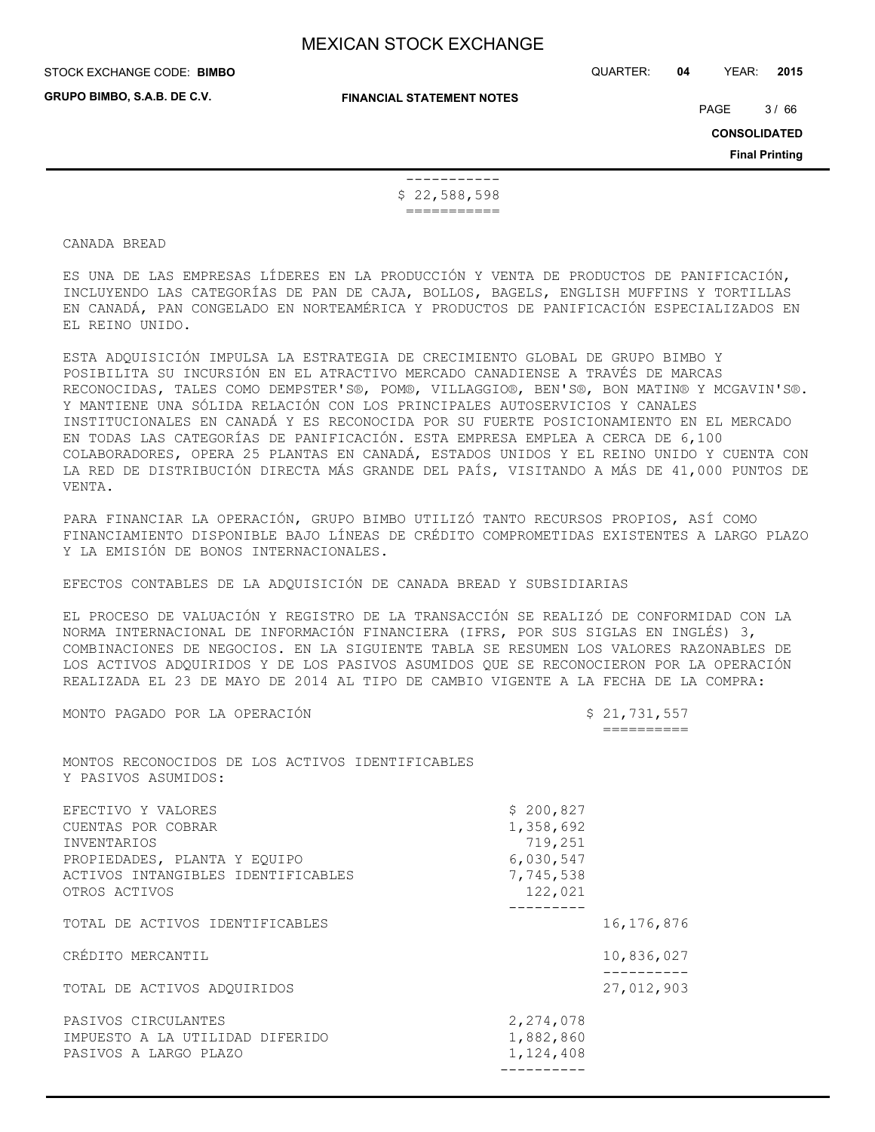**GRUPO BIMBO, S.A.B. DE C.V.**

STOCK EXCHANGE CODE: QUARTER: **04** YEAR: **2015 BIMBO**

**FINANCIAL STATEMENT NOTES**

PAGE 3/66

**CONSOLIDATED**

**Final Printing**

 ----------- \$ 22,588,598 ===========

#### CANADA BREAD

ES UNA DE LAS EMPRESAS LÍDERES EN LA PRODUCCIÓN Y VENTA DE PRODUCTOS DE PANIFICACIÓN, INCLUYENDO LAS CATEGORÍAS DE PAN DE CAJA, BOLLOS, BAGELS, ENGLISH MUFFINS Y TORTILLAS EN CANADÁ, PAN CONGELADO EN NORTEAMÉRICA Y PRODUCTOS DE PANIFICACIÓN ESPECIALIZADOS EN EL REINO UNIDO.

ESTA ADQUISICIÓN IMPULSA LA ESTRATEGIA DE CRECIMIENTO GLOBAL DE GRUPO BIMBO Y POSIBILITA SU INCURSIÓN EN EL ATRACTIVO MERCADO CANADIENSE A TRAVÉS DE MARCAS RECONOCIDAS, TALES COMO DEMPSTER'S®, POM®, VILLAGGIO®, BEN'S®, BON MATIN® Y MCGAVIN'S®. Y MANTIENE UNA SÓLIDA RELACIÓN CON LOS PRINCIPALES AUTOSERVICIOS Y CANALES INSTITUCIONALES EN CANADÁ Y ES RECONOCIDA POR SU FUERTE POSICIONAMIENTO EN EL MERCADO EN TODAS LAS CATEGORÍAS DE PANIFICACIÓN. ESTA EMPRESA EMPLEA A CERCA DE 6,100 COLABORADORES, OPERA 25 PLANTAS EN CANADÁ, ESTADOS UNIDOS Y EL REINO UNIDO Y CUENTA CON LA RED DE DISTRIBUCIÓN DIRECTA MÁS GRANDE DEL PAÍS, VISITANDO A MÁS DE 41,000 PUNTOS DE VENTA.

PARA FINANCIAR LA OPERACIÓN, GRUPO BIMBO UTILIZÓ TANTO RECURSOS PROPIOS, ASÍ COMO FINANCIAMIENTO DISPONIBLE BAJO LÍNEAS DE CRÉDITO COMPROMETIDAS EXISTENTES A LARGO PLAZO Y LA EMISIÓN DE BONOS INTERNACIONALES.

EFECTOS CONTABLES DE LA ADQUISICIÓN DE CANADA BREAD Y SUBSIDIARIAS

EL PROCESO DE VALUACIÓN Y REGISTRO DE LA TRANSACCIÓN SE REALIZÓ DE CONFORMIDAD CON LA NORMA INTERNACIONAL DE INFORMACIÓN FINANCIERA (IFRS, POR SUS SIGLAS EN INGLÉS) 3, COMBINACIONES DE NEGOCIOS. EN LA SIGUIENTE TABLA SE RESUMEN LOS VALORES RAZONABLES DE LOS ACTIVOS ADQUIRIDOS Y DE LOS PASIVOS ASUMIDOS QUE SE RECONOCIERON POR LA OPERACIÓN REALIZADA EL 23 DE MAYO DE 2014 AL TIPO DE CAMBIO VIGENTE A LA FECHA DE LA COMPRA:

MONTO PAGADO POR LA OPERACIÓN  $$21,731,557$ 

==========

MONTOS RECONOCIDOS DE LOS ACTIVOS IDENTIFICABLES Y PASIVOS ASUMIDOS:

| EFECTIVO Y VALORES<br>CUENTAS POR COBRAR<br>INVENTARIOS<br>PROPIEDADES, PLANTA Y EOUIPO<br>ACTIVOS INTANGIBLES IDENTIFICABLES<br>OTROS ACTIVOS | \$200,827<br>1,358,692<br>719,251<br>6,030,547<br>7,745,538<br>122,021 |              |
|------------------------------------------------------------------------------------------------------------------------------------------------|------------------------------------------------------------------------|--------------|
| TOTAL DE ACTIVOS IDENTIFICABLES                                                                                                                |                                                                        | 16, 176, 876 |
| CRÉDITO MERCANTIL                                                                                                                              |                                                                        | 10,836,027   |
| TOTAL DE ACTIVOS ADOUIRIDOS                                                                                                                    |                                                                        | 27,012,903   |
| PASIVOS CIRCULANTES<br>IMPUESTO A LA UTILIDAD DIFERIDO<br>PASIVOS A LARGO PLAZO                                                                | 2,274,078<br>1,882,860<br>1,124,408                                    |              |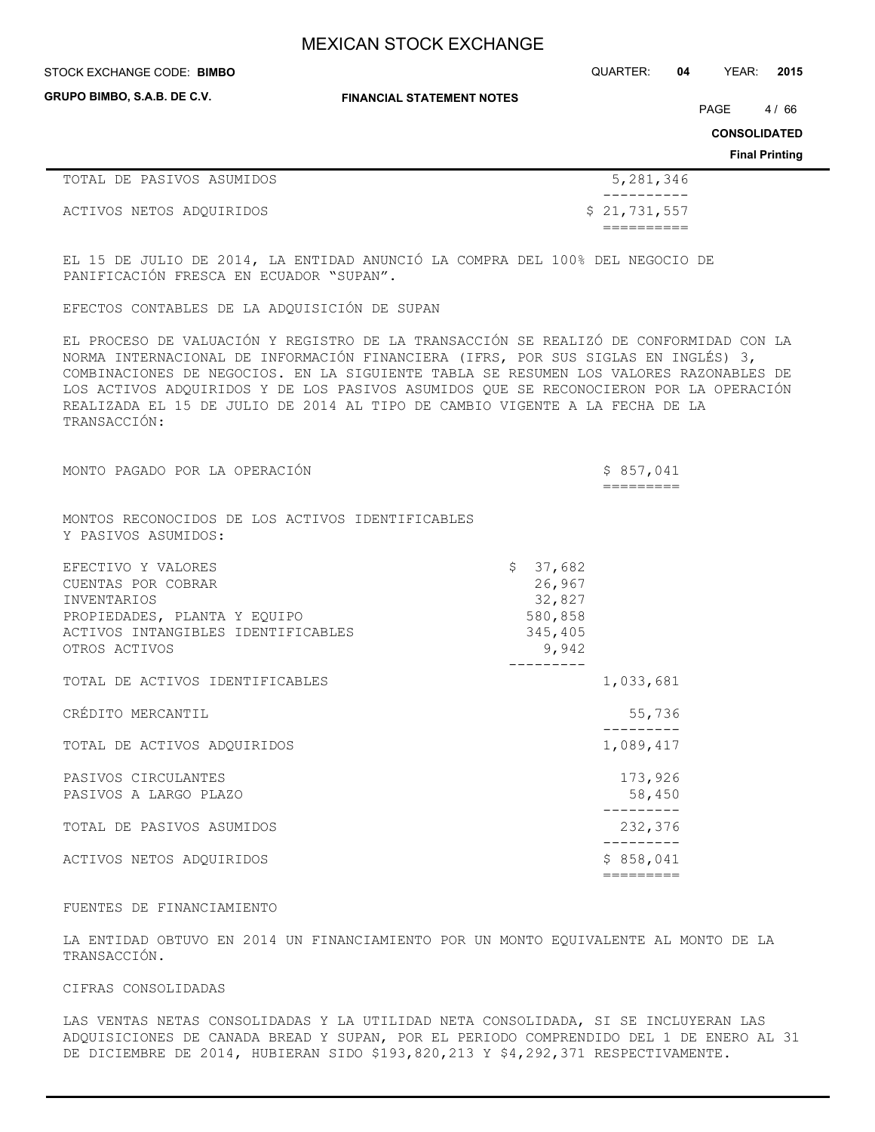**GRUPO BIMBO, S.A.B. DE C.V.**

**FINANCIAL STATEMENT NOTES**

STOCK EXCHANGE CODE: QUARTER: **04** YEAR: **2015 BIMBO**

PAGE 4/66

**CONSOLIDATED**

**Final Printing**

| TOTAL DE PASIVOS ASUMIDOS | 5,281,346    |
|---------------------------|--------------|
|                           |              |
| ACTIVOS NETOS ADOUIRIDOS  | \$21,731,557 |
|                           |              |

EL 15 DE JULIO DE 2014, LA ENTIDAD ANUNCIÓ LA COMPRA DEL 100% DEL NEGOCIO DE PANIFICACIÓN FRESCA EN ECUADOR "SUPAN".

EFECTOS CONTABLES DE LA ADQUISICIÓN DE SUPAN

EL PROCESO DE VALUACIÓN Y REGISTRO DE LA TRANSACCIÓN SE REALIZÓ DE CONFORMIDAD CON LA NORMA INTERNACIONAL DE INFORMACIÓN FINANCIERA (IFRS, POR SUS SIGLAS EN INGLÉS) 3, COMBINACIONES DE NEGOCIOS. EN LA SIGUIENTE TABLA SE RESUMEN LOS VALORES RAZONABLES DE LOS ACTIVOS ADQUIRIDOS Y DE LOS PASIVOS ASUMIDOS QUE SE RECONOCIERON POR LA OPERACIÓN REALIZADA EL 15 DE JULIO DE 2014 AL TIPO DE CAMBIO VIGENTE A LA FECHA DE LA TRANSACCIÓN:

| MONTO PAGADO POR LA OPERACIÓN                                           |                  | \$857,041 |         |
|-------------------------------------------------------------------------|------------------|-----------|---------|
|                                                                         |                  |           |         |
| MONTOS RECONOCIDOS DE LOS ACTIVOS IDENTIFICABLES<br>Y PASIVOS ASUMIDOS: |                  |           |         |
| EFECTIVO Y VALORES                                                      | \$37,682         |           |         |
| CUENTAS POR COBRAR<br>INVENTARIOS                                       | 26,967<br>32,827 |           |         |
| PROPIEDADES, PLANTA Y EQUIPO                                            | 580,858          |           |         |
| ACTIVOS INTANGIBLES IDENTIFICABLES                                      | 345,405          |           |         |
| OTROS ACTIVOS                                                           | 9,942            |           |         |
| TOTAL DE ACTIVOS IDENTIFICABLES                                         |                  | 1,033,681 |         |
| CRÉDITO MERCANTIL                                                       |                  |           | 55,736  |
| TOTAL DE ACTIVOS ADQUIRIDOS                                             |                  | 1,089,417 |         |
| PASIVOS CIRCULANTES                                                     |                  |           | 173,926 |
| PASIVOS A LARGO PLAZO                                                   |                  |           | 58,450  |
| TOTAL DE PASIVOS ASUMIDOS                                               |                  |           | 232,376 |
| ACTIVOS NETOS ADOUIRIDOS                                                |                  | \$858,041 |         |
|                                                                         |                  | ========= |         |

#### FUENTES DE FINANCIAMIENTO

LA ENTIDAD OBTUVO EN 2014 UN FINANCIAMIENTO POR UN MONTO EQUIVALENTE AL MONTO DE LA TRANSACCIÓN.

#### CIFRAS CONSOLIDADAS

LAS VENTAS NETAS CONSOLIDADAS Y LA UTILIDAD NETA CONSOLIDADA, SI SE INCLUYERAN LAS ADQUISICIONES DE CANADA BREAD Y SUPAN, POR EL PERIODO COMPRENDIDO DEL 1 DE ENERO AL 31 DE DICIEMBRE DE 2014, HUBIERAN SIDO \$193,820,213 Y \$4,292,371 RESPECTIVAMENTE.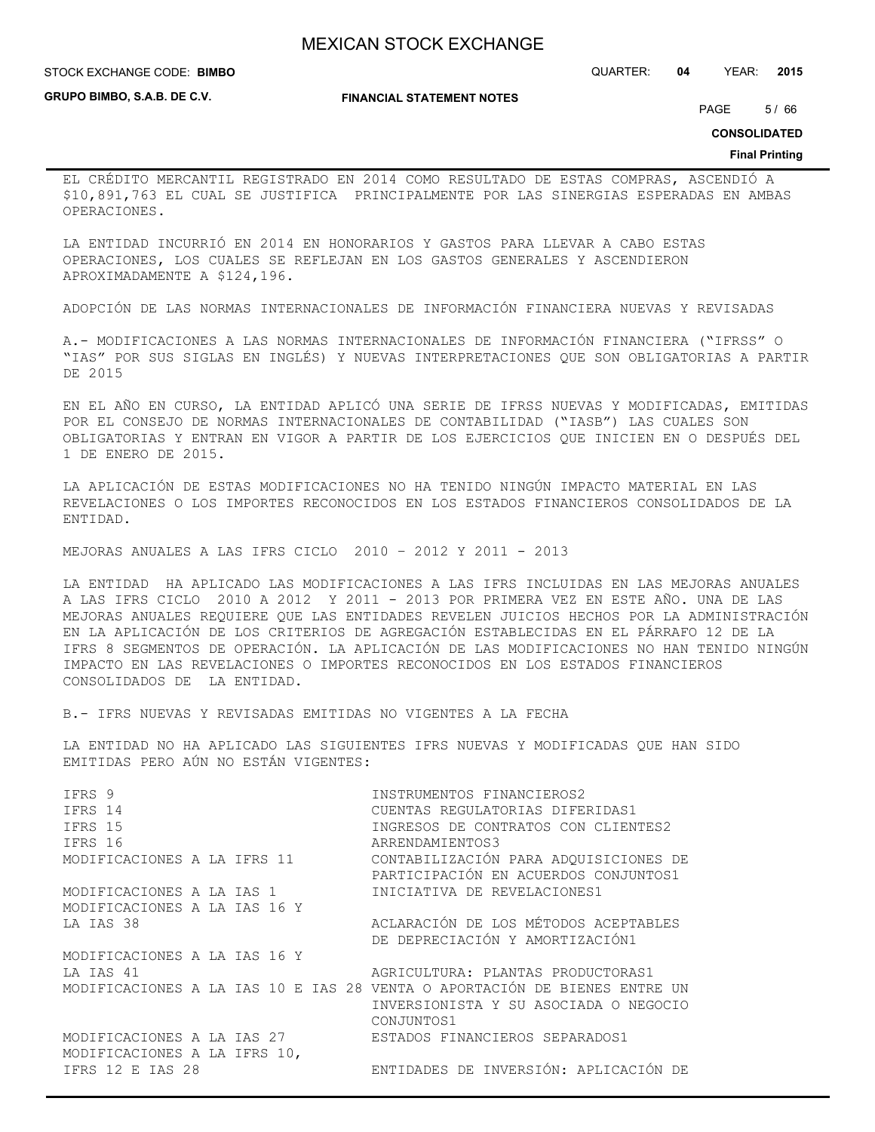**STOCK EXCHANGE CODE: BIMBO** 

**GRUPO BIMBO, S.A.B. DE C.V.**

**FINANCIAL STATEMENT NOTES**

STOCK EXCHANGE CODE: QUARTER: **04** YEAR: **2015**

PAGE 5/66

**CONSOLIDATED**

#### **Final Printing**

EL CRÉDITO MERCANTIL REGISTRADO EN 2014 COMO RESULTADO DE ESTAS COMPRAS, ASCENDIÓ A \$10,891,763 EL CUAL SE JUSTIFICA PRINCIPALMENTE POR LAS SINERGIAS ESPERADAS EN AMBAS OPERACIONES.

LA ENTIDAD INCURRIÓ EN 2014 EN HONORARIOS Y GASTOS PARA LLEVAR A CABO ESTAS OPERACIONES, LOS CUALES SE REFLEJAN EN LOS GASTOS GENERALES Y ASCENDIERON APROXIMADAMENTE A \$124,196.

ADOPCIÓN DE LAS NORMAS INTERNACIONALES DE INFORMACIÓN FINANCIERA NUEVAS Y REVISADAS

A.- MODIFICACIONES A LAS NORMAS INTERNACIONALES DE INFORMACIÓN FINANCIERA ("IFRSS" O "IAS" POR SUS SIGLAS EN INGLÉS) Y NUEVAS INTERPRETACIONES QUE SON OBLIGATORIAS A PARTIR DE 2015

EN EL AÑO EN CURSO, LA ENTIDAD APLICÓ UNA SERIE DE IFRSS NUEVAS Y MODIFICADAS, EMITIDAS POR EL CONSEJO DE NORMAS INTERNACIONALES DE CONTABILIDAD ("IASB") LAS CUALES SON OBLIGATORIAS Y ENTRAN EN VIGOR A PARTIR DE LOS EJERCICIOS QUE INICIEN EN O DESPUÉS DEL 1 DE ENERO DE 2015.

LA APLICACIÓN DE ESTAS MODIFICACIONES NO HA TENIDO NINGÚN IMPACTO MATERIAL EN LAS REVELACIONES O LOS IMPORTES RECONOCIDOS EN LOS ESTADOS FINANCIEROS CONSOLIDADOS DE LA ENTIDAD.

MEJORAS ANUALES A LAS IFRS CICLO 2010 – 2012 Y 2011 - 2013

LA ENTIDAD HA APLICADO LAS MODIFICACIONES A LAS IFRS INCLUIDAS EN LAS MEJORAS ANUALES A LAS IFRS CICLO 2010 A 2012 Y 2011 - 2013 POR PRIMERA VEZ EN ESTE AÑO. UNA DE LAS MEJORAS ANUALES REQUIERE QUE LAS ENTIDADES REVELEN JUICIOS HECHOS POR LA ADMINISTRACIÓN EN LA APLICACIÓN DE LOS CRITERIOS DE AGREGACIÓN ESTABLECIDAS EN EL PÁRRAFO 12 DE LA IFRS 8 SEGMENTOS DE OPERACIÓN. LA APLICACIÓN DE LAS MODIFICACIONES NO HAN TENIDO NINGÚN IMPACTO EN LAS REVELACIONES O IMPORTES RECONOCIDOS EN LOS ESTADOS FINANCIEROS CONSOLIDADOS DE LA ENTIDAD.

B.- IFRS NUEVAS Y REVISADAS EMITIDAS NO VIGENTES A LA FECHA

LA ENTIDAD NO HA APLICADO LAS SIGUIENTES IFRS NUEVAS Y MODIFICADAS QUE HAN SIDO EMITIDAS PERO AÚN NO ESTÁN VIGENTES:

| IFRS 9<br>IFRS 14            | INSTRUMENTOS FINANCIEROS2<br>CUENTAS REGULATORIAS DIFERIDAS1                                                                     |
|------------------------------|----------------------------------------------------------------------------------------------------------------------------------|
| IFRS 15                      | INGRESOS DE CONTRATOS CON CLIENTES2                                                                                              |
| IFRS 16                      | ARRENDAMIENTOS3                                                                                                                  |
| MODIFICACIONES A LA IFRS 11  | CONTABILIZACIÓN PARA ADQUISICIONES DE<br>PARTICIPACIÓN EN ACUERDOS CONJUNTOS1                                                    |
| MODIFICACIONES A LA IAS 1    | INICIATIVA DE REVELACIONES1                                                                                                      |
| MODIFICACIONES A LA IAS 16 Y |                                                                                                                                  |
| LA IAS 38                    | ACLARACIÓN DE LOS MÉTODOS ACEPTABLES<br>DE DEPRECIACIÓN Y AMORTIZACIÓN1                                                          |
| MODIFICACIONES A LA IAS 16 Y |                                                                                                                                  |
| LA IAS 41                    | AGRICULTURA: PLANTAS PRODUCTORAS1                                                                                                |
|                              | MODIFICACIONES A LA IAS 10 E IAS 28 VENTA O APORTACIÓN DE BIENES ENTRE UN<br>INVERSIONISTA Y SU ASOCIADA O NEGOCIO<br>CONJUNTOS1 |
| MODIFICACIONES A LA IAS 27   | ESTADOS FINANCIEROS SEPARADOS1                                                                                                   |
| MODIFICACIONES A LA IFRS 10, |                                                                                                                                  |
| IFRS 12 E IAS 28             | ENTIDADES DE INVERSIÓN: APLICACIÓN DE                                                                                            |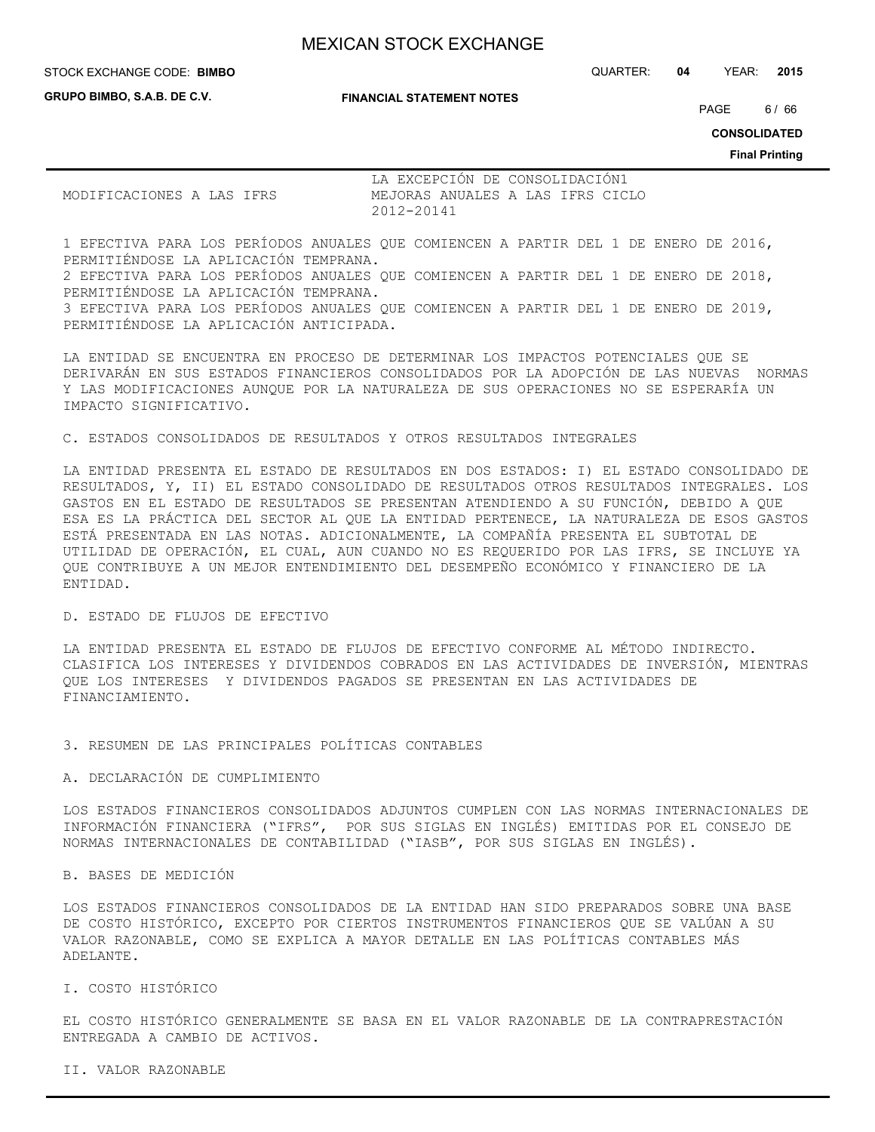**GRUPO BIMBO, S.A.B. DE C.V.**

**FINANCIAL STATEMENT NOTES**

STOCK EXCHANGE CODE: QUARTER: **04** YEAR: **2015 BIMBO**

PAGE 6/66

**CONSOLIDATED**

**Final Printing**

|                           |  |  |            | LA EXCEPCIÓN DE CONSOLIDACIÓN1 |  |  |                                  |
|---------------------------|--|--|------------|--------------------------------|--|--|----------------------------------|
| MODIFICACIONES A LAS IFRS |  |  |            |                                |  |  | MEJORAS ANUALES A LAS IFRS CICLO |
|                           |  |  | 2012-20141 |                                |  |  |                                  |

1 EFECTIVA PARA LOS PERÍODOS ANUALES QUE COMIENCEN A PARTIR DEL 1 DE ENERO DE 2016, PERMITIÉNDOSE LA APLICACIÓN TEMPRANA. 2 EFECTIVA PARA LOS PERÍODOS ANUALES QUE COMIENCEN A PARTIR DEL 1 DE ENERO DE 2018, PERMITIÉNDOSE LA APLICACIÓN TEMPRANA. 3 EFECTIVA PARA LOS PERÍODOS ANUALES QUE COMIENCEN A PARTIR DEL 1 DE ENERO DE 2019, PERMITIÉNDOSE LA APLICACIÓN ANTICIPADA.

LA ENTIDAD SE ENCUENTRA EN PROCESO DE DETERMINAR LOS IMPACTOS POTENCIALES QUE SE DERIVARÁN EN SUS ESTADOS FINANCIEROS CONSOLIDADOS POR LA ADOPCIÓN DE LAS NUEVAS NORMAS Y LAS MODIFICACIONES AUNQUE POR LA NATURALEZA DE SUS OPERACIONES NO SE ESPERARÍA UN IMPACTO SIGNIFICATIVO.

C. ESTADOS CONSOLIDADOS DE RESULTADOS Y OTROS RESULTADOS INTEGRALES

LA ENTIDAD PRESENTA EL ESTADO DE RESULTADOS EN DOS ESTADOS: I) EL ESTADO CONSOLIDADO DE RESULTADOS, Y, II) EL ESTADO CONSOLIDADO DE RESULTADOS OTROS RESULTADOS INTEGRALES. LOS GASTOS EN EL ESTADO DE RESULTADOS SE PRESENTAN ATENDIENDO A SU FUNCIÓN, DEBIDO A QUE ESA ES LA PRÁCTICA DEL SECTOR AL QUE LA ENTIDAD PERTENECE, LA NATURALEZA DE ESOS GASTOS ESTÁ PRESENTADA EN LAS NOTAS. ADICIONALMENTE, LA COMPAÑÍA PRESENTA EL SUBTOTAL DE UTILIDAD DE OPERACIÓN, EL CUAL, AUN CUANDO NO ES REQUERIDO POR LAS IFRS, SE INCLUYE YA QUE CONTRIBUYE A UN MEJOR ENTENDIMIENTO DEL DESEMPEÑO ECONÓMICO Y FINANCIERO DE LA ENTIDAD.

#### D. ESTADO DE FLUJOS DE EFECTIVO

LA ENTIDAD PRESENTA EL ESTADO DE FLUJOS DE EFECTIVO CONFORME AL MÉTODO INDIRECTO. CLASIFICA LOS INTERESES Y DIVIDENDOS COBRADOS EN LAS ACTIVIDADES DE INVERSIÓN, MIENTRAS QUE LOS INTERESES Y DIVIDENDOS PAGADOS SE PRESENTAN EN LAS ACTIVIDADES DE FINANCIAMIENTO.

#### 3. RESUMEN DE LAS PRINCIPALES POLÍTICAS CONTABLES

#### A. DECLARACIÓN DE CUMPLIMIENTO

LOS ESTADOS FINANCIEROS CONSOLIDADOS ADJUNTOS CUMPLEN CON LAS NORMAS INTERNACIONALES DE INFORMACIÓN FINANCIERA ("IFRS", POR SUS SIGLAS EN INGLÉS) EMITIDAS POR EL CONSEJO DE NORMAS INTERNACIONALES DE CONTABILIDAD ("IASB", POR SUS SIGLAS EN INGLÉS).

#### B. BASES DE MEDICIÓN

LOS ESTADOS FINANCIEROS CONSOLIDADOS DE LA ENTIDAD HAN SIDO PREPARADOS SOBRE UNA BASE DE COSTO HISTÓRICO, EXCEPTO POR CIERTOS INSTRUMENTOS FINANCIEROS QUE SE VALÚAN A SU VALOR RAZONABLE, COMO SE EXPLICA A MAYOR DETALLE EN LAS POLÍTICAS CONTABLES MÁS ADELANTE.

#### I. COSTO HISTÓRICO

EL COSTO HISTÓRICO GENERALMENTE SE BASA EN EL VALOR RAZONABLE DE LA CONTRAPRESTACIÓN ENTREGADA A CAMBIO DE ACTIVOS.

II. VALOR RAZONABLE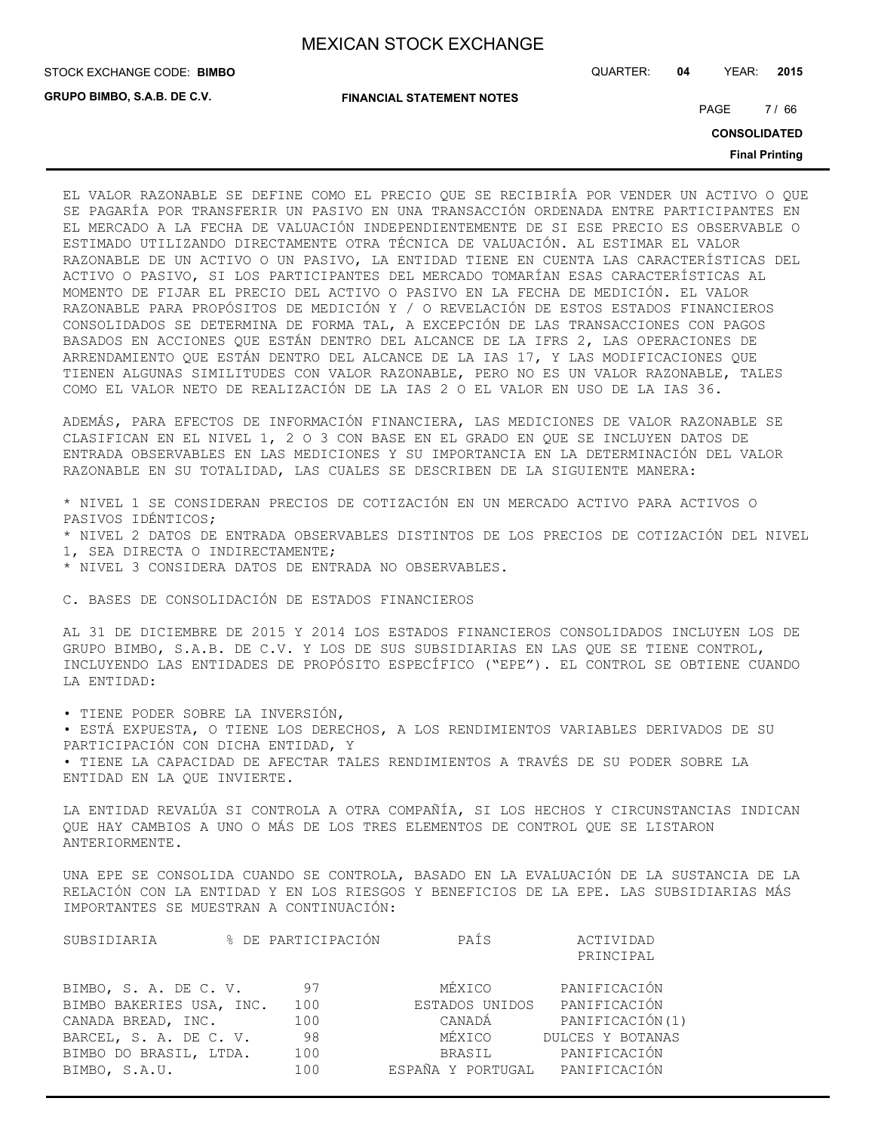**GRUPO BIMBO, S.A.B. DE C.V.**

STOCK EXCHANGE CODE: QUARTER: **04** YEAR: **2015 BIMBO**

**FINANCIAL STATEMENT NOTES**

PAGE 7/66

**CONSOLIDATED**

**Final Printing**

EL VALOR RAZONABLE SE DEFINE COMO EL PRECIO QUE SE RECIBIRÍA POR VENDER UN ACTIVO O QUE SE PAGARÍA POR TRANSFERIR UN PASIVO EN UNA TRANSACCIÓN ORDENADA ENTRE PARTICIPANTES EN EL MERCADO A LA FECHA DE VALUACIÓN INDEPENDIENTEMENTE DE SI ESE PRECIO ES OBSERVABLE O ESTIMADO UTILIZANDO DIRECTAMENTE OTRA TÉCNICA DE VALUACIÓN. AL ESTIMAR EL VALOR RAZONABLE DE UN ACTIVO O UN PASIVO, LA ENTIDAD TIENE EN CUENTA LAS CARACTERÍSTICAS DEL ACTIVO O PASIVO, SI LOS PARTICIPANTES DEL MERCADO TOMARÍAN ESAS CARACTERÍSTICAS AL MOMENTO DE FIJAR EL PRECIO DEL ACTIVO O PASIVO EN LA FECHA DE MEDICIÓN. EL VALOR RAZONABLE PARA PROPÓSITOS DE MEDICIÓN Y / O REVELACIÓN DE ESTOS ESTADOS FINANCIEROS CONSOLIDADOS SE DETERMINA DE FORMA TAL, A EXCEPCIÓN DE LAS TRANSACCIONES CON PAGOS BASADOS EN ACCIONES QUE ESTÁN DENTRO DEL ALCANCE DE LA IFRS 2, LAS OPERACIONES DE ARRENDAMIENTO QUE ESTÁN DENTRO DEL ALCANCE DE LA IAS 17, Y LAS MODIFICACIONES QUE TIENEN ALGUNAS SIMILITUDES CON VALOR RAZONABLE, PERO NO ES UN VALOR RAZONABLE, TALES COMO EL VALOR NETO DE REALIZACIÓN DE LA IAS 2 O EL VALOR EN USO DE LA IAS 36.

ADEMÁS, PARA EFECTOS DE INFORMACIÓN FINANCIERA, LAS MEDICIONES DE VALOR RAZONABLE SE CLASIFICAN EN EL NIVEL 1, 2 O 3 CON BASE EN EL GRADO EN QUE SE INCLUYEN DATOS DE ENTRADA OBSERVABLES EN LAS MEDICIONES Y SU IMPORTANCIA EN LA DETERMINACIÓN DEL VALOR RAZONABLE EN SU TOTALIDAD, LAS CUALES SE DESCRIBEN DE LA SIGUIENTE MANERA:

\* NIVEL 1 SE CONSIDERAN PRECIOS DE COTIZACIÓN EN UN MERCADO ACTIVO PARA ACTIVOS O PASIVOS IDÉNTICOS; \* NIVEL 2 DATOS DE ENTRADA OBSERVABLES DISTINTOS DE LOS PRECIOS DE COTIZACIÓN DEL NIVEL 1, SEA DIRECTA O INDIRECTAMENTE; \* NIVEL 3 CONSIDERA DATOS DE ENTRADA NO OBSERVABLES.

C. BASES DE CONSOLIDACIÓN DE ESTADOS FINANCIEROS

AL 31 DE DICIEMBRE DE 2015 Y 2014 LOS ESTADOS FINANCIEROS CONSOLIDADOS INCLUYEN LOS DE GRUPO BIMBO, S.A.B. DE C.V. Y LOS DE SUS SUBSIDIARIAS EN LAS QUE SE TIENE CONTROL, INCLUYENDO LAS ENTIDADES DE PROPÓSITO ESPECÍFICO ("EPE"). EL CONTROL SE OBTIENE CUANDO LA ENTIDAD:

• TIENE PODER SOBRE LA INVERSIÓN,

• ESTÁ EXPUESTA, O TIENE LOS DERECHOS, A LOS RENDIMIENTOS VARIABLES DERIVADOS DE SU PARTICIPACIÓN CON DICHA ENTIDAD, Y • TIENE LA CAPACIDAD DE AFECTAR TALES RENDIMIENTOS A TRAVÉS DE SU PODER SOBRE LA ENTIDAD EN LA QUE INVIERTE.

LA ENTIDAD REVALÚA SI CONTROLA A OTRA COMPAÑÍA, SI LOS HECHOS Y CIRCUNSTANCIAS INDICAN QUE HAY CAMBIOS A UNO O MÁS DE LOS TRES ELEMENTOS DE CONTROL QUE SE LISTARON ANTERIORMENTE.

UNA EPE SE CONSOLIDA CUANDO SE CONTROLA, BASADO EN LA EVALUACIÓN DE LA SUSTANCIA DE LA RELACIÓN CON LA ENTIDAD Y EN LOS RIESGOS Y BENEFICIOS DE LA EPE. LAS SUBSIDIARIAS MÁS IMPORTANTES SE MUESTRAN A CONTINUACIÓN:

| SUBSIDIARIA              | % DE PARTICIPACIÓN | PAÍS                           | ACTIVIDAD<br>PRINCIPAL |
|--------------------------|--------------------|--------------------------------|------------------------|
| BIMBO, S. A. DE C. V.    | 97                 | MÉXICO                         | PANIFICACIÓN           |
| BIMBO BAKERIES USA, INC. | 100                | ESTADOS UNIDOS                 | PANIFICACIÓN           |
| CANADA BREAD, INC.       | 100                | CANADÁ                         | PANIFICACIÓN(1)        |
| BARCEL, S. A. DE C. V.   | 98                 | MÉXICO                         | DULCES Y BOTANAS       |
| BIMBO DO BRASIL, LTDA.   | 100                | BRASIL                         | PANIFICACIÓN           |
| BIMBO, S.A.U.            | 100                | ESPAÑA Y PORTUGAL PANIFICACIÓN |                        |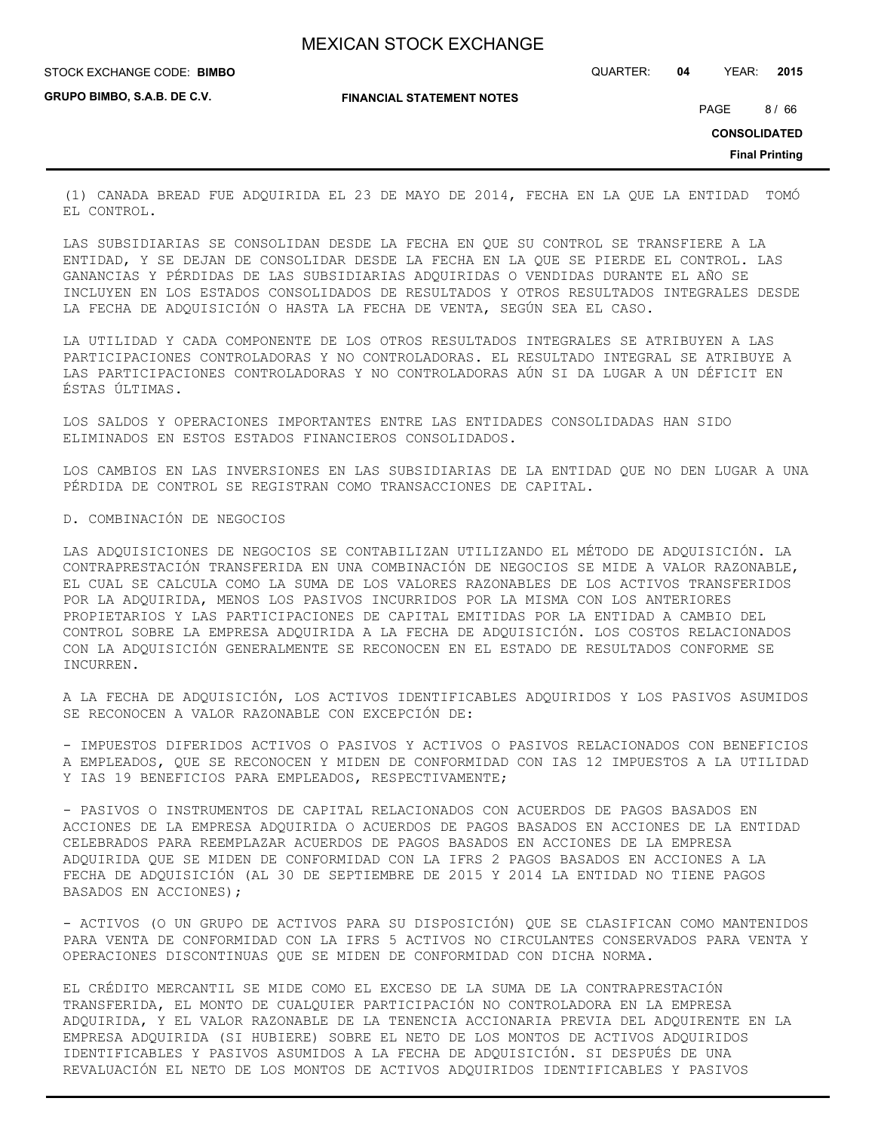STOCK EXCHANGE CODE: QUARTER: **04** YEAR: **2015 BIMBO**

**GRUPO BIMBO, S.A.B. DE C.V.**

**FINANCIAL STATEMENT NOTES**

PAGE 8/66

**CONSOLIDATED**

**Final Printing**

(1) CANADA BREAD FUE ADQUIRIDA EL 23 DE MAYO DE 2014, FECHA EN LA QUE LA ENTIDAD TOMÓ EL CONTROL.

LAS SUBSIDIARIAS SE CONSOLIDAN DESDE LA FECHA EN QUE SU CONTROL SE TRANSFIERE A LA ENTIDAD, Y SE DEJAN DE CONSOLIDAR DESDE LA FECHA EN LA QUE SE PIERDE EL CONTROL. LAS GANANCIAS Y PÉRDIDAS DE LAS SUBSIDIARIAS ADQUIRIDAS O VENDIDAS DURANTE EL AÑO SE INCLUYEN EN LOS ESTADOS CONSOLIDADOS DE RESULTADOS Y OTROS RESULTADOS INTEGRALES DESDE LA FECHA DE ADQUISICIÓN O HASTA LA FECHA DE VENTA, SEGÚN SEA EL CASO.

LA UTILIDAD Y CADA COMPONENTE DE LOS OTROS RESULTADOS INTEGRALES SE ATRIBUYEN A LAS PARTICIPACIONES CONTROLADORAS Y NO CONTROLADORAS. EL RESULTADO INTEGRAL SE ATRIBUYE A LAS PARTICIPACIONES CONTROLADORAS Y NO CONTROLADORAS AÚN SI DA LUGAR A UN DÉFICIT EN ÉSTAS ÚLTIMAS.

LOS SALDOS Y OPERACIONES IMPORTANTES ENTRE LAS ENTIDADES CONSOLIDADAS HAN SIDO ELIMINADOS EN ESTOS ESTADOS FINANCIEROS CONSOLIDADOS.

LOS CAMBIOS EN LAS INVERSIONES EN LAS SUBSIDIARIAS DE LA ENTIDAD QUE NO DEN LUGAR A UNA PÉRDIDA DE CONTROL SE REGISTRAN COMO TRANSACCIONES DE CAPITAL.

### D. COMBINACIÓN DE NEGOCIOS

LAS ADQUISICIONES DE NEGOCIOS SE CONTABILIZAN UTILIZANDO EL MÉTODO DE ADQUISICIÓN. LA CONTRAPRESTACIÓN TRANSFERIDA EN UNA COMBINACIÓN DE NEGOCIOS SE MIDE A VALOR RAZONABLE, EL CUAL SE CALCULA COMO LA SUMA DE LOS VALORES RAZONABLES DE LOS ACTIVOS TRANSFERIDOS POR LA ADQUIRIDA, MENOS LOS PASIVOS INCURRIDOS POR LA MISMA CON LOS ANTERIORES PROPIETARIOS Y LAS PARTICIPACIONES DE CAPITAL EMITIDAS POR LA ENTIDAD A CAMBIO DEL CONTROL SOBRE LA EMPRESA ADQUIRIDA A LA FECHA DE ADQUISICIÓN. LOS COSTOS RELACIONADOS CON LA ADQUISICIÓN GENERALMENTE SE RECONOCEN EN EL ESTADO DE RESULTADOS CONFORME SE INCURREN.

A LA FECHA DE ADQUISICIÓN, LOS ACTIVOS IDENTIFICABLES ADQUIRIDOS Y LOS PASIVOS ASUMIDOS SE RECONOCEN A VALOR RAZONABLE CON EXCEPCIÓN DE:

- IMPUESTOS DIFERIDOS ACTIVOS O PASIVOS Y ACTIVOS O PASIVOS RELACIONADOS CON BENEFICIOS A EMPLEADOS, QUE SE RECONOCEN Y MIDEN DE CONFORMIDAD CON IAS 12 IMPUESTOS A LA UTILIDAD Y IAS 19 BENEFICIOS PARA EMPLEADOS, RESPECTIVAMENTE;

- PASIVOS O INSTRUMENTOS DE CAPITAL RELACIONADOS CON ACUERDOS DE PAGOS BASADOS EN ACCIONES DE LA EMPRESA ADQUIRIDA O ACUERDOS DE PAGOS BASADOS EN ACCIONES DE LA ENTIDAD CELEBRADOS PARA REEMPLAZAR ACUERDOS DE PAGOS BASADOS EN ACCIONES DE LA EMPRESA ADQUIRIDA QUE SE MIDEN DE CONFORMIDAD CON LA IFRS 2 PAGOS BASADOS EN ACCIONES A LA FECHA DE ADQUISICIÓN (AL 30 DE SEPTIEMBRE DE 2015 Y 2014 LA ENTIDAD NO TIENE PAGOS BASADOS EN ACCIONES);

- ACTIVOS (O UN GRUPO DE ACTIVOS PARA SU DISPOSICIÓN) QUE SE CLASIFICAN COMO MANTENIDOS PARA VENTA DE CONFORMIDAD CON LA IFRS 5 ACTIVOS NO CIRCULANTES CONSERVADOS PARA VENTA Y OPERACIONES DISCONTINUAS QUE SE MIDEN DE CONFORMIDAD CON DICHA NORMA.

EL CRÉDITO MERCANTIL SE MIDE COMO EL EXCESO DE LA SUMA DE LA CONTRAPRESTACIÓN TRANSFERIDA, EL MONTO DE CUALQUIER PARTICIPACIÓN NO CONTROLADORA EN LA EMPRESA ADQUIRIDA, Y EL VALOR RAZONABLE DE LA TENENCIA ACCIONARIA PREVIA DEL ADQUIRENTE EN LA EMPRESA ADQUIRIDA (SI HUBIERE) SOBRE EL NETO DE LOS MONTOS DE ACTIVOS ADQUIRIDOS IDENTIFICABLES Y PASIVOS ASUMIDOS A LA FECHA DE ADQUISICIÓN. SI DESPUÉS DE UNA REVALUACIÓN EL NETO DE LOS MONTOS DE ACTIVOS ADQUIRIDOS IDENTIFICABLES Y PASIVOS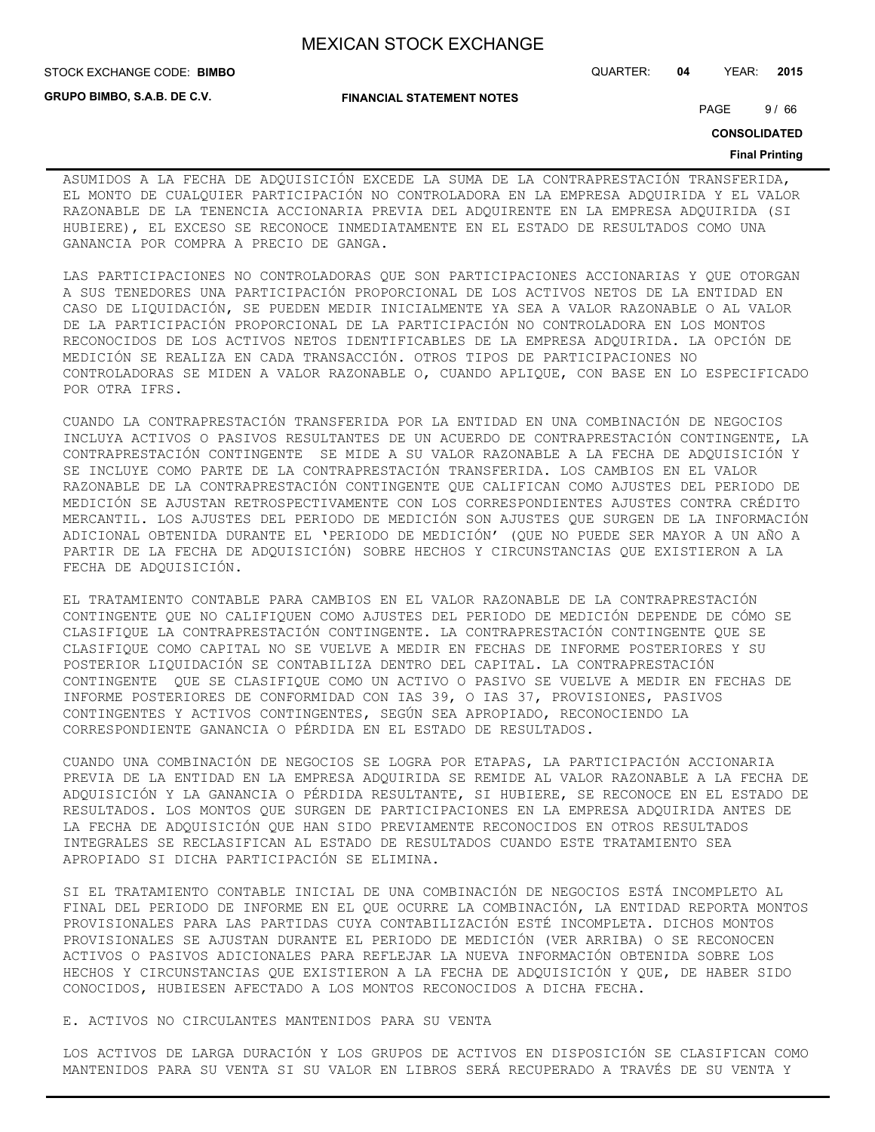**GRUPO BIMBO, S.A.B. DE C.V.**

### **FINANCIAL STATEMENT NOTES**

STOCK EXCHANGE CODE: QUARTER: **04** YEAR: **2015 BIMBO**

PAGE 9/66

**CONSOLIDATED**

#### **Final Printing**

ASUMIDOS A LA FECHA DE ADQUISICIÓN EXCEDE LA SUMA DE LA CONTRAPRESTACIÓN TRANSFERIDA, EL MONTO DE CUALQUIER PARTICIPACIÓN NO CONTROLADORA EN LA EMPRESA ADQUIRIDA Y EL VALOR RAZONABLE DE LA TENENCIA ACCIONARIA PREVIA DEL ADQUIRENTE EN LA EMPRESA ADQUIRIDA (SI HUBIERE), EL EXCESO SE RECONOCE INMEDIATAMENTE EN EL ESTADO DE RESULTADOS COMO UNA GANANCIA POR COMPRA A PRECIO DE GANGA.

LAS PARTICIPACIONES NO CONTROLADORAS QUE SON PARTICIPACIONES ACCIONARIAS Y QUE OTORGAN A SUS TENEDORES UNA PARTICIPACIÓN PROPORCIONAL DE LOS ACTIVOS NETOS DE LA ENTIDAD EN CASO DE LIQUIDACIÓN, SE PUEDEN MEDIR INICIALMENTE YA SEA A VALOR RAZONABLE O AL VALOR DE LA PARTICIPACIÓN PROPORCIONAL DE LA PARTICIPACIÓN NO CONTROLADORA EN LOS MONTOS RECONOCIDOS DE LOS ACTIVOS NETOS IDENTIFICABLES DE LA EMPRESA ADQUIRIDA. LA OPCIÓN DE MEDICIÓN SE REALIZA EN CADA TRANSACCIÓN. OTROS TIPOS DE PARTICIPACIONES NO CONTROLADORAS SE MIDEN A VALOR RAZONABLE O, CUANDO APLIQUE, CON BASE EN LO ESPECIFICADO POR OTRA IFRS.

CUANDO LA CONTRAPRESTACIÓN TRANSFERIDA POR LA ENTIDAD EN UNA COMBINACIÓN DE NEGOCIOS INCLUYA ACTIVOS O PASIVOS RESULTANTES DE UN ACUERDO DE CONTRAPRESTACIÓN CONTINGENTE, LA CONTRAPRESTACIÓN CONTINGENTE SE MIDE A SU VALOR RAZONABLE A LA FECHA DE ADQUISICIÓN Y SE INCLUYE COMO PARTE DE LA CONTRAPRESTACIÓN TRANSFERIDA. LOS CAMBIOS EN EL VALOR RAZONABLE DE LA CONTRAPRESTACIÓN CONTINGENTE QUE CALIFICAN COMO AJUSTES DEL PERIODO DE MEDICIÓN SE AJUSTAN RETROSPECTIVAMENTE CON LOS CORRESPONDIENTES AJUSTES CONTRA CRÉDITO MERCANTIL. LOS AJUSTES DEL PERIODO DE MEDICIÓN SON AJUSTES QUE SURGEN DE LA INFORMACIÓN ADICIONAL OBTENIDA DURANTE EL 'PERIODO DE MEDICIÓN' (QUE NO PUEDE SER MAYOR A UN AÑO A PARTIR DE LA FECHA DE ADQUISICIÓN) SOBRE HECHOS Y CIRCUNSTANCIAS QUE EXISTIERON A LA FECHA DE ADQUISICIÓN.

EL TRATAMIENTO CONTABLE PARA CAMBIOS EN EL VALOR RAZONABLE DE LA CONTRAPRESTACIÓN CONTINGENTE QUE NO CALIFIQUEN COMO AJUSTES DEL PERIODO DE MEDICIÓN DEPENDE DE CÓMO SE CLASIFIQUE LA CONTRAPRESTACIÓN CONTINGENTE. LA CONTRAPRESTACIÓN CONTINGENTE QUE SE CLASIFIQUE COMO CAPITAL NO SE VUELVE A MEDIR EN FECHAS DE INFORME POSTERIORES Y SU POSTERIOR LIQUIDACIÓN SE CONTABILIZA DENTRO DEL CAPITAL. LA CONTRAPRESTACIÓN CONTINGENTE QUE SE CLASIFIQUE COMO UN ACTIVO O PASIVO SE VUELVE A MEDIR EN FECHAS DE INFORME POSTERIORES DE CONFORMIDAD CON IAS 39, O IAS 37, PROVISIONES, PASIVOS CONTINGENTES Y ACTIVOS CONTINGENTES, SEGÚN SEA APROPIADO, RECONOCIENDO LA CORRESPONDIENTE GANANCIA O PÉRDIDA EN EL ESTADO DE RESULTADOS.

CUANDO UNA COMBINACIÓN DE NEGOCIOS SE LOGRA POR ETAPAS, LA PARTICIPACIÓN ACCIONARIA PREVIA DE LA ENTIDAD EN LA EMPRESA ADQUIRIDA SE REMIDE AL VALOR RAZONABLE A LA FECHA DE ADQUISICIÓN Y LA GANANCIA O PÉRDIDA RESULTANTE, SI HUBIERE, SE RECONOCE EN EL ESTADO DE RESULTADOS. LOS MONTOS QUE SURGEN DE PARTICIPACIONES EN LA EMPRESA ADQUIRIDA ANTES DE LA FECHA DE ADQUISICIÓN QUE HAN SIDO PREVIAMENTE RECONOCIDOS EN OTROS RESULTADOS INTEGRALES SE RECLASIFICAN AL ESTADO DE RESULTADOS CUANDO ESTE TRATAMIENTO SEA APROPIADO SI DICHA PARTICIPACIÓN SE ELIMINA.

SI EL TRATAMIENTO CONTABLE INICIAL DE UNA COMBINACIÓN DE NEGOCIOS ESTÁ INCOMPLETO AL FINAL DEL PERIODO DE INFORME EN EL QUE OCURRE LA COMBINACIÓN, LA ENTIDAD REPORTA MONTOS PROVISIONALES PARA LAS PARTIDAS CUYA CONTABILIZACIÓN ESTÉ INCOMPLETA. DICHOS MONTOS PROVISIONALES SE AJUSTAN DURANTE EL PERIODO DE MEDICIÓN (VER ARRIBA) O SE RECONOCEN ACTIVOS O PASIVOS ADICIONALES PARA REFLEJAR LA NUEVA INFORMACIÓN OBTENIDA SOBRE LOS HECHOS Y CIRCUNSTANCIAS QUE EXISTIERON A LA FECHA DE ADQUISICIÓN Y QUE, DE HABER SIDO CONOCIDOS, HUBIESEN AFECTADO A LOS MONTOS RECONOCIDOS A DICHA FECHA.

### E. ACTIVOS NO CIRCULANTES MANTENIDOS PARA SU VENTA

LOS ACTIVOS DE LARGA DURACIÓN Y LOS GRUPOS DE ACTIVOS EN DISPOSICIÓN SE CLASIFICAN COMO MANTENIDOS PARA SU VENTA SI SU VALOR EN LIBROS SERÁ RECUPERADO A TRAVÉS DE SU VENTA Y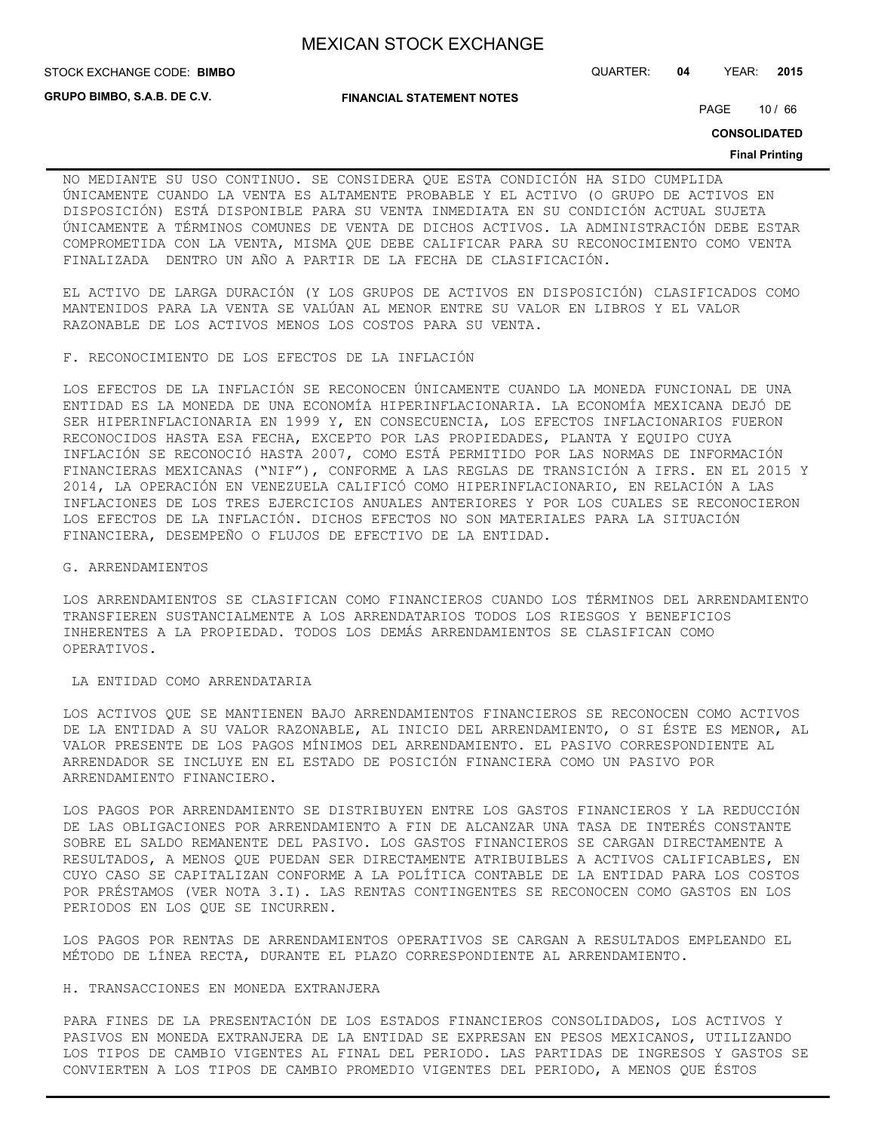**STOCK EXCHANGE CODE: BIMBO** 

**GRUPO BIMBO, S.A.B. DE C.V.**

**FINANCIAL STATEMENT NOTES**

STOCK EXCHANGE CODE: QUARTER: **04** YEAR: **2015**

PAGE 10 / 66

**CONSOLIDATED**

#### **Final Printing**

NO MEDIANTE SU USO CONTINUO. SE CONSIDERA QUE ESTA CONDICIÓN HA SIDO CUMPLIDA ÚNICAMENTE CUANDO LA VENTA ES ALTAMENTE PROBABLE Y EL ACTIVO (O GRUPO DE ACTIVOS EN DISPOSICIÓN) ESTÁ DISPONIBLE PARA SU VENTA INMEDIATA EN SU CONDICIÓN ACTUAL SUJETA ÚNICAMENTE A TÉRMINOS COMUNES DE VENTA DE DICHOS ACTIVOS. LA ADMINISTRACIÓN DEBE ESTAR COMPROMETIDA CON LA VENTA, MISMA QUE DEBE CALIFICAR PARA SU RECONOCIMIENTO COMO VENTA FINALIZADA DENTRO UN AÑO A PARTIR DE LA FECHA DE CLASIFICACIÓN.

EL ACTIVO DE LARGA DURACIÓN (Y LOS GRUPOS DE ACTIVOS EN DISPOSICIÓN) CLASIFICADOS COMO MANTENIDOS PARA LA VENTA SE VALÚAN AL MENOR ENTRE SU VALOR EN LIBROS Y EL VALOR RAZONABLE DE LOS ACTIVOS MENOS LOS COSTOS PARA SU VENTA.

F. RECONOCIMIENTO DE LOS EFECTOS DE LA INFLACIÓN

LOS EFECTOS DE LA INFLACIÓN SE RECONOCEN ÚNICAMENTE CUANDO LA MONEDA FUNCIONAL DE UNA ENTIDAD ES LA MONEDA DE UNA ECONOMÍA HIPERINFLACIONARIA. LA ECONOMÍA MEXICANA DEJÓ DE SER HIPERINFLACIONARIA EN 1999 Y, EN CONSECUENCIA, LOS EFECTOS INFLACIONARIOS FUERON RECONOCIDOS HASTA ESA FECHA, EXCEPTO POR LAS PROPIEDADES, PLANTA Y EQUIPO CUYA INFLACIÓN SE RECONOCIÓ HASTA 2007, COMO ESTÁ PERMITIDO POR LAS NORMAS DE INFORMACIÓN FINANCIERAS MEXICANAS ("NIF"), CONFORME A LAS REGLAS DE TRANSICIÓN A IFRS. EN EL 2015 Y 2014, LA OPERACIÓN EN VENEZUELA CALIFICÓ COMO HIPERINFLACIONARIO, EN RELACIÓN A LAS INFLACIONES DE LOS TRES EJERCICIOS ANUALES ANTERIORES Y POR LOS CUALES SE RECONOCIERON LOS EFECTOS DE LA INFLACIÓN. DICHOS EFECTOS NO SON MATERIALES PARA LA SITUACIÓN FINANCIERA, DESEMPEÑO O FLUJOS DE EFECTIVO DE LA ENTIDAD.

G. ARRENDAMIENTOS

LOS ARRENDAMIENTOS SE CLASIFICAN COMO FINANCIEROS CUANDO LOS TÉRMINOS DEL ARRENDAMIENTO TRANSFIEREN SUSTANCIALMENTE A LOS ARRENDATARIOS TODOS LOS RIESGOS Y BENEFICIOS INHERENTES A LA PROPIEDAD. TODOS LOS DEMÁS ARRENDAMIENTOS SE CLASIFICAN COMO OPERATIVOS.

LA ENTIDAD COMO ARRENDATARIA

LOS ACTIVOS QUE SE MANTIENEN BAJO ARRENDAMIENTOS FINANCIEROS SE RECONOCEN COMO ACTIVOS DE LA ENTIDAD A SU VALOR RAZONABLE, AL INICIO DEL ARRENDAMIENTO, O SI ÉSTE ES MENOR, AL VALOR PRESENTE DE LOS PAGOS MÍNIMOS DEL ARRENDAMIENTO. EL PASIVO CORRESPONDIENTE AL ARRENDADOR SE INCLUYE EN EL ESTADO DE POSICIÓN FINANCIERA COMO UN PASIVO POR ARRENDAMIENTO FINANCIERO.

LOS PAGOS POR ARRENDAMIENTO SE DISTRIBUYEN ENTRE LOS GASTOS FINANCIEROS Y LA REDUCCIÓN DE LAS OBLIGACIONES POR ARRENDAMIENTO A FIN DE ALCANZAR UNA TASA DE INTERÉS CONSTANTE SOBRE EL SALDO REMANENTE DEL PASIVO. LOS GASTOS FINANCIEROS SE CARGAN DIRECTAMENTE A RESULTADOS, A MENOS QUE PUEDAN SER DIRECTAMENTE ATRIBUIBLES A ACTIVOS CALIFICABLES, EN CUYO CASO SE CAPITALIZAN CONFORME A LA POLÍTICA CONTABLE DE LA ENTIDAD PARA LOS COSTOS POR PRÉSTAMOS (VER NOTA 3.I). LAS RENTAS CONTINGENTES SE RECONOCEN COMO GASTOS EN LOS PERIODOS EN LOS QUE SE INCURREN.

LOS PAGOS POR RENTAS DE ARRENDAMIENTOS OPERATIVOS SE CARGAN A RESULTADOS EMPLEANDO EL MÉTODO DE LÍNEA RECTA, DURANTE EL PLAZO CORRESPONDIENTE AL ARRENDAMIENTO.

H. TRANSACCIONES EN MONEDA EXTRANJERA

PARA FINES DE LA PRESENTACIÓN DE LOS ESTADOS FINANCIEROS CONSOLIDADOS, LOS ACTIVOS Y PASIVOS EN MONEDA EXTRANJERA DE LA ENTIDAD SE EXPRESAN EN PESOS MEXICANOS, UTILIZANDO LOS TIPOS DE CAMBIO VIGENTES AL FINAL DEL PERIODO. LAS PARTIDAS DE INGRESOS Y GASTOS SE CONVIERTEN A LOS TIPOS DE CAMBIO PROMEDIO VIGENTES DEL PERIODO, A MENOS QUE ÉSTOS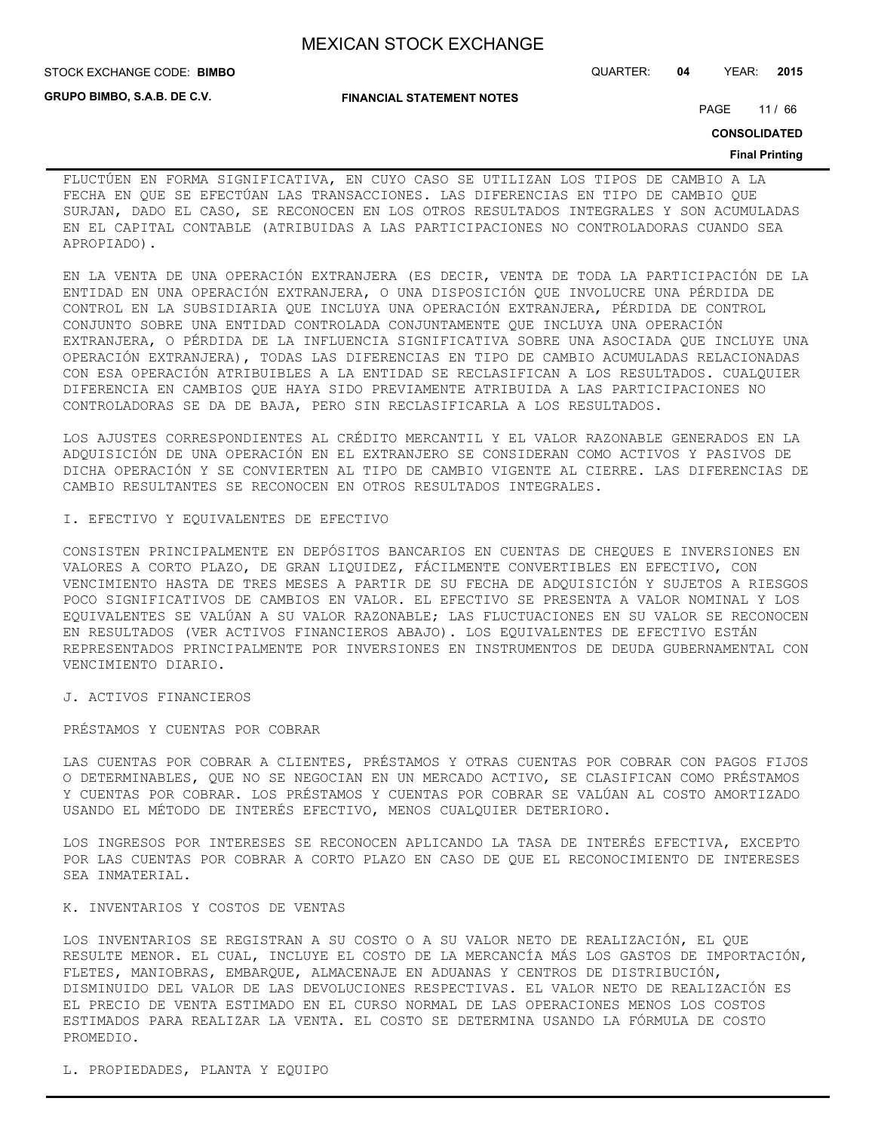**GRUPO BIMBO, S.A.B. DE C.V.**

STOCK EXCHANGE CODE: QUARTER: **04** YEAR: **2015 BIMBO**

**FINANCIAL STATEMENT NOTES**

PAGE 11 / 66

**CONSOLIDATED**

#### **Final Printing**

FLUCTÚEN EN FORMA SIGNIFICATIVA, EN CUYO CASO SE UTILIZAN LOS TIPOS DE CAMBIO A LA FECHA EN QUE SE EFECTÚAN LAS TRANSACCIONES. LAS DIFERENCIAS EN TIPO DE CAMBIO QUE SURJAN, DADO EL CASO, SE RECONOCEN EN LOS OTROS RESULTADOS INTEGRALES Y SON ACUMULADAS EN EL CAPITAL CONTABLE (ATRIBUIDAS A LAS PARTICIPACIONES NO CONTROLADORAS CUANDO SEA APROPIADO).

EN LA VENTA DE UNA OPERACIÓN EXTRANJERA (ES DECIR, VENTA DE TODA LA PARTICIPACIÓN DE LA ENTIDAD EN UNA OPERACIÓN EXTRANJERA, O UNA DISPOSICIÓN QUE INVOLUCRE UNA PÉRDIDA DE CONTROL EN LA SUBSIDIARIA QUE INCLUYA UNA OPERACIÓN EXTRANJERA, PÉRDIDA DE CONTROL CONJUNTO SOBRE UNA ENTIDAD CONTROLADA CONJUNTAMENTE QUE INCLUYA UNA OPERACIÓN EXTRANJERA, O PÉRDIDA DE LA INFLUENCIA SIGNIFICATIVA SOBRE UNA ASOCIADA QUE INCLUYE UNA OPERACIÓN EXTRANJERA), TODAS LAS DIFERENCIAS EN TIPO DE CAMBIO ACUMULADAS RELACIONADAS CON ESA OPERACIÓN ATRIBUIBLES A LA ENTIDAD SE RECLASIFICAN A LOS RESULTADOS. CUALQUIER DIFERENCIA EN CAMBIOS QUE HAYA SIDO PREVIAMENTE ATRIBUIDA A LAS PARTICIPACIONES NO CONTROLADORAS SE DA DE BAJA, PERO SIN RECLASIFICARLA A LOS RESULTADOS.

LOS AJUSTES CORRESPONDIENTES AL CRÉDITO MERCANTIL Y EL VALOR RAZONABLE GENERADOS EN LA ADQUISICIÓN DE UNA OPERACIÓN EN EL EXTRANJERO SE CONSIDERAN COMO ACTIVOS Y PASIVOS DE DICHA OPERACIÓN Y SE CONVIERTEN AL TIPO DE CAMBIO VIGENTE AL CIERRE. LAS DIFERENCIAS DE CAMBIO RESULTANTES SE RECONOCEN EN OTROS RESULTADOS INTEGRALES.

#### I. EFECTIVO Y EQUIVALENTES DE EFECTIVO

CONSISTEN PRINCIPALMENTE EN DEPÓSITOS BANCARIOS EN CUENTAS DE CHEQUES E INVERSIONES EN VALORES A CORTO PLAZO, DE GRAN LIQUIDEZ, FÁCILMENTE CONVERTIBLES EN EFECTIVO, CON VENCIMIENTO HASTA DE TRES MESES A PARTIR DE SU FECHA DE ADQUISICIÓN Y SUJETOS A RIESGOS POCO SIGNIFICATIVOS DE CAMBIOS EN VALOR. EL EFECTIVO SE PRESENTA A VALOR NOMINAL Y LOS EQUIVALENTES SE VALÚAN A SU VALOR RAZONABLE; LAS FLUCTUACIONES EN SU VALOR SE RECONOCEN EN RESULTADOS (VER ACTIVOS FINANCIEROS ABAJO). LOS EQUIVALENTES DE EFECTIVO ESTÁN REPRESENTADOS PRINCIPALMENTE POR INVERSIONES EN INSTRUMENTOS DE DEUDA GUBERNAMENTAL CON VENCIMIENTO DIARIO.

J. ACTIVOS FINANCIEROS

PRÉSTAMOS Y CUENTAS POR COBRAR

LAS CUENTAS POR COBRAR A CLIENTES, PRÉSTAMOS Y OTRAS CUENTAS POR COBRAR CON PAGOS FIJOS O DETERMINABLES, QUE NO SE NEGOCIAN EN UN MERCADO ACTIVO, SE CLASIFICAN COMO PRÉSTAMOS Y CUENTAS POR COBRAR. LOS PRÉSTAMOS Y CUENTAS POR COBRAR SE VALÚAN AL COSTO AMORTIZADO USANDO EL MÉTODO DE INTERÉS EFECTIVO, MENOS CUALQUIER DETERIORO.

LOS INGRESOS POR INTERESES SE RECONOCEN APLICANDO LA TASA DE INTERÉS EFECTIVA, EXCEPTO POR LAS CUENTAS POR COBRAR A CORTO PLAZO EN CASO DE QUE EL RECONOCIMIENTO DE INTERESES SEA INMATERIAL.

#### K. INVENTARIOS Y COSTOS DE VENTAS

LOS INVENTARIOS SE REGISTRAN A SU COSTO O A SU VALOR NETO DE REALIZACIÓN, EL QUE RESULTE MENOR. EL CUAL, INCLUYE EL COSTO DE LA MERCANCÍA MÁS LOS GASTOS DE IMPORTACIÓN, FLETES, MANIOBRAS, EMBARQUE, ALMACENAJE EN ADUANAS Y CENTROS DE DISTRIBUCIÓN, DISMINUIDO DEL VALOR DE LAS DEVOLUCIONES RESPECTIVAS. EL VALOR NETO DE REALIZACIÓN ES EL PRECIO DE VENTA ESTIMADO EN EL CURSO NORMAL DE LAS OPERACIONES MENOS LOS COSTOS ESTIMADOS PARA REALIZAR LA VENTA. EL COSTO SE DETERMINA USANDO LA FÓRMULA DE COSTO PROMEDIO.

L. PROPIEDADES, PLANTA Y EQUIPO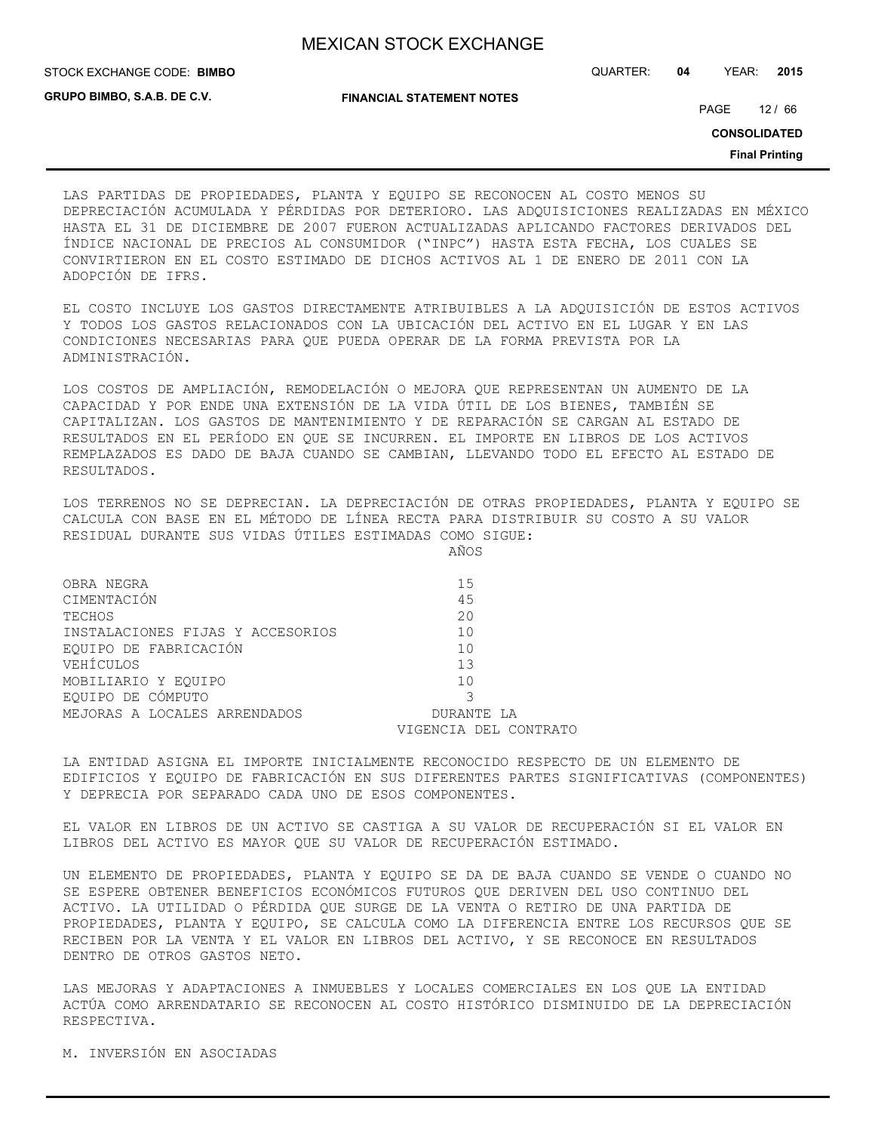STOCK EXCHANGE CODE: QUARTER: **04** YEAR: **2015 BIMBO**

**GRUPO BIMBO, S.A.B. DE C.V.**

**FINANCIAL STATEMENT NOTES**

PAGE 12 / 66

**CONSOLIDATED**

**Final Printing**

LAS PARTIDAS DE PROPIEDADES, PLANTA Y EQUIPO SE RECONOCEN AL COSTO MENOS SU DEPRECIACIÓN ACUMULADA Y PÉRDIDAS POR DETERIORO. LAS ADQUISICIONES REALIZADAS EN MÉXICO HASTA EL 31 DE DICIEMBRE DE 2007 FUERON ACTUALIZADAS APLICANDO FACTORES DERIVADOS DEL ÍNDICE NACIONAL DE PRECIOS AL CONSUMIDOR ("INPC") HASTA ESTA FECHA, LOS CUALES SE CONVIRTIERON EN EL COSTO ESTIMADO DE DICHOS ACTIVOS AL 1 DE ENERO DE 2011 CON LA ADOPCIÓN DE IFRS.

EL COSTO INCLUYE LOS GASTOS DIRECTAMENTE ATRIBUIBLES A LA ADQUISICIÓN DE ESTOS ACTIVOS Y TODOS LOS GASTOS RELACIONADOS CON LA UBICACIÓN DEL ACTIVO EN EL LUGAR Y EN LAS CONDICIONES NECESARIAS PARA QUE PUEDA OPERAR DE LA FORMA PREVISTA POR LA ADMINISTRACIÓN.

LOS COSTOS DE AMPLIACIÓN, REMODELACIÓN O MEJORA QUE REPRESENTAN UN AUMENTO DE LA CAPACIDAD Y POR ENDE UNA EXTENSIÓN DE LA VIDA ÚTIL DE LOS BIENES, TAMBIÉN SE CAPITALIZAN. LOS GASTOS DE MANTENIMIENTO Y DE REPARACIÓN SE CARGAN AL ESTADO DE RESULTADOS EN EL PERÍODO EN QUE SE INCURREN. EL IMPORTE EN LIBROS DE LOS ACTIVOS REMPLAZADOS ES DADO DE BAJA CUANDO SE CAMBIAN, LLEVANDO TODO EL EFECTO AL ESTADO DE RESULTADOS.

LOS TERRENOS NO SE DEPRECIAN. LA DEPRECIACIÓN DE OTRAS PROPIEDADES, PLANTA Y EQUIPO SE CALCULA CON BASE EN EL MÉTODO DE LÍNEA RECTA PARA DISTRIBUIR SU COSTO A SU VALOR RESIDUAL DURANTE SUS VIDAS ÚTILES ESTIMADAS COMO SIGUE:

AÑOS

| OBRA NEGRA                       | 15                    |
|----------------------------------|-----------------------|
| CIMENTACIÓN                      | 45                    |
| TECHOS                           | 20                    |
| INSTALACIONES FIJAS Y ACCESORIOS | 10                    |
| EQUIPO DE FABRICACIÓN            | 10                    |
| VEHÍCULOS                        | 13                    |
| MOBILIARIO Y EOUIPO              | 10                    |
| EQUIPO DE CÓMPUTO                |                       |
| MEJORAS A LOCALES ARRENDADOS     | DURANTE LA            |
|                                  | VIGENCIA DEL CONTRATO |
|                                  |                       |

LA ENTIDAD ASIGNA EL IMPORTE INICIALMENTE RECONOCIDO RESPECTO DE UN ELEMENTO DE EDIFICIOS Y EQUIPO DE FABRICACIÓN EN SUS DIFERENTES PARTES SIGNIFICATIVAS (COMPONENTES) Y DEPRECIA POR SEPARADO CADA UNO DE ESOS COMPONENTES.

EL VALOR EN LIBROS DE UN ACTIVO SE CASTIGA A SU VALOR DE RECUPERACIÓN SI EL VALOR EN LIBROS DEL ACTIVO ES MAYOR QUE SU VALOR DE RECUPERACIÓN ESTIMADO.

UN ELEMENTO DE PROPIEDADES, PLANTA Y EQUIPO SE DA DE BAJA CUANDO SE VENDE O CUANDO NO SE ESPERE OBTENER BENEFICIOS ECONÓMICOS FUTUROS QUE DERIVEN DEL USO CONTINUO DEL ACTIVO. LA UTILIDAD O PÉRDIDA QUE SURGE DE LA VENTA O RETIRO DE UNA PARTIDA DE PROPIEDADES, PLANTA Y EQUIPO, SE CALCULA COMO LA DIFERENCIA ENTRE LOS RECURSOS QUE SE RECIBEN POR LA VENTA Y EL VALOR EN LIBROS DEL ACTIVO, Y SE RECONOCE EN RESULTADOS DENTRO DE OTROS GASTOS NETO.

LAS MEJORAS Y ADAPTACIONES A INMUEBLES Y LOCALES COMERCIALES EN LOS QUE LA ENTIDAD ACTÚA COMO ARRENDATARIO SE RECONOCEN AL COSTO HISTÓRICO DISMINUIDO DE LA DEPRECIACIÓN RESPECTIVA.

M. INVERSIÓN EN ASOCIADAS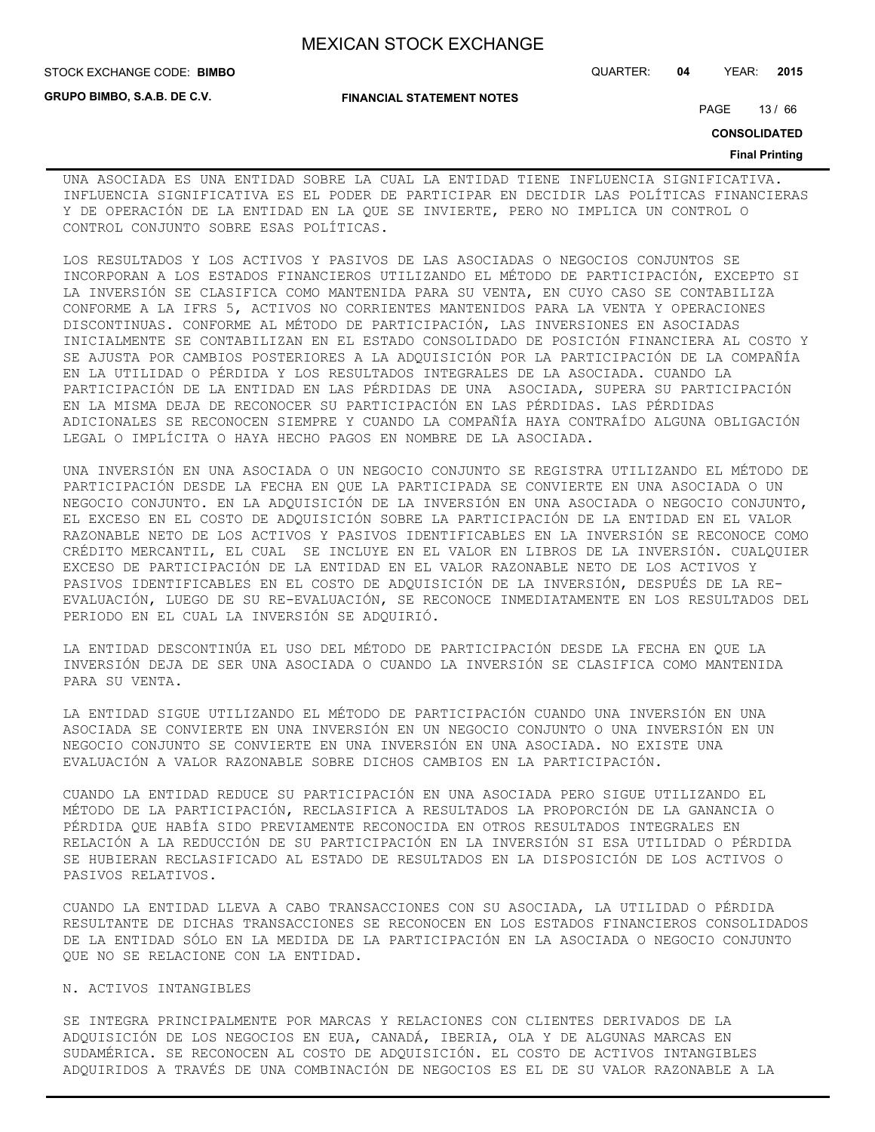**STOCK EXCHANGE CODE: BIMBO** 

**GRUPO BIMBO, S.A.B. DE C.V.**

STOCK EXCHANGE CODE: QUARTER: **04** YEAR: **2015**

**FINANCIAL STATEMENT NOTES**

PAGE 13 / 66

**CONSOLIDATED**

#### **Final Printing**

UNA ASOCIADA ES UNA ENTIDAD SOBRE LA CUAL LA ENTIDAD TIENE INFLUENCIA SIGNIFICATIVA. INFLUENCIA SIGNIFICATIVA ES EL PODER DE PARTICIPAR EN DECIDIR LAS POLÍTICAS FINANCIERAS Y DE OPERACIÓN DE LA ENTIDAD EN LA QUE SE INVIERTE, PERO NO IMPLICA UN CONTROL O CONTROL CONJUNTO SOBRE ESAS POLÍTICAS.

LOS RESULTADOS Y LOS ACTIVOS Y PASIVOS DE LAS ASOCIADAS O NEGOCIOS CONJUNTOS SE INCORPORAN A LOS ESTADOS FINANCIEROS UTILIZANDO EL MÉTODO DE PARTICIPACIÓN, EXCEPTO SI LA INVERSIÓN SE CLASIFICA COMO MANTENIDA PARA SU VENTA, EN CUYO CASO SE CONTABILIZA CONFORME A LA IFRS 5, ACTIVOS NO CORRIENTES MANTENIDOS PARA LA VENTA Y OPERACIONES DISCONTINUAS. CONFORME AL MÉTODO DE PARTICIPACIÓN, LAS INVERSIONES EN ASOCIADAS INICIALMENTE SE CONTABILIZAN EN EL ESTADO CONSOLIDADO DE POSICIÓN FINANCIERA AL COSTO Y SE AJUSTA POR CAMBIOS POSTERIORES A LA ADQUISICIÓN POR LA PARTICIPACIÓN DE LA COMPAÑÍA EN LA UTILIDAD O PÉRDIDA Y LOS RESULTADOS INTEGRALES DE LA ASOCIADA. CUANDO LA PARTICIPACIÓN DE LA ENTIDAD EN LAS PÉRDIDAS DE UNA ASOCIADA, SUPERA SU PARTICIPACIÓN EN LA MISMA DEJA DE RECONOCER SU PARTICIPACIÓN EN LAS PÉRDIDAS. LAS PÉRDIDAS ADICIONALES SE RECONOCEN SIEMPRE Y CUANDO LA COMPAÑÍA HAYA CONTRAÍDO ALGUNA OBLIGACIÓN LEGAL O IMPLÍCITA O HAYA HECHO PAGOS EN NOMBRE DE LA ASOCIADA.

UNA INVERSIÓN EN UNA ASOCIADA O UN NEGOCIO CONJUNTO SE REGISTRA UTILIZANDO EL MÉTODO DE PARTICIPACIÓN DESDE LA FECHA EN QUE LA PARTICIPADA SE CONVIERTE EN UNA ASOCIADA O UN NEGOCIO CONJUNTO. EN LA ADQUISICIÓN DE LA INVERSIÓN EN UNA ASOCIADA O NEGOCIO CONJUNTO, EL EXCESO EN EL COSTO DE ADQUISICIÓN SOBRE LA PARTICIPACIÓN DE LA ENTIDAD EN EL VALOR RAZONABLE NETO DE LOS ACTIVOS Y PASIVOS IDENTIFICABLES EN LA INVERSIÓN SE RECONOCE COMO CRÉDITO MERCANTIL, EL CUAL SE INCLUYE EN EL VALOR EN LIBROS DE LA INVERSIÓN. CUALQUIER EXCESO DE PARTICIPACIÓN DE LA ENTIDAD EN EL VALOR RAZONABLE NETO DE LOS ACTIVOS Y PASIVOS IDENTIFICABLES EN EL COSTO DE ADQUISICIÓN DE LA INVERSIÓN, DESPUÉS DE LA RE-EVALUACIÓN, LUEGO DE SU RE-EVALUACIÓN, SE RECONOCE INMEDIATAMENTE EN LOS RESULTADOS DEL PERIODO EN EL CUAL LA INVERSIÓN SE ADQUIRIÓ.

LA ENTIDAD DESCONTINÚA EL USO DEL MÉTODO DE PARTICIPACIÓN DESDE LA FECHA EN QUE LA INVERSIÓN DEJA DE SER UNA ASOCIADA O CUANDO LA INVERSIÓN SE CLASIFICA COMO MANTENIDA PARA SU VENTA.

LA ENTIDAD SIGUE UTILIZANDO EL MÉTODO DE PARTICIPACIÓN CUANDO UNA INVERSIÓN EN UNA ASOCIADA SE CONVIERTE EN UNA INVERSIÓN EN UN NEGOCIO CONJUNTO O UNA INVERSIÓN EN UN NEGOCIO CONJUNTO SE CONVIERTE EN UNA INVERSIÓN EN UNA ASOCIADA. NO EXISTE UNA EVALUACIÓN A VALOR RAZONABLE SOBRE DICHOS CAMBIOS EN LA PARTICIPACIÓN.

CUANDO LA ENTIDAD REDUCE SU PARTICIPACIÓN EN UNA ASOCIADA PERO SIGUE UTILIZANDO EL MÉTODO DE LA PARTICIPACIÓN, RECLASIFICA A RESULTADOS LA PROPORCIÓN DE LA GANANCIA O PÉRDIDA QUE HABÍA SIDO PREVIAMENTE RECONOCIDA EN OTROS RESULTADOS INTEGRALES EN RELACIÓN A LA REDUCCIÓN DE SU PARTICIPACIÓN EN LA INVERSIÓN SI ESA UTILIDAD O PÉRDIDA SE HUBIERAN RECLASIFICADO AL ESTADO DE RESULTADOS EN LA DISPOSICIÓN DE LOS ACTIVOS O PASIVOS RELATIVOS.

CUANDO LA ENTIDAD LLEVA A CABO TRANSACCIONES CON SU ASOCIADA, LA UTILIDAD O PÉRDIDA RESULTANTE DE DICHAS TRANSACCIONES SE RECONOCEN EN LOS ESTADOS FINANCIEROS CONSOLIDADOS DE LA ENTIDAD SÓLO EN LA MEDIDA DE LA PARTICIPACIÓN EN LA ASOCIADA O NEGOCIO CONJUNTO QUE NO SE RELACIONE CON LA ENTIDAD.

### N. ACTIVOS INTANGIBLES

SE INTEGRA PRINCIPALMENTE POR MARCAS Y RELACIONES CON CLIENTES DERIVADOS DE LA ADQUISICIÓN DE LOS NEGOCIOS EN EUA, CANADÁ, IBERIA, OLA Y DE ALGUNAS MARCAS EN SUDAMÉRICA. SE RECONOCEN AL COSTO DE ADQUISICIÓN. EL COSTO DE ACTIVOS INTANGIBLES ADQUIRIDOS A TRAVÉS DE UNA COMBINACIÓN DE NEGOCIOS ES EL DE SU VALOR RAZONABLE A LA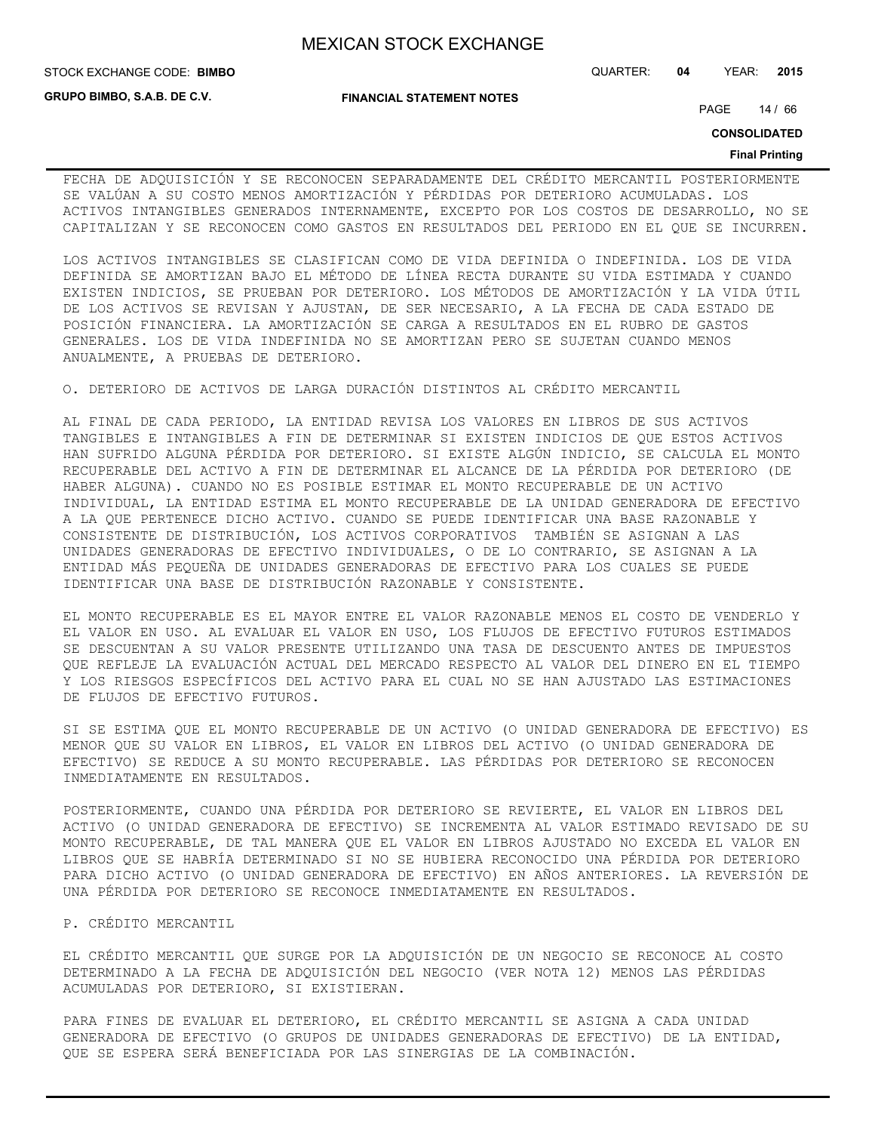**STOCK EXCHANGE CODE: BIMBO** 

**GRUPO BIMBO, S.A.B. DE C.V.**

STOCK EXCHANGE CODE: QUARTER: **04** YEAR: **2015**

**FINANCIAL STATEMENT NOTES**

PAGE 14 / 66

**CONSOLIDATED**

#### **Final Printing**

FECHA DE ADQUISICIÓN Y SE RECONOCEN SEPARADAMENTE DEL CRÉDITO MERCANTIL POSTERIORMENTE SE VALÚAN A SU COSTO MENOS AMORTIZACIÓN Y PÉRDIDAS POR DETERIORO ACUMULADAS. LOS ACTIVOS INTANGIBLES GENERADOS INTERNAMENTE, EXCEPTO POR LOS COSTOS DE DESARROLLO, NO SE CAPITALIZAN Y SE RECONOCEN COMO GASTOS EN RESULTADOS DEL PERIODO EN EL QUE SE INCURREN.

LOS ACTIVOS INTANGIBLES SE CLASIFICAN COMO DE VIDA DEFINIDA O INDEFINIDA. LOS DE VIDA DEFINIDA SE AMORTIZAN BAJO EL MÉTODO DE LÍNEA RECTA DURANTE SU VIDA ESTIMADA Y CUANDO EXISTEN INDICIOS, SE PRUEBAN POR DETERIORO. LOS MÉTODOS DE AMORTIZACIÓN Y LA VIDA ÚTIL DE LOS ACTIVOS SE REVISAN Y AJUSTAN, DE SER NECESARIO, A LA FECHA DE CADA ESTADO DE POSICIÓN FINANCIERA. LA AMORTIZACIÓN SE CARGA A RESULTADOS EN EL RUBRO DE GASTOS GENERALES. LOS DE VIDA INDEFINIDA NO SE AMORTIZAN PERO SE SUJETAN CUANDO MENOS ANUALMENTE, A PRUEBAS DE DETERIORO.

O. DETERIORO DE ACTIVOS DE LARGA DURACIÓN DISTINTOS AL CRÉDITO MERCANTIL

AL FINAL DE CADA PERIODO, LA ENTIDAD REVISA LOS VALORES EN LIBROS DE SUS ACTIVOS TANGIBLES E INTANGIBLES A FIN DE DETERMINAR SI EXISTEN INDICIOS DE QUE ESTOS ACTIVOS HAN SUFRIDO ALGUNA PÉRDIDA POR DETERIORO. SI EXISTE ALGÚN INDICIO, SE CALCULA EL MONTO RECUPERABLE DEL ACTIVO A FIN DE DETERMINAR EL ALCANCE DE LA PÉRDIDA POR DETERIORO (DE HABER ALGUNA). CUANDO NO ES POSIBLE ESTIMAR EL MONTO RECUPERABLE DE UN ACTIVO INDIVIDUAL, LA ENTIDAD ESTIMA EL MONTO RECUPERABLE DE LA UNIDAD GENERADORA DE EFECTIVO A LA QUE PERTENECE DICHO ACTIVO. CUANDO SE PUEDE IDENTIFICAR UNA BASE RAZONABLE Y CONSISTENTE DE DISTRIBUCIÓN, LOS ACTIVOS CORPORATIVOS TAMBIÉN SE ASIGNAN A LAS UNIDADES GENERADORAS DE EFECTIVO INDIVIDUALES, O DE LO CONTRARIO, SE ASIGNAN A LA ENTIDAD MÁS PEQUEÑA DE UNIDADES GENERADORAS DE EFECTIVO PARA LOS CUALES SE PUEDE IDENTIFICAR UNA BASE DE DISTRIBUCIÓN RAZONABLE Y CONSISTENTE.

EL MONTO RECUPERABLE ES EL MAYOR ENTRE EL VALOR RAZONABLE MENOS EL COSTO DE VENDERLO Y EL VALOR EN USO. AL EVALUAR EL VALOR EN USO, LOS FLUJOS DE EFECTIVO FUTUROS ESTIMADOS SE DESCUENTAN A SU VALOR PRESENTE UTILIZANDO UNA TASA DE DESCUENTO ANTES DE IMPUESTOS QUE REFLEJE LA EVALUACIÓN ACTUAL DEL MERCADO RESPECTO AL VALOR DEL DINERO EN EL TIEMPO Y LOS RIESGOS ESPECÍFICOS DEL ACTIVO PARA EL CUAL NO SE HAN AJUSTADO LAS ESTIMACIONES DE FLUJOS DE EFECTIVO FUTUROS.

SI SE ESTIMA QUE EL MONTO RECUPERABLE DE UN ACTIVO (O UNIDAD GENERADORA DE EFECTIVO) ES MENOR QUE SU VALOR EN LIBROS, EL VALOR EN LIBROS DEL ACTIVO (O UNIDAD GENERADORA DE EFECTIVO) SE REDUCE A SU MONTO RECUPERABLE. LAS PÉRDIDAS POR DETERIORO SE RECONOCEN INMEDIATAMENTE EN RESULTADOS.

POSTERIORMENTE, CUANDO UNA PÉRDIDA POR DETERIORO SE REVIERTE, EL VALOR EN LIBROS DEL ACTIVO (O UNIDAD GENERADORA DE EFECTIVO) SE INCREMENTA AL VALOR ESTIMADO REVISADO DE SU MONTO RECUPERABLE, DE TAL MANERA QUE EL VALOR EN LIBROS AJUSTADO NO EXCEDA EL VALOR EN LIBROS QUE SE HABRÍA DETERMINADO SI NO SE HUBIERA RECONOCIDO UNA PÉRDIDA POR DETERIORO PARA DICHO ACTIVO (O UNIDAD GENERADORA DE EFECTIVO) EN AÑOS ANTERIORES. LA REVERSIÓN DE UNA PÉRDIDA POR DETERIORO SE RECONOCE INMEDIATAMENTE EN RESULTADOS.

P. CRÉDITO MERCANTIL

EL CRÉDITO MERCANTIL QUE SURGE POR LA ADQUISICIÓN DE UN NEGOCIO SE RECONOCE AL COSTO DETERMINADO A LA FECHA DE ADQUISICIÓN DEL NEGOCIO (VER NOTA 12) MENOS LAS PÉRDIDAS ACUMULADAS POR DETERIORO, SI EXISTIERAN.

PARA FINES DE EVALUAR EL DETERIORO, EL CRÉDITO MERCANTIL SE ASIGNA A CADA UNIDAD GENERADORA DE EFECTIVO (O GRUPOS DE UNIDADES GENERADORAS DE EFECTIVO) DE LA ENTIDAD, QUE SE ESPERA SERÁ BENEFICIADA POR LAS SINERGIAS DE LA COMBINACIÓN.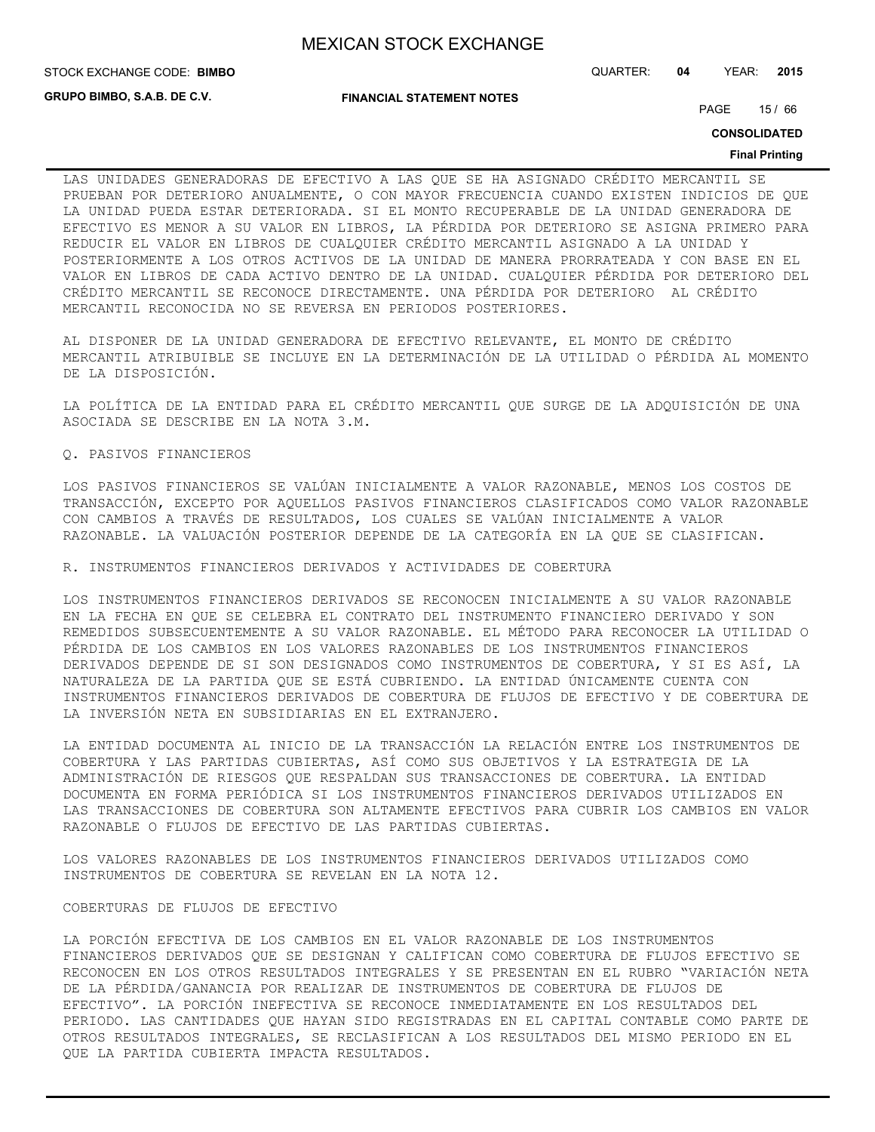STOCK EXCHANGE CODE: QUARTER: **04** YEAR: **2015 BIMBO**

**GRUPO BIMBO, S.A.B. DE C.V.**

**FINANCIAL STATEMENT NOTES**

PAGE 15 / 66

**CONSOLIDATED**

#### **Final Printing**

LAS UNIDADES GENERADORAS DE EFECTIVO A LAS QUE SE HA ASIGNADO CRÉDITO MERCANTIL SE PRUEBAN POR DETERIORO ANUALMENTE, O CON MAYOR FRECUENCIA CUANDO EXISTEN INDICIOS DE QUE LA UNIDAD PUEDA ESTAR DETERIORADA. SI EL MONTO RECUPERABLE DE LA UNIDAD GENERADORA DE EFECTIVO ES MENOR A SU VALOR EN LIBROS, LA PÉRDIDA POR DETERIORO SE ASIGNA PRIMERO PARA REDUCIR EL VALOR EN LIBROS DE CUALQUIER CRÉDITO MERCANTIL ASIGNADO A LA UNIDAD Y POSTERIORMENTE A LOS OTROS ACTIVOS DE LA UNIDAD DE MANERA PRORRATEADA Y CON BASE EN EL VALOR EN LIBROS DE CADA ACTIVO DENTRO DE LA UNIDAD. CUALQUIER PÉRDIDA POR DETERIORO DEL CRÉDITO MERCANTIL SE RECONOCE DIRECTAMENTE. UNA PÉRDIDA POR DETERIORO AL CRÉDITO MERCANTIL RECONOCIDA NO SE REVERSA EN PERIODOS POSTERIORES.

AL DISPONER DE LA UNIDAD GENERADORA DE EFECTIVO RELEVANTE, EL MONTO DE CRÉDITO MERCANTIL ATRIBUIBLE SE INCLUYE EN LA DETERMINACIÓN DE LA UTILIDAD O PÉRDIDA AL MOMENTO DE LA DISPOSICIÓN.

LA POLÍTICA DE LA ENTIDAD PARA EL CRÉDITO MERCANTIL QUE SURGE DE LA ADQUISICIÓN DE UNA ASOCIADA SE DESCRIBE EN LA NOTA 3.M.

#### Q. PASIVOS FINANCIEROS

LOS PASIVOS FINANCIEROS SE VALÚAN INICIALMENTE A VALOR RAZONABLE, MENOS LOS COSTOS DE TRANSACCIÓN, EXCEPTO POR AQUELLOS PASIVOS FINANCIEROS CLASIFICADOS COMO VALOR RAZONABLE CON CAMBIOS A TRAVÉS DE RESULTADOS, LOS CUALES SE VALÚAN INICIALMENTE A VALOR RAZONABLE. LA VALUACIÓN POSTERIOR DEPENDE DE LA CATEGORÍA EN LA QUE SE CLASIFICAN.

R. INSTRUMENTOS FINANCIEROS DERIVADOS Y ACTIVIDADES DE COBERTURA

LOS INSTRUMENTOS FINANCIEROS DERIVADOS SE RECONOCEN INICIALMENTE A SU VALOR RAZONABLE EN LA FECHA EN QUE SE CELEBRA EL CONTRATO DEL INSTRUMENTO FINANCIERO DERIVADO Y SON REMEDIDOS SUBSECUENTEMENTE A SU VALOR RAZONABLE. EL MÉTODO PARA RECONOCER LA UTILIDAD O PÉRDIDA DE LOS CAMBIOS EN LOS VALORES RAZONABLES DE LOS INSTRUMENTOS FINANCIEROS DERIVADOS DEPENDE DE SI SON DESIGNADOS COMO INSTRUMENTOS DE COBERTURA, Y SI ES ASÍ, LA NATURALEZA DE LA PARTIDA QUE SE ESTÁ CUBRIENDO. LA ENTIDAD ÚNICAMENTE CUENTA CON INSTRUMENTOS FINANCIEROS DERIVADOS DE COBERTURA DE FLUJOS DE EFECTIVO Y DE COBERTURA DE LA INVERSIÓN NETA EN SUBSIDIARIAS EN EL EXTRANJERO.

LA ENTIDAD DOCUMENTA AL INICIO DE LA TRANSACCIÓN LA RELACIÓN ENTRE LOS INSTRUMENTOS DE COBERTURA Y LAS PARTIDAS CUBIERTAS, ASÍ COMO SUS OBJETIVOS Y LA ESTRATEGIA DE LA ADMINISTRACIÓN DE RIESGOS QUE RESPALDAN SUS TRANSACCIONES DE COBERTURA. LA ENTIDAD DOCUMENTA EN FORMA PERIÓDICA SI LOS INSTRUMENTOS FINANCIEROS DERIVADOS UTILIZADOS EN LAS TRANSACCIONES DE COBERTURA SON ALTAMENTE EFECTIVOS PARA CUBRIR LOS CAMBIOS EN VALOR RAZONABLE O FLUJOS DE EFECTIVO DE LAS PARTIDAS CUBIERTAS.

LOS VALORES RAZONABLES DE LOS INSTRUMENTOS FINANCIEROS DERIVADOS UTILIZADOS COMO INSTRUMENTOS DE COBERTURA SE REVELAN EN LA NOTA 12.

#### COBERTURAS DE FLUJOS DE EFECTIVO

LA PORCIÓN EFECTIVA DE LOS CAMBIOS EN EL VALOR RAZONABLE DE LOS INSTRUMENTOS FINANCIEROS DERIVADOS QUE SE DESIGNAN Y CALIFICAN COMO COBERTURA DE FLUJOS EFECTIVO SE RECONOCEN EN LOS OTROS RESULTADOS INTEGRALES Y SE PRESENTAN EN EL RUBRO "VARIACIÓN NETA DE LA PÉRDIDA/GANANCIA POR REALIZAR DE INSTRUMENTOS DE COBERTURA DE FLUJOS DE EFECTIVO". LA PORCIÓN INEFECTIVA SE RECONOCE INMEDIATAMENTE EN LOS RESULTADOS DEL PERIODO. LAS CANTIDADES QUE HAYAN SIDO REGISTRADAS EN EL CAPITAL CONTABLE COMO PARTE DE OTROS RESULTADOS INTEGRALES, SE RECLASIFICAN A LOS RESULTADOS DEL MISMO PERIODO EN EL QUE LA PARTIDA CUBIERTA IMPACTA RESULTADOS.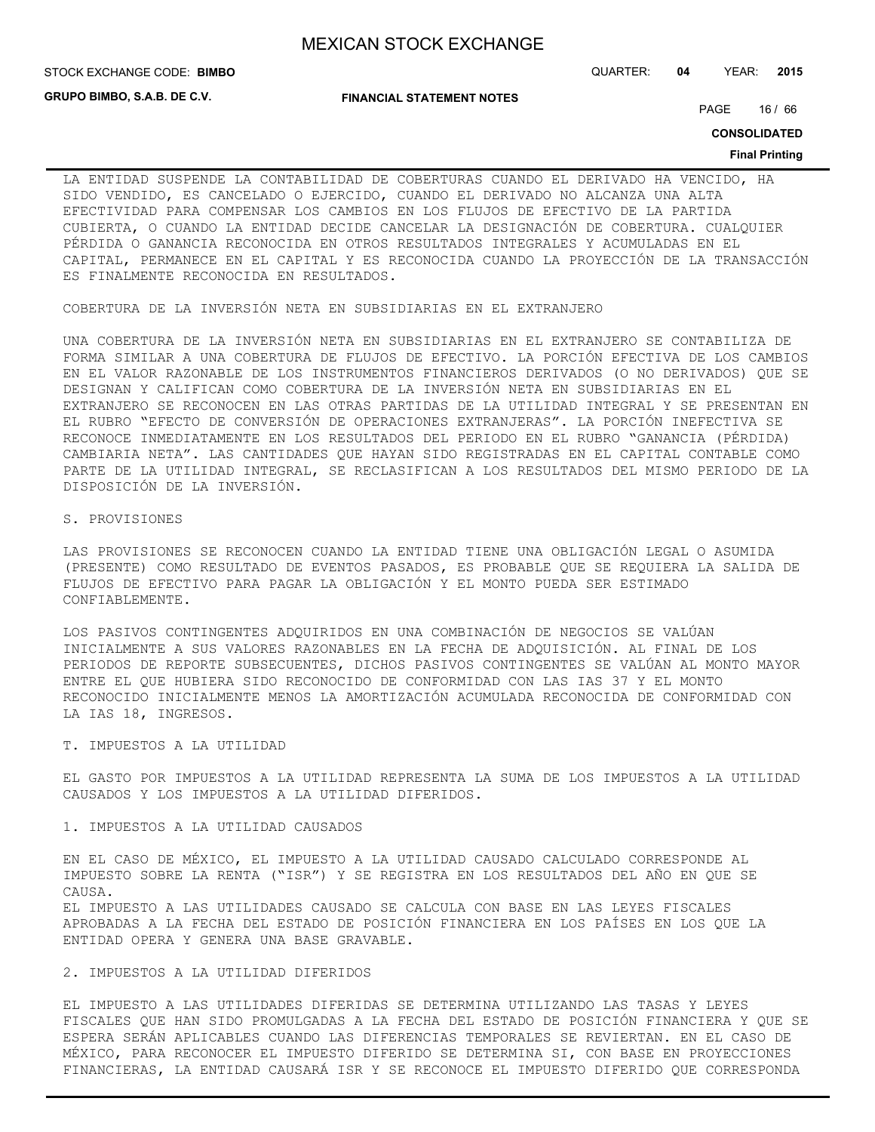**GRUPO BIMBO, S.A.B. DE C.V.**

**FINANCIAL STATEMENT NOTES**

STOCK EXCHANGE CODE: QUARTER: **04** YEAR: **2015 BIMBO**

PAGE 16 / 66

**CONSOLIDATED**

#### **Final Printing**

LA ENTIDAD SUSPENDE LA CONTABILIDAD DE COBERTURAS CUANDO EL DERIVADO HA VENCIDO, HA SIDO VENDIDO, ES CANCELADO O EJERCIDO, CUANDO EL DERIVADO NO ALCANZA UNA ALTA EFECTIVIDAD PARA COMPENSAR LOS CAMBIOS EN LOS FLUJOS DE EFECTIVO DE LA PARTIDA CUBIERTA, O CUANDO LA ENTIDAD DECIDE CANCELAR LA DESIGNACIÓN DE COBERTURA. CUALQUIER PÉRDIDA O GANANCIA RECONOCIDA EN OTROS RESULTADOS INTEGRALES Y ACUMULADAS EN EL CAPITAL, PERMANECE EN EL CAPITAL Y ES RECONOCIDA CUANDO LA PROYECCIÓN DE LA TRANSACCIÓN ES FINALMENTE RECONOCIDA EN RESULTADOS.

COBERTURA DE LA INVERSIÓN NETA EN SUBSIDIARIAS EN EL EXTRANJERO

UNA COBERTURA DE LA INVERSIÓN NETA EN SUBSIDIARIAS EN EL EXTRANJERO SE CONTABILIZA DE FORMA SIMILAR A UNA COBERTURA DE FLUJOS DE EFECTIVO. LA PORCIÓN EFECTIVA DE LOS CAMBIOS EN EL VALOR RAZONABLE DE LOS INSTRUMENTOS FINANCIEROS DERIVADOS (O NO DERIVADOS) QUE SE DESIGNAN Y CALIFICAN COMO COBERTURA DE LA INVERSIÓN NETA EN SUBSIDIARIAS EN EL EXTRANJERO SE RECONOCEN EN LAS OTRAS PARTIDAS DE LA UTILIDAD INTEGRAL Y SE PRESENTAN EN EL RUBRO "EFECTO DE CONVERSIÓN DE OPERACIONES EXTRANJERAS". LA PORCIÓN INEFECTIVA SE RECONOCE INMEDIATAMENTE EN LOS RESULTADOS DEL PERIODO EN EL RUBRO "GANANCIA (PÉRDIDA) CAMBIARIA NETA". LAS CANTIDADES QUE HAYAN SIDO REGISTRADAS EN EL CAPITAL CONTABLE COMO PARTE DE LA UTILIDAD INTEGRAL, SE RECLASIFICAN A LOS RESULTADOS DEL MISMO PERIODO DE LA DISPOSICIÓN DE LA INVERSIÓN.

#### S. PROVISIONES

LAS PROVISIONES SE RECONOCEN CUANDO LA ENTIDAD TIENE UNA OBLIGACIÓN LEGAL O ASUMIDA (PRESENTE) COMO RESULTADO DE EVENTOS PASADOS, ES PROBABLE QUE SE REQUIERA LA SALIDA DE FLUJOS DE EFECTIVO PARA PAGAR LA OBLIGACIÓN Y EL MONTO PUEDA SER ESTIMADO CONFIABLEMENTE.

LOS PASIVOS CONTINGENTES ADQUIRIDOS EN UNA COMBINACIÓN DE NEGOCIOS SE VALÚAN INICIALMENTE A SUS VALORES RAZONABLES EN LA FECHA DE ADQUISICIÓN. AL FINAL DE LOS PERIODOS DE REPORTE SUBSECUENTES, DICHOS PASIVOS CONTINGENTES SE VALÚAN AL MONTO MAYOR ENTRE EL QUE HUBIERA SIDO RECONOCIDO DE CONFORMIDAD CON LAS IAS 37 Y EL MONTO RECONOCIDO INICIALMENTE MENOS LA AMORTIZACIÓN ACUMULADA RECONOCIDA DE CONFORMIDAD CON LA IAS 18, INGRESOS.

#### T. IMPUESTOS A LA UTILIDAD

EL GASTO POR IMPUESTOS A LA UTILIDAD REPRESENTA LA SUMA DE LOS IMPUESTOS A LA UTILIDAD CAUSADOS Y LOS IMPUESTOS A LA UTILIDAD DIFERIDOS.

#### 1. IMPUESTOS A LA UTILIDAD CAUSADOS

EN EL CASO DE MÉXICO, EL IMPUESTO A LA UTILIDAD CAUSADO CALCULADO CORRESPONDE AL IMPUESTO SOBRE LA RENTA ("ISR") Y SE REGISTRA EN LOS RESULTADOS DEL AÑO EN QUE SE CAUSA.

EL IMPUESTO A LAS UTILIDADES CAUSADO SE CALCULA CON BASE EN LAS LEYES FISCALES APROBADAS A LA FECHA DEL ESTADO DE POSICIÓN FINANCIERA EN LOS PAÍSES EN LOS QUE LA ENTIDAD OPERA Y GENERA UNA BASE GRAVABLE.

#### 2. IMPUESTOS A LA UTILIDAD DIFERIDOS

EL IMPUESTO A LAS UTILIDADES DIFERIDAS SE DETERMINA UTILIZANDO LAS TASAS Y LEYES FISCALES QUE HAN SIDO PROMULGADAS A LA FECHA DEL ESTADO DE POSICIÓN FINANCIERA Y QUE SE ESPERA SERÁN APLICABLES CUANDO LAS DIFERENCIAS TEMPORALES SE REVIERTAN. EN EL CASO DE MÉXICO, PARA RECONOCER EL IMPUESTO DIFERIDO SE DETERMINA SI, CON BASE EN PROYECCIONES FINANCIERAS, LA ENTIDAD CAUSARÁ ISR Y SE RECONOCE EL IMPUESTO DIFERIDO QUE CORRESPONDA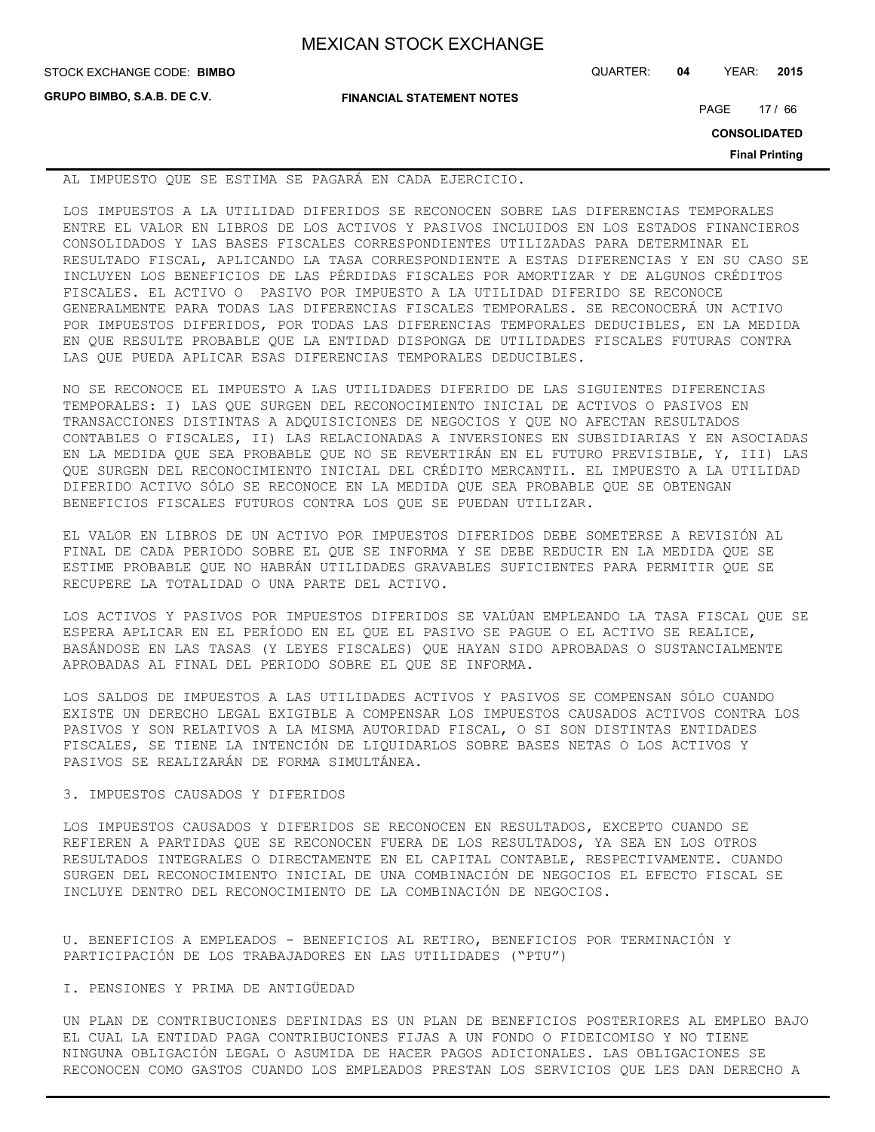| <b>MEXICAN STOCK EXCHANGE</b> |  |  |  |
|-------------------------------|--|--|--|
|-------------------------------|--|--|--|

| STOCK EXCHANGE CODE: BIMBO  |                                  | QUARTER: | 04 | YEAR:               | 2015                  |
|-----------------------------|----------------------------------|----------|----|---------------------|-----------------------|
| GRUPO BIMBO, S.A.B. DE C.V. | <b>FINANCIAL STATEMENT NOTES</b> |          |    | PAGE                | 17/66                 |
|                             |                                  |          |    | <b>CONSOLIDATED</b> |                       |
|                             |                                  |          |    |                     | <b>Final Printing</b> |

AL IMPUESTO QUE SE ESTIMA SE PAGARÁ EN CADA EJERCICIO.

LOS IMPUESTOS A LA UTILIDAD DIFERIDOS SE RECONOCEN SOBRE LAS DIFERENCIAS TEMPORALES ENTRE EL VALOR EN LIBROS DE LOS ACTIVOS Y PASIVOS INCLUIDOS EN LOS ESTADOS FINANCIEROS CONSOLIDADOS Y LAS BASES FISCALES CORRESPONDIENTES UTILIZADAS PARA DETERMINAR EL RESULTADO FISCAL, APLICANDO LA TASA CORRESPONDIENTE A ESTAS DIFERENCIAS Y EN SU CASO SE INCLUYEN LOS BENEFICIOS DE LAS PÉRDIDAS FISCALES POR AMORTIZAR Y DE ALGUNOS CRÉDITOS FISCALES. EL ACTIVO O PASIVO POR IMPUESTO A LA UTILIDAD DIFERIDO SE RECONOCE GENERALMENTE PARA TODAS LAS DIFERENCIAS FISCALES TEMPORALES. SE RECONOCERÁ UN ACTIVO POR IMPUESTOS DIFERIDOS, POR TODAS LAS DIFERENCIAS TEMPORALES DEDUCIBLES, EN LA MEDIDA EN QUE RESULTE PROBABLE QUE LA ENTIDAD DISPONGA DE UTILIDADES FISCALES FUTURAS CONTRA LAS QUE PUEDA APLICAR ESAS DIFERENCIAS TEMPORALES DEDUCIBLES.

NO SE RECONOCE EL IMPUESTO A LAS UTILIDADES DIFERIDO DE LAS SIGUIENTES DIFERENCIAS TEMPORALES: I) LAS QUE SURGEN DEL RECONOCIMIENTO INICIAL DE ACTIVOS O PASIVOS EN TRANSACCIONES DISTINTAS A ADQUISICIONES DE NEGOCIOS Y QUE NO AFECTAN RESULTADOS CONTABLES O FISCALES, II) LAS RELACIONADAS A INVERSIONES EN SUBSIDIARIAS Y EN ASOCIADAS EN LA MEDIDA QUE SEA PROBABLE QUE NO SE REVERTIRÁN EN EL FUTURO PREVISIBLE, Y, III) LAS QUE SURGEN DEL RECONOCIMIENTO INICIAL DEL CRÉDITO MERCANTIL. EL IMPUESTO A LA UTILIDAD DIFERIDO ACTIVO SÓLO SE RECONOCE EN LA MEDIDA QUE SEA PROBABLE QUE SE OBTENGAN BENEFICIOS FISCALES FUTUROS CONTRA LOS QUE SE PUEDAN UTILIZAR.

EL VALOR EN LIBROS DE UN ACTIVO POR IMPUESTOS DIFERIDOS DEBE SOMETERSE A REVISIÓN AL FINAL DE CADA PERIODO SOBRE EL QUE SE INFORMA Y SE DEBE REDUCIR EN LA MEDIDA QUE SE ESTIME PROBABLE QUE NO HABRÁN UTILIDADES GRAVABLES SUFICIENTES PARA PERMITIR QUE SE RECUPERE LA TOTALIDAD O UNA PARTE DEL ACTIVO.

LOS ACTIVOS Y PASIVOS POR IMPUESTOS DIFERIDOS SE VALÚAN EMPLEANDO LA TASA FISCAL QUE SE ESPERA APLICAR EN EL PERÍODO EN EL QUE EL PASIVO SE PAGUE O EL ACTIVO SE REALICE, BASÁNDOSE EN LAS TASAS (Y LEYES FISCALES) QUE HAYAN SIDO APROBADAS O SUSTANCIALMENTE APROBADAS AL FINAL DEL PERIODO SOBRE EL QUE SE INFORMA.

LOS SALDOS DE IMPUESTOS A LAS UTILIDADES ACTIVOS Y PASIVOS SE COMPENSAN SÓLO CUANDO EXISTE UN DERECHO LEGAL EXIGIBLE A COMPENSAR LOS IMPUESTOS CAUSADOS ACTIVOS CONTRA LOS PASIVOS Y SON RELATIVOS A LA MISMA AUTORIDAD FISCAL, O SI SON DISTINTAS ENTIDADES FISCALES, SE TIENE LA INTENCIÓN DE LIQUIDARLOS SOBRE BASES NETAS O LOS ACTIVOS Y PASIVOS SE REALIZARÁN DE FORMA SIMULTÁNEA.

# 3. IMPUESTOS CAUSADOS Y DIFERIDOS

LOS IMPUESTOS CAUSADOS Y DIFERIDOS SE RECONOCEN EN RESULTADOS, EXCEPTO CUANDO SE REFIEREN A PARTIDAS QUE SE RECONOCEN FUERA DE LOS RESULTADOS, YA SEA EN LOS OTROS RESULTADOS INTEGRALES O DIRECTAMENTE EN EL CAPITAL CONTABLE, RESPECTIVAMENTE. CUANDO SURGEN DEL RECONOCIMIENTO INICIAL DE UNA COMBINACIÓN DE NEGOCIOS EL EFECTO FISCAL SE INCLUYE DENTRO DEL RECONOCIMIENTO DE LA COMBINACIÓN DE NEGOCIOS.

U. BENEFICIOS A EMPLEADOS - BENEFICIOS AL RETIRO, BENEFICIOS POR TERMINACIÓN Y PARTICIPACIÓN DE LOS TRABAJADORES EN LAS UTILIDADES ("PTU")

## I. PENSIONES Y PRIMA DE ANTIGÜEDAD

UN PLAN DE CONTRIBUCIONES DEFINIDAS ES UN PLAN DE BENEFICIOS POSTERIORES AL EMPLEO BAJO EL CUAL LA ENTIDAD PAGA CONTRIBUCIONES FIJAS A UN FONDO O FIDEICOMISO Y NO TIENE NINGUNA OBLIGACIÓN LEGAL O ASUMIDA DE HACER PAGOS ADICIONALES. LAS OBLIGACIONES SE RECONOCEN COMO GASTOS CUANDO LOS EMPLEADOS PRESTAN LOS SERVICIOS QUE LES DAN DERECHO A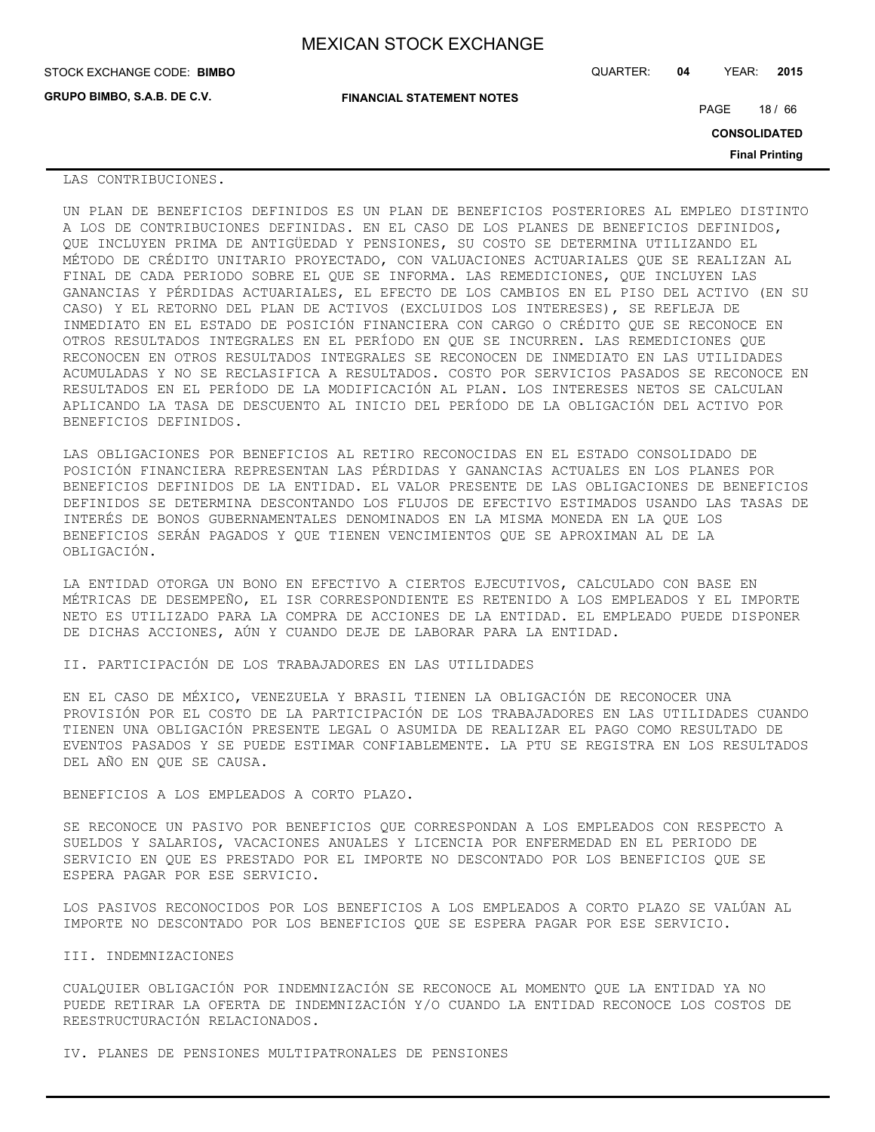| <b>MEXICAN STOCK EXCHANGE</b> |  |  |  |
|-------------------------------|--|--|--|
|-------------------------------|--|--|--|

| STOCK EXCHANGE CODE: BIMBO  |                                  | QUARTER: | 04 | YEAR:               | 2015                  |
|-----------------------------|----------------------------------|----------|----|---------------------|-----------------------|
| GRUPO BIMBO, S.A.B. DE C.V. | <b>FINANCIAL STATEMENT NOTES</b> |          |    | PAGE                | 18/66                 |
|                             |                                  |          |    | <b>CONSOLIDATED</b> |                       |
|                             |                                  |          |    |                     | <b>Final Printing</b> |

LAS CONTRIBUCIONES.

UN PLAN DE BENEFICIOS DEFINIDOS ES UN PLAN DE BENEFICIOS POSTERIORES AL EMPLEO DISTINTO A LOS DE CONTRIBUCIONES DEFINIDAS. EN EL CASO DE LOS PLANES DE BENEFICIOS DEFINIDOS, QUE INCLUYEN PRIMA DE ANTIGÜEDAD Y PENSIONES, SU COSTO SE DETERMINA UTILIZANDO EL MÉTODO DE CRÉDITO UNITARIO PROYECTADO, CON VALUACIONES ACTUARIALES QUE SE REALIZAN AL FINAL DE CADA PERIODO SOBRE EL QUE SE INFORMA. LAS REMEDICIONES, QUE INCLUYEN LAS GANANCIAS Y PÉRDIDAS ACTUARIALES, EL EFECTO DE LOS CAMBIOS EN EL PISO DEL ACTIVO (EN SU CASO) Y EL RETORNO DEL PLAN DE ACTIVOS (EXCLUIDOS LOS INTERESES), SE REFLEJA DE INMEDIATO EN EL ESTADO DE POSICIÓN FINANCIERA CON CARGO O CRÉDITO QUE SE RECONOCE EN OTROS RESULTADOS INTEGRALES EN EL PERÍODO EN QUE SE INCURREN. LAS REMEDICIONES QUE RECONOCEN EN OTROS RESULTADOS INTEGRALES SE RECONOCEN DE INMEDIATO EN LAS UTILIDADES ACUMULADAS Y NO SE RECLASIFICA A RESULTADOS. COSTO POR SERVICIOS PASADOS SE RECONOCE EN RESULTADOS EN EL PERÍODO DE LA MODIFICACIÓN AL PLAN. LOS INTERESES NETOS SE CALCULAN APLICANDO LA TASA DE DESCUENTO AL INICIO DEL PERÍODO DE LA OBLIGACIÓN DEL ACTIVO POR BENEFICIOS DEFINIDOS.

LAS OBLIGACIONES POR BENEFICIOS AL RETIRO RECONOCIDAS EN EL ESTADO CONSOLIDADO DE POSICIÓN FINANCIERA REPRESENTAN LAS PÉRDIDAS Y GANANCIAS ACTUALES EN LOS PLANES POR BENEFICIOS DEFINIDOS DE LA ENTIDAD. EL VALOR PRESENTE DE LAS OBLIGACIONES DE BENEFICIOS DEFINIDOS SE DETERMINA DESCONTANDO LOS FLUJOS DE EFECTIVO ESTIMADOS USANDO LAS TASAS DE INTERÉS DE BONOS GUBERNAMENTALES DENOMINADOS EN LA MISMA MONEDA EN LA QUE LOS BENEFICIOS SERÁN PAGADOS Y QUE TIENEN VENCIMIENTOS QUE SE APROXIMAN AL DE LA OBLIGACIÓN.

LA ENTIDAD OTORGA UN BONO EN EFECTIVO A CIERTOS EJECUTIVOS, CALCULADO CON BASE EN MÉTRICAS DE DESEMPEÑO, EL ISR CORRESPONDIENTE ES RETENIDO A LOS EMPLEADOS Y EL IMPORTE NETO ES UTILIZADO PARA LA COMPRA DE ACCIONES DE LA ENTIDAD. EL EMPLEADO PUEDE DISPONER DE DICHAS ACCIONES, AÚN Y CUANDO DEJE DE LABORAR PARA LA ENTIDAD.

II. PARTICIPACIÓN DE LOS TRABAJADORES EN LAS UTILIDADES

EN EL CASO DE MÉXICO, VENEZUELA Y BRASIL TIENEN LA OBLIGACIÓN DE RECONOCER UNA PROVISIÓN POR EL COSTO DE LA PARTICIPACIÓN DE LOS TRABAJADORES EN LAS UTILIDADES CUANDO TIENEN UNA OBLIGACIÓN PRESENTE LEGAL O ASUMIDA DE REALIZAR EL PAGO COMO RESULTADO DE EVENTOS PASADOS Y SE PUEDE ESTIMAR CONFIABLEMENTE. LA PTU SE REGISTRA EN LOS RESULTADOS DEL AÑO EN QUE SE CAUSA.

BENEFICIOS A LOS EMPLEADOS A CORTO PLAZO.

SE RECONOCE UN PASIVO POR BENEFICIOS QUE CORRESPONDAN A LOS EMPLEADOS CON RESPECTO A SUELDOS Y SALARIOS, VACACIONES ANUALES Y LICENCIA POR ENFERMEDAD EN EL PERIODO DE SERVICIO EN QUE ES PRESTADO POR EL IMPORTE NO DESCONTADO POR LOS BENEFICIOS QUE SE ESPERA PAGAR POR ESE SERVICIO.

LOS PASIVOS RECONOCIDOS POR LOS BENEFICIOS A LOS EMPLEADOS A CORTO PLAZO SE VALÚAN AL IMPORTE NO DESCONTADO POR LOS BENEFICIOS QUE SE ESPERA PAGAR POR ESE SERVICIO.

III. INDEMNIZACIONES

CUALQUIER OBLIGACIÓN POR INDEMNIZACIÓN SE RECONOCE AL MOMENTO QUE LA ENTIDAD YA NO PUEDE RETIRAR LA OFERTA DE INDEMNIZACIÓN Y/O CUANDO LA ENTIDAD RECONOCE LOS COSTOS DE REESTRUCTURACIÓN RELACIONADOS.

IV. PLANES DE PENSIONES MULTIPATRONALES DE PENSIONES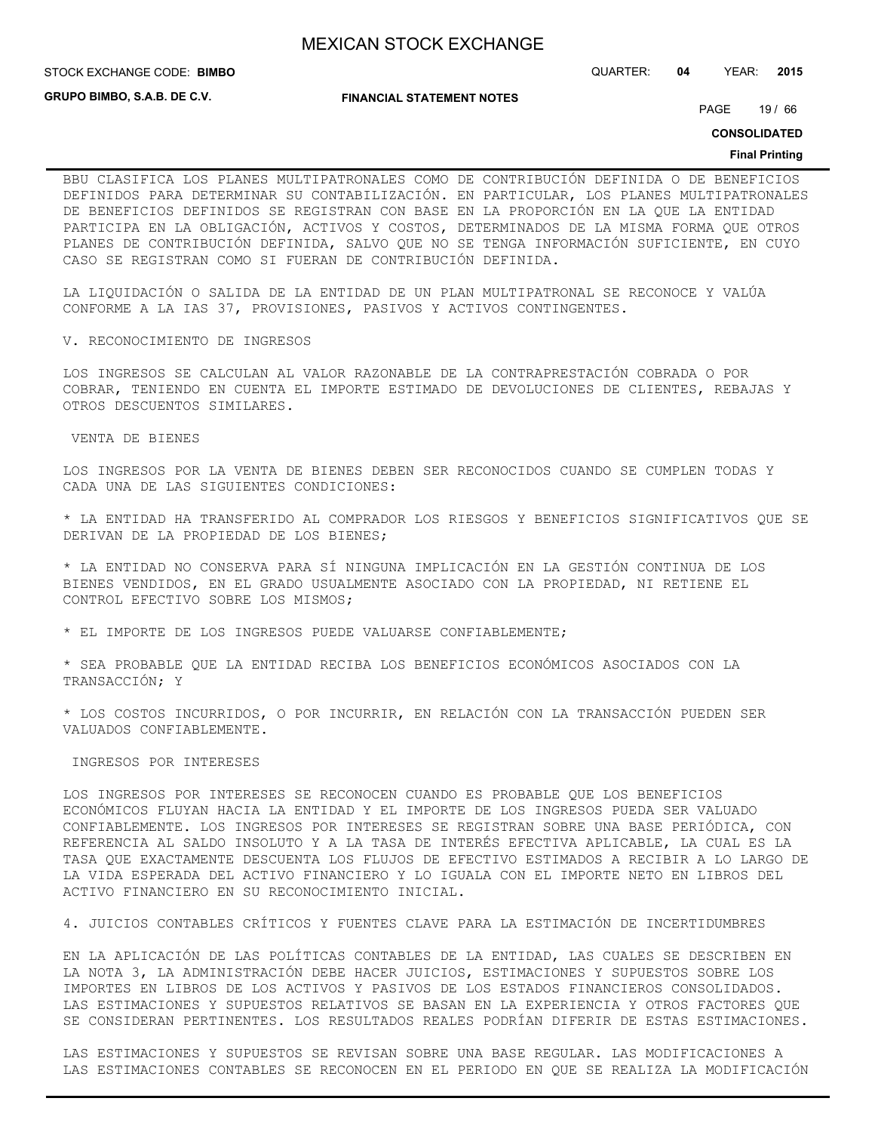**STOCK EXCHANGE CODE: BIMBO** 

**GRUPO BIMBO, S.A.B. DE C.V.**

**FINANCIAL STATEMENT NOTES**

PAGE 19 / 66

STOCK EXCHANGE CODE: QUARTER: **04** YEAR: **2015**

**CONSOLIDATED**

#### **Final Printing**

BBU CLASIFICA LOS PLANES MULTIPATRONALES COMO DE CONTRIBUCIÓN DEFINIDA O DE BENEFICIOS DEFINIDOS PARA DETERMINAR SU CONTABILIZACIÓN. EN PARTICULAR, LOS PLANES MULTIPATRONALES DE BENEFICIOS DEFINIDOS SE REGISTRAN CON BASE EN LA PROPORCIÓN EN LA QUE LA ENTIDAD PARTICIPA EN LA OBLIGACIÓN, ACTIVOS Y COSTOS, DETERMINADOS DE LA MISMA FORMA QUE OTROS PLANES DE CONTRIBUCIÓN DEFINIDA, SALVO QUE NO SE TENGA INFORMACIÓN SUFICIENTE, EN CUYO CASO SE REGISTRAN COMO SI FUERAN DE CONTRIBUCIÓN DEFINIDA.

LA LIQUIDACIÓN O SALIDA DE LA ENTIDAD DE UN PLAN MULTIPATRONAL SE RECONOCE Y VALÚA CONFORME A LA IAS 37, PROVISIONES, PASIVOS Y ACTIVOS CONTINGENTES.

V. RECONOCIMIENTO DE INGRESOS

LOS INGRESOS SE CALCULAN AL VALOR RAZONABLE DE LA CONTRAPRESTACIÓN COBRADA O POR COBRAR, TENIENDO EN CUENTA EL IMPORTE ESTIMADO DE DEVOLUCIONES DE CLIENTES, REBAJAS Y OTROS DESCUENTOS SIMILARES.

VENTA DE BIENES

LOS INGRESOS POR LA VENTA DE BIENES DEBEN SER RECONOCIDOS CUANDO SE CUMPLEN TODAS Y CADA UNA DE LAS SIGUIENTES CONDICIONES:

\* LA ENTIDAD HA TRANSFERIDO AL COMPRADOR LOS RIESGOS Y BENEFICIOS SIGNIFICATIVOS QUE SE DERIVAN DE LA PROPIEDAD DE LOS BIENES;

\* LA ENTIDAD NO CONSERVA PARA SÍ NINGUNA IMPLICACIÓN EN LA GESTIÓN CONTINUA DE LOS BIENES VENDIDOS, EN EL GRADO USUALMENTE ASOCIADO CON LA PROPIEDAD, NI RETIENE EL CONTROL EFECTIVO SOBRE LOS MISMOS;

\* EL IMPORTE DE LOS INGRESOS PUEDE VALUARSE CONFIABLEMENTE;

\* SEA PROBABLE QUE LA ENTIDAD RECIBA LOS BENEFICIOS ECONÓMICOS ASOCIADOS CON LA TRANSACCIÓN; Y

\* LOS COSTOS INCURRIDOS, O POR INCURRIR, EN RELACIÓN CON LA TRANSACCIÓN PUEDEN SER VALUADOS CONFIABLEMENTE.

#### INGRESOS POR INTERESES

LOS INGRESOS POR INTERESES SE RECONOCEN CUANDO ES PROBABLE QUE LOS BENEFICIOS ECONÓMICOS FLUYAN HACIA LA ENTIDAD Y EL IMPORTE DE LOS INGRESOS PUEDA SER VALUADO CONFIABLEMENTE. LOS INGRESOS POR INTERESES SE REGISTRAN SOBRE UNA BASE PERIÓDICA, CON REFERENCIA AL SALDO INSOLUTO Y A LA TASA DE INTERÉS EFECTIVA APLICABLE, LA CUAL ES LA TASA QUE EXACTAMENTE DESCUENTA LOS FLUJOS DE EFECTIVO ESTIMADOS A RECIBIR A LO LARGO DE LA VIDA ESPERADA DEL ACTIVO FINANCIERO Y LO IGUALA CON EL IMPORTE NETO EN LIBROS DEL ACTIVO FINANCIERO EN SU RECONOCIMIENTO INICIAL.

4. JUICIOS CONTABLES CRÍTICOS Y FUENTES CLAVE PARA LA ESTIMACIÓN DE INCERTIDUMBRES

EN LA APLICACIÓN DE LAS POLÍTICAS CONTABLES DE LA ENTIDAD, LAS CUALES SE DESCRIBEN EN LA NOTA 3, LA ADMINISTRACIÓN DEBE HACER JUICIOS, ESTIMACIONES Y SUPUESTOS SOBRE LOS IMPORTES EN LIBROS DE LOS ACTIVOS Y PASIVOS DE LOS ESTADOS FINANCIEROS CONSOLIDADOS. LAS ESTIMACIONES Y SUPUESTOS RELATIVOS SE BASAN EN LA EXPERIENCIA Y OTROS FACTORES QUE SE CONSIDERAN PERTINENTES. LOS RESULTADOS REALES PODRÍAN DIFERIR DE ESTAS ESTIMACIONES.

LAS ESTIMACIONES Y SUPUESTOS SE REVISAN SOBRE UNA BASE REGULAR. LAS MODIFICACIONES A LAS ESTIMACIONES CONTABLES SE RECONOCEN EN EL PERIODO EN QUE SE REALIZA LA MODIFICACIÓN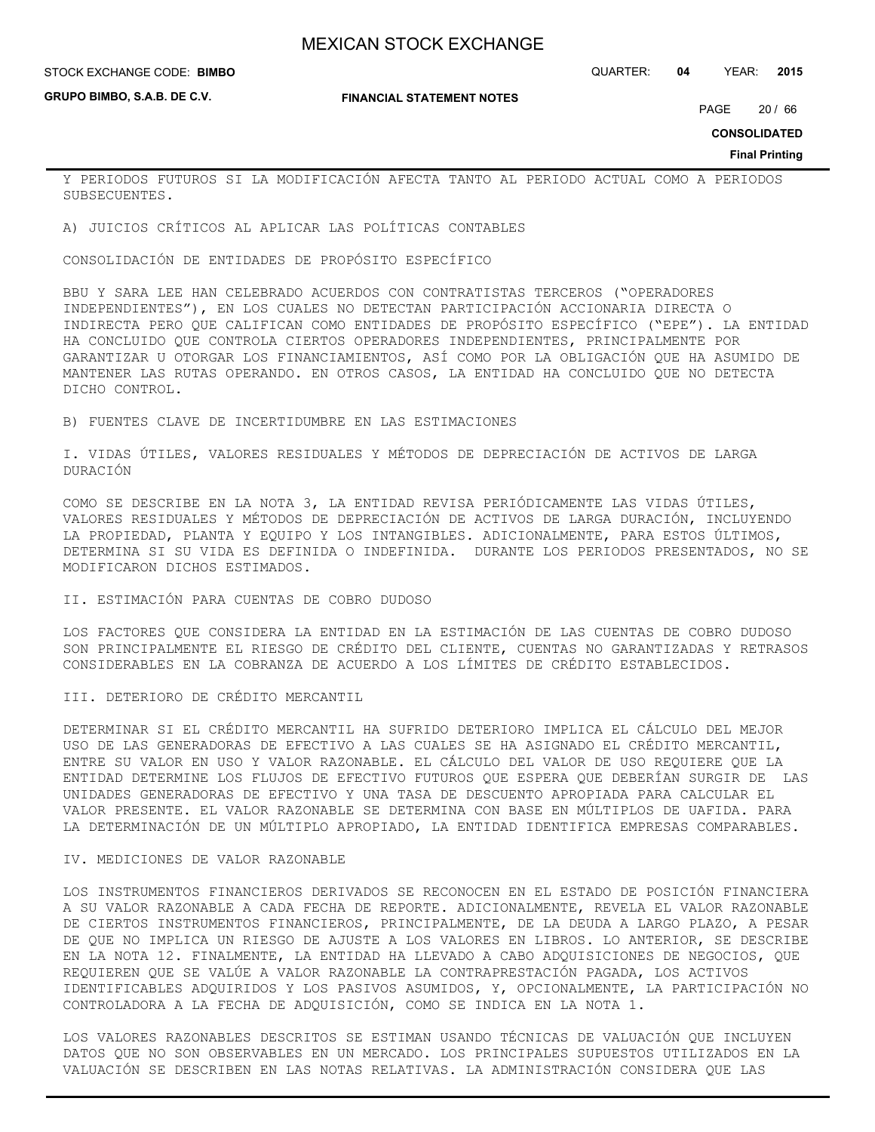**GRUPO BIMBO, S.A.B. DE C.V.**

#### **FINANCIAL STATEMENT NOTES**

STOCK EXCHANGE CODE: QUARTER: **04** YEAR: **2015 BIMBO**

PAGE 20 / 66

**CONSOLIDATED**

**Final Printing**

Y PERIODOS FUTUROS SI LA MODIFICACIÓN AFECTA TANTO AL PERIODO ACTUAL COMO A PERIODOS SUBSECUENTES.

A) JUICIOS CRÍTICOS AL APLICAR LAS POLÍTICAS CONTABLES

CONSOLIDACIÓN DE ENTIDADES DE PROPÓSITO ESPECÍFICO

BBU Y SARA LEE HAN CELEBRADO ACUERDOS CON CONTRATISTAS TERCEROS ("OPERADORES INDEPENDIENTES"), EN LOS CUALES NO DETECTAN PARTICIPACIÓN ACCIONARIA DIRECTA O INDIRECTA PERO QUE CALIFICAN COMO ENTIDADES DE PROPÓSITO ESPECÍFICO ("EPE"). LA ENTIDAD HA CONCLUIDO QUE CONTROLA CIERTOS OPERADORES INDEPENDIENTES, PRINCIPALMENTE POR GARANTIZAR U OTORGAR LOS FINANCIAMIENTOS, ASÍ COMO POR LA OBLIGACIÓN QUE HA ASUMIDO DE MANTENER LAS RUTAS OPERANDO. EN OTROS CASOS, LA ENTIDAD HA CONCLUIDO QUE NO DETECTA DICHO CONTROL.

B) FUENTES CLAVE DE INCERTIDUMBRE EN LAS ESTIMACIONES

I. VIDAS ÚTILES, VALORES RESIDUALES Y MÉTODOS DE DEPRECIACIÓN DE ACTIVOS DE LARGA DURACIÓN

COMO SE DESCRIBE EN LA NOTA 3, LA ENTIDAD REVISA PERIÓDICAMENTE LAS VIDAS ÚTILES, VALORES RESIDUALES Y MÉTODOS DE DEPRECIACIÓN DE ACTIVOS DE LARGA DURACIÓN, INCLUYENDO LA PROPIEDAD, PLANTA Y EQUIPO Y LOS INTANGIBLES. ADICIONALMENTE, PARA ESTOS ÚLTIMOS, DETERMINA SI SU VIDA ES DEFINIDA O INDEFINIDA. DURANTE LOS PERIODOS PRESENTADOS, NO SE MODIFICARON DICHOS ESTIMADOS.

#### II. ESTIMACIÓN PARA CUENTAS DE COBRO DUDOSO

LOS FACTORES QUE CONSIDERA LA ENTIDAD EN LA ESTIMACIÓN DE LAS CUENTAS DE COBRO DUDOSO SON PRINCIPALMENTE EL RIESGO DE CRÉDITO DEL CLIENTE, CUENTAS NO GARANTIZADAS Y RETRASOS CONSIDERABLES EN LA COBRANZA DE ACUERDO A LOS LÍMITES DE CRÉDITO ESTABLECIDOS.

III. DETERIORO DE CRÉDITO MERCANTIL

DETERMINAR SI EL CRÉDITO MERCANTIL HA SUFRIDO DETERIORO IMPLICA EL CÁLCULO DEL MEJOR USO DE LAS GENERADORAS DE EFECTIVO A LAS CUALES SE HA ASIGNADO EL CRÉDITO MERCANTIL, ENTRE SU VALOR EN USO Y VALOR RAZONABLE. EL CÁLCULO DEL VALOR DE USO REQUIERE QUE LA ENTIDAD DETERMINE LOS FLUJOS DE EFECTIVO FUTUROS QUE ESPERA QUE DEBERÍAN SURGIR DE LAS UNIDADES GENERADORAS DE EFECTIVO Y UNA TASA DE DESCUENTO APROPIADA PARA CALCULAR EL VALOR PRESENTE. EL VALOR RAZONABLE SE DETERMINA CON BASE EN MÚLTIPLOS DE UAFIDA. PARA LA DETERMINACIÓN DE UN MÚLTIPLO APROPIADO, LA ENTIDAD IDENTIFICA EMPRESAS COMPARABLES.

#### IV. MEDICIONES DE VALOR RAZONABLE

LOS INSTRUMENTOS FINANCIEROS DERIVADOS SE RECONOCEN EN EL ESTADO DE POSICIÓN FINANCIERA A SU VALOR RAZONABLE A CADA FECHA DE REPORTE. ADICIONALMENTE, REVELA EL VALOR RAZONABLE DE CIERTOS INSTRUMENTOS FINANCIEROS, PRINCIPALMENTE, DE LA DEUDA A LARGO PLAZO, A PESAR DE QUE NO IMPLICA UN RIESGO DE AJUSTE A LOS VALORES EN LIBROS. LO ANTERIOR, SE DESCRIBE EN LA NOTA 12. FINALMENTE, LA ENTIDAD HA LLEVADO A CABO ADQUISICIONES DE NEGOCIOS, QUE REQUIEREN QUE SE VALÚE A VALOR RAZONABLE LA CONTRAPRESTACIÓN PAGADA, LOS ACTIVOS IDENTIFICABLES ADQUIRIDOS Y LOS PASIVOS ASUMIDOS, Y, OPCIONALMENTE, LA PARTICIPACIÓN NO CONTROLADORA A LA FECHA DE ADQUISICIÓN, COMO SE INDICA EN LA NOTA 1.

LOS VALORES RAZONABLES DESCRITOS SE ESTIMAN USANDO TÉCNICAS DE VALUACIÓN QUE INCLUYEN DATOS QUE NO SON OBSERVABLES EN UN MERCADO. LOS PRINCIPALES SUPUESTOS UTILIZADOS EN LA VALUACIÓN SE DESCRIBEN EN LAS NOTAS RELATIVAS. LA ADMINISTRACIÓN CONSIDERA QUE LAS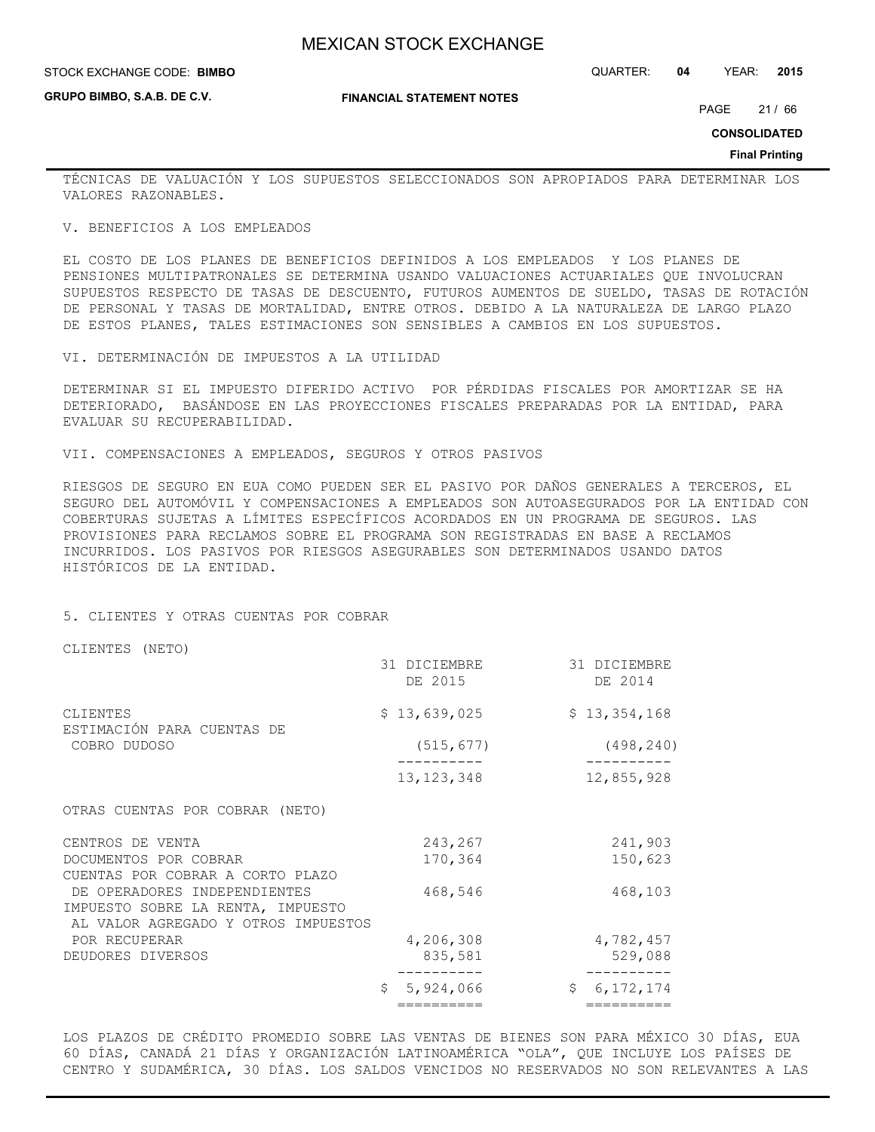#### **STOCK EXCHANGE CODE: BIMBO**

**GRUPO BIMBO, S.A.B. DE C.V.**

STOCK EXCHANGE CODE: QUARTER: **04** YEAR: **2015**

#### **FINANCIAL STATEMENT NOTES**

PAGE 21 / 66

**CONSOLIDATED**

#### **Final Printing**

TÉCNICAS DE VALUACIÓN Y LOS SUPUESTOS SELECCIONADOS SON APROPIADOS PARA DETERMINAR LOS VALORES RAZONABLES.

#### V. BENEFICIOS A LOS EMPLEADOS

EL COSTO DE LOS PLANES DE BENEFICIOS DEFINIDOS A LOS EMPLEADOS Y LOS PLANES DE PENSIONES MULTIPATRONALES SE DETERMINA USANDO VALUACIONES ACTUARIALES QUE INVOLUCRAN SUPUESTOS RESPECTO DE TASAS DE DESCUENTO, FUTUROS AUMENTOS DE SUELDO, TASAS DE ROTACIÓN DE PERSONAL Y TASAS DE MORTALIDAD, ENTRE OTROS. DEBIDO A LA NATURALEZA DE LARGO PLAZO DE ESTOS PLANES, TALES ESTIMACIONES SON SENSIBLES A CAMBIOS EN LOS SUPUESTOS.

VI. DETERMINACIÓN DE IMPUESTOS A LA UTILIDAD

DETERMINAR SI EL IMPUESTO DIFERIDO ACTIVO POR PÉRDIDAS FISCALES POR AMORTIZAR SE HA DETERIORADO, BASÁNDOSE EN LAS PROYECCIONES FISCALES PREPARADAS POR LA ENTIDAD, PARA EVALUAR SU RECUPERABILIDAD.

VII. COMPENSACIONES A EMPLEADOS, SEGUROS Y OTROS PASIVOS

RIESGOS DE SEGURO EN EUA COMO PUEDEN SER EL PASIVO POR DAÑOS GENERALES A TERCEROS, EL SEGURO DEL AUTOMÓVIL Y COMPENSACIONES A EMPLEADOS SON AUTOASEGURADOS POR LA ENTIDAD CON COBERTURAS SUJETAS A LÍMITES ESPECÍFICOS ACORDADOS EN UN PROGRAMA DE SEGUROS. LAS PROVISIONES PARA RECLAMOS SOBRE EL PROGRAMA SON REGISTRADAS EN BASE A RECLAMOS INCURRIDOS. LOS PASIVOS POR RIESGOS ASEGURABLES SON DETERMINADOS USANDO DATOS HISTÓRICOS DE LA ENTIDAD.

#### 5. CLIENTES Y OTRAS CUENTAS POR COBRAR

CLIENTES (NETO)

|                                                                                                          | 31 DICIEMBRE<br>DE 2015 | 31 DICIEMBRE<br>DE 2014 |
|----------------------------------------------------------------------------------------------------------|-------------------------|-------------------------|
| CLIENTES<br>ESTIMACIÓN PARA CUENTAS DE                                                                   | \$13,639,025            | \$13,354,168            |
| COBRO DUDOSO                                                                                             | (515, 677)              | (498, 240)              |
|                                                                                                          | 13, 123, 348            | 12,855,928              |
| OTRAS CUENTAS POR COBRAR (NETO)                                                                          |                         |                         |
| CENTROS DE VENTA                                                                                         | 243,267                 | 241,903                 |
| DOCUMENTOS POR COBRAR<br>CUENTAS POR COBRAR A CORTO PLAZO                                                | 170,364                 | 150,623                 |
| DE OPERADORES INDEPENDIENTES<br>IMPUESTO SOBRE LA RENTA, IMPUESTO<br>AL VALOR AGREGADO Y OTROS IMPUESTOS | 468,546                 | 468,103                 |
| POR RECUPERAR                                                                                            | 4,206,308               | 4,782,457               |
| DEUDORES DIVERSOS                                                                                        | 835,581                 | 529,088                 |
|                                                                                                          | 5,924,066               | Ŝ.<br>6, 172, 174       |
|                                                                                                          | ==========              | ==========              |

LOS PLAZOS DE CRÉDITO PROMEDIO SOBRE LAS VENTAS DE BIENES SON PARA MÉXICO 30 DÍAS, EUA 60 DÍAS, CANADÁ 21 DÍAS Y ORGANIZACIÓN LATINOAMÉRICA "OLA", QUE INCLUYE LOS PAÍSES DE CENTRO Y SUDAMÉRICA, 30 DÍAS. LOS SALDOS VENCIDOS NO RESERVADOS NO SON RELEVANTES A LAS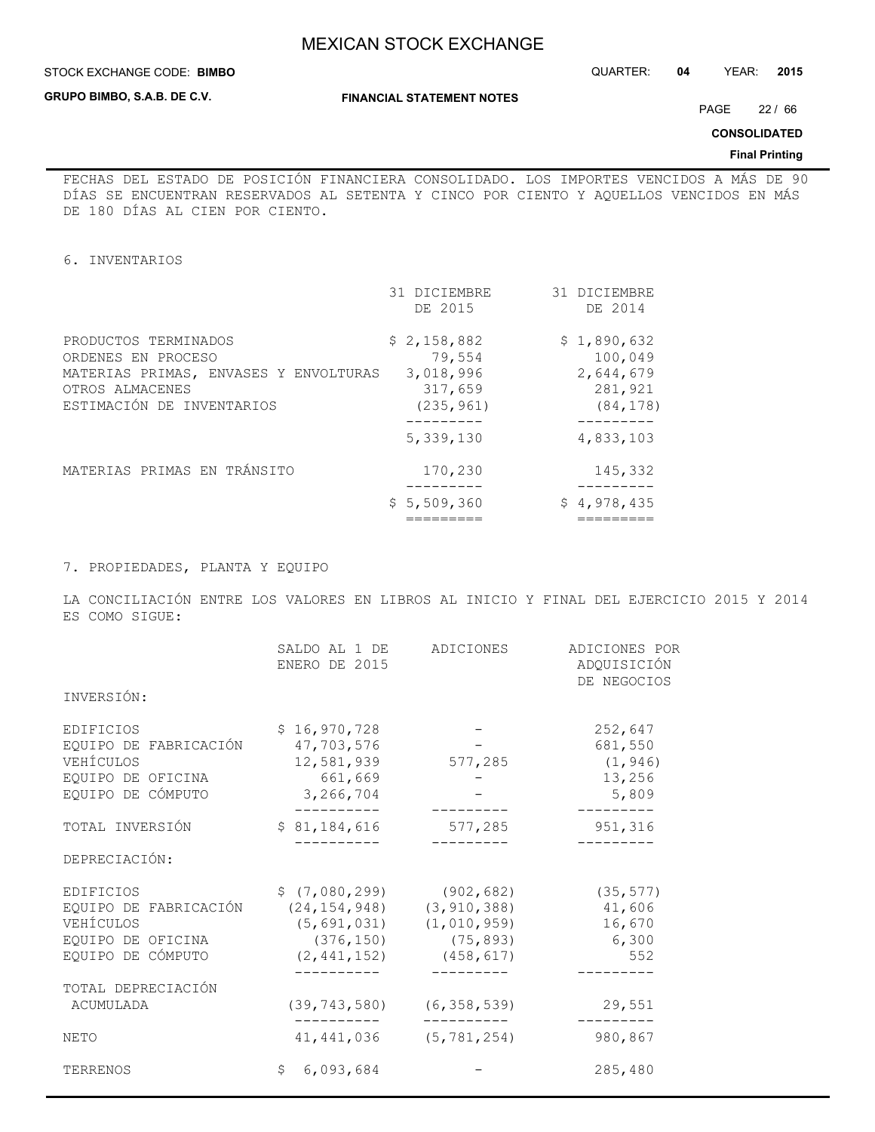### **STOCK EXCHANGE CODE: BIMBO**

**GRUPO BIMBO, S.A.B. DE C.V.**

### **FINANCIAL STATEMENT NOTES**

STOCK EXCHANGE CODE: QUARTER: **04** YEAR: **2015**

PAGE 22 / 66

**CONSOLIDATED**

#### **Final Printing**

FECHAS DEL ESTADO DE POSICIÓN FINANCIERA CONSOLIDADO. LOS IMPORTES VENCIDOS A MÁS DE 90 DÍAS SE ENCUENTRAN RESERVADOS AL SETENTA Y CINCO POR CIENTO Y AQUELLOS VENCIDOS EN MÁS DE 180 DÍAS AL CIEN POR CIENTO.

6. INVENTARIOS

|                                                                                                                                     | 31 DICIEMBRE<br>DE 2015                                     | 31 DICIEMBRE<br>DE 2014                                     |
|-------------------------------------------------------------------------------------------------------------------------------------|-------------------------------------------------------------|-------------------------------------------------------------|
| PRODUCTOS TERMINADOS<br>ORDENES EN PROCESO<br>MATERIAS PRIMAS, ENVASES Y ENVOLTURAS<br>OTROS ALMACENES<br>ESTIMACIÓN DE INVENTARIOS | \$2,158,882<br>79,554<br>3,018,996<br>317,659<br>(235, 961) | \$1,890,632<br>100,049<br>2,644,679<br>281,921<br>(84, 178) |
|                                                                                                                                     | 5,339,130                                                   | 4,833,103                                                   |
| MATERIAS PRIMAS EN TRÁNSITO                                                                                                         | 170,230                                                     | 145,332                                                     |
|                                                                                                                                     | \$5,509,360                                                 | \$4,978,435                                                 |

7. PROPIEDADES, PLANTA Y EQUIPO

LA CONCILIACIÓN ENTRE LOS VALORES EN LIBROS AL INICIO Y FINAL DEL EJERCICIO 2015 Y 2014 ES COMO SIGUE:

|                                                                                                  | SALDO AL 1 DE<br>ENERO DE 2015                                                             | ADICIONES                                                 | ADICIONES POR<br>ADQUISICIÓN<br>DE NEGOCIOS       |
|--------------------------------------------------------------------------------------------------|--------------------------------------------------------------------------------------------|-----------------------------------------------------------|---------------------------------------------------|
| INVERSIÓN:                                                                                       |                                                                                            |                                                           |                                                   |
| EDIFICIOS<br>EQUIPO DE FABRICACIÓN<br>VEHÍCULOS<br>EQUIPO DE OFICINA<br>EQUIPO DE CÓMPUTO        | \$16,970,728<br>47,703,576<br>12,581,939<br>661,669<br>3,266,704                           | 577,285                                                   | 252,647<br>681,550<br>(1, 946)<br>13,256<br>5,809 |
| TOTAL INVERSIÓN                                                                                  | \$81,184,616                                                                               | 577,285                                                   | 951,316                                           |
| DEPRECIACIÓN:                                                                                    |                                                                                            |                                                           |                                                   |
| <b>EDIFICIOS</b><br>EQUIPO DE FABRICACIÓN<br>VEHÍCULOS<br>EQUIPO DE OFICINA<br>EQUIPO DE CÓMPUTO | $$(7,080,299)$ $(902,682)$<br>(24, 154, 948)<br>(5,691,031)<br>(376, 150)<br>(2, 441, 152) | (3, 910, 388)<br>(1, 010, 959)<br>(75, 893)<br>(458, 617) | (35, 577)<br>41,606<br>16,670<br>6,300<br>552     |
| TOTAL DEPRECIACIÓN<br>ACUMULADA                                                                  | $(39, 743, 580)$ $(6, 358, 539)$                                                           |                                                           | 29,551                                            |
| <b>NETO</b>                                                                                      | 41, 441, 036                                                                               | (5, 781, 254)                                             | 980,867                                           |
| TERRENOS                                                                                         | \$6,093,684                                                                                |                                                           | 285,480                                           |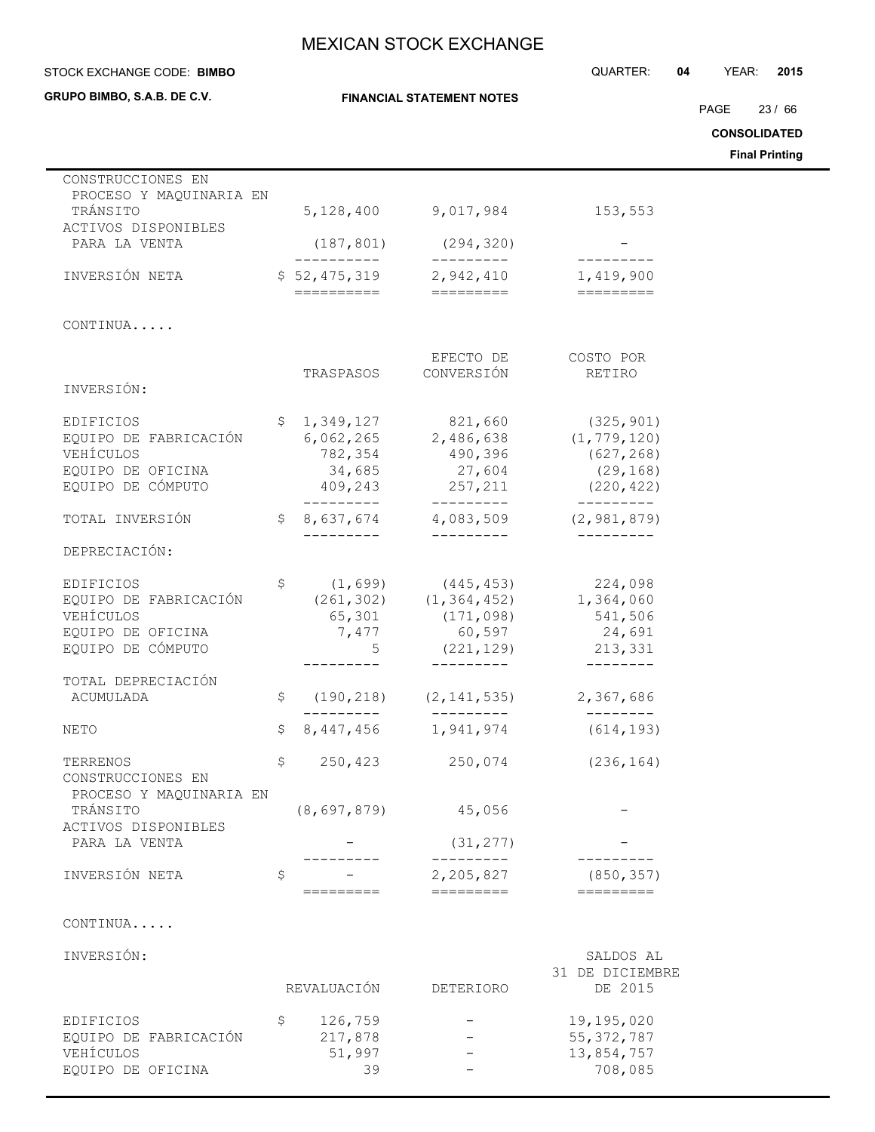**FINANCIAL STATEMENT NOTES** STOCK EXCHANGE CODE: QUARTER: **04** YEAR: **2015 BIMBO CONSOLIDATED Final Printing** PAGE 23 / 66

| CONSTRUCCIONES EN<br>PROCESO Y MAQUINARIA EN             |     |                        |                         |                           |
|----------------------------------------------------------|-----|------------------------|-------------------------|---------------------------|
| TRÁNSITO                                                 |     | 5,128,400              | 9,017,984               | 153,553                   |
| ACTIVOS DISPONIBLES<br>PARA LA VENTA                     |     | (187, 801)             | (294, 320)              |                           |
|                                                          |     | . _ _ _ _ _ _ _ _ _    | . _ _ _ _ _ _ _ _       |                           |
| INVERSIÓN NETA                                           |     | \$52,475,319           | 2,942,410               | 1,419,900                 |
|                                                          |     | ==========             | =========               | =========                 |
| CONTINUA                                                 |     |                        |                         |                           |
|                                                          |     |                        | EFECTO DE               | COSTO POR                 |
|                                                          |     | TRASPASOS              | CONVERSIÓN              | RETIRO                    |
| INVERSIÓN:                                               |     |                        |                         |                           |
| EDIFICIOS                                                | \$. | 1,349,127              | 821,660                 | (325, 901)                |
| EQUIPO DE FABRICACIÓN                                    |     | 6,062,265              | 2,486,638               | (1, 779, 120)             |
| VEHÍCULOS                                                |     | 782,354                | 490,396                 | (627, 268)                |
| EQUIPO DE OFICINA                                        |     | 34,685                 | 27,604                  | (29, 168)                 |
| EQUIPO DE CÓMPUTO                                        |     | 409,243<br>----------  | 257,211<br>---------    | (220, 422)<br>---------   |
| TOTAL INVERSIÓN                                          | \$  | 8,637,674<br>--------- | 4,083,509<br>_________  | (2, 981, 879)<br>________ |
| DEPRECIACIÓN:                                            |     |                        |                         |                           |
| EDIFICIOS                                                | \$  | (1, 699)               | (445, 453)              | 224,098                   |
| EQUIPO DE FABRICACIÓN                                    |     | (261, 302)             | (1, 364, 452)           | 1,364,060                 |
| VEHÍCULOS                                                |     | 65,301                 | (171, 098)              | 541,506                   |
| EQUIPO DE OFICINA                                        |     | 7,477                  | 60,597                  | 24,691                    |
| EOUIPO DE CÓMPUTO                                        |     | 5                      | (221, 129)<br>--------- | 213,331<br>--------       |
| TOTAL DEPRECIACIÓN                                       |     |                        |                         |                           |
| ACUMULADA                                                | \$  | (190, 218)             | (2, 141, 535)           | 2,367,686                 |
| NETO                                                     | \$  | 8,447,456              | 1,941,974               | (614, 193)                |
|                                                          |     |                        |                         |                           |
| TERRENOS<br>CONSTRUCCIONES EN<br>PROCESO Y MAOUINARIA EN | \$  | 250,423                | 250,074                 | (236, 164)                |
| TRÁNSITO                                                 |     | (8,697,879)            | 45,056                  |                           |
| ACTIVOS DISPONIBLES                                      |     |                        |                         |                           |
| PARA LA VENTA                                            |     |                        | (31, 277)<br>---------- |                           |
| INVERSIÓN NETA                                           | \$  |                        | 2,205,827               | (850, 357)                |
|                                                          |     | =========              | =========               | =========                 |
|                                                          |     |                        |                         |                           |

## CONTINUA.....

**GRUPO BIMBO, S.A.B. DE C.V.**

### INVERSIÓN: SALDOS AL

|                                                                      | REVALUACIÓN                        | DETERIORO | 31 DE DICIEMBRE<br>DE 2015                          |
|----------------------------------------------------------------------|------------------------------------|-----------|-----------------------------------------------------|
| EDIFICIOS<br>EQUIPO DE FABRICACIÓN<br>VEHÍCULOS<br>EOUIPO DE OFICINA | 126,759<br>217,878<br>51,997<br>39 |           | 19,195,020<br>55, 372, 787<br>13,854,757<br>708,085 |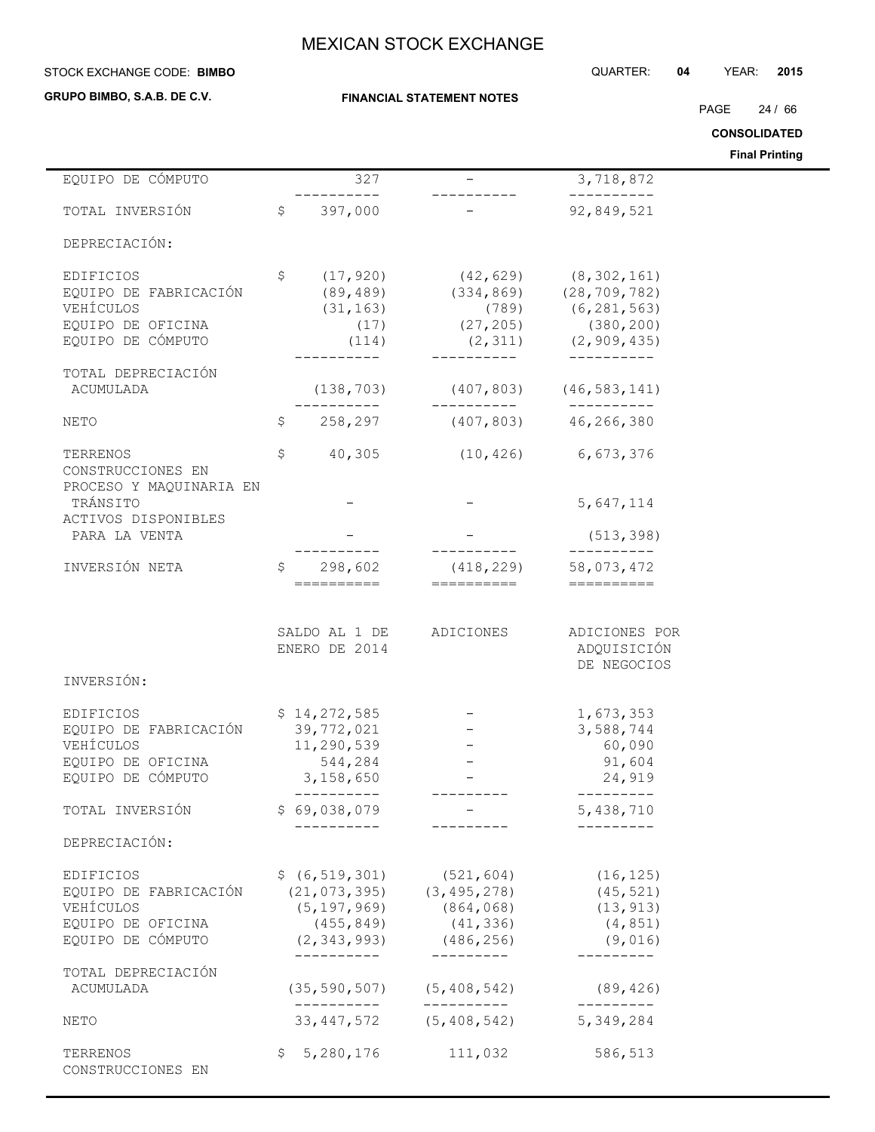#### STOCK EXCHANGE CODE: QUARTER: **04** YEAR: **2015 BIMBO**

**GRUPO BIMBO, S.A.B. DE C.V.**

### **FINANCIAL STATEMENT NOTES**

PAGE 24 / 66

**CONSOLIDATED**

**Final Printing**

| EQUIPO DE CÓMPUTO                                                                         |              | 327                                                                |                                                                                                                                                             | 3,718,872                                                                                                                                                                                                                                                                                                                                                                                                                                                                              |  |
|-------------------------------------------------------------------------------------------|--------------|--------------------------------------------------------------------|-------------------------------------------------------------------------------------------------------------------------------------------------------------|----------------------------------------------------------------------------------------------------------------------------------------------------------------------------------------------------------------------------------------------------------------------------------------------------------------------------------------------------------------------------------------------------------------------------------------------------------------------------------------|--|
| TOTAL INVERSIÓN                                                                           |              | \$397,000                                                          |                                                                                                                                                             | ----------<br>92,849,521                                                                                                                                                                                                                                                                                                                                                                                                                                                               |  |
| DEPRECIACIÓN:                                                                             |              |                                                                    |                                                                                                                                                             |                                                                                                                                                                                                                                                                                                                                                                                                                                                                                        |  |
| EDIFICIOS<br>EQUIPO DE FABRICACIÓN<br>VEHÍCULOS                                           | \$           |                                                                    | (17,920) (42,629) (8,302,161)<br>(89,489) (334,869) (28,709,782)<br>(31,163) (789) (6,281,563)                                                              |                                                                                                                                                                                                                                                                                                                                                                                                                                                                                        |  |
| EQUIPO DE OFICINA<br>EQUIPO DE CÓMPUTO                                                    |              |                                                                    | $(17)$ $(27, 205)$ $(380, 200)$<br>$(114)$ $(2,311)$ $(2,909,435)$                                                                                          |                                                                                                                                                                                                                                                                                                                                                                                                                                                                                        |  |
| TOTAL DEPRECIACIÓN<br>ACUMULADA                                                           |              | ---------                                                          | __________<br>$(138, 703)$ $(407, 803)$ $(46, 583, 141)$<br>-----------                                                                                     | -----------<br>-----------                                                                                                                                                                                                                                                                                                                                                                                                                                                             |  |
| <b>NETO</b>                                                                               | \$           | 258,297                                                            | $(407, 803)$ $46, 266, 380$                                                                                                                                 |                                                                                                                                                                                                                                                                                                                                                                                                                                                                                        |  |
| TERRENOS<br>CONSTRUCCIONES EN<br>PROCESO Y MAQUINARIA EN                                  | \$           |                                                                    | 40,305 (10,426) 6,673,376                                                                                                                                   |                                                                                                                                                                                                                                                                                                                                                                                                                                                                                        |  |
| TRÁNSITO<br>ACTIVOS DISPONIBLES                                                           |              |                                                                    |                                                                                                                                                             | 5,647,114                                                                                                                                                                                                                                                                                                                                                                                                                                                                              |  |
| PARA LA VENTA                                                                             |              |                                                                    | __________                                                                                                                                                  | (513, 398)<br>----------                                                                                                                                                                                                                                                                                                                                                                                                                                                               |  |
| INVERSIÓN NETA                                                                            | $\mathsf{S}$ | 298,602<br>==========                                              | $(418, 229)$ 58,073,472<br>==========                                                                                                                       | $\begin{array}{cccccccccc} \multicolumn{2}{c}{} & \multicolumn{2}{c}{} & \multicolumn{2}{c}{} & \multicolumn{2}{c}{} & \multicolumn{2}{c}{} & \multicolumn{2}{c}{} & \multicolumn{2}{c}{} & \multicolumn{2}{c}{} & \multicolumn{2}{c}{} & \multicolumn{2}{c}{} & \multicolumn{2}{c}{} & \multicolumn{2}{c}{} & \multicolumn{2}{c}{} & \multicolumn{2}{c}{} & \multicolumn{2}{c}{} & \multicolumn{2}{c}{} & \multicolumn{2}{c}{} & \multicolumn{2}{c}{} & \multicolumn{2}{c}{} & \mult$ |  |
| INVERSIÓN:                                                                                |              | ENERO DE 2014                                                      | SALDO AL 1 DE ADICIONES                                                                                                                                     | ADICIONES POR<br>ADQUISICIÓN<br>DE NEGOCIOS                                                                                                                                                                                                                                                                                                                                                                                                                                            |  |
|                                                                                           |              |                                                                    |                                                                                                                                                             |                                                                                                                                                                                                                                                                                                                                                                                                                                                                                        |  |
| EDIFICIOS<br>EQUIPO DE FABRICACIÓN<br>VEHÍCULOS<br>EQUIPO DE OFICINA<br>EQUIPO DE CÓMPUTO |              | \$14,272,585<br>39,772,021<br>11,290,539<br>544,284<br>3, 158, 650 |                                                                                                                                                             | 1,673,353<br>3,588,744<br>60,090<br>91,604<br>24,919                                                                                                                                                                                                                                                                                                                                                                                                                                   |  |
| TOTAL INVERSIÓN                                                                           |              | ----------<br>\$69,038,079                                         |                                                                                                                                                             | 5,438,710                                                                                                                                                                                                                                                                                                                                                                                                                                                                              |  |
| DEPRECIACIÓN:                                                                             |              | __________                                                         |                                                                                                                                                             |                                                                                                                                                                                                                                                                                                                                                                                                                                                                                        |  |
| EDIFICIOS<br>EQUIPO DE FABRICACIÓN<br>VEHÍCULOS<br>EQUIPO DE OFICINA<br>EQUIPO DE CÓMPUTO |              | (455, 849)                                                         | $$ (6, 519, 301)$ $(521, 604)$ $(16, 125)$<br>$(21, 073, 395)$ $(3, 495, 278)$<br>$(5, 197, 969)$ $(864, 068)$<br>(41, 336)<br>$(2, 343, 993)$ $(486, 256)$ | (45, 521)<br>(13, 913)<br>(4, 851)<br>(9,016)                                                                                                                                                                                                                                                                                                                                                                                                                                          |  |
| TOTAL DEPRECIACIÓN<br>ACUMULADA                                                           |              | -----------                                                        | ----------<br>$(35, 590, 507)$ $(5, 408, 542)$                                                                                                              | (89, 426)                                                                                                                                                                                                                                                                                                                                                                                                                                                                              |  |
| NETO                                                                                      |              | __________                                                         | __________<br>33, 447, 572 (5, 408, 542)                                                                                                                    | $- - - - - - - - -$<br>5,349,284                                                                                                                                                                                                                                                                                                                                                                                                                                                       |  |
| TERRENOS<br>CONSTRUCCIONES EN                                                             |              | \$5,280,176                                                        | 111,032                                                                                                                                                     | 586,513                                                                                                                                                                                                                                                                                                                                                                                                                                                                                |  |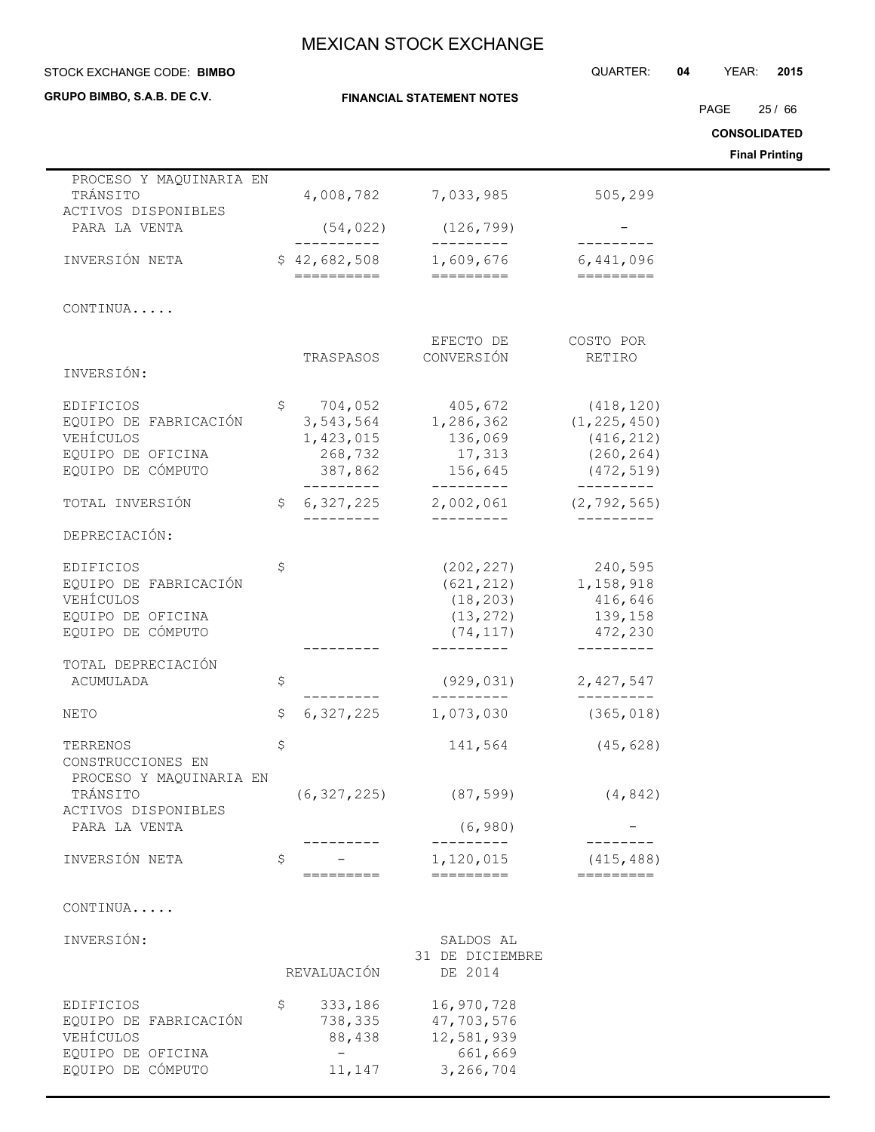**FINANCIAL STATEMENT NOTES**

### **STOCK EXCHANGE CODE: BIMBO**

**GRUPO BIMBO, S.A.B. DE C.V.**

 $\blacksquare$ 

# STOCK EXCHANGE CODE: QUARTER: **04** YEAR: **2015**

PAGE 25 / 66

**CONSOLIDATED**

**Final Printing**

| PROCESO Y MAQUINARIA EN<br>TRÁNSITO<br>ACTIVOS DISPONIBLES                                |    | 4,008,782                                                           | 7,033,985                                                         | 505,299                                                                           |
|-------------------------------------------------------------------------------------------|----|---------------------------------------------------------------------|-------------------------------------------------------------------|-----------------------------------------------------------------------------------|
| PARA LA VENTA                                                                             |    | (54, 022)                                                           | (126, 799)                                                        |                                                                                   |
| INVERSIÓN NETA                                                                            |    | __________<br>\$42,682,508<br>==========                            | _________<br>1,609,676                                            | 6,441,096<br>=========                                                            |
| CONTINUA                                                                                  |    |                                                                     |                                                                   |                                                                                   |
|                                                                                           |    | TRASPASOS                                                           | EFECTO DE<br>CONVERSIÓN                                           | COSTO POR<br>RETIRO                                                               |
| INVERSIÓN:                                                                                |    |                                                                     |                                                                   |                                                                                   |
| EDIFICIOS<br>EQUIPO DE FABRICACIÓN<br>VEHÍCULOS<br>EQUIPO DE OFICINA<br>EQUIPO DE CÓMPUTO | \$ | 704,052<br>3,543,564<br>1,423,015<br>268,732<br>387,862<br>-------- | 405,672<br>1,286,362<br>136,069<br>17,313<br>156,645<br>_________ | (418, 120)<br>(1, 225, 450)<br>(416, 212)<br>(260, 264)<br>(472, 519)<br>________ |
| TOTAL INVERSIÓN                                                                           | \$ | 6,327,225                                                           | 2,002,061                                                         | (2, 792, 565)                                                                     |
| DEPRECIACIÓN:                                                                             |    |                                                                     | ---------                                                         |                                                                                   |
| EDIFICIOS<br>EQUIPO DE FABRICACIÓN<br>VEHÍCULOS<br>EQUIPO DE OFICINA<br>EQUIPO DE CÓMPUTO | \$ |                                                                     | (202, 227)<br>(621, 212)<br>(18, 203)<br>(13, 272)<br>(74, 117)   | 240,595<br>1,158,918<br>416,646<br>139,158<br>472,230                             |
| TOTAL DEPRECIACIÓN<br>ACUMULADA                                                           | \$ |                                                                     | (929, 031)<br>----------                                          | 2,427,547<br>----------                                                           |
| NETO                                                                                      | \$ | 6,327,225                                                           | 1,073,030                                                         | (365, 018)                                                                        |
| TERRENOS<br>CONSTRUCCIONES EN                                                             | \$ |                                                                     | 141,564                                                           | (45, 628)                                                                         |
| PROCESO Y MAQUINARIA EN<br>TRÁNSITO<br>ACTIVOS DISPONIBLES                                |    | (6, 327, 225)                                                       | (87, 599)                                                         | (4, 842)                                                                          |
| PARA LA VENTA                                                                             |    |                                                                     | (6, 980)                                                          |                                                                                   |
| INVERSIÓN NETA                                                                            | \$ | =========                                                           | 1,120,015<br>=========                                            | (415, 488)<br>=========                                                           |
| CONTINUA                                                                                  |    |                                                                     |                                                                   |                                                                                   |
| INVERSIÓN:                                                                                |    | REVALUACIÓN                                                         | SALDOS AL<br>31 DE DICIEMBRE<br>DE 2014                           |                                                                                   |
| <b>EDIFICIOS</b><br>EQUIPO DE FABRICACIÓN<br>VEHÍCULOS<br>EQUIPO DE OFICINA               | Ş  | 333,186<br>738,335<br>88,438                                        | 16,970,728<br>47,703,576<br>12,581,939<br>661,669                 |                                                                                   |

EQUIPO DE OFICINA - 661,669<br>EQUIPO DE CÓMPUTO 11,147 3,266,704

EQUIPO DE CÓMPUTO 11,147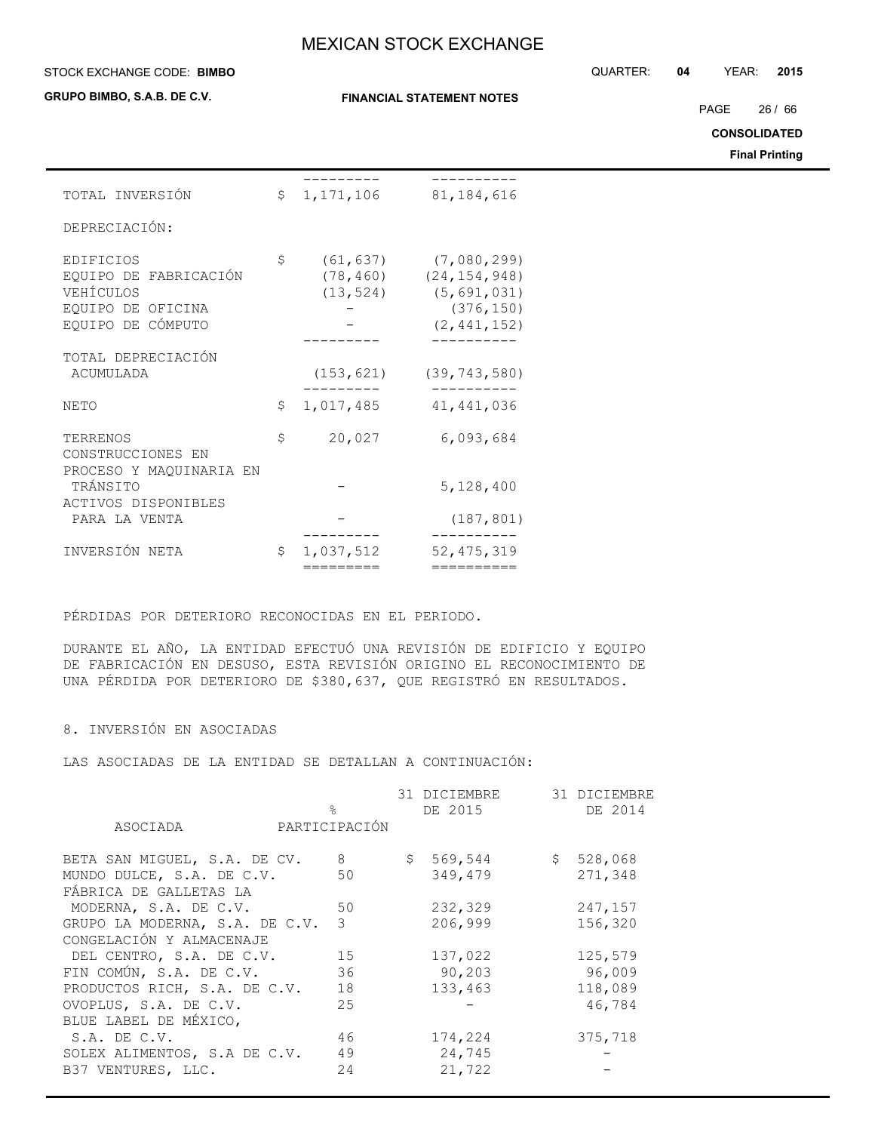#### STOCK EXCHANGE CODE: QUARTER: **04** YEAR: **2015 BIMBO**

**GRUPO BIMBO, S.A.B. DE C.V.**

### **FINANCIAL STATEMENT NOTES**

PAGE 26 / 66

**CONSOLIDATED**

**Final Printing**

| TOTAL INVERSIÓN         | $\mathsf{S}$ | 1, 171, 106 | 81, 184, 616   |
|-------------------------|--------------|-------------|----------------|
| DEPRECIACIÓN:           |              |             |                |
|                         |              |             |                |
| EDIFICIOS               | \$           | (61, 637)   | (7,080,299)    |
| EQUIPO DE FABRICACIÓN   |              | (78, 460)   | (24, 154, 948) |
| VEHÍCULOS               |              | (13, 524)   | (5, 691, 031)  |
| EQUIPO DE OFICINA       |              |             | (376, 150)     |
| EQUIPO DE CÓMPUTO       |              |             | (2, 441, 152)  |
|                         |              |             |                |
| TOTAL DEPRECIACIÓN      |              |             |                |
| ACUMULADA               |              | (153, 621)  | (39, 743, 580) |
| NETO                    | \$           | 1,017,485   | 41, 441, 036   |
|                         |              |             |                |
| TERRENOS                | \$           | 20,027      | 6,093,684      |
| CONSTRUCCIONES EN       |              |             |                |
| PROCESO Y MAQUINARIA EN |              |             |                |
| TRÁNSITO                |              |             | 5,128,400      |
| ACTIVOS DISPONIBLES     |              |             |                |
| PARA LA VENTA           |              |             | (187, 801)     |
| INVERSIÓN NETA          | \$           | 1,037,512   | 52, 475, 319   |
|                         |              | =========   | ==========     |

PÉRDIDAS POR DETERIORO RECONOCIDAS EN EL PERIODO.

DURANTE EL AÑO, LA ENTIDAD EFECTUÓ UNA REVISIÓN DE EDIFICIO Y EQUIPO DE FABRICACIÓN EN DESUSO, ESTA REVISIÓN ORIGINO EL RECONOCIMIENTO DE UNA PÉRDIDA POR DETERIORO DE \$380,637, QUE REGISTRÓ EN RESULTADOS.

### 8. INVERSIÓN EN ASOCIADAS

LAS ASOCIADAS DE LA ENTIDAD SE DETALLAN A CONTINUACIÓN:

|                                | $\approx$     | 31 DICIEMBRE<br>DE 2015 | 31 DICIEMBRE<br>DE 2014 |
|--------------------------------|---------------|-------------------------|-------------------------|
| ASOCIADA                       | PARTICIPACIÓN |                         |                         |
| BETA SAN MIGUEL, S.A. DE CV.   | 8             | \$569,544               | \$528,068               |
| MUNDO DULCE, S.A. DE C.V.      | 50            | 349,479                 | 271,348                 |
| FÁBRICA DE GALLETAS LA         |               |                         |                         |
| MODERNA, S.A. DE C.V.          | 50            | 232,329                 | 247,157                 |
| GRUPO LA MODERNA, S.A. DE C.V. | 3             | 206,999                 | 156,320                 |
| CONGELACIÓN Y ALMACENAJE       |               |                         |                         |
| DEL CENTRO, S.A. DE C.V.       | 15            | 137,022                 | 125,579                 |
| FIN COMÚN, S.A. DE C.V.        | 36            | 90,203                  | 96,009                  |
| PRODUCTOS RICH, S.A. DE C.V.   | 18            | 133,463                 | 118,089                 |
| OVOPLUS, S.A. DE C.V.          | 25            |                         | 46,784                  |
| BLUE LABEL DE MÉXICO,          |               |                         |                         |
| S.A. DE C.V.                   | 46            | 174,224                 | 375,718                 |
| SOLEX ALIMENTOS, S.A DE C.V.   | 49            | 24,745                  |                         |
| B37 VENTURES, LLC.             | 24            | 21,722                  |                         |
|                                |               |                         |                         |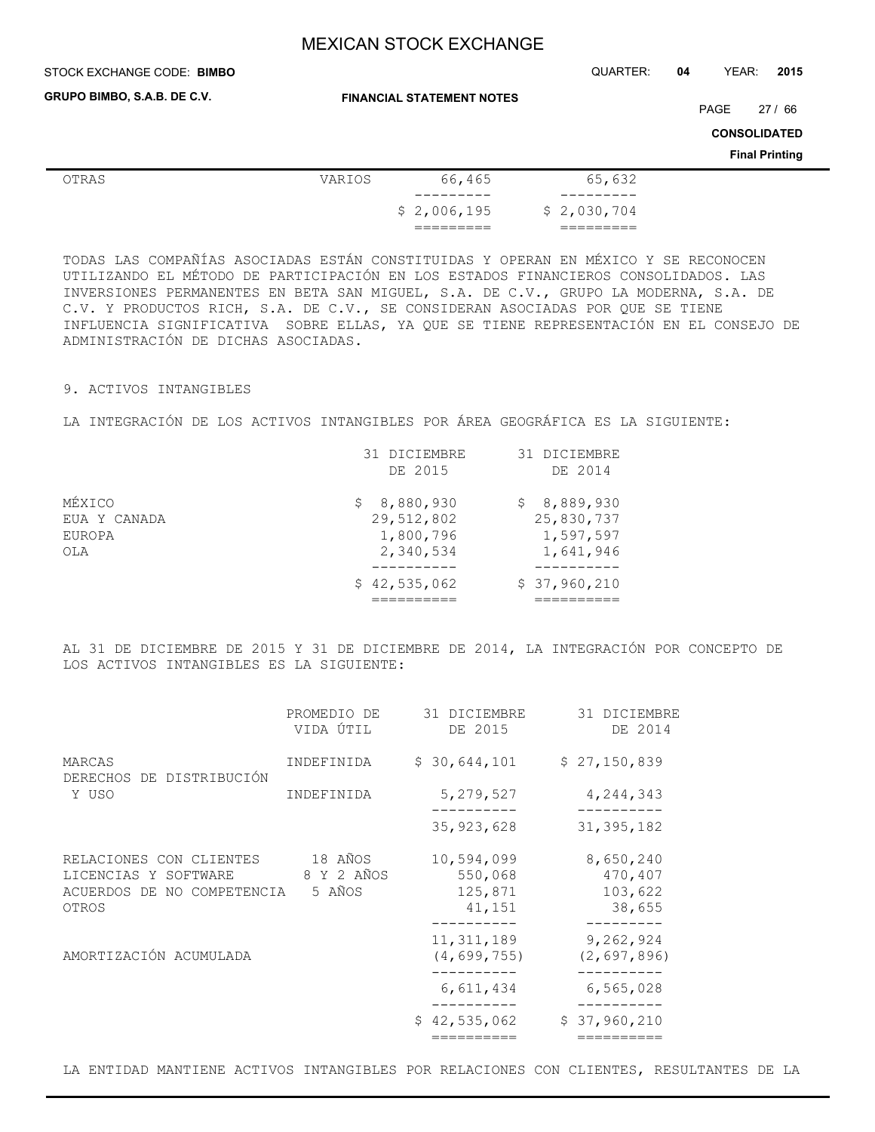### **STOCK EXCHANGE CODE: BIMBO**

STOCK EXCHANGE CODE: QUARTER: **04** YEAR: **2015**

**GRUPO BIMBO, S.A.B. DE C.V.**

**FINANCIAL STATEMENT NOTES**

PAGE 27 / 66

**CONSOLIDATED**

**Final Printing**

| OTRAS | VARIOS | 66,465                | 65,632      |
|-------|--------|-----------------------|-------------|
|       |        | _________             |             |
|       |        | \$2,006,195           | \$2,030,704 |
|       |        | ________<br>_________ | _________   |

TODAS LAS COMPAÑÍAS ASOCIADAS ESTÁN CONSTITUIDAS Y OPERAN EN MÉXICO Y SE RECONOCEN UTILIZANDO EL MÉTODO DE PARTICIPACIÓN EN LOS ESTADOS FINANCIEROS CONSOLIDADOS. LAS INVERSIONES PERMANENTES EN BETA SAN MIGUEL, S.A. DE C.V., GRUPO LA MODERNA, S.A. DE C.V. Y PRODUCTOS RICH, S.A. DE C.V., SE CONSIDERAN ASOCIADAS POR QUE SE TIENE INFLUENCIA SIGNIFICATIVA SOBRE ELLAS, YA QUE SE TIENE REPRESENTACIÓN EN EL CONSEJO DE ADMINISTRACIÓN DE DICHAS ASOCIADAS.

### 9. ACTIVOS INTANGIBLES

LA INTEGRACIÓN DE LOS ACTIVOS INTANGIBLES POR ÁREA GEOGRÁFICA ES LA SIGUIENTE:

|              | 31 DICIEMBRE<br>DE 2015 | 31 DICIEMBRE<br>DE 2014 |
|--------------|-------------------------|-------------------------|
|              |                         |                         |
| MÉXICO       | 8,880,930<br>S.         | \$8,889,930             |
| EUA Y CANADA | 29,512,802              | 25,830,737              |
| EUROPA       | 1,800,796               | 1,597,597               |
| OLA          | 2,340,534               | 1,641,946               |
|              | \$42,535,062            | \$37,960,210            |
|              |                         |                         |

AL 31 DE DICIEMBRE DE 2015 Y 31 DE DICIEMBRE DE 2014, LA INTEGRACIÓN POR CONCEPTO DE LOS ACTIVOS INTANGIBLES ES LA SIGUIENTE:

|                                                                                        | PROMEDIO DE<br>VIDA ÚTIL        | 31 DICIEMBRE<br>DE 2015                    | 31 DICIEMBRE<br>DE 2014                   |
|----------------------------------------------------------------------------------------|---------------------------------|--------------------------------------------|-------------------------------------------|
| MARCAS<br>DERECHOS DE DISTRIBUCIÓN<br>Y USO                                            | INDEFINIDA                      | \$30,644,101                               | \$27,150,839                              |
|                                                                                        | INDEFINIDA                      | 5,279,527                                  | 4,244,343                                 |
|                                                                                        |                                 | 35, 923, 628                               | 31, 395, 182                              |
| RELACIONES CON CLIENTES<br>LICENCIAS Y SOFTWARE<br>ACUERDOS DE NO COMPETENCIA<br>OTROS | 18 AÑOS<br>8 Y 2 AÑOS<br>5 AÑOS | 10,594,099<br>550,068<br>125,871<br>41,151 | 8,650,240<br>470,407<br>103,622<br>38,655 |
| AMORTIZACIÓN ACUMULADA                                                                 |                                 | 11, 311, 189<br>(4, 699, 755)              | 9,262,924<br>(2,697,896)                  |
|                                                                                        |                                 | 6,611,434                                  | 6,565,028                                 |
|                                                                                        |                                 | \$42,535,062                               | \$37,960,210                              |
|                                                                                        |                                 |                                            |                                           |

LA ENTIDAD MANTIENE ACTIVOS INTANGIBLES POR RELACIONES CON CLIENTES, RESULTANTES DE LA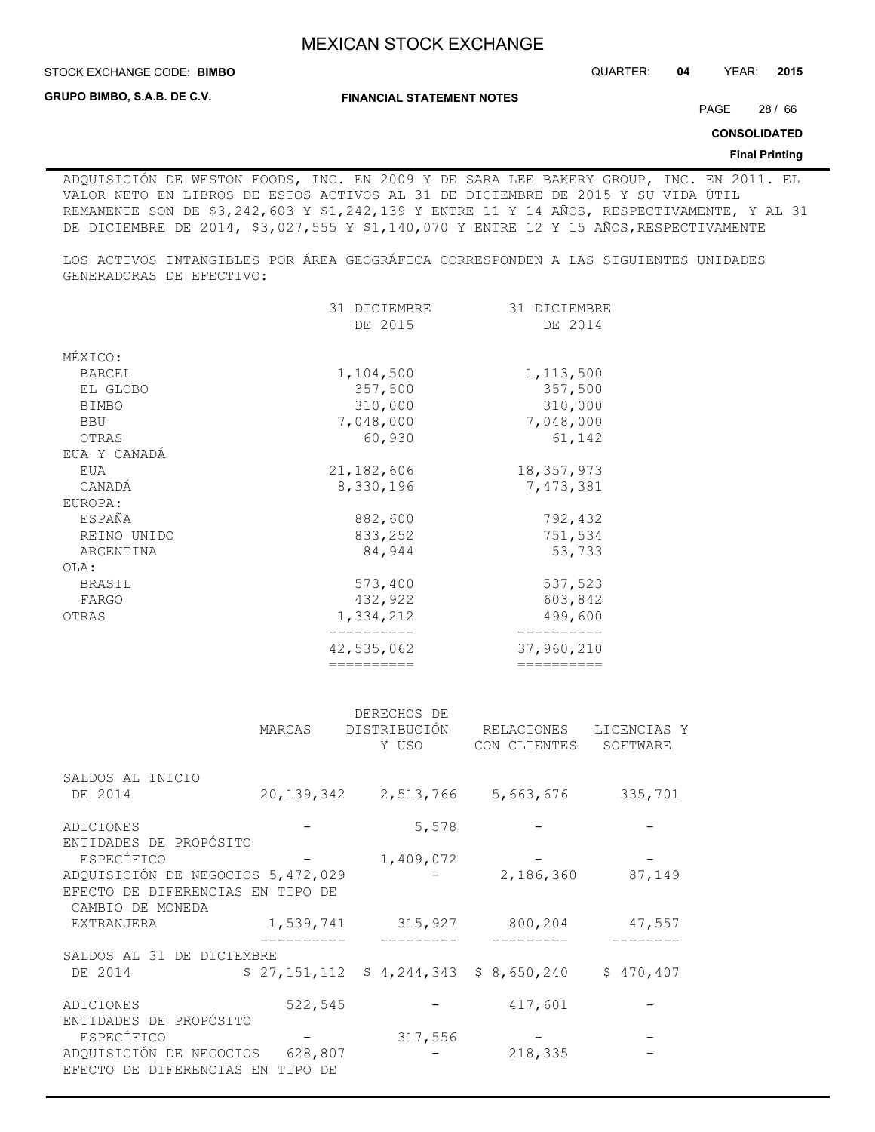**STOCK EXCHANGE CODE: BIMBO** 

**GRUPO BIMBO, S.A.B. DE C.V.**

**FINANCIAL STATEMENT NOTES**

PAGE 28 / 66

**CONSOLIDATED**

### **Final Printing**

ADQUISICIÓN DE WESTON FOODS, INC. EN 2009 Y DE SARA LEE BAKERY GROUP, INC. EN 2011. EL VALOR NETO EN LIBROS DE ESTOS ACTIVOS AL 31 DE DICIEMBRE DE 2015 Y SU VIDA ÚTIL REMANENTE SON DE \$3,242,603 Y \$1,242,139 Y ENTRE 11 Y 14 AÑOS, RESPECTIVAMENTE, Y AL 31 DE DICIEMBRE DE 2014, \$3,027,555 Y \$1,140,070 Y ENTRE 12 Y 15 AÑOS, RESPECTIVAMENTE

LOS ACTIVOS INTANGIBLES POR ÁREA GEOGRÁFICA CORRESPONDEN A LAS SIGUIENTES UNIDADES GENERADORAS DE EFECTIVO:

|               | 31 DICIEMBRE | 31 DICIEMBRE |
|---------------|--------------|--------------|
|               | DE 2015      | DE 2014      |
|               |              |              |
| MÉXICO:       |              |              |
| <b>BARCEL</b> | 1,104,500    | 1, 113, 500  |
| EL GLOBO      | 357,500      | 357,500      |
| <b>BIMBO</b>  | 310,000      | 310,000      |
| <b>BBU</b>    | 7,048,000    | 7,048,000    |
| OTRAS         | 60,930       | 61,142       |
| EUA Y CANADÁ  |              |              |
| EUA           | 21, 182, 606 | 18,357,973   |
| CANADÁ        | 8,330,196    | 7,473,381    |
| EUROPA:       |              |              |
| ESPAÑA        | 882,600      | 792,432      |
| REINO UNIDO   | 833,252      | 751,534      |
| ARGENTINA     | 84,944       | 53,733       |
| OLA:          |              |              |
| <b>BRASIL</b> | 573,400      | 537,523      |
| FARGO         | 432,922      | 603,842      |
| OTRAS         | 1,334,212    | 499,600      |
|               |              |              |
|               | 42,535,062   | 37,960,210   |
|               | ==========   | ==========   |

|                                                          |                  | DERECHOS DE                             |                            |                         |
|----------------------------------------------------------|------------------|-----------------------------------------|----------------------------|-------------------------|
|                                                          | MARCAS           | DISTRIBUCIÓN<br>Y USO                   | RELACIONES<br>CON CLIENTES | LICENCIAS Y<br>SOFTWARE |
| SALDOS AL INICIO                                         |                  |                                         |                            |                         |
| DE 2014                                                  | 20, 139, 342     |                                         | 2,513,766 5,663,676        | 335,701                 |
| ADICIONES                                                |                  | 5,578                                   |                            |                         |
| ENTIDADES DE PROPÓSITO                                   |                  |                                         |                            |                         |
| ESPECÍFICO                                               |                  | 1,409,072                               |                            |                         |
| ADQUISICIÓN DE NEGOCIOS 5,472,029                        |                  |                                         | 2,186,360                  | 87,149                  |
| EFECTO DE DIFERENCIAS EN TIPO DE<br>CAMBIO DE MONEDA     |                  |                                         |                            |                         |
| EXTRANJERA                                               | 1,539,741        | 315,927                                 | 800,204                    | 47,557                  |
| SALDOS AL 31 DE DICIEMBRE                                |                  |                                         |                            |                         |
| DE 2014                                                  |                  | $$27,151,112 \ $4,244,343 \ $8,650,240$ |                            | \$470,407               |
| ADICIONES                                                | 522,545          |                                         | 417,601                    |                         |
| ENTIDADES DE PROPÓSITO                                   |                  |                                         |                            |                         |
| ESPECÍFICO                                               |                  | 317,556                                 |                            |                         |
| ADQUISICIÓN DE NEGOCIOS 628,807<br>EFECTO DE DIFERENCIAS | TIPO<br>DE<br>ΕN |                                         | 218,335                    |                         |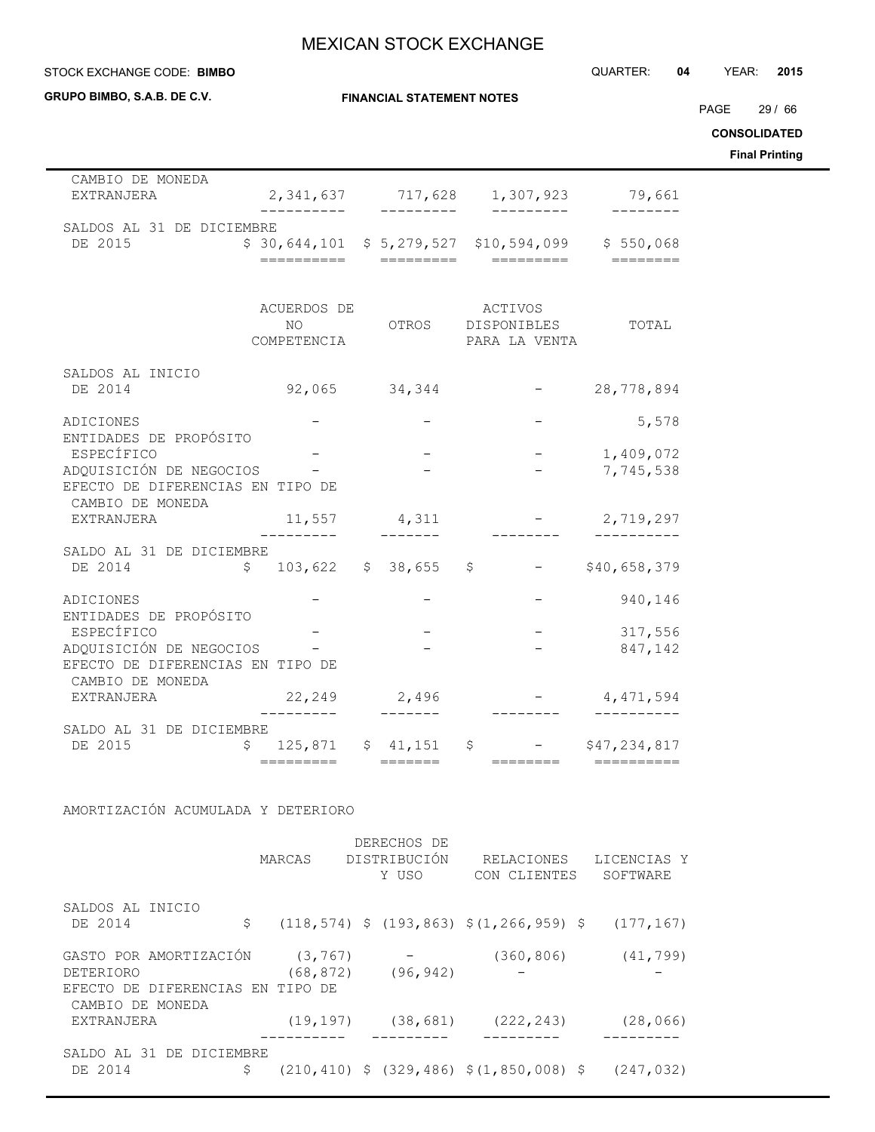STOCK EXCHANGE CODE: QUARTER: **04** YEAR: **2015 BIMBO**

| GRUPO BIMBO, S.A.B. DE C.V.                                                                     |                            | <b>FINANCIAL STATEMENT NOTES</b>  |                                                                                                   |                           | PAGE 29 / 66<br><b>CONSOLIDATED</b><br><b>Final Printing</b> |
|-------------------------------------------------------------------------------------------------|----------------------------|-----------------------------------|---------------------------------------------------------------------------------------------------|---------------------------|--------------------------------------------------------------|
| CAMBIO DE MONEDA<br>EXTRANJERA                                                                  | ----------                 | ---------                         | 2,341,637 717,628 1,307,923 79,661<br>_________                                                   | ---------                 |                                                              |
| SALDOS AL 31 DE DICIEMBRE<br>DE 2015                                                            |                            |                                   | $$30,644,101$ $$5,279,527$ $$10,594,099$ $$550,068$                                               |                           |                                                              |
|                                                                                                 | ACUERDOS DE<br>COMPETENCIA |                                   | ACTIVOS<br>NO OTROS DISPONIBLES<br>PARA LA VENTA                                                  | TOTAL                     |                                                              |
| SALDOS AL INICIO<br>DE 2014                                                                     |                            |                                   | $92,065$ $34,344$ - 28,778,894                                                                    |                           |                                                              |
| ADICIONES<br>ENTIDADES DE PROPÓSITO                                                             |                            |                                   |                                                                                                   | 5,578                     |                                                              |
| ESPECÍFICO<br>ADQUISICIÓN DE NEGOCIOS -<br>EFECTO DE DIFERENCIAS EN TIPO DE<br>CAMBIO DE MONEDA |                            |                                   |                                                                                                   | $-1,409,072$<br>7,745,538 |                                                              |
| EXTRANJERA                                                                                      | $- - - - -$                | $11,557$ 4,311<br>$- - - - - - -$ |                                                                                                   | $-2,719,297$              |                                                              |
| SALDO AL 31 DE DICIEMBRE<br>DE 2014                                                             | $$103,622$ $$38,655$ $$$   |                                   |                                                                                                   | $-$ \$40,658,379          |                                                              |
| ADICIONES<br>ENTIDADES DE PROPÓSITO                                                             |                            |                                   |                                                                                                   | 940,146                   |                                                              |
| ESPECÍFICO<br>ADQUISICIÓN DE NEGOCIOS<br>EFECTO DE DIFERENCIAS EN TIPO DE<br>CAMBIO DE MONEDA   |                            | $ \,$                             |                                                                                                   | 317,556<br>847,142        |                                                              |
| EXTRANJERA                                                                                      | 22,249 2,496               |                                   |                                                                                                   | $-4,471,594$              |                                                              |
| SALDO AL 31 DE DICIEMBRE<br>DE 2015                                                             | \$<br>=========            | ———————                           | 125,871 \$ 41,151 \$ - \$47,234,817<br>————————                                                   |                           |                                                              |
| AMORTIZACIÓN ACUMULADA Y DETERIORO                                                              |                            |                                   |                                                                                                   |                           |                                                              |
|                                                                                                 |                            | DERECHOS DE                       | MARCAS DISTRIBUCIÓN RELACIONES LICENCIAS Y<br>Y USO CON CLIENTES SOFTWARE                         |                           |                                                              |
| SALDOS AL INICIO<br>DE 2014                                                                     | \$                         |                                   | $(118, 574)$ \$ $(193, 863)$ \$ $(1, 266, 959)$ \$ $(177, 167)$                                   |                           |                                                              |
| GASTO POR AMORTIZACIÓN<br>DETERIORO<br>EFECTO DE DIFERENCIAS EN TIPO DE                         | (3, 767)                   | $(68, 872)$ $(96, 942)$           | $-$ (360,806) (41,799)                                                                            |                           |                                                              |
| CAMBIO DE MONEDA<br>EXTRANJERA                                                                  |                            |                                   | $(19, 197)$ $(38, 681)$ $(222, 243)$                                                              | (28, 066)                 |                                                              |
| SALDO AL 31 DE DICIEMBRE<br>DE 2014                                                             |                            |                                   | $\frac{1}{2}$ (210,410) $\frac{1}{2}$ (329,486) $\frac{1}{2}$ (1,850,008) $\frac{1}{2}$ (247,032) |                           |                                                              |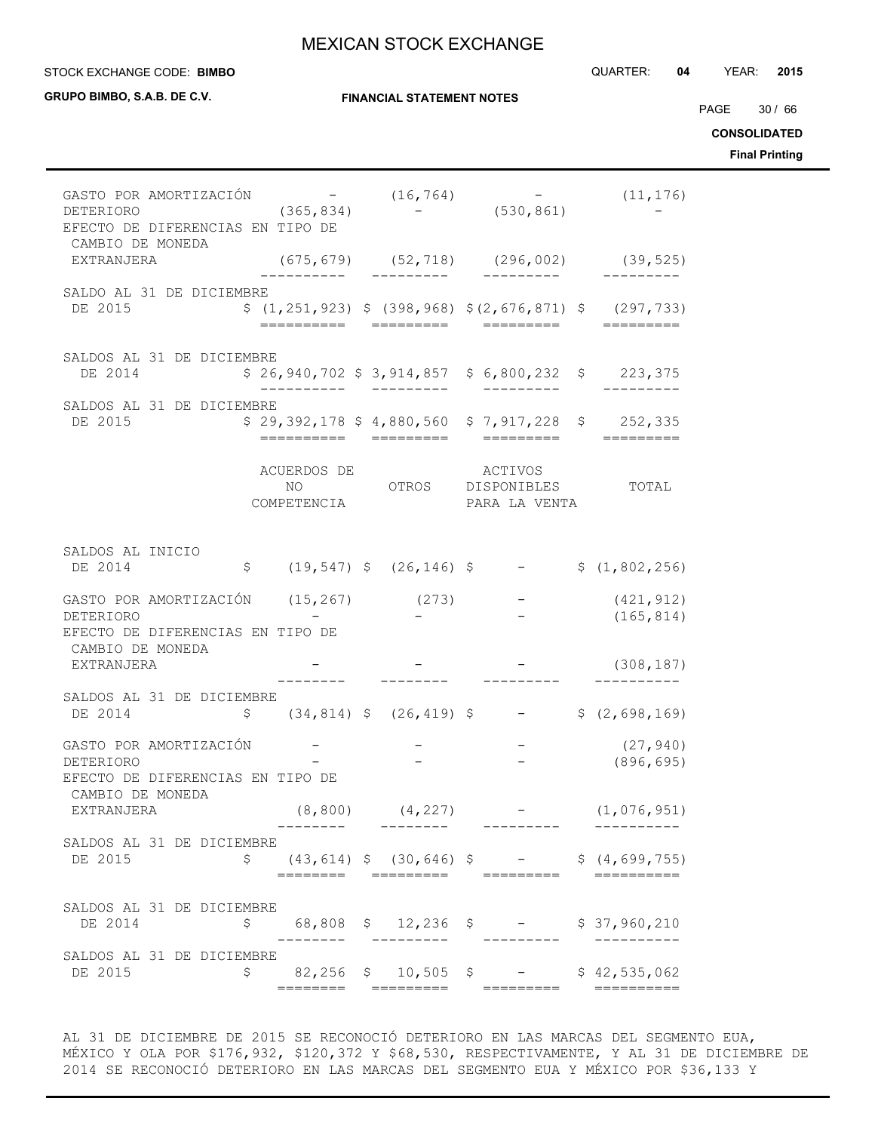#### STOCK EXCHANGE CODE: QUARTER: **04** YEAR: **2015 BIMBO**

| GRUPO BIMBO, S.A.B. DE C.V.                                                                                |    |                            | <b>FINANCIAL STATEMENT NOTES</b> |                                                       |                                                                                         | PAGE 30 / 66<br><b>CONSOLIDATED</b><br><b>Final Printing</b> |
|------------------------------------------------------------------------------------------------------------|----|----------------------------|----------------------------------|-------------------------------------------------------|-----------------------------------------------------------------------------------------|--------------------------------------------------------------|
| GASTO POR AMORTIZACIÓN $-$ (16,764) $-$ (11,176)<br>DETERIORO<br>EFECTO DE DIFERENCIAS EN TIPO DE          |    |                            |                                  | $(365, 834)$ - $(530, 861)$                           |                                                                                         |                                                              |
| CAMBIO DE MONEDA<br>EXTRANJERA                                                                             |    |                            |                                  |                                                       | $(675, 679)$ $(52, 718)$ $(296, 002)$ $(39, 525)$                                       |                                                              |
| SALDO AL 31 DE DICIEMBRE<br>DE 2015                                                                        |    |                            |                                  |                                                       | $$(1, 251, 923)$ $$(398, 968)$ $$(2, 676, 871)$ $$(297, 733)$                           |                                                              |
| SALDOS AL 31 DE DICIEMBRE<br>DE 2014                                                                       |    |                            | __________                       | $$26,940,702$$ $$3,914,857$$ $$6,800,232$$ $$223,375$ |                                                                                         |                                                              |
| SALDOS AL 31 DE DICIEMBRE<br>DE 2015                                                                       |    |                            |                                  | $$29,392,178$$ \$4,880,560 \$7,917,228 \$252,335      |                                                                                         |                                                              |
|                                                                                                            |    | ACUERDOS DE<br>COMPETENCIA |                                  | ACTIVOS<br>NO OTROS DISPONIBLES<br>PARA LA VENTA      | TOTAL                                                                                   |                                                              |
| SALDOS AL INICIO<br>DE 2014                                                                                |    |                            |                                  |                                                       | $$$ (19,547) $$$ (26,146) $$$ - $$$ (1,802,256)                                         |                                                              |
| GASTO POR AMORTIZACIÓN $(15, 267)$ $(273)$ - $(421, 912)$<br>DETERIORO<br>EFECTO DE DIFERENCIAS EN TIPO DE |    |                            |                                  |                                                       | (165, 814)                                                                              |                                                              |
| CAMBIO DE MONEDA<br>EXTRANJERA                                                                             |    |                            |                                  |                                                       | (308, 187)                                                                              |                                                              |
| SALDOS AL 31 DE DICIEMBRE<br>DE 2014                                                                       |    |                            |                                  |                                                       | $\frac{1}{2}$ (34,814) $\frac{1}{2}$ (26,419) $\frac{1}{2}$ - $\frac{1}{2}$ (2,698,169) |                                                              |
| GASTO POR AMORTIZACIÓN<br>DETERIORO<br>EFECTO DE DIFERENCIAS EN TIPO DE                                    |    |                            |                                  |                                                       | $-$ (27,940)<br>(896, 695)                                                              |                                                              |
| CAMBIO DE MONEDA<br>EXTRANJERA                                                                             |    |                            |                                  |                                                       | $(8,800)$ $(4,227)$ - $(1,076,951)$                                                     |                                                              |
| SALDOS AL 31 DE DICIEMBRE<br>DE 2015                                                                       | \$ |                            |                                  |                                                       | $(43, 614)$ \$ $(30, 646)$ \$ - \$ $(4, 699, 755)$                                      |                                                              |
| SALDOS AL 31 DE DICIEMBRE<br>DE 2014                                                                       | Ş. |                            |                                  | 68,808 \$ 12,236 \$ - \$ 37,960,210                   |                                                                                         |                                                              |
| SALDOS AL 31 DE DICIEMBRE<br>DE 2015                                                                       |    |                            |                                  | $$82,256$ \$ 10,505 \$ - \$ 42,535,062                |                                                                                         |                                                              |

AL 31 DE DICIEMBRE DE 2015 SE RECONOCIÓ DETERIORO EN LAS MARCAS DEL SEGMENTO EUA, MÉXICO Y OLA POR \$176,932, \$120,372 Y \$68,530, RESPECTIVAMENTE, Y AL 31 DE DICIEMBRE DE 2014 SE RECONOCIÓ DETERIORO EN LAS MARCAS DEL SEGMENTO EUA Y MÉXICO POR \$36,133 Y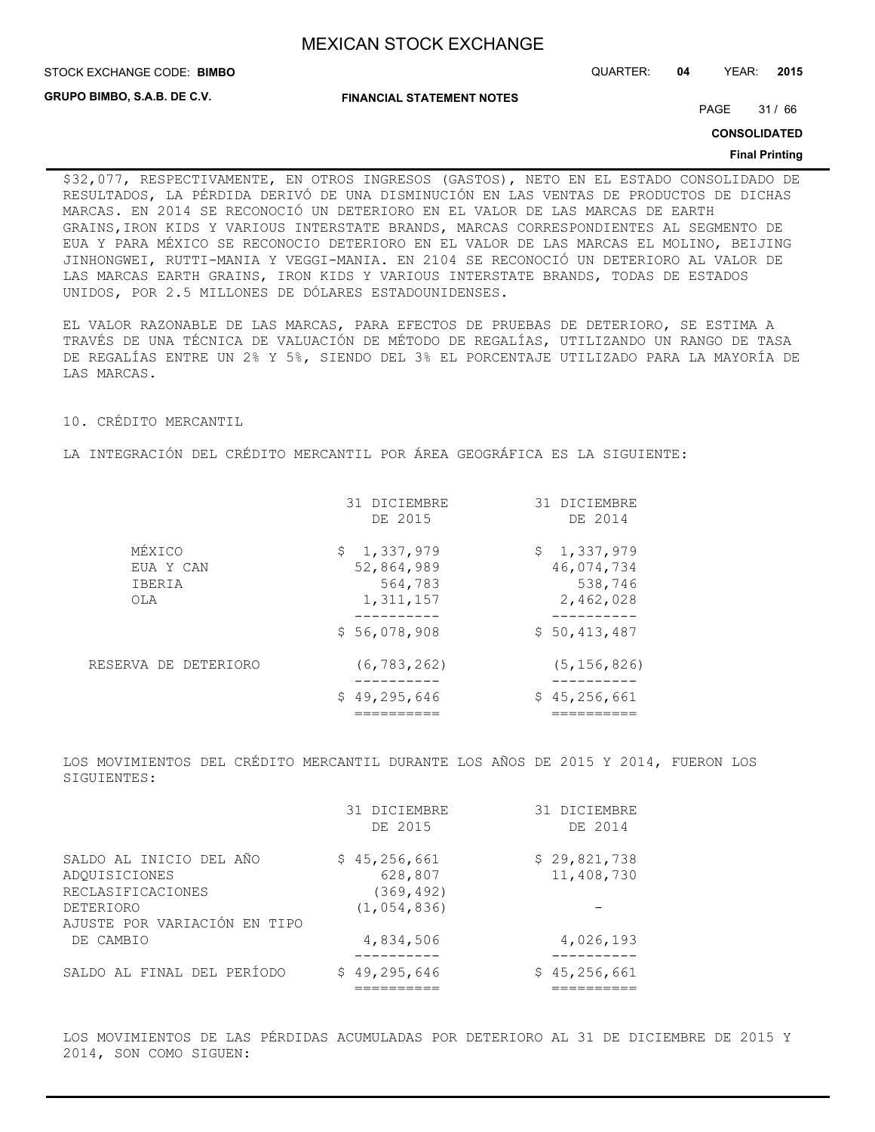STOCK EXCHANGE CODE: QUARTER: **04** YEAR: **2015 BIMBO**

**GRUPO BIMBO, S.A.B. DE C.V.**

**FINANCIAL STATEMENT NOTES**

PAGE 31 / 66

**CONSOLIDATED**

#### **Final Printing**

\$32,077, RESPECTIVAMENTE, EN OTROS INGRESOS (GASTOS), NETO EN EL ESTADO CONSOLIDADO DE RESULTADOS, LA PÉRDIDA DERIVÓ DE UNA DISMINUCIÓN EN LAS VENTAS DE PRODUCTOS DE DICHAS MARCAS. EN 2014 SE RECONOCIÓ UN DETERIORO EN EL VALOR DE LAS MARCAS DE EARTH GRAINS,IRON KIDS Y VARIOUS INTERSTATE BRANDS, MARCAS CORRESPONDIENTES AL SEGMENTO DE EUA Y PARA MÉXICO SE RECONOCIO DETERIORO EN EL VALOR DE LAS MARCAS EL MOLINO, BEIJING JINHONGWEI, RUTTI-MANIA Y VEGGI-MANIA. EN 2104 SE RECONOCIÓ UN DETERIORO AL VALOR DE LAS MARCAS EARTH GRAINS, IRON KIDS Y VARIOUS INTERSTATE BRANDS, TODAS DE ESTADOS UNIDOS, POR 2.5 MILLONES DE DÓLARES ESTADOUNIDENSES.

EL VALOR RAZONABLE DE LAS MARCAS, PARA EFECTOS DE PRUEBAS DE DETERIORO, SE ESTIMA A TRAVÉS DE UNA TÉCNICA DE VALUACIÓN DE MÉTODO DE REGALÍAS, UTILIZANDO UN RANGO DE TASA DE REGALÍAS ENTRE UN 2% Y 5%, SIENDO DEL 3% EL PORCENTAJE UTILIZADO PARA LA MAYORÍA DE LAS MARCAS.

10. CRÉDITO MERCANTIL

LA INTEGRACIÓN DEL CRÉDITO MERCANTIL POR ÁREA GEOGRÁFICA ES LA SIGUIENTE:

|                                      | 31 DICIEMBRE<br>DE 2015                           | 31 DICIEMBRE<br>DE 2014                           |
|--------------------------------------|---------------------------------------------------|---------------------------------------------------|
| MÉXICO<br>EUA Y CAN<br>IBERIA<br>OLA | \$1,337,979<br>52,864,989<br>564,783<br>1,311,157 | \$1,337,979<br>46,074,734<br>538,746<br>2,462,028 |
|                                      | \$56,078,908                                      | \$50,413,487                                      |
| RESERVA DE DETERIORO                 | (6, 783, 262)                                     | (5, 156, 826)                                     |
|                                      | \$49, 295, 646                                    | \$45,256,661                                      |

LOS MOVIMIENTOS DEL CRÉDITO MERCANTIL DURANTE LOS AÑOS DE 2015 Y 2014, FUERON LOS SIGUIENTES:

|                                           | 31 DICIEMBRE<br>DE 2015 | 31 DICIEMBRE<br>DE 2014    |
|-------------------------------------------|-------------------------|----------------------------|
| SALDO AL INICIO DEL AÑO<br>ADOUISICIONES  | \$45,256,661<br>628,807 | \$29,821,738<br>11,408,730 |
| RECLASIFICACIONES                         | (369, 492)              |                            |
| DETERIORO<br>AJUSTE POR VARIACIÓN EN TIPO | (1, 054, 836)           |                            |
| DE CAMBIO                                 | 4,834,506               | 4,026,193                  |
| SALDO AL FINAL DEL PERÍODO                | \$49,295,646            | \$45,256,661               |

LOS MOVIMIENTOS DE LAS PÉRDIDAS ACUMULADAS POR DETERIORO AL 31 DE DICIEMBRE DE 2015 Y 2014, SON COMO SIGUEN: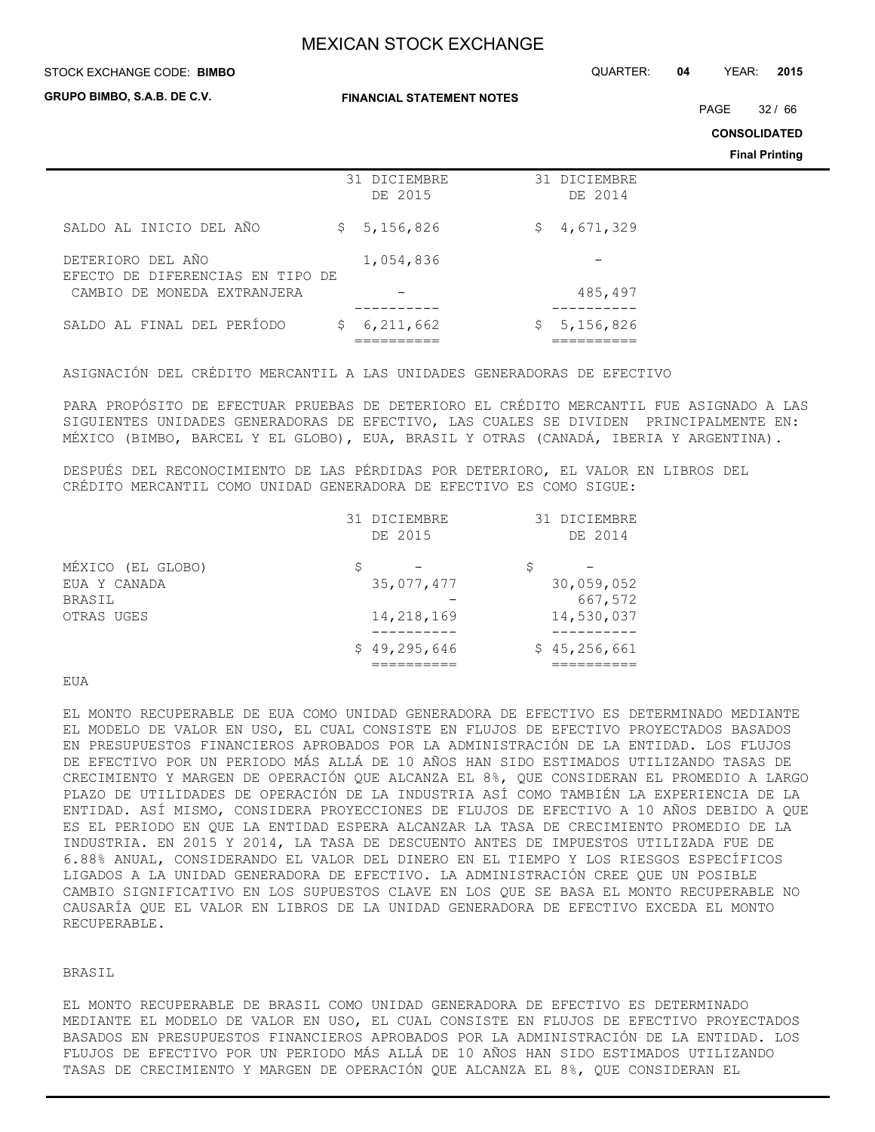STOCK EXCHANGE CODE: QUARTER: **04** YEAR: **2015 BIMBO**

**GRUPO BIMBO, S.A.B. DE C.V.**

**FINANCIAL STATEMENT NOTES**

PAGE 32 / 66

**CONSOLIDATED**

**Final Printing**

|                                                       | 31 DICIEMBRE<br>DE 2015 | 31 DICIEMBRE<br>DE 2014 |
|-------------------------------------------------------|-------------------------|-------------------------|
| SALDO AL INICIO DEL AÑO                               | \$5,156,826             | 4,671,329<br>\$.        |
| DETERIORO DEL AÑO<br>EFECTO DE DIFERENCIAS EN TIPO DE | 1,054,836               |                         |
| CAMBIO DE MONEDA EXTRANJERA                           |                         | 485,497                 |
| SALDO AL FINAL DEL PERÍODO                            | 6,211,662<br>\$.        | 5,156,826               |

ASIGNACIÓN DEL CRÉDITO MERCANTIL A LAS UNIDADES GENERADORAS DE EFECTIVO

PARA PROPÓSITO DE EFECTUAR PRUEBAS DE DETERIORO EL CRÉDITO MERCANTIL FUE ASIGNADO A LAS SIGUIENTES UNIDADES GENERADORAS DE EFECTIVO, LAS CUALES SE DIVIDEN PRINCIPALMENTE EN: MÉXICO (BIMBO, BARCEL Y EL GLOBO), EUA, BRASIL Y OTRAS (CANADÁ, IBERIA Y ARGENTINA).

DESPUÉS DEL RECONOCIMIENTO DE LAS PÉRDIDAS POR DETERIORO, EL VALOR EN LIBROS DEL CRÉDITO MERCANTIL COMO UNIDAD GENERADORA DE EFECTIVO ES COMO SIGUE:

|                   | 31 DICIEMBRE<br>DE 2015 |   | 31 DICIEMBRE<br>DE 2014 |
|-------------------|-------------------------|---|-------------------------|
| MÉXICO (EL GLOBO) |                         | S |                         |
| EUA Y CANADA      | 35,077,477              |   | 30,059,052              |
| <b>BRASIL</b>     |                         |   | 667,572                 |
| OTRAS UGES        | 14,218,169              |   | 14,530,037              |
|                   | \$49,295,646            |   | \$45,256,661            |
|                   |                         |   |                         |

### **EUA**

EL MONTO RECUPERABLE DE EUA COMO UNIDAD GENERADORA DE EFECTIVO ES DETERMINADO MEDIANTE EL MODELO DE VALOR EN USO, EL CUAL CONSISTE EN FLUJOS DE EFECTIVO PROYECTADOS BASADOS EN PRESUPUESTOS FINANCIEROS APROBADOS POR LA ADMINISTRACIÓN DE LA ENTIDAD. LOS FLUJOS DE EFECTIVO POR UN PERIODO MÁS ALLÁ DE 10 AÑOS HAN SIDO ESTIMADOS UTILIZANDO TASAS DE CRECIMIENTO Y MARGEN DE OPERACIÓN QUE ALCANZA EL 8%, QUE CONSIDERAN EL PROMEDIO A LARGO PLAZO DE UTILIDADES DE OPERACIÓN DE LA INDUSTRIA ASÍ COMO TAMBIÉN LA EXPERIENCIA DE LA ENTIDAD. ASÍ MISMO, CONSIDERA PROYECCIONES DE FLUJOS DE EFECTIVO A 10 AÑOS DEBIDO A QUE ES EL PERIODO EN QUE LA ENTIDAD ESPERA ALCANZAR LA TASA DE CRECIMIENTO PROMEDIO DE LA INDUSTRIA. EN 2015 Y 2014, LA TASA DE DESCUENTO ANTES DE IMPUESTOS UTILIZADA FUE DE 6.88% ANUAL, CONSIDERANDO EL VALOR DEL DINERO EN EL TIEMPO Y LOS RIESGOS ESPECÍFICOS LIGADOS A LA UNIDAD GENERADORA DE EFECTIVO. LA ADMINISTRACIÓN CREE QUE UN POSIBLE CAMBIO SIGNIFICATIVO EN LOS SUPUESTOS CLAVE EN LOS QUE SE BASA EL MONTO RECUPERABLE NO CAUSARÍA QUE EL VALOR EN LIBROS DE LA UNIDAD GENERADORA DE EFECTIVO EXCEDA EL MONTO RECUPERABLE.

### BRASIL

EL MONTO RECUPERABLE DE BRASIL COMO UNIDAD GENERADORA DE EFECTIVO ES DETERMINADO MEDIANTE EL MODELO DE VALOR EN USO, EL CUAL CONSISTE EN FLUJOS DE EFECTIVO PROYECTADOS BASADOS EN PRESUPUESTOS FINANCIEROS APROBADOS POR LA ADMINISTRACIÓN DE LA ENTIDAD. LOS FLUJOS DE EFECTIVO POR UN PERIODO MÁS ALLÁ DE 10 AÑOS HAN SIDO ESTIMADOS UTILIZANDO TASAS DE CRECIMIENTO Y MARGEN DE OPERACIÓN QUE ALCANZA EL 8%, QUE CONSIDERAN EL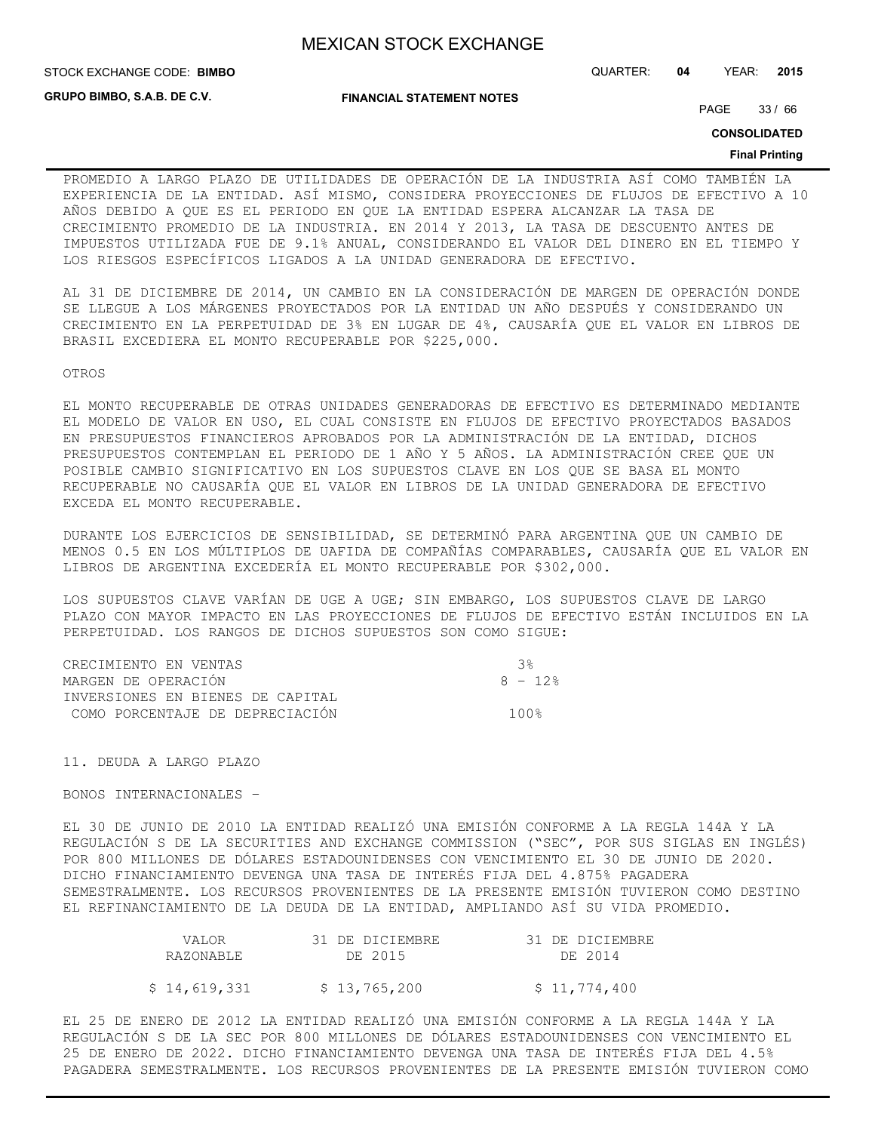STOCK EXCHANGE CODE: QUARTER: **04** YEAR: **2015 BIMBO**

**GRUPO BIMBO, S.A.B. DE C.V.**

**FINANCIAL STATEMENT NOTES**

PAGE 33 / 66

**CONSOLIDATED**

#### **Final Printing**

PROMEDIO A LARGO PLAZO DE UTILIDADES DE OPERACIÓN DE LA INDUSTRIA ASÍ COMO TAMBIÉN LA EXPERIENCIA DE LA ENTIDAD. ASÍ MISMO, CONSIDERA PROYECCIONES DE FLUJOS DE EFECTIVO A 10 AÑOS DEBIDO A QUE ES EL PERIODO EN QUE LA ENTIDAD ESPERA ALCANZAR LA TASA DE CRECIMIENTO PROMEDIO DE LA INDUSTRIA. EN 2014 Y 2013, LA TASA DE DESCUENTO ANTES DE IMPUESTOS UTILIZADA FUE DE 9.1% ANUAL, CONSIDERANDO EL VALOR DEL DINERO EN EL TIEMPO Y LOS RIESGOS ESPECÍFICOS LIGADOS A LA UNIDAD GENERADORA DE EFECTIVO.

AL 31 DE DICIEMBRE DE 2014, UN CAMBIO EN LA CONSIDERACIÓN DE MARGEN DE OPERACIÓN DONDE SE LLEGUE A LOS MÁRGENES PROYECTADOS POR LA ENTIDAD UN AÑO DESPUÉS Y CONSIDERANDO UN CRECIMIENTO EN LA PERPETUIDAD DE 3% EN LUGAR DE 4%, CAUSARÍA QUE EL VALOR EN LIBROS DE BRASIL EXCEDIERA EL MONTO RECUPERABLE POR \$225,000.

OTROS

EL MONTO RECUPERABLE DE OTRAS UNIDADES GENERADORAS DE EFECTIVO ES DETERMINADO MEDIANTE EL MODELO DE VALOR EN USO, EL CUAL CONSISTE EN FLUJOS DE EFECTIVO PROYECTADOS BASADOS EN PRESUPUESTOS FINANCIEROS APROBADOS POR LA ADMINISTRACIÓN DE LA ENTIDAD, DICHOS PRESUPUESTOS CONTEMPLAN EL PERIODO DE 1 AÑO Y 5 AÑOS. LA ADMINISTRACIÓN CREE QUE UN POSIBLE CAMBIO SIGNIFICATIVO EN LOS SUPUESTOS CLAVE EN LOS QUE SE BASA EL MONTO RECUPERABLE NO CAUSARÍA QUE EL VALOR EN LIBROS DE LA UNIDAD GENERADORA DE EFECTIVO EXCEDA EL MONTO RECUPERABLE.

DURANTE LOS EJERCICIOS DE SENSIBILIDAD, SE DETERMINÓ PARA ARGENTINA QUE UN CAMBIO DE MENOS 0.5 EN LOS MÚLTIPLOS DE UAFIDA DE COMPAÑÍAS COMPARABLES, CAUSARÍA QUE EL VALOR EN LIBROS DE ARGENTINA EXCEDERÍA EL MONTO RECUPERABLE POR \$302,000.

LOS SUPUESTOS CLAVE VARÍAN DE UGE A UGE; SIN EMBARGO, LOS SUPUESTOS CLAVE DE LARGO PLAZO CON MAYOR IMPACTO EN LAS PROYECCIONES DE FLUJOS DE EFECTIVO ESTÁN INCLUIDOS EN LA PERPETUIDAD. LOS RANGOS DE DICHOS SUPUESTOS SON COMO SIGUE:

| CRECIMIENTO EN VENTAS            | ્ર ર ્ર  |
|----------------------------------|----------|
| MARGEN DE OPERACIÓN              | $8 - 12$ |
| INVERSIONES EN BIENES DE CAPITAL |          |
| COMO PORCENTAJE DE DEPRECIACIÓN  | 100%     |

11. DEUDA A LARGO PLAZO

BONOS INTERNACIONALES –

EL 30 DE JUNIO DE 2010 LA ENTIDAD REALIZÓ UNA EMISIÓN CONFORME A LA REGLA 144A Y LA REGULACIÓN S DE LA SECURITIES AND EXCHANGE COMMISSION ("SEC", POR SUS SIGLAS EN INGLÉS) POR 800 MILLONES DE DÓLARES ESTADOUNIDENSES CON VENCIMIENTO EL 30 DE JUNIO DE 2020. DICHO FINANCIAMIENTO DEVENGA UNA TASA DE INTERÉS FIJA DEL 4.875% PAGADERA SEMESTRALMENTE. LOS RECURSOS PROVENIENTES DE LA PRESENTE EMISIÓN TUVIERON COMO DESTINO EL REFINANCIAMIENTO DE LA DEUDA DE LA ENTIDAD, AMPLIANDO ASÍ SU VIDA PROMEDIO.

| VALOR.       | 31 DE DICIEMBRE | 31 DE DICIEMBRE |
|--------------|-----------------|-----------------|
| RAZONABLE    | DE 2015         | DE 2014         |
| \$14,619,331 | \$13,765,200    | \$11,774,400    |

EL 25 DE ENERO DE 2012 LA ENTIDAD REALIZÓ UNA EMISIÓN CONFORME A LA REGLA 144A Y LA REGULACIÓN S DE LA SEC POR 800 MILLONES DE DÓLARES ESTADOUNIDENSES CON VENCIMIENTO EL 25 DE ENERO DE 2022. DICHO FINANCIAMIENTO DEVENGA UNA TASA DE INTERÉS FIJA DEL 4.5% PAGADERA SEMESTRALMENTE. LOS RECURSOS PROVENIENTES DE LA PRESENTE EMISIÓN TUVIERON COMO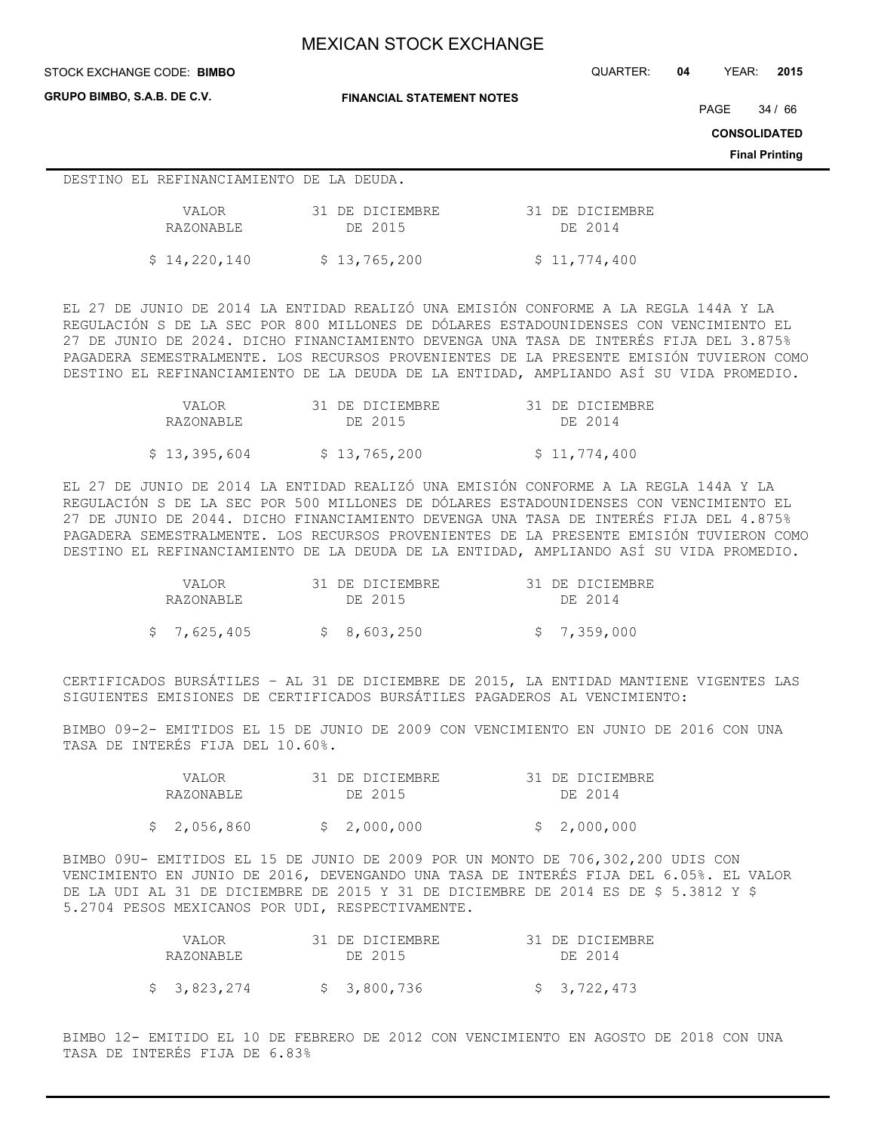**GRUPO BIMBO, S.A.B. DE C.V.**

STOCK EXCHANGE CODE: QUARTER: **04** YEAR: **2015 BIMBO**

**FINANCIAL STATEMENT NOTES**

PAGE 34 / 66

**CONSOLIDATED**

**Final Printing**

### DESTINO EL REFINANCIAMIENTO DE LA DEUDA.

| VALOR.       | 31 DE DICIEMBRE | 31 DE DICIEMBRE |
|--------------|-----------------|-----------------|
| RAZONABLE    | DE 2015         | DE 2014         |
| \$14,220,140 | \$13,765,200    | \$11,774,400    |

EL 27 DE JUNIO DE 2014 LA ENTIDAD REALIZÓ UNA EMISIÓN CONFORME A LA REGLA 144A Y LA REGULACIÓN S DE LA SEC POR 800 MILLONES DE DÓLARES ESTADOUNIDENSES CON VENCIMIENTO EL 27 DE JUNIO DE 2024. DICHO FINANCIAMIENTO DEVENGA UNA TASA DE INTERÉS FIJA DEL 3.875% PAGADERA SEMESTRALMENTE. LOS RECURSOS PROVENIENTES DE LA PRESENTE EMISIÓN TUVIERON COMO DESTINO EL REFINANCIAMIENTO DE LA DEUDA DE LA ENTIDAD, AMPLIANDO ASÍ SU VIDA PROMEDIO.

| VALOR.       | 31 DE DICIEMBRE | 31 DE DICIEMBRE |
|--------------|-----------------|-----------------|
| RAZONABLE    | DE 2015         | DE 2014         |
| \$13,395,604 | \$13,765,200    | \$11,774,400    |

EL 27 DE JUNIO DE 2014 LA ENTIDAD REALIZÓ UNA EMISIÓN CONFORME A LA REGLA 144A Y LA REGULACIÓN S DE LA SEC POR 500 MILLONES DE DÓLARES ESTADOUNIDENSES CON VENCIMIENTO EL 27 DE JUNIO DE 2044. DICHO FINANCIAMIENTO DEVENGA UNA TASA DE INTERÉS FIJA DEL 4.875% PAGADERA SEMESTRALMENTE. LOS RECURSOS PROVENIENTES DE LA PRESENTE EMISIÓN TUVIERON COMO DESTINO EL REFINANCIAMIENTO DE LA DEUDA DE LA ENTIDAD, AMPLIANDO ASÍ SU VIDA PROMEDIO.

| VALOR.      | 31 DE DICIEMBRE | 31 DE DICIEMBRE |
|-------------|-----------------|-----------------|
| RAZONABLE   | DE 2015         | DE 2014         |
| \$7,625,405 | \$8,603,250     | \$7,359,000     |

CERTIFICADOS BURSÁTILES – AL 31 DE DICIEMBRE DE 2015, LA ENTIDAD MANTIENE VIGENTES LAS SIGUIENTES EMISIONES DE CERTIFICADOS BURSÁTILES PAGADEROS AL VENCIMIENTO:

BIMBO 09-2- EMITIDOS EL 15 DE JUNIO DE 2009 CON VENCIMIENTO EN JUNIO DE 2016 CON UNA TASA DE INTERÉS FIJA DEL 10.60%.

| VALOR.      | 31 DE DICIEMBRE | 31 DE DICIEMBRE |
|-------------|-----------------|-----------------|
| RAZONABLE   | DE 2015         | DE 2014         |
| \$2,056,860 | \$2,000,000     | \$2,000,000     |

BIMBO 09U- EMITIDOS EL 15 DE JUNIO DE 2009 POR UN MONTO DE 706,302,200 UDIS CON VENCIMIENTO EN JUNIO DE 2016, DEVENGANDO UNA TASA DE INTERÉS FIJA DEL 6.05%. EL VALOR DE LA UDI AL 31 DE DICIEMBRE DE 2015 Y 31 DE DICIEMBRE DE 2014 ES DE \$ 5.3812 Y \$ 5.2704 PESOS MEXICANOS POR UDI, RESPECTIVAMENTE.

| VALOR.      | 31 DE DICIEMBRE | 31 DE DICIEMBRE |
|-------------|-----------------|-----------------|
| RAZONABLE   | DE 2015         | DE 2014         |
| \$3,823,274 | \$3,800,736     | \$3,722,473     |

BIMBO 12- EMITIDO EL 10 DE FEBRERO DE 2012 CON VENCIMIENTO EN AGOSTO DE 2018 CON UNA TASA DE INTERÉS FIJA DE 6.83%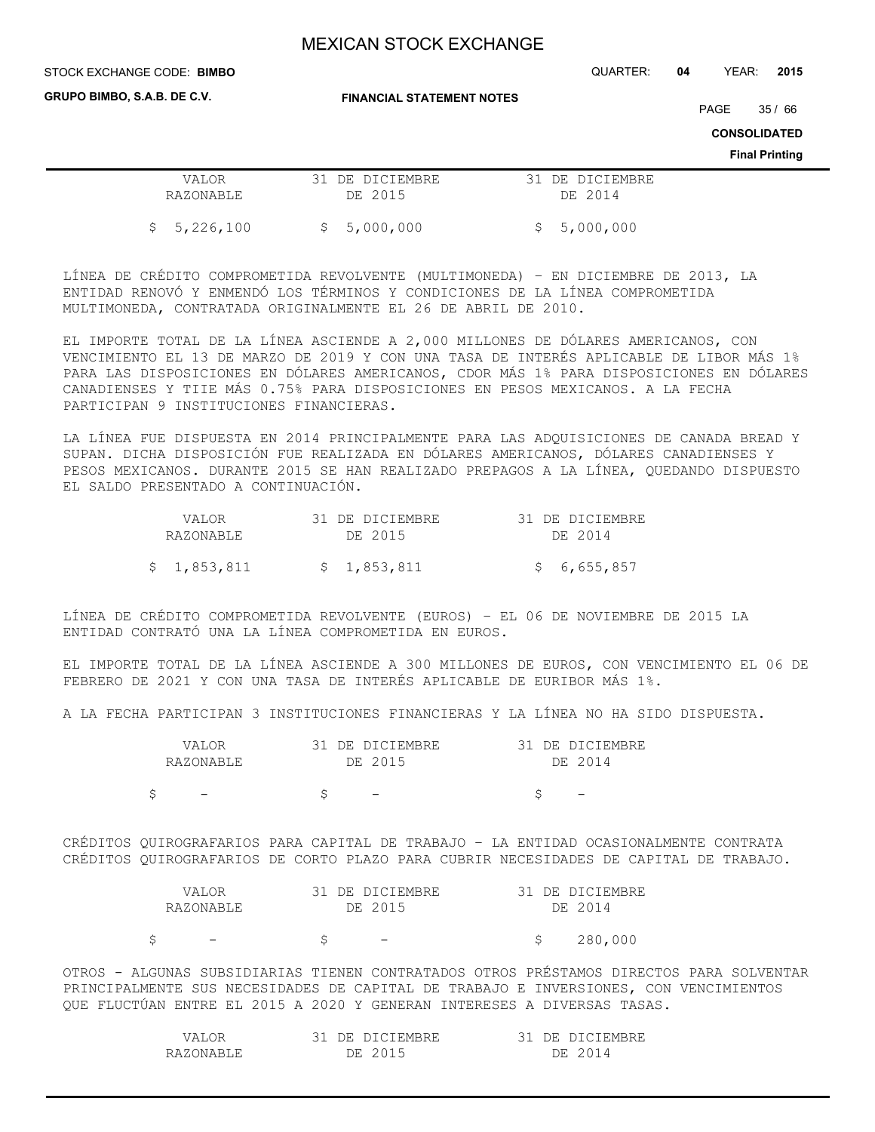STOCK EXCHANGE CODE: QUARTER: **04** YEAR: **2015 BIMBO**

**GRUPO BIMBO, S.A.B. DE C.V.**

**FINANCIAL STATEMENT NOTES**

PAGE 35 / 66

**CONSOLIDATED**

**Final Printing**

|             |                 | .               |
|-------------|-----------------|-----------------|
| VALOR       | 31 DE DICIEMBRE | 31 DE DICIEMBRE |
| RAZONABLE   | DE 2015         | DE 2014         |
|             |                 |                 |
| \$5,226,100 | \$5,000,000     | \$5,000,000     |

LÍNEA DE CRÉDITO COMPROMETIDA REVOLVENTE (MULTIMONEDA) – EN DICIEMBRE DE 2013, LA ENTIDAD RENOVÓ Y ENMENDÓ LOS TÉRMINOS Y CONDICIONES DE LA LÍNEA COMPROMETIDA MULTIMONEDA, CONTRATADA ORIGINALMENTE EL 26 DE ABRIL DE 2010.

EL IMPORTE TOTAL DE LA LÍNEA ASCIENDE A 2,000 MILLONES DE DÓLARES AMERICANOS, CON VENCIMIENTO EL 13 DE MARZO DE 2019 Y CON UNA TASA DE INTERÉS APLICABLE DE LIBOR MÁS 1% PARA LAS DISPOSICIONES EN DÓLARES AMERICANOS, CDOR MÁS 1% PARA DISPOSICIONES EN DÓLARES CANADIENSES Y TIIE MÁS 0.75% PARA DISPOSICIONES EN PESOS MEXICANOS. A LA FECHA PARTICIPAN 9 INSTITUCIONES FINANCIERAS.

LA LÍNEA FUE DISPUESTA EN 2014 PRINCIPALMENTE PARA LAS ADQUISICIONES DE CANADA BREAD Y SUPAN. DICHA DISPOSICIÓN FUE REALIZADA EN DÓLARES AMERICANOS, DÓLARES CANADIENSES Y PESOS MEXICANOS. DURANTE 2015 SE HAN REALIZADO PREPAGOS A LA LÍNEA, QUEDANDO DISPUESTO EL SALDO PRESENTADO A CONTINUACIÓN.

| VALOR.      | 31 DE DICIEMBRE | 31 DE DICIEMBRE |
|-------------|-----------------|-----------------|
| RAZONABLE   | DE 2015         | DE 2014         |
| \$1,853,811 | \$1,853,811     | \$6,655,857     |

LÍNEA DE CRÉDITO COMPROMETIDA REVOLVENTE (EUROS) – EL 06 DE NOVIEMBRE DE 2015 LA ENTIDAD CONTRATÓ UNA LA LÍNEA COMPROMETIDA EN EUROS.

EL IMPORTE TOTAL DE LA LÍNEA ASCIENDE A 300 MILLONES DE EUROS, CON VENCIMIENTO EL 06 DE FEBRERO DE 2021 Y CON UNA TASA DE INTERÉS APLICABLE DE EURIBOR MÁS 1%.

A LA FECHA PARTICIPAN 3 INSTITUCIONES FINANCIERAS Y LA LÍNEA NO HA SIDO DISPUESTA.

| VALOR     | 31 DE DICIEMBRE | 31 DE DICIEMBRE          |
|-----------|-----------------|--------------------------|
| RAZONABLE | DE 2015         | DE 2014                  |
|           |                 | $\overline{\phantom{a}}$ |
|           |                 |                          |

CRÉDITOS QUIROGRAFARIOS PARA CAPITAL DE TRABAJO – LA ENTIDAD OCASIONALMENTE CONTRATA CRÉDITOS QUIROGRAFARIOS DE CORTO PLAZO PARA CUBRIR NECESIDADES DE CAPITAL DE TRABAJO.

| VALOR.    | 31 DE DICIEMBRE | 31 DE DICIEMBRE |
|-----------|-----------------|-----------------|
| RAZONABLE | DE 2015         | DE 2014         |
|           |                 | 280,000         |

OTROS - ALGUNAS SUBSIDIARIAS TIENEN CONTRATADOS OTROS PRÉSTAMOS DIRECTOS PARA SOLVENTAR PRINCIPALMENTE SUS NECESIDADES DE CAPITAL DE TRABAJO E INVERSIONES, CON VENCIMIENTOS QUE FLUCTÚAN ENTRE EL 2015 A 2020 Y GENERAN INTERESES A DIVERSAS TASAS.

| $\sqrt{\Delta}$ T | : DICIEMBRE<br>DE. | DE DICIEMBRE  |
|-------------------|--------------------|---------------|
| RAZONARLE         | DE 2015            | : 2014<br>٦E. |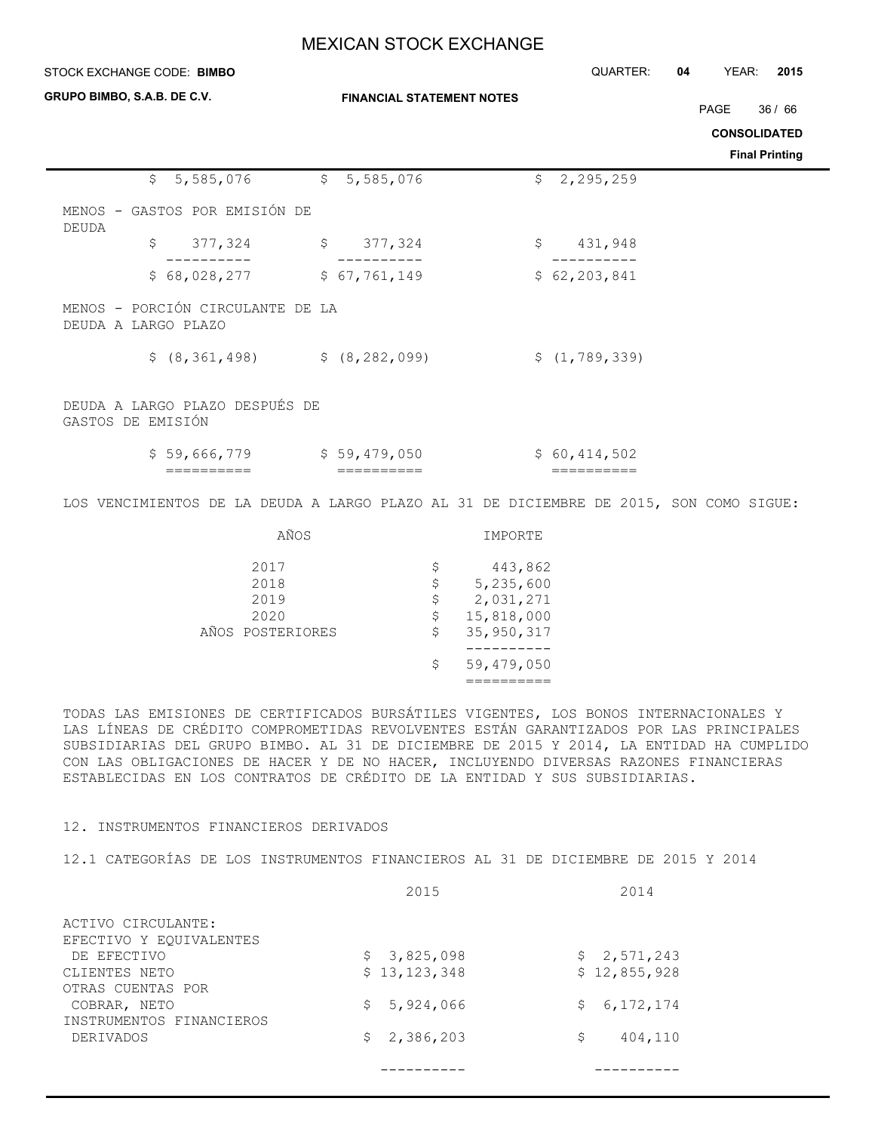| STOCK EXCHANGE CODE: BIMBO                                                             | QUARTER:                | YEAR:<br>04                                                       | 2015                          |                       |         |
|----------------------------------------------------------------------------------------|-------------------------|-------------------------------------------------------------------|-------------------------------|-----------------------|---------|
| GRUPO BIMBO, S.A.B. DE C.V.                                                            |                         | <b>FINANCIAL STATEMENT NOTES</b>                                  |                               | PAGE                  | 36 / 66 |
|                                                                                        |                         |                                                                   |                               | <b>CONSOLIDATED</b>   |         |
|                                                                                        |                         |                                                                   |                               | <b>Final Printing</b> |         |
| \$5,585,076                                                                            | \$5,585,076             |                                                                   | 2,295,259<br>$\mathsf{S}^-$   |                       |         |
| MENOS - GASTOS POR EMISIÓN DE<br><b>DEUDA</b>                                          |                         |                                                                   |                               |                       |         |
| 377,324<br>\$                                                                          | 377,324<br>$\mathsf{S}$ |                                                                   | \$<br>431,948                 |                       |         |
| \$68,028,277                                                                           | \$67,761,149            |                                                                   | \$62, 203, 841                |                       |         |
| MENOS - PORCIÓN CIRCULANTE DE LA<br>DEUDA A LARGO PLAZO                                |                         |                                                                   |                               |                       |         |
| $$ (8, 361, 498)$ $$ (8, 282, 099)$                                                    |                         |                                                                   | \$(1, 789, 339)               |                       |         |
| DEUDA A LARGO PLAZO DESPUÉS DE<br>GASTOS DE EMISIÓN                                    |                         |                                                                   |                               |                       |         |
| $$59,666,779$ $$59,479,050$<br>==========                                              |                         |                                                                   | \$60,414,502<br>$=$ ========= |                       |         |
| LOS VENCIMIENTOS DE LA DEUDA A LARGO PLAZO AL 31 DE DICIEMBRE DE 2015, SON COMO SIGUE: |                         |                                                                   |                               |                       |         |
| AÑOS                                                                                   |                         | IMPORTE                                                           |                               |                       |         |
| 2017<br>2018<br>2019<br>2020                                                           |                         | 443,862<br>\$<br>5,235,600<br>\$<br>2,031,271<br>\$<br>15,818,000 |                               |                       |         |
| AÑOS POSTERIORES                                                                       |                         | 35, 950, 317                                                      |                               |                       |         |
|                                                                                        |                         | \$<br>59,479,050                                                  |                               |                       |         |

TODAS LAS EMISIONES DE CERTIFICADOS BURSÁTILES VIGENTES, LOS BONOS INTERNACIONALES Y LAS LÍNEAS DE CRÉDITO COMPROMETIDAS REVOLVENTES ESTÁN GARANTIZADOS POR LAS PRINCIPALES SUBSIDIARIAS DEL GRUPO BIMBO. AL 31 DE DICIEMBRE DE 2015 Y 2014, LA ENTIDAD HA CUMPLIDO CON LAS OBLIGACIONES DE HACER Y DE NO HACER, INCLUYENDO DIVERSAS RAZONES FINANCIERAS ESTABLECIDAS EN LOS CONTRATOS DE CRÉDITO DE LA ENTIDAD Y SUS SUBSIDIARIAS.

==========

### 12. INSTRUMENTOS FINANCIEROS DERIVADOS

12.1 CATEGORÍAS DE LOS INSTRUMENTOS FINANCIEROS AL 31 DE DICIEMBRE DE 2015 Y 2014

|                          | 2015            | 2014              |
|--------------------------|-----------------|-------------------|
| ACTIVO CIRCULANTE:       |                 |                   |
| EFECTIVO Y EQUIVALENTES  |                 |                   |
| DE EFECTIVO              | 3,825,098<br>S. | \$2,571,243       |
| CLIENTES NETO            | \$13,123,348    | \$12,855,928      |
| OTRAS CUENTAS POR        |                 |                   |
| COBRAR, NETO             | 5,924,066<br>S  | 6, 172, 174<br>S. |
| INSTRUMENTOS FINANCIEROS |                 |                   |
| DERIVADOS                | \$2,386,203     | 404,110<br>\$     |
|                          |                 |                   |
|                          |                 |                   |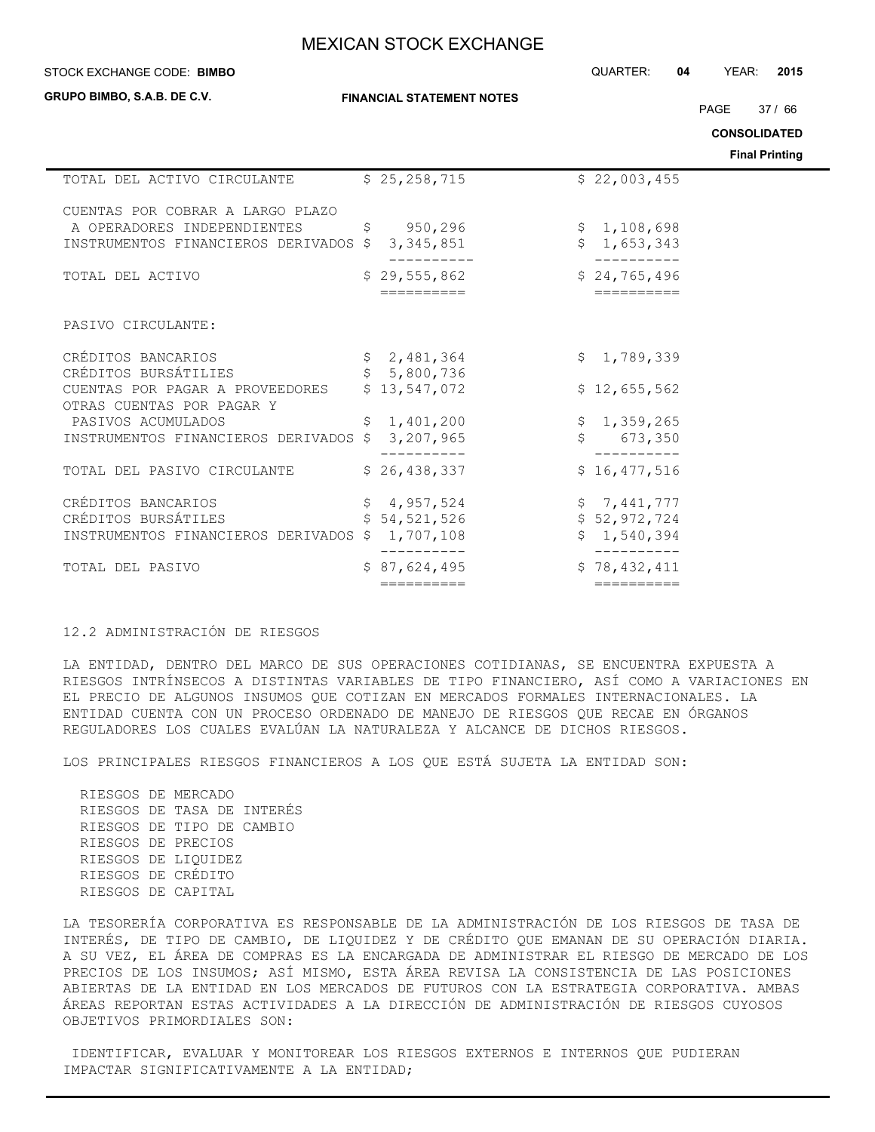### **STOCK EXCHANGE CODE: BIMBO**

**GRUPO BIMBO, S.A.B. DE C.V.**

**FINANCIAL STATEMENT NOTES**

STOCK EXCHANGE CODE: QUARTER: **04** YEAR: **2015**

PAGE 37 / 66

**CONSOLIDATED**

**Final Printing**

|                                                              |              |                |              | Final Printin |
|--------------------------------------------------------------|--------------|----------------|--------------|---------------|
| TOTAL DEL ACTIVO CIRCULANTE                                  |              | \$25, 258, 715 | \$22,003,455 |               |
| CUENTAS POR COBRAR A LARGO PLAZO                             |              |                |              |               |
| A OPERADORES INDEPENDIENTES                                  |              | \$950, 296     | \$1,108,698  |               |
| INSTRUMENTOS FINANCIEROS DERIVADOS \$                        |              | 3, 345, 851    | \$1,653,343  |               |
| TOTAL DEL ACTIVO                                             |              | \$29,555,862   | \$24,765,496 |               |
|                                                              |              | ==========     | ==========   |               |
| PASIVO CIRCULANTE:                                           |              |                |              |               |
| CRÉDITOS BANCARIOS                                           |              | \$2,481,364    | \$1,789,339  |               |
| CRÉDITOS BURSÁTILIES                                         | $\mathsf{S}$ | 5,800,736      |              |               |
| CUENTAS POR PAGAR A PROVEEDORES<br>OTRAS CUENTAS POR PAGAR Y |              | \$13,547,072   | \$12,655,562 |               |
| PASIVOS ACUMULADOS                                           |              | \$1,401,200    | \$1,359,265  |               |
| INSTRUMENTOS FINANCIEROS DERIVADOS \$                        |              | 3,207,965      | 673,350      |               |
|                                                              |              |                |              |               |
| TOTAL DEL PASIVO CIRCULANTE                                  |              | \$26,438,337   | \$16,477,516 |               |
| CRÉDITOS BANCARIOS                                           |              | \$4,957,524    | \$7,441,777  |               |
| CRÉDITOS BURSÁTILES                                          |              | \$54,521,526   | \$52,972,724 |               |
| INSTRUMENTOS FINANCIEROS DERIVADOS \$ 1,707,108              |              |                | \$1,540,394  |               |
| TOTAL DEL PASIVO                                             |              | \$87,624,495   | \$78,432,411 |               |
|                                                              |              | ==========     | ==========   |               |

### 12.2 ADMINISTRACIÓN DE RIESGOS

LA ENTIDAD, DENTRO DEL MARCO DE SUS OPERACIONES COTIDIANAS, SE ENCUENTRA EXPUESTA A RIESGOS INTRÍNSECOS A DISTINTAS VARIABLES DE TIPO FINANCIERO, ASÍ COMO A VARIACIONES EN EL PRECIO DE ALGUNOS INSUMOS QUE COTIZAN EN MERCADOS FORMALES INTERNACIONALES. LA ENTIDAD CUENTA CON UN PROCESO ORDENADO DE MANEJO DE RIESGOS QUE RECAE EN ÓRGANOS REGULADORES LOS CUALES EVALÚAN LA NATURALEZA Y ALCANCE DE DICHOS RIESGOS.

LOS PRINCIPALES RIESGOS FINANCIEROS A LOS QUE ESTÁ SUJETA LA ENTIDAD SON:

 RIESGOS DE MERCADO RIESGOS DE TASA DE INTERÉS RIESGOS DE TIPO DE CAMBIO RIESGOS DE PRECIOS RIESGOS DE LIQUIDEZ RIESGOS DE CRÉDITO RIESGOS DE CAPITAL

LA TESORERÍA CORPORATIVA ES RESPONSABLE DE LA ADMINISTRACIÓN DE LOS RIESGOS DE TASA DE INTERÉS, DE TIPO DE CAMBIO, DE LIQUIDEZ Y DE CRÉDITO QUE EMANAN DE SU OPERACIÓN DIARIA. A SU VEZ, EL ÁREA DE COMPRAS ES LA ENCARGADA DE ADMINISTRAR EL RIESGO DE MERCADO DE LOS PRECIOS DE LOS INSUMOS; ASÍ MISMO, ESTA ÁREA REVISA LA CONSISTENCIA DE LAS POSICIONES ABIERTAS DE LA ENTIDAD EN LOS MERCADOS DE FUTUROS CON LA ESTRATEGIA CORPORATIVA. AMBAS ÁREAS REPORTAN ESTAS ACTIVIDADES A LA DIRECCIÓN DE ADMINISTRACIÓN DE RIESGOS CUYOSOS OBJETIVOS PRIMORDIALES SON:

 IDENTIFICAR, EVALUAR Y MONITOREAR LOS RIESGOS EXTERNOS E INTERNOS QUE PUDIERAN IMPACTAR SIGNIFICATIVAMENTE A LA ENTIDAD;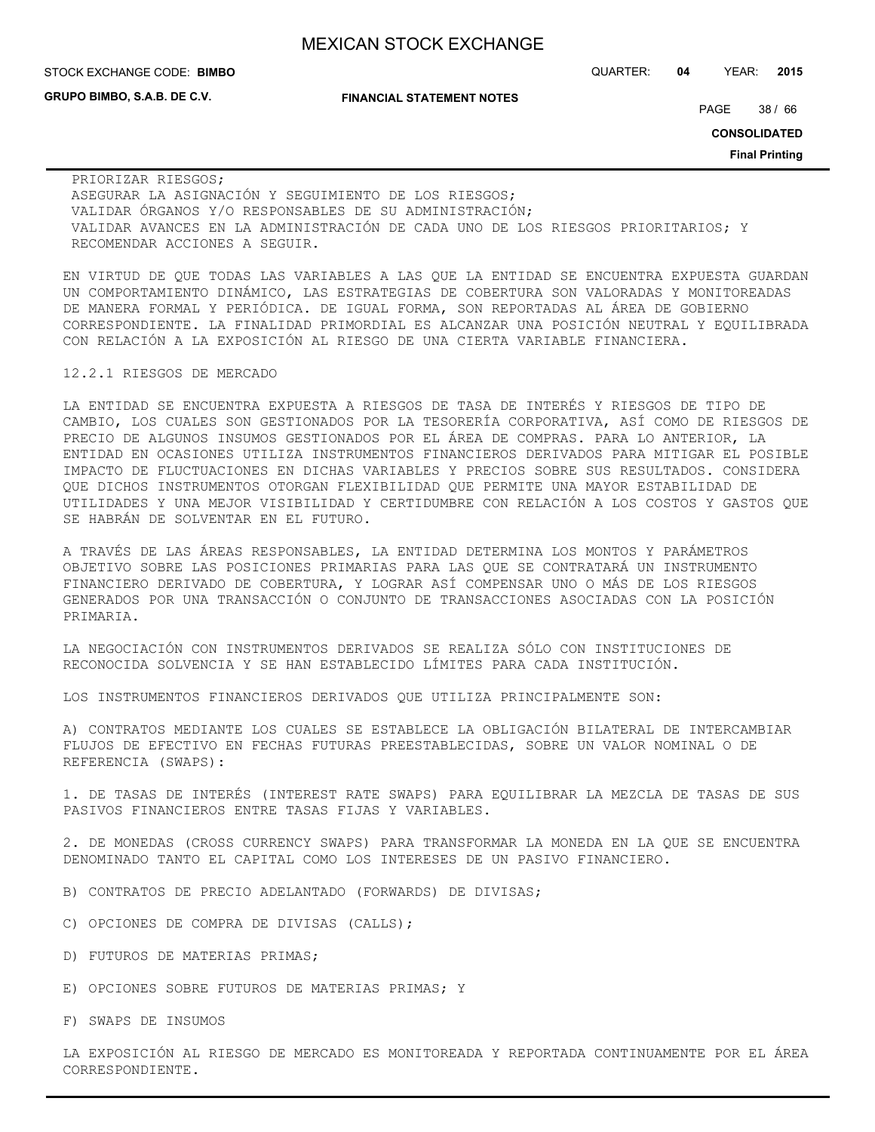**GRUPO BIMBO, S.A.B. DE C.V.**

**FINANCIAL STATEMENT NOTES**

STOCK EXCHANGE CODE: QUARTER: **04** YEAR: **2015 BIMBO**

PAGE 38 / 66

**CONSOLIDATED**

**Final Printing**

 PRIORIZAR RIESGOS; ASEGURAR LA ASIGNACIÓN Y SEGUIMIENTO DE LOS RIESGOS; VALIDAR ÓRGANOS Y/O RESPONSABLES DE SU ADMINISTRACIÓN; VALIDAR AVANCES EN LA ADMINISTRACIÓN DE CADA UNO DE LOS RIESGOS PRIORITARIOS; Y RECOMENDAR ACCIONES A SEGUIR.

EN VIRTUD DE QUE TODAS LAS VARIABLES A LAS QUE LA ENTIDAD SE ENCUENTRA EXPUESTA GUARDAN UN COMPORTAMIENTO DINÁMICO, LAS ESTRATEGIAS DE COBERTURA SON VALORADAS Y MONITOREADAS DE MANERA FORMAL Y PERIÓDICA. DE IGUAL FORMA, SON REPORTADAS AL ÁREA DE GOBIERNO CORRESPONDIENTE. LA FINALIDAD PRIMORDIAL ES ALCANZAR UNA POSICIÓN NEUTRAL Y EQUILIBRADA CON RELACIÓN A LA EXPOSICIÓN AL RIESGO DE UNA CIERTA VARIABLE FINANCIERA.

#### 12.2.1 RIESGOS DE MERCADO

LA ENTIDAD SE ENCUENTRA EXPUESTA A RIESGOS DE TASA DE INTERÉS Y RIESGOS DE TIPO DE CAMBIO, LOS CUALES SON GESTIONADOS POR LA TESORERÍA CORPORATIVA, ASÍ COMO DE RIESGOS DE PRECIO DE ALGUNOS INSUMOS GESTIONADOS POR EL ÁREA DE COMPRAS. PARA LO ANTERIOR, LA ENTIDAD EN OCASIONES UTILIZA INSTRUMENTOS FINANCIEROS DERIVADOS PARA MITIGAR EL POSIBLE IMPACTO DE FLUCTUACIONES EN DICHAS VARIABLES Y PRECIOS SOBRE SUS RESULTADOS. CONSIDERA QUE DICHOS INSTRUMENTOS OTORGAN FLEXIBILIDAD QUE PERMITE UNA MAYOR ESTABILIDAD DE UTILIDADES Y UNA MEJOR VISIBILIDAD Y CERTIDUMBRE CON RELACIÓN A LOS COSTOS Y GASTOS QUE SE HABRÁN DE SOLVENTAR EN EL FUTURO.

A TRAVÉS DE LAS ÁREAS RESPONSABLES, LA ENTIDAD DETERMINA LOS MONTOS Y PARÁMETROS OBJETIVO SOBRE LAS POSICIONES PRIMARIAS PARA LAS QUE SE CONTRATARÁ UN INSTRUMENTO FINANCIERO DERIVADO DE COBERTURA, Y LOGRAR ASÍ COMPENSAR UNO O MÁS DE LOS RIESGOS GENERADOS POR UNA TRANSACCIÓN O CONJUNTO DE TRANSACCIONES ASOCIADAS CON LA POSICIÓN PRIMARIA.

LA NEGOCIACIÓN CON INSTRUMENTOS DERIVADOS SE REALIZA SÓLO CON INSTITUCIONES DE RECONOCIDA SOLVENCIA Y SE HAN ESTABLECIDO LÍMITES PARA CADA INSTITUCIÓN.

LOS INSTRUMENTOS FINANCIEROS DERIVADOS QUE UTILIZA PRINCIPALMENTE SON:

A) CONTRATOS MEDIANTE LOS CUALES SE ESTABLECE LA OBLIGACIÓN BILATERAL DE INTERCAMBIAR FLUJOS DE EFECTIVO EN FECHAS FUTURAS PREESTABLECIDAS, SOBRE UN VALOR NOMINAL O DE REFERENCIA (SWAPS):

1. DE TASAS DE INTERÉS (INTEREST RATE SWAPS) PARA EQUILIBRAR LA MEZCLA DE TASAS DE SUS PASIVOS FINANCIEROS ENTRE TASAS FIJAS Y VARIABLES.

2. DE MONEDAS (CROSS CURRENCY SWAPS) PARA TRANSFORMAR LA MONEDA EN LA QUE SE ENCUENTRA DENOMINADO TANTO EL CAPITAL COMO LOS INTERESES DE UN PASIVO FINANCIERO.

B) CONTRATOS DE PRECIO ADELANTADO (FORWARDS) DE DIVISAS;

- C) OPCIONES DE COMPRA DE DIVISAS (CALLS);
- D) FUTUROS DE MATERIAS PRIMAS;

E) OPCIONES SOBRE FUTUROS DE MATERIAS PRIMAS; Y

F) SWAPS DE INSUMOS

LA EXPOSICIÓN AL RIESGO DE MERCADO ES MONITOREADA Y REPORTADA CONTINUAMENTE POR EL ÁREA CORRESPONDIENTE.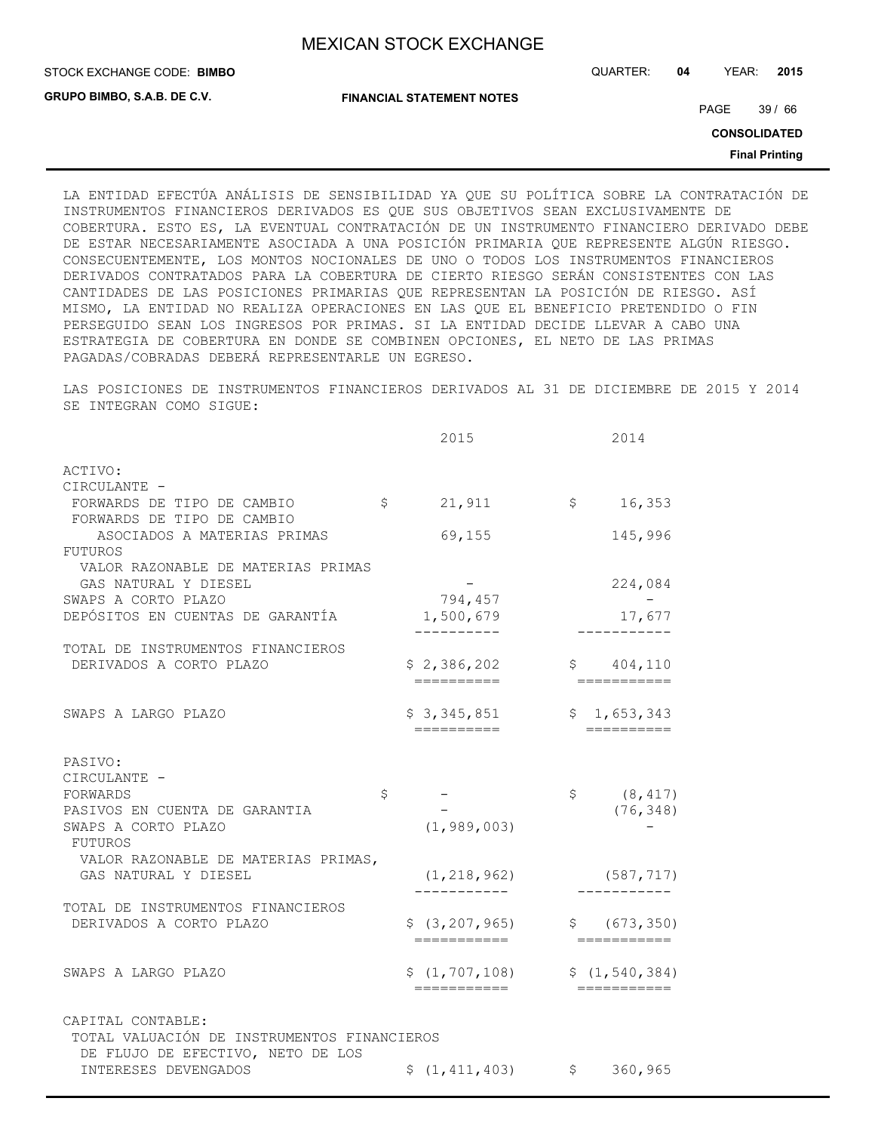**GRUPO BIMBO, S.A.B. DE C.V.**

STOCK EXCHANGE CODE: QUARTER: **04** YEAR: **2015 BIMBO**

**FINANCIAL STATEMENT NOTES**

PAGE 39 / 66

**CONSOLIDATED**

**Final Printing**

LA ENTIDAD EFECTÚA ANÁLISIS DE SENSIBILIDAD YA QUE SU POLÍTICA SOBRE LA CONTRATACIÓN DE INSTRUMENTOS FINANCIEROS DERIVADOS ES QUE SUS OBJETIVOS SEAN EXCLUSIVAMENTE DE COBERTURA. ESTO ES, LA EVENTUAL CONTRATACIÓN DE UN INSTRUMENTO FINANCIERO DERIVADO DEBE DE ESTAR NECESARIAMENTE ASOCIADA A UNA POSICIÓN PRIMARIA QUE REPRESENTE ALGÚN RIESGO. CONSECUENTEMENTE, LOS MONTOS NOCIONALES DE UNO O TODOS LOS INSTRUMENTOS FINANCIEROS DERIVADOS CONTRATADOS PARA LA COBERTURA DE CIERTO RIESGO SERÁN CONSISTENTES CON LAS CANTIDADES DE LAS POSICIONES PRIMARIAS QUE REPRESENTAN LA POSICIÓN DE RIESGO. ASÍ MISMO, LA ENTIDAD NO REALIZA OPERACIONES EN LAS QUE EL BENEFICIO PRETENDIDO O FIN PERSEGUIDO SEAN LOS INGRESOS POR PRIMAS. SI LA ENTIDAD DECIDE LLEVAR A CABO UNA ESTRATEGIA DE COBERTURA EN DONDE SE COMBINEN OPCIONES, EL NETO DE LAS PRIMAS PAGADAS/COBRADAS DEBERÁ REPRESENTARLE UN EGRESO.

LAS POSICIONES DE INSTRUMENTOS FINANCIEROS DERIVADOS AL 31 DE DICIEMBRE DE 2015 Y 2014 SE INTEGRAN COMO SIGUE:

|                                                                                                       | 2015                           |                              | 2014                                               |
|-------------------------------------------------------------------------------------------------------|--------------------------------|------------------------------|----------------------------------------------------|
| ACTIVO:                                                                                               |                                |                              |                                                    |
| CIRCULANTE -<br>FORWARDS DE TIPO DE CAMBIO<br>FORWARDS DE TIPO DE CAMBIO                              | $\varsigma$<br>21,911          | $\mathsf{S}$                 | 16,353                                             |
| ASOCIADOS A MATERIAS PRIMAS                                                                           | 69,155                         |                              | 145,996                                            |
| FUTUROS<br>VALOR RAZONABLE DE MATERIAS PRIMAS<br>GAS NATURAL Y DIESEL                                 |                                |                              | 224,084                                            |
| SWAPS A CORTO PLAZO<br>DEPÓSITOS EN CUENTAS DE GARANTÍA                                               | 794,457<br>1,500,679           |                              | 17,677                                             |
| TOTAL DE INSTRUMENTOS FINANCIEROS<br>DERIVADOS A CORTO PLAZO                                          | \$2,386,202<br>==========      |                              | \$ 404, 110                                        |
| SWAPS A LARGO PLAZO                                                                                   | \$3,345,851                    |                              | \$1,653,343<br>$=$ $=$ $=$ $=$ $=$ $=$ $=$ $=$ $=$ |
| PASIVO:<br>CIRCULANTE -                                                                               |                                |                              |                                                    |
| FORWARDS                                                                                              | \$                             | $\mathsf{S}$                 | (8, 417)                                           |
| PASIVOS EN CUENTA DE GARANTIA                                                                         |                                |                              | (76, 348)                                          |
| SWAPS A CORTO PLAZO<br>FUTUROS                                                                        | (1, 989, 003)                  |                              |                                                    |
| VALOR RAZONABLE DE MATERIAS PRIMAS,<br>GAS NATURAL Y DIESEL                                           | (1, 218, 962)                  |                              | (587, 717)                                         |
| TOTAL DE INSTRUMENTOS FINANCIEROS<br>DERIVADOS A CORTO PLAZO                                          | \$(3, 207, 965)<br>=========== |                              | \$ (673, 350)<br>$=$ ===========                   |
| SWAPS A LARGO PLAZO                                                                                   | \$(1, 707, 108)<br>=========== |                              | \$(1, 540, 384)<br>===========                     |
| CAPITAL CONTABLE:<br>TOTAL VALUACIÓN DE INSTRUMENTOS FINANCIEROS<br>DE FLUJO DE EFECTIVO, NETO DE LOS |                                |                              |                                                    |
| INTERESES DEVENGADOS                                                                                  |                                | $$(1, 411, 403)$ $$360, 965$ |                                                    |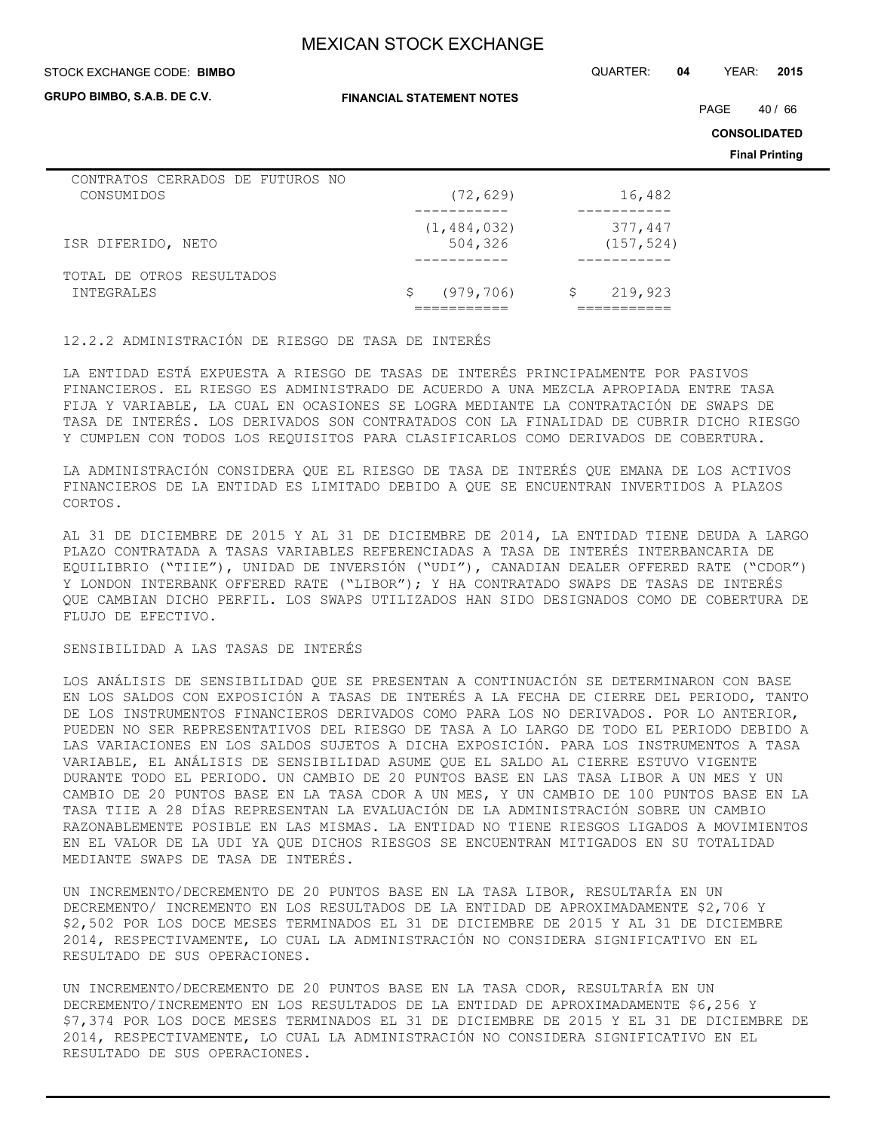#### STOCK EXCHANGE CODE: QUARTER: **04** YEAR: **2015 BIMBO**

**GRUPO BIMBO, S.A.B. DE C.V.**

**FINANCIAL STATEMENT NOTES**

PAGE 40 / 66

**CONSOLIDATED**

**Final Printing**

| CONTRATOS CERRADOS DE FUTUROS NO |                  |              |
|----------------------------------|------------------|--------------|
| CONSUMIDOS                       | (72, 629)        | 16,482       |
|                                  |                  |              |
|                                  | (1, 484, 032)    | 377,447      |
| ISR DIFERIDO, NETO               | 504,326          | (157, 524)   |
|                                  |                  |              |
| TOTAL DE OTROS RESULTADOS        |                  |              |
| INTEGRALES                       | (979, 706)<br>S. | 219,923<br>S |
|                                  |                  |              |

12.2.2 ADMINISTRACIÓN DE RIESGO DE TASA DE INTERÉS

LA ENTIDAD ESTÁ EXPUESTA A RIESGO DE TASAS DE INTERÉS PRINCIPALMENTE POR PASIVOS FINANCIEROS. EL RIESGO ES ADMINISTRADO DE ACUERDO A UNA MEZCLA APROPIADA ENTRE TASA FIJA Y VARIABLE, LA CUAL EN OCASIONES SE LOGRA MEDIANTE LA CONTRATACIÓN DE SWAPS DE TASA DE INTERÉS. LOS DERIVADOS SON CONTRATADOS CON LA FINALIDAD DE CUBRIR DICHO RIESGO Y CUMPLEN CON TODOS LOS REQUISITOS PARA CLASIFICARLOS COMO DERIVADOS DE COBERTURA.

LA ADMINISTRACIÓN CONSIDERA QUE EL RIESGO DE TASA DE INTERÉS QUE EMANA DE LOS ACTIVOS FINANCIEROS DE LA ENTIDAD ES LIMITADO DEBIDO A QUE SE ENCUENTRAN INVERTIDOS A PLAZOS CORTOS.

AL 31 DE DICIEMBRE DE 2015 Y AL 31 DE DICIEMBRE DE 2014, LA ENTIDAD TIENE DEUDA A LARGO PLAZO CONTRATADA A TASAS VARIABLES REFERENCIADAS A TASA DE INTERÉS INTERBANCARIA DE EQUILIBRIO ("TIIE"), UNIDAD DE INVERSIÓN ("UDI"), CANADIAN DEALER OFFERED RATE ("CDOR") Y LONDON INTERBANK OFFERED RATE ("LIBOR"); Y HA CONTRATADO SWAPS DE TASAS DE INTERÉS QUE CAMBIAN DICHO PERFIL. LOS SWAPS UTILIZADOS HAN SIDO DESIGNADOS COMO DE COBERTURA DE FLUJO DE EFECTIVO.

### SENSIBILIDAD A LAS TASAS DE INTERÉS

LOS ANÁLISIS DE SENSIBILIDAD QUE SE PRESENTAN A CONTINUACIÓN SE DETERMINARON CON BASE EN LOS SALDOS CON EXPOSICIÓN A TASAS DE INTERÉS A LA FECHA DE CIERRE DEL PERIODO, TANTO DE LOS INSTRUMENTOS FINANCIEROS DERIVADOS COMO PARA LOS NO DERIVADOS. POR LO ANTERIOR, PUEDEN NO SER REPRESENTATIVOS DEL RIESGO DE TASA A LO LARGO DE TODO EL PERIODO DEBIDO A LAS VARIACIONES EN LOS SALDOS SUJETOS A DICHA EXPOSICIÓN. PARA LOS INSTRUMENTOS A TASA VARIABLE, EL ANÁLISIS DE SENSIBILIDAD ASUME QUE EL SALDO AL CIERRE ESTUVO VIGENTE DURANTE TODO EL PERIODO. UN CAMBIO DE 20 PUNTOS BASE EN LAS TASA LIBOR A UN MES Y UN CAMBIO DE 20 PUNTOS BASE EN LA TASA CDOR A UN MES, Y UN CAMBIO DE 100 PUNTOS BASE EN LA TASA TIIE A 28 DÍAS REPRESENTAN LA EVALUACIÓN DE LA ADMINISTRACIÓN SOBRE UN CAMBIO RAZONABLEMENTE POSIBLE EN LAS MISMAS. LA ENTIDAD NO TIENE RIESGOS LIGADOS A MOVIMIENTOS EN EL VALOR DE LA UDI YA QUE DICHOS RIESGOS SE ENCUENTRAN MITIGADOS EN SU TOTALIDAD MEDIANTE SWAPS DE TASA DE INTERÉS.

UN INCREMENTO/DECREMENTO DE 20 PUNTOS BASE EN LA TASA LIBOR, RESULTARÍA EN UN DECREMENTO/ INCREMENTO EN LOS RESULTADOS DE LA ENTIDAD DE APROXIMADAMENTE \$2,706 Y \$2,502 POR LOS DOCE MESES TERMINADOS EL 31 DE DICIEMBRE DE 2015 Y AL 31 DE DICIEMBRE 2014, RESPECTIVAMENTE, LO CUAL LA ADMINISTRACIÓN NO CONSIDERA SIGNIFICATIVO EN EL RESULTADO DE SUS OPERACIONES.

UN INCREMENTO/DECREMENTO DE 20 PUNTOS BASE EN LA TASA CDOR, RESULTARÍA EN UN DECREMENTO/INCREMENTO EN LOS RESULTADOS DE LA ENTIDAD DE APROXIMADAMENTE \$6,256 Y \$7,374 POR LOS DOCE MESES TERMINADOS EL 31 DE DICIEMBRE DE 2015 Y EL 31 DE DICIEMBRE DE 2014, RESPECTIVAMENTE, LO CUAL LA ADMINISTRACIÓN NO CONSIDERA SIGNIFICATIVO EN EL RESULTADO DE SUS OPERACIONES.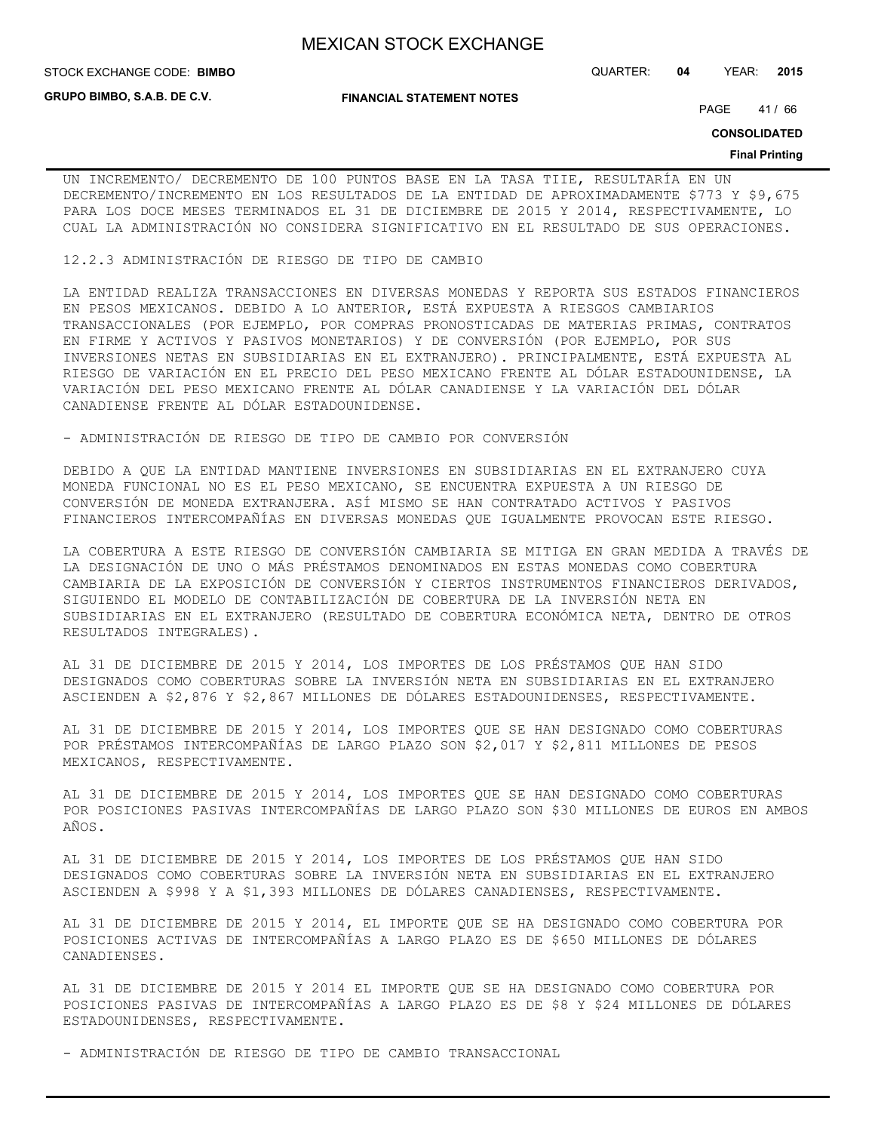**GRUPO BIMBO, S.A.B. DE C.V.**

**FINANCIAL STATEMENT NOTES**

STOCK EXCHANGE CODE: QUARTER: **04** YEAR: **2015 BIMBO**

PAGE 41/66

**CONSOLIDATED**

#### **Final Printing**

UN INCREMENTO/ DECREMENTO DE 100 PUNTOS BASE EN LA TASA TIIE, RESULTARÍA EN UN DECREMENTO/INCREMENTO EN LOS RESULTADOS DE LA ENTIDAD DE APROXIMADAMENTE \$773 Y \$9,675 PARA LOS DOCE MESES TERMINADOS EL 31 DE DICIEMBRE DE 2015 Y 2014, RESPECTIVAMENTE, LO CUAL LA ADMINISTRACIÓN NO CONSIDERA SIGNIFICATIVO EN EL RESULTADO DE SUS OPERACIONES.

12.2.3 ADMINISTRACIÓN DE RIESGO DE TIPO DE CAMBIO

LA ENTIDAD REALIZA TRANSACCIONES EN DIVERSAS MONEDAS Y REPORTA SUS ESTADOS FINANCIEROS EN PESOS MEXICANOS. DEBIDO A LO ANTERIOR, ESTÁ EXPUESTA A RIESGOS CAMBIARIOS TRANSACCIONALES (POR EJEMPLO, POR COMPRAS PRONOSTICADAS DE MATERIAS PRIMAS, CONTRATOS EN FIRME Y ACTIVOS Y PASIVOS MONETARIOS) Y DE CONVERSIÓN (POR EJEMPLO, POR SUS INVERSIONES NETAS EN SUBSIDIARIAS EN EL EXTRANJERO). PRINCIPALMENTE, ESTÁ EXPUESTA AL RIESGO DE VARIACIÓN EN EL PRECIO DEL PESO MEXICANO FRENTE AL DÓLAR ESTADOUNIDENSE, LA VARIACIÓN DEL PESO MEXICANO FRENTE AL DÓLAR CANADIENSE Y LA VARIACIÓN DEL DÓLAR CANADIENSE FRENTE AL DÓLAR ESTADOUNIDENSE.

- ADMINISTRACIÓN DE RIESGO DE TIPO DE CAMBIO POR CONVERSIÓN

DEBIDO A QUE LA ENTIDAD MANTIENE INVERSIONES EN SUBSIDIARIAS EN EL EXTRANJERO CUYA MONEDA FUNCIONAL NO ES EL PESO MEXICANO, SE ENCUENTRA EXPUESTA A UN RIESGO DE CONVERSIÓN DE MONEDA EXTRANJERA. ASÍ MISMO SE HAN CONTRATADO ACTIVOS Y PASIVOS FINANCIEROS INTERCOMPAÑÍAS EN DIVERSAS MONEDAS QUE IGUALMENTE PROVOCAN ESTE RIESGO.

LA COBERTURA A ESTE RIESGO DE CONVERSIÓN CAMBIARIA SE MITIGA EN GRAN MEDIDA A TRAVÉS DE LA DESIGNACIÓN DE UNO O MÁS PRÉSTAMOS DENOMINADOS EN ESTAS MONEDAS COMO COBERTURA CAMBIARIA DE LA EXPOSICIÓN DE CONVERSIÓN Y CIERTOS INSTRUMENTOS FINANCIEROS DERIVADOS, SIGUIENDO EL MODELO DE CONTABILIZACIÓN DE COBERTURA DE LA INVERSIÓN NETA EN SUBSIDIARIAS EN EL EXTRANJERO (RESULTADO DE COBERTURA ECONÓMICA NETA, DENTRO DE OTROS RESULTADOS INTEGRALES).

AL 31 DE DICIEMBRE DE 2015 Y 2014, LOS IMPORTES DE LOS PRÉSTAMOS QUE HAN SIDO DESIGNADOS COMO COBERTURAS SOBRE LA INVERSIÓN NETA EN SUBSIDIARIAS EN EL EXTRANJERO ASCIENDEN A \$2,876 Y \$2,867 MILLONES DE DÓLARES ESTADOUNIDENSES, RESPECTIVAMENTE.

AL 31 DE DICIEMBRE DE 2015 Y 2014, LOS IMPORTES QUE SE HAN DESIGNADO COMO COBERTURAS POR PRÉSTAMOS INTERCOMPAÑÍAS DE LARGO PLAZO SON \$2,017 Y \$2,811 MILLONES DE PESOS MEXICANOS, RESPECTIVAMENTE.

AL 31 DE DICIEMBRE DE 2015 Y 2014, LOS IMPORTES QUE SE HAN DESIGNADO COMO COBERTURAS POR POSICIONES PASIVAS INTERCOMPAÑÍAS DE LARGO PLAZO SON \$30 MILLONES DE EUROS EN AMBOS AÑOS.

AL 31 DE DICIEMBRE DE 2015 Y 2014, LOS IMPORTES DE LOS PRÉSTAMOS QUE HAN SIDO DESIGNADOS COMO COBERTURAS SOBRE LA INVERSIÓN NETA EN SUBSIDIARIAS EN EL EXTRANJERO ASCIENDEN A \$998 Y A \$1,393 MILLONES DE DÓLARES CANADIENSES, RESPECTIVAMENTE.

AL 31 DE DICIEMBRE DE 2015 Y 2014, EL IMPORTE QUE SE HA DESIGNADO COMO COBERTURA POR POSICIONES ACTIVAS DE INTERCOMPAÑÍAS A LARGO PLAZO ES DE \$650 MILLONES DE DÓLARES CANADIENSES.

AL 31 DE DICIEMBRE DE 2015 Y 2014 EL IMPORTE QUE SE HA DESIGNADO COMO COBERTURA POR POSICIONES PASIVAS DE INTERCOMPAÑÍAS A LARGO PLAZO ES DE \$8 Y \$24 MILLONES DE DÓLARES ESTADOUNIDENSES, RESPECTIVAMENTE.

- ADMINISTRACIÓN DE RIESGO DE TIPO DE CAMBIO TRANSACCIONAL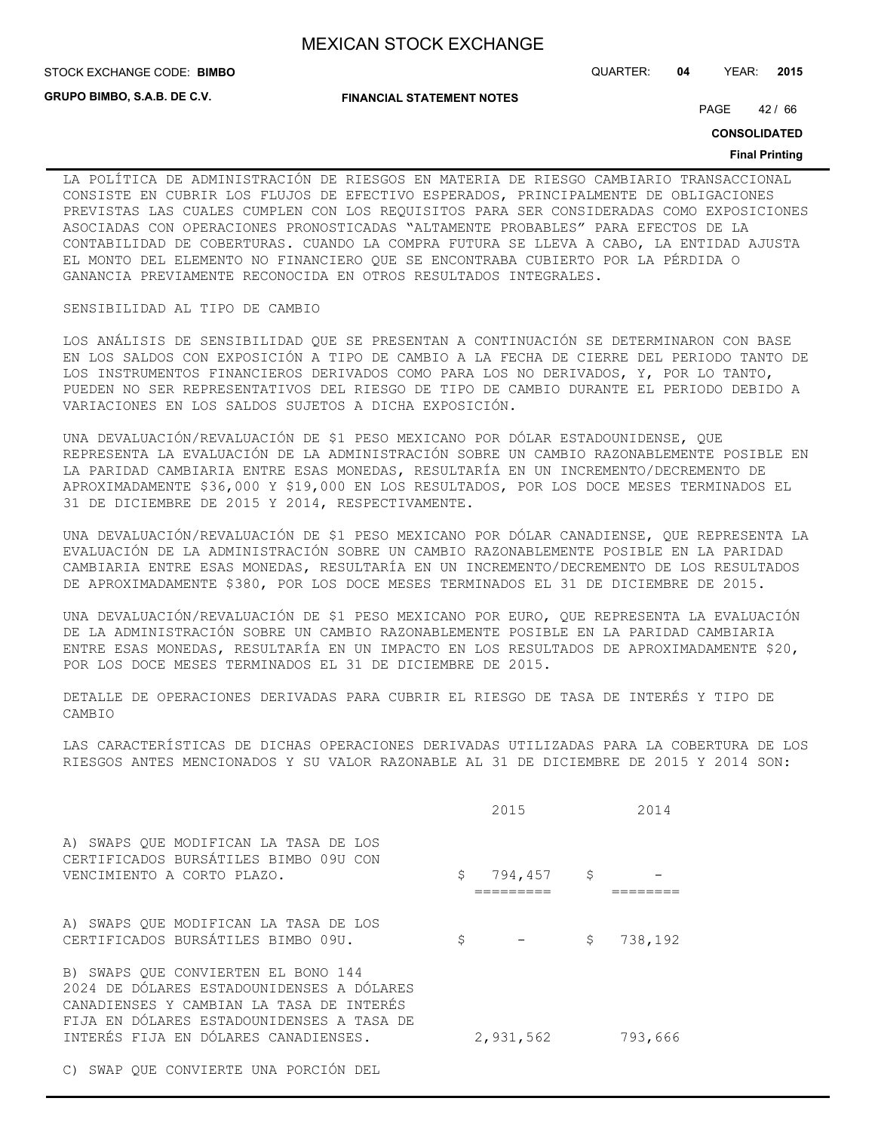STOCK EXCHANGE CODE: QUARTER: **04** YEAR: **2015 BIMBO**

**GRUPO BIMBO, S.A.B. DE C.V.**

**FINANCIAL STATEMENT NOTES**

PAGE 42 / 66

**CONSOLIDATED**

#### **Final Printing**

LA POLÍTICA DE ADMINISTRACIÓN DE RIESGOS EN MATERIA DE RIESGO CAMBIARIO TRANSACCIONAL CONSISTE EN CUBRIR LOS FLUJOS DE EFECTIVO ESPERADOS, PRINCIPALMENTE DE OBLIGACIONES PREVISTAS LAS CUALES CUMPLEN CON LOS REQUISITOS PARA SER CONSIDERADAS COMO EXPOSICIONES ASOCIADAS CON OPERACIONES PRONOSTICADAS "ALTAMENTE PROBABLES" PARA EFECTOS DE LA CONTABILIDAD DE COBERTURAS. CUANDO LA COMPRA FUTURA SE LLEVA A CABO, LA ENTIDAD AJUSTA EL MONTO DEL ELEMENTO NO FINANCIERO QUE SE ENCONTRABA CUBIERTO POR LA PÉRDIDA O GANANCIA PREVIAMENTE RECONOCIDA EN OTROS RESULTADOS INTEGRALES.

### SENSIBILIDAD AL TIPO DE CAMBIO

LOS ANÁLISIS DE SENSIBILIDAD QUE SE PRESENTAN A CONTINUACIÓN SE DETERMINARON CON BASE EN LOS SALDOS CON EXPOSICIÓN A TIPO DE CAMBIO A LA FECHA DE CIERRE DEL PERIODO TANTO DE LOS INSTRUMENTOS FINANCIEROS DERIVADOS COMO PARA LOS NO DERIVADOS, Y, POR LO TANTO, PUEDEN NO SER REPRESENTATIVOS DEL RIESGO DE TIPO DE CAMBIO DURANTE EL PERIODO DEBIDO A VARIACIONES EN LOS SALDOS SUJETOS A DICHA EXPOSICIÓN.

UNA DEVALUACIÓN/REVALUACIÓN DE \$1 PESO MEXICANO POR DÓLAR ESTADOUNIDENSE, QUE REPRESENTA LA EVALUACIÓN DE LA ADMINISTRACIÓN SOBRE UN CAMBIO RAZONABLEMENTE POSIBLE EN LA PARIDAD CAMBIARIA ENTRE ESAS MONEDAS, RESULTARÍA EN UN INCREMENTO/DECREMENTO DE APROXIMADAMENTE \$36,000 Y \$19,000 EN LOS RESULTADOS, POR LOS DOCE MESES TERMINADOS EL 31 DE DICIEMBRE DE 2015 Y 2014, RESPECTIVAMENTE.

UNA DEVALUACIÓN/REVALUACIÓN DE \$1 PESO MEXICANO POR DÓLAR CANADIENSE, QUE REPRESENTA LA EVALUACIÓN DE LA ADMINISTRACIÓN SOBRE UN CAMBIO RAZONABLEMENTE POSIBLE EN LA PARIDAD CAMBIARIA ENTRE ESAS MONEDAS, RESULTARÍA EN UN INCREMENTO/DECREMENTO DE LOS RESULTADOS DE APROXIMADAMENTE \$380, POR LOS DOCE MESES TERMINADOS EL 31 DE DICIEMBRE DE 2015.

UNA DEVALUACIÓN/REVALUACIÓN DE \$1 PESO MEXICANO POR EURO, QUE REPRESENTA LA EVALUACIÓN DE LA ADMINISTRACIÓN SOBRE UN CAMBIO RAZONABLEMENTE POSIBLE EN LA PARIDAD CAMBIARIA ENTRE ESAS MONEDAS, RESULTARÍA EN UN IMPACTO EN LOS RESULTADOS DE APROXIMADAMENTE \$20, POR LOS DOCE MESES TERMINADOS EL 31 DE DICIEMBRE DE 2015.

DETALLE DE OPERACIONES DERIVADAS PARA CUBRIR EL RIESGO DE TASA DE INTERÉS Y TIPO DE CAMBIO

LAS CARACTERÍSTICAS DE DICHAS OPERACIONES DERIVADAS UTILIZADAS PARA LA COBERTURA DE LOS RIESGOS ANTES MENCIONADOS Y SU VALOR RAZONABLE AL 31 DE DICIEMBRE DE 2015 Y 2014 SON:

|                                                                                                                                                                                                                   | 2015          |              | 2014    |
|-------------------------------------------------------------------------------------------------------------------------------------------------------------------------------------------------------------------|---------------|--------------|---------|
| A) SWAPS QUE MODIFICAN LA TASA DE LOS<br>CERTIFICADOS BURSÁTILES BIMBO 09U CON<br>VENCIMIENTO A CORTO PLAZO.                                                                                                      | \$<br>794,457 | $\mathsf{S}$ |         |
| A) SWAPS QUE MODIFICAN LA TASA DE LOS<br>CERTIFICADOS BURSÁTILES BIMBO 09U.                                                                                                                                       | \$            | \$           | 738,192 |
| B) SWAPS OUE CONVIERTEN EL BONO 144<br>2024 DE DÓLARES ESTADOUNIDENSES A DÓLARES<br>CANADIENSES Y CAMBIAN LA TASA DE INTERÉS<br>FIJA EN DÓLARES ESTADOUNIDENSES A TASA DE<br>INTERÉS FIJA EN DÓLARES CANADIENSES. | 2,931,562     |              | 793,666 |
|                                                                                                                                                                                                                   |               |              |         |

C) SWAP QUE CONVIERTE UNA PORCIÓN DEL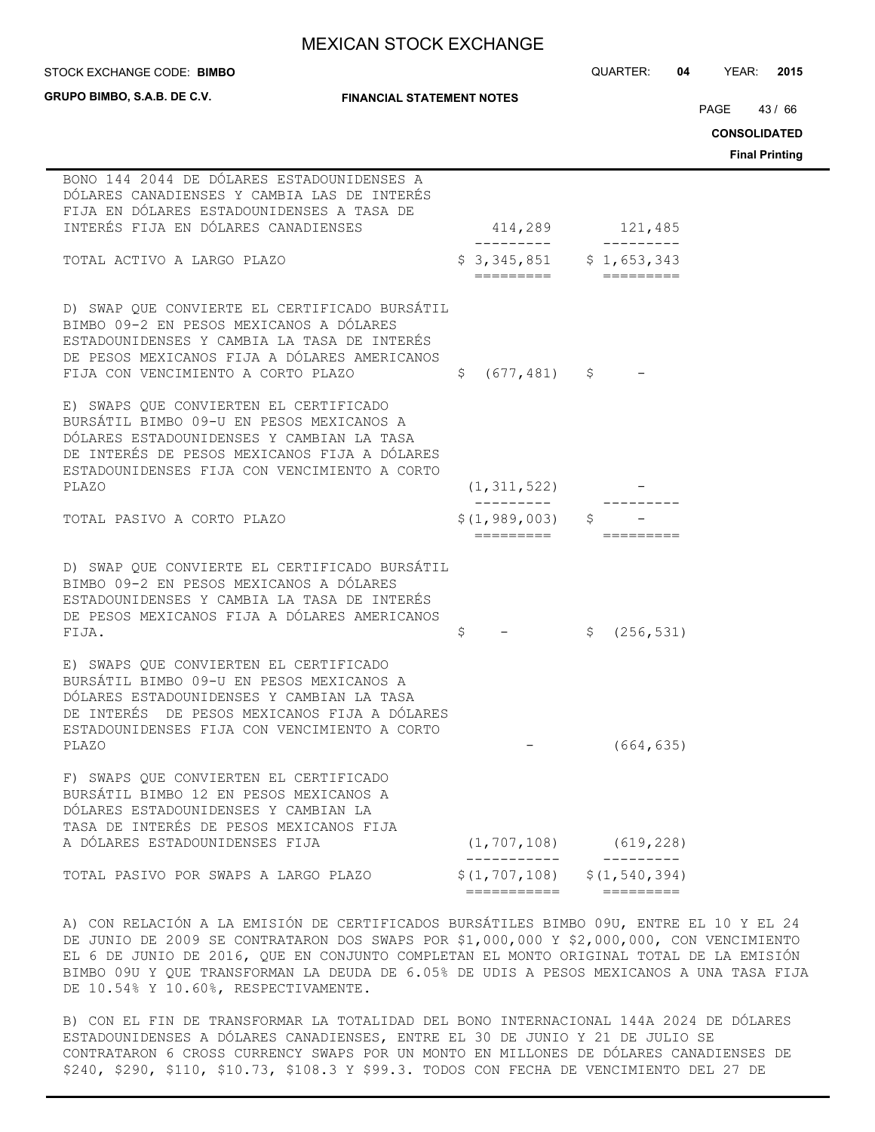STOCK EXCHANGE CODE: QUARTER: **04** YEAR: **2015 BIMBO**

| <b>GRUPO BIMBO, S.A.B. DE C.V.</b><br><b>FINANCIAL STATEMENT NOTES</b>                                                                                                                                                                   |                              |                                                | PAGE 43/66<br><b>CONSOLIDATED</b><br><b>Final Printing</b> |
|------------------------------------------------------------------------------------------------------------------------------------------------------------------------------------------------------------------------------------------|------------------------------|------------------------------------------------|------------------------------------------------------------|
| BONO 144 2044 DE DÓLARES ESTADOUNIDENSES A<br>DÓLARES CANADIENSES Y CAMBIA LAS DE INTERÉS<br>FIJA EN DÓLARES ESTADOUNIDENSES A TASA DE<br>INTERÉS FIJA EN DÓLARES CANADIENSES                                                            |                              | 414,289 121,485                                |                                                            |
| TOTAL ACTIVO A LARGO PLAZO                                                                                                                                                                                                               | $$3,345,851$ $$1,653,343$    |                                                |                                                            |
| D) SWAP QUE CONVIERTE EL CERTIFICADO BURSÁTIL<br>BIMBO 09-2 EN PESOS MEXICANOS A DÓLARES<br>ESTADOUNIDENSES Y CAMBIA LA TASA DE INTERÉS<br>DE PESOS MEXICANOS FIJA A DÓLARES AMERICANOS<br>FIJA CON VENCIMIENTO A CORTO PLAZO            | \$<br>$(677, 481)$ \$        |                                                |                                                            |
| E) SWAPS QUE CONVIERTEN EL CERTIFICADO<br>BURSÁTIL BIMBO 09-U EN PESOS MEXICANOS A<br>DÓLARES ESTADOUNIDENSES Y CAMBIAN LA TASA<br>DE INTERÉS DE PESOS MEXICANOS FIJA A DÓLARES<br>ESTADOUNIDENSES FIJA CON VENCIMIENTO A CORTO<br>PLAZO | (1, 311, 522)                |                                                |                                                            |
| TOTAL PASIVO A CORTO PLAZO                                                                                                                                                                                                               | \$(1, 989, 003)<br>========= | \$                                             |                                                            |
| D) SWAP QUE CONVIERTE EL CERTIFICADO BURSÁTIL<br>BIMBO 09-2 EN PESOS MEXICANOS A DÓLARES<br>ESTADOUNIDENSES Y CAMBIA LA TASA DE INTERÉS<br>DE PESOS MEXICANOS FIJA A DÓLARES AMERICANOS<br>FIJA.                                         | \$                           | (256, 531)<br>$\mathsf{S}$                     |                                                            |
| E) SWAPS QUE CONVIERTEN EL CERTIFICADO<br>BURSÁTIL BIMBO 09-U EN PESOS MEXICANOS A<br>DÓLARES ESTADOUNIDENSES Y CAMBIAN LA TASA<br>DE INTERÉS DE PESOS MEXICANOS FIJA A DÓLARES<br>ESTADOUNIDENSES FIJA CON VENCIMIENTO A CORTO<br>PLAZO |                              | (664, 635)                                     |                                                            |
| F) SWAPS OUE CONVIERTEN EL CERTIFICADO<br>BURSÁTIL BIMBO 12 EN PESOS MEXICANOS A<br>DÓLARES ESTADOUNIDENSES Y CAMBIAN LA<br>TASA DE INTERÉS DE PESOS MEXICANOS FIJA<br>A DÓLARES ESTADOUNIDENSES FIJA                                    | (1, 707, 108)                | (619, 228)                                     |                                                            |
| TOTAL PASIVO POR SWAPS A LARGO PLAZO                                                                                                                                                                                                     | ===========                  | $$(1, 707, 108)$ $$(1, 540, 394)$<br>========= |                                                            |

A) CON RELACIÓN A LA EMISIÓN DE CERTIFICADOS BURSÁTILES BIMBO 09U, ENTRE EL 10 Y EL 24 DE JUNIO DE 2009 SE CONTRATARON DOS SWAPS POR \$1,000,000 Y \$2,000,000, CON VENCIMIENTO EL 6 DE JUNIO DE 2016, QUE EN CONJUNTO COMPLETAN EL MONTO ORIGINAL TOTAL DE LA EMISIÓN BIMBO 09U Y QUE TRANSFORMAN LA DEUDA DE 6.05% DE UDIS A PESOS MEXICANOS A UNA TASA FIJA DE 10.54% Y 10.60%, RESPECTIVAMENTE.

B) CON EL FIN DE TRANSFORMAR LA TOTALIDAD DEL BONO INTERNACIONAL 144A 2024 DE DÓLARES ESTADOUNIDENSES A DÓLARES CANADIENSES, ENTRE EL 30 DE JUNIO Y 21 DE JULIO SE CONTRATARON 6 CROSS CURRENCY SWAPS POR UN MONTO EN MILLONES DE DÓLARES CANADIENSES DE \$240, \$290, \$110, \$10.73, \$108.3 Y \$99.3. TODOS CON FECHA DE VENCIMIENTO DEL 27 DE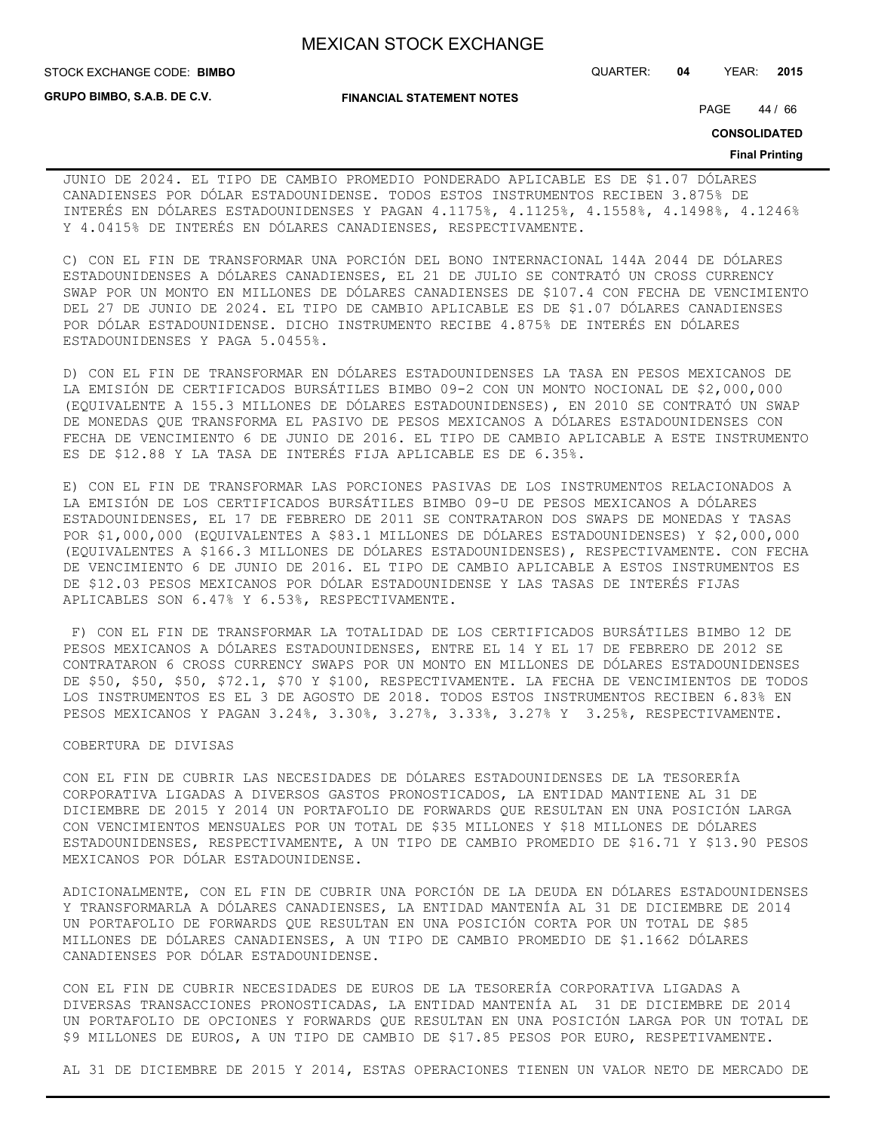**GRUPO BIMBO, S.A.B. DE C.V.**

**FINANCIAL STATEMENT NOTES**

STOCK EXCHANGE CODE: QUARTER: **04** YEAR: **2015 BIMBO**

PAGE 44 / 66

**CONSOLIDATED**

#### **Final Printing**

JUNIO DE 2024. EL TIPO DE CAMBIO PROMEDIO PONDERADO APLICABLE ES DE \$1.07 DÓLARES CANADIENSES POR DÓLAR ESTADOUNIDENSE. TODOS ESTOS INSTRUMENTOS RECIBEN 3.875% DE INTERÉS EN DÓLARES ESTADOUNIDENSES Y PAGAN 4.1175%, 4.1125%, 4.1558%, 4.1498%, 4.1246% Y 4.0415% DE INTERÉS EN DÓLARES CANADIENSES, RESPECTIVAMENTE.

C) CON EL FIN DE TRANSFORMAR UNA PORCIÓN DEL BONO INTERNACIONAL 144A 2044 DE DÓLARES ESTADOUNIDENSES A DÓLARES CANADIENSES, EL 21 DE JULIO SE CONTRATÓ UN CROSS CURRENCY SWAP POR UN MONTO EN MILLONES DE DÓLARES CANADIENSES DE \$107.4 CON FECHA DE VENCIMIENTO DEL 27 DE JUNIO DE 2024. EL TIPO DE CAMBIO APLICABLE ES DE \$1.07 DÓLARES CANADIENSES POR DÓLAR ESTADOUNIDENSE. DICHO INSTRUMENTO RECIBE 4.875% DE INTERÉS EN DÓLARES ESTADOUNIDENSES Y PAGA 5.0455%.

D) CON EL FIN DE TRANSFORMAR EN DÓLARES ESTADOUNIDENSES LA TASA EN PESOS MEXICANOS DE LA EMISIÓN DE CERTIFICADOS BURSÁTILES BIMBO 09-2 CON UN MONTO NOCIONAL DE \$2,000,000 (EQUIVALENTE A 155.3 MILLONES DE DÓLARES ESTADOUNIDENSES), EN 2010 SE CONTRATÓ UN SWAP DE MONEDAS QUE TRANSFORMA EL PASIVO DE PESOS MEXICANOS A DÓLARES ESTADOUNIDENSES CON FECHA DE VENCIMIENTO 6 DE JUNIO DE 2016. EL TIPO DE CAMBIO APLICABLE A ESTE INSTRUMENTO ES DE \$12.88 Y LA TASA DE INTERÉS FIJA APLICABLE ES DE 6.35%.

E) CON EL FIN DE TRANSFORMAR LAS PORCIONES PASIVAS DE LOS INSTRUMENTOS RELACIONADOS A LA EMISIÓN DE LOS CERTIFICADOS BURSÁTILES BIMBO 09-U DE PESOS MEXICANOS A DÓLARES ESTADOUNIDENSES, EL 17 DE FEBRERO DE 2011 SE CONTRATARON DOS SWAPS DE MONEDAS Y TASAS POR \$1,000,000 (EQUIVALENTES A \$83.1 MILLONES DE DÓLARES ESTADOUNIDENSES) Y \$2,000,000 (EQUIVALENTES A \$166.3 MILLONES DE DÓLARES ESTADOUNIDENSES), RESPECTIVAMENTE. CON FECHA DE VENCIMIENTO 6 DE JUNIO DE 2016. EL TIPO DE CAMBIO APLICABLE A ESTOS INSTRUMENTOS ES DE \$12.03 PESOS MEXICANOS POR DÓLAR ESTADOUNIDENSE Y LAS TASAS DE INTERÉS FIJAS APLICABLES SON 6.47% Y 6.53%, RESPECTIVAMENTE.

 F) CON EL FIN DE TRANSFORMAR LA TOTALIDAD DE LOS CERTIFICADOS BURSÁTILES BIMBO 12 DE PESOS MEXICANOS A DÓLARES ESTADOUNIDENSES, ENTRE EL 14 Y EL 17 DE FEBRERO DE 2012 SE CONTRATARON 6 CROSS CURRENCY SWAPS POR UN MONTO EN MILLONES DE DÓLARES ESTADOUNIDENSES DE \$50, \$50, \$50, \$72.1, \$70 Y \$100, RESPECTIVAMENTE. LA FECHA DE VENCIMIENTOS DE TODOS LOS INSTRUMENTOS ES EL 3 DE AGOSTO DE 2018. TODOS ESTOS INSTRUMENTOS RECIBEN 6.83% EN PESOS MEXICANOS Y PAGAN 3.24%, 3.30%, 3.27%, 3.33%, 3.27% Y 3.25%, RESPECTIVAMENTE.

### COBERTURA DE DIVISAS

CON EL FIN DE CUBRIR LAS NECESIDADES DE DÓLARES ESTADOUNIDENSES DE LA TESORERÍA CORPORATIVA LIGADAS A DIVERSOS GASTOS PRONOSTICADOS, LA ENTIDAD MANTIENE AL 31 DE DICIEMBRE DE 2015 Y 2014 UN PORTAFOLIO DE FORWARDS QUE RESULTAN EN UNA POSICIÓN LARGA CON VENCIMIENTOS MENSUALES POR UN TOTAL DE \$35 MILLONES Y \$18 MILLONES DE DÓLARES ESTADOUNIDENSES, RESPECTIVAMENTE, A UN TIPO DE CAMBIO PROMEDIO DE \$16.71 Y \$13.90 PESOS MEXICANOS POR DÓLAR ESTADOUNIDENSE.

ADICIONALMENTE, CON EL FIN DE CUBRIR UNA PORCIÓN DE LA DEUDA EN DÓLARES ESTADOUNIDENSES Y TRANSFORMARLA A DÓLARES CANADIENSES, LA ENTIDAD MANTENÍA AL 31 DE DICIEMBRE DE 2014 UN PORTAFOLIO DE FORWARDS QUE RESULTAN EN UNA POSICIÓN CORTA POR UN TOTAL DE \$85 MILLONES DE DÓLARES CANADIENSES, A UN TIPO DE CAMBIO PROMEDIO DE \$1.1662 DÓLARES CANADIENSES POR DÓLAR ESTADOUNIDENSE.

CON EL FIN DE CUBRIR NECESIDADES DE EUROS DE LA TESORERÍA CORPORATIVA LIGADAS A DIVERSAS TRANSACCIONES PRONOSTICADAS, LA ENTIDAD MANTENÍA AL 31 DE DICIEMBRE DE 2014 UN PORTAFOLIO DE OPCIONES Y FORWARDS QUE RESULTAN EN UNA POSICIÓN LARGA POR UN TOTAL DE \$9 MILLONES DE EUROS, A UN TIPO DE CAMBIO DE \$17.85 PESOS POR EURO, RESPETIVAMENTE.

AL 31 DE DICIEMBRE DE 2015 Y 2014, ESTAS OPERACIONES TIENEN UN VALOR NETO DE MERCADO DE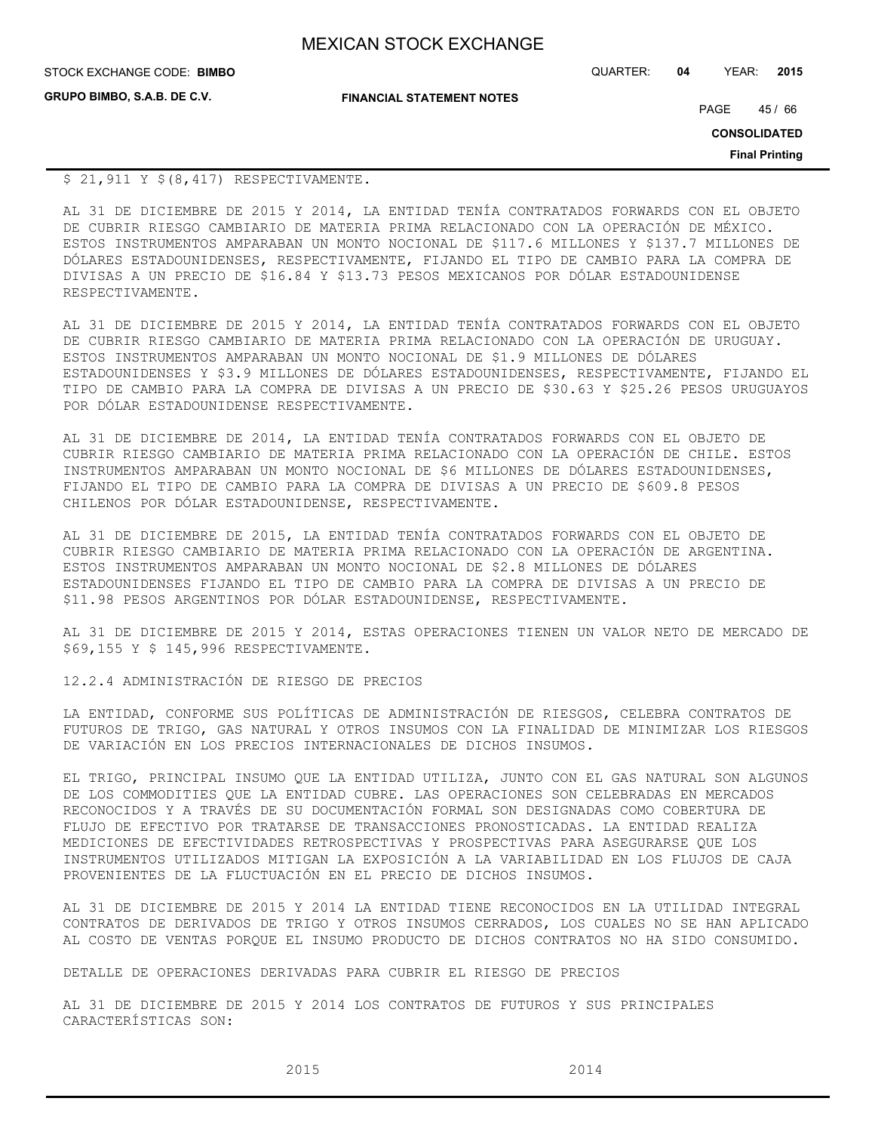| <b>MEXICAN STOCK EXCHANGE</b> |
|-------------------------------|
|-------------------------------|

**GRUPO BIMBO, S.A.B. DE C.V.**

STOCK EXCHANGE CODE: QUARTER: **04** YEAR: **2015 BIMBO**

**FINANCIAL STATEMENT NOTES**

PAGE 45/66

**CONSOLIDATED**

**Final Printing**

### \$ 21,911 Y \$(8,417) RESPECTIVAMENTE.

AL 31 DE DICIEMBRE DE 2015 Y 2014, LA ENTIDAD TENÍA CONTRATADOS FORWARDS CON EL OBJETO DE CUBRIR RIESGO CAMBIARIO DE MATERIA PRIMA RELACIONADO CON LA OPERACIÓN DE MÉXICO. ESTOS INSTRUMENTOS AMPARABAN UN MONTO NOCIONAL DE \$117.6 MILLONES Y \$137.7 MILLONES DE DÓLARES ESTADOUNIDENSES, RESPECTIVAMENTE, FIJANDO EL TIPO DE CAMBIO PARA LA COMPRA DE DIVISAS A UN PRECIO DE \$16.84 Y \$13.73 PESOS MEXICANOS POR DÓLAR ESTADOUNIDENSE RESPECTIVAMENTE.

AL 31 DE DICIEMBRE DE 2015 Y 2014, LA ENTIDAD TENÍA CONTRATADOS FORWARDS CON EL OBJETO DE CUBRIR RIESGO CAMBIARIO DE MATERIA PRIMA RELACIONADO CON LA OPERACIÓN DE URUGUAY. ESTOS INSTRUMENTOS AMPARABAN UN MONTO NOCIONAL DE \$1.9 MILLONES DE DÓLARES ESTADOUNIDENSES Y \$3.9 MILLONES DE DÓLARES ESTADOUNIDENSES, RESPECTIVAMENTE, FIJANDO EL TIPO DE CAMBIO PARA LA COMPRA DE DIVISAS A UN PRECIO DE \$30.63 Y \$25.26 PESOS URUGUAYOS POR DÓLAR ESTADOUNIDENSE RESPECTIVAMENTE.

AL 31 DE DICIEMBRE DE 2014, LA ENTIDAD TENÍA CONTRATADOS FORWARDS CON EL OBJETO DE CUBRIR RIESGO CAMBIARIO DE MATERIA PRIMA RELACIONADO CON LA OPERACIÓN DE CHILE. ESTOS INSTRUMENTOS AMPARABAN UN MONTO NOCIONAL DE \$6 MILLONES DE DÓLARES ESTADOUNIDENSES, FIJANDO EL TIPO DE CAMBIO PARA LA COMPRA DE DIVISAS A UN PRECIO DE \$609.8 PESOS CHILENOS POR DÓLAR ESTADOUNIDENSE, RESPECTIVAMENTE.

AL 31 DE DICIEMBRE DE 2015, LA ENTIDAD TENÍA CONTRATADOS FORWARDS CON EL OBJETO DE CUBRIR RIESGO CAMBIARIO DE MATERIA PRIMA RELACIONADO CON LA OPERACIÓN DE ARGENTINA. ESTOS INSTRUMENTOS AMPARABAN UN MONTO NOCIONAL DE \$2.8 MILLONES DE DÓLARES ESTADOUNIDENSES FIJANDO EL TIPO DE CAMBIO PARA LA COMPRA DE DIVISAS A UN PRECIO DE \$11.98 PESOS ARGENTINOS POR DÓLAR ESTADOUNIDENSE, RESPECTIVAMENTE.

AL 31 DE DICIEMBRE DE 2015 Y 2014, ESTAS OPERACIONES TIENEN UN VALOR NETO DE MERCADO DE \$69,155 Y \$ 145,996 RESPECTIVAMENTE.

12.2.4 ADMINISTRACIÓN DE RIESGO DE PRECIOS

LA ENTIDAD, CONFORME SUS POLÍTICAS DE ADMINISTRACIÓN DE RIESGOS, CELEBRA CONTRATOS DE FUTUROS DE TRIGO, GAS NATURAL Y OTROS INSUMOS CON LA FINALIDAD DE MINIMIZAR LOS RIESGOS DE VARIACIÓN EN LOS PRECIOS INTERNACIONALES DE DICHOS INSUMOS.

EL TRIGO, PRINCIPAL INSUMO QUE LA ENTIDAD UTILIZA, JUNTO CON EL GAS NATURAL SON ALGUNOS DE LOS COMMODITIES QUE LA ENTIDAD CUBRE. LAS OPERACIONES SON CELEBRADAS EN MERCADOS RECONOCIDOS Y A TRAVÉS DE SU DOCUMENTACIÓN FORMAL SON DESIGNADAS COMO COBERTURA DE FLUJO DE EFECTIVO POR TRATARSE DE TRANSACCIONES PRONOSTICADAS. LA ENTIDAD REALIZA MEDICIONES DE EFECTIVIDADES RETROSPECTIVAS Y PROSPECTIVAS PARA ASEGURARSE QUE LOS INSTRUMENTOS UTILIZADOS MITIGAN LA EXPOSICIÓN A LA VARIABILIDAD EN LOS FLUJOS DE CAJA PROVENIENTES DE LA FLUCTUACIÓN EN EL PRECIO DE DICHOS INSUMOS.

AL 31 DE DICIEMBRE DE 2015 Y 2014 LA ENTIDAD TIENE RECONOCIDOS EN LA UTILIDAD INTEGRAL CONTRATOS DE DERIVADOS DE TRIGO Y OTROS INSUMOS CERRADOS, LOS CUALES NO SE HAN APLICADO AL COSTO DE VENTAS PORQUE EL INSUMO PRODUCTO DE DICHOS CONTRATOS NO HA SIDO CONSUMIDO.

DETALLE DE OPERACIONES DERIVADAS PARA CUBRIR EL RIESGO DE PRECIOS

AL 31 DE DICIEMBRE DE 2015 Y 2014 LOS CONTRATOS DE FUTUROS Y SUS PRINCIPALES CARACTERÍSTICAS SON: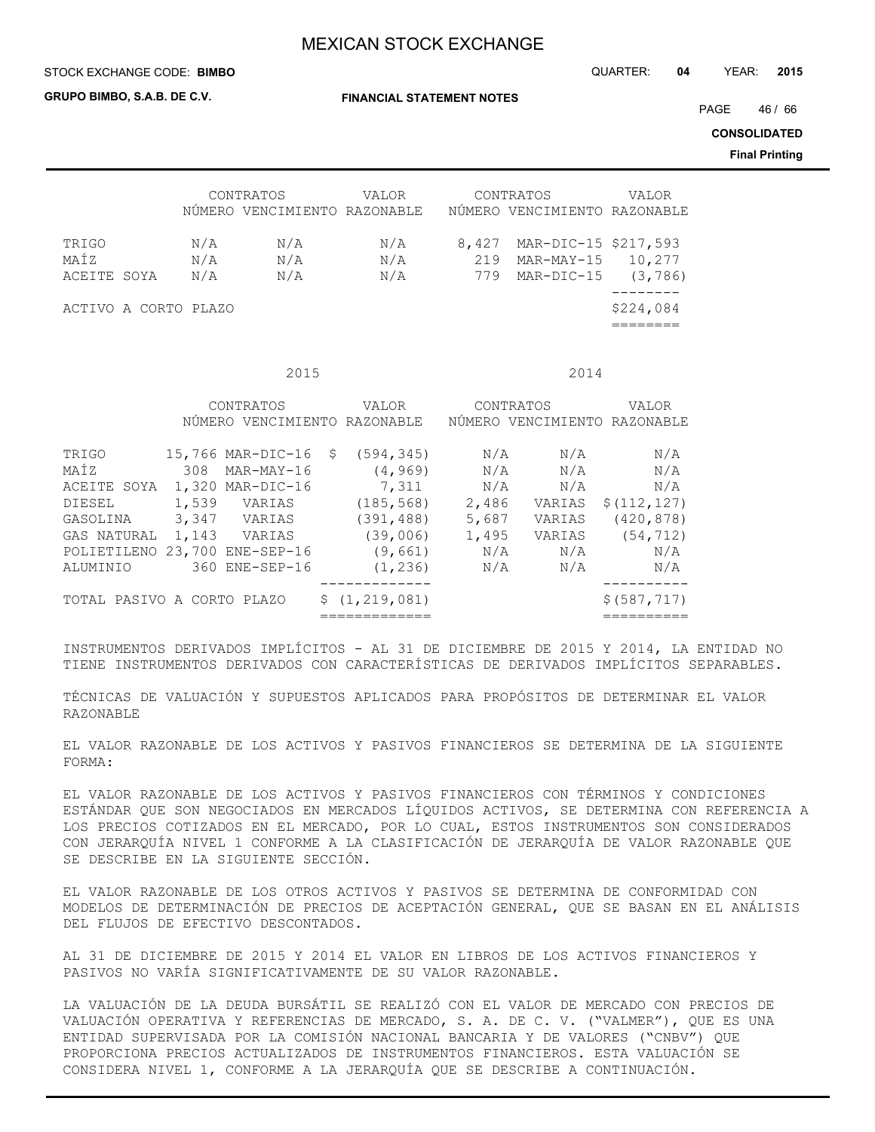**GRUPO BIMBO, S.A.B. DE C.V.**

**FINANCIAL STATEMENT NOTES**

STOCK EXCHANGE CODE: QUARTER: **04** YEAR: **2015 BIMBO**

PAGE 46 / 66

**CONSOLIDATED**

**Final Printing**

|                              | CONTRATOS<br>NÚMERO | VENCIMIENTO RAZONABLE | VALOR             |                     | CONTRATOS<br>NÚMERO VENCIMIENTO RAZONABLE        | <b>VALOR</b>       |
|------------------------------|---------------------|-----------------------|-------------------|---------------------|--------------------------------------------------|--------------------|
| TRIGO<br>MAÍZ<br>ACEITE SOYA | N/A<br>N/A<br>N/A   | N/A<br>N/A<br>N/A     | N/A<br>N/A<br>N/A | 8,427<br>219<br>779 | MAR-DIC-15 \$217,593<br>MAR-MAY-15<br>MAR-DIC-15 | 10,277<br>(3, 786) |
| ACTIVO A CORTO PLAZO         |                     |                       |                   |                     |                                                  | \$224,084          |

**2015** 2014

|                            |       | CONTRATOS<br>NÚMERO VENCIMIENTO RAZONABLE | VALOR                  |            | CONTRATOS  | VALOR<br>NÚMERO VENCIMIENTO RAZONABLE |
|----------------------------|-------|-------------------------------------------|------------------------|------------|------------|---------------------------------------|
| TRIGO<br>MAÍZ              | 308   | $15,766$ MAR-DIC-16 \$<br>MAR-MAY-16      | (594, 345)<br>(4, 969) | N/A<br>N/A | N/A<br>N/A | N/A<br>N/A                            |
| ACEITE SOYA                |       | 1,320 MAR-DIC-16                          | 7,311                  | N/A        | N/A        | N/A                                   |
| DIESEL                     | 1,539 | VARIAS                                    | (185, 568)             | 2,486      | VARIAS     | \$(112, 127)                          |
| GASOLINA                   |       | 3,347 VARIAS                              | (391, 488)             | 5,687      | VARIAS     | (420, 878)                            |
| GAS NATURAL                |       | 1,143 VARIAS                              | (39,006)               | 1,495      | VARIAS     | (54, 712)                             |
| POLIETILENO                |       | 23,700 ENE-SEP-16                         | (9,661)                | N/A        | N/A        | N/A                                   |
| ALUMINIO                   |       | 360 ENE-SEP-16                            | (1, 236)               | N/A        | N/A        | N/A                                   |
|                            |       |                                           |                        |            |            |                                       |
| TOTAL PASIVO A CORTO PLAZO |       |                                           | \$(1, 219, 081)        |            |            | \$ (587, 717)                         |
|                            |       |                                           |                        |            |            |                                       |

INSTRUMENTOS DERIVADOS IMPLÍCITOS - AL 31 DE DICIEMBRE DE 2015 Y 2014, LA ENTIDAD NO TIENE INSTRUMENTOS DERIVADOS CON CARACTERÍSTICAS DE DERIVADOS IMPLÍCITOS SEPARABLES.

TÉCNICAS DE VALUACIÓN Y SUPUESTOS APLICADOS PARA PROPÓSITOS DE DETERMINAR EL VALOR RAZONABLE

EL VALOR RAZONABLE DE LOS ACTIVOS Y PASIVOS FINANCIEROS SE DETERMINA DE LA SIGUIENTE FORMA:

EL VALOR RAZONABLE DE LOS ACTIVOS Y PASIVOS FINANCIEROS CON TÉRMINOS Y CONDICIONES ESTÁNDAR QUE SON NEGOCIADOS EN MERCADOS LÍQUIDOS ACTIVOS, SE DETERMINA CON REFERENCIA A LOS PRECIOS COTIZADOS EN EL MERCADO, POR LO CUAL, ESTOS INSTRUMENTOS SON CONSIDERADOS CON JERARQUÍA NIVEL 1 CONFORME A LA CLASIFICACIÓN DE JERARQUÍA DE VALOR RAZONABLE QUE SE DESCRIBE EN LA SIGUIENTE SECCIÓN.

EL VALOR RAZONABLE DE LOS OTROS ACTIVOS Y PASIVOS SE DETERMINA DE CONFORMIDAD CON MODELOS DE DETERMINACIÓN DE PRECIOS DE ACEPTACIÓN GENERAL, QUE SE BASAN EN EL ANÁLISIS DEL FLUJOS DE EFECTIVO DESCONTADOS.

AL 31 DE DICIEMBRE DE 2015 Y 2014 EL VALOR EN LIBROS DE LOS ACTIVOS FINANCIEROS Y PASIVOS NO VARÍA SIGNIFICATIVAMENTE DE SU VALOR RAZONABLE.

LA VALUACIÓN DE LA DEUDA BURSÁTIL SE REALIZÓ CON EL VALOR DE MERCADO CON PRECIOS DE VALUACIÓN OPERATIVA Y REFERENCIAS DE MERCADO, S. A. DE C. V. ("VALMER"), QUE ES UNA ENTIDAD SUPERVISADA POR LA COMISIÓN NACIONAL BANCARIA Y DE VALORES ("CNBV") QUE PROPORCIONA PRECIOS ACTUALIZADOS DE INSTRUMENTOS FINANCIEROS. ESTA VALUACIÓN SE CONSIDERA NIVEL 1, CONFORME A LA JERARQUÍA QUE SE DESCRIBE A CONTINUACIÓN.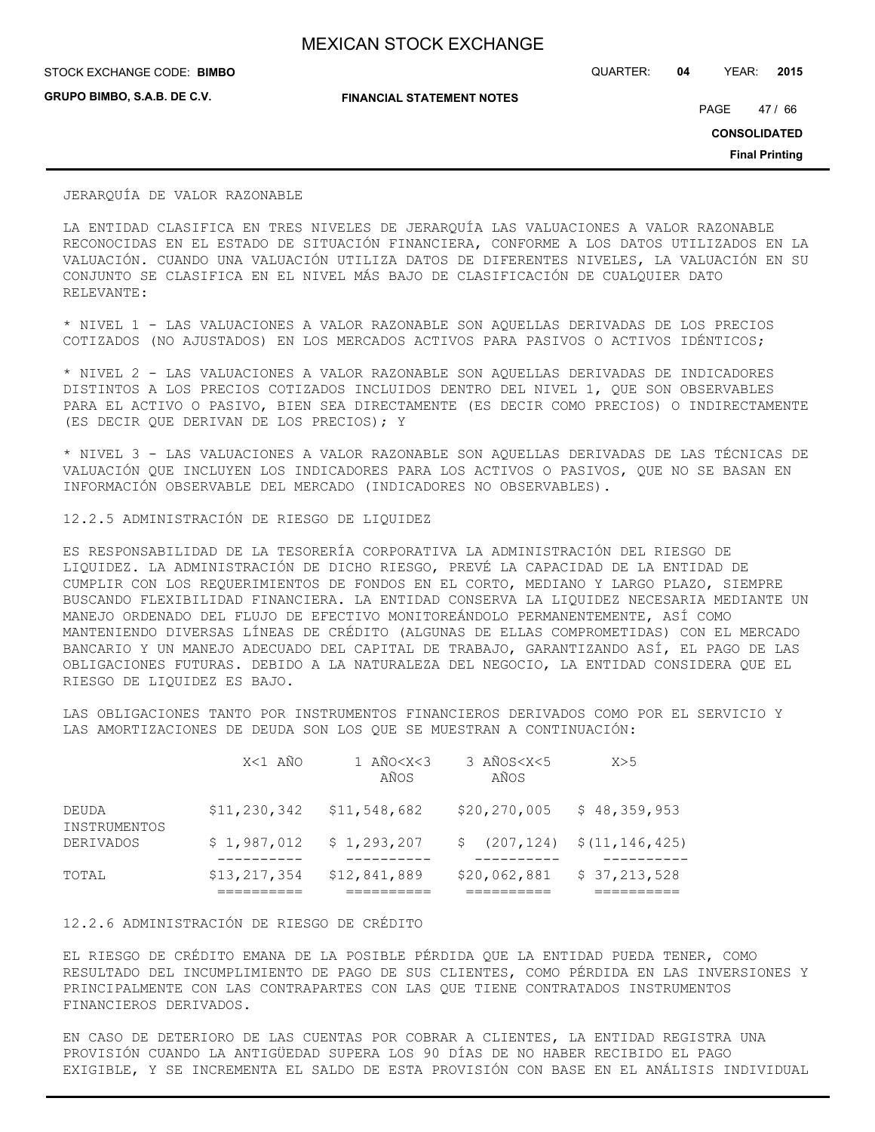**GRUPO BIMBO, S.A.B. DE C.V.**

STOCK EXCHANGE CODE: QUARTER: **04** YEAR: **2015 BIMBO**

**FINANCIAL STATEMENT NOTES**

PAGE 47 / 66

**CONSOLIDATED**

**Final Printing**

### JERARQUÍA DE VALOR RAZONABLE

LA ENTIDAD CLASIFICA EN TRES NIVELES DE JERARQUÍA LAS VALUACIONES A VALOR RAZONABLE RECONOCIDAS EN EL ESTADO DE SITUACIÓN FINANCIERA, CONFORME A LOS DATOS UTILIZADOS EN LA VALUACIÓN. CUANDO UNA VALUACIÓN UTILIZA DATOS DE DIFERENTES NIVELES, LA VALUACIÓN EN SU CONJUNTO SE CLASIFICA EN EL NIVEL MÁS BAJO DE CLASIFICACIÓN DE CUALQUIER DATO RELEVANTE:

\* NIVEL 1 - LAS VALUACIONES A VALOR RAZONABLE SON AQUELLAS DERIVADAS DE LOS PRECIOS COTIZADOS (NO AJUSTADOS) EN LOS MERCADOS ACTIVOS PARA PASIVOS O ACTIVOS IDÉNTICOS;

\* NIVEL 2 - LAS VALUACIONES A VALOR RAZONABLE SON AQUELLAS DERIVADAS DE INDICADORES DISTINTOS A LOS PRECIOS COTIZADOS INCLUIDOS DENTRO DEL NIVEL 1, QUE SON OBSERVABLES PARA EL ACTIVO O PASIVO, BIEN SEA DIRECTAMENTE (ES DECIR COMO PRECIOS) O INDIRECTAMENTE (ES DECIR QUE DERIVAN DE LOS PRECIOS); Y

\* NIVEL 3 - LAS VALUACIONES A VALOR RAZONABLE SON AQUELLAS DERIVADAS DE LAS TÉCNICAS DE VALUACIÓN QUE INCLUYEN LOS INDICADORES PARA LOS ACTIVOS O PASIVOS, QUE NO SE BASAN EN INFORMACIÓN OBSERVABLE DEL MERCADO (INDICADORES NO OBSERVABLES).

### 12.2.5 ADMINISTRACIÓN DE RIESGO DE LIQUIDEZ

ES RESPONSABILIDAD DE LA TESORERÍA CORPORATIVA LA ADMINISTRACIÓN DEL RIESGO DE LIQUIDEZ. LA ADMINISTRACIÓN DE DICHO RIESGO, PREVÉ LA CAPACIDAD DE LA ENTIDAD DE CUMPLIR CON LOS REQUERIMIENTOS DE FONDOS EN EL CORTO, MEDIANO Y LARGO PLAZO, SIEMPRE BUSCANDO FLEXIBILIDAD FINANCIERA. LA ENTIDAD CONSERVA LA LIQUIDEZ NECESARIA MEDIANTE UN MANEJO ORDENADO DEL FLUJO DE EFECTIVO MONITOREÁNDOLO PERMANENTEMENTE, ASÍ COMO MANTENIENDO DIVERSAS LÍNEAS DE CRÉDITO (ALGUNAS DE ELLAS COMPROMETIDAS) CON EL MERCADO BANCARIO Y UN MANEJO ADECUADO DEL CAPITAL DE TRABAJO, GARANTIZANDO ASÍ, EL PAGO DE LAS OBLIGACIONES FUTURAS. DEBIDO A LA NATURALEZA DEL NEGOCIO, LA ENTIDAD CONSIDERA QUE EL RIESGO DE LIQUIDEZ ES BAJO.

LAS OBLIGACIONES TANTO POR INSTRUMENTOS FINANCIEROS DERIVADOS COMO POR EL SERVICIO Y LAS AMORTIZACIONES DE DEUDA SON LOS QUE SE MUESTRAN A CONTINUACIÓN:

|                       | X<1 AÑO        | 1 AÑO <x<3<br>AÑOS</x<3<br> | 3 AÑOS <x<5<br>AÑOS</x<5<br>                      | X>5          |
|-----------------------|----------------|-----------------------------|---------------------------------------------------|--------------|
| DEUDA<br>INSTRUMENTOS | \$11,230,342   | \$11,548,682                | \$20, 270, 005                                    | \$48,359,953 |
| <b>DERIVADOS</b>      | \$1,987,012    | \$1,293,207                 | $\frac{1}{207}$ , 124) $\frac{1}{21}$ , 146, 425) |              |
| TOTAL                 | \$13, 217, 354 | \$12,841,889                | \$20,062,881                                      | \$37,213,528 |

### 12.2.6 ADMINISTRACIÓN DE RIESGO DE CRÉDITO

EL RIESGO DE CRÉDITO EMANA DE LA POSIBLE PÉRDIDA QUE LA ENTIDAD PUEDA TENER, COMO RESULTADO DEL INCUMPLIMIENTO DE PAGO DE SUS CLIENTES, COMO PÉRDIDA EN LAS INVERSIONES Y PRINCIPALMENTE CON LAS CONTRAPARTES CON LAS QUE TIENE CONTRATADOS INSTRUMENTOS FINANCIEROS DERIVADOS.

EN CASO DE DETERIORO DE LAS CUENTAS POR COBRAR A CLIENTES, LA ENTIDAD REGISTRA UNA PROVISIÓN CUANDO LA ANTIGÜEDAD SUPERA LOS 90 DÍAS DE NO HABER RECIBIDO EL PAGO EXIGIBLE, Y SE INCREMENTA EL SALDO DE ESTA PROVISIÓN CON BASE EN EL ANÁLISIS INDIVIDUAL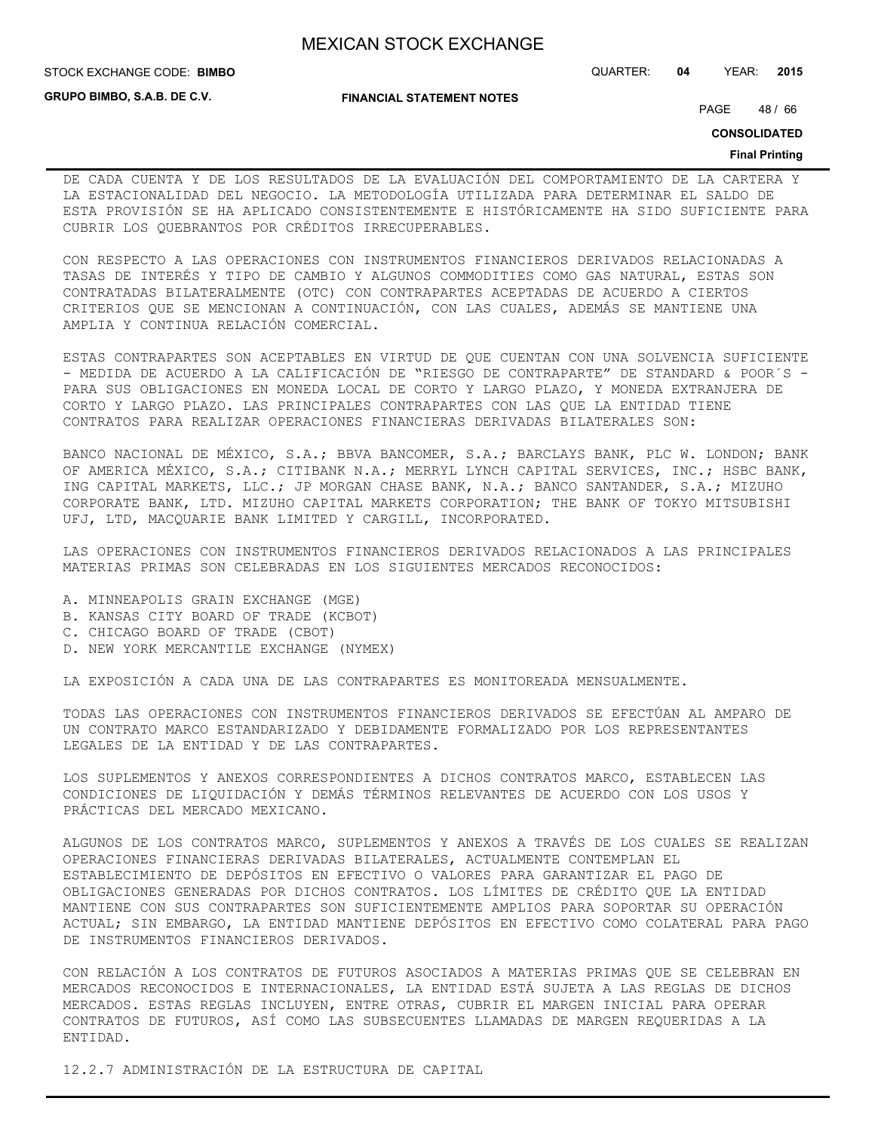**GRUPO BIMBO, S.A.B. DE C.V.**

### **FINANCIAL STATEMENT NOTES**

STOCK EXCHANGE CODE: QUARTER: **04** YEAR: **2015 BIMBO**

PAGE 48 / 66

**CONSOLIDATED**

### **Final Printing**

DE CADA CUENTA Y DE LOS RESULTADOS DE LA EVALUACIÓN DEL COMPORTAMIENTO DE LA CARTERA Y LA ESTACIONALIDAD DEL NEGOCIO. LA METODOLOGÍA UTILIZADA PARA DETERMINAR EL SALDO DE ESTA PROVISIÓN SE HA APLICADO CONSISTENTEMENTE E HISTÓRICAMENTE HA SIDO SUFICIENTE PARA CUBRIR LOS QUEBRANTOS POR CRÉDITOS IRRECUPERABLES.

CON RESPECTO A LAS OPERACIONES CON INSTRUMENTOS FINANCIEROS DERIVADOS RELACIONADAS A TASAS DE INTERÉS Y TIPO DE CAMBIO Y ALGUNOS COMMODITIES COMO GAS NATURAL, ESTAS SON CONTRATADAS BILATERALMENTE (OTC) CON CONTRAPARTES ACEPTADAS DE ACUERDO A CIERTOS CRITERIOS QUE SE MENCIONAN A CONTINUACIÓN, CON LAS CUALES, ADEMÁS SE MANTIENE UNA AMPLIA Y CONTINUA RELACIÓN COMERCIAL.

ESTAS CONTRAPARTES SON ACEPTABLES EN VIRTUD DE QUE CUENTAN CON UNA SOLVENCIA SUFICIENTE - MEDIDA DE ACUERDO A LA CALIFICACIÓN DE "RIESGO DE CONTRAPARTE" DE STANDARD & POOR´S - PARA SUS OBLIGACIONES EN MONEDA LOCAL DE CORTO Y LARGO PLAZO, Y MONEDA EXTRANJERA DE CORTO Y LARGO PLAZO. LAS PRINCIPALES CONTRAPARTES CON LAS QUE LA ENTIDAD TIENE CONTRATOS PARA REALIZAR OPERACIONES FINANCIERAS DERIVADAS BILATERALES SON:

BANCO NACIONAL DE MÉXICO, S.A.; BBVA BANCOMER, S.A.; BARCLAYS BANK, PLC W. LONDON; BANK OF AMERICA MÉXICO, S.A.; CITIBANK N.A.; MERRYL LYNCH CAPITAL SERVICES, INC.; HSBC BANK, ING CAPITAL MARKETS, LLC.; JP MORGAN CHASE BANK, N.A.; BANCO SANTANDER, S.A.; MIZUHO CORPORATE BANK, LTD. MIZUHO CAPITAL MARKETS CORPORATION; THE BANK OF TOKYO MITSUBISHI UFJ, LTD, MACQUARIE BANK LIMITED Y CARGILL, INCORPORATED.

LAS OPERACIONES CON INSTRUMENTOS FINANCIEROS DERIVADOS RELACIONADOS A LAS PRINCIPALES MATERIAS PRIMAS SON CELEBRADAS EN LOS SIGUIENTES MERCADOS RECONOCIDOS:

- A. MINNEAPOLIS GRAIN EXCHANGE (MGE)
- B. KANSAS CITY BOARD OF TRADE (KCBOT)
- C. CHICAGO BOARD OF TRADE (CBOT)
- D. NEW YORK MERCANTILE EXCHANGE (NYMEX)

LA EXPOSICIÓN A CADA UNA DE LAS CONTRAPARTES ES MONITOREADA MENSUALMENTE.

TODAS LAS OPERACIONES CON INSTRUMENTOS FINANCIEROS DERIVADOS SE EFECTÚAN AL AMPARO DE UN CONTRATO MARCO ESTANDARIZADO Y DEBIDAMENTE FORMALIZADO POR LOS REPRESENTANTES LEGALES DE LA ENTIDAD Y DE LAS CONTRAPARTES.

LOS SUPLEMENTOS Y ANEXOS CORRESPONDIENTES A DICHOS CONTRATOS MARCO, ESTABLECEN LAS CONDICIONES DE LIQUIDACIÓN Y DEMÁS TÉRMINOS RELEVANTES DE ACUERDO CON LOS USOS Y PRÁCTICAS DEL MERCADO MEXICANO.

ALGUNOS DE LOS CONTRATOS MARCO, SUPLEMENTOS Y ANEXOS A TRAVÉS DE LOS CUALES SE REALIZAN OPERACIONES FINANCIERAS DERIVADAS BILATERALES, ACTUALMENTE CONTEMPLAN EL ESTABLECIMIENTO DE DEPÓSITOS EN EFECTIVO O VALORES PARA GARANTIZAR EL PAGO DE OBLIGACIONES GENERADAS POR DICHOS CONTRATOS. LOS LÍMITES DE CRÉDITO QUE LA ENTIDAD MANTIENE CON SUS CONTRAPARTES SON SUFICIENTEMENTE AMPLIOS PARA SOPORTAR SU OPERACIÓN ACTUAL; SIN EMBARGO, LA ENTIDAD MANTIENE DEPÓSITOS EN EFECTIVO COMO COLATERAL PARA PAGO DE INSTRUMENTOS FINANCIEROS DERIVADOS.

CON RELACIÓN A LOS CONTRATOS DE FUTUROS ASOCIADOS A MATERIAS PRIMAS QUE SE CELEBRAN EN MERCADOS RECONOCIDOS E INTERNACIONALES, LA ENTIDAD ESTÁ SUJETA A LAS REGLAS DE DICHOS MERCADOS. ESTAS REGLAS INCLUYEN, ENTRE OTRAS, CUBRIR EL MARGEN INICIAL PARA OPERAR CONTRATOS DE FUTUROS, ASÍ COMO LAS SUBSECUENTES LLAMADAS DE MARGEN REQUERIDAS A LA ENTIDAD.

12.2.7 ADMINISTRACIÓN DE LA ESTRUCTURA DE CAPITAL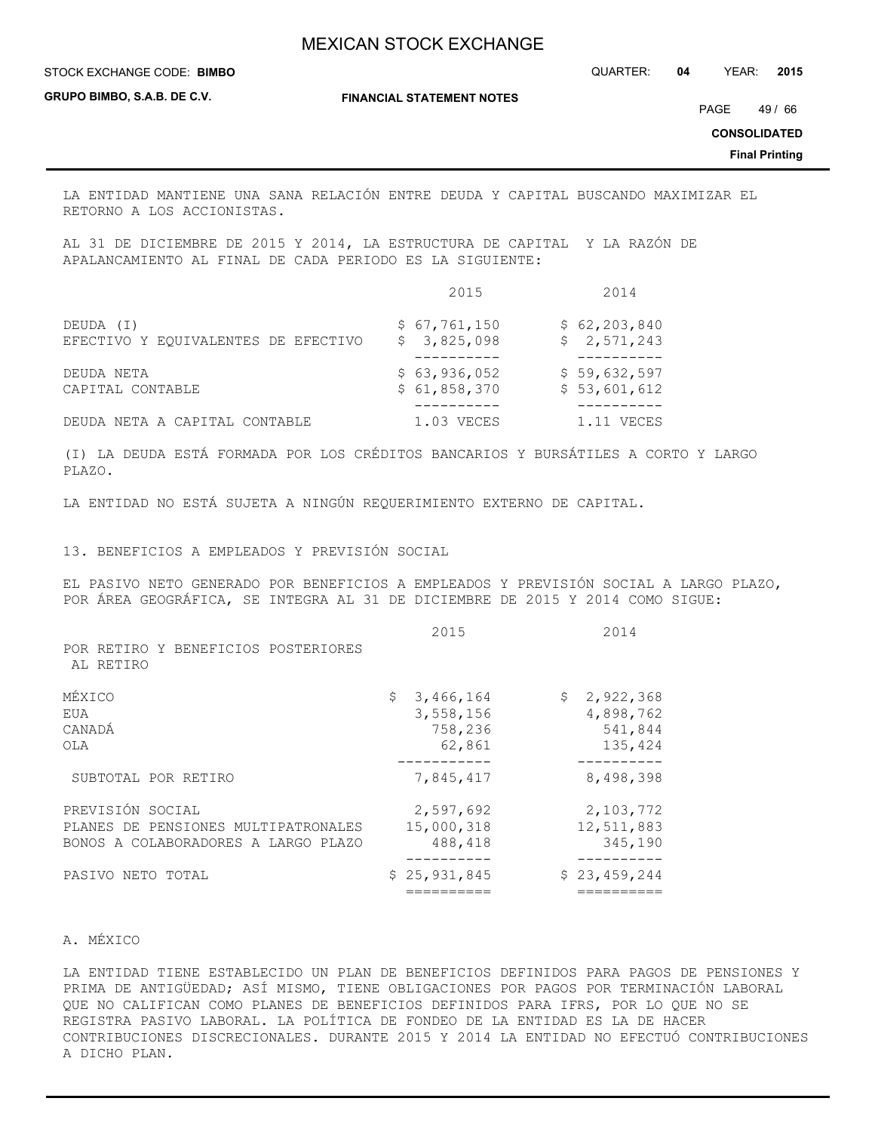STOCK EXCHANGE CODE: QUARTER: **04** YEAR: **2015 BIMBO**

**GRUPO BIMBO, S.A.B. DE C.V.**

**FINANCIAL STATEMENT NOTES**

PAGE 49 / 66

**CONSOLIDATED**

**Final Printing**

LA ENTIDAD MANTIENE UNA SANA RELACIÓN ENTRE DEUDA Y CAPITAL BUSCANDO MAXIMIZAR EL RETORNO A LOS ACCIONISTAS.

AL 31 DE DICIEMBRE DE 2015 Y 2014, LA ESTRUCTURA DE CAPITAL Y LA RAZÓN DE APALANCAMIENTO AL FINAL DE CADA PERIODO ES LA SIGUIENTE:

|                                     | 2015         | 2014           |
|-------------------------------------|--------------|----------------|
| DEUDA (I)                           | \$67,761,150 | \$62, 203, 840 |
| EFECTIVO Y EQUIVALENTES DE EFECTIVO | \$3,825,098  | \$2,571,243    |
| DEUDA NETA                          | \$63,936,052 | \$59,632,597   |
| CAPITAL CONTABLE                    | \$61,858,370 | \$53,601,612   |
| DEUDA NETA A CAPITAL CONTABLE       | $1.03$ VECES | 1.11 VECES     |

(I) LA DEUDA ESTÁ FORMADA POR LOS CRÉDITOS BANCARIOS Y BURSÁTILES A CORTO Y LARGO PLAZO.

LA ENTIDAD NO ESTÁ SUJETA A NINGÚN REQUERIMIENTO EXTERNO DE CAPITAL.

13. BENEFICIOS A EMPLEADOS Y PREVISIÓN SOCIAL

EL PASIVO NETO GENERADO POR BENEFICIOS A EMPLEADOS Y PREVISIÓN SOCIAL A LARGO PLAZO, POR ÁREA GEOGRÁFICA, SE INTEGRA AL 31 DE DICIEMBRE DE 2015 Y 2014 COMO SIGUE:

| POR RETIRO Y BENEFICIOS POSTERIORES<br>AL RETIRO |              |                 |
|--------------------------------------------------|--------------|-----------------|
|                                                  |              |                 |
| MÉXICO                                           | \$3,466,164  | \$<br>2,922,368 |
| EUA                                              | 3,558,156    | 4,898,762       |
| CANADÁ                                           | 758,236      | 541,844         |
| OLA                                              | 62,861       | 135,424         |
| SUBTOTAL POR RETIRO                              | 7,845,417    | 8,498,398       |
| PREVISIÓN SOCIAL                                 | 2,597,692    | 2,103,772       |
| PLANES DE PENSIONES MULTIPATRONALES              | 15,000,318   | 12,511,883      |
| BONOS A COLABORADORES A LARGO PLAZO              | 488,418      | 345,190         |
|                                                  |              |                 |
| PASIVO NETO TOTAL                                | \$25,931,845 | \$23,459,244    |
|                                                  |              |                 |

### A. MÉXICO

LA ENTIDAD TIENE ESTABLECIDO UN PLAN DE BENEFICIOS DEFINIDOS PARA PAGOS DE PENSIONES Y PRIMA DE ANTIGÜEDAD; ASÍ MISMO, TIENE OBLIGACIONES POR PAGOS POR TERMINACIÓN LABORAL QUE NO CALIFICAN COMO PLANES DE BENEFICIOS DEFINIDOS PARA IFRS, POR LO QUE NO SE REGISTRA PASIVO LABORAL. LA POLÍTICA DE FONDEO DE LA ENTIDAD ES LA DE HACER CONTRIBUCIONES DISCRECIONALES. DURANTE 2015 Y 2014 LA ENTIDAD NO EFECTUÓ CONTRIBUCIONES A DICHO PLAN.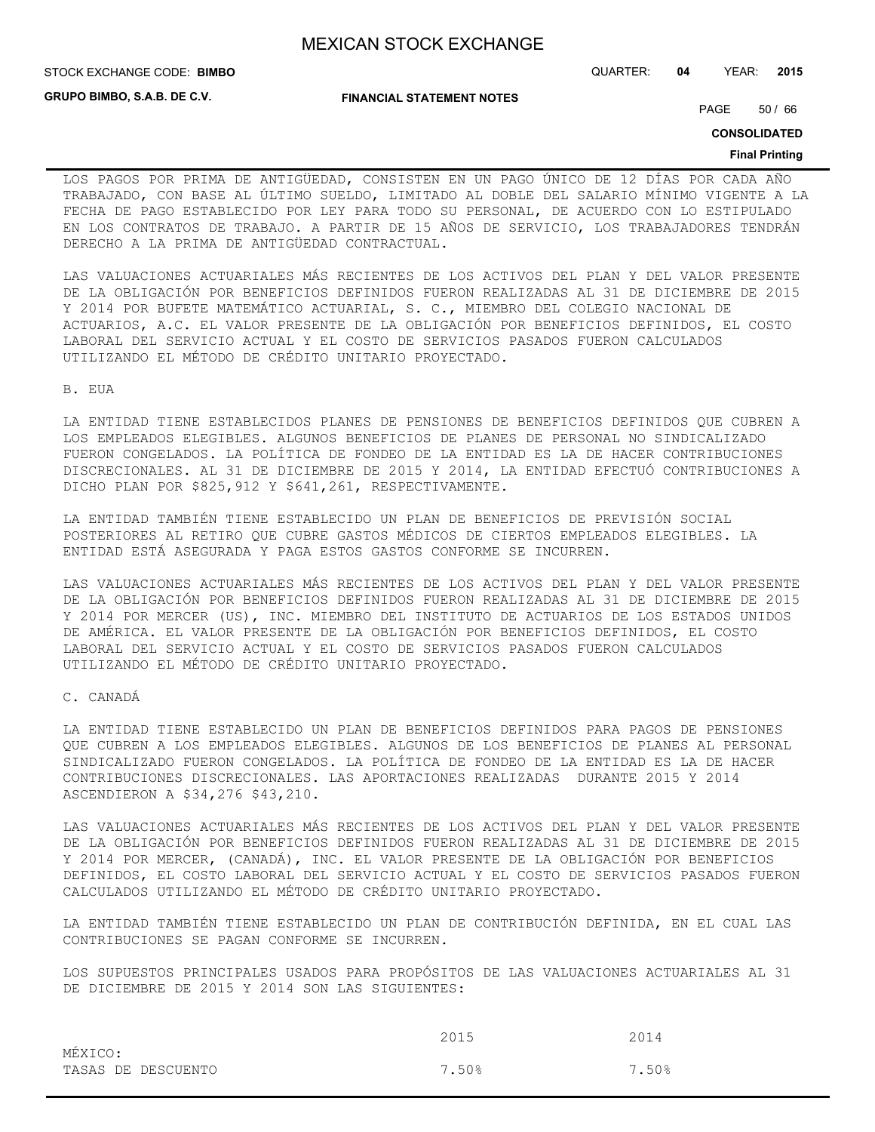**GRUPO BIMBO, S.A.B. DE C.V.**

**FINANCIAL STATEMENT NOTES**

STOCK EXCHANGE CODE: QUARTER: **04** YEAR: **2015 BIMBO**

PAGE 50 / 66

**CONSOLIDATED**

#### **Final Printing**

LOS PAGOS POR PRIMA DE ANTIGÜEDAD, CONSISTEN EN UN PAGO ÚNICO DE 12 DÍAS POR CADA AÑO TRABAJADO, CON BASE AL ÚLTIMO SUELDO, LIMITADO AL DOBLE DEL SALARIO MÍNIMO VIGENTE A LA FECHA DE PAGO ESTABLECIDO POR LEY PARA TODO SU PERSONAL, DE ACUERDO CON LO ESTIPULADO EN LOS CONTRATOS DE TRABAJO. A PARTIR DE 15 AÑOS DE SERVICIO, LOS TRABAJADORES TENDRÁN DERECHO A LA PRIMA DE ANTIGÜEDAD CONTRACTUAL.

LAS VALUACIONES ACTUARIALES MÁS RECIENTES DE LOS ACTIVOS DEL PLAN Y DEL VALOR PRESENTE DE LA OBLIGACIÓN POR BENEFICIOS DEFINIDOS FUERON REALIZADAS AL 31 DE DICIEMBRE DE 2015 Y 2014 POR BUFETE MATEMÁTICO ACTUARIAL, S. C., MIEMBRO DEL COLEGIO NACIONAL DE ACTUARIOS, A.C. EL VALOR PRESENTE DE LA OBLIGACIÓN POR BENEFICIOS DEFINIDOS, EL COSTO LABORAL DEL SERVICIO ACTUAL Y EL COSTO DE SERVICIOS PASADOS FUERON CALCULADOS UTILIZANDO EL MÉTODO DE CRÉDITO UNITARIO PROYECTADO.

B. EUA

LA ENTIDAD TIENE ESTABLECIDOS PLANES DE PENSIONES DE BENEFICIOS DEFINIDOS QUE CUBREN A LOS EMPLEADOS ELEGIBLES. ALGUNOS BENEFICIOS DE PLANES DE PERSONAL NO SINDICALIZADO FUERON CONGELADOS. LA POLÍTICA DE FONDEO DE LA ENTIDAD ES LA DE HACER CONTRIBUCIONES DISCRECIONALES. AL 31 DE DICIEMBRE DE 2015 Y 2014, LA ENTIDAD EFECTUÓ CONTRIBUCIONES A DICHO PLAN POR \$825,912 Y \$641,261, RESPECTIVAMENTE.

LA ENTIDAD TAMBIÉN TIENE ESTABLECIDO UN PLAN DE BENEFICIOS DE PREVISIÓN SOCIAL POSTERIORES AL RETIRO QUE CUBRE GASTOS MÉDICOS DE CIERTOS EMPLEADOS ELEGIBLES. LA ENTIDAD ESTÁ ASEGURADA Y PAGA ESTOS GASTOS CONFORME SE INCURREN.

LAS VALUACIONES ACTUARIALES MÁS RECIENTES DE LOS ACTIVOS DEL PLAN Y DEL VALOR PRESENTE DE LA OBLIGACIÓN POR BENEFICIOS DEFINIDOS FUERON REALIZADAS AL 31 DE DICIEMBRE DE 2015 Y 2014 POR MERCER (US), INC. MIEMBRO DEL INSTITUTO DE ACTUARIOS DE LOS ESTADOS UNIDOS DE AMÉRICA. EL VALOR PRESENTE DE LA OBLIGACIÓN POR BENEFICIOS DEFINIDOS, EL COSTO LABORAL DEL SERVICIO ACTUAL Y EL COSTO DE SERVICIOS PASADOS FUERON CALCULADOS UTILIZANDO EL MÉTODO DE CRÉDITO UNITARIO PROYECTADO.

C. CANADÁ

LA ENTIDAD TIENE ESTABLECIDO UN PLAN DE BENEFICIOS DEFINIDOS PARA PAGOS DE PENSIONES QUE CUBREN A LOS EMPLEADOS ELEGIBLES. ALGUNOS DE LOS BENEFICIOS DE PLANES AL PERSONAL SINDICALIZADO FUERON CONGELADOS. LA POLÍTICA DE FONDEO DE LA ENTIDAD ES LA DE HACER CONTRIBUCIONES DISCRECIONALES. LAS APORTACIONES REALIZADAS DURANTE 2015 Y 2014 ASCENDIERON A \$34,276 \$43,210.

LAS VALUACIONES ACTUARIALES MÁS RECIENTES DE LOS ACTIVOS DEL PLAN Y DEL VALOR PRESENTE DE LA OBLIGACIÓN POR BENEFICIOS DEFINIDOS FUERON REALIZADAS AL 31 DE DICIEMBRE DE 2015 Y 2014 POR MERCER, (CANADÁ), INC. EL VALOR PRESENTE DE LA OBLIGACIÓN POR BENEFICIOS DEFINIDOS, EL COSTO LABORAL DEL SERVICIO ACTUAL Y EL COSTO DE SERVICIOS PASADOS FUERON CALCULADOS UTILIZANDO EL MÉTODO DE CRÉDITO UNITARIO PROYECTADO.

LA ENTIDAD TAMBIÉN TIENE ESTABLECIDO UN PLAN DE CONTRIBUCIÓN DEFINIDA, EN EL CUAL LAS CONTRIBUCIONES SE PAGAN CONFORME SE INCURREN.

LOS SUPUESTOS PRINCIPALES USADOS PARA PROPÓSITOS DE LAS VALUACIONES ACTUARIALES AL 31 DE DICIEMBRE DE 2015 Y 2014 SON LAS SIGUIENTES:

|                    | 2015  | 2014  |
|--------------------|-------|-------|
| MÉXICO:            |       |       |
| TASAS DE DESCUENTO | 7.50% | 7.50% |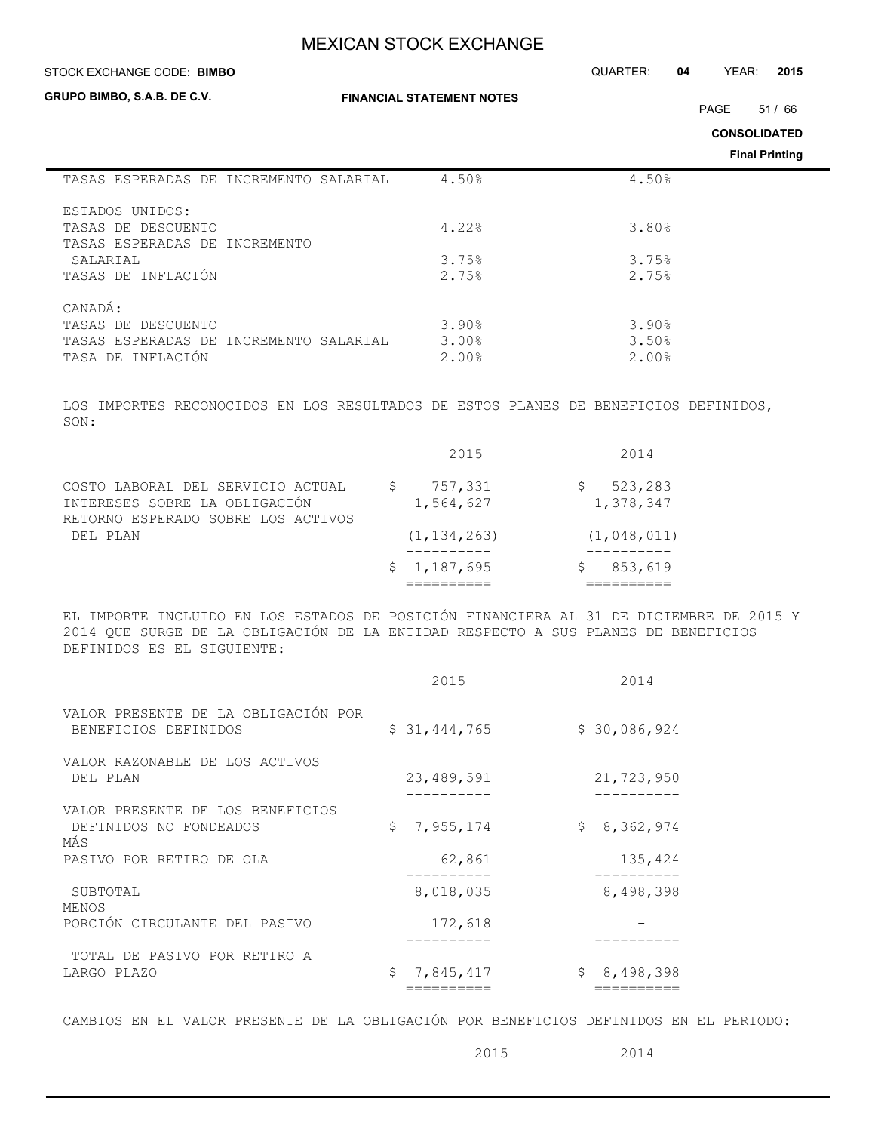**STOCK EXCHANGE CODE: BIMBO** 

**GRUPO BIMBO, S.A.B. DE C.V.**

**FINANCIAL STATEMENT NOTES**

PAGE 51/66

STOCK EXCHANGE CODE: QUARTER: **04** YEAR: **2015**

**CONSOLIDATED**

**Final Printing**

|                                        |       | <b>Final Printing</b> |
|----------------------------------------|-------|-----------------------|
| TASAS ESPERADAS DE INCREMENTO SALARIAL | 4.50% | 4.50%                 |
| ESTADOS UNIDOS:                        |       |                       |
| TASAS DE DESCUENTO                     | 4.22% | 3.80%                 |
| TASAS ESPERADAS DE INCREMENTO          |       |                       |
| SALARIAL                               | 3.75% | 3.75%                 |
| TASAS DE INFLACIÓN                     | 2.75% | 2.75%                 |
|                                        |       |                       |
| CANADÀ:                                |       |                       |
| TASAS DE DESCUENTO                     | 3.90% | 3.90%                 |
| TASAS ESPERADAS DE INCREMENTO SALARIAL | 3.00% | 3.50%                 |
| TASA DE INFLACIÓN                      | 2.00% | 2.00%                 |

LOS IMPORTES RECONOCIDOS EN LOS RESULTADOS DE ESTOS PLANES DE BENEFICIOS DEFINIDOS, SON:

|                                                | \$1,187,695   | 853,619       |
|------------------------------------------------|---------------|---------------|
|                                                |               |               |
| RETORNO ESPERADO SOBRE LOS ACTIVOS<br>DEL PLAN | (1, 134, 263) | (1, 048, 011) |
| INTERESES SOBRE LA OBLIGACIÓN                  | 1,564,627     | 1,378,347     |
| COSTO LABORAL DEL SERVICIO ACTUAL              | 757,331       | 523,283       |
|                                                | 2015          | 2014          |

EL IMPORTE INCLUIDO EN LOS ESTADOS DE POSICIÓN FINANCIERA AL 31 DE DICIEMBRE DE 2015 Y 2014 QUE SURGE DE LA OBLIGACIÓN DE LA ENTIDAD RESPECTO A SUS PLANES DE BENEFICIOS DEFINIDOS ES EL SIGUIENTE:

|                                                                   | 2015            | 2014         |
|-------------------------------------------------------------------|-----------------|--------------|
| VALOR PRESENTE DE LA OBLIGACIÓN POR<br>BENEFICIOS DEFINIDOS       | \$31,444,765    | \$30,086,924 |
| VALOR RAZONABLE DE LOS ACTIVOS<br>DEL PLAN                        | 23, 489, 591    | 21,723,950   |
| VALOR PRESENTE DE LOS BENEFICIOS<br>DEFINIDOS NO FONDEADOS<br>MÁS | \$<br>7,955,174 | \$8,362,974  |
| PASIVO POR RETIRO DE OLA                                          | 62,861          | 135,424      |
| SUBTOTAL<br>MENOS                                                 | 8,018,035       | 8,498,398    |
| PORCIÓN CIRCULANTE DEL PASIVO                                     | 172,618         |              |
| TOTAL DE PASIVO POR RETIRO A                                      |                 |              |
| LARGO PLAZO                                                       | \$<br>7,845,417 | \$8,498,398  |
|                                                                   |                 |              |

CAMBIOS EN EL VALOR PRESENTE DE LA OBLIGACIÓN POR BENEFICIOS DEFINIDOS EN EL PERIODO:

2015 2014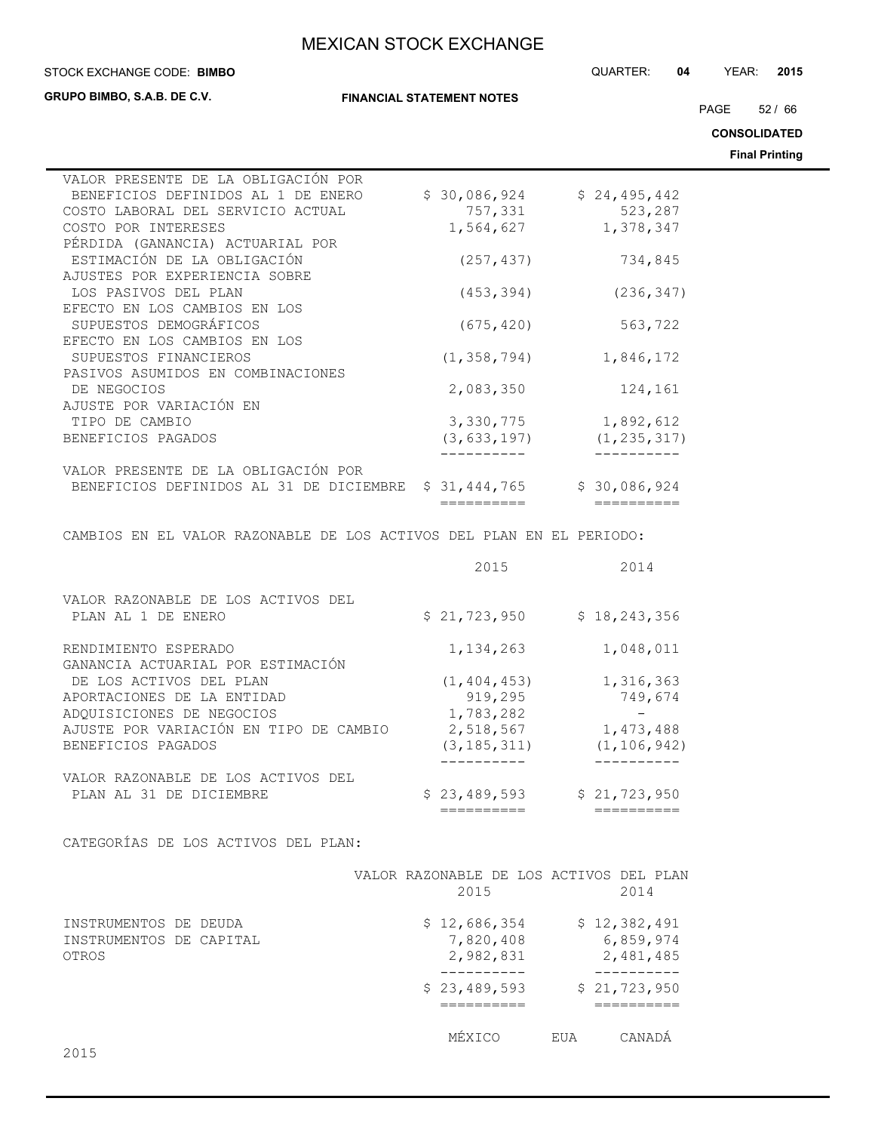**STOCK EXCHANGE CODE: BIMBO** 

**GRUPO BIMBO, S.A.B. DE C.V.**

**FINANCIAL STATEMENT NOTES**

PAGE 52 / 66

STOCK EXCHANGE CODE: QUARTER: **04** YEAR: **2015**

**CONSOLIDATED**

**Final Printing**

| VALOR PRESENTE DE LA OBLIGACIÓN POR                                  |               |                                     |
|----------------------------------------------------------------------|---------------|-------------------------------------|
| BENEFICIOS DEFINIDOS AL 1 DE ENERO                                   | \$30,086,924  | \$24,495,442                        |
| COSTO LABORAL DEL SERVICIO ACTUAL                                    | 757,331       | 523,287                             |
| COSTO POR INTERESES                                                  | 1,564,627     | 1,378,347                           |
| PÉRDIDA (GANANCIA) ACTUARIAL POR                                     |               |                                     |
| ESTIMACIÓN DE LA OBLIGACIÓN                                          | (257, 437)    | 734,845                             |
| AJUSTES POR EXPERIENCIA SOBRE                                        |               |                                     |
| LOS PASIVOS DEL PLAN                                                 | (453, 394)    | (236, 347)                          |
| EFECTO EN LOS CAMBIOS EN LOS                                         |               |                                     |
| SUPUESTOS DEMOGRÁFICOS                                               | (675, 420)    | 563,722                             |
| EFECTO EN LOS CAMBIOS EN LOS                                         |               |                                     |
| SUPUESTOS FINANCIEROS                                                | (1, 358, 794) | 1,846,172                           |
| PASIVOS ASUMIDOS EN COMBINACIONES                                    |               |                                     |
| DE NEGOCIOS                                                          | 2,083,350     | 124,161                             |
| AJUSTE POR VARIACIÓN EN                                              |               |                                     |
| TIPO DE CAMBIO                                                       | 3,330,775     | 1,892,612                           |
| BENEFICIOS PAGADOS                                                   | (3, 633, 197) | (1, 235, 317)                       |
|                                                                      |               |                                     |
| VALOR PRESENTE DE LA OBLIGACIÓN POR                                  |               |                                     |
| BENEFICIOS DEFINIDOS AL 31 DE DICIEMBRE                              | \$31,444,765  | \$30,086,924                        |
|                                                                      | ==========    | $=$ $=$ $=$ $=$ $=$ $=$ $=$ $=$ $=$ |
| CAMBIOS EN EL VALOR RAZONABLE DE LOS ACTIVOS DEL PLAN EN EL PERIODO: |               |                                     |
|                                                                      |               |                                     |
|                                                                      | 2015          | 2014                                |
|                                                                      |               |                                     |
| VALOR RAZONABLE DE LOS ACTIVOS DEL                                   |               |                                     |
| PLAN AL 1 DE ENERO                                                   | \$21,723,950  | \$18, 243, 356                      |
|                                                                      |               |                                     |
| RENDIMIENTO ESPERADO                                                 | 1, 134, 263   | 1,048,011                           |
| GANANCIA ACTUARIAL POR ESTIMACIÓN                                    |               |                                     |
| DE LOS ACTIVOS DEL PLAN                                              | (1, 404, 453) | 1,316,363                           |
| APORTACIONES DE LA ENTIDAD                                           | 919,295       | 749,674                             |
| ADQUISICIONES DE NEGOCIOS                                            | 1,783,282     | $\overline{\phantom{a}}$            |
| AJUSTE POR VARIACIÓN EN TIPO DE CAMBIO                               | 2,518,567     | 1,473,488                           |
| BENEFICIOS PAGADOS                                                   | (3, 185, 311) | (1, 106, 942)                       |

VALOR RAZONABLE DE LOS ACTIVOS DEL

CATEGORÍAS DE LOS ACTIVOS DEL PLAN:

|                                                           |  |  | VALOR RAZONABLE DE LOS ACTIVOS DEL PLAN |  |     |                                        |  |
|-----------------------------------------------------------|--|--|-----------------------------------------|--|-----|----------------------------------------|--|
|                                                           |  |  | 2015                                    |  |     | 2014                                   |  |
| INSTRUMENTOS DE DEUDA<br>INSTRUMENTOS DE CAPITAL<br>OTROS |  |  | \$12,686,354<br>7,820,408<br>2,982,831  |  |     | \$12,382,491<br>6,859,974<br>2,481,485 |  |
|                                                           |  |  | \$23,489,593                            |  |     | \$21,723,950                           |  |
|                                                           |  |  | MEXICO                                  |  | EUA | CANADA                                 |  |

---------- ----------

PLAN AL 31 DE DICIEMBRE \$ 23,489,593 \$ 21,723,950

========== ==========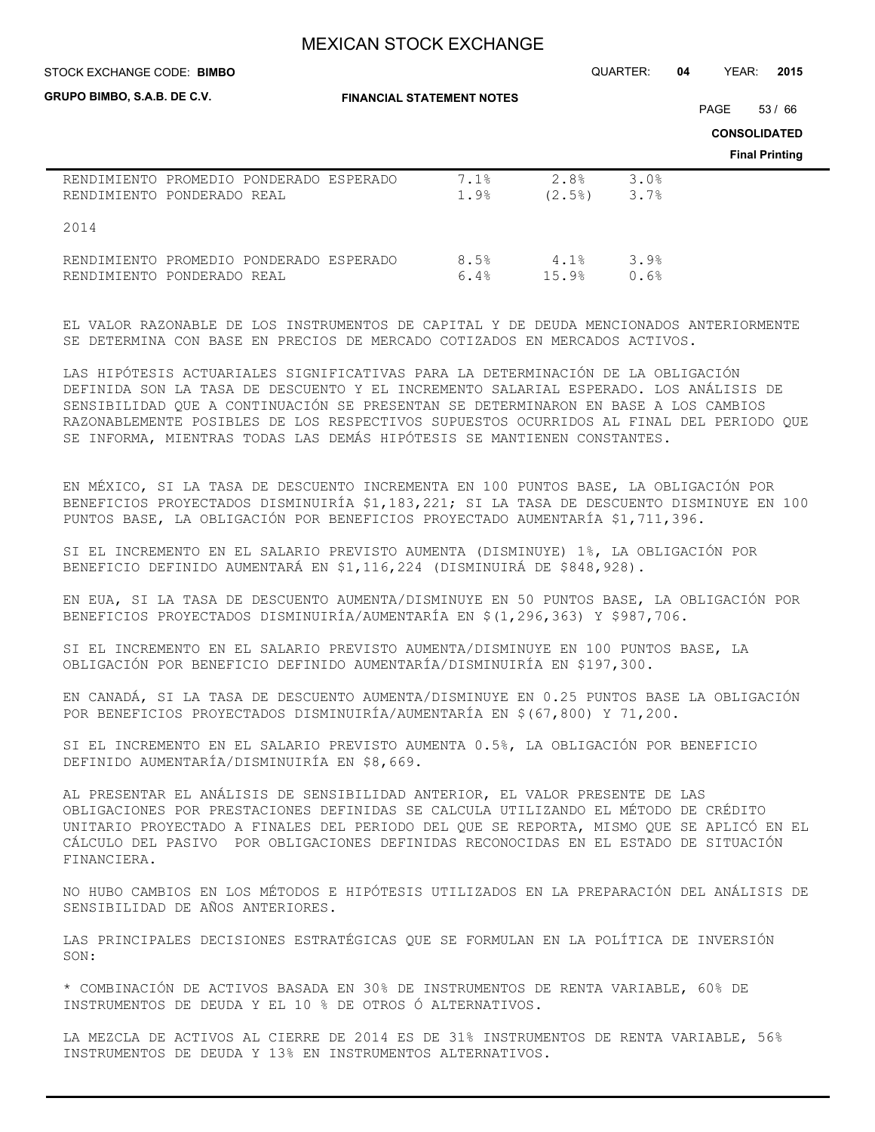STOCK EXCHANGE CODE: QUARTER: **04** YEAR: **2015 BIMBO**

| GRUPO BIMBO, S.A.B. DE C.V.                                           | <b>FINANCIAL STATEMENT NOTES</b> |               |              |  |                                              |  |
|-----------------------------------------------------------------------|----------------------------------|---------------|--------------|--|----------------------------------------------|--|
|                                                                       |                                  |               |              |  | <b>CONSOLIDATED</b><br><b>Final Printing</b> |  |
| RENDIMIENTO PROMEDIO PONDERADO ESPERADO<br>RENDIMIENTO PONDERADO REAL | 7.1%<br>1.9%                     | 2.8%<br>(2.5) | 3.0%<br>3.7% |  |                                              |  |
| 2014                                                                  |                                  |               |              |  |                                              |  |
| RENDIMIENTO PROMEDIO PONDERADO ESPERADO<br>RENDIMIENTO PONDERADO REAL | 8.5%<br>6.4%                     | 4.1%<br>15.9% | 3.9%<br>0.6% |  |                                              |  |

EL VALOR RAZONABLE DE LOS INSTRUMENTOS DE CAPITAL Y DE DEUDA MENCIONADOS ANTERIORMENTE SE DETERMINA CON BASE EN PRECIOS DE MERCADO COTIZADOS EN MERCADOS ACTIVOS.

LAS HIPÓTESIS ACTUARIALES SIGNIFICATIVAS PARA LA DETERMINACIÓN DE LA OBLIGACIÓN DEFINIDA SON LA TASA DE DESCUENTO Y EL INCREMENTO SALARIAL ESPERADO. LOS ANÁLISIS DE SENSIBILIDAD QUE A CONTINUACIÓN SE PRESENTAN SE DETERMINARON EN BASE A LOS CAMBIOS RAZONABLEMENTE POSIBLES DE LOS RESPECTIVOS SUPUESTOS OCURRIDOS AL FINAL DEL PERIODO QUE SE INFORMA, MIENTRAS TODAS LAS DEMÁS HIPÓTESIS SE MANTIENEN CONSTANTES.

EN MÉXICO, SI LA TASA DE DESCUENTO INCREMENTA EN 100 PUNTOS BASE, LA OBLIGACIÓN POR BENEFICIOS PROYECTADOS DISMINUIRÍA \$1,183,221; SI LA TASA DE DESCUENTO DISMINUYE EN 100 PUNTOS BASE, LA OBLIGACIÓN POR BENEFICIOS PROYECTADO AUMENTARÍA \$1,711,396.

SI EL INCREMENTO EN EL SALARIO PREVISTO AUMENTA (DISMINUYE) 1%, LA OBLIGACIÓN POR BENEFICIO DEFINIDO AUMENTARÁ EN \$1,116,224 (DISMINUIRÁ DE \$848,928).

EN EUA, SI LA TASA DE DESCUENTO AUMENTA/DISMINUYE EN 50 PUNTOS BASE, LA OBLIGACIÓN POR BENEFICIOS PROYECTADOS DISMINUIRÍA/AUMENTARÍA EN \$(1,296,363) Y \$987,706.

SI EL INCREMENTO EN EL SALARIO PREVISTO AUMENTA/DISMINUYE EN 100 PUNTOS BASE, LA OBLIGACIÓN POR BENEFICIO DEFINIDO AUMENTARÍA/DISMINUIRÍA EN \$197,300.

EN CANADÁ, SI LA TASA DE DESCUENTO AUMENTA/DISMINUYE EN 0.25 PUNTOS BASE LA OBLIGACIÓN POR BENEFICIOS PROYECTADOS DISMINUIRÍA/AUMENTARÍA EN \$(67,800) Y 71,200.

SI EL INCREMENTO EN EL SALARIO PREVISTO AUMENTA 0.5%, LA OBLIGACIÓN POR BENEFICIO DEFINIDO AUMENTARÍA/DISMINUIRÍA EN \$8,669.

AL PRESENTAR EL ANÁLISIS DE SENSIBILIDAD ANTERIOR, EL VALOR PRESENTE DE LAS OBLIGACIONES POR PRESTACIONES DEFINIDAS SE CALCULA UTILIZANDO EL MÉTODO DE CRÉDITO UNITARIO PROYECTADO A FINALES DEL PERIODO DEL QUE SE REPORTA, MISMO QUE SE APLICÓ EN EL CÁLCULO DEL PASIVO POR OBLIGACIONES DEFINIDAS RECONOCIDAS EN EL ESTADO DE SITUACIÓN FINANCIERA.

NO HUBO CAMBIOS EN LOS MÉTODOS E HIPÓTESIS UTILIZADOS EN LA PREPARACIÓN DEL ANÁLISIS DE SENSIBILIDAD DE AÑOS ANTERIORES.

LAS PRINCIPALES DECISIONES ESTRATÉGICAS QUE SE FORMULAN EN LA POLÍTICA DE INVERSIÓN SON:

\* COMBINACIÓN DE ACTIVOS BASADA EN 30% DE INSTRUMENTOS DE RENTA VARIABLE, 60% DE INSTRUMENTOS DE DEUDA Y EL 10 % DE OTROS Ó ALTERNATIVOS.

LA MEZCLA DE ACTIVOS AL CIERRE DE 2014 ES DE 31% INSTRUMENTOS DE RENTA VARIABLE, 56% INSTRUMENTOS DE DEUDA Y 13% EN INSTRUMENTOS ALTERNATIVOS.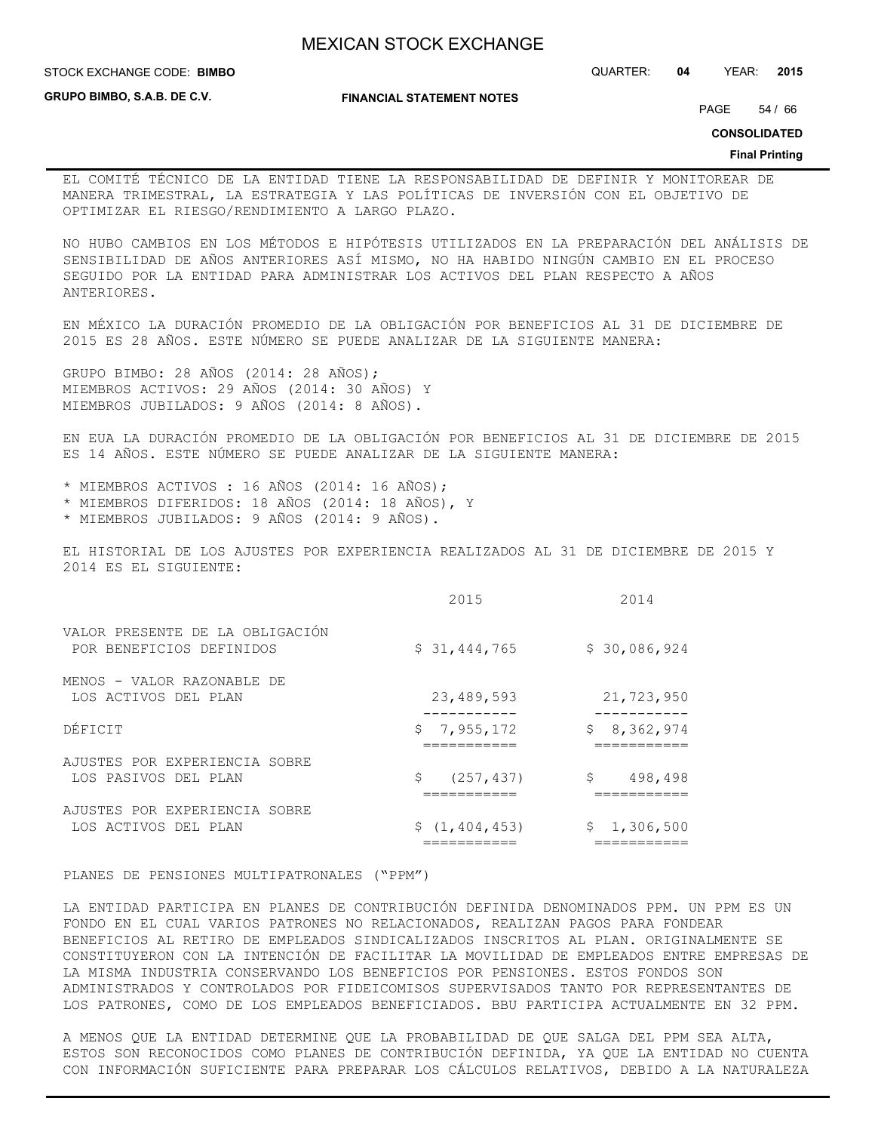**GRUPO BIMBO, S.A.B. DE C.V.**

STOCK EXCHANGE CODE: QUARTER: **04** YEAR: **2015 BIMBO**

**FINANCIAL STATEMENT NOTES**

PAGE 54 / 66

**CONSOLIDATED**

#### **Final Printing**

EL COMITÉ TÉCNICO DE LA ENTIDAD TIENE LA RESPONSABILIDAD DE DEFINIR Y MONITOREAR DE MANERA TRIMESTRAL, LA ESTRATEGIA Y LAS POLÍTICAS DE INVERSIÓN CON EL OBJETIVO DE OPTIMIZAR EL RIESGO/RENDIMIENTO A LARGO PLAZO.

NO HUBO CAMBIOS EN LOS MÉTODOS E HIPÓTESIS UTILIZADOS EN LA PREPARACIÓN DEL ANÁLISIS DE SENSIBILIDAD DE AÑOS ANTERIORES ASÍ MISMO, NO HA HABIDO NINGÚN CAMBIO EN EL PROCESO SEGUIDO POR LA ENTIDAD PARA ADMINISTRAR LOS ACTIVOS DEL PLAN RESPECTO A AÑOS ANTERIORES.

EN MÉXICO LA DURACIÓN PROMEDIO DE LA OBLIGACIÓN POR BENEFICIOS AL 31 DE DICIEMBRE DE 2015 ES 28 AÑOS. ESTE NÚMERO SE PUEDE ANALIZAR DE LA SIGUIENTE MANERA:

GRUPO BIMBO: 28 AÑOS (2014: 28 AÑOS); MIEMBROS ACTIVOS: 29 AÑOS (2014: 30 AÑOS) Y MIEMBROS JUBILADOS: 9 AÑOS (2014: 8 AÑOS).

EN EUA LA DURACIÓN PROMEDIO DE LA OBLIGACIÓN POR BENEFICIOS AL 31 DE DICIEMBRE DE 2015 ES 14 AÑOS. ESTE NÚMERO SE PUEDE ANALIZAR DE LA SIGUIENTE MANERA:

\* MIEMBROS ACTIVOS : 16 AÑOS (2014: 16 AÑOS); \* MIEMBROS DIFERIDOS: 18 AÑOS (2014: 18 AÑOS), Y

\* MIEMBROS JUBILADOS: 9 AÑOS (2014: 9 AÑOS).

EL HISTORIAL DE LOS AJUSTES POR EXPERIENCIA REALIZADOS AL 31 DE DICIEMBRE DE 2015 Y 2014 ES EL SIGUIENTE:

|                                                             | 2015             | 2014          |
|-------------------------------------------------------------|------------------|---------------|
| VALOR PRESENTE DE LA OBLIGACIÓN<br>POR BENEFICIOS DEFINIDOS | \$31,444,765     | \$30,086,924  |
| MENOS - VALOR RAZONABLE DE<br>LOS ACTIVOS DEL PLAN          | 23,489,593       | 21,723,950    |
| DÉFICIT                                                     | \$7,955,172      | \$8,362,974   |
| AJUSTES POR EXPERIENCIA SOBRE<br>LOS PASIVOS DEL PLAN       | \$<br>(257, 437) | \$<br>498,498 |
| AJUSTES POR EXPERIENCIA SOBRE<br>LOS ACTIVOS DEL PLAN       | \$(1, 404, 453)  | \$1,306,500   |

PLANES DE PENSIONES MULTIPATRONALES ("PPM")

LA ENTIDAD PARTICIPA EN PLANES DE CONTRIBUCIÓN DEFINIDA DENOMINADOS PPM. UN PPM ES UN FONDO EN EL CUAL VARIOS PATRONES NO RELACIONADOS, REALIZAN PAGOS PARA FONDEAR BENEFICIOS AL RETIRO DE EMPLEADOS SINDICALIZADOS INSCRITOS AL PLAN. ORIGINALMENTE SE CONSTITUYERON CON LA INTENCIÓN DE FACILITAR LA MOVILIDAD DE EMPLEADOS ENTRE EMPRESAS DE LA MISMA INDUSTRIA CONSERVANDO LOS BENEFICIOS POR PENSIONES. ESTOS FONDOS SON ADMINISTRADOS Y CONTROLADOS POR FIDEICOMISOS SUPERVISADOS TANTO POR REPRESENTANTES DE LOS PATRONES, COMO DE LOS EMPLEADOS BENEFICIADOS. BBU PARTICIPA ACTUALMENTE EN 32 PPM.

A MENOS QUE LA ENTIDAD DETERMINE QUE LA PROBABILIDAD DE QUE SALGA DEL PPM SEA ALTA, ESTOS SON RECONOCIDOS COMO PLANES DE CONTRIBUCIÓN DEFINIDA, YA QUE LA ENTIDAD NO CUENTA CON INFORMACIÓN SUFICIENTE PARA PREPARAR LOS CÁLCULOS RELATIVOS, DEBIDO A LA NATURALEZA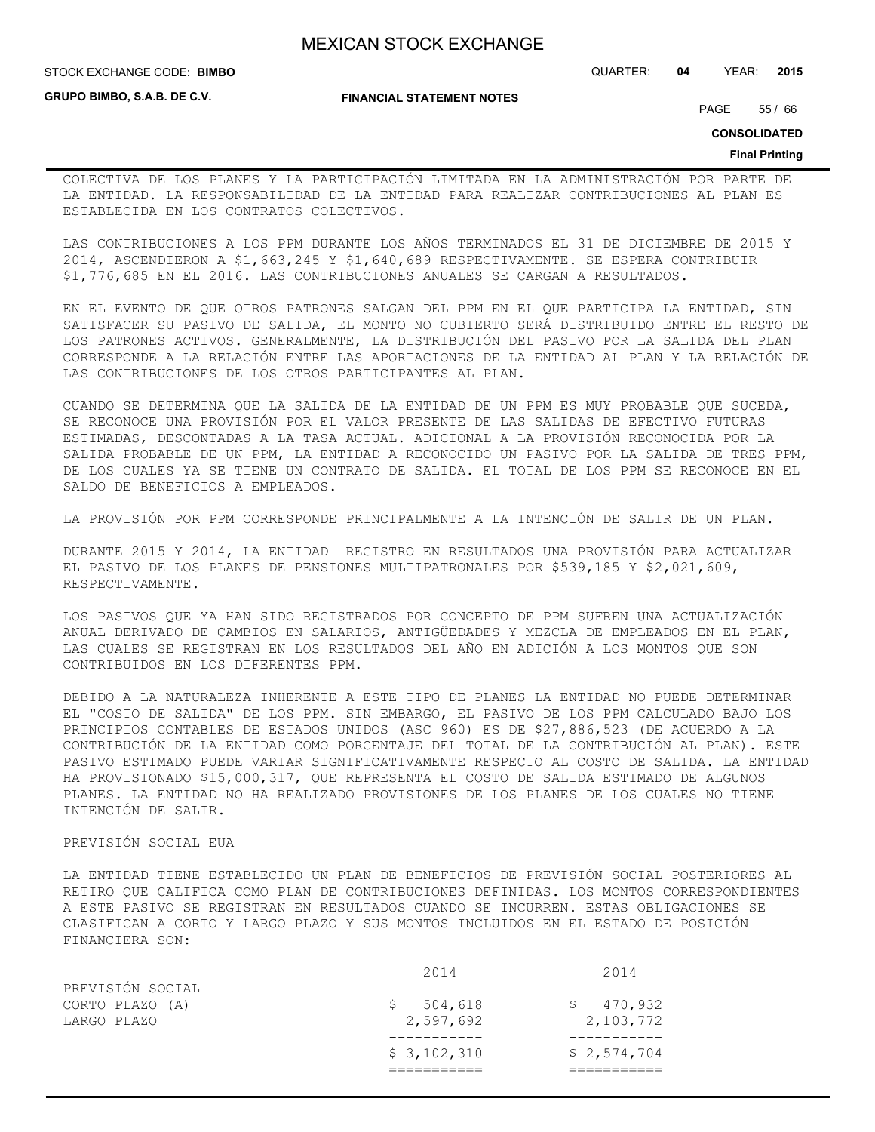**GRUPO BIMBO, S.A.B. DE C.V.**

**FINANCIAL STATEMENT NOTES**

STOCK EXCHANGE CODE: QUARTER: **04** YEAR: **2015 BIMBO**

PAGE 55 / 66

**CONSOLIDATED**

#### **Final Printing**

COLECTIVA DE LOS PLANES Y LA PARTICIPACIÓN LIMITADA EN LA ADMINISTRACIÓN POR PARTE DE LA ENTIDAD. LA RESPONSABILIDAD DE LA ENTIDAD PARA REALIZAR CONTRIBUCIONES AL PLAN ES ESTABLECIDA EN LOS CONTRATOS COLECTIVOS.

LAS CONTRIBUCIONES A LOS PPM DURANTE LOS AÑOS TERMINADOS EL 31 DE DICIEMBRE DE 2015 Y 2014, ASCENDIERON A \$1,663,245 Y \$1,640,689 RESPECTIVAMENTE. SE ESPERA CONTRIBUIR \$1,776,685 EN EL 2016. LAS CONTRIBUCIONES ANUALES SE CARGAN A RESULTADOS.

EN EL EVENTO DE QUE OTROS PATRONES SALGAN DEL PPM EN EL QUE PARTICIPA LA ENTIDAD, SIN SATISFACER SU PASIVO DE SALIDA, EL MONTO NO CUBIERTO SERÁ DISTRIBUIDO ENTRE EL RESTO DE LOS PATRONES ACTIVOS. GENERALMENTE, LA DISTRIBUCIÓN DEL PASIVO POR LA SALIDA DEL PLAN CORRESPONDE A LA RELACIÓN ENTRE LAS APORTACIONES DE LA ENTIDAD AL PLAN Y LA RELACIÓN DE LAS CONTRIBUCIONES DE LOS OTROS PARTICIPANTES AL PLAN.

CUANDO SE DETERMINA QUE LA SALIDA DE LA ENTIDAD DE UN PPM ES MUY PROBABLE QUE SUCEDA, SE RECONOCE UNA PROVISIÓN POR EL VALOR PRESENTE DE LAS SALIDAS DE EFECTIVO FUTURAS ESTIMADAS, DESCONTADAS A LA TASA ACTUAL. ADICIONAL A LA PROVISIÓN RECONOCIDA POR LA SALIDA PROBABLE DE UN PPM, LA ENTIDAD A RECONOCIDO UN PASIVO POR LA SALIDA DE TRES PPM, DE LOS CUALES YA SE TIENE UN CONTRATO DE SALIDA. EL TOTAL DE LOS PPM SE RECONOCE EN EL SALDO DE BENEFICIOS A EMPLEADOS.

LA PROVISIÓN POR PPM CORRESPONDE PRINCIPALMENTE A LA INTENCIÓN DE SALIR DE UN PLAN.

DURANTE 2015 Y 2014, LA ENTIDAD REGISTRO EN RESULTADOS UNA PROVISIÓN PARA ACTUALIZAR EL PASIVO DE LOS PLANES DE PENSIONES MULTIPATRONALES POR \$539,185 Y \$2,021,609, RESPECTIVAMENTE.

LOS PASIVOS QUE YA HAN SIDO REGISTRADOS POR CONCEPTO DE PPM SUFREN UNA ACTUALIZACIÓN ANUAL DERIVADO DE CAMBIOS EN SALARIOS, ANTIGÜEDADES Y MEZCLA DE EMPLEADOS EN EL PLAN, LAS CUALES SE REGISTRAN EN LOS RESULTADOS DEL AÑO EN ADICIÓN A LOS MONTOS QUE SON CONTRIBUIDOS EN LOS DIFERENTES PPM.

DEBIDO A LA NATURALEZA INHERENTE A ESTE TIPO DE PLANES LA ENTIDAD NO PUEDE DETERMINAR EL "COSTO DE SALIDA" DE LOS PPM. SIN EMBARGO, EL PASIVO DE LOS PPM CALCULADO BAJO LOS PRINCIPIOS CONTABLES DE ESTADOS UNIDOS (ASC 960) ES DE \$27,886,523 (DE ACUERDO A LA CONTRIBUCIÓN DE LA ENTIDAD COMO PORCENTAJE DEL TOTAL DE LA CONTRIBUCIÓN AL PLAN). ESTE PASIVO ESTIMADO PUEDE VARIAR SIGNIFICATIVAMENTE RESPECTO AL COSTO DE SALIDA. LA ENTIDAD HA PROVISIONADO \$15,000,317, QUE REPRESENTA EL COSTO DE SALIDA ESTIMADO DE ALGUNOS PLANES. LA ENTIDAD NO HA REALIZADO PROVISIONES DE LOS PLANES DE LOS CUALES NO TIENE INTENCIÓN DE SALIR.

### PREVISIÓN SOCIAL EUA

LA ENTIDAD TIENE ESTABLECIDO UN PLAN DE BENEFICIOS DE PREVISIÓN SOCIAL POSTERIORES AL RETIRO QUE CALIFICA COMO PLAN DE CONTRIBUCIONES DEFINIDAS. LOS MONTOS CORRESPONDIENTES A ESTE PASIVO SE REGISTRAN EN RESULTADOS CUANDO SE INCURREN. ESTAS OBLIGACIONES SE CLASIFICAN A CORTO Y LARGO PLAZO Y SUS MONTOS INCLUIDOS EN EL ESTADO DE POSICIÓN FINANCIERA SON:

|                  | \$3,102,310 | \$2,574,704 |
|------------------|-------------|-------------|
|                  |             |             |
| LARGO PLAZO      | 2,597,692   | 2,103,772   |
| CORTO PLAZO (A)  | 504,618     | 470,932     |
| PREVISIÓN SOCIAL |             |             |
|                  | 2014        | 2014        |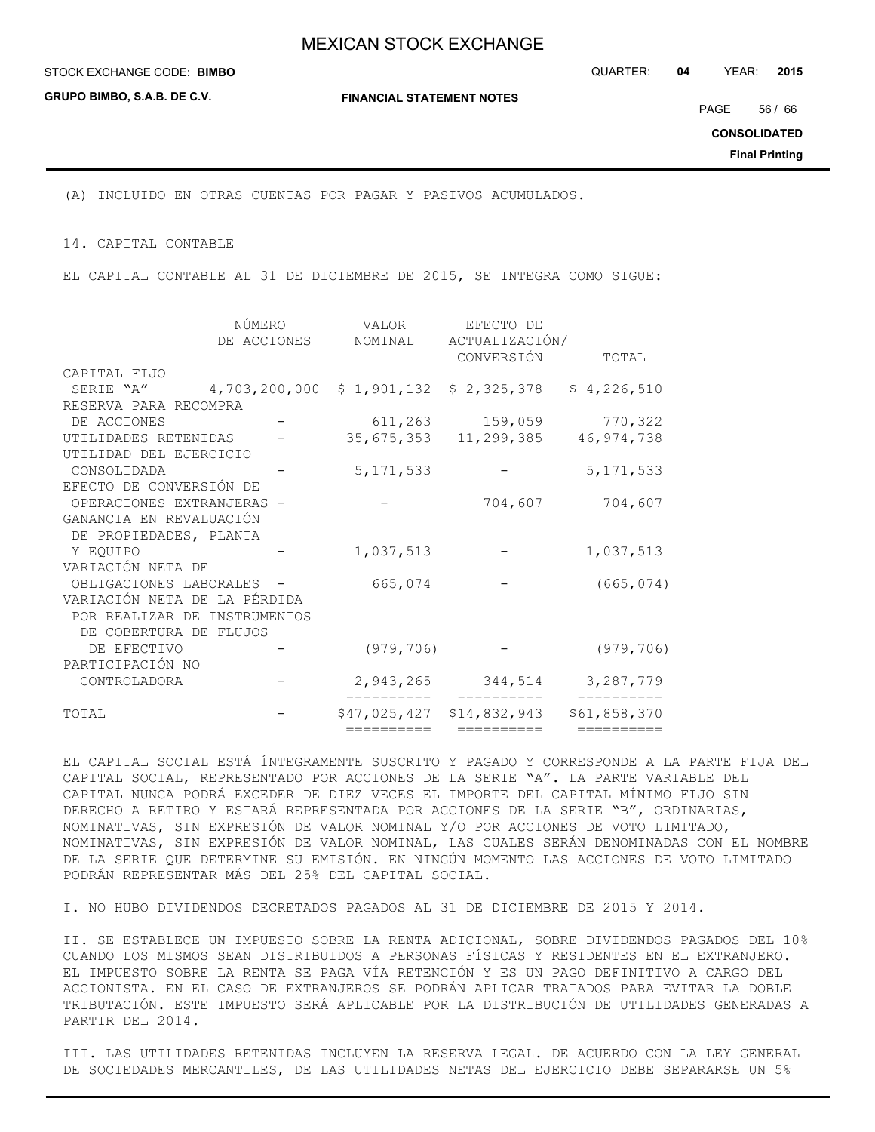**GRUPO BIMBO, S.A.B. DE C.V.**

STOCK EXCHANGE CODE: QUARTER: **04** YEAR: **2015 BIMBO**

**FINANCIAL STATEMENT NOTES**

PAGE 56 / 66

**CONSOLIDATED**

**Final Printing**

(A) INCLUIDO EN OTRAS CUENTAS POR PAGAR Y PASIVOS ACUMULADOS.

14. CAPITAL CONTABLE

EL CAPITAL CONTABLE AL 31 DE DICIEMBRE DE 2015, SE INTEGRA COMO SIGUE:

|                              | NÚMERO      | VALOR       | EFECTO DE                 |              |
|------------------------------|-------------|-------------|---------------------------|--------------|
|                              | DE ACCIONES | NOMINAL     | ACTUALIZACIÓN/            |              |
|                              |             |             | CONVERSIÓN                | TOTAL        |
| CAPITAL FIJO                 |             |             |                           |              |
| SERIE "A" 4,703,200,000      |             |             | $$1,901,132$ $$2,325,378$ | \$4,226,510  |
| RESERVA PARA RECOMPRA        |             |             |                           |              |
| DE ACCIONES                  |             |             | 611,263 159,059           | 770,322      |
| UTILIDADES RETENIDAS         |             | 35,675,353  | 11,299,385                | 46, 974, 738 |
| UTILIDAD DEL EJERCICIO       |             |             |                           |              |
| CONSOLIDADA                  |             | 5, 171, 533 |                           | 5, 171, 533  |
| EFECTO DE CONVERSIÓN DE      |             |             |                           |              |
| OPERACIONES EXTRANJERAS      |             |             | 704,607                   | 704,607      |
| GANANCIA EN REVALUACIÓN      |             |             |                           |              |
| DE PROPIEDADES, PLANTA       |             |             |                           |              |
| Y EOUIPO                     |             | 1,037,513   |                           | 1,037,513    |
| VARIACIÓN NETA DE            |             |             |                           |              |
| OBLIGACIONES LABORALES -     |             | 665,074     |                           | (665, 074)   |
| VARIACIÓN NETA DE LA PÉRDIDA |             |             |                           |              |
| POR REALIZAR DE INSTRUMENTOS |             |             |                           |              |
| DE COBERTURA DE FLUJOS       |             |             |                           |              |
| DE EFECTIVO                  |             | (979, 706)  |                           | (979, 706)   |
| PARTICIPACIÓN NO             |             |             |                           |              |
| CONTROLADORA                 |             | 2,943,265   | 344,514                   | 3,287,779    |
| TOTAL                        |             |             | \$47,025,427 \$14,832,943 | \$61,858,370 |
|                              |             | ==========  | ==========                | ==========   |

EL CAPITAL SOCIAL ESTÁ ÍNTEGRAMENTE SUSCRITO Y PAGADO Y CORRESPONDE A LA PARTE FIJA DEL CAPITAL SOCIAL, REPRESENTADO POR ACCIONES DE LA SERIE "A". LA PARTE VARIABLE DEL CAPITAL NUNCA PODRÁ EXCEDER DE DIEZ VECES EL IMPORTE DEL CAPITAL MÍNIMO FIJO SIN DERECHO A RETIRO Y ESTARÁ REPRESENTADA POR ACCIONES DE LA SERIE "B", ORDINARIAS, NOMINATIVAS, SIN EXPRESIÓN DE VALOR NOMINAL Y/O POR ACCIONES DE VOTO LIMITADO, NOMINATIVAS, SIN EXPRESIÓN DE VALOR NOMINAL, LAS CUALES SERÁN DENOMINADAS CON EL NOMBRE DE LA SERIE QUE DETERMINE SU EMISIÓN. EN NINGÚN MOMENTO LAS ACCIONES DE VOTO LIMITADO PODRÁN REPRESENTAR MÁS DEL 25% DEL CAPITAL SOCIAL.

I. NO HUBO DIVIDENDOS DECRETADOS PAGADOS AL 31 DE DICIEMBRE DE 2015 Y 2014.

II. SE ESTABLECE UN IMPUESTO SOBRE LA RENTA ADICIONAL, SOBRE DIVIDENDOS PAGADOS DEL 10% CUANDO LOS MISMOS SEAN DISTRIBUIDOS A PERSONAS FÍSICAS Y RESIDENTES EN EL EXTRANJERO. EL IMPUESTO SOBRE LA RENTA SE PAGA VÍA RETENCIÓN Y ES UN PAGO DEFINITIVO A CARGO DEL ACCIONISTA. EN EL CASO DE EXTRANJEROS SE PODRÁN APLICAR TRATADOS PARA EVITAR LA DOBLE TRIBUTACIÓN. ESTE IMPUESTO SERÁ APLICABLE POR LA DISTRIBUCIÓN DE UTILIDADES GENERADAS A PARTIR DEL 2014.

III. LAS UTILIDADES RETENIDAS INCLUYEN LA RESERVA LEGAL. DE ACUERDO CON LA LEY GENERAL DE SOCIEDADES MERCANTILES, DE LAS UTILIDADES NETAS DEL EJERCICIO DEBE SEPARARSE UN 5%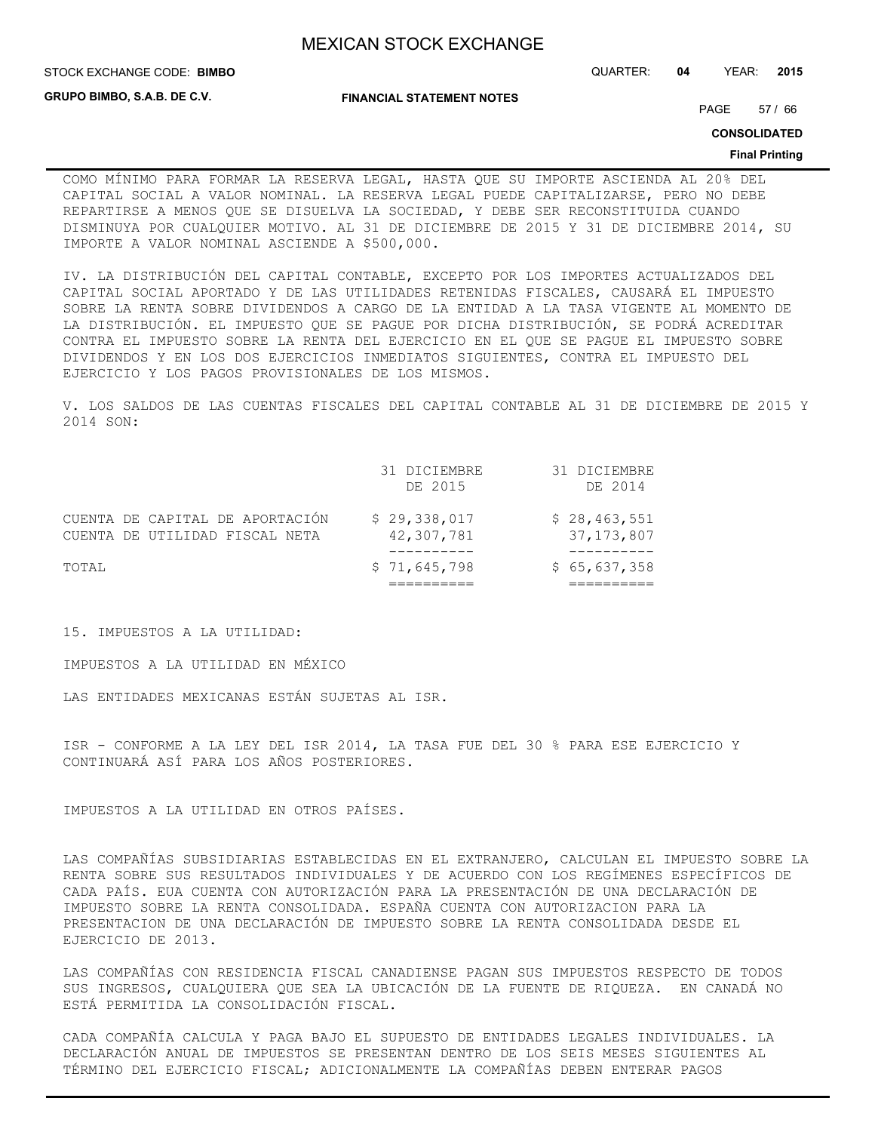**GRUPO BIMBO, S.A.B. DE C.V.**

#### **FINANCIAL STATEMENT NOTES**

STOCK EXCHANGE CODE: QUARTER: **04** YEAR: **2015 BIMBO**

PAGE 57 / 66

**CONSOLIDATED**

#### **Final Printing**

COMO MÍNIMO PARA FORMAR LA RESERVA LEGAL, HASTA QUE SU IMPORTE ASCIENDA AL 20% DEL CAPITAL SOCIAL A VALOR NOMINAL. LA RESERVA LEGAL PUEDE CAPITALIZARSE, PERO NO DEBE REPARTIRSE A MENOS QUE SE DISUELVA LA SOCIEDAD, Y DEBE SER RECONSTITUIDA CUANDO DISMINUYA POR CUALQUIER MOTIVO. AL 31 DE DICIEMBRE DE 2015 Y 31 DE DICIEMBRE 2014, SU IMPORTE A VALOR NOMINAL ASCIENDE A \$500,000.

IV. LA DISTRIBUCIÓN DEL CAPITAL CONTABLE, EXCEPTO POR LOS IMPORTES ACTUALIZADOS DEL CAPITAL SOCIAL APORTADO Y DE LAS UTILIDADES RETENIDAS FISCALES, CAUSARÁ EL IMPUESTO SOBRE LA RENTA SOBRE DIVIDENDOS A CARGO DE LA ENTIDAD A LA TASA VIGENTE AL MOMENTO DE LA DISTRIBUCIÓN. EL IMPUESTO QUE SE PAGUE POR DICHA DISTRIBUCIÓN, SE PODRÁ ACREDITAR CONTRA EL IMPUESTO SOBRE LA RENTA DEL EJERCICIO EN EL QUE SE PAGUE EL IMPUESTO SOBRE DIVIDENDOS Y EN LOS DOS EJERCICIOS INMEDIATOS SIGUIENTES, CONTRA EL IMPUESTO DEL EJERCICIO Y LOS PAGOS PROVISIONALES DE LOS MISMOS.

V. LOS SALDOS DE LAS CUENTAS FISCALES DEL CAPITAL CONTABLE AL 31 DE DICIEMBRE DE 2015 Y 2014 SON:

|       |                                                                   | 31 DICIEMBRE<br>DE 2015    | 31 DICIEMBRE<br>DE 2014      |
|-------|-------------------------------------------------------------------|----------------------------|------------------------------|
|       | CUENTA DE CAPITAL DE APORTACIÓN<br>CUENTA DE UTILIDAD FISCAL NETA | \$29,338,017<br>42,307,781 | \$28,463,551<br>37, 173, 807 |
| TOTAL |                                                                   | \$71,645,798               | \$65,637,358                 |
|       |                                                                   |                            |                              |

15. IMPUESTOS A LA UTILIDAD:

IMPUESTOS A LA UTILIDAD EN MÉXICO

LAS ENTIDADES MEXICANAS ESTÁN SUJETAS AL ISR.

ISR - CONFORME A LA LEY DEL ISR 2014, LA TASA FUE DEL 30 % PARA ESE EJERCICIO Y CONTINUARÁ ASÍ PARA LOS AÑOS POSTERIORES.

IMPUESTOS A LA UTILIDAD EN OTROS PAÍSES.

LAS COMPAÑÍAS SUBSIDIARIAS ESTABLECIDAS EN EL EXTRANJERO, CALCULAN EL IMPUESTO SOBRE LA RENTA SOBRE SUS RESULTADOS INDIVIDUALES Y DE ACUERDO CON LOS REGÍMENES ESPECÍFICOS DE CADA PAÍS. EUA CUENTA CON AUTORIZACIÓN PARA LA PRESENTACIÓN DE UNA DECLARACIÓN DE IMPUESTO SOBRE LA RENTA CONSOLIDADA. ESPAÑA CUENTA CON AUTORIZACION PARA LA PRESENTACION DE UNA DECLARACIÓN DE IMPUESTO SOBRE LA RENTA CONSOLIDADA DESDE EL EJERCICIO DE 2013.

LAS COMPAÑÍAS CON RESIDENCIA FISCAL CANADIENSE PAGAN SUS IMPUESTOS RESPECTO DE TODOS SUS INGRESOS, CUALQUIERA QUE SEA LA UBICACIÓN DE LA FUENTE DE RIQUEZA. EN CANADÁ NO ESTÁ PERMITIDA LA CONSOLIDACIÓN FISCAL.

CADA COMPAÑÍA CALCULA Y PAGA BAJO EL SUPUESTO DE ENTIDADES LEGALES INDIVIDUALES. LA DECLARACIÓN ANUAL DE IMPUESTOS SE PRESENTAN DENTRO DE LOS SEIS MESES SIGUIENTES AL TÉRMINO DEL EJERCICIO FISCAL; ADICIONALMENTE LA COMPAÑÍAS DEBEN ENTERAR PAGOS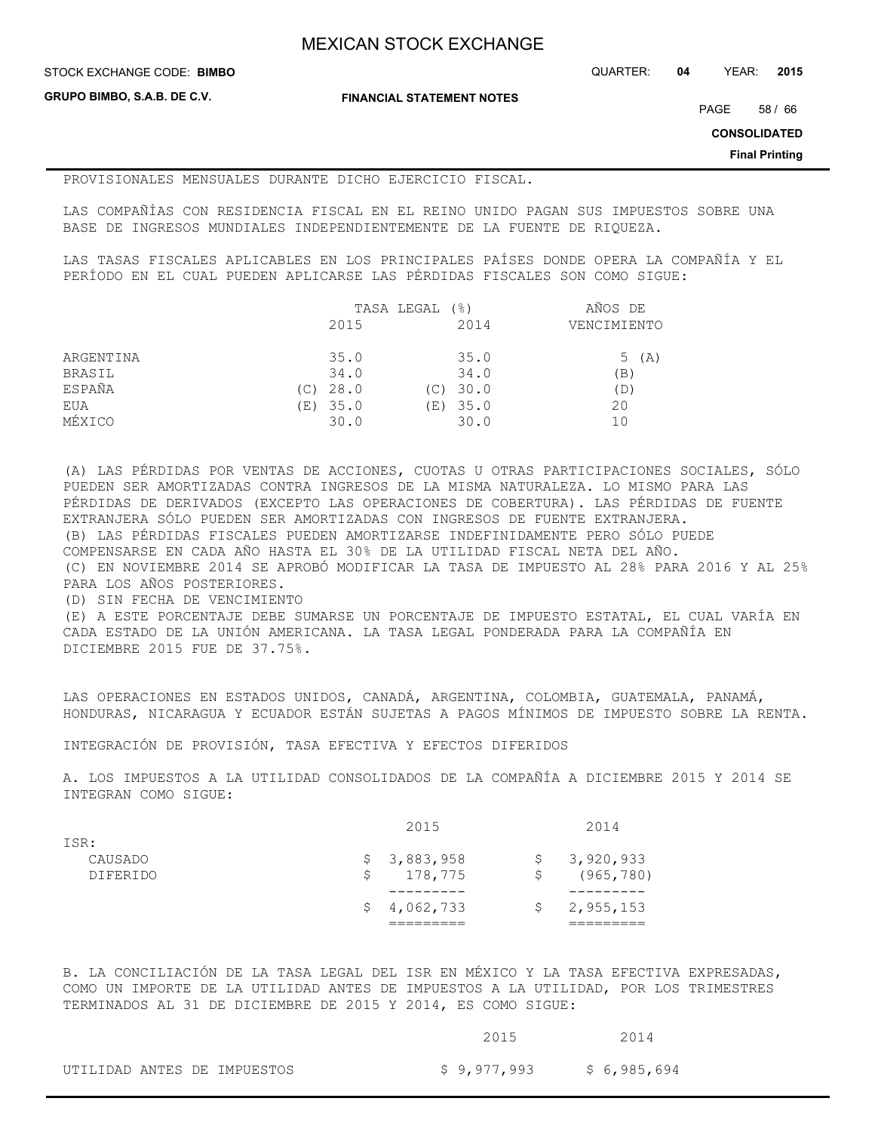STOCK EXCHANGE CODE: QUARTER: **04** YEAR: **2015 BIMBO**

**GRUPO BIMBO, S.A.B. DE C.V.**

**FINANCIAL STATEMENT NOTES**

PAGE 58 / 66

**CONSOLIDATED**

**Final Printing**

#### PROVISIONALES MENSUALES DURANTE DICHO EJERCICIO FISCAL.

LAS COMPAÑÍAS CON RESIDENCIA FISCAL EN EL REINO UNIDO PAGAN SUS IMPUESTOS SOBRE UNA BASE DE INGRESOS MUNDIALES INDEPENDIENTEMENTE DE LA FUENTE DE RIQUEZA.

LAS TASAS FISCALES APLICABLES EN LOS PRINCIPALES PAÍSES DONDE OPERA LA COMPAÑÍA Y EL PERÍODO EN EL CUAL PUEDEN APLICARSE LAS PÉRDIDAS FISCALES SON COMO SIGUE:

|           | TASA LEGAL<br>(응) |          |     | AÑOS DE    |                 |
|-----------|-------------------|----------|-----|------------|-----------------|
|           |                   | 2015     |     | 2014       | VENCIMIENTO     |
| ARGENTINA |                   | 35.0     |     | 35.0       | 5 (A)           |
| BRASIL    |                   | 34.0     |     | 34.0       | $\mathcal{B}$ ) |
| ESPAÑA    | (C)               | 28.0     | (C) | 30.0       | D)              |
| EUA       |                   | (E) 35.0 |     | $(E)$ 35.0 | 20              |
| MÉXICO    |                   | 30.0     |     | 30.0       | 10              |

(A) LAS PÉRDIDAS POR VENTAS DE ACCIONES, CUOTAS U OTRAS PARTICIPACIONES SOCIALES, SÓLO PUEDEN SER AMORTIZADAS CONTRA INGRESOS DE LA MISMA NATURALEZA. LO MISMO PARA LAS PÉRDIDAS DE DERIVADOS (EXCEPTO LAS OPERACIONES DE COBERTURA). LAS PÉRDIDAS DE FUENTE EXTRANJERA SÓLO PUEDEN SER AMORTIZADAS CON INGRESOS DE FUENTE EXTRANJERA. (B) LAS PÉRDIDAS FISCALES PUEDEN AMORTIZARSE INDEFINIDAMENTE PERO SÓLO PUEDE COMPENSARSE EN CADA AÑO HASTA EL 30% DE LA UTILIDAD FISCAL NETA DEL AÑO. (C) EN NOVIEMBRE 2014 SE APROBÓ MODIFICAR LA TASA DE IMPUESTO AL 28% PARA 2016 Y AL 25% PARA LOS AÑOS POSTERIORES. (D) SIN FECHA DE VENCIMIENTO (E) A ESTE PORCENTAJE DEBE SUMARSE UN PORCENTAJE DE IMPUESTO ESTATAL, EL CUAL VARÍA EN CADA ESTADO DE LA UNIÓN AMERICANA. LA TASA LEGAL PONDERADA PARA LA COMPAÑÍA EN

DICIEMBRE 2015 FUE DE 37.75%.

LAS OPERACIONES EN ESTADOS UNIDOS, CANADÁ, ARGENTINA, COLOMBIA, GUATEMALA, PANAMÁ, HONDURAS, NICARAGUA Y ECUADOR ESTÁN SUJETAS A PAGOS MÍNIMOS DE IMPUESTO SOBRE LA RENTA.

INTEGRACIÓN DE PROVISIÓN, TASA EFECTIVA Y EFECTOS DIFERIDOS

A. LOS IMPUESTOS A LA UTILIDAD CONSOLIDADOS DE LA COMPAÑÍA A DICIEMBRE 2015 Y 2014 SE INTEGRAN COMO SIGUE:

|                 |    | 2015        |    | 2014                     |
|-----------------|----|-------------|----|--------------------------|
| ISR:            |    |             |    |                          |
| CAUSADO         |    | \$3,883,958 |    | \$3,920,933              |
| <b>DIFERIDO</b> | S. | 178,775     | S. | (965, 780)               |
|                 |    |             |    |                          |
|                 |    | \$4,062,733 |    | $\frac{2}{9}$ , 955, 153 |
|                 |    |             |    |                          |
|                 |    |             |    |                          |

B. LA CONCILIACIÓN DE LA TASA LEGAL DEL ISR EN MÉXICO Y LA TASA EFECTIVA EXPRESADAS, COMO UN IMPORTE DE LA UTILIDAD ANTES DE IMPUESTOS A LA UTILIDAD, POR LOS TRIMESTRES TERMINADOS AL 31 DE DICIEMBRE DE 2015 Y 2014, ES COMO SIGUE:

|  |                             | 2015        | 2014         |
|--|-----------------------------|-------------|--------------|
|  | UTILIDAD ANTES DE IMPUESTOS | \$9,977,993 | \$ 6,985,694 |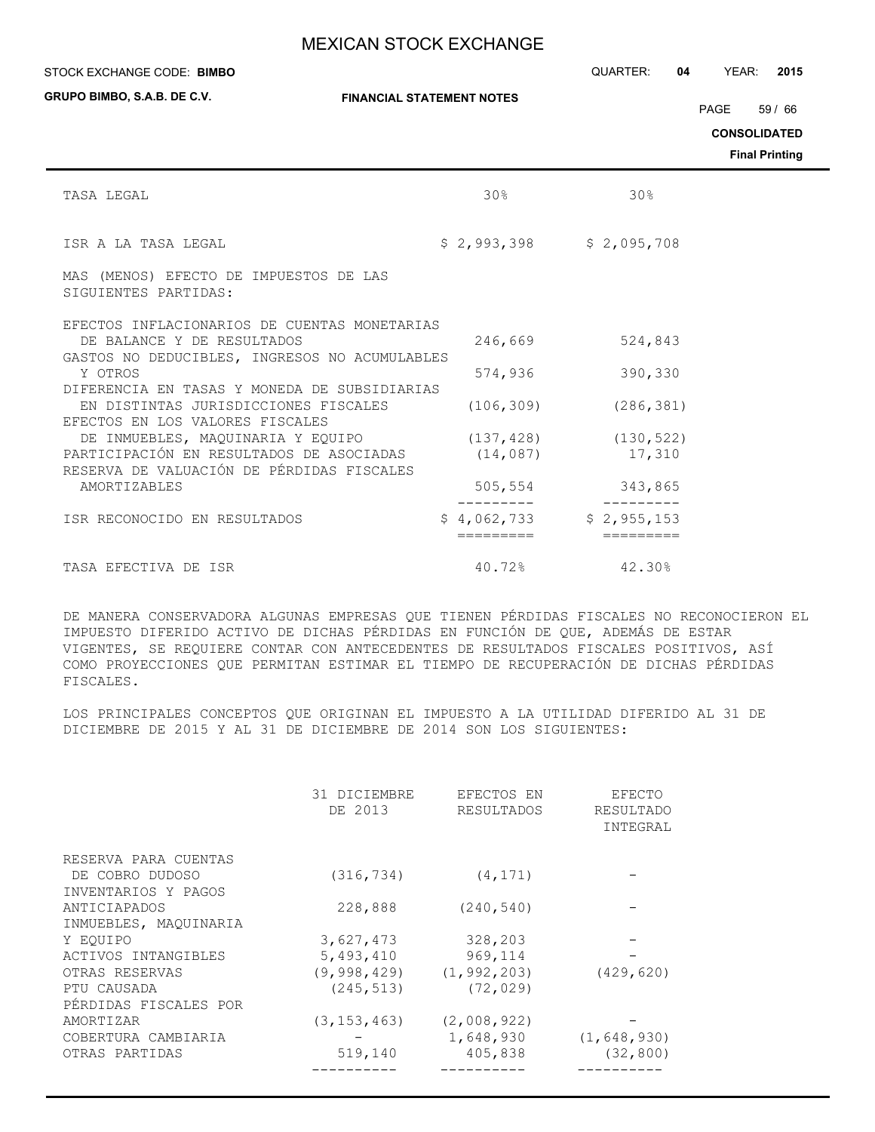| STOCK EXCHANGE CODE: BIMBO                                                                                                  |                                        | QUARTER:<br>04                      | YEAR:<br>2015                                                 |
|-----------------------------------------------------------------------------------------------------------------------------|----------------------------------------|-------------------------------------|---------------------------------------------------------------|
| <b>GRUPO BIMBO, S.A.B. DE C.V.</b>                                                                                          | <b>FINANCIAL STATEMENT NOTES</b>       |                                     | PAGE<br>59/66<br><b>CONSOLIDATED</b><br><b>Final Printing</b> |
| TASA LEGAL                                                                                                                  | 30 <sup>8</sup>                        | 30%                                 |                                                               |
| ISR A LA TASA LEGAL                                                                                                         | $$2,993,398$ $$2,095,708$              |                                     |                                                               |
| MAS (MENOS) EFECTO DE IMPUESTOS DE LAS<br>SIGUIENTES PARTIDAS:                                                              |                                        |                                     |                                                               |
| EFECTOS INFLACIONARIOS DE CUENTAS MONETARIAS<br>DE BALANCE Y DE RESULTADOS<br>GASTOS NO DEDUCIBLES, INGRESOS NO ACUMULABLES | 246,669                                | 524,843                             |                                                               |
| Y OTROS<br>DIFERENCIA EN TASAS Y MONEDA DE SUBSIDIARIAS                                                                     | 574,936                                | 390,330                             |                                                               |
| EN DISTINTAS JURISDICCIONES FISCALES<br>EFECTOS EN LOS VALORES FISCALES                                                     | (106, 309)                             | (286, 381)                          |                                                               |
| DE INMUEBLES, MAQUINARIA Y EQUIPO<br>PARTICIPACIÓN EN RESULTADOS DE ASOCIADAS<br>RESERVA DE VALUACIÓN DE PÉRDIDAS FISCALES  | (14, 087)                              | $(137, 428)$ $(130, 522)$<br>17,310 |                                                               |
| <b>AMORTIZABLES</b>                                                                                                         | 505, 554                               | 343,865                             |                                                               |
| ISR RECONOCIDO EN RESULTADOS                                                                                                | $$4,062,733$ $$2,955,153$<br>========= | $=$ = = = = = = = =                 |                                                               |
| TASA EFECTIVA DE ISR                                                                                                        | 40.72%                                 | 42.30%                              |                                                               |

DE MANERA CONSERVADORA ALGUNAS EMPRESAS QUE TIENEN PÉRDIDAS FISCALES NO RECONOCIERON EL IMPUESTO DIFERIDO ACTIVO DE DICHAS PÉRDIDAS EN FUNCIÓN DE QUE, ADEMÁS DE ESTAR VIGENTES, SE REQUIERE CONTAR CON ANTECEDENTES DE RESULTADOS FISCALES POSITIVOS, ASÍ COMO PROYECCIONES QUE PERMITAN ESTIMAR EL TIEMPO DE RECUPERACIÓN DE DICHAS PÉRDIDAS FISCALES.

LOS PRINCIPALES CONCEPTOS QUE ORIGINAN EL IMPUESTO A LA UTILIDAD DIFERIDO AL 31 DE DICIEMBRE DE 2015 Y AL 31 DE DICIEMBRE DE 2014 SON LOS SIGUIENTES:

|                       | 31 DICIEMBRE<br>DE 2013 | EFECTOS EN<br>RESULTADOS | EFECTO<br>RESULTADO<br>INTEGRAL |
|-----------------------|-------------------------|--------------------------|---------------------------------|
| RESERVA PARA CUENTAS  |                         |                          |                                 |
| DE COBRO DUDOSO       | (316, 734)              | (4, 171)                 |                                 |
| INVENTARIOS Y PAGOS   |                         |                          |                                 |
| ANTICIAPADOS          | 228,888                 | (240, 540)               |                                 |
| INMUEBLES, MAQUINARIA |                         |                          |                                 |
| Y EOUIPO              | 3,627,473               | 328,203                  |                                 |
| ACTIVOS INTANGIBLES   | 5,493,410               | 969,114                  |                                 |
| OTRAS RESERVAS        | (9,998,429)             | (1, 992, 203)            | (429, 620)                      |
| PTU CAUSADA           | (245, 513)              | (72, 029)                |                                 |
| PÉRDIDAS FISCALES POR |                         |                          |                                 |
| AMORTIZAR             | (3, 153, 463)           | (2,008,922)              |                                 |
| COBERTURA CAMBIARIA   |                         | 1,648,930                | (1, 648, 930)                   |
| OTRAS PARTIDAS        | 519,140                 | 405,838                  | (32, 800)                       |
|                       |                         |                          |                                 |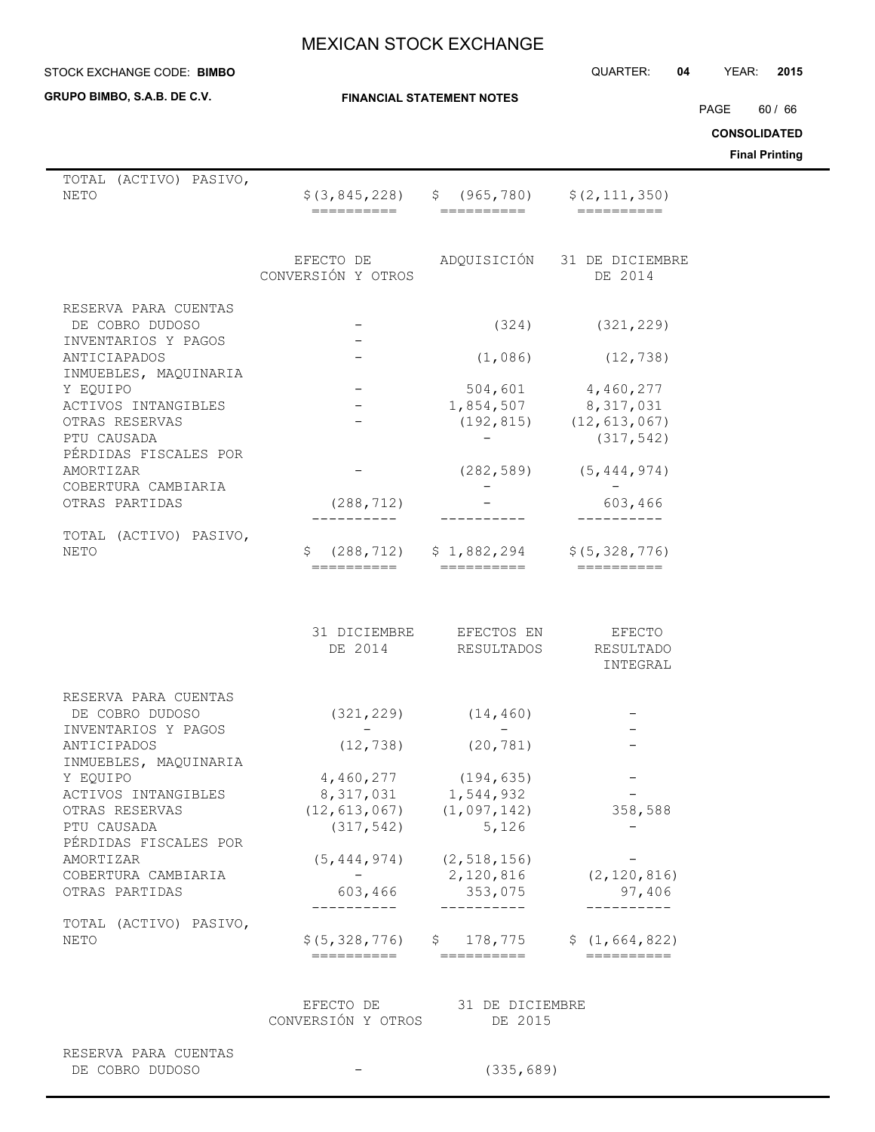**GRUPO BIMBO, S.A.B. DE C.V.**

**FINANCIAL STATEMENT NOTES**

STOCK EXCHANGE CODE: QUARTER: **04** YEAR: **2015 BIMBO**

PAGE 60 / 66

**CONSOLIDATED**

| TOTAL (ACTIVO) PASIVO,<br>NETO                              | \$ (3, 845, 228)                            | \$ (965, 780)                                           | \$(2, 111, 350)                                                    |
|-------------------------------------------------------------|---------------------------------------------|---------------------------------------------------------|--------------------------------------------------------------------|
|                                                             | ==========                                  | ==========                                              |                                                                    |
|                                                             | EFECTO DE ADQUISICIÓN<br>CONVERSIÓN Y OTROS |                                                         | 31 DE DICIEMBRE<br>DE 2014                                         |
| RESERVA PARA CUENTAS<br>DE COBRO DUDOSO                     |                                             | (324)                                                   | (321, 229)                                                         |
| INVENTARIOS Y PAGOS<br>ANTICIAPADOS                         |                                             | (1,086)                                                 | (12, 738)                                                          |
| INMUEBLES, MAQUINARIA<br>Y EQUIPO                           |                                             | 504,601                                                 | 4,460,277                                                          |
| ACTIVOS INTANGIBLES<br>OTRAS RESERVAS<br>PTU CAUSADA        |                                             |                                                         | 1,854,507 8,317,031<br>$(192, 815)$ $(12, 613, 067)$<br>(317, 542) |
| PÉRDIDAS FISCALES POR<br>AMORTIZAR                          |                                             | (282, 589)                                              | (5, 444, 974)                                                      |
| COBERTURA CAMBIARIA<br>OTRAS PARTIDAS                       | (288, 712)                                  |                                                         | 603,466                                                            |
| TOTAL (ACTIVO) PASIVO,<br><b>NETO</b>                       | \$.<br>(288, 712)<br>==========             | \$1,882,294<br>==========                               | \$ (5, 328, 776)<br>$=$ ==========                                 |
|                                                             | 31 DICIEMBRE<br>DE 2014                     | EFECTOS EN<br>RESULTADOS                                | <b>EFECTO</b><br>RESULTADO<br>INTEGRAL                             |
| RESERVA PARA CUENTAS<br>DE COBRO DUDOSO                     | (321, 229)                                  | (14, 460)                                               |                                                                    |
| INVENTARIOS Y PAGOS<br>ANTICIPADOS<br>INMUEBLES, MAQUINARIA | (12, 738)                                   | (20, 781)                                               |                                                                    |
| Y EQUIPO<br>ACTIVOS INTANGIBLES                             | 4,460,277<br>8,317,031                      | (194, 635)<br>1,544,932                                 |                                                                    |
| OTRAS RESERVAS<br>PTU CAUSADA<br>PÉRDIDAS FISCALES POR      | (12, 613, 067)<br>(317, 542)                | (1,097,142)<br>5,126                                    | 358,588                                                            |
| AMORTIZAR<br>COBERTURA CAMBIARIA<br>OTRAS PARTIDAS          | 603,466                                     | $(5, 444, 974)$ $(2, 518, 156)$<br>2,120,816<br>353,075 | (2, 120, 816)<br>97,406                                            |
| TOTAL (ACTIVO) PASIVO,                                      |                                             | __________                                              |                                                                    |
| NETO                                                        |                                             | $$(5, 328, 776)$ $$178, 775$ $$(1, 664, 822)$           | ==========                                                         |
|                                                             | CONVERSIÓN Y OTROS                          | EFECTO DE 31 DE DICIEMBRE<br>DE 2015                    |                                                                    |
| RESERVA PARA CUENTAS<br>DE COBRO DUDOSO                     |                                             | (335, 689)                                              |                                                                    |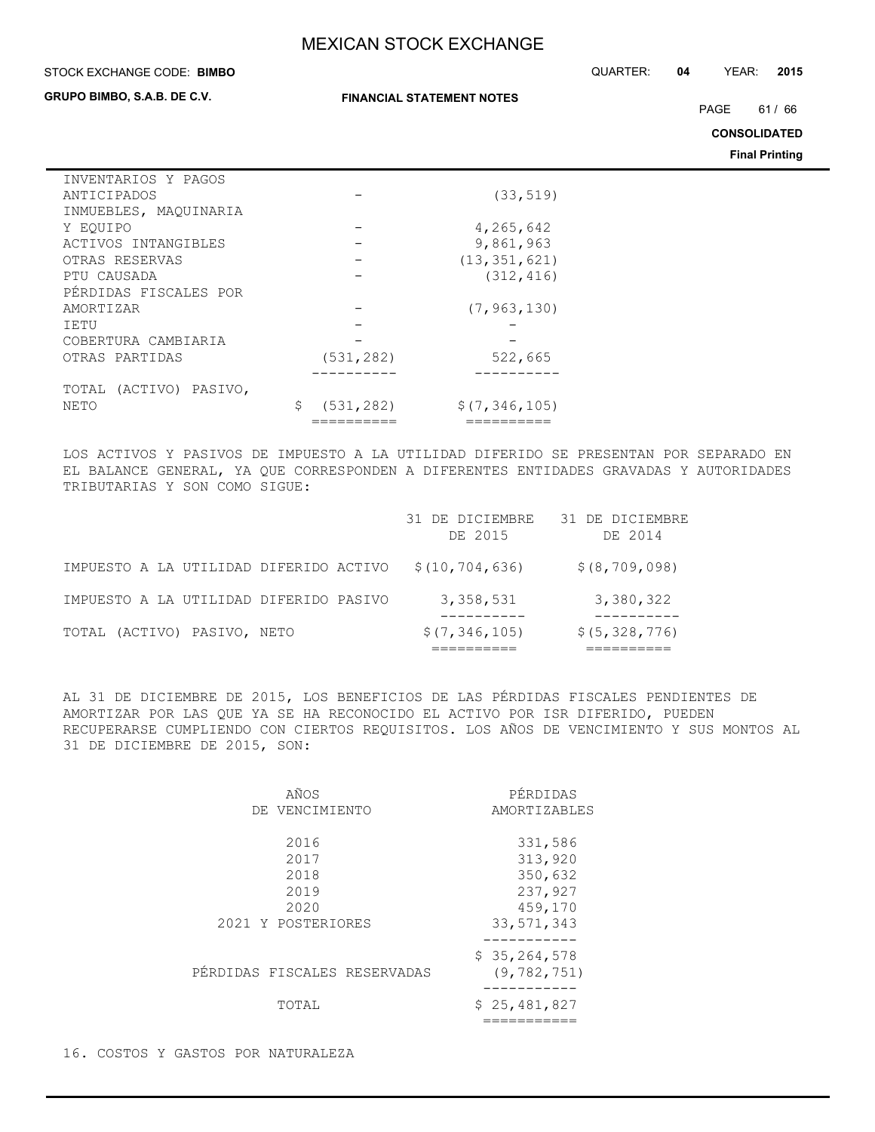**FINANCIAL STATEMENT NOTES**

#### STOCK EXCHANGE CODE: QUARTER: **04** YEAR: **2015 BIMBO**

**GRUPO BIMBO, S.A.B. DE C.V.**

PAGE 61/66

**CONSOLIDATED**

**Final Printing**

| INVENTARIOS Y PAGOS    |                  |                |
|------------------------|------------------|----------------|
| ANTICIPADOS            |                  | (33, 519)      |
| INMUEBLES, MAQUINARIA  |                  |                |
| Y EOUIPO               |                  | 4,265,642      |
| ACTIVOS INTANGIBLES    |                  | 9,861,963      |
| OTRAS RESERVAS         |                  | (13, 351, 621) |
| PTU CAUSADA            |                  | (312, 416)     |
| PÉRDIDAS FISCALES POR  |                  |                |
| AMORTIZAR              |                  | (7, 963, 130)  |
| IETU                   |                  |                |
| COBERTURA CAMBIARIA    |                  |                |
| OTRAS PARTIDAS         | (531, 282)       | 522,665        |
|                        |                  |                |
| TOTAL (ACTIVO) PASIVO, |                  |                |
| NETO                   | \$<br>(531, 282) | \$(7,346,105)  |
|                        |                  |                |

LOS ACTIVOS Y PASIVOS DE IMPUESTO A LA UTILIDAD DIFERIDO SE PRESENTAN POR SEPARADO EN EL BALANCE GENERAL, YA QUE CORRESPONDEN A DIFERENTES ENTIDADES GRAVADAS Y AUTORIDADES TRIBUTARIAS Y SON COMO SIGUE:

|                                        | 31 DE DICIEMBRE<br>DE 2015 | 31 DE DICIEMBRE<br>DE 2014 |
|----------------------------------------|----------------------------|----------------------------|
| IMPUESTO A LA UTILIDAD DIFERIDO ACTIVO | \$(10, 704, 636)           | \$ (8, 709, 098)           |
| IMPUESTO A LA UTILIDAD DIFERIDO PASIVO | 3,358,531                  | 3,380,322                  |
| TOTAL (ACTIVO) PASIVO, NETO            | \$(7, 346, 105)            | \$(5, 328, 776)            |

AL 31 DE DICIEMBRE DE 2015, LOS BENEFICIOS DE LAS PÉRDIDAS FISCALES PENDIENTES DE AMORTIZAR POR LAS QUE YA SE HA RECONOCIDO EL ACTIVO POR ISR DIFERIDO, PUEDEN RECUPERARSE CUMPLIENDO CON CIERTOS REQUISITOS. LOS AÑOS DE VENCIMIENTO Y SUS MONTOS AL 31 DE DICIEMBRE DE 2015, SON:

| AÑOS                         | PÉRDIDAS                      |
|------------------------------|-------------------------------|
| DE VENCIMIENTO               | AMORTIZABLES                  |
| 2016                         | 331,586                       |
| 2017                         | 313,920                       |
| 2018                         | 350,632                       |
| 2019                         | 237,927                       |
| 2020                         | 459,170                       |
| 2021 Y POSTERIORES           | 33, 571, 343                  |
| PÉRDIDAS FISCALES RESERVADAS | \$35,264,578<br>(9, 782, 751) |
| TOTAL                        | \$25,481,827                  |

16. COSTOS Y GASTOS POR NATURALEZA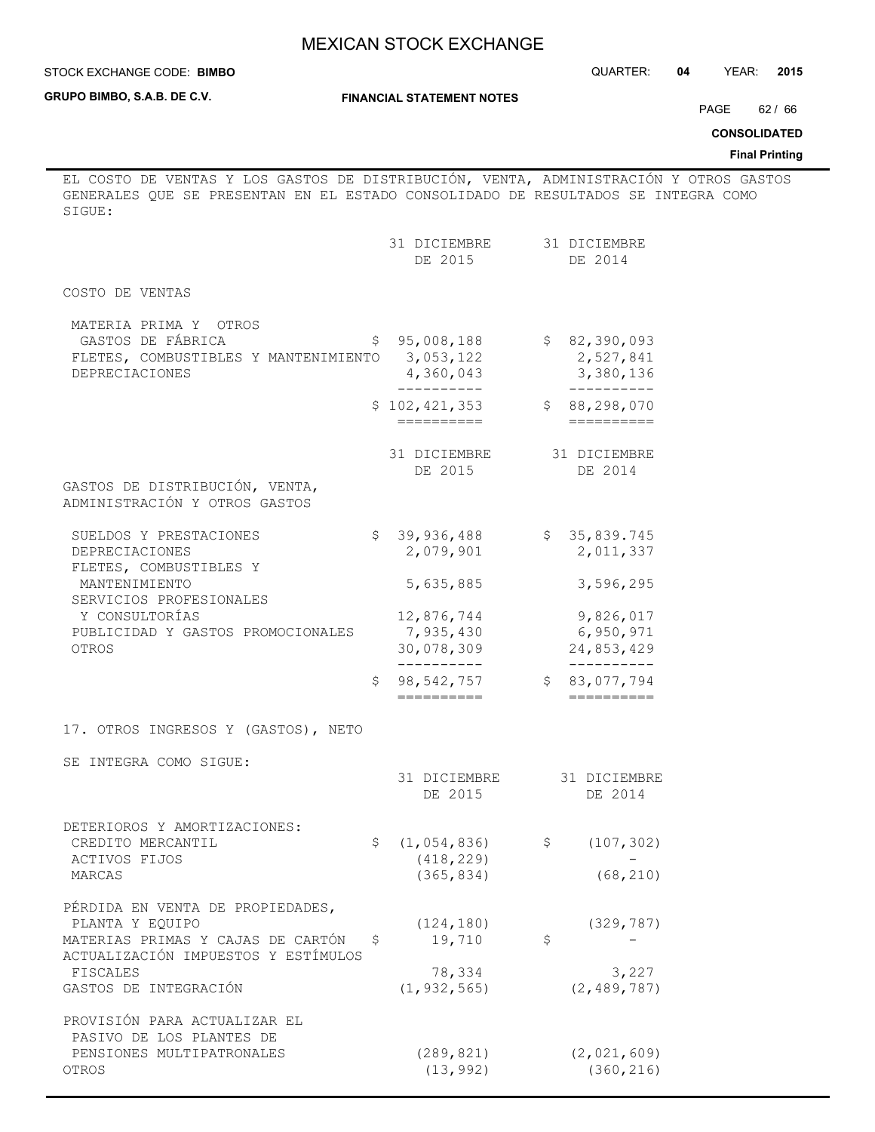| STOCK EXCHANGE CODE: BIMBO | QUARTER: |  | YEAR: | 2015 |
|----------------------------|----------|--|-------|------|
|----------------------------|----------|--|-------|------|

**GRUPO BIMBO, S.A.B. DE C.V.**

#### **FINANCIAL STATEMENT NOTES**

PAGE 62 / 66

**CONSOLIDATED**

## **Final Printing**

EL COSTO DE VENTAS Y LOS GASTOS DE DISTRIBUCIÓN, VENTA, ADMINISTRACIÓN Y OTROS GASTOS GENERALES QUE SE PRESENTAN EN EL ESTADO CONSOLIDADO DE RESULTADOS SE INTEGRA COMO SIGUE:

|                                                                                                                                                    | 31 DICIEMBRE<br>DE 2015                             | 31 DICIEMBRE<br>DE 2014                            |  |
|----------------------------------------------------------------------------------------------------------------------------------------------------|-----------------------------------------------------|----------------------------------------------------|--|
| COSTO DE VENTAS                                                                                                                                    |                                                     |                                                    |  |
| MATERIA PRIMA Y OTROS<br>GASTOS DE FÁBRICA<br>FLETES, COMBUSTIBLES Y MANTENIMIENTO<br><b>DEPRECIACIONES</b>                                        | 95,008,188<br>\$<br>3,053,122<br>4,360,043          | \$82,390,093<br>2,527,841<br>3,380,136             |  |
|                                                                                                                                                    | -----------<br>\$102, 421, 353<br>==========        | ---------<br>\$88, 298, 070                        |  |
| GASTOS DE DISTRIBUCIÓN, VENTA,<br>ADMINISTRACIÓN Y OTROS GASTOS                                                                                    | 31 DICIEMBRE<br>DE 2015                             | 31 DICIEMBRE<br>DE 2014                            |  |
| SUELDOS Y PRESTACIONES<br>DEPRECIACIONES<br>FLETES, COMBUSTIBLES Y                                                                                 | \$39,936,488<br>2,079,901                           | \$35,839.745<br>2,011,337                          |  |
| MANTENIMIENTO<br>SERVICIOS PROFESIONALES                                                                                                           | 5,635,885                                           | 3,596,295                                          |  |
| Y CONSULTORÍAS<br>PUBLICIDAD Y GASTOS PROMOCIONALES<br>OTROS                                                                                       | 12,876,744<br>7,935,430<br>30,078,309<br>---------- | 9,826,017<br>6,950,971<br>24,853,429<br>---------- |  |
|                                                                                                                                                    | 98,542,757<br>\$.<br>==========                     | \$83,077,794                                       |  |
| 17. OTROS INGRESOS Y (GASTOS), NETO                                                                                                                |                                                     |                                                    |  |
| SE INTEGRA COMO SIGUE:                                                                                                                             | 31 DICIEMBRE<br>DE 2015                             | 31 DICIEMBRE<br>DE 2014                            |  |
| DETERIOROS Y AMORTIZACIONES:<br>CREDITO MERCANTIL<br>ACTIVOS FIJOS<br>MARCAS                                                                       | \$<br>(1, 054, 836)<br>(418, 229)<br>(365, 834)     | \$<br>(107, 302)<br>(68, 210)                      |  |
| PÉRDIDA EN VENTA DE PROPIEDADES,<br>PLANTA Y EQUIPO<br>MATERIAS PRIMAS Y CAJAS DE CARTÓN<br>ACTUALIZACIÓN IMPUESTOS Y ESTÍMULOS<br><b>FISCALES</b> | (124, 180)<br>\$<br>19,710<br>78,334                | (329, 787)<br>\$<br>3,227                          |  |
| GASTOS DE INTEGRACIÓN                                                                                                                              | (1, 932, 565)                                       | (2, 489, 787)                                      |  |
| PROVISIÓN PARA ACTUALIZAR EL<br>PASIVO DE LOS PLANTES DE<br>PENSIONES MULTIPATRONALES                                                              | (289, 821)                                          | (2, 021, 609)                                      |  |
| OTROS                                                                                                                                              | (13, 992)                                           | (360, 216)                                         |  |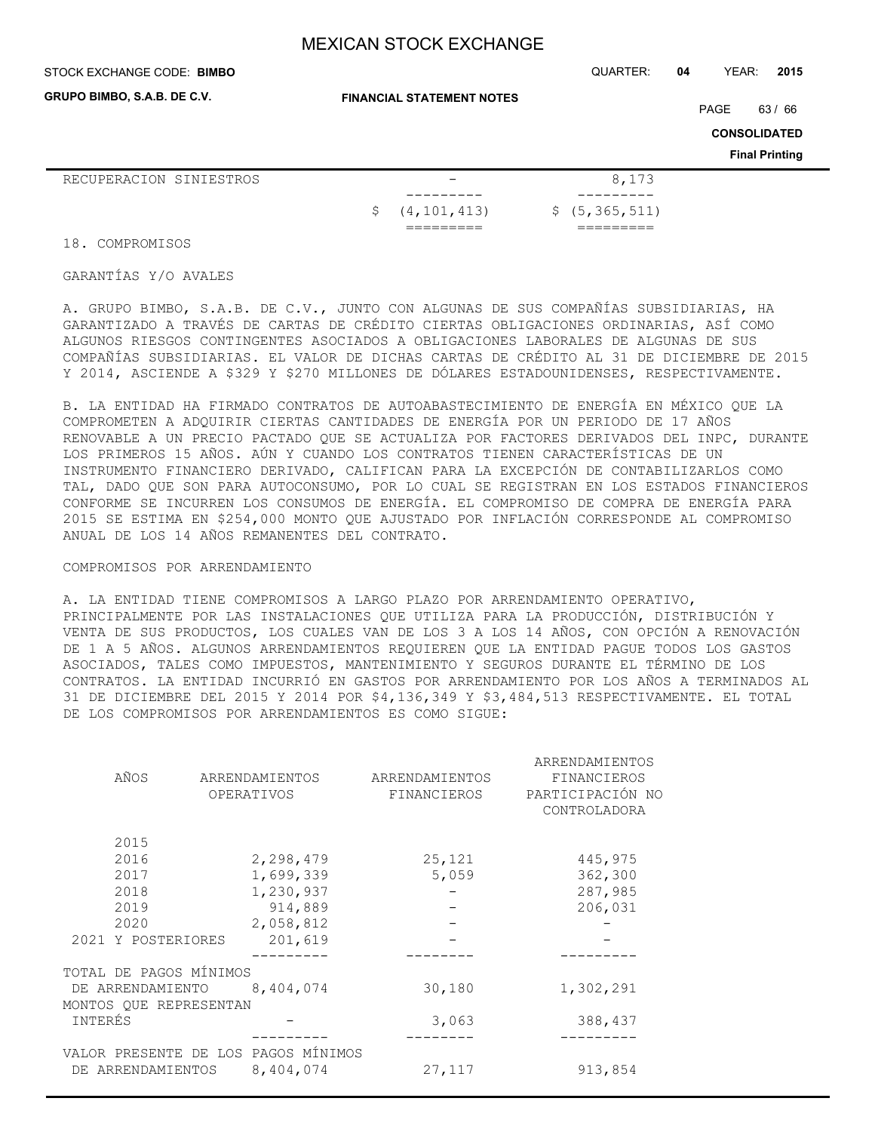**GRUPO BIMBO, S.A.B. DE C.V.**

**FINANCIAL STATEMENT NOTES**

PAGE 63 / 66

**CONSOLIDATED**

**Final Printing**

| RECUPERACION SINIESTROS |  |                           | 8,173           |
|-------------------------|--|---------------------------|-----------------|
|                         |  | - - - - - - - -           |                 |
|                         |  | $\frac{2}{7}$ (4,101,413) | \$(5, 365, 511) |
|                         |  | ---------                 | _______         |

18. COMPROMISOS

## GARANTÍAS Y/O AVALES

A. GRUPO BIMBO, S.A.B. DE C.V., JUNTO CON ALGUNAS DE SUS COMPAÑÍAS SUBSIDIARIAS, HA GARANTIZADO A TRAVÉS DE CARTAS DE CRÉDITO CIERTAS OBLIGACIONES ORDINARIAS, ASÍ COMO ALGUNOS RIESGOS CONTINGENTES ASOCIADOS A OBLIGACIONES LABORALES DE ALGUNAS DE SUS COMPAÑÍAS SUBSIDIARIAS. EL VALOR DE DICHAS CARTAS DE CRÉDITO AL 31 DE DICIEMBRE DE 2015 Y 2014, ASCIENDE A \$329 Y \$270 MILLONES DE DÓLARES ESTADOUNIDENSES, RESPECTIVAMENTE.

B. LA ENTIDAD HA FIRMADO CONTRATOS DE AUTOABASTECIMIENTO DE ENERGÍA EN MÉXICO QUE LA COMPROMETEN A ADQUIRIR CIERTAS CANTIDADES DE ENERGÍA POR UN PERIODO DE 17 AÑOS RENOVABLE A UN PRECIO PACTADO QUE SE ACTUALIZA POR FACTORES DERIVADOS DEL INPC, DURANTE LOS PRIMEROS 15 AÑOS. AÚN Y CUANDO LOS CONTRATOS TIENEN CARACTERÍSTICAS DE UN INSTRUMENTO FINANCIERO DERIVADO, CALIFICAN PARA LA EXCEPCIÓN DE CONTABILIZARLOS COMO TAL, DADO QUE SON PARA AUTOCONSUMO, POR LO CUAL SE REGISTRAN EN LOS ESTADOS FINANCIEROS CONFORME SE INCURREN LOS CONSUMOS DE ENERGÍA. EL COMPROMISO DE COMPRA DE ENERGÍA PARA 2015 SE ESTIMA EN \$254,000 MONTO QUE AJUSTADO POR INFLACIÓN CORRESPONDE AL COMPROMISO ANUAL DE LOS 14 AÑOS REMANENTES DEL CONTRATO.

#### COMPROMISOS POR ARRENDAMIENTO

A. LA ENTIDAD TIENE COMPROMISOS A LARGO PLAZO POR ARRENDAMIENTO OPERATIVO, PRINCIPALMENTE POR LAS INSTALACIONES QUE UTILIZA PARA LA PRODUCCIÓN, DISTRIBUCIÓN Y VENTA DE SUS PRODUCTOS, LOS CUALES VAN DE LOS 3 A LOS 14 AÑOS, CON OPCIÓN A RENOVACIÓN DE 1 A 5 AÑOS. ALGUNOS ARRENDAMIENTOS REQUIEREN QUE LA ENTIDAD PAGUE TODOS LOS GASTOS ASOCIADOS, TALES COMO IMPUESTOS, MANTENIMIENTO Y SEGUROS DURANTE EL TÉRMINO DE LOS CONTRATOS. LA ENTIDAD INCURRIÓ EN GASTOS POR ARRENDAMIENTO POR LOS AÑOS A TERMINADOS AL 31 DE DICIEMBRE DEL 2015 Y 2014 POR \$4,136,349 Y \$3,484,513 RESPECTIVAMENTE. EL TOTAL DE LOS COMPROMISOS POR ARRENDAMIENTOS ES COMO SIGUE:

|                        |                                     |                | ARRENDAMIENTOS   |
|------------------------|-------------------------------------|----------------|------------------|
| AÑOS                   | ARRENDAMIENTOS                      | ARRENDAMIENTOS | FINANCIEROS      |
|                        | OPERATIVOS                          | FINANCIEROS    | PARTICIPACIÓN NO |
|                        |                                     |                | CONTROLADORA     |
| 2015                   |                                     |                |                  |
| 2016                   | 2,298,479                           | 25,121         | 445,975          |
| 2017                   | 1,699,339                           | 5,059          | 362,300          |
| 2018                   | 1,230,937                           |                | 287,985          |
| 2019                   | 914,889                             |                | 206,031          |
| 2020                   | 2,058,812                           |                |                  |
| 2021 Y POSTERIORES     | 201,619                             |                |                  |
|                        |                                     |                |                  |
| TOTAL DE PAGOS MÍNIMOS |                                     |                |                  |
| DE ARRENDAMIENTO       | 8,404,074                           | 30,180         | 1,302,291        |
| MONTOS QUE REPRESENTAN |                                     |                |                  |
| INTERÉS                |                                     | 3,063          | 388,437          |
|                        |                                     |                |                  |
|                        | VALOR PRESENTE DE LOS PAGOS MÍNIMOS |                |                  |
| DE ARRENDAMIENTOS      | 8,404,074                           | 27,117         | 913,854          |
|                        |                                     |                |                  |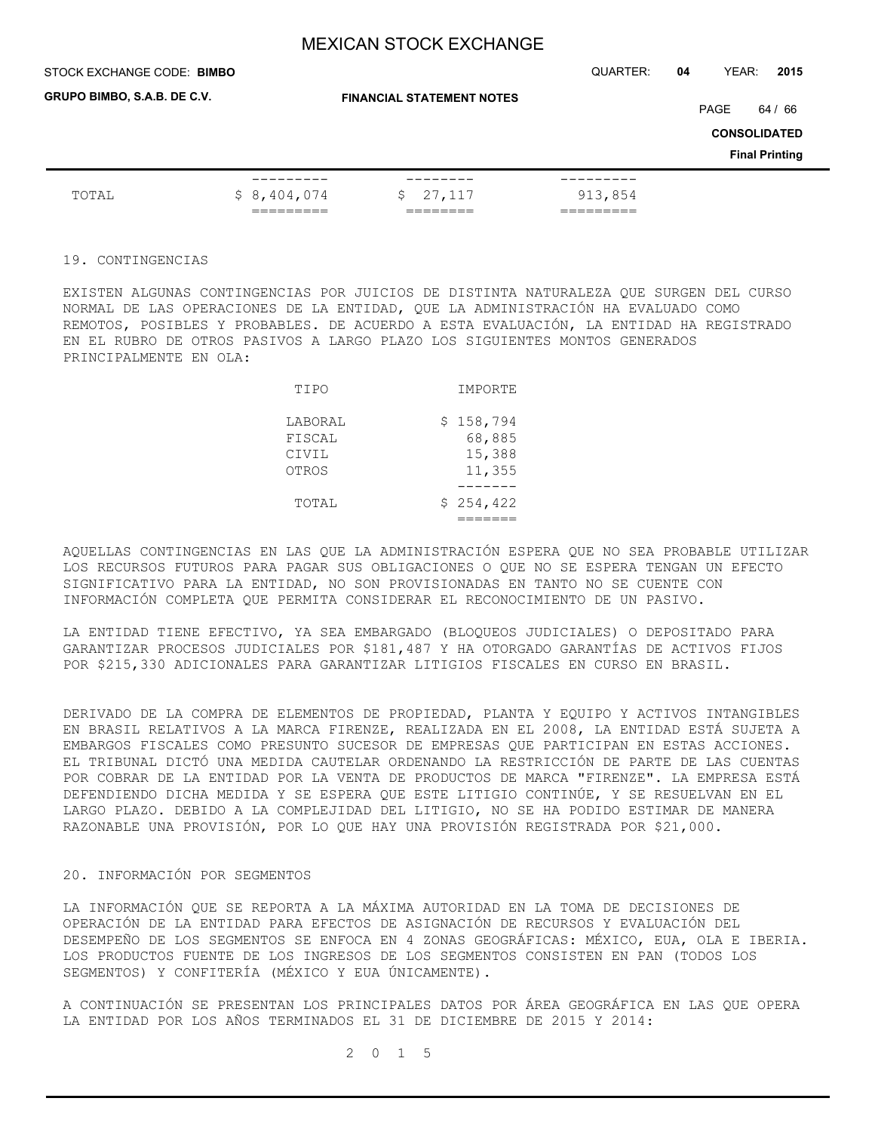| STOCK EXCHANGE CODE: BIMBO  |             |                                  | QUARTER: | 04                                                   | YEAR: | 2015 |
|-----------------------------|-------------|----------------------------------|----------|------------------------------------------------------|-------|------|
| GRUPO BIMBO, S.A.B. DE C.V. |             | <b>FINANCIAL STATEMENT NOTES</b> |          | PAGE<br><b>CONSOLIDATED</b><br><b>Final Printing</b> |       |      |
| TOTAL                       | \$8,404,074 | 27,117<br>S.                     | 913,854  |                                                      |       |      |

#### 19. CONTINGENCIAS

EXISTEN ALGUNAS CONTINGENCIAS POR JUICIOS DE DISTINTA NATURALEZA QUE SURGEN DEL CURSO NORMAL DE LAS OPERACIONES DE LA ENTIDAD, QUE LA ADMINISTRACIÓN HA EVALUADO COMO REMOTOS, POSIBLES Y PROBABLES. DE ACUERDO A ESTA EVALUACIÓN, LA ENTIDAD HA REGISTRADO EN EL RUBRO DE OTROS PASIVOS A LARGO PLAZO LOS SIGUIENTES MONTOS GENERADOS PRINCIPALMENTE EN OLA:

| TIPO                                | IMPORTE                                 |
|-------------------------------------|-----------------------------------------|
| LABORAL<br>FISCAL<br>CIVIL<br>OTROS | \$158,794<br>68,885<br>15,388<br>11,355 |
| TOTAL                               | \$254,422                               |

AQUELLAS CONTINGENCIAS EN LAS QUE LA ADMINISTRACIÓN ESPERA QUE NO SEA PROBABLE UTILIZAR LOS RECURSOS FUTUROS PARA PAGAR SUS OBLIGACIONES O QUE NO SE ESPERA TENGAN UN EFECTO SIGNIFICATIVO PARA LA ENTIDAD, NO SON PROVISIONADAS EN TANTO NO SE CUENTE CON INFORMACIÓN COMPLETA QUE PERMITA CONSIDERAR EL RECONOCIMIENTO DE UN PASIVO.

LA ENTIDAD TIENE EFECTIVO, YA SEA EMBARGADO (BLOQUEOS JUDICIALES) O DEPOSITADO PARA GARANTIZAR PROCESOS JUDICIALES POR \$181,487 Y HA OTORGADO GARANTÍAS DE ACTIVOS FIJOS POR \$215,330 ADICIONALES PARA GARANTIZAR LITIGIOS FISCALES EN CURSO EN BRASIL.

DERIVADO DE LA COMPRA DE ELEMENTOS DE PROPIEDAD, PLANTA Y EQUIPO Y ACTIVOS INTANGIBLES EN BRASIL RELATIVOS A LA MARCA FIRENZE, REALIZADA EN EL 2008, LA ENTIDAD ESTÁ SUJETA A EMBARGOS FISCALES COMO PRESUNTO SUCESOR DE EMPRESAS QUE PARTICIPAN EN ESTAS ACCIONES. EL TRIBUNAL DICTÓ UNA MEDIDA CAUTELAR ORDENANDO LA RESTRICCIÓN DE PARTE DE LAS CUENTAS POR COBRAR DE LA ENTIDAD POR LA VENTA DE PRODUCTOS DE MARCA "FIRENZE". LA EMPRESA ESTÁ DEFENDIENDO DICHA MEDIDA Y SE ESPERA QUE ESTE LITIGIO CONTINÚE, Y SE RESUELVAN EN EL LARGO PLAZO. DEBIDO A LA COMPLEJIDAD DEL LITIGIO, NO SE HA PODIDO ESTIMAR DE MANERA RAZONABLE UNA PROVISIÓN, POR LO QUE HAY UNA PROVISIÓN REGISTRADA POR \$21,000.

#### 20. INFORMACIÓN POR SEGMENTOS

LA INFORMACIÓN QUE SE REPORTA A LA MÁXIMA AUTORIDAD EN LA TOMA DE DECISIONES DE OPERACIÓN DE LA ENTIDAD PARA EFECTOS DE ASIGNACIÓN DE RECURSOS Y EVALUACIÓN DEL DESEMPEÑO DE LOS SEGMENTOS SE ENFOCA EN 4 ZONAS GEOGRÁFICAS: MÉXICO, EUA, OLA E IBERIA. LOS PRODUCTOS FUENTE DE LOS INGRESOS DE LOS SEGMENTOS CONSISTEN EN PAN (TODOS LOS SEGMENTOS) Y CONFITERÍA (MÉXICO Y EUA ÚNICAMENTE).

A CONTINUACIÓN SE PRESENTAN LOS PRINCIPALES DATOS POR ÁREA GEOGRÁFICA EN LAS QUE OPERA LA ENTIDAD POR LOS AÑOS TERMINADOS EL 31 DE DICIEMBRE DE 2015 Y 2014:

2 0 1 5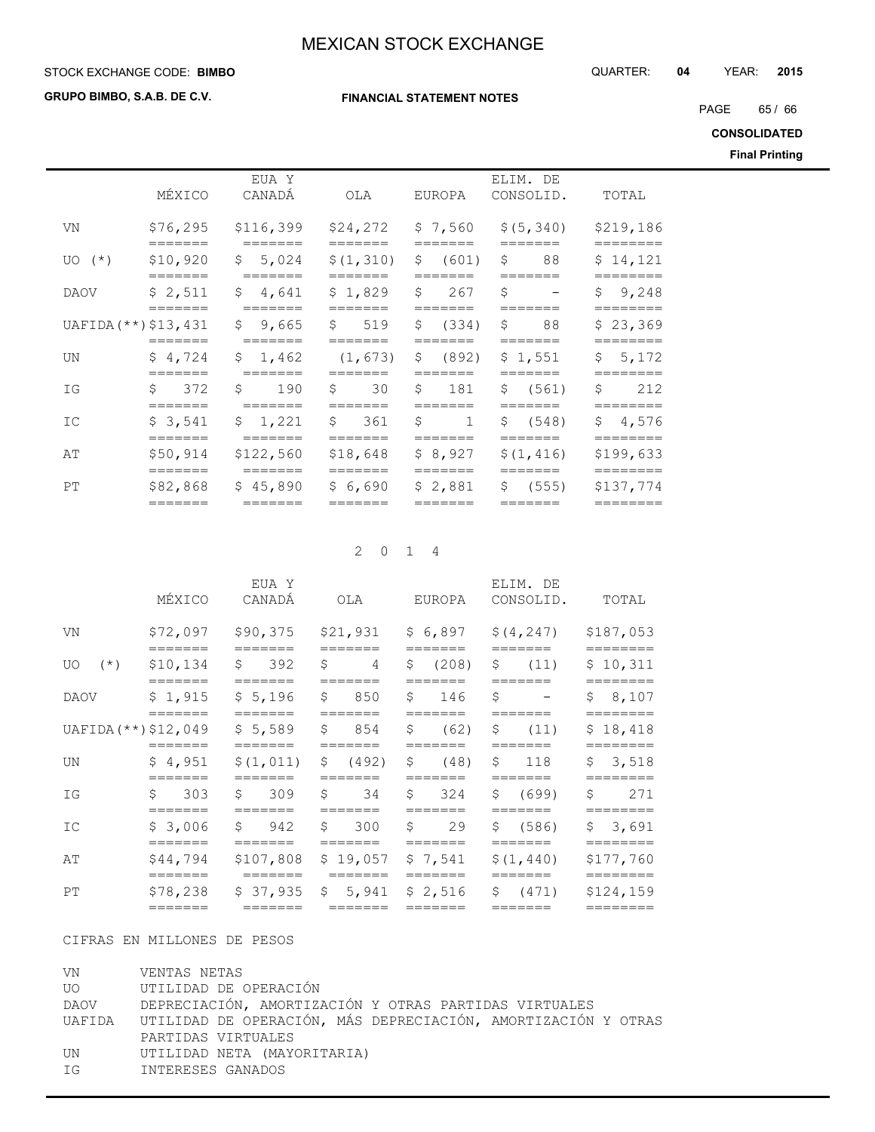STOCK EXCHANGE CODE: QUARTER: **04** YEAR: **2015 BIMBO**

**GRUPO BIMBO, S.A.B. DE C.V.**

#### **FINANCIAL STATEMENT NOTES**

PAGE 65 / 66

**CONSOLIDATED**

**Final Printing**

|             | MÉXICO                          | EUA Y<br>CANADÁ      | OLA                            | EUROPA                           | ELIM. DE<br>CONSOLID. | TOTAL                 |
|-------------|---------------------------------|----------------------|--------------------------------|----------------------------------|-----------------------|-----------------------|
| VN          | \$76, 295<br>=======            | \$116,399            | \$24,272<br>-------            | \$7,560<br>=======               | \$ (5, 340)           | \$219,186             |
| $U_O$ $(*)$ | \$10,920<br>_______             | \$5,024<br>_______   | \$(1, 310)                     | $\mathsf{S}$<br>(601)<br>_______ | Ŝ.<br>88<br>_______   | \$14,121              |
| <b>DAOV</b> | \$2,511<br>=======              | \$4,641<br>-------   | \$1,829                        | $\mathsf{S}$<br>267<br>=======   | S<br>_______          | \$9,248<br>========   |
|             | UAFIDA (**) \$13,431<br>======= | \$ 9,665<br>=======  | $\mathsf{S}$<br>519<br>======= | \$<br>(334)<br>=======           | Ŝ.<br>88<br>=======   | \$23,369              |
| UN          | \$4,724<br>=======              | \$1,462<br>=======   | (1, 673)<br>=======            | $\mathsf{S}$<br>(892)<br>======= | \$1,551<br>=======    | \$5,172<br>========   |
| IG          | 372<br>Ŝ.<br>=======            | Ŝ.<br>190<br>======= | Ŝ.<br>30<br>=======            | \$<br>181<br>=======             | \$ (561)<br>=======   | Ŝ.<br>212<br>======== |
| IC          | \$3,541<br>=======              | \$1,221              | $\mathsf{S}$<br>361<br>======= | \$<br>$\mathbf{1}$<br>=======    | \$ (548)<br>=======   | \$4,576<br>========   |
| AΤ          | \$50,914<br>=======             | \$122,560<br>======= | \$18,648<br>=======            | \$8,927<br>=======               | \$(1, 416)<br>======= | \$199,633<br>======== |
| РT          | \$82,868<br>=======             | \$45,890<br>=======  | \$6,690<br>=======             | \$2,881<br>=======               | \$ (555)<br>=======   | \$137,774<br>======== |

## 2 0 1 4

|                        | MÉXICO                                 | EUA Y<br>CANADÁ                                         | OLA                                                    | EUROPA                           | ELIM. DE<br>CONSOLID.                            | TOTAL                                       |
|------------------------|----------------------------------------|---------------------------------------------------------|--------------------------------------------------------|----------------------------------|--------------------------------------------------|---------------------------------------------|
| VN                     | \$72,097                               | \$90,375<br>$=$ $=$ $=$ $=$ $=$ $=$                     | \$21,931<br>$=$ $=$ $=$ $=$ $=$ $=$                    | =======                          | $$6,897$ $$(4,247)$<br>=======                   | \$187,053<br>========                       |
| UO                     | $(*)$ \$10,134<br>=======              | \$392<br>=======                                        | $\mathcal{S}$<br>$\sim$ 4                              | =======                          | \$ (208) \$ (11)<br>=======                      | \$10,311                                    |
| DAOV                   | =======                                | $$1,915$ $$5,196$ $$850$<br>=======                     | $=$ $=$ $=$ $=$ $=$ $=$ $=$<br>$=$ $=$ $=$ $=$ $=$ $=$ | \$146<br>=======                 | Ŝ.<br>and the state of the state<br>=======      | ========<br>\$8,107<br>========             |
| $UAFIDA$ (**) \$12,049 | $=$ $=$ $=$ $=$ $=$ $=$ $=$            |                                                         |                                                        | =======                          | \$5,589 \$ 854 \$ (62) \$ (11)                   | \$18,418<br>$=$ $=$ $=$ $=$ $=$ $=$ $=$ $=$ |
| UN                     | \$4,951<br>$=$ $=$ $=$ $=$ $=$ $=$ $=$ | $\frac{1}{2}(1,011)$ \$ (492) \$ (48) \$ 118<br>======= | $=$ $=$ $=$ $=$ $=$ $=$                                | =======                          | $=$ $=$ $=$ $=$ $=$ $=$                          | \$3,518<br>========                         |
| ΙG                     | \$303<br>=======                       | \$309S<br>$=$ $=$ $=$ $=$ $=$ $=$                       | 34<br>$=$ $=$ $=$ $=$ $=$ $=$                          | \$324<br>$=$ $=$ $=$ $=$ $=$ $=$ | \$ (699)<br>=======                              | 271<br>Ŝ.<br>========                       |
| IC                     | \$3,006<br>$=$ $=$ $=$ $=$ $=$ $=$     |                                                         | $$942$ \$ 300 \$ 29<br>$=$ $=$ $=$ $=$ $=$ $=$ $=$     | $=$ $=$ $=$ $=$ $=$ $=$          | \$ (586)<br>$=$ $=$ $=$ $=$ $=$ $=$              | \$3,691<br>=========                        |
| AΤ                     | \$44,794                               |                                                         | =======                                                |                                  | $$107,808$ \$19,057 \$7,541 \$(1,440)<br>======= | \$177,760<br>========                       |
| PT                     | $=$ $=$ $=$ $=$ $=$ $=$                |                                                         |                                                        |                                  | $$78,238$ $$37,935$ $$5,941$ $$2,516$ $$(471)$   | \$124,159<br>========                       |
|                        |                                        |                                                         |                                                        |                                  |                                                  |                                             |

## CIFRAS EN MILLONES DE PESOS

| VN | VENTAS NETAS                                                         |
|----|----------------------------------------------------------------------|
|    | UO UTILIDAD DE OPERACIÓN                                             |
|    | DAOV DEPRECIACIÓN, AMORTIZACIÓN Y OTRAS PARTIDAS VIRTUALES           |
|    | UAFIDA UTILIDAD DE OPERACIÓN, MÁS DEPRECIACIÓN, AMORTIZACIÓN Y OTRAS |
|    | PARTIDAS VIRTUALES                                                   |
| UN | UTILIDAD NETA (MAYORITARIA)                                          |
| ΙG | INTERESES GANADOS                                                    |
|    |                                                                      |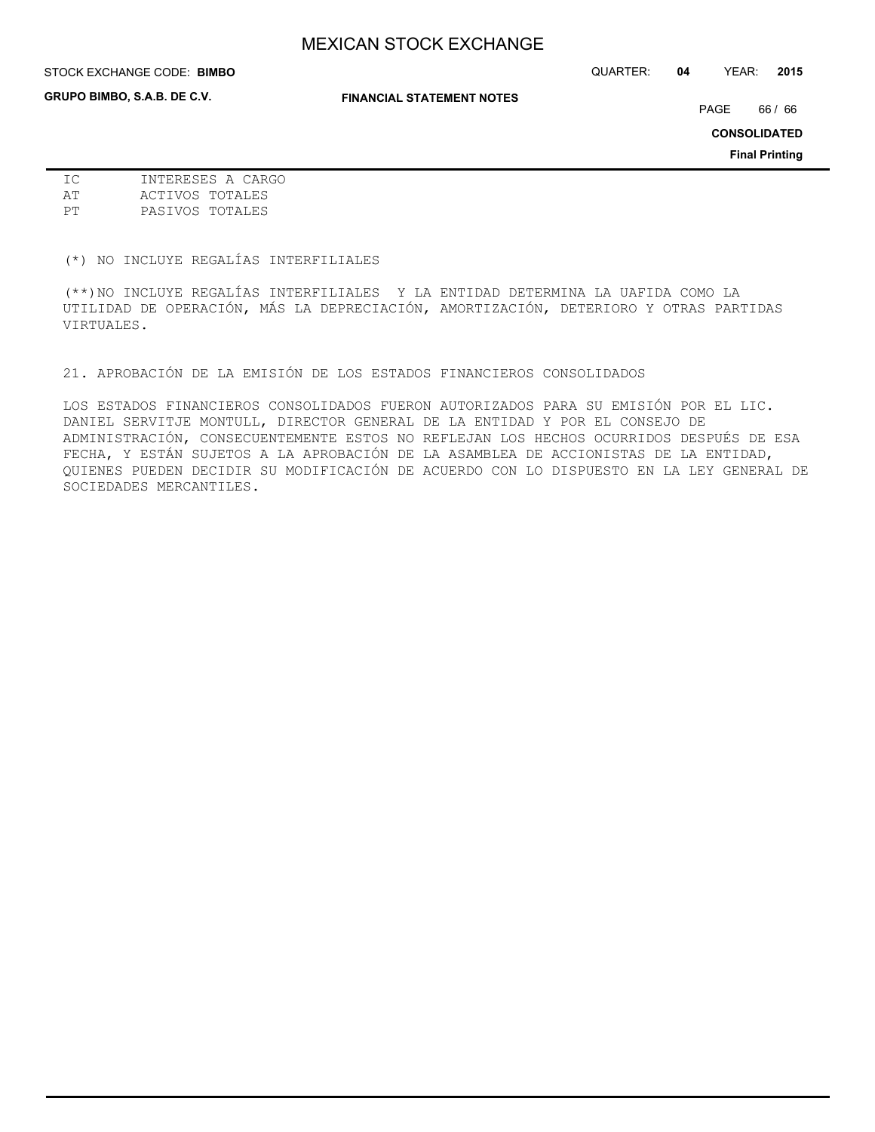**GRUPO BIMBO, S.A.B. DE C.V.**

STOCK EXCHANGE CODE: QUARTER: **04** YEAR: **2015 BIMBO**

**FINANCIAL STATEMENT NOTES**

PAGE 66 / 66

**CONSOLIDATED**

**Final Printing**

| TC. | INTERESES A CARGO |
|-----|-------------------|
| AΤ  | ACTIVOS TOTALES   |
| PТ  | PASIVOS TOTALES   |

(\*) NO INCLUYE REGALÍAS INTERFILIALES

(\*\*)NO INCLUYE REGALÍAS INTERFILIALES Y LA ENTIDAD DETERMINA LA UAFIDA COMO LA UTILIDAD DE OPERACIÓN, MÁS LA DEPRECIACIÓN, AMORTIZACIÓN, DETERIORO Y OTRAS PARTIDAS VIRTUALES.

21. APROBACIÓN DE LA EMISIÓN DE LOS ESTADOS FINANCIEROS CONSOLIDADOS

LOS ESTADOS FINANCIEROS CONSOLIDADOS FUERON AUTORIZADOS PARA SU EMISIÓN POR EL LIC. DANIEL SERVITJE MONTULL, DIRECTOR GENERAL DE LA ENTIDAD Y POR EL CONSEJO DE ADMINISTRACIÓN, CONSECUENTEMENTE ESTOS NO REFLEJAN LOS HECHOS OCURRIDOS DESPUÉS DE ESA FECHA, Y ESTÁN SUJETOS A LA APROBACIÓN DE LA ASAMBLEA DE ACCIONISTAS DE LA ENTIDAD, QUIENES PUEDEN DECIDIR SU MODIFICACIÓN DE ACUERDO CON LO DISPUESTO EN LA LEY GENERAL DE SOCIEDADES MERCANTILES.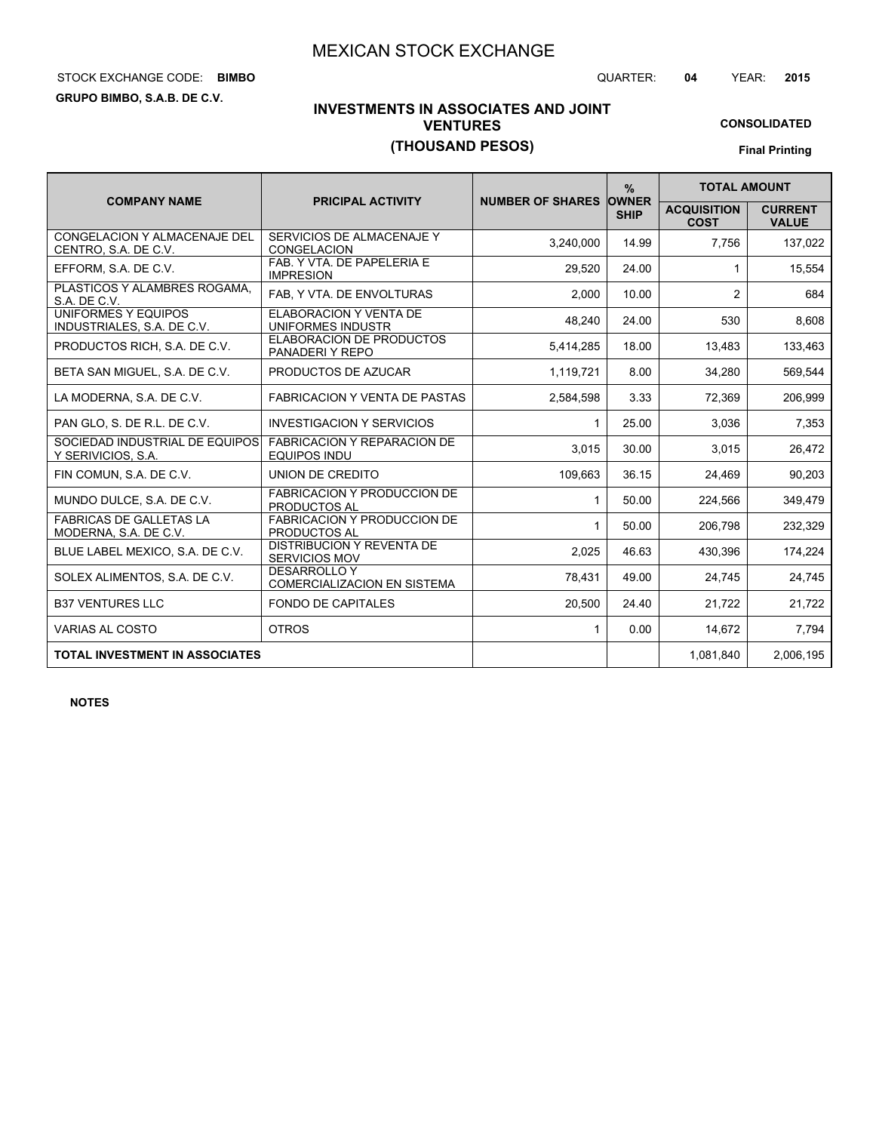# STOCK EXCHANGE CODE: QUARTER: **04** YEAR: **2015 BIMBO**

**GRUPO BIMBO, S.A.B. DE C.V.**

# **INVESTMENTS IN ASSOCIATES AND JOINT VENTURES (THOUSAND PESOS)**

**CONSOLIDATED**

|                                                         |                                                           |                               | $\frac{9}{6}$ | <b>TOTAL AMOUNT</b>               |                                |
|---------------------------------------------------------|-----------------------------------------------------------|-------------------------------|---------------|-----------------------------------|--------------------------------|
| <b>COMPANY NAME</b>                                     | <b>PRICIPAL ACTIVITY</b>                                  | <b>NUMBER OF SHARES OWNER</b> | <b>SHIP</b>   | <b>ACQUISITION</b><br><b>COST</b> | <b>CURRENT</b><br><b>VALUE</b> |
| CONGELACION Y ALMACENAJE DEL<br>CENTRO, S.A. DE C.V.    | SERVICIOS DE ALMACENAJE Y<br><b>CONGELACION</b>           | 3.240.000                     | 14.99         | 7,756                             | 137,022                        |
| EFFORM, S.A. DE C.V.                                    | FAB. Y VTA. DE PAPELERIA E<br><b>IMPRESION</b>            | 29,520                        | 24.00         | $\mathbf{1}$                      | 15,554                         |
| PLASTICOS Y ALAMBRES ROGAMA.<br>S.A. DE C.V.            | FAB, Y VTA. DE ENVOLTURAS                                 | 2,000                         | 10.00         | 2                                 | 684                            |
| UNIFORMES Y EQUIPOS<br>INDUSTRIALES, S.A. DE C.V.       | ELABORACION Y VENTA DE<br>UNIFORMES INDUSTR               | 48.240                        | 24.00         | 530                               | 8,608                          |
| PRODUCTOS RICH, S.A. DE C.V.                            | <b>ELABORACION DE PRODUCTOS</b><br>PANADERIY REPO         | 5,414,285                     | 18.00         | 13,483                            | 133,463                        |
| BETA SAN MIGUEL, S.A. DE C.V.                           | PRODUCTOS DE AZUCAR                                       | 1,119,721                     | 8.00          | 34,280                            | 569,544                        |
| LA MODERNA, S.A. DE C.V.                                | <b>FABRICACION Y VENTA DE PASTAS</b>                      | 2,584,598                     | 3.33          | 72,369                            | 206,999                        |
| PAN GLO, S. DE R.L. DE C.V.                             | <b>INVESTIGACION Y SERVICIOS</b>                          | $\mathbf{1}$                  | 25.00         | 3.036                             | 7,353                          |
| SOCIEDAD INDUSTRIAL DE EQUIPOS<br>Y SERIVICIOS, S.A.    | <b>FABRICACION Y REPARACION DE</b><br><b>EQUIPOS INDU</b> | 3,015                         | 30.00         | 3,015                             | 26,472                         |
| FIN COMUN, S.A. DE C.V.                                 | UNION DE CREDITO                                          | 109,663                       | 36.15         | 24,469                            | 90,203                         |
| MUNDO DULCE, S.A. DE C.V.                               | <b>FABRICACION Y PRODUCCION DE</b><br><b>PRODUCTOS AL</b> | $\mathbf 1$                   | 50.00         | 224,566                           | 349,479                        |
| <b>FABRICAS DE GALLETAS LA</b><br>MODERNA, S.A. DE C.V. | <b>FABRICACION Y PRODUCCION DE</b><br><b>PRODUCTOS AL</b> | $\mathbf{1}$                  | 50.00         | 206,798                           | 232,329                        |
| BLUE LABEL MEXICO, S.A. DE C.V.                         | <b>DISTRIBUCION Y REVENTA DE</b><br><b>SERVICIOS MOV</b>  | 2,025                         | 46.63         | 430,396                           | 174,224                        |
| SOLEX ALIMENTOS, S.A. DE C.V.                           | <b>DESARROLLO Y</b><br><b>COMERCIALIZACION EN SISTEMA</b> | 78,431                        | 49.00         | 24,745                            | 24,745                         |
| <b>B37 VENTURES LLC</b>                                 | <b>FONDO DE CAPITALES</b>                                 | 20,500                        | 24.40         | 21,722                            | 21.722                         |
| <b>VARIAS AL COSTO</b>                                  | <b>OTROS</b>                                              | $\mathbf{1}$                  | 0.00          | 14,672                            | 7.794                          |
| <b>TOTAL INVESTMENT IN ASSOCIATES</b>                   |                                                           |                               |               | 1.081.840                         | 2.006.195                      |

**NOTES**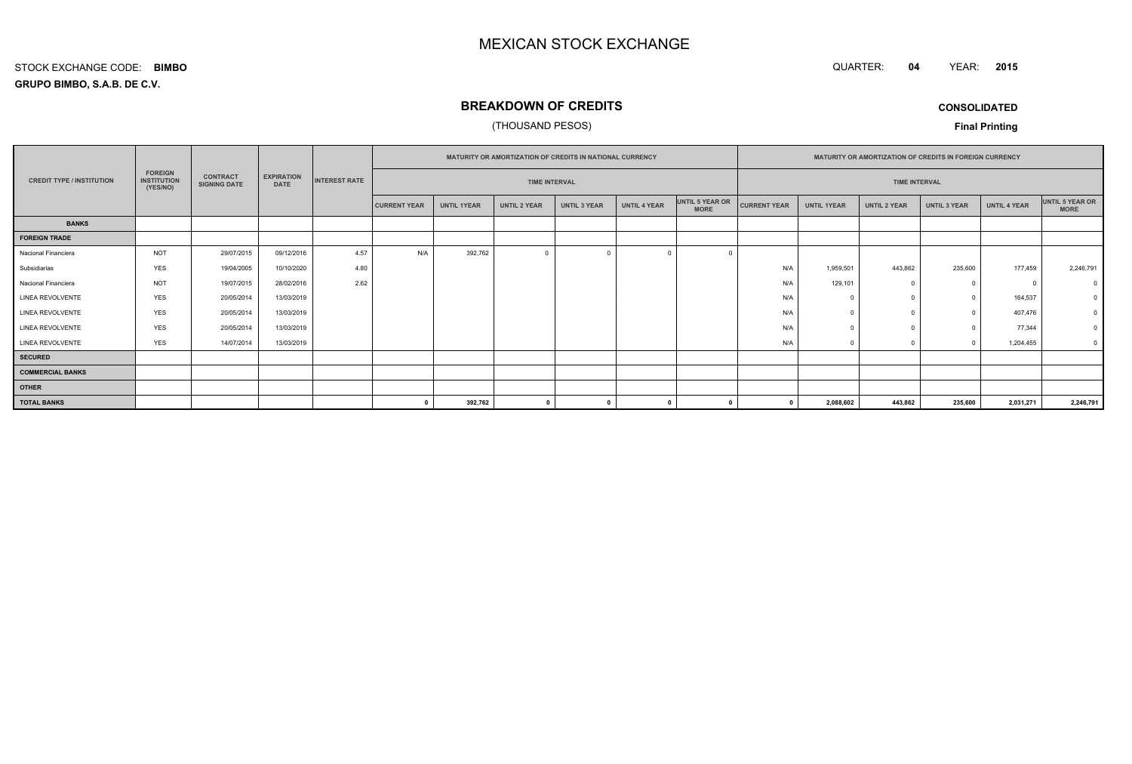QUARTER: **04**YEAR: **<sup>2015</sup>**

#### **GRUPO BIMBO, S.A.B. DE C.V.**STOCK EXCHANGE CODE:**BIMBO**

# **BREAKDOWN OF CREDITS**

## (THOUSAND PESOS)

**CONSOLIDATED**

|                                  |                                                  |                                        |                                  |      | MATURITY OR AMORTIZATION OF CREDITS IN NATIONAL CURRENCY |                    |                      |                     |                     |                                | MATURITY OR AMORTIZATION OF CREDITS IN FOREIGN CURRENCY |                    |                     |                     |                      |                                |  |  |  |
|----------------------------------|--------------------------------------------------|----------------------------------------|----------------------------------|------|----------------------------------------------------------|--------------------|----------------------|---------------------|---------------------|--------------------------------|---------------------------------------------------------|--------------------|---------------------|---------------------|----------------------|--------------------------------|--|--|--|
| <b>CREDIT TYPE / INSTITUTION</b> | <b>FOREIGN</b><br><b>INSTITUTION</b><br>(YES/NO) | <b>CONTRACT</b><br><b>SIGNING DATE</b> | <b>EXPIRATION</b><br><b>DATE</b> |      |                                                          |                    | <b>INTEREST RATE</b> |                     |                     | <b>TIME INTERVAL</b>           |                                                         |                    |                     |                     | <b>TIME INTERVAL</b> |                                |  |  |  |
|                                  |                                                  |                                        |                                  |      | <b>CURRENT YEAR</b>                                      | <b>UNTIL 1YEAR</b> | UNTIL 2 YEAR         | <b>UNTIL 3 YEAR</b> | <b>UNTIL 4 YEAR</b> | UNTIL 5 YEAR OR<br><b>MORE</b> | <b>CURRENT YEAR</b>                                     | <b>UNTIL 1YEAR</b> | <b>UNTIL 2 YEAR</b> | <b>UNTIL 3 YEAR</b> | <b>UNTIL 4 YEAR</b>  | UNTIL 5 YEAR OR<br><b>MORE</b> |  |  |  |
| <b>BANKS</b>                     |                                                  |                                        |                                  |      |                                                          |                    |                      |                     |                     |                                |                                                         |                    |                     |                     |                      |                                |  |  |  |
| <b>FOREIGN TRADE</b>             |                                                  |                                        |                                  |      |                                                          |                    |                      |                     |                     |                                |                                                         |                    |                     |                     |                      |                                |  |  |  |
| Nacional Financiera              | <b>NOT</b>                                       | 29/07/2015                             | 09/12/2016                       | 4.57 | N/A                                                      | 392,762            | $\overline{0}$       |                     |                     |                                |                                                         |                    |                     |                     |                      |                                |  |  |  |
| Subsidiarias                     | <b>YES</b>                                       | 19/04/2005                             | 10/10/2020                       | 4.80 |                                                          |                    |                      |                     |                     |                                | N/A                                                     | 1,959,501          | 443,862             | 235,600             | 177,459              | 2,246,791                      |  |  |  |
| Nacional Financiera              | <b>NOT</b>                                       | 19/07/2015                             | 28/02/2016                       | 2.62 |                                                          |                    |                      |                     |                     |                                | N/A                                                     | 129,101            |                     | $^{\circ}$          | $\Omega$             |                                |  |  |  |
| LINEA REVOLVENTE                 | <b>YES</b>                                       | 20/05/2014                             | 13/03/2019                       |      |                                                          |                    |                      |                     |                     |                                | N/A                                                     |                    |                     | $\mathbf{0}$        | 164,537              |                                |  |  |  |
| LINEA REVOLVENTE                 | <b>YES</b>                                       | 20/05/2014                             | 13/03/2019                       |      |                                                          |                    |                      |                     |                     |                                | N/A                                                     |                    |                     | $^{\circ}$          | 407,476              |                                |  |  |  |
| <b>LINEA REVOLVENTE</b>          | <b>YES</b>                                       | 20/05/2014                             | 13/03/2019                       |      |                                                          |                    |                      |                     |                     |                                | N/A                                                     |                    |                     | $\Omega$            | 77,344               |                                |  |  |  |
| LINEA REVOLVENTE                 | <b>YES</b>                                       | 14/07/2014                             | 13/03/2019                       |      |                                                          |                    |                      |                     |                     |                                | N/A                                                     |                    |                     | $\Omega$            | 1,204,455            | $\overline{\mathbf{0}}$        |  |  |  |
| <b>SECURED</b>                   |                                                  |                                        |                                  |      |                                                          |                    |                      |                     |                     |                                |                                                         |                    |                     |                     |                      |                                |  |  |  |
| <b>COMMERCIAL BANKS</b>          |                                                  |                                        |                                  |      |                                                          |                    |                      |                     |                     |                                |                                                         |                    |                     |                     |                      |                                |  |  |  |
| <b>OTHER</b>                     |                                                  |                                        |                                  |      |                                                          |                    |                      |                     |                     |                                |                                                         |                    |                     |                     |                      |                                |  |  |  |
| <b>TOTAL BANKS</b>               |                                                  |                                        |                                  |      |                                                          | 392,762            | $\mathbf{a}$         |                     |                     |                                |                                                         | 2,088,602          | 443,862             | 235,600             | 2,031,271            | 2,246,791                      |  |  |  |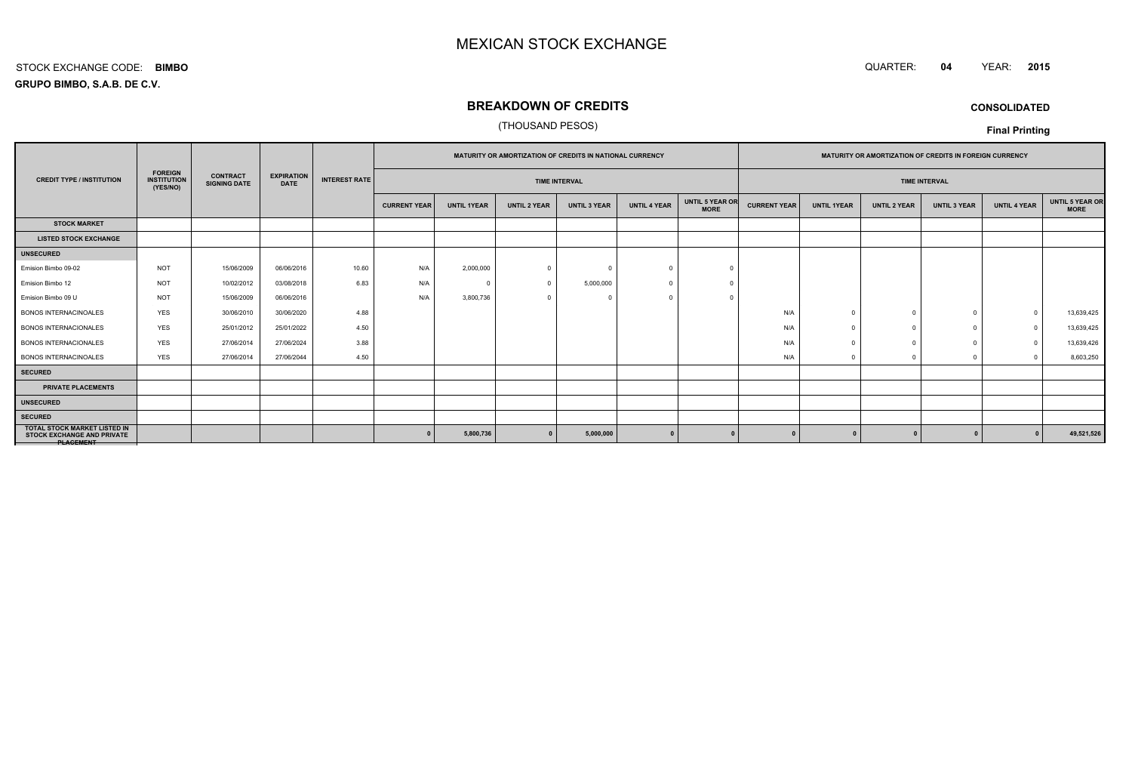#### QUARTER: **<sup>04</sup>**QUARTER: 04 YEAR: 2015

**GRUPO BIMBO, S.A.B. DE C.V.**STOCK EXCHANGE CODE:**BIMBO**

# **BREAKDOWN OF CREDITS**

## (THOUSAND PESOS)

**CONSOLIDATED**

|                                                                                              |                                                  |                                        | <b>EXPIRATION</b><br><b>DATE</b> | <b>INTEREST RATE</b> | <b>MATURITY OR AMORTIZATION OF CREDITS IN NATIONAL CURRENCY</b> |                      |                     |                     | <b>MATURITY OR AMORTIZATION OF CREDITS IN FOREIGN CURRENCY</b> |                                |                     |                    |                     |                      |                     |                                       |
|----------------------------------------------------------------------------------------------|--------------------------------------------------|----------------------------------------|----------------------------------|----------------------|-----------------------------------------------------------------|----------------------|---------------------|---------------------|----------------------------------------------------------------|--------------------------------|---------------------|--------------------|---------------------|----------------------|---------------------|---------------------------------------|
| <b>CREDIT TYPE / INSTITUTION</b>                                                             | <b>FOREIGN</b><br><b>INSTITUTION</b><br>(YES/NO) | <b>CONTRACT</b><br><b>SIGNING DATE</b> |                                  |                      |                                                                 | <b>TIME INTERVAL</b> |                     |                     |                                                                |                                |                     |                    |                     | <b>TIME INTERVAL</b> |                     |                                       |
|                                                                                              |                                                  |                                        |                                  |                      | <b>CURRENT YEAR</b>                                             | <b>UNTIL 1YEAR</b>   | <b>UNTIL 2 YEAR</b> | <b>UNTIL 3 YEAR</b> | <b>UNTIL 4 YEAR</b>                                            | UNTIL 5 YEAR OR<br><b>MORE</b> | <b>CURRENT YEAR</b> | <b>UNTIL 1YEAR</b> | <b>UNTIL 2 YEAR</b> | <b>UNTIL 3 YEAR</b>  | <b>UNTIL 4 YEAR</b> | <b>UNTIL 5 YEAR OR</b><br><b>MORE</b> |
| <b>STOCK MARKET</b>                                                                          |                                                  |                                        |                                  |                      |                                                                 |                      |                     |                     |                                                                |                                |                     |                    |                     |                      |                     |                                       |
| <b>LISTED STOCK EXCHANGE</b>                                                                 |                                                  |                                        |                                  |                      |                                                                 |                      |                     |                     |                                                                |                                |                     |                    |                     |                      |                     |                                       |
| <b>UNSECURED</b>                                                                             |                                                  |                                        |                                  |                      |                                                                 |                      |                     |                     |                                                                |                                |                     |                    |                     |                      |                     |                                       |
| Emision Bimbo 09-02                                                                          | <b>NOT</b>                                       | 15/06/2009                             | 06/06/2016                       | 10.60                | N/A                                                             | 2,000,000            | $\Omega$            |                     |                                                                |                                |                     |                    |                     |                      |                     |                                       |
| Emision Bimbo 12                                                                             | <b>NOT</b>                                       | 10/02/2012                             | 03/08/2018                       | 6.83                 | N/A                                                             |                      | $\Omega$            | 5,000,000           |                                                                |                                |                     |                    |                     |                      |                     |                                       |
| Emision Bimbo 09 U                                                                           | <b>NOT</b>                                       | 15/06/2009                             | 06/06/2016                       |                      | N/A                                                             | 3,800,736            | $\Omega$            |                     |                                                                |                                |                     |                    |                     |                      |                     |                                       |
| <b>BONOS INTERNACINOALES</b>                                                                 | <b>YES</b>                                       | 30/06/2010                             | 30/06/2020                       | 4.88                 |                                                                 |                      |                     |                     |                                                                |                                | N/A                 | $\cap$             |                     | $\Omega$             | $\Omega$            | 13,639,425                            |
| <b>BONOS INTERNACIONALES</b>                                                                 | <b>YES</b>                                       | 25/01/2012                             | 25/01/2022                       | 4.50                 |                                                                 |                      |                     |                     |                                                                |                                | N/A                 |                    |                     |                      | $\Omega$            | 13,639,425                            |
| <b>BONOS INTERNACIONALES</b>                                                                 | <b>YES</b>                                       | 27/06/2014                             | 27/06/2024                       | 3.88                 |                                                                 |                      |                     |                     |                                                                |                                | N/A                 |                    |                     |                      | $\Omega$            | 13,639,426                            |
| <b>BONOS INTERNACINOALES</b>                                                                 | <b>YES</b>                                       | 27/06/2014                             | 27/06/2044                       | 4.50                 |                                                                 |                      |                     |                     |                                                                |                                | N/A                 |                    |                     |                      |                     | 8,603,250                             |
| <b>SECURED</b>                                                                               |                                                  |                                        |                                  |                      |                                                                 |                      |                     |                     |                                                                |                                |                     |                    |                     |                      |                     |                                       |
| <b>PRIVATE PLACEMENTS</b>                                                                    |                                                  |                                        |                                  |                      |                                                                 |                      |                     |                     |                                                                |                                |                     |                    |                     |                      |                     |                                       |
| <b>UNSECURED</b>                                                                             |                                                  |                                        |                                  |                      |                                                                 |                      |                     |                     |                                                                |                                |                     |                    |                     |                      |                     |                                       |
| <b>SECURED</b>                                                                               |                                                  |                                        |                                  |                      |                                                                 |                      |                     |                     |                                                                |                                |                     |                    |                     |                      |                     |                                       |
| <b>TOTAL STOCK MARKET LISTED IN</b><br><b>STOCK EXCHANGE AND PRIVATE</b><br><b>PLAGEMENT</b> |                                                  |                                        |                                  |                      |                                                                 | 5,800,736            |                     | 5,000,000           |                                                                |                                |                     |                    |                     |                      |                     | 49,521,526                            |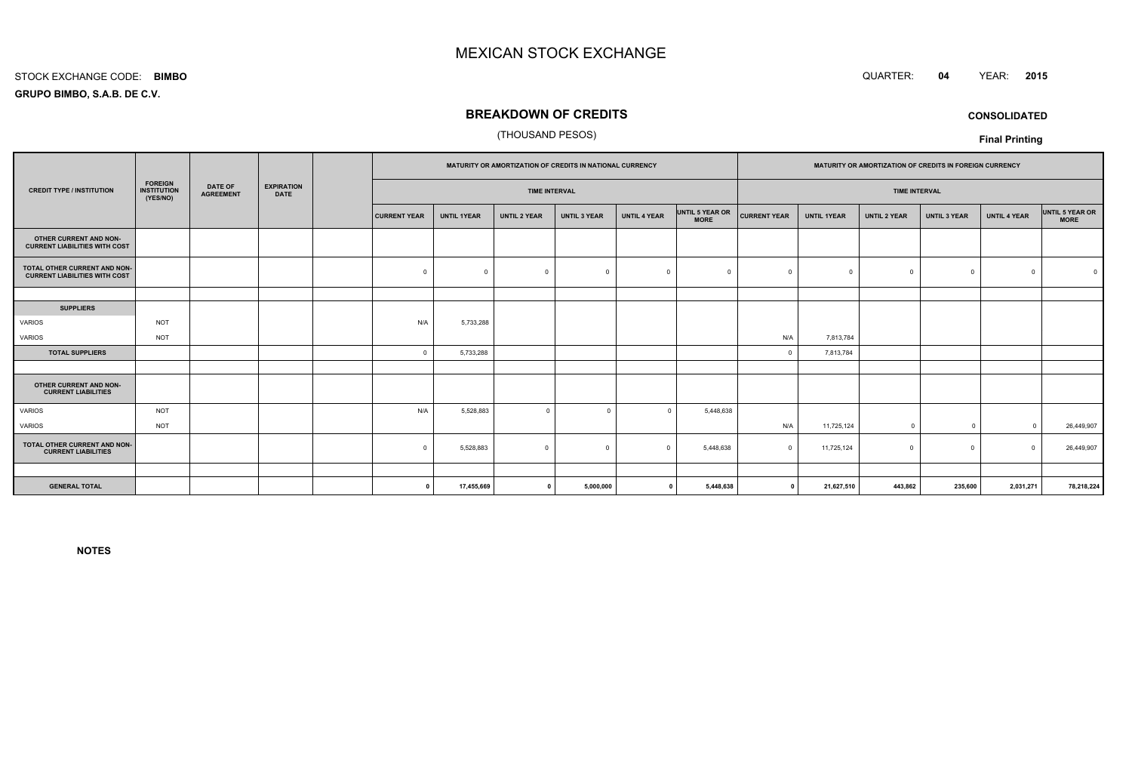#### STOCK EXCHANGE CODE:**BIMBO**

**GRUPO BIMBO, S.A.B. DE C.V.**

# **BREAKDOWN OF CREDITS**

## (THOUSAND PESOS)

|                                                                                      |            |                                    |                                  |                      | MATURITY OR AMORTIZATION OF CREDITS IN NATIONAL CURRENCY |                     |                     |                     | MATURITY OR AMORTIZATION OF CREDITS IN FOREIGN CURRENCY |                      |                    |                     |                     |                     |                                |
|--------------------------------------------------------------------------------------|------------|------------------------------------|----------------------------------|----------------------|----------------------------------------------------------|---------------------|---------------------|---------------------|---------------------------------------------------------|----------------------|--------------------|---------------------|---------------------|---------------------|--------------------------------|
| <b>FOREIGN</b><br><b>CREDIT TYPE / INSTITUTION</b><br><b>INSTITUTION</b><br>(YES/NO) |            | <b>DATE OF</b><br><b>AGREEMENT</b> | <b>EXPIRATION</b><br><b>DATE</b> | <b>TIME INTERVAL</b> |                                                          |                     |                     |                     |                                                         | <b>TIME INTERVAL</b> |                    |                     |                     |                     |                                |
|                                                                                      |            |                                    |                                  | <b>CURRENT YEAR</b>  | <b>UNTIL 1YEAR</b>                                       | <b>UNTIL 2 YEAR</b> | <b>UNTIL 3 YEAR</b> | <b>UNTIL 4 YEAR</b> | UNTIL 5 YEAR OR<br><b>MORE</b>                          | <b>CURRENT YEAR</b>  | <b>UNTIL 1YEAR</b> | <b>UNTIL 2 YEAR</b> | <b>UNTIL 3 YEAR</b> | <b>UNTIL 4 YEAR</b> | UNTIL 5 YEAR OR<br><b>MORE</b> |
| OTHER CURRENT AND NON-<br><b>CURRENT LIABILITIES WITH COST</b>                       |            |                                    |                                  |                      |                                                          |                     |                     |                     |                                                         |                      |                    |                     |                     |                     |                                |
| TOTAL OTHER CURRENT AND NON-<br><b>CURRENT LIABILITIES WITH COST</b>                 |            |                                    |                                  | $\mathbf 0$          | $\Omega$                                                 | $\mathbf 0$         | $\Omega$            | $\Omega$            | $\Omega$                                                |                      | $\Omega$           | $\Omega$            | $\mathbf 0$         | $\Omega$            |                                |
|                                                                                      |            |                                    |                                  |                      |                                                          |                     |                     |                     |                                                         |                      |                    |                     |                     |                     |                                |
| <b>SUPPLIERS</b>                                                                     |            |                                    |                                  |                      |                                                          |                     |                     |                     |                                                         |                      |                    |                     |                     |                     |                                |
| VARIOS                                                                               | <b>NOT</b> |                                    |                                  | N/A                  | 5,733,288                                                |                     |                     |                     |                                                         |                      |                    |                     |                     |                     |                                |
| VARIOS                                                                               | <b>NOT</b> |                                    |                                  |                      |                                                          |                     |                     |                     |                                                         | N/A                  | 7,813,784          |                     |                     |                     |                                |
| <b>TOTAL SUPPLIERS</b>                                                               |            |                                    |                                  | $\Omega$             | 5,733,288                                                |                     |                     |                     |                                                         | $\Omega$             | 7,813,784          |                     |                     |                     |                                |
|                                                                                      |            |                                    |                                  |                      |                                                          |                     |                     |                     |                                                         |                      |                    |                     |                     |                     |                                |
| OTHER CURRENT AND NON-<br><b>CURRENT LIABILITIES</b>                                 |            |                                    |                                  |                      |                                                          |                     |                     |                     |                                                         |                      |                    |                     |                     |                     |                                |
| <b>VARIOS</b>                                                                        | <b>NOT</b> |                                    |                                  | N/A                  | 5,528,883                                                | $\mathbf 0$         | $\Omega$            | $\Omega$            | 5,448,638                                               |                      |                    |                     |                     |                     |                                |
| VARIOS                                                                               | <b>NOT</b> |                                    |                                  |                      |                                                          |                     |                     |                     |                                                         | N/A                  | 11,725,124         | $^{\circ}$          | $\overline{0}$      | $\Omega$            | 26,449,907                     |
| TOTAL OTHER CURRENT AND NON-<br><b>CURRENT LIABILITIES</b>                           |            |                                    |                                  | $\Omega$             | 5,528,883                                                | $\mathbf 0$         | $\overline{0}$      | $\Omega$            | 5,448,638                                               | $\Omega$             | 11,725,124         | $\Omega$            | $^{\circ}$          | $\Omega$            | 26,449,907                     |
|                                                                                      |            |                                    |                                  |                      |                                                          |                     |                     |                     |                                                         |                      |                    |                     |                     |                     |                                |
| <b>GENERAL TOTAL</b>                                                                 |            |                                    |                                  | $\Omega$             | 17,455,669                                               | $\mathbf{0}$        | 5,000,000           | $\mathbf{0}$        | 5,448,638                                               | $\mathbf 0$          | 21,627,510         | 443,862             | 235,600             | 2,031,271           | 78,218,224                     |

**NOTES**



**Final Printing**

 QUARTER: **<sup>04</sup>**YEAR: **<sup>2015</sup>**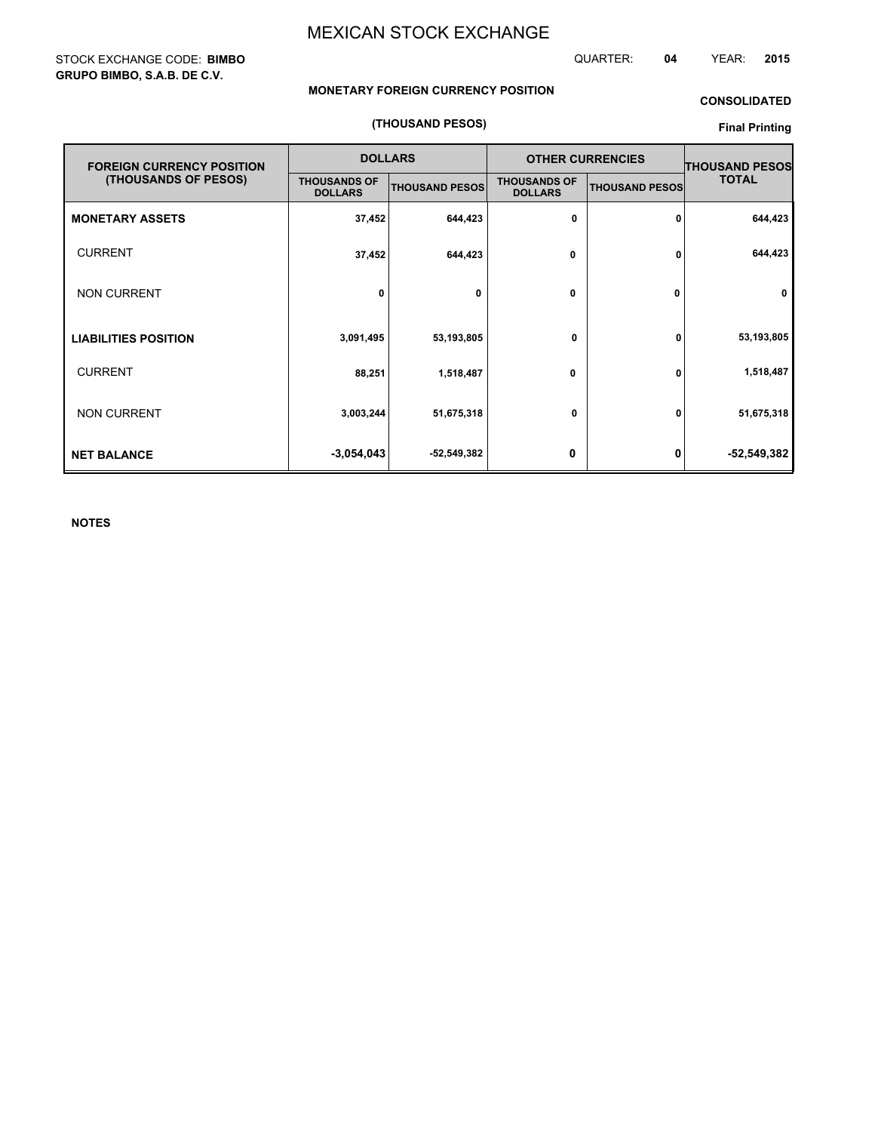## STOCK EXCHANGE CODE: **BIMBO GRUPO BIMBO, S.A.B. DE C.V.**

QUARTER: **04** YEAR: **2015**

## **MONETARY FOREIGN CURRENCY POSITION**

## **CONSOLIDATED**

#### **(THOUSAND PESOS)**

## **Final Printing**

| <b>FOREIGN CURRENCY POSITION</b> |                                       | <b>DOLLARS</b>        | <b>OTHER CURRENCIES</b>               | <b>THOUSAND PESOS</b> |              |
|----------------------------------|---------------------------------------|-----------------------|---------------------------------------|-----------------------|--------------|
| (THOUSANDS OF PESOS)             | <b>THOUSANDS OF</b><br><b>DOLLARS</b> | <b>THOUSAND PESOS</b> | <b>THOUSANDS OF</b><br><b>DOLLARS</b> | <b>THOUSAND PESOS</b> | <b>TOTAL</b> |
| <b>MONETARY ASSETS</b>           | 37,452                                | 644,423               | 0                                     | 0                     | 644,423      |
| <b>CURRENT</b>                   | 37,452                                | 644,423               | 0                                     | 0                     | 644,423      |
| <b>NON CURRENT</b>               | 0                                     | 0                     | 0                                     | 0                     | $\mathbf 0$  |
| <b>LIABILITIES POSITION</b>      | 3,091,495                             | 53,193,805            | 0                                     | 0                     | 53,193,805   |
| <b>CURRENT</b>                   | 88,251                                | 1,518,487             | 0                                     | 0                     | 1,518,487    |
| <b>NON CURRENT</b>               | 3,003,244                             | 51,675,318            | 0                                     | 0                     | 51,675,318   |
| <b>NET BALANCE</b>               | $-3,054,043$                          | -52,549,382           | 0                                     | 0                     | -52,549,382  |

**NOTES**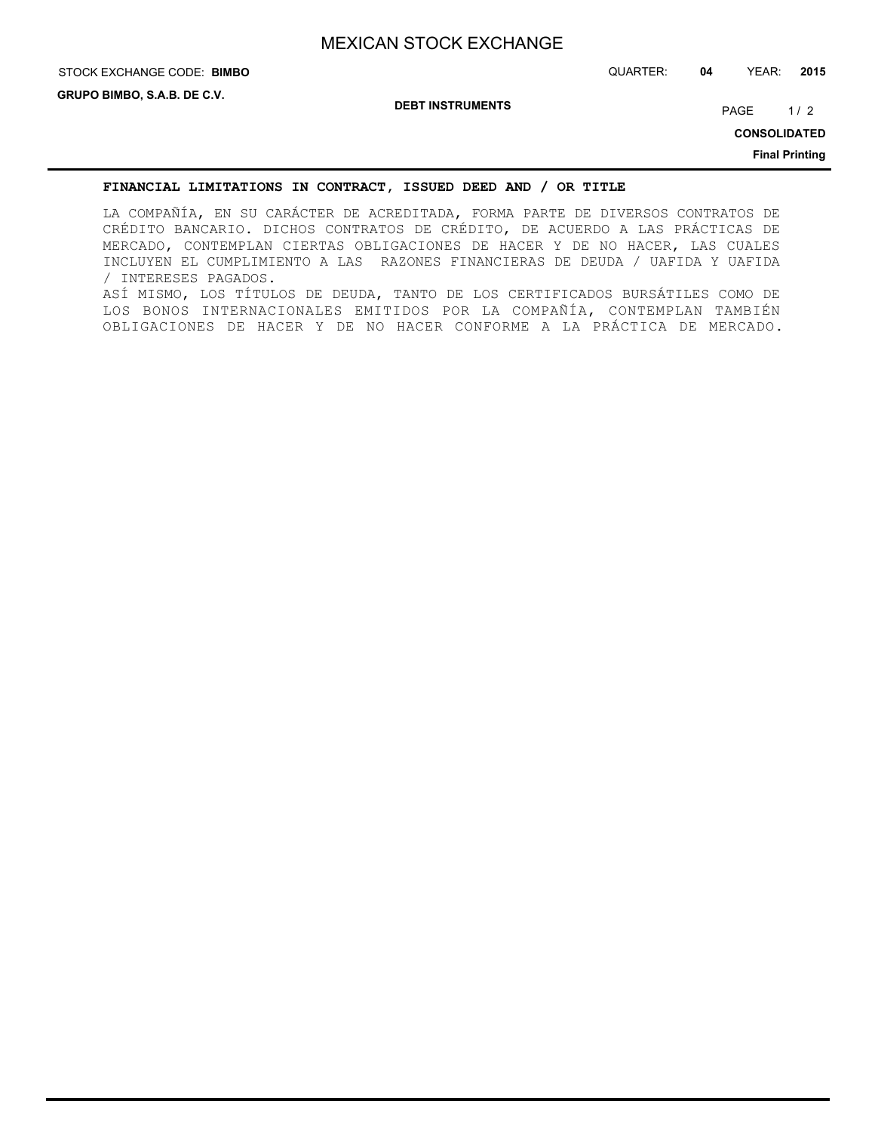# **STOCK EXCHANGE CODE: BIMBO**

**DEBT INSTRUMENTS**

PAGE 1/2

**CONSOLIDATED**

**Final Printing**

#### **FINANCIAL LIMITATIONS IN CONTRACT, ISSUED DEED AND / OR TITLE**

LA COMPAÑÍA, EN SU CARÁCTER DE ACREDITADA, FORMA PARTE DE DIVERSOS CONTRATOS DE CRÉDITO BANCARIO. DICHOS CONTRATOS DE CRÉDITO, DE ACUERDO A LAS PRÁCTICAS DE MERCADO, CONTEMPLAN CIERTAS OBLIGACIONES DE HACER Y DE NO HACER, LAS CUALES INCLUYEN EL CUMPLIMIENTO A LAS RAZONES FINANCIERAS DE DEUDA / UAFIDA Y UAFIDA / INTERESES PAGADOS. ASÍ MISMO, LOS TÍTULOS DE DEUDA, TANTO DE LOS CERTIFICADOS BURSÁTILES COMO DE LOS BONOS INTERNACIONALES EMITIDOS POR LA COMPAÑÍA, CONTEMPLAN TAMBIÉN OBLIGACIONES DE HACER Y DE NO HACER CONFORME A LA PRÁCTICA DE MERCADO.

STOCK EXCHANGE CODE: QUARTER: **04** YEAR: **2015**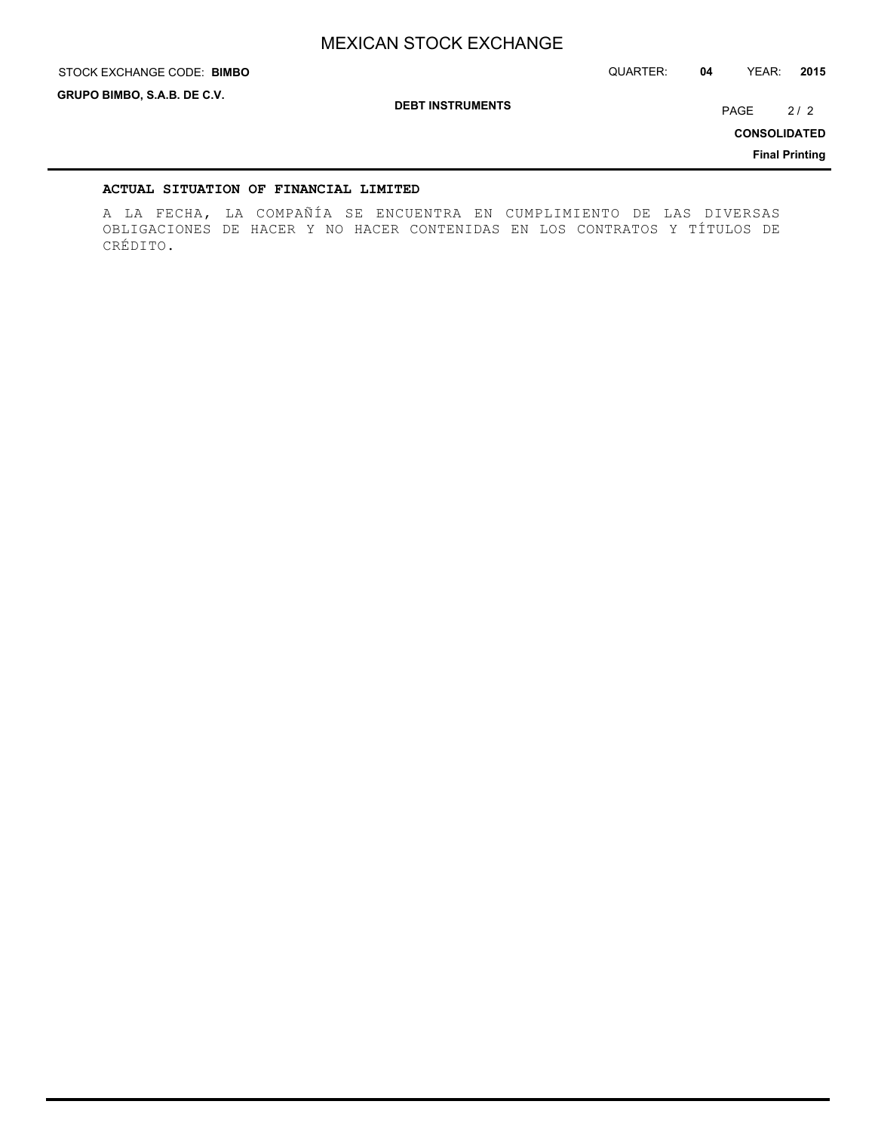STOCK EXCHANGE CODE: QUARTER: **04** YEAR: **2015**

**GRUPO BIMBO, S.A.B. DE C.V.**

**STOCK EXCHANGE CODE: BIMBO** 

**DEBT INSTRUMENTS**

PAGE 2/2

**CONSOLIDATED**

**Final Printing**

## **ACTUAL SITUATION OF FINANCIAL LIMITED**

A LA FECHA, LA COMPAÑÍA SE ENCUENTRA EN CUMPLIMIENTO DE LAS DIVERSAS OBLIGACIONES DE HACER Y NO HACER CONTENIDAS EN LOS CONTRATOS Y TÍTULOS DE CRÉDITO.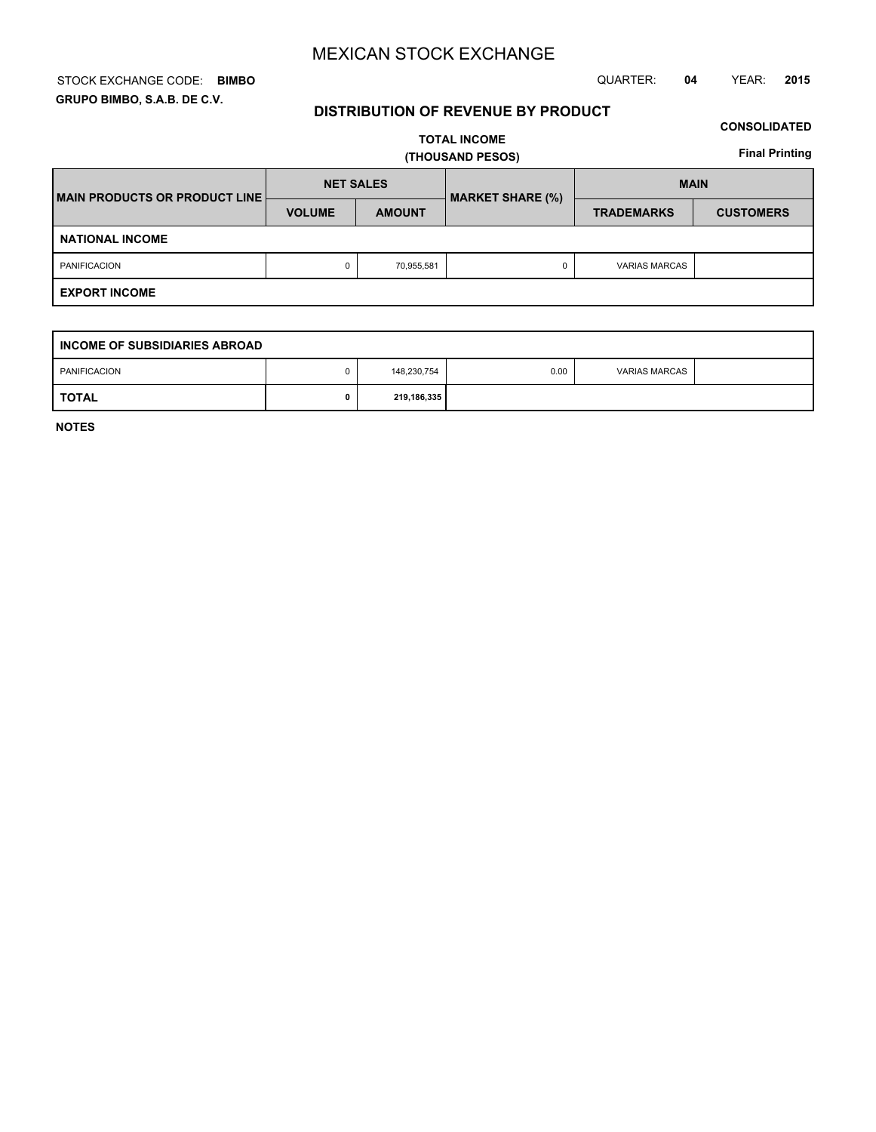## STOCK EXCHANGE CODE: QUARTER: **04** YEAR: **2015 BIMBO GRUPO BIMBO, S.A.B. DE C.V.**

# **DISTRIBUTION OF REVENUE BY PRODUCT**

## **CONSOLIDATED**

**TOTAL INCOME (THOUSAND PESOS)**

**Final Printing**

| <b>IMAIN PRODUCTS OR PRODUCT LINE!</b> |               | <b>NET SALES</b><br><b>MARKET SHARE (%)</b> |  | <b>MAIN</b>          |                  |
|----------------------------------------|---------------|---------------------------------------------|--|----------------------|------------------|
|                                        | <b>VOLUME</b> | <b>AMOUNT</b>                               |  | <b>TRADEMARKS</b>    | <b>CUSTOMERS</b> |
| <b>NATIONAL INCOME</b>                 |               |                                             |  |                      |                  |
| <b>PANIFICACION</b>                    | 0             | 70,955,581                                  |  | <b>VARIAS MARCAS</b> |                  |
| <b>EXPORT INCOME</b>                   |               |                                             |  |                      |                  |

| I INCOME OF SUBSIDIARIES ABROAD |  |             |      |                      |  |
|---------------------------------|--|-------------|------|----------------------|--|
| <b>PANIFICACION</b>             |  | 148,230,754 | 0.00 | <b>VARIAS MARCAS</b> |  |
| <b>TOTAL</b>                    |  | 219,186,335 |      |                      |  |

**NOTES**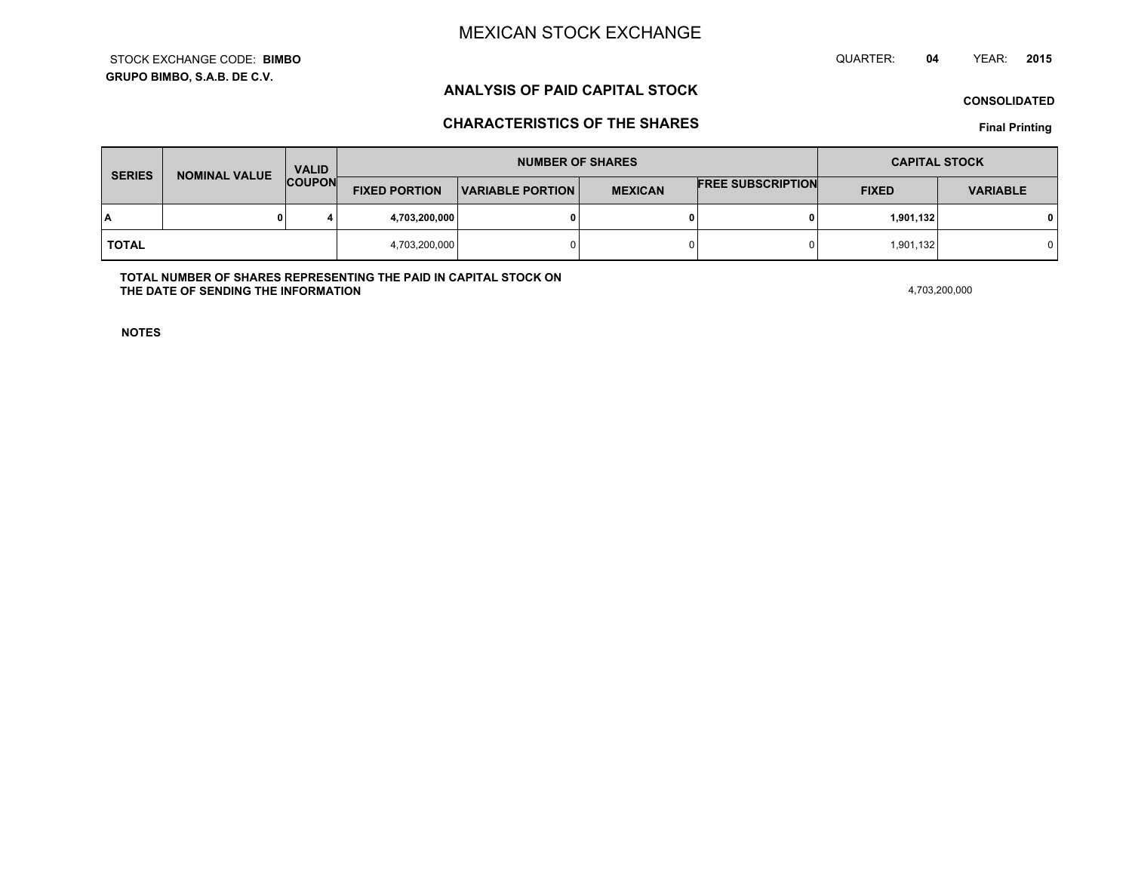**GRUPO BIMBO, S.A.B. DE C.V.**STOCK EXCHANGE CODE:**BIMBO** QUARTER: **04**YEAR: **<sup>2015</sup>**

# **ANALYSIS OF PAID CAPITAL STOCK**

**CONSOLIDATED**

# **CHARACTERISTICS OF THE SHARES**

**Final Printing**

| <b>SERIES</b> | <b>NOMINAL VALUE</b> | <b>VALID</b>  |                      | <b>NUMBER OF SHARES</b> |                |                          | <b>CAPITAL STOCK</b> |                 |
|---------------|----------------------|---------------|----------------------|-------------------------|----------------|--------------------------|----------------------|-----------------|
|               |                      | <b>COUPON</b> | <b>FIXED PORTION</b> | <b>VARIABLE PORTION</b> | <b>MEXICAN</b> | <b>FREE SUBSCRIPTION</b> | <b>FIXED</b>         | <b>VARIABLE</b> |
| ١A            |                      |               | 4,703,200,000        |                         | 0              |                          | 1,901,132            | 0 I             |
| <b>TOTAL</b>  |                      |               | 4,703,200,000        |                         | 0              |                          | 1,901,132            |                 |

**TOTAL NUMBER OF SHARES REPRESENTING THE PAID IN CAPITAL STOCK ONTHE DATE OF SENDING THE INFORMATIONN** 4,703,200,000

**NOTES**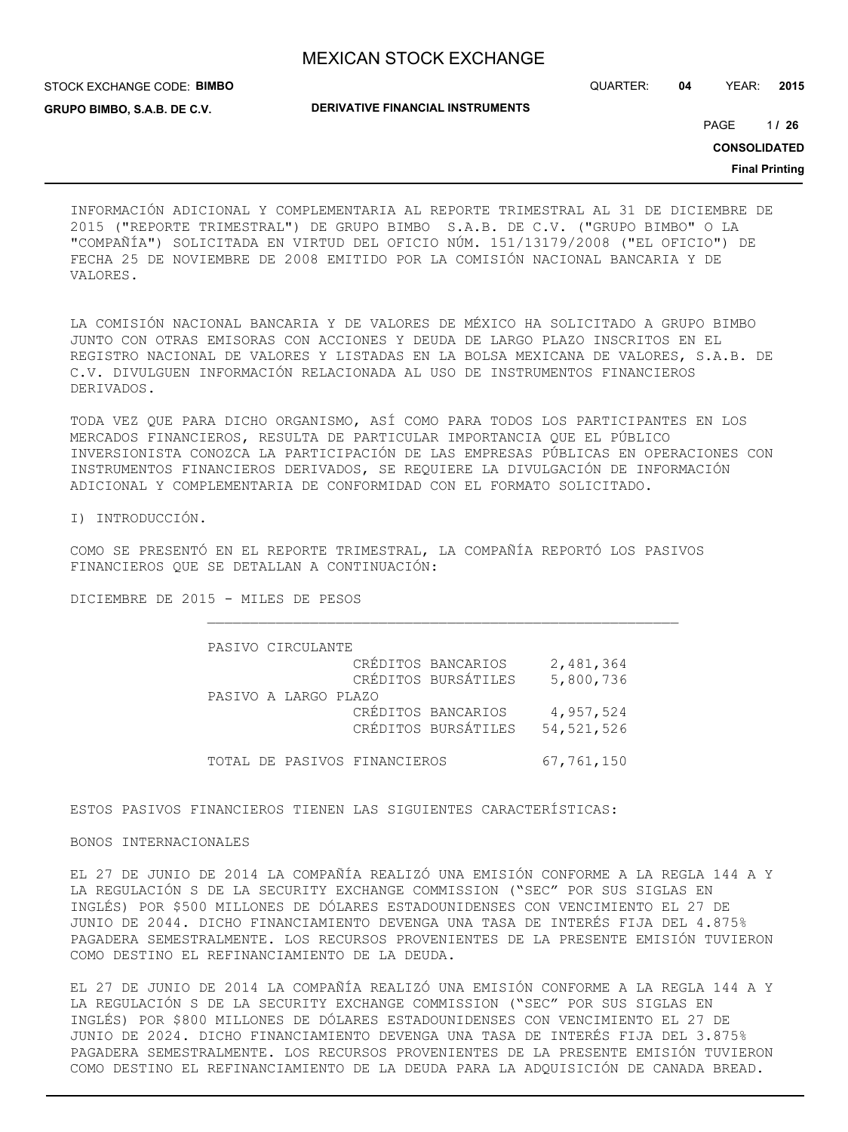STOCK EXCHANGE CODE: **BIMBO GRUPO BIMBO, S.A.B. DE C.V.**

QUARTER: **04** YEAR: **2015**

**DERIVATIVE FINANCIAL INSTRUMENTS**

1 PAGE **/ 26**

**CONSOLIDATED**

**Final Printing**

INFORMACIÓN ADICIONAL Y COMPLEMENTARIA AL REPORTE TRIMESTRAL AL 31 DE DICIEMBRE DE 2015 ("REPORTE TRIMESTRAL") DE GRUPO BIMBO S.A.B. DE C.V. ("GRUPO BIMBO" O LA "COMPAÑÍA") SOLICITADA EN VIRTUD DEL OFICIO NÚM. 151/13179/2008 ("EL OFICIO") DE FECHA 25 DE NOVIEMBRE DE 2008 EMITIDO POR LA COMISIÓN NACIONAL BANCARIA Y DE VALORES.

LA COMISIÓN NACIONAL BANCARIA Y DE VALORES DE MÉXICO HA SOLICITADO A GRUPO BIMBO JUNTO CON OTRAS EMISORAS CON ACCIONES Y DEUDA DE LARGO PLAZO INSCRITOS EN EL REGISTRO NACIONAL DE VALORES Y LISTADAS EN LA BOLSA MEXICANA DE VALORES, S.A.B. DE C.V. DIVULGUEN INFORMACIÓN RELACIONADA AL USO DE INSTRUMENTOS FINANCIEROS DERIVADOS.

TODA VEZ QUE PARA DICHO ORGANISMO, ASÍ COMO PARA TODOS LOS PARTICIPANTES EN LOS MERCADOS FINANCIEROS, RESULTA DE PARTICULAR IMPORTANCIA QUE EL PÚBLICO INVERSIONISTA CONOZCA LA PARTICIPACIÓN DE LAS EMPRESAS PÚBLICAS EN OPERACIONES CON INSTRUMENTOS FINANCIEROS DERIVADOS, SE REQUIERE LA DIVULGACIÓN DE INFORMACIÓN ADICIONAL Y COMPLEMENTARIA DE CONFORMIDAD CON EL FORMATO SOLICITADO.

I) INTRODUCCIÓN.

COMO SE PRESENTÓ EN EL REPORTE TRIMESTRAL, LA COMPAÑÍA REPORTÓ LOS PASIVOS FINANCIEROS QUE SE DETALLAN A CONTINUACIÓN:

DICIEMBRE DE 2015 - MILES DE PESOS

| PASIVO CIRCULANTE            |                                           |                           |
|------------------------------|-------------------------------------------|---------------------------|
|                              | CRÉDITOS BANCARIOS<br>CRÉDITOS BURSÁTILES | 2,481,364<br>5,800,736    |
| PASIVO A LARGO PLAZO         |                                           |                           |
|                              | CRÉDITOS BANCARIOS<br>CRÉDITOS BURSÁTILES | 4,957,524<br>54, 521, 526 |
| TOTAL DE PASIVOS FINANCIEROS |                                           | 67,761,150                |

ESTOS PASIVOS FINANCIEROS TIENEN LAS SIGUIENTES CARACTERÍSTICAS:

BONOS INTERNACIONALES

EL 27 DE JUNIO DE 2014 LA COMPAÑÍA REALIZÓ UNA EMISIÓN CONFORME A LA REGLA 144 A Y LA REGULACIÓN S DE LA SECURITY EXCHANGE COMMISSION ("SEC" POR SUS SIGLAS EN INGLÉS) POR \$500 MILLONES DE DÓLARES ESTADOUNIDENSES CON VENCIMIENTO EL 27 DE JUNIO DE 2044. DICHO FINANCIAMIENTO DEVENGA UNA TASA DE INTERÉS FIJA DEL 4.875% PAGADERA SEMESTRALMENTE. LOS RECURSOS PROVENIENTES DE LA PRESENTE EMISIÓN TUVIERON COMO DESTINO EL REFINANCIAMIENTO DE LA DEUDA.

EL 27 DE JUNIO DE 2014 LA COMPAÑÍA REALIZÓ UNA EMISIÓN CONFORME A LA REGLA 144 A Y LA REGULACIÓN S DE LA SECURITY EXCHANGE COMMISSION ("SEC" POR SUS SIGLAS EN INGLÉS) POR \$800 MILLONES DE DÓLARES ESTADOUNIDENSES CON VENCIMIENTO EL 27 DE JUNIO DE 2024. DICHO FINANCIAMIENTO DEVENGA UNA TASA DE INTERÉS FIJA DEL 3.875% PAGADERA SEMESTRALMENTE. LOS RECURSOS PROVENIENTES DE LA PRESENTE EMISIÓN TUVIERON COMO DESTINO EL REFINANCIAMIENTO DE LA DEUDA PARA LA ADQUISICIÓN DE CANADA BREAD.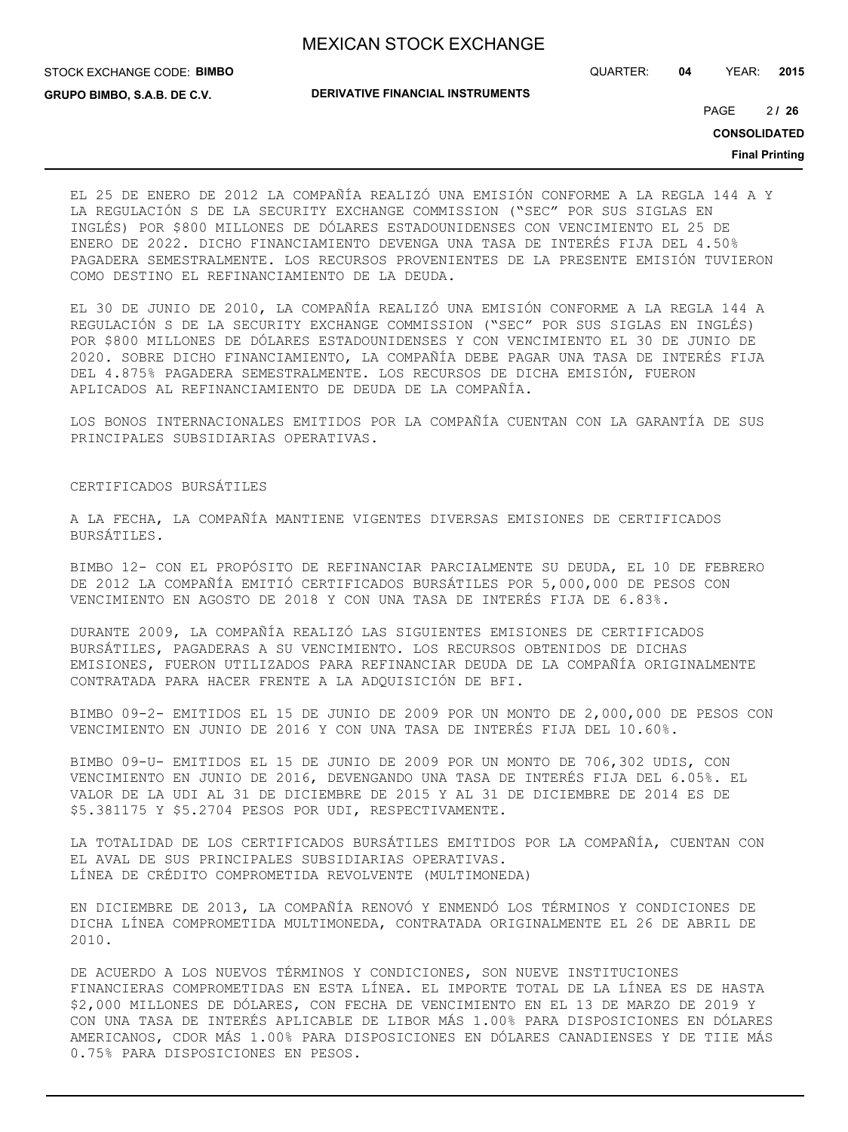STOCK EXCHANGE CODE: **BIMBO**

**GRUPO BIMBO, S.A.B. DE C.V.**

**DERIVATIVE FINANCIAL INSTRUMENTS**

QUARTER: **04** YEAR: **2015**

 $21, 26$ PAGE **/ 26**

**CONSOLIDATED**

**Final Printing**

EL 25 DE ENERO DE 2012 LA COMPAÑÍA REALIZÓ UNA EMISIÓN CONFORME A LA REGLA 144 A Y LA REGULACIÓN S DE LA SECURITY EXCHANGE COMMISSION ("SEC" POR SUS SIGLAS EN INGLÉS) POR \$800 MILLONES DE DÓLARES ESTADOUNIDENSES CON VENCIMIENTO EL 25 DE ENERO DE 2022. DICHO FINANCIAMIENTO DEVENGA UNA TASA DE INTERÉS FIJA DEL 4.50% PAGADERA SEMESTRALMENTE. LOS RECURSOS PROVENIENTES DE LA PRESENTE EMISIÓN TUVIERON COMO DESTINO EL REFINANCIAMIENTO DE LA DEUDA.

EL 30 DE JUNIO DE 2010, LA COMPAÑÍA REALIZÓ UNA EMISIÓN CONFORME A LA REGLA 144 A REGULACIÓN S DE LA SECURITY EXCHANGE COMMISSION ("SEC" POR SUS SIGLAS EN INGLÉS) POR \$800 MILLONES DE DÓLARES ESTADOUNIDENSES Y CON VENCIMIENTO EL 30 DE JUNIO DE 2020. SOBRE DICHO FINANCIAMIENTO, LA COMPAÑÍA DEBE PAGAR UNA TASA DE INTERÉS FIJA DEL 4.875% PAGADERA SEMESTRALMENTE. LOS RECURSOS DE DICHA EMISIÓN, FUERON APLICADOS AL REFINANCIAMIENTO DE DEUDA DE LA COMPAÑÍA.

LOS BONOS INTERNACIONALES EMITIDOS POR LA COMPAÑÍA CUENTAN CON LA GARANTÍA DE SUS PRINCIPALES SUBSIDIARIAS OPERATIVAS.

#### CERTIFICADOS BURSÁTILES

A LA FECHA, LA COMPAÑÍA MANTIENE VIGENTES DIVERSAS EMISIONES DE CERTIFICADOS BURSÁTILES.

BIMBO 12- CON EL PROPÓSITO DE REFINANCIAR PARCIALMENTE SU DEUDA, EL 10 DE FEBRERO DE 2012 LA COMPAÑÍA EMITIÓ CERTIFICADOS BURSÁTILES POR 5,000,000 DE PESOS CON VENCIMIENTO EN AGOSTO DE 2018 Y CON UNA TASA DE INTERÉS FIJA DE 6.83%.

DURANTE 2009, LA COMPAÑÍA REALIZÓ LAS SIGUIENTES EMISIONES DE CERTIFICADOS BURSÁTILES, PAGADERAS A SU VENCIMIENTO. LOS RECURSOS OBTENIDOS DE DICHAS EMISIONES, FUERON UTILIZADOS PARA REFINANCIAR DEUDA DE LA COMPAÑÍA ORIGINALMENTE CONTRATADA PARA HACER FRENTE A LA ADQUISICIÓN DE BFI.

BIMBO 09-2- EMITIDOS EL 15 DE JUNIO DE 2009 POR UN MONTO DE 2,000,000 DE PESOS CON VENCIMIENTO EN JUNIO DE 2016 Y CON UNA TASA DE INTERÉS FIJA DEL 10.60%.

BIMBO 09-U- EMITIDOS EL 15 DE JUNIO DE 2009 POR UN MONTO DE 706,302 UDIS, CON VENCIMIENTO EN JUNIO DE 2016, DEVENGANDO UNA TASA DE INTERÉS FIJA DEL 6.05%. EL VALOR DE LA UDI AL 31 DE DICIEMBRE DE 2015 Y AL 31 DE DICIEMBRE DE 2014 ES DE \$5.381175 Y \$5.2704 PESOS POR UDI, RESPECTIVAMENTE.

LA TOTALIDAD DE LOS CERTIFICADOS BURSÁTILES EMITIDOS POR LA COMPAÑÍA, CUENTAN CON EL AVAL DE SUS PRINCIPALES SUBSIDIARIAS OPERATIVAS. LÍNEA DE CRÉDITO COMPROMETIDA REVOLVENTE (MULTIMONEDA)

EN DICIEMBRE DE 2013, LA COMPAÑÍA RENOVÓ Y ENMENDÓ LOS TÉRMINOS Y CONDICIONES DE DICHA LÍNEA COMPROMETIDA MULTIMONEDA, CONTRATADA ORIGINALMENTE EL 26 DE ABRIL DE 2010.

DE ACUERDO A LOS NUEVOS TÉRMINOS Y CONDICIONES, SON NUEVE INSTITUCIONES FINANCIERAS COMPROMETIDAS EN ESTA LÍNEA. EL IMPORTE TOTAL DE LA LÍNEA ES DE HASTA \$2,000 MILLONES DE DÓLARES, CON FECHA DE VENCIMIENTO EN EL 13 DE MARZO DE 2019 Y CON UNA TASA DE INTERÉS APLICABLE DE LIBOR MÁS 1.00% PARA DISPOSICIONES EN DÓLARES AMERICANOS, CDOR MÁS 1.00% PARA DISPOSICIONES EN DÓLARES CANADIENSES Y DE TIIE MÁS 0.75% PARA DISPOSICIONES EN PESOS.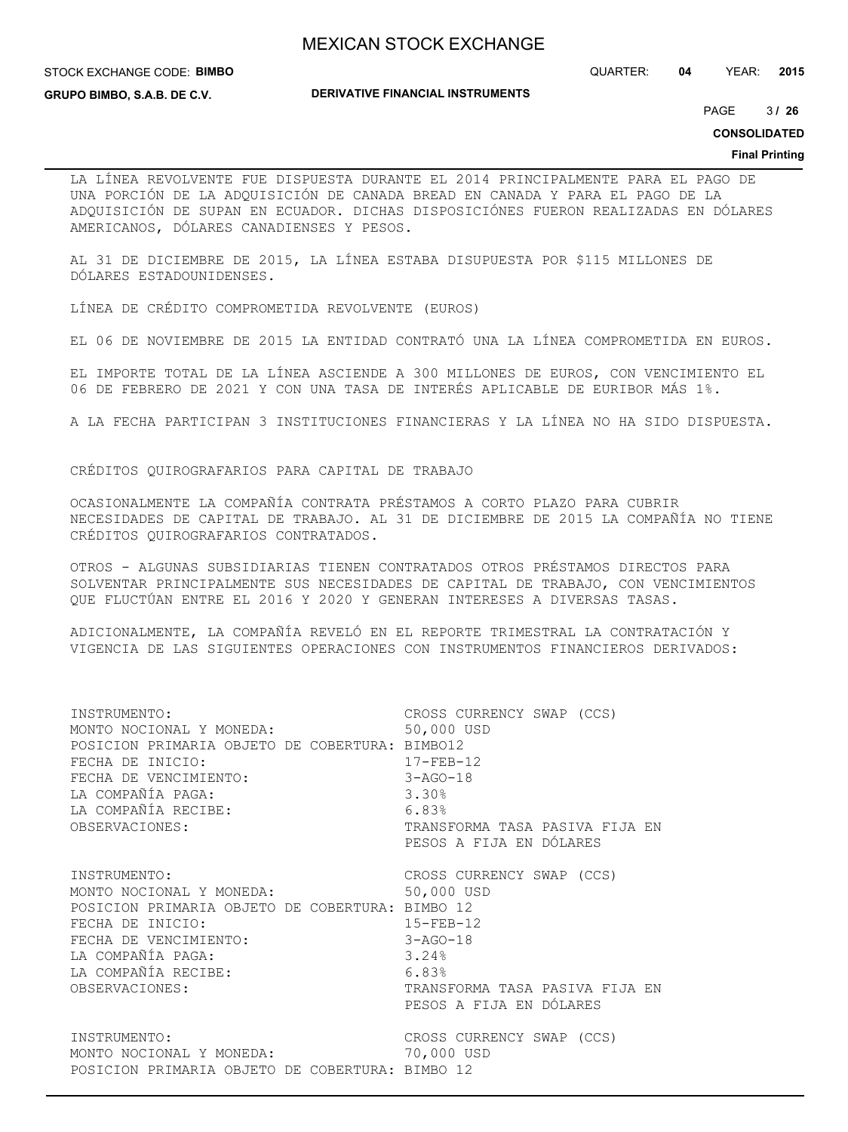#### STOCK EXCHANGE CODE: **BIMBO**

QUARTER: **04** YEAR: **2015**

**GRUPO BIMBO, S.A.B. DE C.V.**

#### **DERIVATIVE FINANCIAL INSTRUMENTS**

 $3/26$ PAGE **/ 26**

**CONSOLIDATED**

#### **Final Printing**

LA LÍNEA REVOLVENTE FUE DISPUESTA DURANTE EL 2014 PRINCIPALMENTE PARA EL PAGO DE UNA PORCIÓN DE LA ADQUISICIÓN DE CANADA BREAD EN CANADA Y PARA EL PAGO DE LA ADQUISICIÓN DE SUPAN EN ECUADOR. DICHAS DISPOSICIÓNES FUERON REALIZADAS EN DÓLARES AMERICANOS, DÓLARES CANADIENSES Y PESOS.

AL 31 DE DICIEMBRE DE 2015, LA LÍNEA ESTABA DISUPUESTA POR \$115 MILLONES DE DÓLARES ESTADOUNIDENSES.

LÍNEA DE CRÉDITO COMPROMETIDA REVOLVENTE (EUROS)

EL 06 DE NOVIEMBRE DE 2015 LA ENTIDAD CONTRATÓ UNA LA LÍNEA COMPROMETIDA EN EUROS.

EL IMPORTE TOTAL DE LA LÍNEA ASCIENDE A 300 MILLONES DE EUROS, CON VENCIMIENTO EL 06 DE FEBRERO DE 2021 Y CON UNA TASA DE INTERÉS APLICABLE DE EURIBOR MÁS 1%.

A LA FECHA PARTICIPAN 3 INSTITUCIONES FINANCIERAS Y LA LÍNEA NO HA SIDO DISPUESTA.

CRÉDITOS QUIROGRAFARIOS PARA CAPITAL DE TRABAJO

OCASIONALMENTE LA COMPAÑÍA CONTRATA PRÉSTAMOS A CORTO PLAZO PARA CUBRIR NECESIDADES DE CAPITAL DE TRABAJO. AL 31 DE DICIEMBRE DE 2015 LA COMPAÑÍA NO TIENE CRÉDITOS QUIROGRAFARIOS CONTRATADOS.

OTROS - ALGUNAS SUBSIDIARIAS TIENEN CONTRATADOS OTROS PRÉSTAMOS DIRECTOS PARA SOLVENTAR PRINCIPALMENTE SUS NECESIDADES DE CAPITAL DE TRABAJO, CON VENCIMIENTOS QUE FLUCTÚAN ENTRE EL 2016 Y 2020 Y GENERAN INTERESES A DIVERSAS TASAS.

ADICIONALMENTE, LA COMPAÑÍA REVELÓ EN EL REPORTE TRIMESTRAL LA CONTRATACIÓN Y VIGENCIA DE LAS SIGUIENTES OPERACIONES CON INSTRUMENTOS FINANCIEROS DERIVADOS:

| INSTRUMENTO:                                                                                | CROSS CURRENCY SWAP (CCS)               |
|---------------------------------------------------------------------------------------------|-----------------------------------------|
| MONTO NOCIONAL Y MONEDA:                                                                    | 50,000 USD                              |
| POSICION PRIMARIA OBJETO DE COBERTURA: BIMBO12                                              | $17 - FEB - 12$                         |
| FECHA DE INICIO:                                                                            | $3 - AGO - 18$                          |
| FECHA DE VENCIMIENTO:                                                                       | 3.30%                                   |
| LA COMPAÑÍA PAGA:                                                                           | 6.83%                                   |
| LA COMPAÑÍA RECIBE:                                                                         | TRANSFORMA TASA PASIVA FIJA EN          |
| OBSERVACIONES:                                                                              | PESOS A FIJA EN DÓLARES                 |
| INSTRUMENTO:                                                                                | CROSS CURRENCY SWAP (CCS)               |
| MONTO NOCIONAL Y MONEDA:                                                                    | 50,000 USD                              |
| POSICION PRIMARIA OBJETO DE COBERTURA: BIMBO 12                                             | $15 - FEB - 12$                         |
| FECHA DE INICIO:                                                                            | $3 - AGO - 18$                          |
| FECHA DE VENCIMIENTO:                                                                       | 3.24%                                   |
| LA COMPAÑÍA PAGA:                                                                           | 6.83%                                   |
| LA COMPAÑÍA RECIBE:                                                                         | TRANSFORMA TASA PASIVA FIJA EN          |
| OBSERVACIONES:                                                                              | PESOS A FIJA EN DÓLARES                 |
| INSTRUMENTO:<br>MONTO NOCIONAL Y MONEDA:<br>POSICION PRIMARIA OBJETO DE COBERTURA: BIMBO 12 | CROSS CURRENCY SWAP (CCS)<br>70,000 USD |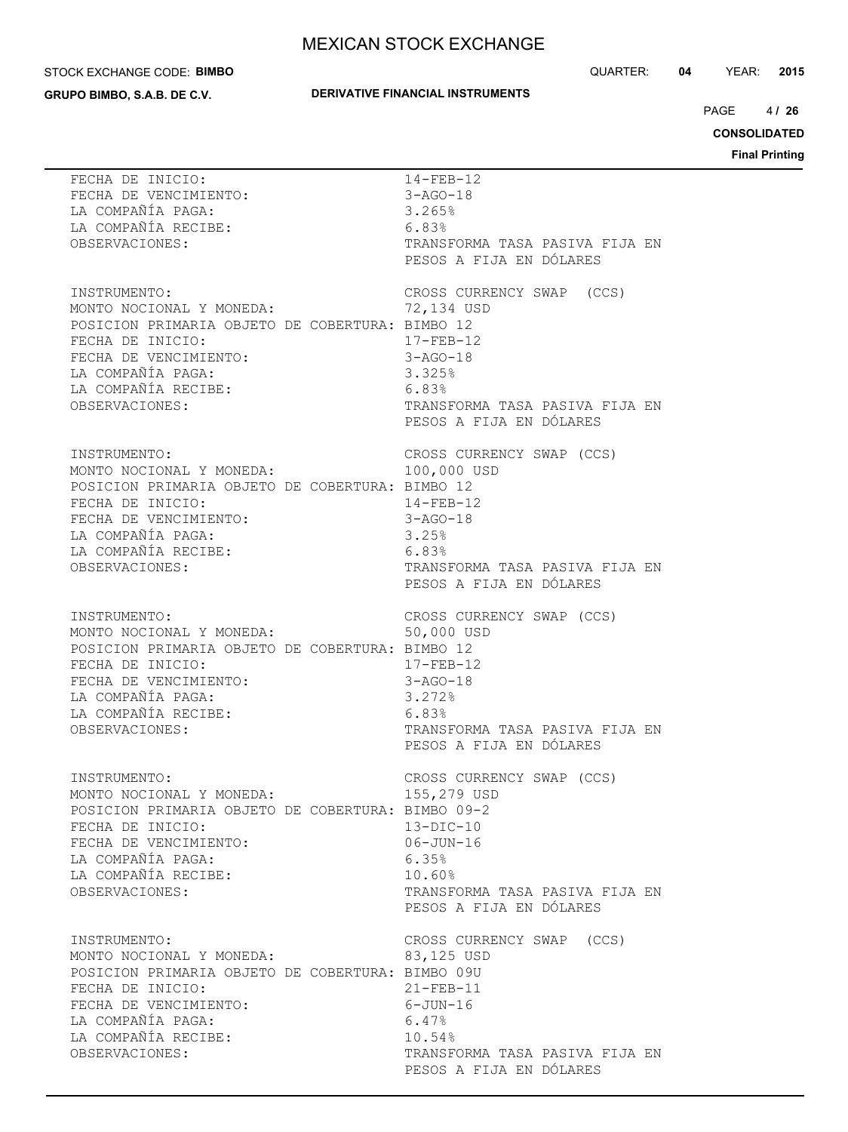#### STOCK EXCHANGE CODE: **BIMBO**

**GRUPO BIMBO, S.A.B. DE C.V.**

## **DERIVATIVE FINANCIAL INSTRUMENTS**

QUARTER: **04** YEAR: **2015**

 $4/26$  $PAGE$ 

**CONSOLIDATED**

| FECHA DE INICIO:<br>FECHA DE INICIO:<br>FECHA DE VENCIMIENTO:<br>FECHA DE VENCIMIENTO:<br>LA COMPAÑÍA PAGA:<br>LA COMPAÑÍA RECIBE:<br>6.83%<br>OBSERVACIONES:                                                                                 | $14 - FEB - 12$<br>3-AGO-18<br>TRANSFORMA TASA PASIVA FIJA EN<br>PESOS A FIJA EN DÓLARES                                                                     |
|-----------------------------------------------------------------------------------------------------------------------------------------------------------------------------------------------------------------------------------------------|--------------------------------------------------------------------------------------------------------------------------------------------------------------|
| INSTRUMENTO:<br>MONTO NOCIONAL Y MONEDA:<br>POSICION PRIMARIA OBJETO DE COBERTURA: BIMBO 12<br>FECHA DE INICIO:<br>FECHA DE VENCIMIENTO:<br>LA COMPAÑÍA PAGA: 3.325%<br>LA COMPAÑÍA RECIBE: 6.83%<br>OBSERVACIONES:                           | CROSS CURRENCY SWAP (CCS)<br>72,134 USD<br>17-FEB-12<br>$3 - AGO - 18$<br>TRANSFORMA TASA PASIVA FIJA EN<br>PESOS A FIJA EN DÓLARES                          |
| INSTRUMENTO:<br>INSTRUMENTO:<br>MONTO NOCIONAL Y MONEDA:<br>POSICION PRIMARIA OBJETO DE COBERTURA: BIMBO 12<br>FECHA DE INICIO:<br>FECHA DE VENCIMIENTO:<br>LA COMPAÑÍA PAGA:<br>LA COMPAÑÍA RECIBE: 6.83%<br>ORSERVACIONES<br>OBSERVACIONES: | CROSS CURRENCY SWAP (CCS)<br>100,000 USD<br>$14 - FEB - 12$<br>$3 - AGO - 18$<br>TRANSFORMA TASA PASIVA FIJA EN<br>PESOS A FIJA EN DÓLARES                   |
| INSTRUMENTO:<br>MONTO NOCIONAL Y MONEDA:<br>POSICION PRIMARIA OBJETO DE COBERTURA: BIMBO 12<br>FECHA DE INICIO:<br>FECHA DE VENCIMIENTO:<br>LA COMPAÑÍA PAGA: 3.272%<br>LA COMPAÑÍA RECIBE:<br>6.83%<br>OBSERVACIONES:                        | CROSS CURRENCY SWAP (CCS)<br>50,000 USD<br>$17 - FEB - 12$<br>$3 - AGO - 18$<br>TRANSFORMA TASA PASIVA FIJA EN<br>PESOS A FIJA EN DÓLARES                    |
| INSTRUMENTO:<br>MONTO NOCIONAL Y MONEDA:<br>POSICION PRIMARIA OBJETO DE COBERTURA: BIMBO 09-2<br>FECHA DE INICIO:<br>FECHA DE VENCIMIENTO:<br>LA COMPAÑÍA PAGA:<br>LA COMPAÑÍA RECIBE:<br>OBSERVACIONES:                                      | CROSS CURRENCY SWAP (CCS)<br>155,279 USD<br>$13-DIC-10$<br>$06 - JUN - 16$<br>6.35%<br>10.60%<br>TRANSFORMA TASA PASIVA FIJA EN<br>PESOS A FIJA EN DÓLARES   |
| INSTRUMENTO:<br>MONTO NOCIONAL Y MONEDA:<br>POSICION PRIMARIA OBJETO DE COBERTURA: BIMBO 09U<br>FECHA DE INICIO:<br>FECHA DE VENCIMIENTO:<br>LA COMPAÑÍA PAGA:<br>LA COMPAÑÍA RECIBE:<br>OBSERVACIONES:                                       | CROSS CURRENCY SWAP (CCS)<br>83,125 USD<br>$21 - FEB - 11$<br>$6 - JUN - 16$<br>6.47%<br>10.54%<br>TRANSFORMA TASA PASIVA FIJA EN<br>PESOS A FIJA EN DÓLARES |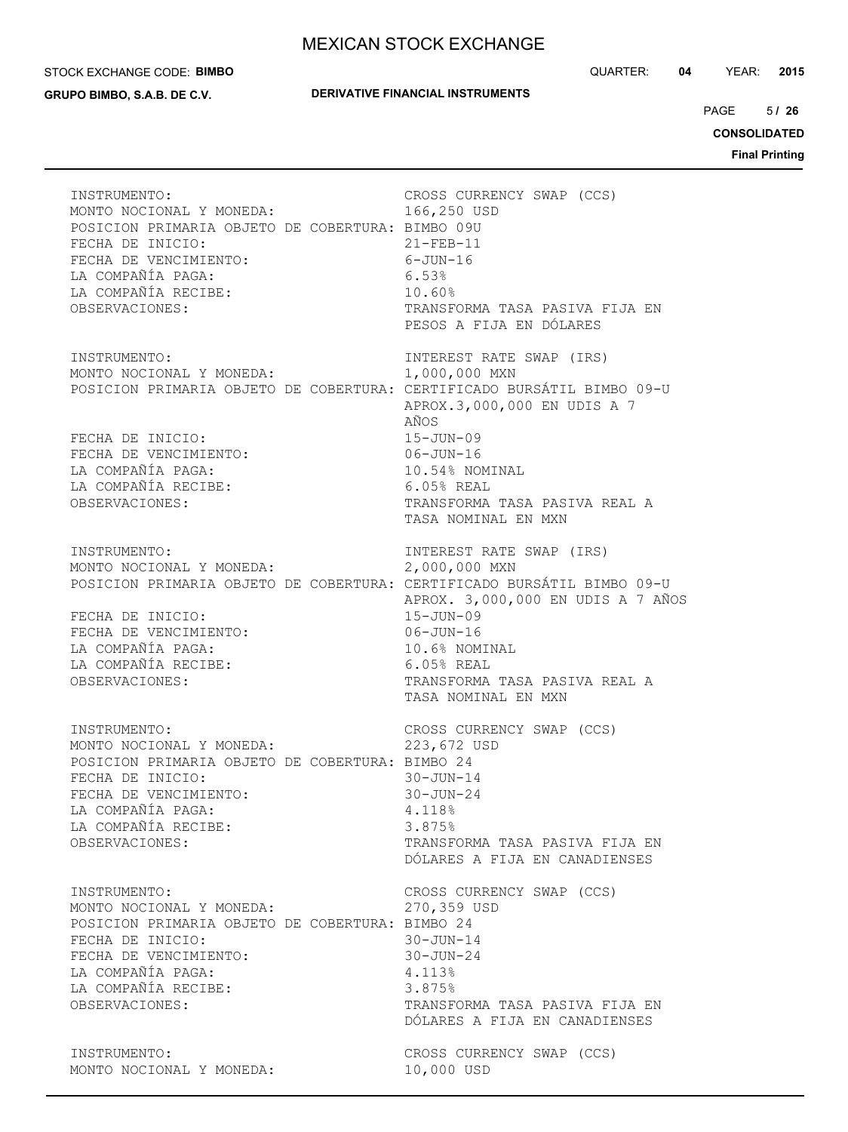#### STOCK EXCHANGE CODE: **BIMBO**

**GRUPO BIMBO, S.A.B. DE C.V.**

## **DERIVATIVE FINANCIAL INSTRUMENTS**

QUARTER: **04** YEAR: **2015**

 $5/26$  $PAGE$ 

**CONSOLIDATED**

| INSTRUMENTO:<br>MONTO NOCIONAL Y MONEDA:<br>POSICION PRIMARIA OBJETO DE COBERTURA: BIMBO 09U<br>FECHA DE INICIO:<br>FECHA DE VENCIMIENTO:<br>LA COMPAÑÍA PAGA:<br>LA COMPAÑÍA RECIBE:<br>OBSERVACIONES: | CROSS CURRENCY SWAP (CCS)<br>166,250 USD<br>$21 - FEB - 11$<br>$6 - JUN - 16$<br>6.53%<br>10.60%<br>TRANSFORMA TASA PASIVA FIJA EN<br>PESOS A FIJA EN DÓLARES                                                                                                                            |
|---------------------------------------------------------------------------------------------------------------------------------------------------------------------------------------------------------|------------------------------------------------------------------------------------------------------------------------------------------------------------------------------------------------------------------------------------------------------------------------------------------|
| INSTRUMENTO:<br>MONTO NOCIONAL Y MONEDA:<br>FECHA DE INICIO:<br>FECHA DE VENCIMIENTO:<br>LA COMPAÑÍA PAGA:<br>LA COMPAÑÍA RECIBE:<br>OBSERVACIONES:                                                     | INTEREST RATE SWAP (IRS)<br>1,000,000 MXN<br>POSICION PRIMARIA OBJETO DE COBERTURA: CERTIFICADO BURSÁTIL BIMBO 09-U<br>APROX.3,000,000 EN UDIS A 7<br>AÑOS<br>$15 - JUN - 09$<br>$06 - JUN - 16$<br>10.54% NOMINAL<br>6.05% REAL<br>TRANSFORMA TASA PASIVA REAL A<br>TASA NOMINAL EN MXN |
| INSTRUMENTO:<br>MONTO NOCIONAL Y MONEDA:<br>FECHA DE INICIO:<br>FECHA DE VENCIMIENTO:<br>LA COMPAÑÍA PAGA:<br>LA COMPAÑÍA RECIBE:<br>OBSERVACIONES:                                                     | INTEREST RATE SWAP (IRS)<br>2,000,000 MXN<br>POSICION PRIMARIA OBJETO DE COBERTURA: CERTIFICADO BURSÁTIL BIMBO 09-U<br>APROX. 3,000,000 EN UDIS A 7 AÑOS<br>$15 - JUN - 09$<br>$06 - JUN - 16$<br>10.6% NOMINAL<br>$6.05%$ REAL<br>TRANSFORMA TASA PASIVA REAL A<br>TASA NOMINAL EN MXN  |
| INSTRUMENTO:<br>MONTO NOCIONAL Y MONEDA:<br>POSICION PRIMARIA OBJETO DE COBERTURA: BIMBO 24<br>FECHA DE INICIO:<br>FECHA DE VENCIMIENTO:<br>LA COMPAÑÍA PAGA:<br>LA COMPAÑÍA RECIBE:<br>OBSERVACIONES:  | CROSS CURRENCY SWAP (CCS)<br>223,672 USD<br>$30 - JUN - 14$<br>$30 - JUN - 24$<br>4.118%<br>3.875%<br>TRANSFORMA TASA PASIVA FIJA EN<br>DÓLARES A FIJA EN CANADIENSES                                                                                                                    |
| INSTRUMENTO:<br>MONTO NOCIONAL Y MONEDA:<br>POSICION PRIMARIA OBJETO DE COBERTURA: BIMBO 24<br>FECHA DE INICIO:<br>FECHA DE VENCIMIENTO:<br>LA COMPAÑÍA PAGA:<br>LA COMPAÑÍA RECIBE:<br>OBSERVACIONES:  | CROSS CURRENCY SWAP (CCS)<br>270,359 USD<br>$30 - JUN - 14$<br>$30 - JUN - 24$<br>4.113%<br>3.875%<br>TRANSFORMA TASA PASIVA FIJA EN<br>DÓLARES A FIJA EN CANADIENSES                                                                                                                    |
| INSTRUMENTO:<br>MONTO NOCIONAL Y MONEDA:                                                                                                                                                                | CROSS CURRENCY SWAP (CCS)<br>10,000 USD                                                                                                                                                                                                                                                  |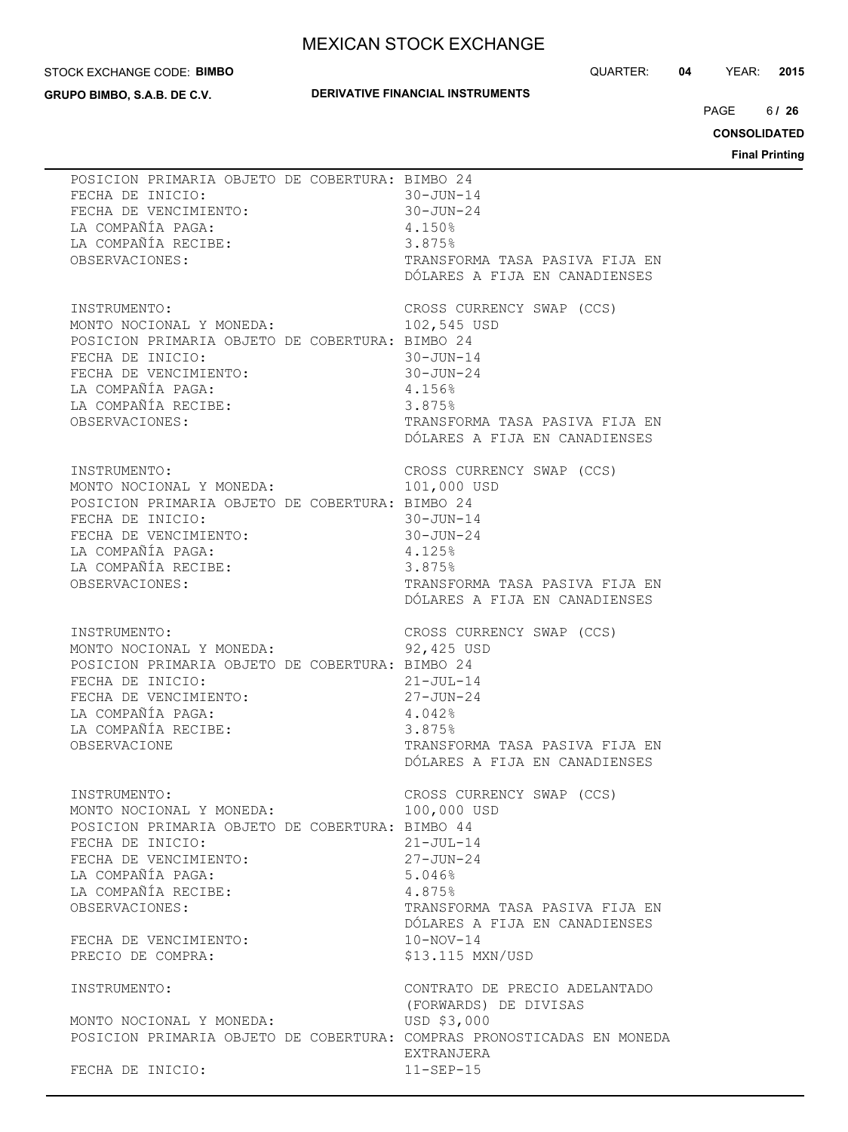#### STOCK EXCHANGE CODE: **BIMBO**

**GRUPO BIMBO, S.A.B. DE C.V.**

## **DERIVATIVE FINANCIAL INSTRUMENTS**

QUARTER: **04** YEAR: **2015**

 $6/26$  $PAGE$ 

**CONSOLIDATED**

| POSICION PRIMARIA OBJETO DE COBERTURA: BIMBO 24<br>FECHA DE INICIO:<br>FECHA DE VENCIMIENTO:<br>LA COMPAÑÍA PAGA:<br>LA COMPAÑÍA RECIBE:<br>OBSERVACIONES:                                                                                                                                      | $30 - JUN - 24$ | $30 - JUN - 14$<br>4.150%<br>3.875%<br>TRANSFORMA TASA PASIVA FIJA EN<br>DÓLARES A FIJA EN CANADIENSES                                                                                                       |
|-------------------------------------------------------------------------------------------------------------------------------------------------------------------------------------------------------------------------------------------------------------------------------------------------|-----------------|--------------------------------------------------------------------------------------------------------------------------------------------------------------------------------------------------------------|
| INSTRUMENTO:<br>MONTO NOCIONAL Y MONEDA: 102,545 USD<br>POSICION PRIMARIA OBJETO DE COBERTURA: BIMBO 24<br>FECHA DE VENCIMIENTO:<br>FECHA DE VENCIMIENTO:<br>LA COMPAÑÍA PAGA:<br>LA COMPAÑÍA RECIBE:<br>OBSERVACIONES.<br>2.875%<br>LA COMPAÑÍA PAGA:<br>LA COMPAÑÍA RECIBE:<br>OBSERVACIONES: |                 | CROSS CURRENCY SWAP (CCS)<br>TRANSFORMA TASA PASIVA FIJA EN<br>DÓLARES A FIJA EN CANADIENSES                                                                                                                 |
| INSTRUMENTO:<br>MONTO NOCIONAL Y MONEDA:<br>POSICION PRIMARIA OBJETO DE COBERTURA: BIMBO 24<br>10Nic<br>POSICION PRIMANA<br>FECHA DE INICIO:<br>FECHA DE VENCIMIENTO:<br>A COMPAÑÍA PAGA:<br>A PECIBE:                                                                                          |                 | CROSS CURRENCY SWAP (CCS)<br>101,000 USD<br>30-JUN-14<br>$30 - JUN - 24$<br>4.125%<br>3.875%<br>TRANSFORMA TASA PASIVA FIJA EN<br>DÓLARES A FIJA EN CANADIENSES                                              |
| POSICION PRIMARIA OBJETO DE COBERTURA: BIMBO 24<br>---- -- -HNICIO:<br>FECHA DE VENCIMIENTO:<br>LA COMPAÑÍA PAGA:<br>LA COMPAÑÍA RECIBE:<br>OBSERVACIONE                                                                                                                                        |                 | INSTRUMENTO:<br>MONTO NOCIONAL Y MONEDA: 92,425 USD<br>$21 - JUL-14$<br>27-JUN-24<br>4.042%<br>3.875%<br>TRANSFORMA TASA PASIVA FIJA EN<br>DÓLARES A FIJA EN CANADIENSES                                     |
| INSTRUMENTO:<br>MONTO NOCIONAL Y MONEDA:<br>POSICION PRIMARIA OBJETO DE COBERTURA: BIMBO 44<br>FECHA DE INICIO:<br>FECHA DE VENCIMIENTO:<br>LA COMPAÑÍA PAGA:<br>LA COMPAÑÍA RECIBE:<br>OBSERVACIONES:<br>FECHA DE VENCIMIENTO:<br>PRECIO DE COMPRA:                                            |                 | CROSS CURRENCY SWAP (CCS)<br>100,000 USD<br>$21 - JUL - 14$<br>$27 - JUN - 24$<br>5.046%<br>4.875%<br>TRANSFORMA TASA PASIVA FIJA EN<br>DÓLARES A FIJA EN CANADIENSES<br>$10 - NOV - 14$<br>\$13.115 MXN/USD |
| INSTRUMENTO:<br>MONTO NOCIONAL Y MONEDA:<br>FECHA DE INICIO:                                                                                                                                                                                                                                    |                 | CONTRATO DE PRECIO ADELANTADO<br>(FORWARDS) DE DIVISAS<br>USD \$3,000<br>POSICION PRIMARIA OBJETO DE COBERTURA: COMPRAS PRONOSTICADAS EN MONEDA<br>EXTRANJERA<br>$11-SEP-15$                                 |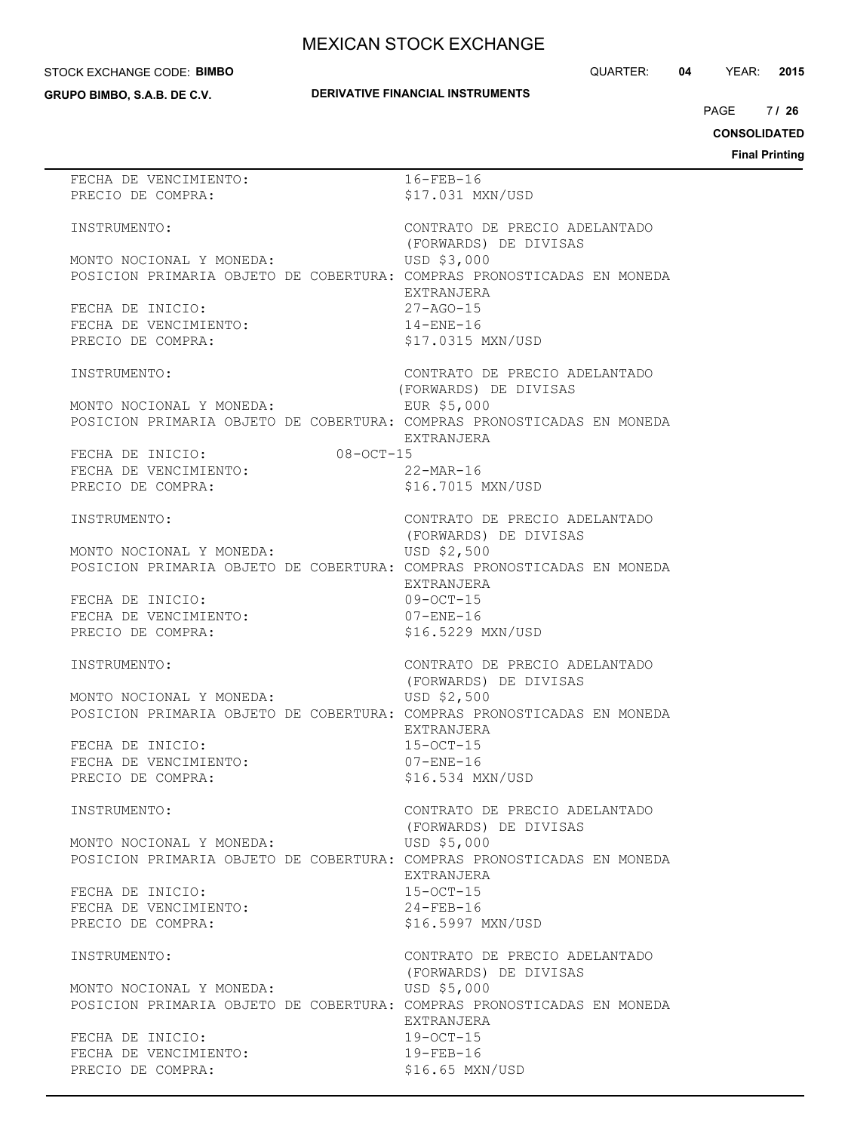#### STOCK EXCHANGE CODE: **BIMBO**

**GRUPO BIMBO, S.A.B. DE C.V.**

 $7126$ PAGE **/ 26**

**CONSOLIDATED**

| FECHA DE VENCIMIENTO:                                                  | $16 - FEB - 16$               |
|------------------------------------------------------------------------|-------------------------------|
| PRECIO DE COMPRA:                                                      | \$17.031 MXN/USD              |
|                                                                        |                               |
|                                                                        |                               |
| INSTRUMENTO:                                                           | CONTRATO DE PRECIO ADELANTADO |
|                                                                        | (FORWARDS) DE DIVISAS         |
| MONTO NOCIONAL Y MONEDA:                                               | USD \$3,000                   |
|                                                                        |                               |
| POSICION PRIMARIA OBJETO DE COBERTURA: COMPRAS PRONOSTICADAS EN MONEDA |                               |
|                                                                        | EXTRANJERA                    |
| FECHA DE INICIO:                                                       | $27 - AGO - 15$               |
|                                                                        |                               |
| FECHA DE VENCIMIENTO:                                                  | $14 - ENE - 16$               |
| PRECIO DE COMPRA:                                                      | \$17.0315 MXN/USD             |
|                                                                        |                               |
|                                                                        |                               |
| INSTRUMENTO:                                                           | CONTRATO DE PRECIO ADELANTADO |
|                                                                        | (FORWARDS) DE DIVISAS         |
| MONTO NOCIONAL Y MONEDA:                                               | EUR \$5,000                   |
|                                                                        |                               |
| POSICION PRIMARIA OBJETO DE COBERTURA: COMPRAS PRONOSTICADAS EN MONEDA |                               |
|                                                                        | EXTRANJERA                    |
| $08 - OCT - 15$                                                        |                               |
| FECHA DE INICIO:<br>FECHA DE VENCIMIENTO:                              |                               |
|                                                                        | $22$ -MAR-16                  |
| PRECIO DE COMPRA:                                                      | \$16.7015 MXN/USD             |
|                                                                        |                               |
|                                                                        |                               |
| INSTRUMENTO:                                                           | CONTRATO DE PRECIO ADELANTADO |
|                                                                        | (FORWARDS) DE DIVISAS         |
|                                                                        |                               |
| MONTO NOCIONAL Y MONEDA:                                               | USD \$2,500                   |
| POSICION PRIMARIA OBJETO DE COBERTURA: COMPRAS PRONOSTICADAS EN MONEDA |                               |
|                                                                        | EXTRANJERA                    |
|                                                                        |                               |
| FECHA DE INICIO:                                                       | $09 - OCT - 15$               |
| FECHA DE VENCIMIENTO:                                                  | $07 - ENE - 16$               |
| PRECIO DE COMPRA:                                                      | \$16.5229 MXN/USD             |
|                                                                        |                               |
|                                                                        |                               |
| INSTRUMENTO:                                                           | CONTRATO DE PRECIO ADELANTADO |
|                                                                        | (FORWARDS) DE DIVISAS         |
| MONTO NOCIONAL Y MONEDA:                                               |                               |
|                                                                        | USD \$2,500                   |
| POSICION PRIMARIA OBJETO DE COBERTURA: COMPRAS PRONOSTICADAS EN MONEDA |                               |
|                                                                        | EXTRANJERA                    |
|                                                                        | $15-0CT-15$                   |
| FECHA DE INICIO:                                                       |                               |
| FECHA DE VENCIMIENTO:                                                  | $07 - ENE - 16$               |
| PRECIO DE COMPRA:                                                      | \$16.534 MXN/USD              |
|                                                                        |                               |
|                                                                        |                               |
| INSTRUMENTO:                                                           | CONTRATO DE PRECIO ADELANTADO |
|                                                                        | (FORWARDS) DE DIVISAS         |
| MONTO NOCIONAL Y MONEDA:                                               | USD \$5,000                   |
|                                                                        |                               |
| POSICION PRIMARIA OBJETO DE COBERTURA: COMPRAS PRONOSTICADAS EN MONEDA |                               |
|                                                                        | EXTRANJERA                    |
|                                                                        | $15-0CT-15$                   |
| FECHA DE INICIO:                                                       |                               |
| FECHA DE VENCIMIENTO:                                                  | $24 - FEB - 16$               |
| PRECIO DE COMPRA:                                                      | \$16.5997 MXN/USD             |
|                                                                        |                               |
|                                                                        |                               |
| INSTRUMENTO:                                                           | CONTRATO DE PRECIO ADELANTADO |
|                                                                        | (FORWARDS) DE DIVISAS         |
|                                                                        | USD \$5,000                   |
| MONTO NOCIONAL Y MONEDA:                                               |                               |
| POSICION PRIMARIA OBJETO DE COBERTURA: COMPRAS PRONOSTICADAS EN MONEDA |                               |
|                                                                        | EXTRANJERA                    |
|                                                                        |                               |
| FECHA DE INICIO:                                                       | $19-0CT-15$                   |
| FECHA DE VENCIMIENTO:                                                  | $19 - FEB - 16$               |
| PRECIO DE COMPRA:                                                      | \$16.65 MXN/USD               |
|                                                                        |                               |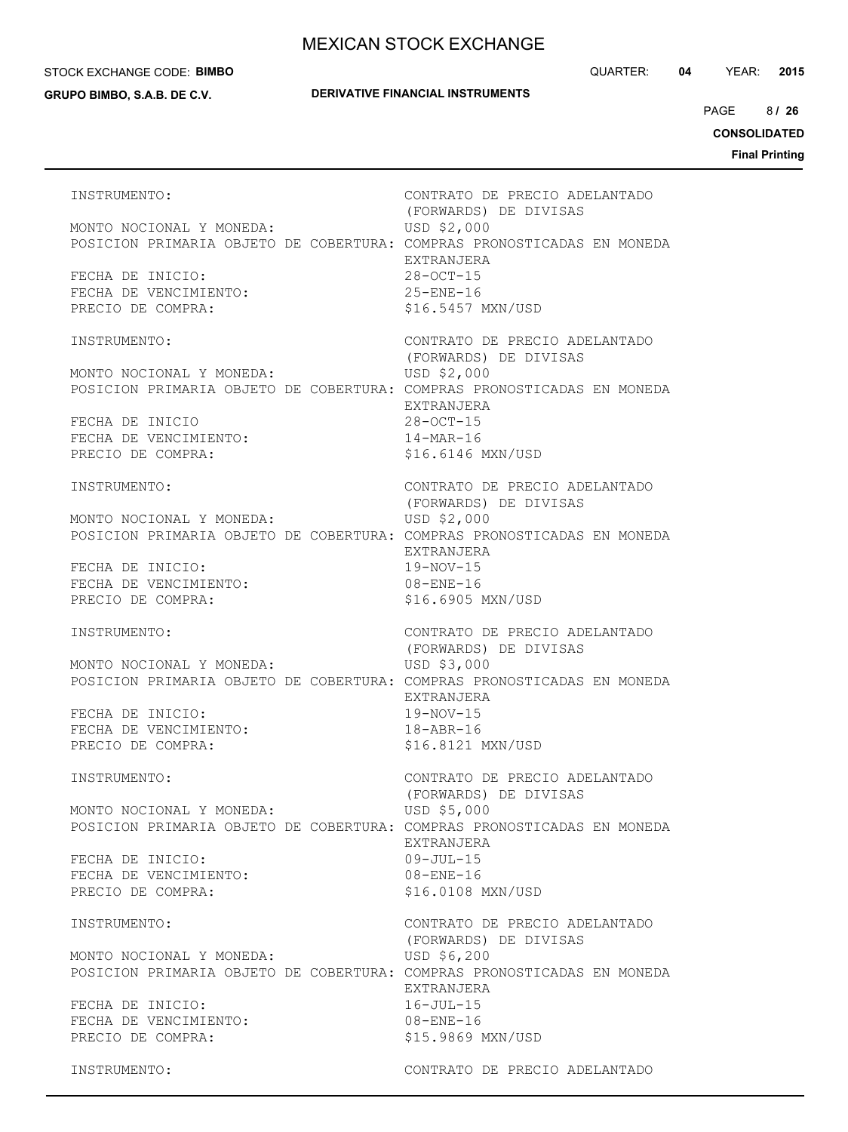#### STOCK EXCHANGE CODE: **BIMBO**

**GRUPO BIMBO, S.A.B. DE C.V.**

**DERIVATIVE FINANCIAL INSTRUMENTS**

8 PAGE **/ 26**

**CONSOLIDATED**

**Final Printing**

INSTRUMENTO: CONTRATO DE PRECIO ADELANTADO (FORWARDS) DE DIVISAS MONTO NOCIONAL Y MONEDA: USD \$2,000 POSICION PRIMARIA OBJETO DE COBERTURA: COMPRAS PRONOSTICADAS EN MONEDA EXTRANJERA FECHA DE INICIO: 28-OCT-15 FECHA DE VENCIMIENTO: 25-ENE-16 PRECIO DE COMPRA:  $$16.5457$  MXN/USD INSTRUMENTO: CONTRATO DE PRECIO ADELANTADO (FORWARDS) DE DIVISAS MONTO NOCIONAL Y MONEDA: USD \$2,000 POSICION PRIMARIA OBJETO DE COBERTURA: COMPRAS PRONOSTICADAS EN MONEDA EXTRANJERA FECHA DE INICIO 28-OCT-15 FECHA DE VENCIMIENTO:  $14-MAR-16$ PRECIO DE COMPRA:  $$16.6146$  MXN/USD INSTRUMENTO: CONTRATO DE PRECIO ADELANTADO (FORWARDS) DE DIVISAS MONTO NOCIONAL Y MONEDA: USD \$2,000 POSICION PRIMARIA OBJETO DE COBERTURA: COMPRAS PRONOSTICADAS EN MONEDA EXTRANJERA FECHA DE INICIO: 19-NOV-15 FECHA DE VENCIMIENTO: 08-ENE-16 PRECIO DE COMPRA: \$16.6905 MXN/USD INSTRUMENTO: CONTRATO DE PRECIO ADELANTADO (FORWARDS) DE DIVISAS MONTO NOCIONAL Y MONEDA: USD \$3,000 POSICION PRIMARIA OBJETO DE COBERTURA: COMPRAS PRONOSTICADAS EN MONEDA EXTRANJERA FECHA DE INICIO: 19-NOV-15 FECHA DE VENCIMIENTO: 18-ABR-16 PRECIO DE COMPRA:  $$16.8121$  MXN/USD INSTRUMENTO: CONTRATO DE PRECIO ADELANTADO (FORWARDS) DE DIVISAS MONTO NOCIONAL Y MONEDA: USD \$5,000 POSICION PRIMARIA OBJETO DE COBERTURA: COMPRAS PRONOSTICADAS EN MONEDA EXTRANJERA FECHA DE INICIO: 09-JUL-15 FECHA DE VENCIMIENTO: 08-ENE-16 PRECIO DE COMPRA:  $$16.0108$  MXN/USD INSTRUMENTO: CONTRATO DE PRECIO ADELANTADO (FORWARDS) DE DIVISAS MONTO NOCIONAL Y MONEDA: USD \$6,200 POSICION PRIMARIA OBJETO DE COBERTURA: COMPRAS PRONOSTICADAS EN MONEDA EXTRANJERA FECHA DE INICIO:  $16$ -JUL-15 FECHA DE VENCIMIENTO: 08-ENE-16 PRECIO DE COMPRA:  $$15.9869$  MXN/USD INSTRUMENTO: CONTRATO DE PRECIO ADELANTADO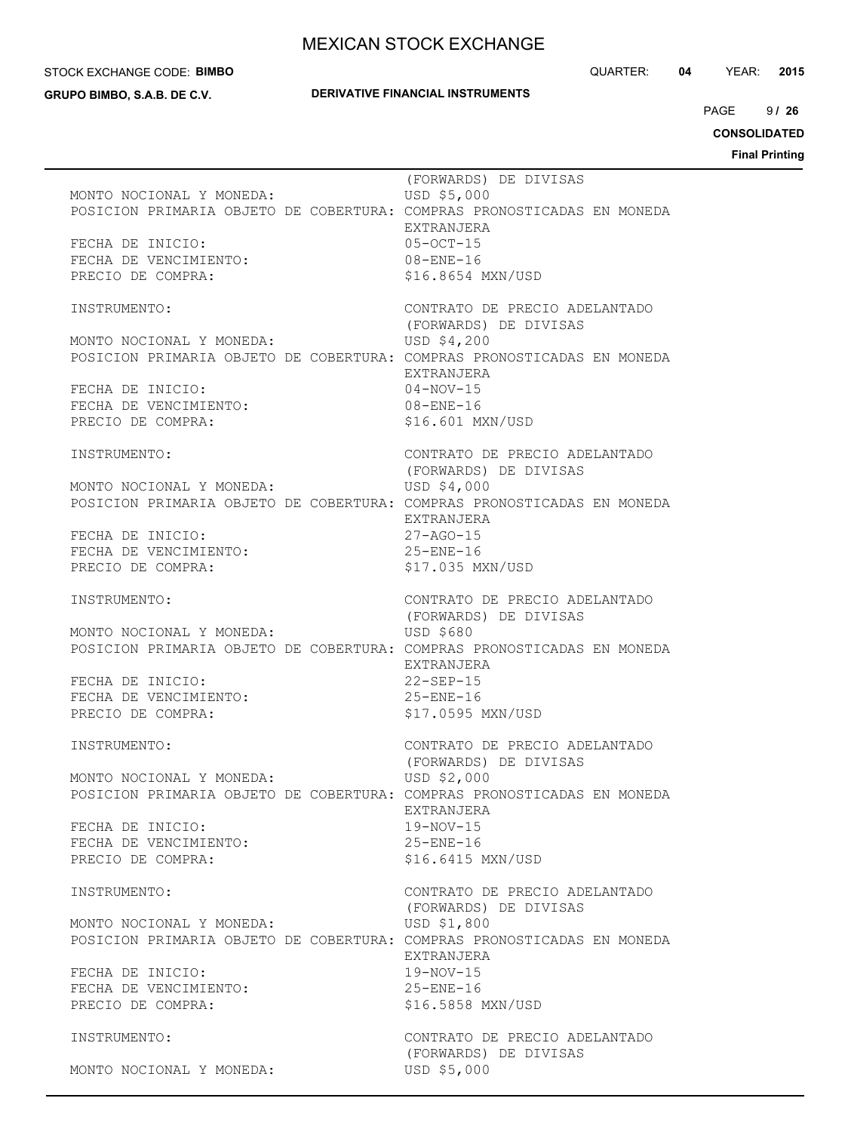#### STOCK EXCHANGE CODE: **BIMBO**

**GRUPO BIMBO, S.A.B. DE C.V.**

#### **DERIVATIVE FINANCIAL INSTRUMENTS**

QUARTER: **04** YEAR: **2015**

 $9126$  $PAGE$ 

**CONSOLIDATED**

| MONTO NOCIONAL Y MONEDA:<br>FECHA DE INICIO:<br>FECHA DE VENCIMIENTO:<br>PRECIO DE COMPRA:                                | (FORWARDS) DE DIVISAS<br>USD \$5,000<br>POSICION PRIMARIA OBJETO DE COBERTURA: COMPRAS PRONOSTICADAS EN MONEDA<br>EXTRANJERA<br>$05 - 0CT - 15$<br>$08 - ENE - 16$<br>\$16.8654 MXN/USD                                  |
|---------------------------------------------------------------------------------------------------------------------------|--------------------------------------------------------------------------------------------------------------------------------------------------------------------------------------------------------------------------|
| INSTRUMENTO:<br>MONTO NOCIONAL Y MONEDA:<br>POSICION --<br>FECHA DE INICIO:<br>FECHA DE VENCIMIENTO:<br>PRECIO DE COMPRA: | CONTRATO DE PRECIO ADELANTADO<br>(FORWARDS) DE DIVISAS<br>USD \$4,200<br>POSICION PRIMARIA OBJETO DE COBERTURA: COMPRAS PRONOSTICADAS EN MONEDA<br>EXTRANJERA<br>$04 - NOV - 15$<br>$08 - ENE - 16$<br>\$16.601 MXN/USD  |
| INSTRUMENTO:<br>MONTO NOCIONAL Y MONEDA:<br>FECHA DE INICIO:<br>FECHA DE VENCIMIENTO:<br>PRECIO DE COMPRA:                | CONTRATO DE PRECIO ADELANTADO<br>(FORWARDS) DE DIVISAS<br>USD \$4,000<br>POSICION PRIMARIA OBJETO DE COBERTURA: COMPRAS PRONOSTICADAS EN MONEDA<br>EXTRANJERA<br>$27 - AGO - 15$<br>$25 - ENE - 16$<br>\$17.035 MXN/USD  |
| INSTRUMENTO:<br>MONTO NOCIONAL Y MONEDA:<br>FECHA DE INICIO:<br>FECHA DE VENCIMIENTO:<br>PRECIO DE COMPRA:                | CONTRATO DE PRECIO ADELANTADO<br>(FORWARDS) DE DIVISAS<br>USD \$680<br>POSICION PRIMARIA OBJETO DE COBERTURA: COMPRAS PRONOSTICADAS EN MONEDA<br>EXTRANJERA<br>$22-SEP-15$<br>$25 -$ ENE $-16$<br>\$17.0595 MXN/USD      |
| INSTRUMENTO:<br>MONTO NOCIONAL Y MONEDA:<br>FECHA DE INICIO:<br>FECHA DE VENCIMIENTO:<br>PRECIO DE COMPRA:                | CONTRATO DE PRECIO ADELANTADO<br>(FORWARDS) DE DIVISAS<br>USD \$2,000<br>POSICION PRIMARIA OBJETO DE COBERTURA: COMPRAS PRONOSTICADAS EN MONEDA<br>EXTRANJERA<br>$19-NOV-15$<br>$25 - ENE - 16$<br>\$16.6415 MXN/USD     |
| INSTRUMENTO:<br>MONTO NOCIONAL Y MONEDA:<br>FECHA DE INICIO:<br>FECHA DE VENCIMIENTO:<br>PRECIO DE COMPRA:                | CONTRATO DE PRECIO ADELANTADO<br>(FORWARDS) DE DIVISAS<br>USD \$1,800<br>POSICION PRIMARIA OBJETO DE COBERTURA: COMPRAS PRONOSTICADAS EN MONEDA<br>EXTRANJERA<br>$19 - NOV - 15$<br>$25 - ENE - 16$<br>\$16.5858 MXN/USD |
| INSTRUMENTO:<br>MONTO NOCIONAL Y MONEDA:                                                                                  | CONTRATO DE PRECIO ADELANTADO<br>(FORWARDS) DE DIVISAS<br>USD \$5,000                                                                                                                                                    |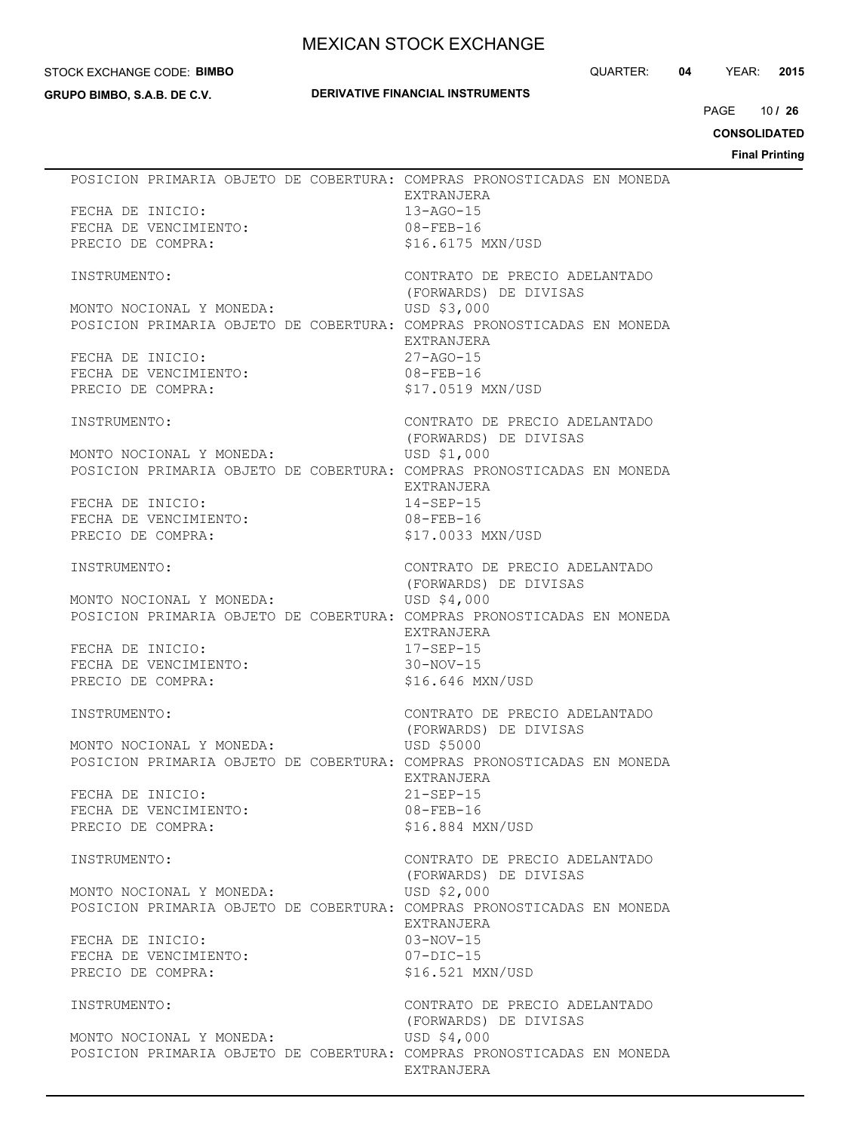#### STOCK EXCHANGE CODE: **BIMBO**

**GRUPO BIMBO, S.A.B. DE C.V.**

## **DERIVATIVE FINANCIAL INSTRUMENTS**

QUARTER: **04** YEAR: **2015**

10 PAGE **/ 26**

**CONSOLIDATED**

| POSICION PRIMARIA OBJETO DE COBERTURA: COMPRAS PRONOSTICADAS EN MONEDA | EXTRANJERA                    |
|------------------------------------------------------------------------|-------------------------------|
| FECHA DE INICIO:                                                       | $13 - AGO - 15$               |
| FECHA DE VENCIMIENTO:                                                  | $08 - FEB - 16$               |
| PRECIO DE COMPRA:                                                      | \$16.6175 MXN/USD             |
|                                                                        |                               |
| INSTRUMENTO:                                                           | CONTRATO DE PRECIO ADELANTADO |
|                                                                        | (FORWARDS) DE DIVISAS         |
| MONTO NOCIONAL Y MONEDA:                                               | USD \$3,000                   |
| POSICION PRIMARIA OBJETO DE COBERTURA: COMPRAS PRONOSTICADAS EN MONEDA |                               |
|                                                                        | EXTRANJERA                    |
| FECHA DE INICIO:                                                       | $27 - AGO - 15$               |
| FECHA DE VENCIMIENTO:                                                  | $08 - FEB - 16$               |
| PRECIO DE COMPRA:                                                      | \$17.0519 MXN/USD             |
|                                                                        |                               |
| INSTRUMENTO:                                                           | CONTRATO DE PRECIO ADELANTADO |
|                                                                        | (FORWARDS) DE DIVISAS         |
| MONTO NOCIONAL Y MONEDA:                                               | USD \$1,000                   |
| POSICION PRIMARIA OBJETO DE COBERTURA: COMPRAS PRONOSTICADAS EN MONEDA |                               |
|                                                                        | EXTRANJERA                    |
| FECHA DE INICIO:                                                       | $14 - SEP - 15$               |
| FECHA DE VENCIMIENTO:                                                  | 08-FEB-16                     |
| PRECIO DE COMPRA:                                                      | \$17.0033 MXN/USD             |
|                                                                        |                               |
| INSTRUMENTO:                                                           | CONTRATO DE PRECIO ADELANTADO |
|                                                                        | (FORWARDS) DE DIVISAS         |
| MONTO NOCIONAL Y MONEDA:                                               | USD \$4,000                   |
| POSICION PRIMARIA OBJETO DE COBERTURA: COMPRAS PRONOSTICADAS EN MONEDA |                               |
|                                                                        | EXTRANJERA                    |
| FECHA DE INICIO:                                                       | $17 - SEP - 15$               |
| FECHA DE VENCIMIENTO:                                                  | $30-NOV-15$                   |
| PRECIO DE COMPRA:                                                      | \$16.646 MXN/USD              |
|                                                                        |                               |
| INSTRUMENTO:                                                           | CONTRATO DE PRECIO ADELANTADO |
|                                                                        | (FORWARDS) DE DIVISAS         |
| MONTO NOCIONAL Y MONEDA:                                               | USD \$5000                    |
| POSICION PRIMARIA OBJETO DE COBERTURA: COMPRAS PRONOSTICADAS EN MONEDA |                               |
|                                                                        | EXTRANJERA                    |
| FECHA DE INICIO:                                                       | $21 - SEP - 15$               |
| FECHA DE VENCIMIENTO:                                                  | $08 - FEB - 16$               |
| PRECIO DE COMPRA:                                                      | \$16.884 MXN/USD              |
|                                                                        |                               |
| INSTRUMENTO:                                                           | CONTRATO DE PRECIO ADELANTADO |
|                                                                        | (FORWARDS) DE DIVISAS         |
| MONTO NOCIONAL Y MONEDA:                                               | USD \$2,000                   |
| POSICION PRIMARIA OBJETO DE COBERTURA: COMPRAS PRONOSTICADAS EN MONEDA |                               |
|                                                                        | EXTRANJERA                    |
| FECHA DE INICIO:                                                       | $03-NOV-15$                   |
| FECHA DE VENCIMIENTO:                                                  | $07-DIC-15$                   |
| PRECIO DE COMPRA:                                                      | \$16.521 MXN/USD              |
|                                                                        |                               |
| INSTRUMENTO:                                                           | CONTRATO DE PRECIO ADELANTADO |
|                                                                        | (FORWARDS) DE DIVISAS         |
| MONTO NOCIONAL Y MONEDA:                                               | USD \$4,000                   |
| POSICION PRIMARIA OBJETO DE COBERTURA: COMPRAS PRONOSTICADAS EN MONEDA |                               |
|                                                                        | EXTRANJERA                    |
|                                                                        |                               |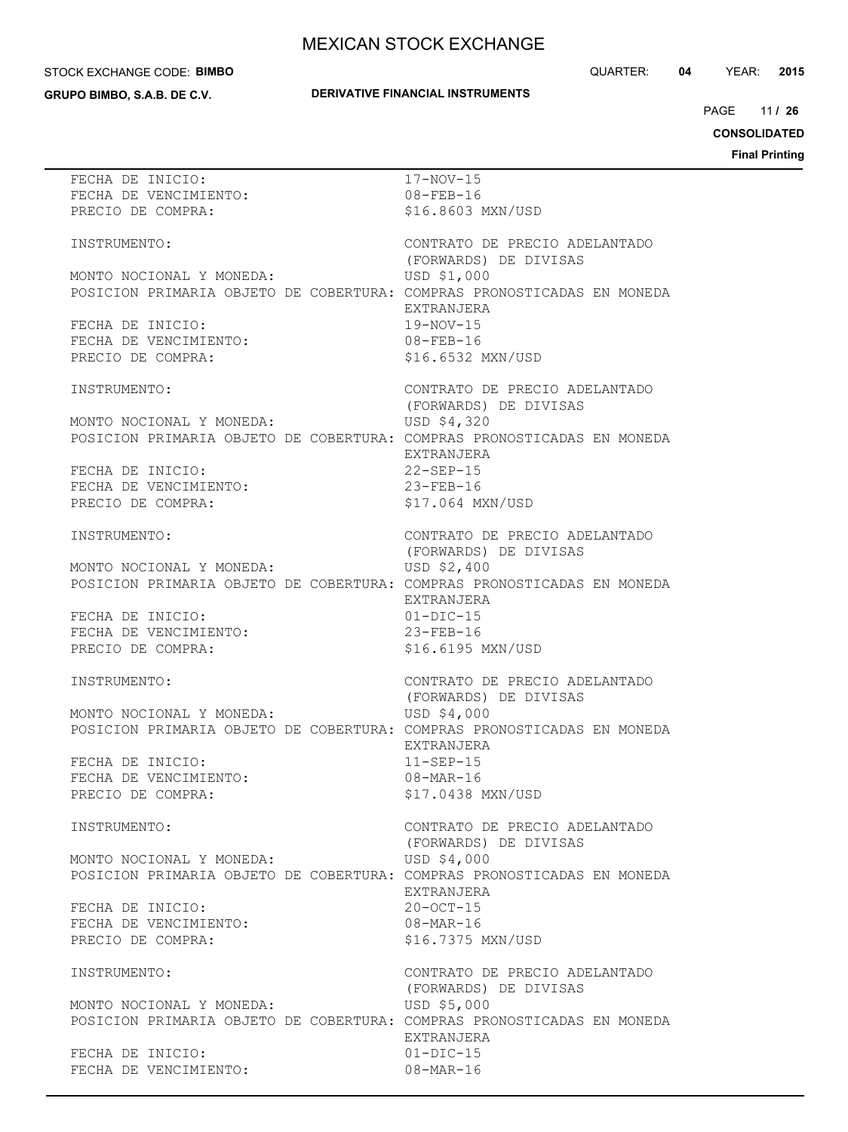#### STOCK EXCHANGE CODE: **BIMBO**

**GRUPO BIMBO, S.A.B. DE C.V.**

## **DERIVATIVE FINANCIAL INSTRUMENTS**

QUARTER: **04** YEAR: **2015**

11 PAGE **/ 26**

**CONSOLIDATED**

| FECHA DE INICIO:                                                       | $17 - NOV - 15$               |
|------------------------------------------------------------------------|-------------------------------|
| FECHA DE VENCIMIENTO:                                                  | $08 - FEB - 16$               |
| PRECIO DE COMPRA:                                                      | \$16.8603 MXN/USD             |
|                                                                        |                               |
| INSTRUMENTO:                                                           | CONTRATO DE PRECIO ADELANTADO |
|                                                                        | (FORWARDS) DE DIVISAS         |
|                                                                        |                               |
| MONTO NOCIONAL Y MONEDA:                                               | USD \$1,000                   |
| POSICION PRIMARIA OBJETO DE COBERTURA: COMPRAS PRONOSTICADAS EN MONEDA |                               |
|                                                                        | EXTRANJERA                    |
| FECHA DE INICIO:                                                       | $19-NOV-15$                   |
| FECHA DE VENCIMIENTO:                                                  | $08 - FEB - 16$               |
| PRECIO DE COMPRA:                                                      | \$16.6532 MXN/USD             |
|                                                                        |                               |
|                                                                        |                               |
| INSTRUMENTO:                                                           | CONTRATO DE PRECIO ADELANTADO |
|                                                                        | (FORWARDS) DE DIVISAS         |
| MONTO NOCIONAL Y MONEDA:                                               | USD \$4,320                   |
| POSICION PRIMARIA OBJETO DE COBERTURA: COMPRAS PRONOSTICADAS EN MONEDA |                               |
|                                                                        | EXTRANJERA                    |
| FECHA DE INICIO:                                                       | $22-SEP-15$                   |
| FECHA DE VENCIMIENTO:                                                  | $23 - FEB - 16$               |
|                                                                        |                               |
| PRECIO DE COMPRA:                                                      | \$17.064 MXN/USD              |
|                                                                        |                               |
| INSTRUMENTO:                                                           | CONTRATO DE PRECIO ADELANTADO |
|                                                                        | (FORWARDS) DE DIVISAS         |
| MONTO NOCIONAL Y MONEDA:                                               | USD \$2,400                   |
| POSICION PRIMARIA OBJETO DE COBERTURA: COMPRAS PRONOSTICADAS EN MONEDA |                               |
|                                                                        | EXTRANJERA                    |
| FECHA DE INICIO:                                                       | $01 - DIC - 15$               |
|                                                                        |                               |
| FECHA DE VENCIMIENTO:                                                  | $23 - FEB - 16$               |
| PRECIO DE COMPRA:                                                      | \$16.6195 MXN/USD             |
|                                                                        |                               |
| INSTRUMENTO:                                                           | CONTRATO DE PRECIO ADELANTADO |
|                                                                        | (FORWARDS) DE DIVISAS         |
| MONTO NOCIONAL Y MONEDA:                                               | USD \$4,000                   |
| POSICION PRIMARIA OBJETO DE COBERTURA: COMPRAS PRONOSTICADAS EN MONEDA |                               |
|                                                                        | EXTRANJERA                    |
| FECHA DE INICIO:                                                       | $11-SEP-15$                   |
| FECHA DE VENCIMIENTO:                                                  | $08 - \text{MAR} - 16$        |
|                                                                        | \$17,0438 MXN/USD             |
| PRECIO DE COMPRA:                                                      |                               |
|                                                                        |                               |
| INSTRUMENTO:                                                           | CONTRATO DE PRECIO ADELANTADO |
|                                                                        | (FORWARDS) DE DIVISAS         |
| MONTO NOCIONAL Y MONEDA:                                               | USD \$4,000                   |
| POSICION PRIMARIA OBJETO DE COBERTURA: COMPRAS PRONOSTICADAS EN MONEDA |                               |
|                                                                        | EXTRANJERA                    |
| FECHA DE INICIO:                                                       | $20 - OCT - 15$               |
| FECHA DE VENCIMIENTO:                                                  | 08-MAR-16                     |
|                                                                        |                               |
| PRECIO DE COMPRA:                                                      | \$16.7375 MXN/USD             |
|                                                                        |                               |
| INSTRUMENTO:                                                           | CONTRATO DE PRECIO ADELANTADO |
|                                                                        | (FORWARDS) DE DIVISAS         |
| MONTO NOCIONAL Y MONEDA:                                               | USD \$5,000                   |
| POSICION PRIMARIA OBJETO DE COBERTURA: COMPRAS PRONOSTICADAS EN MONEDA |                               |
|                                                                        | EXTRANJERA                    |
| FECHA DE INICIO:                                                       | $01 - DIC - 15$               |
| FECHA DE VENCIMIENTO:                                                  | $08 - \text{MAR} - 16$        |
|                                                                        |                               |
|                                                                        |                               |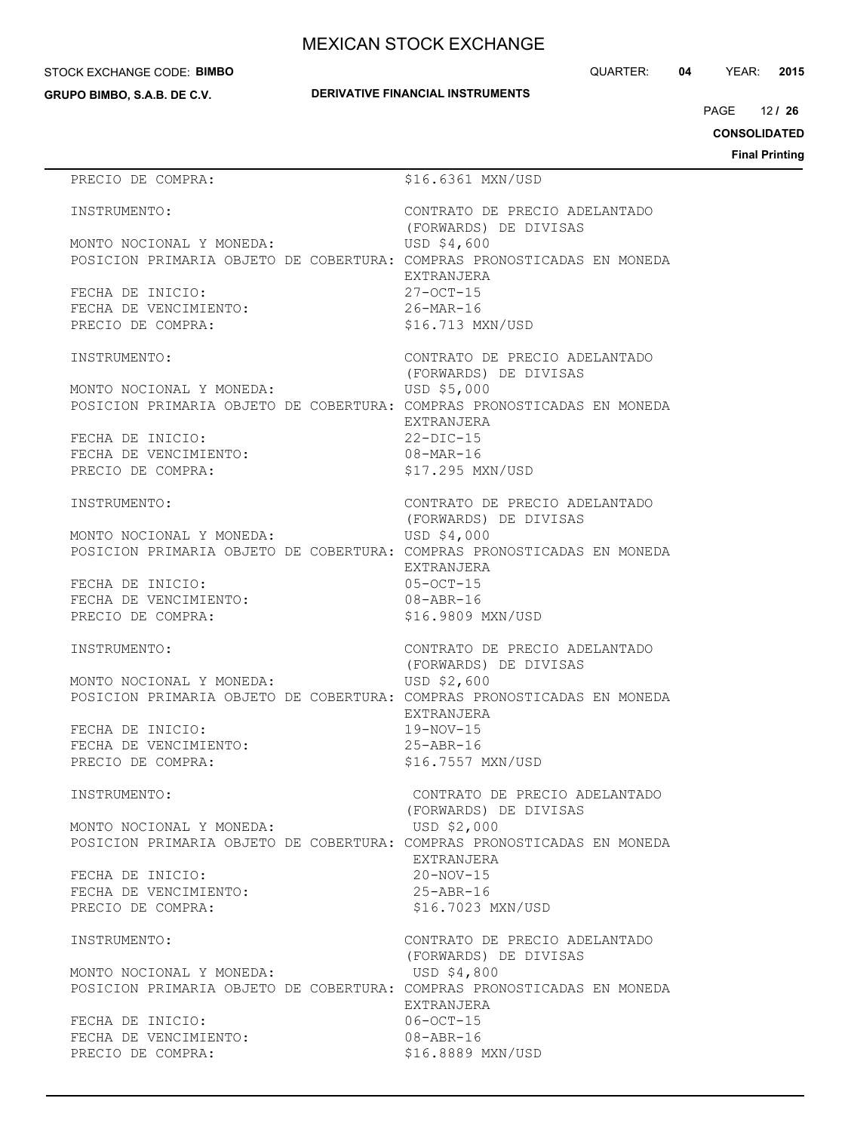#### STOCK EXCHANGE CODE: **BIMBO**

**GRUPO BIMBO, S.A.B. DE C.V.**

QUARTER: **04** YEAR: **2015**

12 PAGE **/ 26**

**CONSOLIDATED**

**Final Printing**

# PRECIO DE COMPRA:  $$16.6361$  MXN/USD INSTRUMENTO: CONTRATO DE PRECIO ADELANTADO (FORWARDS) DE DIVISAS MONTO NOCIONAL Y MONEDA: USD \$4,600 POSICION PRIMARIA OBJETO DE COBERTURA: COMPRAS PRONOSTICADAS EN MONEDA EXTRANJERA FECHA DE INICIO: 27-OCT-15 FECHA DE VENCIMIENTO: 26-MAR-16 PRECIO DE COMPRA:  $$16.713$  MXN/USD INSTRUMENTO: CONTRATO DE PRECIO ADELANTADO (FORWARDS) DE DIVISAS MONTO NOCIONAL Y MONEDA: USD \$5,000 POSICION PRIMARIA OBJETO DE COBERTURA: COMPRAS PRONOSTICADAS EN MONEDA EXTRANJERA FECHA DE INICIO: 22-DIC-15 FECHA DE VENCIMIENTO: 08-MAR-16 PRECIO DE COMPRA:  $$17.295$  MXN/USD INSTRUMENTO: CONTRATO DE PRECIO ADELANTADO (FORWARDS) DE DIVISAS MONTO NOCIONAL Y MONEDA: USD \$4,000 POSICION PRIMARIA OBJETO DE COBERTURA: COMPRAS PRONOSTICADAS EN MONEDA EXTRANJERA FECHA DE INICIO: 05-OCT-15 FECHA DE VENCIMIENTO: 08-ABR-16 PRECIO DE COMPRA:  $$16.9809$  MXN/USD INSTRUMENTO: CONTRATO DE PRECIO ADELANTADO (FORWARDS) DE DIVISAS MONTO NOCIONAL Y MONEDA: USD \$2,600 POSICION PRIMARIA OBJETO DE COBERTURA: COMPRAS PRONOSTICADAS EN MONEDA EXTRANJERA FECHA DE INICIO: 19-NOV-15 FECHA DE VENCIMIENTO: 25-ABR-16 PRECIO DE COMPRA:  $$16.7557$  MXN/USD INSTRUMENTO: CONTRATO DE PRECIO ADELANTADO (FORWARDS) DE DIVISAS MONTO NOCIONAL Y MONEDA: USD \$2,000 POSICION PRIMARIA OBJETO DE COBERTURA: COMPRAS PRONOSTICADAS EN MONEDA EXTRANJERA FECHA DE INICIO: 20-NOV-15 FECHA DE VENCIMIENTO: 25-ABR-16 PRECIO DE COMPRA:  $$16.7023$  MXN/USD INSTRUMENTO: CONTRATO DE PRECIO ADELANTADO (FORWARDS) DE DIVISAS MONTO NOCIONAL Y MONEDA: USD \$4,800 POSICION PRIMARIA OBJETO DE COBERTURA: COMPRAS PRONOSTICADAS EN MONEDA EXTRANJERA FECHA DE INICIO: 06-OCT-15 FECHA DE VENCIMIENTO: 08-ABR-16 PRECIO DE COMPRA:  $$16.8889$  MXN/USD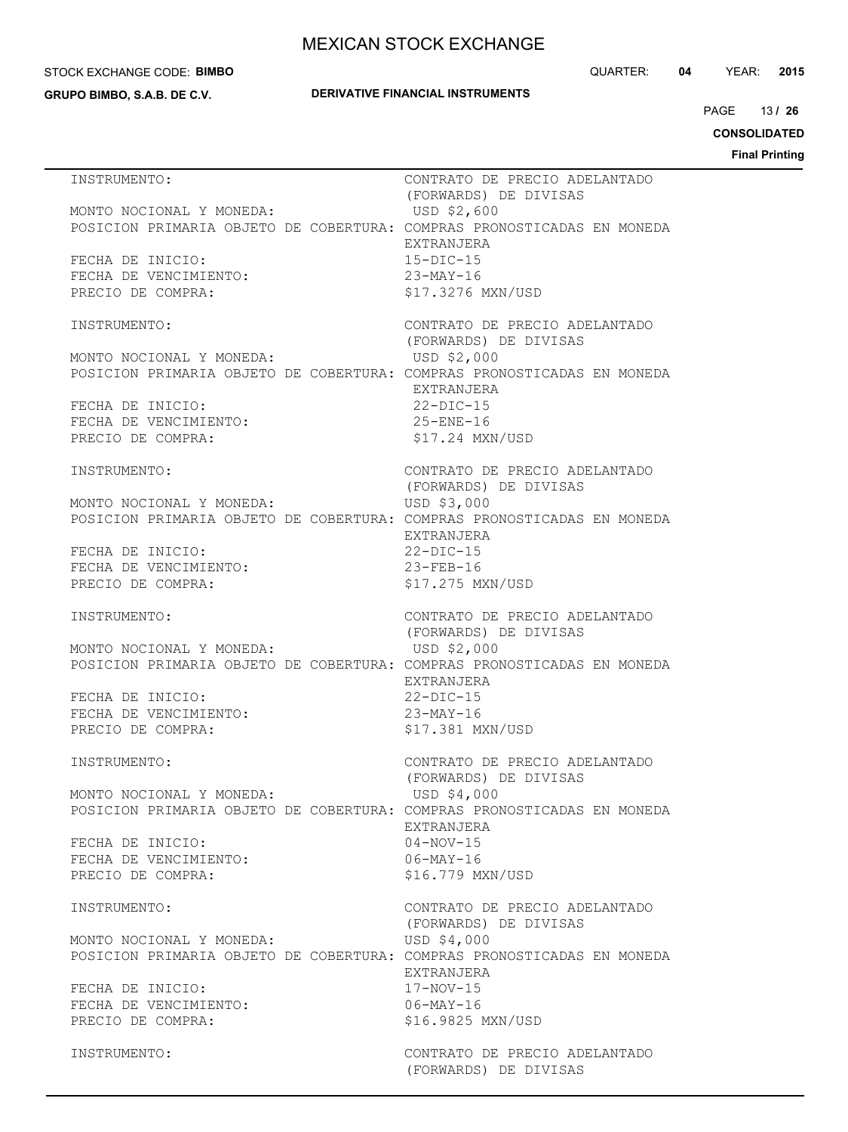#### STOCK EXCHANGE CODE: **BIMBO**

**GRUPO BIMBO, S.A.B. DE C.V.**

## **DERIVATIVE FINANCIAL INSTRUMENTS**

QUARTER: **04** YEAR: **2015**

13 PAGE **/ 26**

**CONSOLIDATED**

| INSTRUMENTO:                                                                                       | CONTRATO DE PRECIO ADELANTADO                              |
|----------------------------------------------------------------------------------------------------|------------------------------------------------------------|
| MONTO NOCIONAL Y MONEDA:<br>POSICION PRIMARIA OBJETO DE COBERTURA: COMPRAS PRONOSTICADAS EN MONEDA | (FORWARDS) DE DIVISAS<br>USD \$2,600<br>EXTRANJERA         |
| FECHA DE INICIO:<br>FECHA DE VENCIMIENTO:<br>PRECIO DE COMPRA:                                     | $15-DIC-15$<br>23-MAY-16<br>\$17.3276 MXN/USD              |
| INSTRUMENTO:                                                                                       | CONTRATO DE PRECIO ADELANTADO<br>(FORWARDS) DE DIVISAS     |
| MONTO NOCIONAL Y MONEDA:<br>POSICION PRIMARIA OBJETO DE COBERTURA: COMPRAS PRONOSTICADAS EN MONEDA | USD \$2,000                                                |
| FECHA DE INICIO:<br>FECHA DE VENCIMIENTO:<br>PRECIO DE COMPRA:                                     | EXTRANJERA<br>$22-DIC-15$<br>25-ENE-16<br>\$17.24 MXN/USD  |
| INSTRUMENTO:                                                                                       | CONTRATO DE PRECIO ADELANTADO<br>(FORWARDS) DE DIVISAS     |
| MONTO NOCIONAL Y MONEDA:<br>POSICION PRIMARIA OBJETO DE COBERTURA: COMPRAS PRONOSTICADAS EN MONEDA | USD \$3,000<br>EXTRANJERA                                  |
| FECHA DE INICIO:<br>FECHA DE VENCIMIENTO:<br>PRECIO DE COMPRA:                                     | $22-DIC-15$<br>$23 - FEB - 16$<br>\$17.275 MXN/USD         |
| INSTRUMENTO:                                                                                       | CONTRATO DE PRECIO ADELANTADO<br>(FORWARDS) DE DIVISAS     |
| MONTO NOCIONAL Y MONEDA:<br>POSICION PRIMARIA OBJETO DE COBERTURA: COMPRAS PRONOSTICADAS EN MONEDA | USD \$2,000                                                |
| FECHA DE INICIO:<br>FECHA DE VENCIMIENTO:<br>PRECIO DE COMPRA:                                     | EXTRANJERA<br>$22-DIC-15$<br>23-MAY-16<br>\$17.381 MXN/USD |
| INSTRUMENTO:                                                                                       | CONTRATO DE PRECIO ADELANTADO<br>(FORWARDS) DE DIVISAS     |
| MONTO NOCIONAL Y MONEDA:<br>POSICION PRIMARIA OBJETO DE COBERTURA: COMPRAS PRONOSTICADAS EN MONEDA | USD \$4,000<br>EXTRANJERA                                  |
| FECHA DE INICIO:<br>FECHA DE VENCIMIENTO:<br>PRECIO DE COMPRA:                                     | $04 - NOV - 15$<br>$06 - MAX - 16$<br>\$16.779 MXN/USD     |
| INSTRUMENTO:                                                                                       | CONTRATO DE PRECIO ADELANTADO<br>(FORWARDS) DE DIVISAS     |
| MONTO NOCIONAL Y MONEDA:<br>POSICION PRIMARIA OBJETO DE COBERTURA: COMPRAS PRONOSTICADAS EN MONEDA | USD \$4,000<br>EXTRANJERA                                  |
| FECHA DE INICIO:<br>FECHA DE VENCIMIENTO:<br>PRECIO DE COMPRA:                                     | $17 - NOV - 15$<br>$06 - MAX - 16$<br>\$16.9825 MXN/USD    |
| INSTRUMENTO:                                                                                       | CONTRATO DE PRECIO ADELANTADO<br>(FORWARDS) DE DIVISAS     |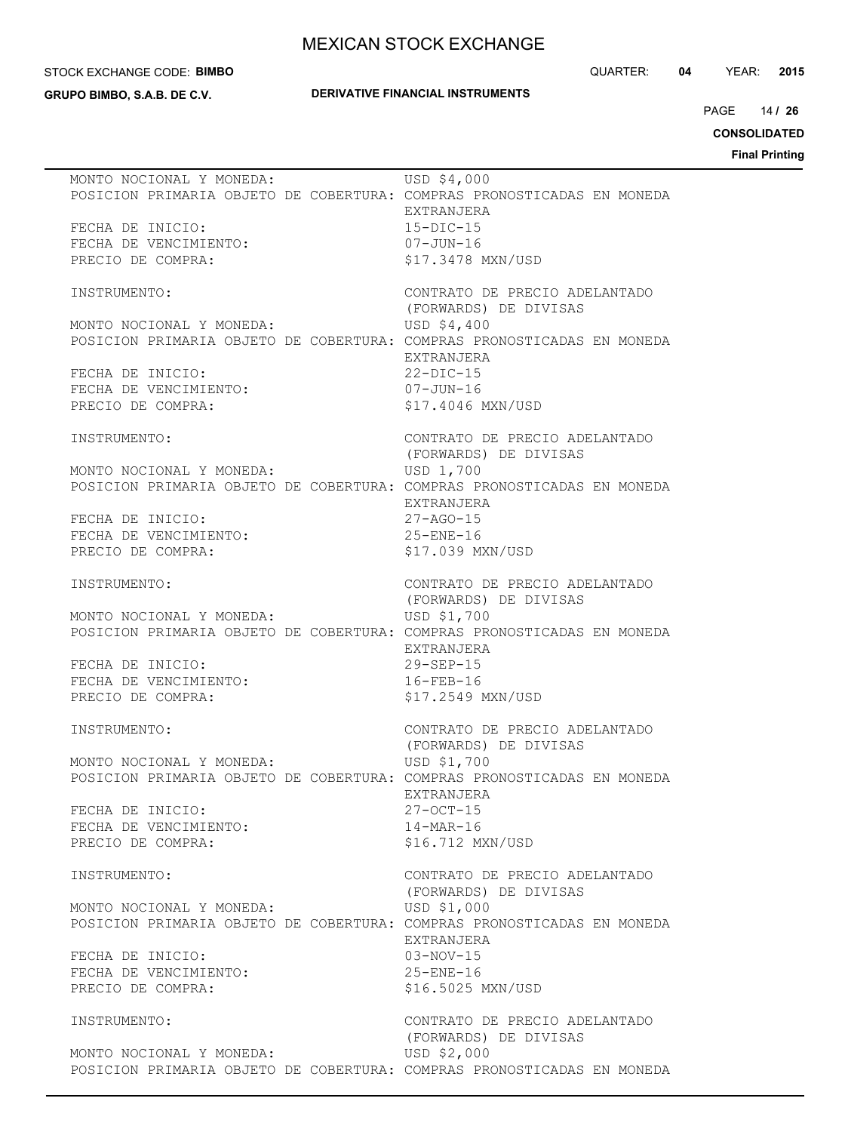#### STOCK EXCHANGE CODE: **BIMBO**

**GRUPO BIMBO, S.A.B. DE C.V.**

### **DERIVATIVE FINANCIAL INSTRUMENTS**

QUARTER: **04** YEAR: **2015**

14 PAGE **/ 26**

**CONSOLIDATED**

| MONTO NOCIONAL Y MONEDA:<br>POSICION PRIMARIA OBJETO DE COBERTURA: COMPRAS PRONOSTICADAS EN MONEDA | USD \$4,000<br>EXTRANJERA            |
|----------------------------------------------------------------------------------------------------|--------------------------------------|
| FECHA DE INICIO:                                                                                   | $15 - DIC - 15$                      |
| FECHA DE VENCIMIENTO:                                                                              | $07 - JUN - 16$                      |
| PRECIO DE COMPRA:                                                                                  | \$17.3478 MXN/USD                    |
|                                                                                                    |                                      |
| INSTRUMENTO:                                                                                       | CONTRATO DE PRECIO ADELANTADO        |
| MONTO NOCIONAL Y MONEDA:                                                                           | (FORWARDS) DE DIVISAS<br>USD \$4,400 |
| POSICION PRIMARIA OBJETO DE COBERTURA: COMPRAS PRONOSTICADAS EN MONEDA                             |                                      |
|                                                                                                    | EXTRANJERA                           |
| FECHA DE INICIO:                                                                                   | $22-DIC-15$                          |
| FECHA DE VENCIMIENTO:                                                                              | 07-JUN-16                            |
| PRECIO DE COMPRA:                                                                                  | \$17.4046 MXN/USD                    |
|                                                                                                    |                                      |
| INSTRUMENTO:                                                                                       | CONTRATO DE PRECIO ADELANTADO        |
|                                                                                                    | (FORWARDS) DE DIVISAS                |
| MONTO NOCIONAL Y MONEDA:                                                                           | USD 1,700                            |
| POSICION PRIMARIA OBJETO DE COBERTURA: COMPRAS PRONOSTICADAS EN MONEDA                             | EXTRANJERA                           |
| FECHA DE INICIO:                                                                                   | $27 - AGO - 15$                      |
| FECHA DE VENCIMIENTO:                                                                              | $25 - ENE - 16$                      |
| PRECIO DE COMPRA:                                                                                  | \$17.039 MXN/USD                     |
|                                                                                                    |                                      |
| INSTRUMENTO:                                                                                       | CONTRATO DE PRECIO ADELANTADO        |
|                                                                                                    | (FORWARDS) DE DIVISAS                |
| MONTO NOCIONAL Y MONEDA:                                                                           | USD \$1,700                          |
| POSICION PRIMARIA OBJETO DE COBERTURA: COMPRAS PRONOSTICADAS EN MONEDA                             |                                      |
| FECHA DE INICIO:                                                                                   | EXTRANJERA<br>$29 - SEP - 15$        |
|                                                                                                    |                                      |
| FECHA DE VENCIMIENTO:                                                                              | $16 - FEB - 16$                      |
| PRECIO DE COMPRA:                                                                                  | \$17.2549 MXN/USD                    |
| INSTRUMENTO:                                                                                       | CONTRATO DE PRECIO ADELANTADO        |
|                                                                                                    | (FORWARDS) DE DIVISAS                |
| MONTO NOCIONAL Y MONEDA:                                                                           | USD \$1,700                          |
| POSICION PRIMARIA OBJETO DE COBERTURA: COMPRAS PRONOSTICADAS EN MONEDA                             |                                      |
|                                                                                                    | <b>EXTRANJERA</b>                    |
| FECHA DE INICIO:                                                                                   | $27 - OCT - 15$                      |
| FECHA DE VENCIMIENTO:                                                                              | $14 - \text{MAR} - 16$               |
| PRECIO DE COMPRA:                                                                                  | \$16.712 MXN/USD                     |
| INSTRUMENTO:                                                                                       | CONTRATO DE PRECIO ADELANTADO        |
|                                                                                                    | (FORWARDS) DE DIVISAS                |
| MONTO NOCIONAL Y MONEDA:                                                                           | USD \$1,000                          |
| POSICION PRIMARIA OBJETO DE COBERTURA: COMPRAS PRONOSTICADAS EN MONEDA                             |                                      |
|                                                                                                    | EXTRANJERA                           |
| FECHA DE INICIO:                                                                                   | $03-NOV-15$                          |
| FECHA DE VENCIMIENTO:                                                                              | $25 - ENE - 16$                      |
| PRECIO DE COMPRA:                                                                                  | \$16.5025 MXN/USD                    |
| INSTRUMENTO:                                                                                       | CONTRATO DE PRECIO ADELANTADO        |
|                                                                                                    | (FORWARDS) DE DIVISAS                |
| MONTO NOCIONAL Y MONEDA:                                                                           | USD \$2,000                          |
| POSICION PRIMARIA OBJETO DE COBERTURA: COMPRAS PRONOSTICADAS EN MONEDA                             |                                      |
|                                                                                                    |                                      |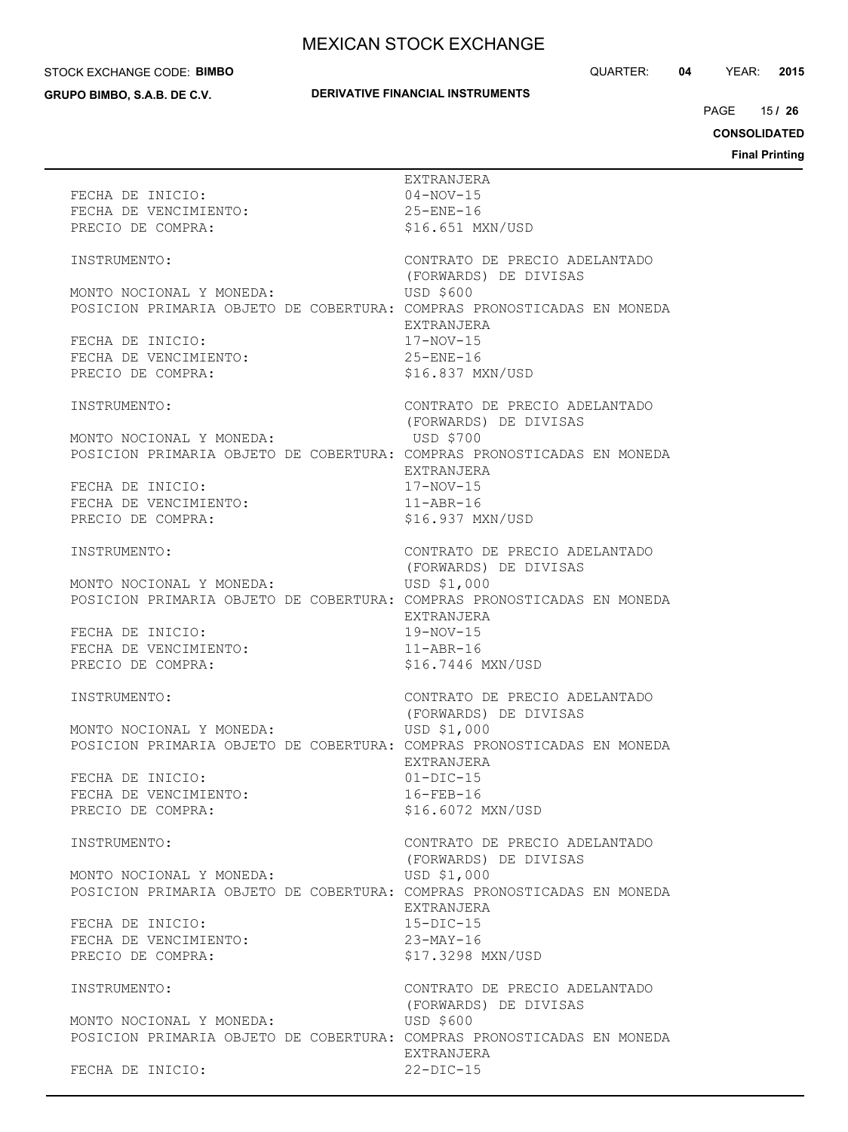#### STOCK EXCHANGE CODE: **BIMBO**

**GRUPO BIMBO, S.A.B. DE C.V.**

## **DERIVATIVE FINANCIAL INSTRUMENTS**

QUARTER: **04** YEAR: **2015**

15 PAGE **/ 26**

**CONSOLIDATED**

|                                                                        | EXTRANJERA                                             |
|------------------------------------------------------------------------|--------------------------------------------------------|
| FECHA DE INICIO:<br>FECHA DE VENCIMIENTO:                              | $04 - NOV - 15$<br>$25 - ENE - 16$                     |
| PRECIO DE COMPRA:                                                      | \$16.651 MXN/USD                                       |
|                                                                        |                                                        |
| INSTRUMENTO:                                                           | CONTRATO DE PRECIO ADELANTADO                          |
|                                                                        | (FORWARDS) DE DIVISAS                                  |
| MONTO NOCIONAL Y MONEDA:                                               | <b>USD \$600</b>                                       |
| POSICION PRIMARIA OBJETO DE COBERTURA: COMPRAS PRONOSTICADAS EN MONEDA |                                                        |
|                                                                        | EXTRANJERA                                             |
| FECHA DE INICIO:<br>FECHA DE VENCIMIENTO:                              | $17 - NOV - 15$<br>$25 -$ ENE $-16$                    |
| PRECIO DE COMPRA:                                                      | \$16.837 MXN/USD                                       |
|                                                                        |                                                        |
| INSTRUMENTO:                                                           | CONTRATO DE PRECIO ADELANTADO                          |
|                                                                        | (FORWARDS) DE DIVISAS                                  |
| MONTO NOCIONAL Y MONEDA:                                               | USD \$700                                              |
| POSICION PRIMARIA OBJETO DE COBERTURA: COMPRAS PRONOSTICADAS EN MONEDA |                                                        |
| FECHA DE INICIO:                                                       | EXTRANJERA<br>$17 - NOV - 15$                          |
| FECHA DE VENCIMIENTO:                                                  | $11 - ABR - 16$                                        |
| PRECIO DE COMPRA:                                                      | \$16.937 MXN/USD                                       |
|                                                                        |                                                        |
| INSTRUMENTO:                                                           | CONTRATO DE PRECIO ADELANTADO                          |
|                                                                        | (FORWARDS) DE DIVISAS                                  |
| MONTO NOCIONAL Y MONEDA:                                               | USD \$1,000                                            |
| POSICION PRIMARIA OBJETO DE COBERTURA: COMPRAS PRONOSTICADAS EN MONEDA | EXTRANJERA                                             |
| FECHA DE INICIO:                                                       | $19-NOV-15$                                            |
| FECHA DE VENCIMIENTO:                                                  | $11 - ABR - 16$                                        |
| PRECIO DE COMPRA:                                                      | \$16.7446 MXN/USD                                      |
|                                                                        |                                                        |
| INSTRUMENTO:                                                           | CONTRATO DE PRECIO ADELANTADO                          |
| MONTO NOCIONAL Y MONEDA:                                               | (FORWARDS) DE DIVISAS                                  |
| POSICION PRIMARIA OBJETO DE COBERTURA: COMPRAS PRONOSTICADAS EN MONEDA | USD \$1,000                                            |
|                                                                        | EXTRANJERA                                             |
| FECHA DE INICIO:                                                       | $01-DIC-15$                                            |
| FECHA DE VENCIMIENTO:                                                  | $16 - FEB - 16$                                        |
| PRECIO DE COMPRA:                                                      | \$16.6072 MXN/USD                                      |
|                                                                        |                                                        |
| INSTRUMENTO:                                                           | CONTRATO DE PRECIO ADELANTADO<br>(FORWARDS) DE DIVISAS |
| MONTO NOCIONAL Y MONEDA:                                               | USD \$1,000                                            |
| POSICION PRIMARIA OBJETO DE COBERTURA: COMPRAS PRONOSTICADAS EN MONEDA |                                                        |
|                                                                        | EXTRANJERA                                             |
| FECHA DE INICIO:                                                       | $15 - DIC - 15$                                        |
| FECHA DE VENCIMIENTO:                                                  | 23-MAY-16                                              |
| PRECIO DE COMPRA:                                                      | \$17.3298 MXN/USD                                      |
| INSTRUMENTO:                                                           |                                                        |
|                                                                        | CONTRATO DE PRECIO ADELANTADO<br>(FORWARDS) DE DIVISAS |
| MONTO NOCIONAL Y MONEDA:                                               | USD \$600                                              |
| POSICION PRIMARIA OBJETO DE COBERTURA: COMPRAS PRONOSTICADAS EN MONEDA |                                                        |
|                                                                        | EXTRANJERA                                             |
| FECHA DE INICIO:                                                       | $22-DIC-15$                                            |
|                                                                        |                                                        |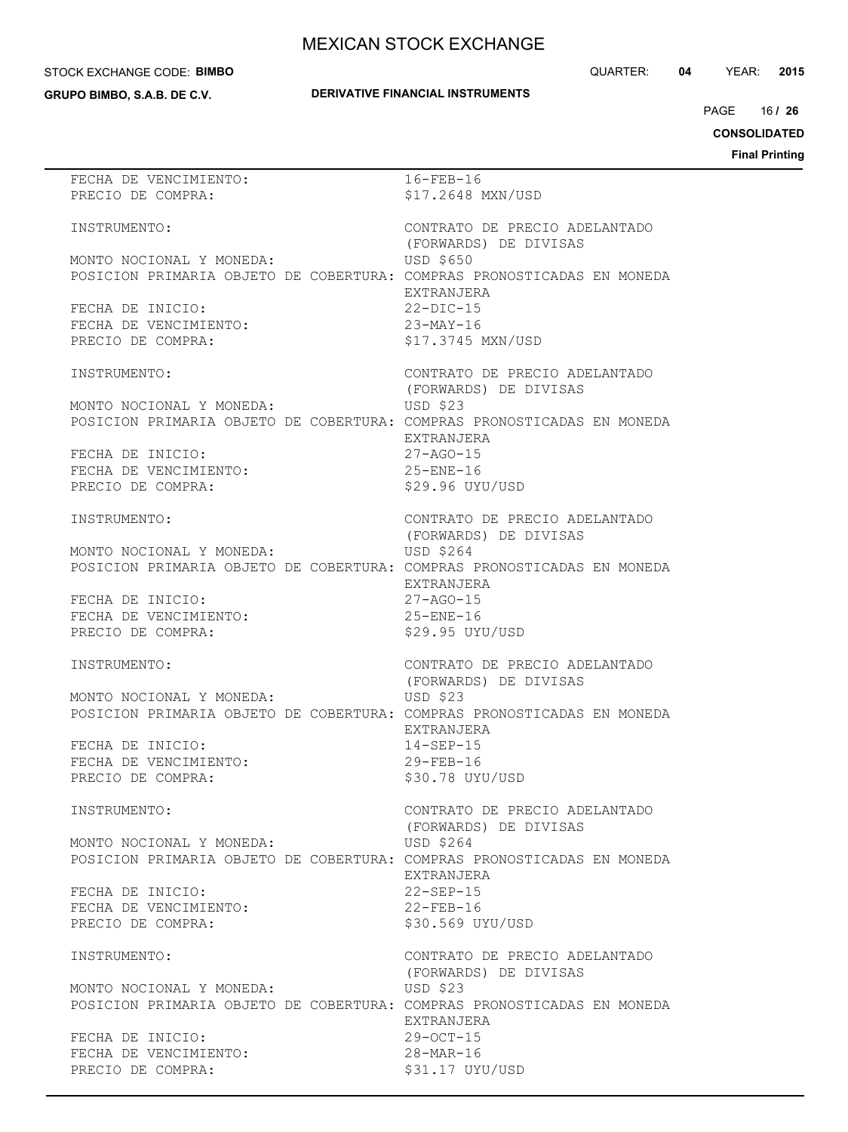#### STOCK EXCHANGE CODE: **BIMBO**

**GRUPO BIMBO, S.A.B. DE C.V.**

#### QUARTER: **04** YEAR: **2015**

## **DERIVATIVE FINANCIAL INSTRUMENTS**

16 PAGE **/ 26**

**CONSOLIDATED**

| FECHA DE VENCIMIENTO:                                                  | 16-FEB-16                     |
|------------------------------------------------------------------------|-------------------------------|
| PRECIO DE COMPRA:                                                      | \$17.2648 MXN/USD             |
|                                                                        |                               |
|                                                                        |                               |
| INSTRUMENTO:                                                           | CONTRATO DE PRECIO ADELANTADO |
|                                                                        | (FORWARDS) DE DIVISAS         |
|                                                                        |                               |
| MONTO NOCIONAL Y MONEDA:                                               | USD \$650                     |
| POSICION PRIMARIA OBJETO DE COBERTURA: COMPRAS PRONOSTICADAS EN MONEDA |                               |
|                                                                        |                               |
|                                                                        | EXTRANJERA                    |
| FECHA DE INICIO:                                                       | $22-DIC-15$                   |
|                                                                        |                               |
| FECHA DE VENCIMIENTO:                                                  | $23-MAY-16$                   |
| PRECIO DE COMPRA:                                                      | \$17.3745 MXN/USD             |
|                                                                        |                               |
|                                                                        |                               |
| INSTRUMENTO:                                                           | CONTRATO DE PRECIO ADELANTADO |
|                                                                        | (FORWARDS) DE DIVISAS         |
|                                                                        |                               |
| MONTO NOCIONAL Y MONEDA:                                               | USD \$23                      |
| POSICION PRIMARIA OBJETO DE COBERTURA: COMPRAS PRONOSTICADAS EN MONEDA |                               |
|                                                                        |                               |
|                                                                        | EXTRANJERA                    |
| FECHA DE INICIO:                                                       | 27-AGO-15                     |
| FECHA DE VENCIMIENTO:                                                  | $25 -$ ENE-16                 |
|                                                                        |                               |
| PRECIO DE COMPRA:                                                      | \$29.96 UYU/USD               |
|                                                                        |                               |
|                                                                        |                               |
| INSTRUMENTO:                                                           | CONTRATO DE PRECIO ADELANTADO |
|                                                                        | (FORWARDS) DE DIVISAS         |
|                                                                        |                               |
| MONTO NOCIONAL Y MONEDA:                                               | USD \$264                     |
| POSICION PRIMARIA OBJETO DE COBERTURA: COMPRAS PRONOSTICADAS EN MONEDA |                               |
|                                                                        | EXTRANJERA                    |
|                                                                        |                               |
| FECHA DE INICIO:                                                       | $27 - AGO - 15$               |
| FECHA DE VENCIMIENTO:                                                  | $25 - ENE - 16$               |
|                                                                        |                               |
| PRECIO DE COMPRA:                                                      | \$29.95 UYU/USD               |
|                                                                        |                               |
| INSTRUMENTO:                                                           | CONTRATO DE PRECIO ADELANTADO |
|                                                                        |                               |
|                                                                        | (FORWARDS) DE DIVISAS         |
| MONTO NOCIONAL Y MONEDA:                                               | USD \$23                      |
|                                                                        |                               |
| POSICION PRIMARIA OBJETO DE COBERTURA: COMPRAS PRONOSTICADAS EN MONEDA |                               |
|                                                                        | EXTRANJERA                    |
|                                                                        |                               |
| FECHA DE INICIO:                                                       | $14 - SEP - 15$               |
| FECHA DE VENCIMIENTO:                                                  | $29 - FEB - 16$               |
| PRECIO DE COMPRA:                                                      | \$30.78 UYU/USD               |
|                                                                        |                               |
|                                                                        |                               |
| INSTRUMENTO:                                                           | CONTRATO DE PRECIO ADELANTADO |
|                                                                        |                               |
|                                                                        | (FORWARDS) DE DIVISAS         |
| MONTO NOCIONAL Y MONEDA:                                               | USD \$264                     |
|                                                                        |                               |
| POSICION PRIMARIA OBJETO DE COBERTURA: COMPRAS PRONOSTICADAS EN MONEDA |                               |
|                                                                        | EXTRANJERA                    |
| FECHA DE INICIO:                                                       | $22 - SEP - 15$               |
|                                                                        |                               |
| FECHA DE VENCIMIENTO:                                                  | $22$ -FEB-16                  |
| PRECIO DE COMPRA:                                                      | \$30.569 UYU/USD              |
|                                                                        |                               |
|                                                                        |                               |
| INSTRUMENTO:                                                           | CONTRATO DE PRECIO ADELANTADO |
|                                                                        | (FORWARDS) DE DIVISAS         |
|                                                                        |                               |
| MONTO NOCIONAL Y MONEDA:                                               | USD \$23                      |
| POSICION PRIMARIA OBJETO DE COBERTURA: COMPRAS PRONOSTICADAS EN MONEDA |                               |
|                                                                        |                               |
|                                                                        | EXTRANJERA                    |
| FECHA DE INICIO:                                                       | $29 - OCT - 15$               |
|                                                                        |                               |
| FECHA DE VENCIMIENTO:                                                  | $28 - \text{MAR} - 16$        |
| PRECIO DE COMPRA:                                                      | \$31.17 UYU/USD               |
|                                                                        |                               |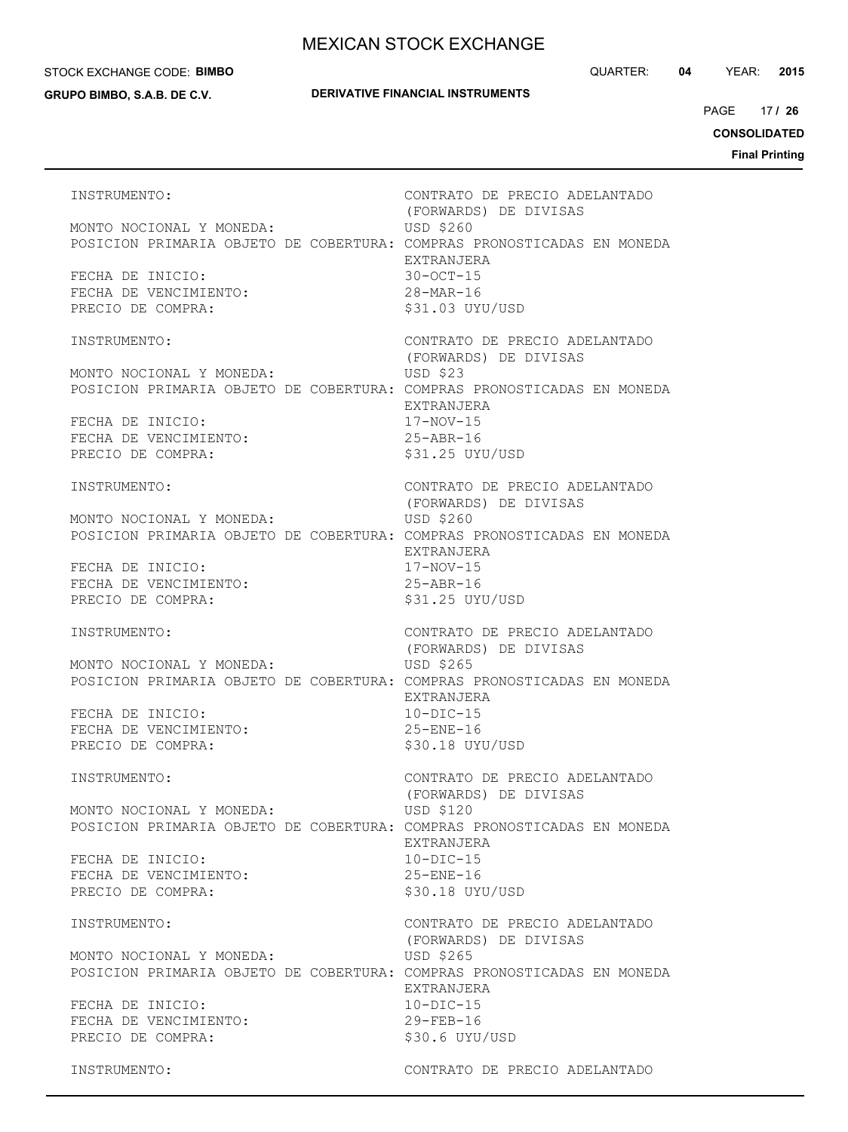#### STOCK EXCHANGE CODE: **BIMBO**

**GRUPO BIMBO, S.A.B. DE C.V.**

#### **DERIVATIVE FINANCIAL INSTRUMENTS**

QUARTER: **04** YEAR: **2015**

17 PAGE **/ 26**

**CONSOLIDATED**

**Final Printing**

INSTRUMENTO: CONTRATO DE PRECIO ADELANTADO (FORWARDS) DE DIVISAS MONTO NOCIONAL Y MONEDA: USD \$260 POSICION PRIMARIA OBJETO DE COBERTURA: COMPRAS PRONOSTICADAS EN MONEDA EXTRANJERA FECHA DE INICIO: 30-OCT-15 FECHA DE VENCIMIENTO: 28-MAR-16 PRECIO DE COMPRA:  $$31.03$  UYU/USD INSTRUMENTO: CONTRATO DE PRECIO ADELANTADO (FORWARDS) DE DIVISAS MONTO NOCIONAL Y MONEDA: USD \$23 POSICION PRIMARIA OBJETO DE COBERTURA: COMPRAS PRONOSTICADAS EN MONEDA EXTRANJERA FECHA DE INICIO: 17-NOV-15 FECHA DE VENCIMIENTO: 25-ABR-16 PRECIO DE COMPRA:  $$31.25$  UYU/USD INSTRUMENTO: CONTRATO DE PRECIO ADELANTADO (FORWARDS) DE DIVISAS MONTO NOCIONAL Y MONEDA: USD \$260 POSICION PRIMARIA OBJETO DE COBERTURA: COMPRAS PRONOSTICADAS EN MONEDA EXTRANJERA FECHA DE INICIO: 17-NOV-15 FECHA DE VENCIMIENTO: 25-ABR-16 PRECIO DE COMPRA:  $$31.25$  UYU/USD INSTRUMENTO: CONTRATO DE PRECIO ADELANTADO (FORWARDS) DE DIVISAS MONTO NOCIONAL Y MONEDA: USD \$265 POSICION PRIMARIA OBJETO DE COBERTURA: COMPRAS PRONOSTICADAS EN MONEDA EXTRANJERA FECHA DE INICIO: 10-DIC-15 FECHA DE VENCIMIENTO: 25-ENE-16 PRECIO DE COMPRA:  $$30.18$  UYU/USD INSTRUMENTO: CONTRATO DE PRECIO ADELANTADO (FORWARDS) DE DIVISAS MONTO NOCIONAL Y MONEDA: USD \$120 POSICION PRIMARIA OBJETO DE COBERTURA: COMPRAS PRONOSTICADAS EN MONEDA EXTRANJERA FECHA DE INICIO: 10-DIC-15 FECHA DE VENCIMIENTO: 25-ENE-16 PRECIO DE COMPRA:  $$30.18$  UYU/USD INSTRUMENTO: CONTRATO DE PRECIO ADELANTADO (FORWARDS) DE DIVISAS MONTO NOCIONAL Y MONEDA: USD \$265 POSICION PRIMARIA OBJETO DE COBERTURA: COMPRAS PRONOSTICADAS EN MONEDA EXTRANJERA FECHA DE INICIO: 10-DIC-15 FECHA DE VENCIMIENTO: 29-FEB-16 PRECIO DE COMPRA:  $$30.6$  UYU/USD INSTRUMENTO: CONTRATO DE PRECIO ADELANTADO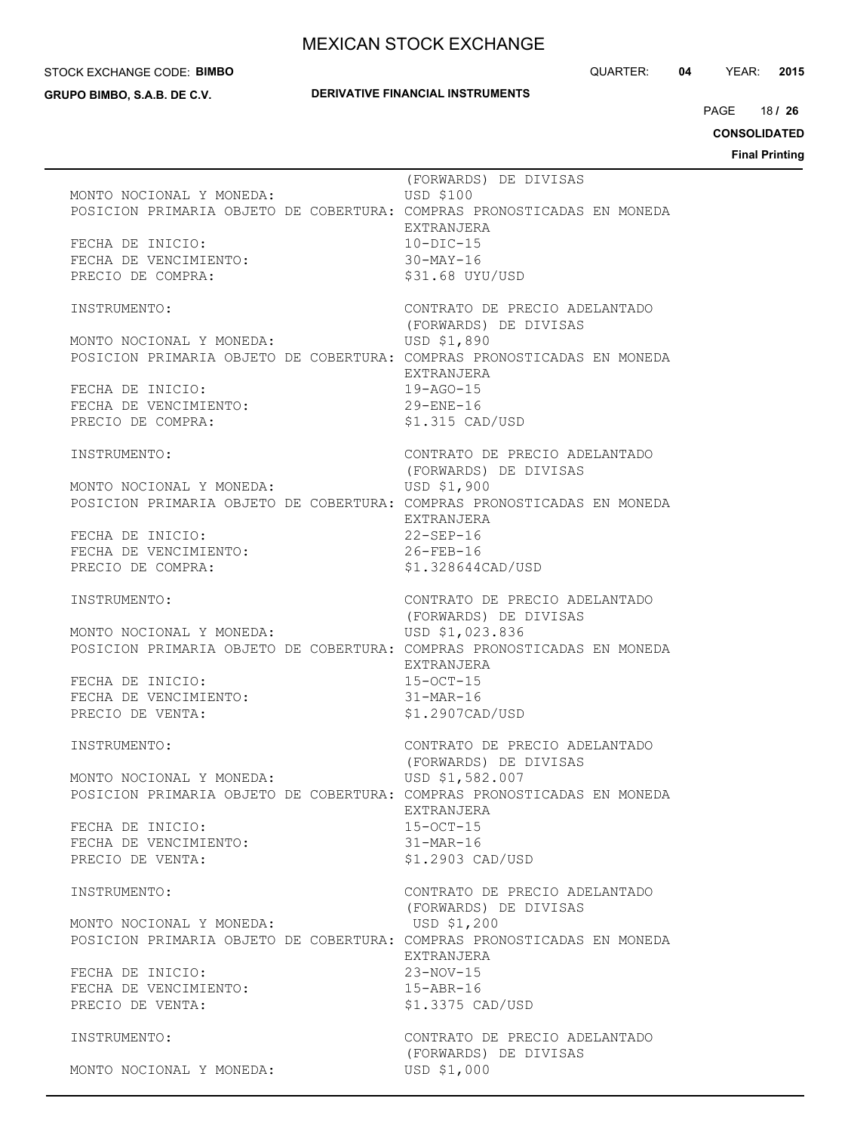#### STOCK EXCHANGE CODE: **BIMBO**

**GRUPO BIMBO, S.A.B. DE C.V.**

#### **DERIVATIVE FINANCIAL INSTRUMENTS**

QUARTER: **04** YEAR: **2015**

18 PAGE **/ 26**

**CONSOLIDATED**

| MONTO NOCIONAL Y MONEDA:<br>POSICION PRIMARIA OBJETO DE COBERTURA: COMPRAS PRONOSTICADAS EN MONEDA<br>FECHA DE INICIO:<br>FECHA DE VENCIMIENTO:<br>PRECIO DE COMPRA:                             | USD \$100<br>EXTRANJERA<br>$10 - DIC - 15$<br>30-MAY-16         | (FORWARDS) DE DIVISAS<br>\$31.68 UYU/USD                                                      |
|--------------------------------------------------------------------------------------------------------------------------------------------------------------------------------------------------|-----------------------------------------------------------------|-----------------------------------------------------------------------------------------------|
| INSTRUMENTO:<br>MONTO NOCIONAL Y MONEDA:<br>POSICION PRIMARIA OBJETO DE COBERTURA: COMPRAS PRONOSTICADAS EN MONEDA<br>FECHA DE INICIO:<br>FECHA DE VENCIMIENTO:<br>PRECIO DE COMPRA:             | USD \$1,890<br>EXTRANJERA<br>$19 - AGO - 15$<br>$29 - ENE - 16$ | CONTRATO DE PRECIO ADELANTADO<br>(FORWARDS) DE DIVISAS<br>\$1.315 CAD/USD                     |
| INSTRUMENTO:<br>MONTO NOCIONAL Y MONEDA: USD \$1,900<br>POSICION PRIMARIA OBJETO DE COBERTURA: COMPRAS PRONOSTICADAS EN MONEDA<br>FECHA DE INICIO:<br>FECHA DE VENCIMIENTO:<br>PRECIO DE COMPRA: | EXTRANJERA<br>$22 - SEP - 16$<br>$26 - FEB - 16$                | CONTRATO DE PRECIO ADELANTADO<br>(FORWARDS) DE DIVISAS<br>\$1,328644CAD/USD                   |
| INSTRUMENTO:<br>MONTO NOCIONAL Y MONEDA:<br>POSICION PRIMARIA OBJETO DE COBERTURA: COMPRAS PRONOSTICADAS EN MONEDA<br>FECHA DE INICIO:<br>FECHA DE VENCIMIENTO:<br>PRECIO DE VENTA:              | EXTRANJERA<br>$15 - OCT - 15$<br>$31 - \text{MAR} - 16$         | CONTRATO DE PRECIO ADELANTADO<br>(FORWARDS) DE DIVISAS<br>USD \$1,023.836<br>\$1.2907CAD/USD  |
| INSTRUMENTO:<br>MONTO NOCIONAL Y MONEDA:<br>POSICION PRIMARIA OBJETO DE COBERTURA: COMPRAS PRONOSTICADAS EN MONEDA<br>FECHA DE INICIO:<br>FECHA DE VENCIMIENTO:<br>PRECIO DE VENTA:              | EXTRANJERA<br>$15 - OCT - 15$<br>$31-MAR-16$                    | CONTRATO DE PRECIO ADELANTADO<br>(FORWARDS) DE DIVISAS<br>USD \$1,582.007<br>\$1.2903 CAD/USD |
| INSTRUMENTO:<br>MONTO NOCIONAL Y MONEDA:<br>POSICION PRIMARIA OBJETO DE COBERTURA: COMPRAS PRONOSTICADAS EN MONEDA<br>FECHA DE INICIO:<br>FECHA DE VENCIMIENTO:<br>PRECIO DE VENTA:              | USD \$1,200<br>EXTRANJERA<br>$23 - NOV - 15$<br>$15 - ABR - 16$ | CONTRATO DE PRECIO ADELANTADO<br>(FORWARDS) DE DIVISAS<br>\$1.3375 CAD/USD                    |
| INSTRUMENTO:<br>MONTO NOCIONAL Y MONEDA:                                                                                                                                                         | USD \$1,000                                                     | CONTRATO DE PRECIO ADELANTADO<br>(FORWARDS) DE DIVISAS                                        |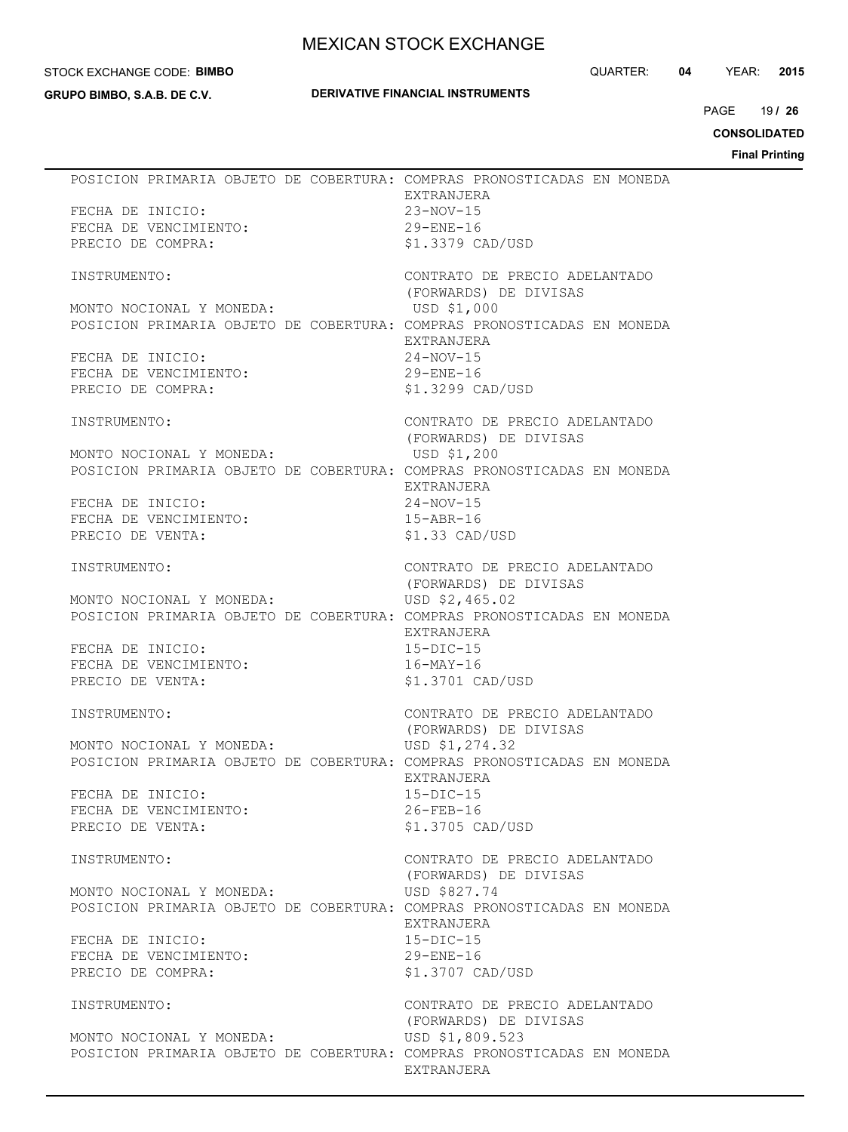#### STOCK EXCHANGE CODE: **BIMBO**

**GRUPO BIMBO, S.A.B. DE C.V.**

## **DERIVATIVE FINANCIAL INSTRUMENTS**

QUARTER: **04** YEAR: **2015**

19 PAGE **/ 26**

**CONSOLIDATED**

**Final Printing**

|                                            | POSICION PRIMARIA OBJETO DE COBERTURA: COMPRAS PRONOSTICADAS EN MONEDA<br>EXTRANJERA |
|--------------------------------------------|--------------------------------------------------------------------------------------|
| FECHA DE INICIO:                           | $23-NOV-15$                                                                          |
| FECHA DE VENCIMIENTO:                      | $29 - ENE - 16$                                                                      |
| PRECIO DE COMPRA:                          | \$1.3379 CAD/USD                                                                     |
|                                            |                                                                                      |
| INSTRUMENTO:                               | CONTRATO DE PRECIO ADELANTADO                                                        |
|                                            | (FORWARDS) DE DIVISAS                                                                |
| MONTO NOCIONAL Y MONEDA:                   | USD \$1,000                                                                          |
|                                            | POSICION PRIMARIA OBJETO DE COBERTURA: COMPRAS PRONOSTICADAS EN MONEDA               |
| FECHA DE INICIO:                           | EXTRANJERA<br>$24-NOV-15$                                                            |
| FECHA DE VENCIMIENTO:                      | $29 - ENE - 16$                                                                      |
| PRECIO DE COMPRA:                          | \$1.3299 CAD/USD                                                                     |
|                                            |                                                                                      |
| INSTRUMENTO:                               | CONTRATO DE PRECIO ADELANTADO                                                        |
|                                            | (FORWARDS) DE DIVISAS                                                                |
| MONTO NOCIONAL Y MONEDA:                   | USD \$1,200                                                                          |
|                                            | POSICION PRIMARIA OBJETO DE COBERTURA: COMPRAS PRONOSTICADAS EN MONEDA               |
|                                            | EXTRANJERA                                                                           |
| FECHA DE INICIO:                           | $24-NOV-15$                                                                          |
| FECHA DE VENCIMIENTO:                      | $15 - ABR - 16$                                                                      |
| PRECIO DE VENTA:                           | \$1.33 CAD/USD                                                                       |
| INSTRUMENTO:                               | CONTRATO DE PRECIO ADELANTADO                                                        |
|                                            | (FORWARDS) DE DIVISAS                                                                |
| MONTO NOCIONAL Y MONEDA:                   | USD \$2,465.02                                                                       |
|                                            | POSICION PRIMARIA OBJETO DE COBERTURA: COMPRAS PRONOSTICADAS EN MONEDA               |
|                                            | EXTRANJERA                                                                           |
| FECHA DE INICIO:                           | $15-DIC-15$                                                                          |
| FECHA DE VENCIMIENTO:                      | $16 - \text{MAX} - 16$                                                               |
| PRECIO DE VENTA:                           | \$1.3701 CAD/USD                                                                     |
|                                            |                                                                                      |
| INSTRUMENTO:                               | CONTRATO DE PRECIO ADELANTADO                                                        |
|                                            | (FORWARDS) DE DIVISAS                                                                |
| MONTO NOCIONAL Y MONEDA:                   | USD \$1,274.32                                                                       |
|                                            | POSICION PRIMARIA OBJETO DE COBERTURA: COMPRAS PRONOSTICADAS EN MONEDA<br>EXTRANJERA |
| FECHA DE INICIO:                           | $15 - DIC - 15$                                                                      |
| FECHA DE VENCIMIENTO:                      | $26 - FEB - 16$                                                                      |
| PRECIO DE VENTA:                           | \$1.3705 CAD/USD                                                                     |
|                                            |                                                                                      |
| INSTRUMENTO:                               | CONTRATO DE PRECIO ADELANTADO                                                        |
|                                            | (FORWARDS) DE DIVISAS                                                                |
| MONTO NOCIONAL Y MONEDA:                   | USD \$827.74                                                                         |
|                                            | POSICION PRIMARIA OBJETO DE COBERTURA: COMPRAS PRONOSTICADAS EN MONEDA               |
|                                            | EXTRANJERA                                                                           |
| FECHA DE INICIO:                           | $15-DIC-15$                                                                          |
| FECHA DE VENCIMIENTO:<br>PRECIO DE COMPRA: | $29 - ENE - 16$<br>\$1.3707 CAD/USD                                                  |
|                                            |                                                                                      |
| INSTRUMENTO:                               | CONTRATO DE PRECIO ADELANTADO                                                        |
|                                            | (FORWARDS) DE DIVISAS                                                                |
| MONTO NOCIONAL Y MONEDA:                   | USD \$1,809.523                                                                      |
|                                            | POSICION PRIMARIA OBJETO DE COBERTURA: COMPRAS PRONOSTICADAS EN MONEDA               |
|                                            | EXTRANJERA                                                                           |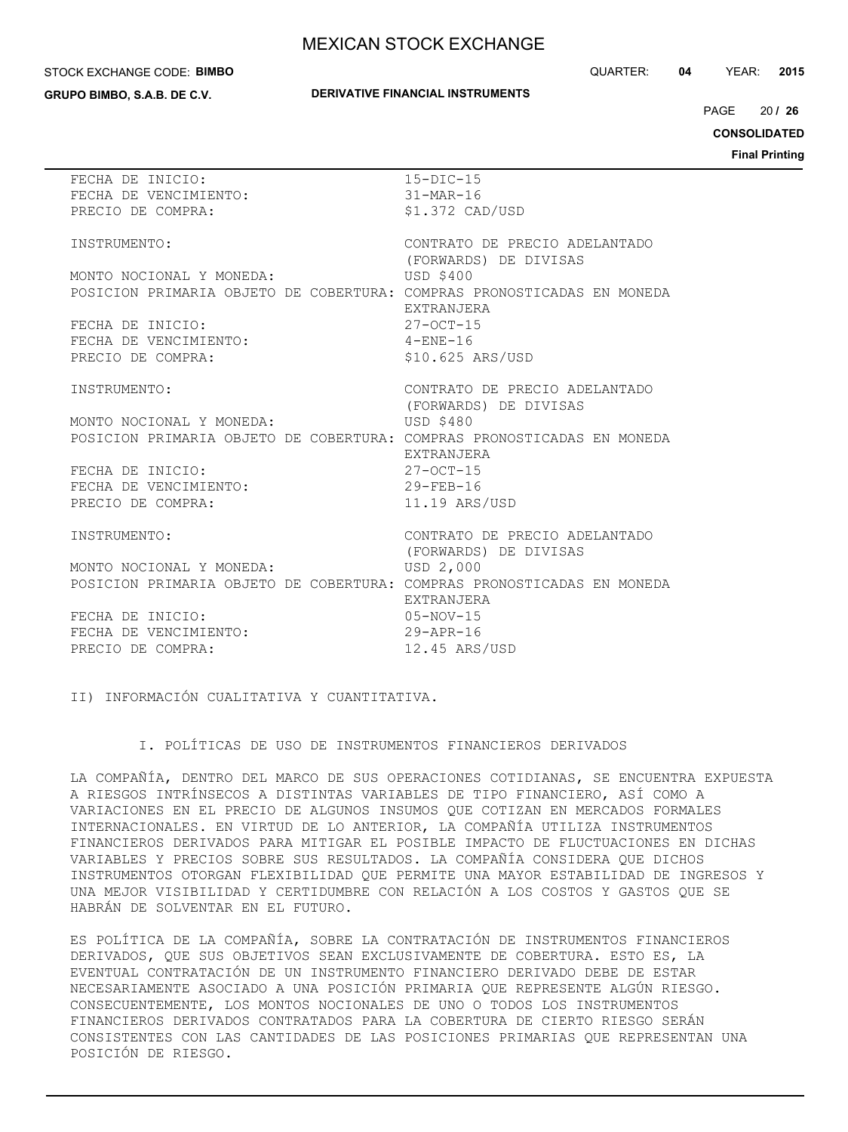#### STOCK EXCHANGE CODE: **BIMBO**

**GRUPO BIMBO, S.A.B. DE C.V.**

### **DERIVATIVE FINANCIAL INSTRUMENTS**

QUARTER: **04** YEAR: **2015**

20 PAGE **/ 26**

**CONSOLIDATED**

**Final Printing**

| FECHA DE INICIO:                                                       | $15-DIC-15$                        |
|------------------------------------------------------------------------|------------------------------------|
| FECHA DE VENCIMIENTO:                                                  | $31-MAR-16$                        |
| PRECIO DE COMPRA:                                                      | $$1.372$ CAD/USD                   |
|                                                                        |                                    |
| INSTRUMENTO:                                                           | CONTRATO DE PRECIO ADELANTADO      |
|                                                                        | (FORWARDS) DE DIVISAS              |
| MONTO NOCIONAL Y MONEDA:                                               | <b>USD \$400</b>                   |
| POSICION PRIMARIA OBJETO DE COBERTURA: COMPRAS PRONOSTICADAS EN MONEDA |                                    |
|                                                                        | EXTRANJERA                         |
| FECHA DE INICIO:                                                       | $27 - 0CT - 15$                    |
| FECHA DE VENCIMIENTO:                                                  | $4 - ENE - 16$                     |
| PRECIO DE COMPRA:                                                      | \$10.625 ARS/USD                   |
|                                                                        |                                    |
| INSTRUMENTO:                                                           | CONTRATO DE PRECIO ADELANTADO      |
| MONTO NOCIONAL Y MONEDA:                                               | (FORWARDS) DE DIVISAS<br>USD \$480 |
| POSICION PRIMARIA OBJETO DE COBERTURA: COMPRAS PRONOSTICADAS EN MONEDA |                                    |
|                                                                        | EXTRANJERA                         |
| FECHA DE INICIO:                                                       | $27 - 0CT - 15$                    |
| FECHA DE VENCIMIENTO:                                                  | $29 - FFR - 16$                    |
| PRECIO DE COMPRA:                                                      | 11.19 ARS/USD                      |
|                                                                        |                                    |
| INSTRUMENTO:                                                           | CONTRATO DE PRECIO ADELANTADO      |
|                                                                        | (FORWARDS) DE DIVISAS              |
| MONTO NOCIONAL Y MONEDA:                                               | USD 2,000                          |
| POSICION PRIMARIA OBJETO DE COBERTURA: COMPRAS PRONOSTICADAS EN MONEDA |                                    |
|                                                                        | <b>EXTRANJERA</b>                  |
| FECHA DE INICIO:                                                       | $05 - NOV - 15$                    |
| FECHA DE VENCIMIENTO:                                                  | $29 - APR - 16$                    |
| PRECIO DE COMPRA:                                                      | 12.45 ARS/USD                      |
|                                                                        |                                    |

II) INFORMACIÓN CUALITATIVA Y CUANTITATIVA.

### I. POLÍTICAS DE USO DE INSTRUMENTOS FINANCIEROS DERIVADOS

LA COMPAÑÍA, DENTRO DEL MARCO DE SUS OPERACIONES COTIDIANAS, SE ENCUENTRA EXPUESTA A RIESGOS INTRÍNSECOS A DISTINTAS VARIABLES DE TIPO FINANCIERO, ASÍ COMO A VARIACIONES EN EL PRECIO DE ALGUNOS INSUMOS QUE COTIZAN EN MERCADOS FORMALES INTERNACIONALES. EN VIRTUD DE LO ANTERIOR, LA COMPAÑÍA UTILIZA INSTRUMENTOS FINANCIEROS DERIVADOS PARA MITIGAR EL POSIBLE IMPACTO DE FLUCTUACIONES EN DICHAS VARIABLES Y PRECIOS SOBRE SUS RESULTADOS. LA COMPAÑÍA CONSIDERA QUE DICHOS INSTRUMENTOS OTORGAN FLEXIBILIDAD QUE PERMITE UNA MAYOR ESTABILIDAD DE INGRESOS Y UNA MEJOR VISIBILIDAD Y CERTIDUMBRE CON RELACIÓN A LOS COSTOS Y GASTOS QUE SE HABRÁN DE SOLVENTAR EN EL FUTURO.

ES POLÍTICA DE LA COMPAÑÍA, SOBRE LA CONTRATACIÓN DE INSTRUMENTOS FINANCIEROS DERIVADOS, QUE SUS OBJETIVOS SEAN EXCLUSIVAMENTE DE COBERTURA. ESTO ES, LA EVENTUAL CONTRATACIÓN DE UN INSTRUMENTO FINANCIERO DERIVADO DEBE DE ESTAR NECESARIAMENTE ASOCIADO A UNA POSICIÓN PRIMARIA QUE REPRESENTE ALGÚN RIESGO. CONSECUENTEMENTE, LOS MONTOS NOCIONALES DE UNO O TODOS LOS INSTRUMENTOS FINANCIEROS DERIVADOS CONTRATADOS PARA LA COBERTURA DE CIERTO RIESGO SERÁN CONSISTENTES CON LAS CANTIDADES DE LAS POSICIONES PRIMARIAS QUE REPRESENTAN UNA POSICIÓN DE RIESGO.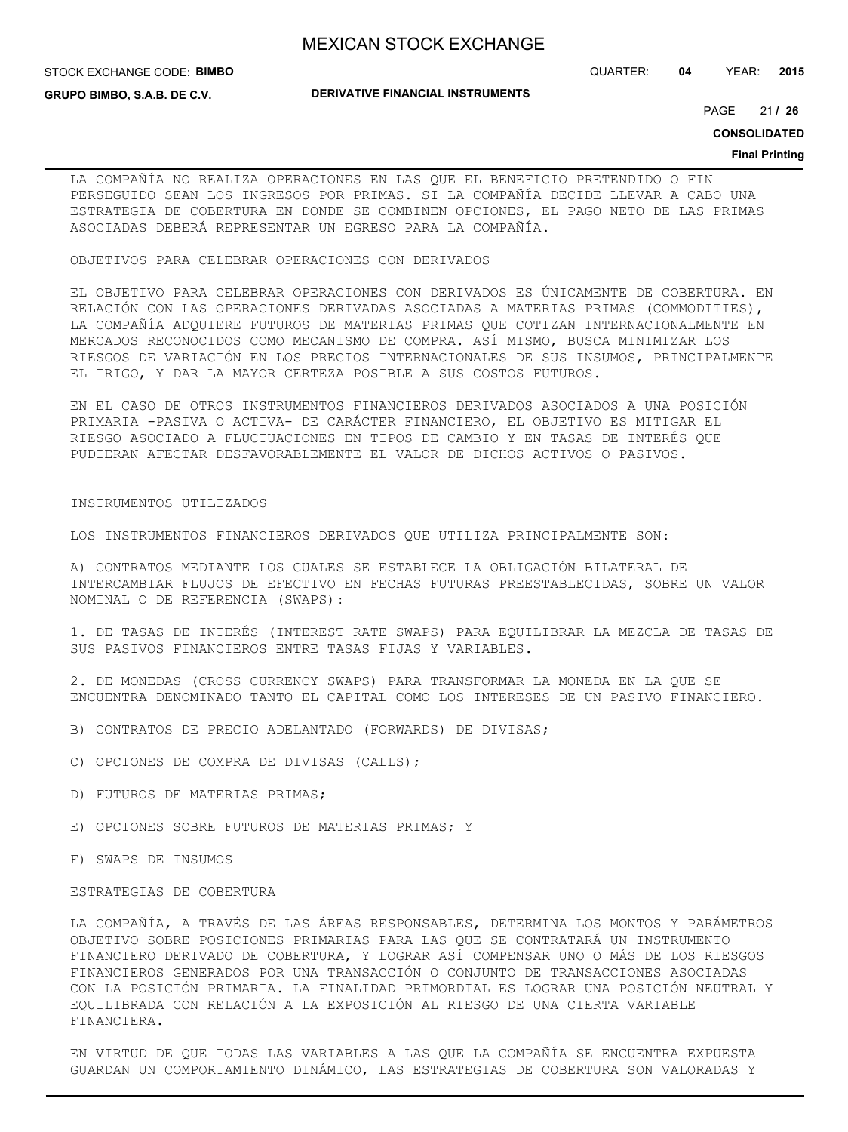#### STOCK EXCHANGE CODE: **BIMBO**

**GRUPO BIMBO, S.A.B. DE C.V.**

#### **DERIVATIVE FINANCIAL INSTRUMENTS**

QUARTER: **04** YEAR: **2015**

21 PAGE **/ 26**

#### **CONSOLIDATED**

#### **Final Printing**

LA COMPAÑÍA NO REALIZA OPERACIONES EN LAS QUE EL BENEFICIO PRETENDIDO O FIN PERSEGUIDO SEAN LOS INGRESOS POR PRIMAS. SI LA COMPAÑÍA DECIDE LLEVAR A CABO UNA ESTRATEGIA DE COBERTURA EN DONDE SE COMBINEN OPCIONES, EL PAGO NETO DE LAS PRIMAS ASOCIADAS DEBERÁ REPRESENTAR UN EGRESO PARA LA COMPAÑÍA.

OBJETIVOS PARA CELEBRAR OPERACIONES CON DERIVADOS

EL OBJETIVO PARA CELEBRAR OPERACIONES CON DERIVADOS ES ÚNICAMENTE DE COBERTURA. EN RELACIÓN CON LAS OPERACIONES DERIVADAS ASOCIADAS A MATERIAS PRIMAS (COMMODITIES), LA COMPAÑÍA ADQUIERE FUTUROS DE MATERIAS PRIMAS QUE COTIZAN INTERNACIONALMENTE EN MERCADOS RECONOCIDOS COMO MECANISMO DE COMPRA. ASÍ MISMO, BUSCA MINIMIZAR LOS RIESGOS DE VARIACIÓN EN LOS PRECIOS INTERNACIONALES DE SUS INSUMOS, PRINCIPALMENTE EL TRIGO, Y DAR LA MAYOR CERTEZA POSIBLE A SUS COSTOS FUTUROS.

EN EL CASO DE OTROS INSTRUMENTOS FINANCIEROS DERIVADOS ASOCIADOS A UNA POSICIÓN PRIMARIA -PASIVA O ACTIVA- DE CARÁCTER FINANCIERO, EL OBJETIVO ES MITIGAR EL RIESGO ASOCIADO A FLUCTUACIONES EN TIPOS DE CAMBIO Y EN TASAS DE INTERÉS QUE PUDIERAN AFECTAR DESFAVORABLEMENTE EL VALOR DE DICHOS ACTIVOS O PASIVOS.

#### INSTRUMENTOS UTILIZADOS

LOS INSTRUMENTOS FINANCIEROS DERIVADOS QUE UTILIZA PRINCIPALMENTE SON:

A) CONTRATOS MEDIANTE LOS CUALES SE ESTABLECE LA OBLIGACIÓN BILATERAL DE INTERCAMBIAR FLUJOS DE EFECTIVO EN FECHAS FUTURAS PREESTABLECIDAS, SOBRE UN VALOR NOMINAL O DE REFERENCIA (SWAPS):

1. DE TASAS DE INTERÉS (INTEREST RATE SWAPS) PARA EQUILIBRAR LA MEZCLA DE TASAS DE SUS PASIVOS FINANCIEROS ENTRE TASAS FIJAS Y VARIABLES.

2. DE MONEDAS (CROSS CURRENCY SWAPS) PARA TRANSFORMAR LA MONEDA EN LA QUE SE ENCUENTRA DENOMINADO TANTO EL CAPITAL COMO LOS INTERESES DE UN PASIVO FINANCIERO.

- B) CONTRATOS DE PRECIO ADELANTADO (FORWARDS) DE DIVISAS;
- C) OPCIONES DE COMPRA DE DIVISAS (CALLS);
- D) FUTUROS DE MATERIAS PRIMAS;
- E) OPCIONES SOBRE FUTUROS DE MATERIAS PRIMAS; Y
- F) SWAPS DE INSUMOS

## ESTRATEGIAS DE COBERTURA

LA COMPAÑÍA, A TRAVÉS DE LAS ÁREAS RESPONSABLES, DETERMINA LOS MONTOS Y PARÁMETROS OBJETIVO SOBRE POSICIONES PRIMARIAS PARA LAS QUE SE CONTRATARÁ UN INSTRUMENTO FINANCIERO DERIVADO DE COBERTURA, Y LOGRAR ASÍ COMPENSAR UNO O MÁS DE LOS RIESGOS FINANCIEROS GENERADOS POR UNA TRANSACCIÓN O CONJUNTO DE TRANSACCIONES ASOCIADAS CON LA POSICIÓN PRIMARIA. LA FINALIDAD PRIMORDIAL ES LOGRAR UNA POSICIÓN NEUTRAL Y EQUILIBRADA CON RELACIÓN A LA EXPOSICIÓN AL RIESGO DE UNA CIERTA VARIABLE FINANCIERA.

EN VIRTUD DE QUE TODAS LAS VARIABLES A LAS QUE LA COMPAÑÍA SE ENCUENTRA EXPUESTA GUARDAN UN COMPORTAMIENTO DINÁMICO, LAS ESTRATEGIAS DE COBERTURA SON VALORADAS Y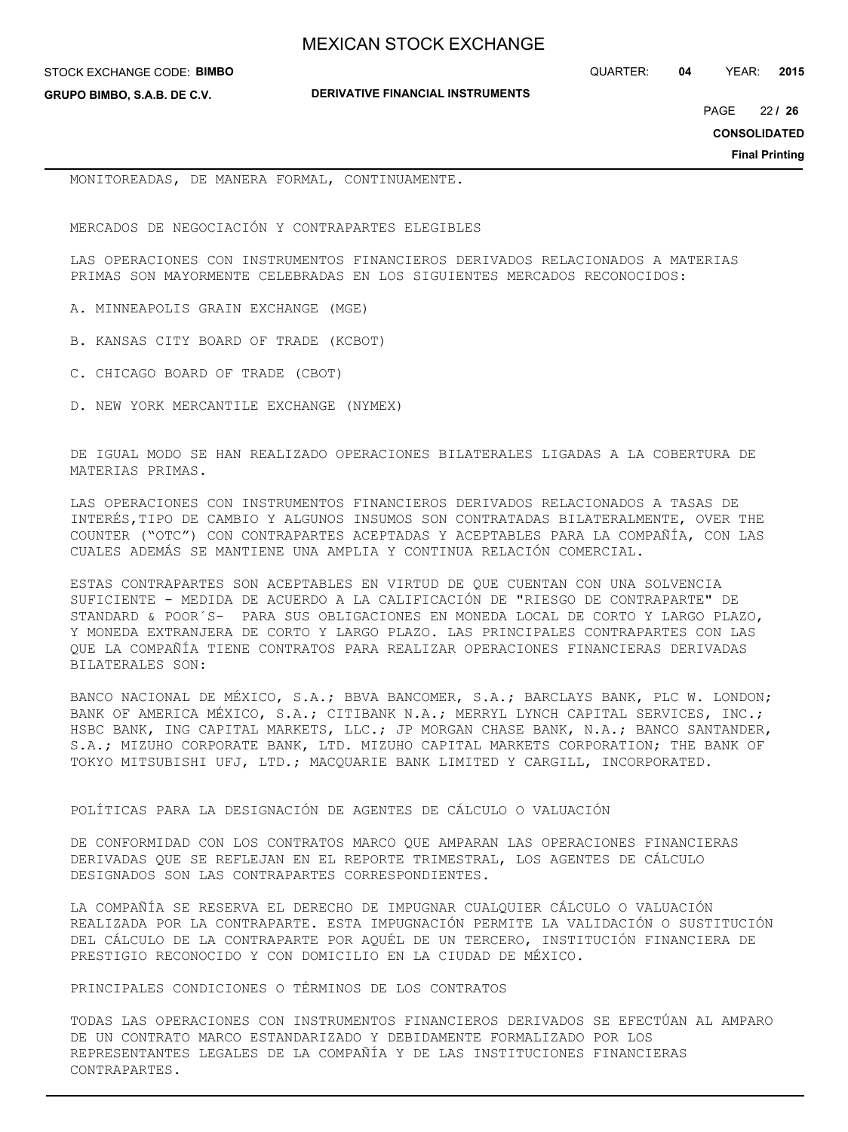**GRUPO BIMBO, S.A.B. DE C.V.**

QUARTER: **04** YEAR: **2015**

**DERIVATIVE FINANCIAL INSTRUMENTS**

22 PAGE **/ 26**

**CONSOLIDATED**

**Final Printing**

MONITOREADAS, DE MANERA FORMAL, CONTINUAMENTE.

MERCADOS DE NEGOCIACIÓN Y CONTRAPARTES ELEGIBLES

LAS OPERACIONES CON INSTRUMENTOS FINANCIEROS DERIVADOS RELACIONADOS A MATERIAS PRIMAS SON MAYORMENTE CELEBRADAS EN LOS SIGUIENTES MERCADOS RECONOCIDOS:

- A. MINNEAPOLIS GRAIN EXCHANGE (MGE)
- B. KANSAS CITY BOARD OF TRADE (KCBOT)
- C. CHICAGO BOARD OF TRADE (CBOT)
- D. NEW YORK MERCANTILE EXCHANGE (NYMEX)

DE IGUAL MODO SE HAN REALIZADO OPERACIONES BILATERALES LIGADAS A LA COBERTURA DE MATERIAS PRIMAS.

LAS OPERACIONES CON INSTRUMENTOS FINANCIEROS DERIVADOS RELACIONADOS A TASAS DE INTERÉS,TIPO DE CAMBIO Y ALGUNOS INSUMOS SON CONTRATADAS BILATERALMENTE, OVER THE COUNTER ("OTC") CON CONTRAPARTES ACEPTADAS Y ACEPTABLES PARA LA COMPAÑÍA, CON LAS CUALES ADEMÁS SE MANTIENE UNA AMPLIA Y CONTINUA RELACIÓN COMERCIAL.

ESTAS CONTRAPARTES SON ACEPTABLES EN VIRTUD DE QUE CUENTAN CON UNA SOLVENCIA SUFICIENTE - MEDIDA DE ACUERDO A LA CALIFICACIÓN DE "RIESGO DE CONTRAPARTE" DE STANDARD & POOR´S- PARA SUS OBLIGACIONES EN MONEDA LOCAL DE CORTO Y LARGO PLAZO, Y MONEDA EXTRANJERA DE CORTO Y LARGO PLAZO. LAS PRINCIPALES CONTRAPARTES CON LAS QUE LA COMPAÑÍA TIENE CONTRATOS PARA REALIZAR OPERACIONES FINANCIERAS DERIVADAS BILATERALES SON:

BANCO NACIONAL DE MÉXICO, S.A.; BBVA BANCOMER, S.A.; BARCLAYS BANK, PLC W. LONDON; BANK OF AMERICA MÉXICO, S.A.; CITIBANK N.A.; MERRYL LYNCH CAPITAL SERVICES, INC.; HSBC BANK, ING CAPITAL MARKETS, LLC.; JP MORGAN CHASE BANK, N.A.; BANCO SANTANDER, S.A.; MIZUHO CORPORATE BANK, LTD. MIZUHO CAPITAL MARKETS CORPORATION; THE BANK OF TOKYO MITSUBISHI UFJ, LTD.; MACQUARIE BANK LIMITED Y CARGILL, INCORPORATED.

POLÍTICAS PARA LA DESIGNACIÓN DE AGENTES DE CÁLCULO O VALUACIÓN

DE CONFORMIDAD CON LOS CONTRATOS MARCO QUE AMPARAN LAS OPERACIONES FINANCIERAS DERIVADAS QUE SE REFLEJAN EN EL REPORTE TRIMESTRAL, LOS AGENTES DE CÁLCULO DESIGNADOS SON LAS CONTRAPARTES CORRESPONDIENTES.

LA COMPAÑÍA SE RESERVA EL DERECHO DE IMPUGNAR CUALQUIER CÁLCULO O VALUACIÓN REALIZADA POR LA CONTRAPARTE. ESTA IMPUGNACIÓN PERMITE LA VALIDACIÓN O SUSTITUCIÓN DEL CÁLCULO DE LA CONTRAPARTE POR AQUÉL DE UN TERCERO, INSTITUCIÓN FINANCIERA DE PRESTIGIO RECONOCIDO Y CON DOMICILIO EN LA CIUDAD DE MÉXICO.

PRINCIPALES CONDICIONES O TÉRMINOS DE LOS CONTRATOS

TODAS LAS OPERACIONES CON INSTRUMENTOS FINANCIEROS DERIVADOS SE EFECTÚAN AL AMPARO DE UN CONTRATO MARCO ESTANDARIZADO Y DEBIDAMENTE FORMALIZADO POR LOS REPRESENTANTES LEGALES DE LA COMPAÑÍA Y DE LAS INSTITUCIONES FINANCIERAS CONTRAPARTES.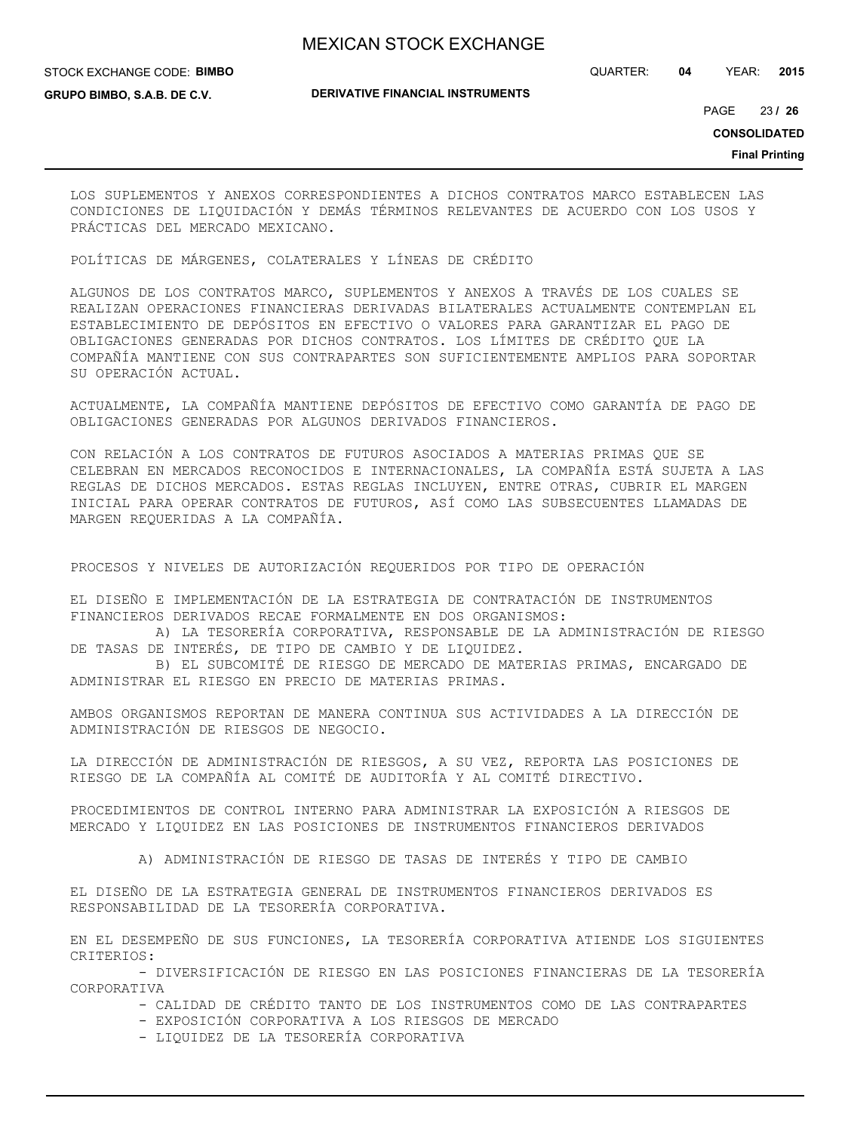#### STOCK EXCHANGE CODE: **BIMBO**

QUARTER: **04** YEAR: **2015**

**GRUPO BIMBO, S.A.B. DE C.V.**

## **DERIVATIVE FINANCIAL INSTRUMENTS**

23 PAGE **/ 26**

**CONSOLIDATED**

**Final Printing**

LOS SUPLEMENTOS Y ANEXOS CORRESPONDIENTES A DICHOS CONTRATOS MARCO ESTABLECEN LAS CONDICIONES DE LIQUIDACIÓN Y DEMÁS TÉRMINOS RELEVANTES DE ACUERDO CON LOS USOS Y PRÁCTICAS DEL MERCADO MEXICANO.

POLÍTICAS DE MÁRGENES, COLATERALES Y LÍNEAS DE CRÉDITO

ALGUNOS DE LOS CONTRATOS MARCO, SUPLEMENTOS Y ANEXOS A TRAVÉS DE LOS CUALES SE REALIZAN OPERACIONES FINANCIERAS DERIVADAS BILATERALES ACTUALMENTE CONTEMPLAN EL ESTABLECIMIENTO DE DEPÓSITOS EN EFECTIVO O VALORES PARA GARANTIZAR EL PAGO DE OBLIGACIONES GENERADAS POR DICHOS CONTRATOS. LOS LÍMITES DE CRÉDITO QUE LA COMPAÑÍA MANTIENE CON SUS CONTRAPARTES SON SUFICIENTEMENTE AMPLIOS PARA SOPORTAR SU OPERACIÓN ACTUAL.

ACTUALMENTE, LA COMPAÑÍA MANTIENE DEPÓSITOS DE EFECTIVO COMO GARANTÍA DE PAGO DE OBLIGACIONES GENERADAS POR ALGUNOS DERIVADOS FINANCIEROS.

CON RELACIÓN A LOS CONTRATOS DE FUTUROS ASOCIADOS A MATERIAS PRIMAS QUE SE CELEBRAN EN MERCADOS RECONOCIDOS E INTERNACIONALES, LA COMPAÑÍA ESTÁ SUJETA A LAS REGLAS DE DICHOS MERCADOS. ESTAS REGLAS INCLUYEN, ENTRE OTRAS, CUBRIR EL MARGEN INICIAL PARA OPERAR CONTRATOS DE FUTUROS, ASÍ COMO LAS SUBSECUENTES LLAMADAS DE MARGEN REQUERIDAS A LA COMPAÑÍA.

PROCESOS Y NIVELES DE AUTORIZACIÓN REQUERIDOS POR TIPO DE OPERACIÓN

EL DISEÑO E IMPLEMENTACIÓN DE LA ESTRATEGIA DE CONTRATACIÓN DE INSTRUMENTOS FINANCIEROS DERIVADOS RECAE FORMALMENTE EN DOS ORGANISMOS:

 A) LA TESORERÍA CORPORATIVA, RESPONSABLE DE LA ADMINISTRACIÓN DE RIESGO DE TASAS DE INTERÉS, DE TIPO DE CAMBIO Y DE LIQUIDEZ.

 B) EL SUBCOMITÉ DE RIESGO DE MERCADO DE MATERIAS PRIMAS, ENCARGADO DE ADMINISTRAR EL RIESGO EN PRECIO DE MATERIAS PRIMAS.

AMBOS ORGANISMOS REPORTAN DE MANERA CONTINUA SUS ACTIVIDADES A LA DIRECCIÓN DE ADMINISTRACIÓN DE RIESGOS DE NEGOCIO.

LA DIRECCIÓN DE ADMINISTRACIÓN DE RIESGOS, A SU VEZ, REPORTA LAS POSICIONES DE RIESGO DE LA COMPAÑÍA AL COMITÉ DE AUDITORÍA Y AL COMITÉ DIRECTIVO.

PROCEDIMIENTOS DE CONTROL INTERNO PARA ADMINISTRAR LA EXPOSICIÓN A RIESGOS DE MERCADO Y LIQUIDEZ EN LAS POSICIONES DE INSTRUMENTOS FINANCIEROS DERIVADOS

A) ADMINISTRACIÓN DE RIESGO DE TASAS DE INTERÉS Y TIPO DE CAMBIO

EL DISEÑO DE LA ESTRATEGIA GENERAL DE INSTRUMENTOS FINANCIEROS DERIVADOS ES RESPONSABILIDAD DE LA TESORERÍA CORPORATIVA.

EN EL DESEMPEÑO DE SUS FUNCIONES, LA TESORERÍA CORPORATIVA ATIENDE LOS SIGUIENTES CRITERIOS:

 - DIVERSIFICACIÓN DE RIESGO EN LAS POSICIONES FINANCIERAS DE LA TESORERÍA CORPORATIVA

- CALIDAD DE CRÉDITO TANTO DE LOS INSTRUMENTOS COMO DE LAS CONTRAPARTES

- EXPOSICIÓN CORPORATIVA A LOS RIESGOS DE MERCADO

- LIQUIDEZ DE LA TESORERÍA CORPORATIVA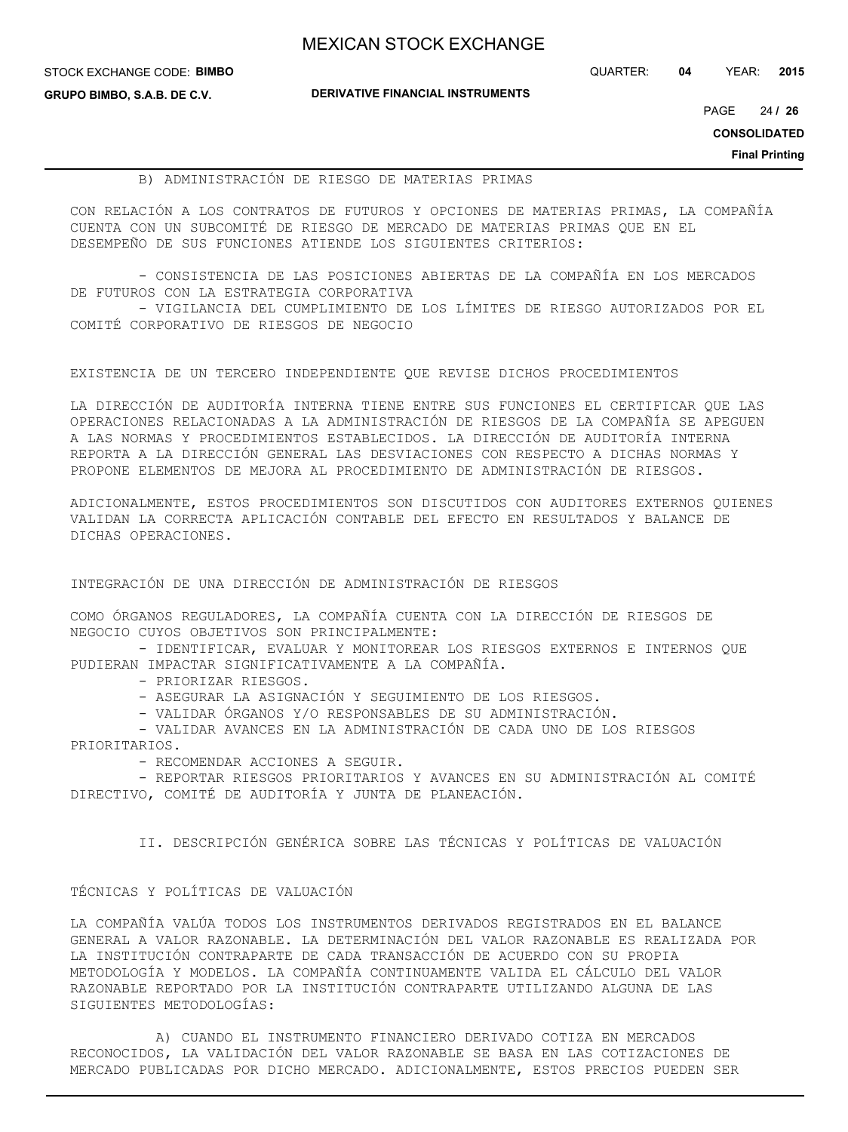| <b>MEXICAN STOCK EXCHANGE</b> |  |  |  |
|-------------------------------|--|--|--|
|-------------------------------|--|--|--|

STOCK EXCHANGE CODE: **BIMBO GRUPO BIMBO, S.A.B. DE C.V.**

**DERIVATIVE FINANCIAL INSTRUMENTS**

QUARTER: **04** YEAR: **2015**

24 PAGE **/ 26**

**CONSOLIDATED**

**Final Printing**

### B) ADMINISTRACIÓN DE RIESGO DE MATERIAS PRIMAS

CON RELACIÓN A LOS CONTRATOS DE FUTUROS Y OPCIONES DE MATERIAS PRIMAS, LA COMPAÑÍA CUENTA CON UN SUBCOMITÉ DE RIESGO DE MERCADO DE MATERIAS PRIMAS QUE EN EL DESEMPEÑO DE SUS FUNCIONES ATIENDE LOS SIGUIENTES CRITERIOS:

 - CONSISTENCIA DE LAS POSICIONES ABIERTAS DE LA COMPAÑÍA EN LOS MERCADOS DE FUTUROS CON LA ESTRATEGIA CORPORATIVA - VIGILANCIA DEL CUMPLIMIENTO DE LOS LÍMITES DE RIESGO AUTORIZADOS POR EL COMITÉ CORPORATIVO DE RIESGOS DE NEGOCIO

EXISTENCIA DE UN TERCERO INDEPENDIENTE QUE REVISE DICHOS PROCEDIMIENTOS

LA DIRECCIÓN DE AUDITORÍA INTERNA TIENE ENTRE SUS FUNCIONES EL CERTIFICAR QUE LAS OPERACIONES RELACIONADAS A LA ADMINISTRACIÓN DE RIESGOS DE LA COMPAÑÍA SE APEGUEN A LAS NORMAS Y PROCEDIMIENTOS ESTABLECIDOS. LA DIRECCIÓN DE AUDITORÍA INTERNA REPORTA A LA DIRECCIÓN GENERAL LAS DESVIACIONES CON RESPECTO A DICHAS NORMAS Y PROPONE ELEMENTOS DE MEJORA AL PROCEDIMIENTO DE ADMINISTRACIÓN DE RIESGOS.

ADICIONALMENTE, ESTOS PROCEDIMIENTOS SON DISCUTIDOS CON AUDITORES EXTERNOS QUIENES VALIDAN LA CORRECTA APLICACIÓN CONTABLE DEL EFECTO EN RESULTADOS Y BALANCE DE DICHAS OPERACIONES.

INTEGRACIÓN DE UNA DIRECCIÓN DE ADMINISTRACIÓN DE RIESGOS

COMO ÓRGANOS REGULADORES, LA COMPAÑÍA CUENTA CON LA DIRECCIÓN DE RIESGOS DE NEGOCIO CUYOS OBJETIVOS SON PRINCIPALMENTE:

- IDENTIFICAR, EVALUAR Y MONITOREAR LOS RIESGOS EXTERNOS E INTERNOS QUE PUDIERAN IMPACTAR SIGNIFICATIVAMENTE A LA COMPAÑÍA.

- PRIORIZAR RIESGOS.

- ASEGURAR LA ASIGNACIÓN Y SEGUIMIENTO DE LOS RIESGOS.

- VALIDAR ÓRGANOS Y/O RESPONSABLES DE SU ADMINISTRACIÓN.

 - VALIDAR AVANCES EN LA ADMINISTRACIÓN DE CADA UNO DE LOS RIESGOS PRIORITARIOS.

- RECOMENDAR ACCIONES A SEGUIR.

 - REPORTAR RIESGOS PRIORITARIOS Y AVANCES EN SU ADMINISTRACIÓN AL COMITÉ DIRECTIVO, COMITÉ DE AUDITORÍA Y JUNTA DE PLANEACIÓN.

II. DESCRIPCIÓN GENÉRICA SOBRE LAS TÉCNICAS Y POLÍTICAS DE VALUACIÓN

### TÉCNICAS Y POLÍTICAS DE VALUACIÓN

LA COMPAÑÍA VALÚA TODOS LOS INSTRUMENTOS DERIVADOS REGISTRADOS EN EL BALANCE GENERAL A VALOR RAZONABLE. LA DETERMINACIÓN DEL VALOR RAZONABLE ES REALIZADA POR LA INSTITUCIÓN CONTRAPARTE DE CADA TRANSACCIÓN DE ACUERDO CON SU PROPIA METODOLOGÍA Y MODELOS. LA COMPAÑÍA CONTINUAMENTE VALIDA EL CÁLCULO DEL VALOR RAZONABLE REPORTADO POR LA INSTITUCIÓN CONTRAPARTE UTILIZANDO ALGUNA DE LAS SIGUIENTES METODOLOGÍAS:

 A) CUANDO EL INSTRUMENTO FINANCIERO DERIVADO COTIZA EN MERCADOS RECONOCIDOS, LA VALIDACIÓN DEL VALOR RAZONABLE SE BASA EN LAS COTIZACIONES DE MERCADO PUBLICADAS POR DICHO MERCADO. ADICIONALMENTE, ESTOS PRECIOS PUEDEN SER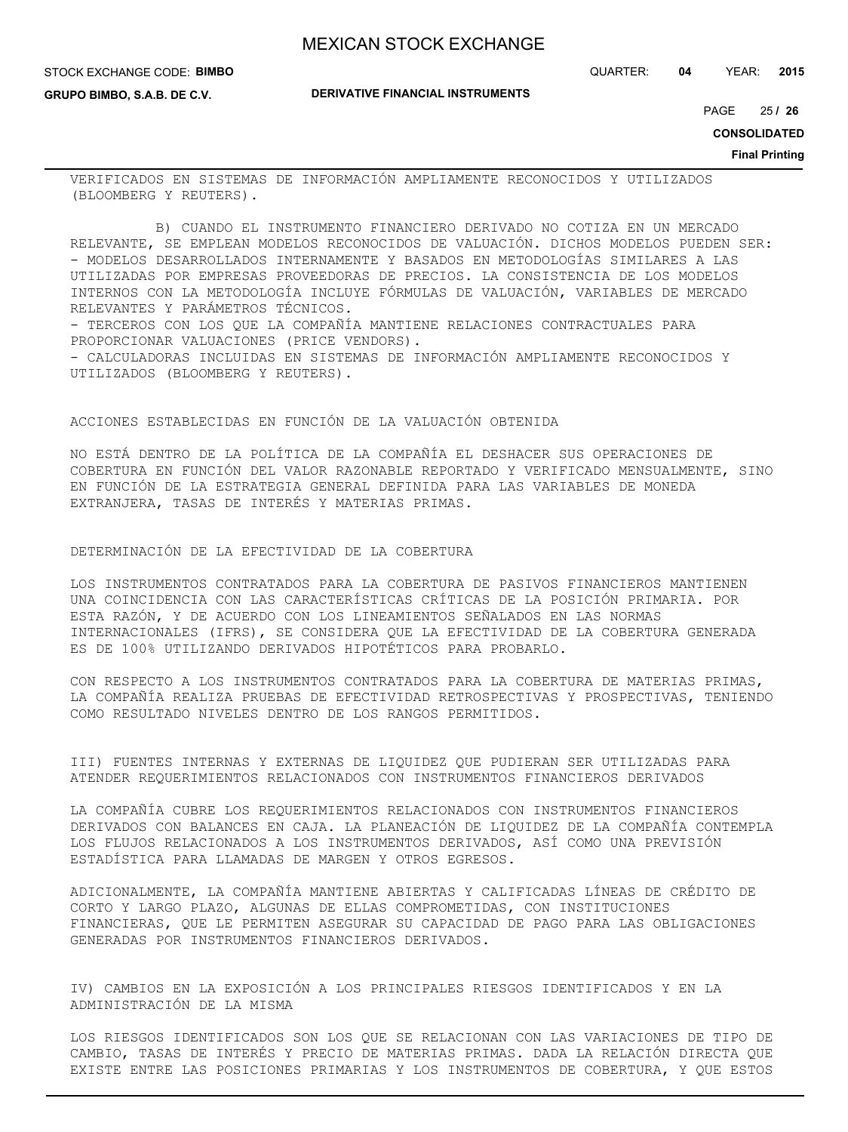STOCK EXCHANGE CODE: **BIMBO**

**GRUPO BIMBO, S.A.B. DE C.V.**

**DERIVATIVE FINANCIAL INSTRUMENTS**

25 PAGE **/ 26**

**CONSOLIDATED**

**Final Printing**

VERIFICADOS EN SISTEMAS DE INFORMACIÓN AMPLIAMENTE RECONOCIDOS Y UTILIZADOS (BLOOMBERG Y REUTERS).

 B) CUANDO EL INSTRUMENTO FINANCIERO DERIVADO NO COTIZA EN UN MERCADO RELEVANTE, SE EMPLEAN MODELOS RECONOCIDOS DE VALUACIÓN. DICHOS MODELOS PUEDEN SER: - MODELOS DESARROLLADOS INTERNAMENTE Y BASADOS EN METODOLOGÍAS SIMILARES A LAS UTILIZADAS POR EMPRESAS PROVEEDORAS DE PRECIOS. LA CONSISTENCIA DE LOS MODELOS INTERNOS CON LA METODOLOGÍA INCLUYE FÓRMULAS DE VALUACIÓN, VARIABLES DE MERCADO RELEVANTES Y PARÁMETROS TÉCNICOS. - TERCEROS CON LOS QUE LA COMPAÑÍA MANTIENE RELACIONES CONTRACTUALES PARA PROPORCIONAR VALUACIONES (PRICE VENDORS). - CALCULADORAS INCLUIDAS EN SISTEMAS DE INFORMACIÓN AMPLIAMENTE RECONOCIDOS Y UTILIZADOS (BLOOMBERG Y REUTERS).

### ACCIONES ESTABLECIDAS EN FUNCIÓN DE LA VALUACIÓN OBTENIDA

NO ESTÁ DENTRO DE LA POLÍTICA DE LA COMPAÑÍA EL DESHACER SUS OPERACIONES DE COBERTURA EN FUNCIÓN DEL VALOR RAZONABLE REPORTADO Y VERIFICADO MENSUALMENTE, SINO EN FUNCIÓN DE LA ESTRATEGIA GENERAL DEFINIDA PARA LAS VARIABLES DE MONEDA EXTRANJERA, TASAS DE INTERÉS Y MATERIAS PRIMAS.

## DETERMINACIÓN DE LA EFECTIVIDAD DE LA COBERTURA

LOS INSTRUMENTOS CONTRATADOS PARA LA COBERTURA DE PASIVOS FINANCIEROS MANTIENEN UNA COINCIDENCIA CON LAS CARACTERÍSTICAS CRÍTICAS DE LA POSICIÓN PRIMARIA. POR ESTA RAZÓN, Y DE ACUERDO CON LOS LINEAMIENTOS SEÑALADOS EN LAS NORMAS INTERNACIONALES (IFRS), SE CONSIDERA QUE LA EFECTIVIDAD DE LA COBERTURA GENERADA ES DE 100% UTILIZANDO DERIVADOS HIPOTÉTICOS PARA PROBARLO.

CON RESPECTO A LOS INSTRUMENTOS CONTRATADOS PARA LA COBERTURA DE MATERIAS PRIMAS, LA COMPAÑÍA REALIZA PRUEBAS DE EFECTIVIDAD RETROSPECTIVAS Y PROSPECTIVAS, TENIENDO COMO RESULTADO NIVELES DENTRO DE LOS RANGOS PERMITIDOS.

III) FUENTES INTERNAS Y EXTERNAS DE LIQUIDEZ QUE PUDIERAN SER UTILIZADAS PARA ATENDER REQUERIMIENTOS RELACIONADOS CON INSTRUMENTOS FINANCIEROS DERIVADOS

LA COMPAÑÍA CUBRE LOS REQUERIMIENTOS RELACIONADOS CON INSTRUMENTOS FINANCIEROS DERIVADOS CON BALANCES EN CAJA. LA PLANEACIÓN DE LIQUIDEZ DE LA COMPAÑÍA CONTEMPLA LOS FLUJOS RELACIONADOS A LOS INSTRUMENTOS DERIVADOS, ASÍ COMO UNA PREVISIÓN ESTADÍSTICA PARA LLAMADAS DE MARGEN Y OTROS EGRESOS.

ADICIONALMENTE, LA COMPAÑÍA MANTIENE ABIERTAS Y CALIFICADAS LÍNEAS DE CRÉDITO DE CORTO Y LARGO PLAZO, ALGUNAS DE ELLAS COMPROMETIDAS, CON INSTITUCIONES FINANCIERAS, QUE LE PERMITEN ASEGURAR SU CAPACIDAD DE PAGO PARA LAS OBLIGACIONES GENERADAS POR INSTRUMENTOS FINANCIEROS DERIVADOS.

IV) CAMBIOS EN LA EXPOSICIÓN A LOS PRINCIPALES RIESGOS IDENTIFICADOS Y EN LA ADMINISTRACIÓN DE LA MISMA

LOS RIESGOS IDENTIFICADOS SON LOS QUE SE RELACIONAN CON LAS VARIACIONES DE TIPO DE CAMBIO, TASAS DE INTERÉS Y PRECIO DE MATERIAS PRIMAS. DADA LA RELACIÓN DIRECTA QUE EXISTE ENTRE LAS POSICIONES PRIMARIAS Y LOS INSTRUMENTOS DE COBERTURA, Y QUE ESTOS